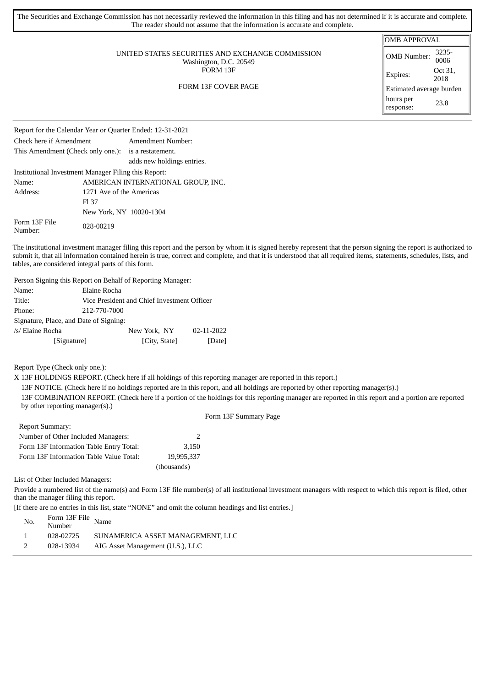| The Securities and Exchange Commission has not necessarily reviewed the information in this filing and has not determined if it is accurate and complete.<br>The reader should not assume that the information is accurate and complete. |                                                                                                      |                                          |
|------------------------------------------------------------------------------------------------------------------------------------------------------------------------------------------------------------------------------------------|------------------------------------------------------------------------------------------------------|------------------------------------------|
| UNITED STATES SECURITIES AND EXCHANGE COMMISSION<br>Washington, D.C. 20549<br>FORM 13F<br><b>FORM 13F COVER PAGE</b>                                                                                                                     | <b>OMB APPROVAL</b><br>OMB Number:<br>Expires:<br>Estimated average burden<br>hours per<br>response: | 3235-<br>0006<br>Oct 31,<br>2018<br>23.8 |
| Report for the Calendar Year or Quarter Ended: 12-31-2021                                                                                                                                                                                |                                                                                                      |                                          |

Check here if Amendment Amendment Number: This Amendment (Check only one.): is a restatement. adds new holdings entries. Institutional Investment Manager Filing this Report: Name: AMERICAN INTERNATIONAL GROUP, INC. Address: 1271 Ave of the Americas Fl 37 New York, NY 10020-1304 Form 13F File Form 15F File 028-00219

The institutional investment manager filing this report and the person by whom it is signed hereby represent that the person signing the report is authorized to submit it, that all information contained herein is true, correct and complete, and that it is understood that all required items, statements, schedules, lists, and tables, are considered integral parts of this form.

Person Signing this Report on Behalf of Reporting Manager: Name: Elaine Rocha Title: Vice President and Chief Investment Officer Phone: 212-770-7000 Signature, Place, and Date of Signing: /s/ Elaine Rocha New York, NY 02-11-2022 [Signature] [City, State] [Date]

Report Type (Check only one.):

X 13F HOLDINGS REPORT. (Check here if all holdings of this reporting manager are reported in this report.)

13F NOTICE. (Check here if no holdings reported are in this report, and all holdings are reported by other reporting manager(s).)

13F COMBINATION REPORT. (Check here if a portion of the holdings for this reporting manager are reported in this report and a portion are reported by other reporting manager(s).) Form 13F Summary Page

| <b>Report Summary:</b>                  |             |
|-----------------------------------------|-------------|
| Number of Other Included Managers:      |             |
| Form 13F Information Table Entry Total: | 3.150       |
| Form 13F Information Table Value Total: | 19,995,337  |
|                                         | (thousands) |

List of Other Included Managers:

Provide a numbered list of the name(s) and Form 13F file number(s) of all institutional investment managers with respect to which this report is filed, other than the manager filing this report.

[If there are no entries in this list, state "NONE" and omit the column headings and list entries.]

| SUNAMERICA ASSET MANAGEMENT, LLC |
|----------------------------------|
| AIG Asset Management (U.S.), LLC |
|                                  |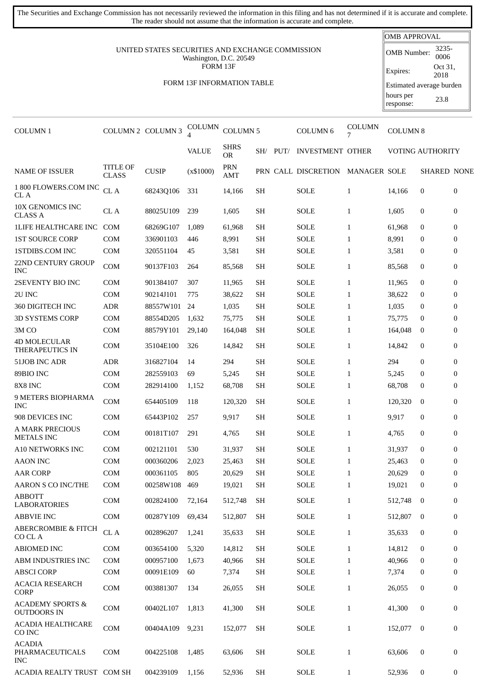The reader should not assume that the information is accurate and complete. UNITED STATES SECURITIES AND EXCHANGE COMMISSION Washington, D.C. 20549 FORM 13F FORM 13F INFORMATION TABLE OMB APPROVAL OMB Number: 3235- 0006 Expires: Oct 31, 2018 Estimated average burden hours per response: 23.8 COLUMN 1 COLUMN 2 COLUMN 3 COLUMN  $\text{COLUMN 5}$  COLUMN 6 COLUMN COLUMN 8 VALUE SHRS SH/ PUT/ INVESTMENT OTHER VOTING AUTHORITY NAME OF ISSUER<br>
CLASS TITLE OF CUSIP (x\$1000) PRN<br>CLASS CUSIP (x\$1000) AMT PRN PRN CALL DISCRETION MANAGER SOLE SHARED NONE 1 800 FLOWERS.COM INC CL A TOO PLOWERS.COM INC CL A 68243Q106 331 14,166 SH SOLE 1 14,166 0 0 10X GENOMICS INC TOX OLNOMICS INC CL A 88025U109 239 1,605 SH SOLE 1 1,605 0 0 1LIFE HEALTHCARE INC COM 68269G107 1,089 61,968 SH SOLE 1 61,968 0 0 1ST SOURCE CORP COM 336901103 446 8,991 SH SOLE 1 8,991 0 0 1STDIBS.COM INC COM 320551104 45 3,581 SH SOLE 1 3,581 0 0 22ND CENTURY GROUP 22ND CENTONT GNOOT COM 90137F103 264 85,568 SH SOLE 1 85,568 0 0 2SEVENTY BIO INC COM 901384107 307 11,965 SH SOLE 1 11,965 0 0 2U INC COM 90214J101 775 38,622 SH SOLE 1 38,622 0 0 360 DIGITECH INC ADR 88557W101 24 1,035 SH SOLE 1 1,035 0 0 3D SYSTEMS CORP COM 88554D205 1.632 75.775 SH SOLE 1 75.775 0 0 3M CO COM 88579Y101 29,140 164,048 SH SOLE 1 164,048 0 0 4D MOLECULAR 4D MOLECOLAN COM 35104E100 326 14,842 SH SOLE 1 14,842 0 0 51JOB INC ADR ADR 316827104 14 294 SH SOLE 1 294 0 0 89BIO INC COM 282559103 69 5,245 SH SOLE 1 5,245 0 0 8X8 INC COM 282914100 1,152 68,708 SH SOLE 1 68,708 0 0 9 METERS BIOPHARMA 3 METERS DIOFITANMA COM 654405109 118 120,320 SH SOLE 1 120,320 0 0 908 DEVICES INC COM 65443P102 257 9,917 SH SOLE 1 9,917 0 0 A MARK PRECIOUS METALS INC COM 00181T107 <sup>291</sup> 4,765 SH SOLE <sup>1</sup> 4,765 <sup>0</sup> <sup>0</sup> A10 NETWORKS INC COM 002121101 530 31,937 SH SOLE 1 31,937 0 0 AAON INC COM 000360206 2,023 25,463 SH SOLE 1 25,463 0 0 AAR CORP COM 000361105 805 20,629 SH SOLE 1 20,629 0 0 AARON S CO INC/THE COM 00258W108 469 19,021 SH SOLE 1 19,021 0 0 ABBOTT LABORATORIES COM <sup>002824100</sup> 72,164 512,748 SH SOLE <sup>1</sup> 512,748 <sup>0</sup> <sup>0</sup> ABBVIE INC COM 00287Y109 69,434 512,807 SH SOLE 1 512,807 0 0 ABERCROMBIE & FITCH ADERENOMDE & FITCH CL A 002896207 1,241 35,633 SH SOLE 1 35,633 0 0 ABIOMED INC COM 003654100 5,320 14,812 SH SOLE 1 14,812 0 0 ABM INDUSTRIES INC COM 000957100 1,673 40,966 SH SOLE 1 40,966 0 0 ABSCI CORP COM 00091E109 60 7,374 SH SOLE 1 7,374 0 0 ACACIA RESEARCH ACACIA RESEARCH COM 003881307 134 26,055 SH SOLE 1 26,055 0 0 ACADEMY SPORTS & ACADEM 1 STORIS OCH 00402L107 1,813 41,300 SH SOLE 1 41,300 0 0 ACADIA HEALTHCARE ACADIA ILEALTICANE COM 00404A109 9,231 152,077 SH SOLE 1 152,077 0 0 ACADIA PHARMACEUTICALS INC COM 004225108 1,485 63,606 SH SOLE 1 63,606 0 0

ACADIA REALTY TRUST COM SH 004239109 1,156 52,936 SH SOLE 1 52,936 0 0

The Securities and Exchange Commission has not necessarily reviewed the information in this filing and has not determined if it is accurate and complete.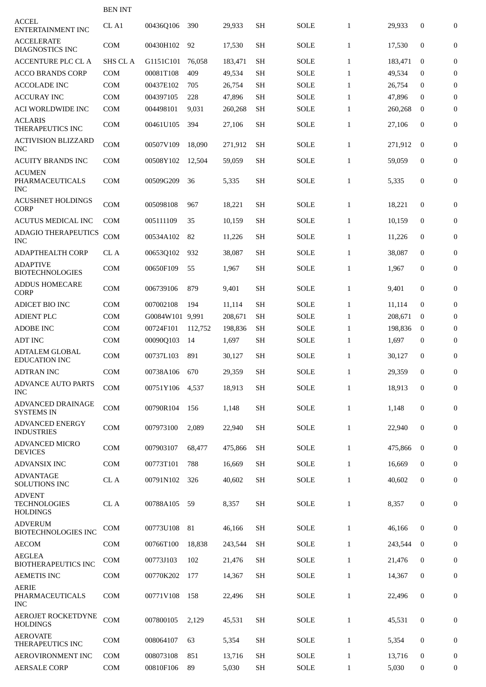|                                                         | <b>BEN INT</b> |                 |         |         |                     |             |              |         |                  |                  |
|---------------------------------------------------------|----------------|-----------------|---------|---------|---------------------|-------------|--------------|---------|------------------|------------------|
| <b>ACCEL</b><br>ENTERTAINMENT INC                       | CL A1          | 00436Q106       | 390     | 29,933  | <b>SH</b>           | <b>SOLE</b> | $\mathbf{1}$ | 29,933  | 0                | $\mathbf{0}$     |
| <b>ACCELERATE</b><br><b>DIAGNOSTICS INC</b>             | <b>COM</b>     | 00430H102       | 92      | 17,530  | <b>SH</b>           | SOLE        | $\mathbf{1}$ | 17,530  | $\mathbf{0}$     | $\boldsymbol{0}$ |
| <b>ACCENTURE PLC CL A</b>                               | SHS CL A       | G1151C101       | 76,058  | 183,471 | <b>SH</b>           | <b>SOLE</b> | $\mathbf{1}$ | 183,471 | $\bf{0}$         | 0                |
| <b>ACCO BRANDS CORP</b>                                 | <b>COM</b>     | 00081T108       | 409     | 49,534  | <b>SH</b>           | <b>SOLE</b> | $\mathbf{1}$ | 49,534  | $\bf{0}$         | $\mathbf{0}$     |
| <b>ACCOLADE INC</b>                                     | COM            | 00437E102       | 705     | 26,754  | <b>SH</b>           | <b>SOLE</b> | $\mathbf{1}$ | 26,754  | $\bf{0}$         | $\boldsymbol{0}$ |
| <b>ACCURAY INC</b>                                      | <b>COM</b>     | 004397105       | 228     | 47,896  | <b>SH</b>           | <b>SOLE</b> | $\mathbf{1}$ | 47,896  | $\bf{0}$         | $\overline{0}$   |
| <b>ACI WORLDWIDE INC</b>                                | <b>COM</b>     | 004498101       | 9,031   | 260,268 | SH                  | <b>SOLE</b> | $\mathbf{1}$ | 260,268 | $\bf{0}$         | $\boldsymbol{0}$ |
| <b>ACLARIS</b><br>THERAPEUTICS INC                      | <b>COM</b>     | 00461U105       | 394     | 27,106  | <b>SH</b>           | <b>SOLE</b> | $\mathbf{1}$ | 27,106  | 0                | $\boldsymbol{0}$ |
| <b>ACTIVISION BLIZZARD</b><br>INC                       | <b>COM</b>     | 00507V109       | 18,090  | 271,912 | <b>SH</b>           | <b>SOLE</b> | $\mathbf{1}$ | 271,912 | $\bf{0}$         | $\boldsymbol{0}$ |
| <b>ACUITY BRANDS INC</b>                                | <b>COM</b>     | 00508Y102       | 12,504  | 59,059  | <b>SH</b>           | <b>SOLE</b> | $\mathbf{1}$ | 59,059  | $\mathbf{0}$     | 0                |
| <b>ACUMEN</b><br>PHARMACEUTICALS<br>INC                 | <b>COM</b>     | 00509G209       | 36      | 5,335   | <b>SH</b>           | <b>SOLE</b> | $\mathbf{1}$ | 5,335   | 0                | $\boldsymbol{0}$ |
| <b>ACUSHNET HOLDINGS</b><br><b>CORP</b>                 | <b>COM</b>     | 005098108       | 967     | 18,221  | <b>SH</b>           | <b>SOLE</b> | $\mathbf{1}$ | 18,221  | 0                | $\boldsymbol{0}$ |
| <b>ACUTUS MEDICAL INC</b>                               | <b>COM</b>     | 005111109       | 35      | 10,159  | <b>SH</b>           | <b>SOLE</b> | $\mathbf{1}$ | 10.159  | $\mathbf{0}$     | $\mathbf{0}$     |
| <b>ADAGIO THERAPEUTICS</b><br><b>INC</b>                | COM            | 00534A102       | 82      | 11,226  | <b>SH</b>           | <b>SOLE</b> | $\mathbf{1}$ | 11,226  | $\mathbf{0}$     | 0                |
| ADAPTHEALTH CORP                                        | CL A           | 00653Q102       | 932     | 38,087  | <b>SH</b>           | SOLE        | $\mathbf{1}$ | 38,087  | $\bf{0}$         | $\boldsymbol{0}$ |
| <b>ADAPTIVE</b><br><b>BIOTECHNOLOGIES</b>               | <b>COM</b>     | 00650F109       | 55      | 1,967   | <b>SH</b>           | <b>SOLE</b> | $\mathbf{1}$ | 1,967   | 0                | 0                |
| <b>ADDUS HOMECARE</b><br><b>CORP</b>                    | <b>COM</b>     | 006739106       | 879     | 9,401   | <b>SH</b>           | <b>SOLE</b> | $\mathbf{1}$ | 9,401   | 0                | $\boldsymbol{0}$ |
| <b>ADICET BIO INC</b>                                   | <b>COM</b>     | 007002108       | 194     | 11,114  | <b>SH</b>           | <b>SOLE</b> | $\mathbf{1}$ | 11,114  | $\mathbf{0}$     | $\boldsymbol{0}$ |
| <b>ADIENT PLC</b>                                       | <b>COM</b>     | G0084W101 9,991 |         | 208,671 | <b>SH</b>           | <b>SOLE</b> | $\mathbf{1}$ | 208,671 | $\bf{0}$         | $\mathbf{0}$     |
| <b>ADOBE INC</b>                                        | <b>COM</b>     | 00724F101       | 112,752 | 198,836 | <b>SH</b>           | <b>SOLE</b> | $\mathbf{1}$ | 198,836 | $\bf{0}$         | $\bf{0}$         |
| <b>ADT INC</b>                                          | <b>COM</b>     | 00090Q103       | 14      | 1,697   | <b>SH</b>           | <b>SOLE</b> | $\mathbf{1}$ | 1,697   | $\mathbf{0}$     | $\overline{0}$   |
| <b>ADTALEM GLOBAL</b><br><b>EDUCATION INC</b>           | COM            | 00737L103       | 891     | 30,127  | <b>SH</b>           | <b>SOLE</b> | $\mathbf{1}$ | 30,127  | $\boldsymbol{0}$ | $\overline{0}$   |
| <b>ADTRAN INC</b>                                       | COM            | 00738A106       | 670     | 29,359  | <b>SH</b>           | SOLE        | $\mathbf{1}$ | 29,359  | $\bf{0}$         | $\mathbf{0}$     |
| <b>ADVANCE AUTO PARTS</b><br><b>INC</b>                 | COM            | 00751Y106       | 4,537   | 18,913  | SH                  | <b>SOLE</b> | $\mathbf{1}$ | 18,913  | $\mathbf{0}$     | 0                |
| ADVANCED DRAINAGE<br><b>SYSTEMS IN</b>                  | COM            | 00790R104       | 156     | 1,148   | <b>SH</b>           | <b>SOLE</b> | $\mathbf{1}$ | 1,148   | $\boldsymbol{0}$ | 0                |
| <b>ADVANCED ENERGY</b><br><b>INDUSTRIES</b>             | COM            | 007973100       | 2,089   | 22,940  | <b>SH</b>           | <b>SOLE</b> | $\mathbf{1}$ | 22,940  | $\mathbf{0}$     | 0                |
| <b>ADVANCED MICRO</b><br><b>DEVICES</b>                 | COM            | 007903107       | 68,477  | 475,866 | <b>SH</b>           | SOLE        | $\mathbf{1}$ | 475,866 | $\bf{0}$         | 0                |
| <b>ADVANSIX INC</b>                                     | <b>COM</b>     | 00773T101       | 788     | 16,669  | <b>SH</b>           | <b>SOLE</b> | $\mathbf{1}$ | 16,669  | 0                | $\overline{0}$   |
| <b>ADVANTAGE</b><br><b>SOLUTIONS INC</b>                | CL A           | 00791N102       | 326     | 40,602  | <b>SH</b>           | SOLE        | $\mathbf{1}$ | 40,602  | $\mathbf{0}$     | 0                |
| <b>ADVENT</b><br><b>TECHNOLOGIES</b><br><b>HOLDINGS</b> | CL A           | 00788A105       | 59      | 8,357   | <b>SH</b>           | SOLE        | $\mathbf{1}$ | 8,357   | 0                | 0                |
| <b>ADVERUM</b><br><b>BIOTECHNOLOGIES INC</b>            | COM            | 00773U108       | 81      | 46,166  | <b>SH</b>           | SOLE        | $\mathbf{1}$ | 46,166  | $\mathbf{0}$     | $\mathbf{0}$     |
| <b>AECOM</b>                                            | <b>COM</b>     | 00766T100       | 18,838  | 243,544 | <b>SH</b>           | <b>SOLE</b> | $\mathbf{1}$ | 243,544 | $\mathbf{0}$     | $\mathbf{0}$     |
| <b>AEGLEA</b><br><b>BIOTHERAPEUTICS INC</b>             | <b>COM</b>     | 00773J103       | 102     | 21,476  | <b>SH</b>           | <b>SOLE</b> | $\mathbf{1}$ | 21,476  | 0                | 0                |
| <b>AEMETIS INC</b>                                      | <b>COM</b>     | 00770K202       | 177     | 14,367  | <b>SH</b>           | <b>SOLE</b> | $\mathbf{1}$ | 14,367  | 0                | 0                |
| <b>AERIE</b><br>PHARMACEUTICALS<br><b>INC</b>           | COM            | 00771V108       | 158     | 22,496  | <b>SH</b>           | SOLE        | $\mathbf{1}$ | 22,496  | 0                | 0                |
| <b>AEROJET ROCKETDYNE</b><br><b>HOLDINGS</b>            | COM            | 007800105       | 2,129   | 45,531  | <b>SH</b>           | <b>SOLE</b> | $\mathbf{1}$ | 45,531  | 0                | $\mathbf{0}$     |
| <b>AEROVATE</b><br><b>THERAPEUTICS INC</b>              | COM            | 008064107       | 63      | 5,354   | <b>SH</b>           | SOLE        | $\mathbf{1}$ | 5,354   | 0                | $\overline{0}$   |
| AEROVIRONMENT INC                                       | <b>COM</b>     | 008073108       | 851     | 13,716  | <b>SH</b>           | <b>SOLE</b> | $\mathbf{1}$ | 13,716  | $\bf{0}$         | 0                |
| <b>AERSALE CORP</b>                                     | COM            | 00810F106       | 89      | 5,030   | $\operatorname{SH}$ | <b>SOLE</b> | $\mathbf{1}$ | 5,030   | 0                | 0                |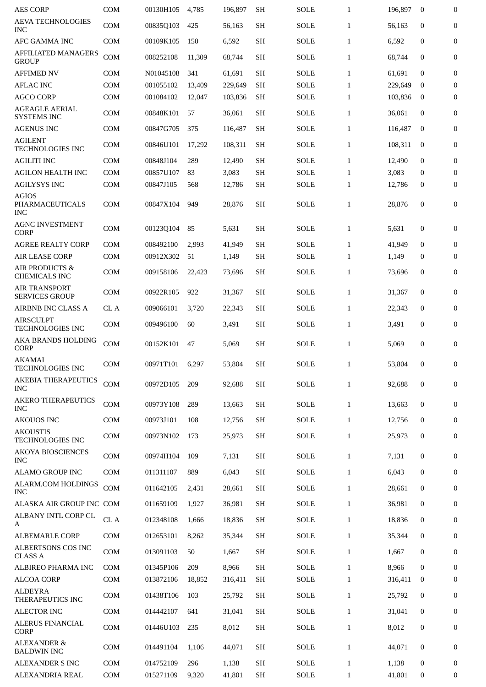| AES CORP                                      | <b>COM</b>   | 00130H105 | 4,785  | 196.897 | SН        | <b>SOLE</b> | $\mathbf{1}$ | 196,897 | $\bf{0}$         | $\bf{0}$         |
|-----------------------------------------------|--------------|-----------|--------|---------|-----------|-------------|--------------|---------|------------------|------------------|
| <b>AEVA TECHNOLOGIES</b><br><b>INC</b>        | <b>COM</b>   | 00835Q103 | 425    | 56,163  | <b>SH</b> | <b>SOLE</b> | $\mathbf{1}$ | 56,163  | $\mathbf{0}$     | $\boldsymbol{0}$ |
| <b>AFC GAMMA INC</b>                          | <b>COM</b>   | 00109K105 | 150    | 6,592   | <b>SH</b> | SOLE        | $\mathbf{1}$ | 6,592   | $\mathbf{0}$     | $\mathbf{0}$     |
| <b>AFFILIATED MANAGERS</b><br><b>GROUP</b>    | COM          | 008252108 | 11.309 | 68,744  | <b>SH</b> | <b>SOLE</b> | $\mathbf{1}$ | 68,744  | $\mathbf{0}$     | $\boldsymbol{0}$ |
| <b>AFFIMED NV</b>                             | COM          | N01045108 | 341    | 61,691  | <b>SH</b> | <b>SOLE</b> | $\mathbf{1}$ | 61,691  | $\mathbf{0}$     | $\boldsymbol{0}$ |
| <b>AFLAC INC</b>                              | COM          | 001055102 | 13,409 | 229,649 | <b>SH</b> | <b>SOLE</b> | $\mathbf{1}$ | 229,649 | $\mathbf{0}$     | $\boldsymbol{0}$ |
| <b>AGCO CORP</b>                              | <b>COM</b>   | 001084102 | 12,047 | 103,836 | <b>SH</b> | SOLE        | $\mathbf{1}$ | 103,836 | $\bf{0}$         | $\boldsymbol{0}$ |
| AGEAGLE AERIAL<br><b>SYSTEMS INC</b>          | <b>COM</b>   | 00848K101 | 57     | 36,061  | <b>SH</b> | <b>SOLE</b> | $\mathbf{1}$ | 36,061  | $\boldsymbol{0}$ | $\boldsymbol{0}$ |
| <b>AGENUS INC</b>                             | <b>COM</b>   | 00847G705 | 375    | 116,487 | <b>SH</b> | <b>SOLE</b> | $\mathbf{1}$ | 116,487 | $\mathbf{0}$     | $\overline{0}$   |
| <b>AGILENT</b><br><b>TECHNOLOGIES INC</b>     | <b>COM</b>   | 00846U101 | 17,292 | 108,311 | <b>SH</b> | <b>SOLE</b> | $\mathbf{1}$ | 108,311 | $\mathbf{0}$     | 0                |
| <b>AGILITI INC</b>                            | <b>COM</b>   | 00848J104 | 289    | 12,490  | <b>SH</b> | <b>SOLE</b> | $\mathbf{1}$ | 12,490  | $\mathbf{0}$     | $\boldsymbol{0}$ |
| <b>AGILON HEALTH INC</b>                      | <b>COM</b>   | 00857U107 | 83     | 3,083   | <b>SH</b> | <b>SOLE</b> | $\mathbf{1}$ | 3,083   | 0                | $\mathbf{0}$     |
| <b>AGILYSYS INC</b>                           | <b>COM</b>   | 00847J105 | 568    | 12,786  | <b>SH</b> | SOLE        | $\mathbf{1}$ | 12,786  | $\boldsymbol{0}$ | $\boldsymbol{0}$ |
| <b>AGIOS</b><br>PHARMACEUTICALS<br><b>INC</b> | <b>COM</b>   | 00847X104 | 949    | 28,876  | <b>SH</b> | <b>SOLE</b> | $\mathbf{1}$ | 28,876  | $\mathbf{0}$     | 0                |
| <b>AGNC INVESTMENT</b><br>CORP                | <b>COM</b>   | 00123Q104 | 85     | 5,631   | <b>SH</b> | <b>SOLE</b> | $\mathbf{1}$ | 5,631   | $\boldsymbol{0}$ | $\boldsymbol{0}$ |
| <b>AGREE REALTY CORP</b>                      | <b>COM</b>   | 008492100 | 2,993  | 41,949  | <b>SH</b> | <b>SOLE</b> | $\mathbf{1}$ | 41,949  | $\mathbf{0}$     | $\boldsymbol{0}$ |
| <b>AIR LEASE CORP</b>                         | COM          | 00912X302 | 51     | 1,149   | <b>SH</b> | SOLE        | $\mathbf{1}$ | 1,149   | 0                | $\mathbf{0}$     |
| <b>AIR PRODUCTS &amp;</b><br>CHEMICALS INC    | <b>COM</b>   | 009158106 | 22,423 | 73,696  | <b>SH</b> | SOLE        | $\mathbf{1}$ | 73,696  | $\boldsymbol{0}$ | 0                |
| <b>AIR TRANSPORT</b><br><b>SERVICES GROUP</b> | <b>COM</b>   | 00922R105 | 922    | 31,367  | <b>SH</b> | <b>SOLE</b> | $\mathbf{1}$ | 31,367  | $\mathbf{0}$     | $\boldsymbol{0}$ |
| AIRBNB INC CLASS A                            | CL A         | 009066101 | 3,720  | 22,343  | <b>SH</b> | <b>SOLE</b> | $\mathbf{1}$ | 22,343  | $\mathbf{0}$     | $\boldsymbol{0}$ |
| <b>AIRSCULPT</b><br><b>TECHNOLOGIES INC</b>   | <b>COM</b>   | 009496100 | 60     | 3,491   | <b>SH</b> | SOLE        | $\mathbf{1}$ | 3,491   | $\mathbf{0}$     | $\boldsymbol{0}$ |
| AKA BRANDS HOLDING<br><b>CORP</b>             | <b>COM</b>   | 00152K101 | 47     | 5,069   | <b>SH</b> | <b>SOLE</b> | $\mathbf{1}$ | 5,069   | $\boldsymbol{0}$ | $\boldsymbol{0}$ |
| <b>AKAMAI</b><br><b>TECHNOLOGIES INC</b>      | <b>COM</b>   | 00971T101 | 6,297  | 53,804  | SH        | <b>SOLE</b> | $\mathbf{1}$ | 53,804  | $\mathbf{0}$     | $\boldsymbol{0}$ |
| <b>AKEBIA THERAPEUTICS</b><br><b>INC</b>      | <b>COM</b>   | 00972D105 | 209    | 92.688  | <b>SH</b> | <b>SOLE</b> | $\mathbf{1}$ | 92,688  | $\mathbf{0}$     | $\mathbf{0}$     |
| <b>AKERO THERAPEUTICS</b><br><b>INC</b>       | <b>COM</b>   | 00973Y108 | 289    | 13,663  | <b>SH</b> | <b>SOLE</b> | $\mathbf{1}$ | 13,663  | $\boldsymbol{0}$ | $\bf{0}$         |
| <b>AKOUOS INC</b>                             | COM          | 00973J101 | 108    | 12,756  | <b>SH</b> | SOLE        | $\mathbf{1}$ | 12,756  | $\boldsymbol{0}$ | $\boldsymbol{0}$ |
| <b>AKOUSTIS</b><br><b>TECHNOLOGIES INC</b>    | <b>COM</b>   | 00973N102 | 173    | 25,973  | <b>SH</b> | <b>SOLE</b> | $\mathbf{1}$ | 25,973  | $\boldsymbol{0}$ | $\mathbf{0}$     |
| <b>AKOYA BIOSCIENCES</b><br><b>INC</b>        | <b>COM</b>   | 00974H104 | 109    | 7,131   | <b>SH</b> | <b>SOLE</b> | $\mathbf{1}$ | 7,131   | $\bf{0}$         | $\overline{0}$   |
| <b>ALAMO GROUP INC</b>                        | <b>COM</b>   | 011311107 | 889    | 6,043   | <b>SH</b> | <b>SOLE</b> | $\mathbf{1}$ | 6.043   | $\mathbf{0}$     | 0                |
| ALARM.COM HOLDINGS<br><b>INC</b>              | <b>COM</b>   | 011642105 | 2,431  | 28,661  | <b>SH</b> | <b>SOLE</b> | $\mathbf{1}$ | 28,661  | $\mathbf{0}$     | $\boldsymbol{0}$ |
| ALASKA AIR GROUP INC COM                      |              | 011659109 | 1,927  | 36,981  | <b>SH</b> | <b>SOLE</b> | $\mathbf{1}$ | 36,981  | $\mathbf{0}$     | $\boldsymbol{0}$ |
| ALBANY INTL CORP CL<br>A                      | ${\rm CL}$ A | 012348108 | 1,666  | 18,836  | <b>SH</b> | <b>SOLE</b> | $\mathbf{1}$ | 18,836  | $\mathbf{0}$     | $\boldsymbol{0}$ |
| <b>ALBEMARLE CORP</b>                         | <b>COM</b>   | 012653101 | 8,262  | 35,344  | <b>SH</b> | <b>SOLE</b> | $\mathbf{1}$ | 35,344  | $\mathbf{0}$     | $\mathbf{0}$     |
| ALBERTSONS COS INC<br><b>CLASS A</b>          | <b>COM</b>   | 013091103 | 50     | 1,667   | <b>SH</b> | <b>SOLE</b> | $\mathbf{1}$ | 1,667   | $\mathbf{0}$     | $\boldsymbol{0}$ |
| ALBIREO PHARMA INC                            | <b>COM</b>   | 01345P106 | 209    | 8,966   | SH        | <b>SOLE</b> | $\mathbf{1}$ | 8,966   | $\mathbf{0}$     | $\boldsymbol{0}$ |
| <b>ALCOA CORP</b>                             | <b>COM</b>   | 013872106 | 18,852 | 316,411 | <b>SH</b> | SOLE        | $\mathbf{1}$ | 316,411 | $\boldsymbol{0}$ | $\boldsymbol{0}$ |
| <b>ALDEYRA</b><br>THERAPEUTICS INC            | <b>COM</b>   | 01438T106 | 103    | 25,792  | <b>SH</b> | SOLE        | $\mathbf{1}$ | 25,792  | $\boldsymbol{0}$ | $\boldsymbol{0}$ |
| <b>ALECTOR INC</b>                            | <b>COM</b>   | 014442107 | 641    | 31,041  | <b>SH</b> | <b>SOLE</b> | $\mathbf{1}$ | 31,041  | $\bf{0}$         | $\boldsymbol{0}$ |
| <b>ALERUS FINANCIAL</b><br><b>CORP</b>        | <b>COM</b>   | 01446U103 | 235    | 8,012   | <b>SH</b> | SOLE        | $\mathbf{1}$ | 8,012   | $\boldsymbol{0}$ | 0                |
| <b>ALEXANDER &amp;</b><br><b>BALDWIN INC</b>  | <b>COM</b>   | 014491104 | 1,106  | 44,071  | <b>SH</b> | <b>SOLE</b> | $\mathbf{1}$ | 44,071  | $\boldsymbol{0}$ | $\boldsymbol{0}$ |
| <b>ALEXANDER S INC</b>                        | <b>COM</b>   | 014752109 | 296    | 1,138   | <b>SH</b> | <b>SOLE</b> | $\mathbf{1}$ | 1,138   | 0                | $\boldsymbol{0}$ |
| ALEXANDRIA REAL                               | COM          | 015271109 | 9,320  | 41,801  | <b>SH</b> | SOLE        | $\mathbf{1}$ | 41,801  | 0                | 0                |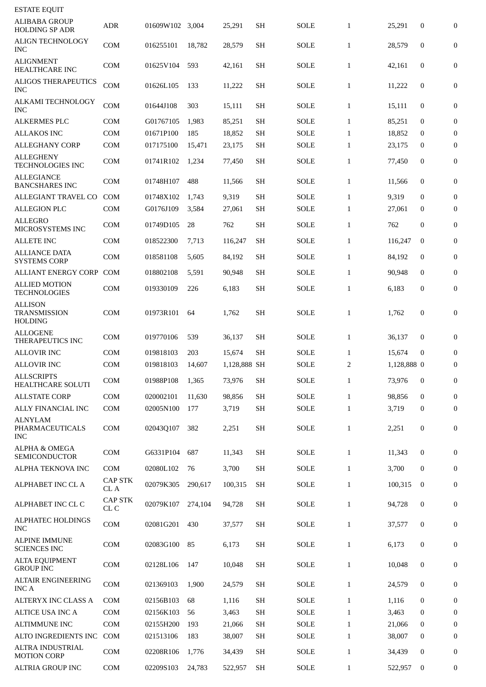| <b>ESTATE EQUIT</b>                                     |                        |                 |         |              |           |             |              |             |                  |                  |
|---------------------------------------------------------|------------------------|-----------------|---------|--------------|-----------|-------------|--------------|-------------|------------------|------------------|
| ALIBABA GROUP<br><b>HOLDING SP ADR</b>                  | <b>ADR</b>             | 01609W102 3,004 |         | 25,291       | <b>SH</b> | <b>SOLE</b> | $\mathbf{1}$ | 25,291      | $\boldsymbol{0}$ | $\boldsymbol{0}$ |
| <b>ALIGN TECHNOLOGY</b><br>INC                          | <b>COM</b>             | 016255101       | 18,782  | 28,579       | <b>SH</b> | <b>SOLE</b> | $\mathbf{1}$ | 28,579      | $\boldsymbol{0}$ | $\boldsymbol{0}$ |
| ALIGNMENT<br>HEALTHCARE INC                             | <b>COM</b>             | 01625V104       | 593     | 42,161       | <b>SH</b> | SOLE        | $\mathbf{1}$ | 42,161      | $\boldsymbol{0}$ | $\boldsymbol{0}$ |
| <b>ALIGOS THERAPEUTICS</b><br><b>INC</b>                | <b>COM</b>             | 01626L105       | 133     | 11,222       | <b>SH</b> | SOLE        | $\mathbf{1}$ | 11,222      | $\boldsymbol{0}$ | $\boldsymbol{0}$ |
| <b>ALKAMI TECHNOLOGY</b><br>INC                         | <b>COM</b>             | 01644J108       | 303     | 15,111       | <b>SH</b> | SOLE        | $\mathbf{1}$ | 15,111      | $\boldsymbol{0}$ | $\boldsymbol{0}$ |
| <b>ALKERMES PLC</b>                                     | <b>COM</b>             | G01767105       | 1,983   | 85,251       | <b>SH</b> | <b>SOLE</b> | $\mathbf{1}$ | 85,251      | $\boldsymbol{0}$ | $\boldsymbol{0}$ |
| <b>ALLAKOS INC</b>                                      | <b>COM</b>             | 01671P100       | 185     | 18,852       | <b>SH</b> | <b>SOLE</b> | $\mathbf{1}$ | 18,852      | 0                | 0                |
| <b>ALLEGHANY CORP</b>                                   | <b>COM</b>             | 017175100       | 15,471  | 23,175       | <b>SH</b> | <b>SOLE</b> | $\mathbf{1}$ | 23,175      | 0                | $\boldsymbol{0}$ |
| <b>ALLEGHENY</b><br><b>TECHNOLOGIES INC</b>             | <b>COM</b>             | 01741R102       | 1,234   | 77,450       | <b>SH</b> | SOLE        | $\mathbf{1}$ | 77,450      | $\boldsymbol{0}$ | 0                |
| <b>ALLEGIANCE</b><br><b>BANCSHARES INC</b>              | <b>COM</b>             | 01748H107       | 488     | 11,566       | <b>SH</b> | <b>SOLE</b> | $\mathbf{1}$ | 11,566      | $\boldsymbol{0}$ | $\boldsymbol{0}$ |
| ALLEGIANT TRAVEL CO                                     | <b>COM</b>             | 01748X102       | 1,743   | 9,319        | <b>SH</b> | <b>SOLE</b> | $\mathbf{1}$ | 9,319       | $\boldsymbol{0}$ | $\boldsymbol{0}$ |
| <b>ALLEGION PLC</b>                                     | <b>COM</b>             | G0176J109       | 3,584   | 27,061       | <b>SH</b> | SOLE        | $\mathbf{1}$ | 27,061      | $\bf{0}$         | $\boldsymbol{0}$ |
| <b>ALLEGRO</b><br>MICROSYSTEMS INC                      | <b>COM</b>             | 01749D105       | 28      | 762          | <b>SH</b> | <b>SOLE</b> | $\mathbf{1}$ | 762         | $\mathbf{0}$     | $\boldsymbol{0}$ |
| <b>ALLETE INC</b>                                       | <b>COM</b>             | 018522300       | 7,713   | 116,247      | <b>SH</b> | <b>SOLE</b> | $\mathbf{1}$ | 116,247     | $\mathbf{0}$     | $\boldsymbol{0}$ |
| <b>ALLIANCE DATA</b><br><b>SYSTEMS CORP</b>             | <b>COM</b>             | 018581108       | 5,605   | 84,192       | <b>SH</b> | <b>SOLE</b> | $\mathbf{1}$ | 84,192      | $\boldsymbol{0}$ | $\boldsymbol{0}$ |
| <b>ALLIANT ENERGY CORP</b>                              | <b>COM</b>             | 018802108       | 5,591   | 90,948       | <b>SH</b> | <b>SOLE</b> | $\mathbf{1}$ | 90,948      | $\mathbf{0}$     | $\boldsymbol{0}$ |
| <b>ALLIED MOTION</b><br><b>TECHNOLOGIES</b>             | COM                    | 019330109       | 226     | 6,183        | <b>SH</b> | SOLE        | $\mathbf{1}$ | 6,183       | $\boldsymbol{0}$ | 0                |
| <b>ALLISON</b><br><b>TRANSMISSION</b><br><b>HOLDING</b> | <b>COM</b>             | 01973R101       | 64      | 1,762        | <b>SH</b> | SOLE        | $\mathbf{1}$ | 1,762       | $\mathbf{0}$     | $\boldsymbol{0}$ |
| <b>ALLOGENE</b><br>THERAPEUTICS INC                     | <b>COM</b>             | 019770106       | 539     | 36,137       | <b>SH</b> | <b>SOLE</b> | $\mathbf{1}$ | 36,137      | $\boldsymbol{0}$ | 0                |
| <b>ALLOVIR INC</b>                                      | <b>COM</b>             | 019818103       | 203     | 15,674       | <b>SH</b> | <b>SOLE</b> | $\mathbf{1}$ | 15,674      | $\bf{0}$         | $\boldsymbol{0}$ |
| <b>ALLOVIR INC</b>                                      | COM                    | 019818103       | 14,607  | 1,128,888 SH |           | SOLE        | 2            | 1,128,888 0 |                  | $\boldsymbol{0}$ |
| <b>ALLSCRIPTS</b><br>HEALTHCARE SOLUTI                  | <b>COM</b>             | 01988P108       | 1,365   | 73,976       | <b>SH</b> | <b>SOLE</b> | $\mathbf{1}$ | 73,976      | $\mathbf{0}$     | $\mathbf{0}$     |
| <b>ALLSTATE CORP</b>                                    | <b>COM</b>             | 020002101       | 11,630  | 98,856       | <b>SH</b> | <b>SOLE</b> | $\mathbf{1}$ | 98,856      | $\mathbf{0}$     | $\boldsymbol{0}$ |
| ALLY FINANCIAL INC                                      | COM                    | 02005N100       | 177     | 3,719        | <b>SH</b> | <b>SOLE</b> | $\mathbf{1}$ | 3,719       | $\mathbf{0}$     | $\overline{0}$   |
| <b>ALNYLAM</b><br>PHARMACEUTICALS<br><b>INC</b>         | <b>COM</b>             | 02043Q107       | 382     | 2,251        | <b>SH</b> | SOLE        | $\mathbf{1}$ | 2,251       | $\boldsymbol{0}$ | $\boldsymbol{0}$ |
| <b>ALPHA &amp; OMEGA</b><br><b>SEMICONDUCTOR</b>        | <b>COM</b>             | G6331P104       | 687     | 11,343       | <b>SH</b> | <b>SOLE</b> | $\mathbf{1}$ | 11,343      | $\mathbf{0}$     | $\boldsymbol{0}$ |
| ALPHA TEKNOVA INC                                       | <b>COM</b>             | 02080L102       | 76      | 3,700        | <b>SH</b> | SOLE        | $\mathbf{1}$ | 3,700       | $\overline{0}$   | $\boldsymbol{0}$ |
| ALPHABET INC CL A                                       | <b>CAP STK</b><br>CL A | 02079K305       | 290,617 | 100,315      | <b>SH</b> | SOLE        | $\mathbf{1}$ | 100,315     | $\mathbf{0}$     | $\boldsymbol{0}$ |
| ALPHABET INC CL C                                       | <b>CAP STK</b><br>CL C | 02079K107       | 274,104 | 94,728       | <b>SH</b> | SOLE        | $\mathbf{1}$ | 94,728      | $\boldsymbol{0}$ | 0                |
| ALPHATEC HOLDINGS<br><b>INC</b>                         | <b>COM</b>             | 02081G201       | 430     | 37,577       | <b>SH</b> | SOLE        | $\mathbf{1}$ | 37,577      | $\mathbf{0}$     | $\boldsymbol{0}$ |
| ALPINE IMMUNE<br><b>SCIENCES INC</b>                    | <b>COM</b>             | 02083G100       | 85      | 6,173        | <b>SH</b> | <b>SOLE</b> | $\mathbf{1}$ | 6,173       | $\boldsymbol{0}$ | $\boldsymbol{0}$ |
| <b>ALTA EQUIPMENT</b><br><b>GROUP INC</b>               | <b>COM</b>             | 02128L106       | 147     | 10,048       | <b>SH</b> | <b>SOLE</b> | $\mathbf{1}$ | 10,048      | $\mathbf{0}$     | $\boldsymbol{0}$ |
| ALTAIR ENGINEERING<br>INC A                             | <b>COM</b>             | 021369103       | 1,900   | 24,579       | <b>SH</b> | <b>SOLE</b> | $\mathbf{1}$ | 24,579      | $\mathbf{0}$     | $\boldsymbol{0}$ |
| <b>ALTERYX INC CLASS A</b>                              | <b>COM</b>             | 02156B103       | 68      | 1,116        | <b>SH</b> | <b>SOLE</b> | $\mathbf{1}$ | 1,116       | $\bf{0}$         | 0                |
| <b>ALTICE USA INC A</b>                                 | COM                    | 02156K103       | 56      | 3,463        | <b>SH</b> | <b>SOLE</b> | $\mathbf{1}$ | 3,463       | $\mathbf{0}$     | 0                |
| <b>ALTIMMUNE INC</b>                                    | <b>COM</b>             | 02155H200       | 193     | 21,066       | <b>SH</b> | SOLE        | $\mathbf{1}$ | 21,066      | $\mathbf{0}$     | 0                |
| ALTO INGREDIENTS INC                                    | <b>COM</b>             | 021513106       | 183     | 38,007       | <b>SH</b> | <b>SOLE</b> | $\mathbf{1}$ | 38,007      | 0                | $\boldsymbol{0}$ |
| ALTRA INDUSTRIAL<br><b>MOTION CORP</b>                  | <b>COM</b>             | 02208R106       | 1,776   | 34,439       | <b>SH</b> | SOLE        | $\mathbf{1}$ | 34,439      | $\mathbf{0}$     | $\boldsymbol{0}$ |
| <b>ALTRIA GROUP INC</b>                                 | COM                    | 02209S103       | 24,783  | 522,957      | <b>SH</b> | <b>SOLE</b> | $\mathbf{1}$ | 522,957     | $\mathbf{0}$     | 0                |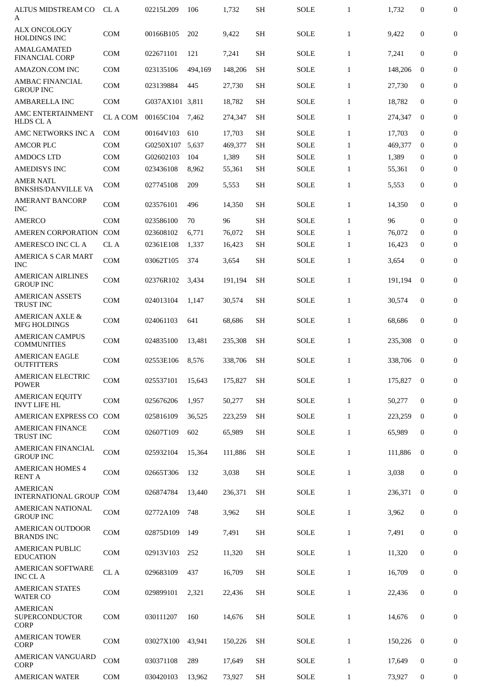| ALTUS MIDSTREAM CO<br>A                           | CL A          | 02215L209       | 106     | 1,732   | <b>SH</b> | SOLE        | $\mathbf{1}$ | 1,732   | $\boldsymbol{0}$ | $\boldsymbol{0}$ |
|---------------------------------------------------|---------------|-----------------|---------|---------|-----------|-------------|--------------|---------|------------------|------------------|
| <b>ALX ONCOLOGY</b><br>HOLDINGS INC               | <b>COM</b>    | 00166B105       | 202     | 9,422   | <b>SH</b> | <b>SOLE</b> | $\mathbf{1}$ | 9,422   | $\overline{0}$   | $\boldsymbol{0}$ |
| <b>AMALGAMATED</b><br><b>FINANCIAL CORP</b>       | <b>COM</b>    | 022671101       | 121     | 7,241   | <b>SH</b> | <b>SOLE</b> | $\mathbf{1}$ | 7,241   | $\mathbf{0}$     | $\boldsymbol{0}$ |
| AMAZON.COM INC                                    | <b>COM</b>    | 023135106       | 494,169 | 148,206 | <b>SH</b> | SOLE        | $\mathbf{1}$ | 148,206 | $\mathbf{0}$     | $\mathbf{0}$     |
| <b>AMBAC FINANCIAL</b><br><b>GROUP INC</b>        | <b>COM</b>    | 023139884       | 445     | 27,730  | <b>SH</b> | <b>SOLE</b> | $\mathbf{1}$ | 27,730  | $\mathbf{0}$     | $\boldsymbol{0}$ |
| <b>AMBARELLA INC</b>                              | <b>COM</b>    | G037AX101 3,811 |         | 18,782  | <b>SH</b> | <b>SOLE</b> | $\mathbf{1}$ | 18,782  | $\mathbf{0}$     | $\mathbf{0}$     |
| AMC ENTERTAINMENT<br><b>HLDS CLA</b>              | <b>CLACOM</b> | 00165C104       | 7,462   | 274,347 | <b>SH</b> | <b>SOLE</b> | $\mathbf{1}$ | 274,347 | $\mathbf{0}$     | $\boldsymbol{0}$ |
| AMC NETWORKS INC A                                | <b>COM</b>    | 00164V103       | 610     | 17,703  | <b>SH</b> | <b>SOLE</b> | $\mathbf{1}$ | 17,703  | $\mathbf{0}$     | $\boldsymbol{0}$ |
| <b>AMCOR PLC</b>                                  | COM           | G0250X107       | 5,637   | 469,377 | <b>SH</b> | <b>SOLE</b> | $\mathbf{1}$ | 469,377 | $\bf{0}$         | $\mathbf{0}$     |
| <b>AMDOCS LTD</b>                                 | COM           | G02602103       | 104     | 1,389   | <b>SH</b> | <b>SOLE</b> | $\mathbf{1}$ | 1,389   | $\bf{0}$         | $\bf{0}$         |
| <b>AMEDISYS INC</b>                               | COM           | 023436108       | 8,962   | 55,361  | <b>SH</b> | <b>SOLE</b> | $\mathbf{1}$ | 55,361  | $\mathbf{0}$     | $\mathbf{0}$     |
| <b>AMER NATL</b><br><b>BNKSHS/DANVILLE VA</b>     | <b>COM</b>    | 027745108       | 209     | 5,553   | <b>SH</b> | <b>SOLE</b> | $\mathbf{1}$ | 5,553   | $\boldsymbol{0}$ | 0                |
| <b>AMERANT BANCORP</b>                            |               |                 |         |         |           |             |              |         |                  |                  |
| <b>INC</b>                                        | <b>COM</b>    | 023576101       | 496     | 14,350  | <b>SH</b> | SOLE        | $\mathbf{1}$ | 14,350  | $\mathbf{0}$     | 0                |
| <b>AMERCO</b>                                     | <b>COM</b>    | 023586100       | 70      | 96      | <b>SH</b> | <b>SOLE</b> | $\mathbf{1}$ | 96      | $\mathbf{0}$     | $\mathbf{0}$     |
| <b>AMEREN CORPORATION</b>                         | COM           | 023608102       | 6,771   | 76,072  | <b>SH</b> | <b>SOLE</b> | $\mathbf{1}$ | 76,072  | $\mathbf 0$      | $\mathbf{0}$     |
| AMERESCO INC CL A                                 | CL A          | 02361E108       | 1,337   | 16,423  | <b>SH</b> | <b>SOLE</b> | $\mathbf{1}$ | 16,423  | $\bf{0}$         | $\boldsymbol{0}$ |
| AMERICA S CAR MART<br><b>INC</b>                  | <b>COM</b>    | 03062T105       | 374     | 3,654   | <b>SH</b> | <b>SOLE</b> | $\mathbf{1}$ | 3,654   | 0                | 0                |
| <b>AMERICAN AIRLINES</b><br><b>GROUP INC</b>      | <b>COM</b>    | 02376R102       | 3,434   | 191,194 | <b>SH</b> | <b>SOLE</b> | $\mathbf{1}$ | 191,194 | $\mathbf{0}$     | 0                |
| <b>AMERICAN ASSETS</b><br><b>TRUST INC</b>        | <b>COM</b>    | 024013104       | 1,147   | 30,574  | <b>SH</b> | <b>SOLE</b> | $\mathbf{1}$ | 30,574  | $\boldsymbol{0}$ | $\mathbf{0}$     |
| <b>AMERICAN AXLE &amp;</b><br><b>MFG HOLDINGS</b> | COM           | 024061103       | 641     | 68,686  | <b>SH</b> | <b>SOLE</b> | $\mathbf{1}$ | 68,686  | $\mathbf{0}$     | $\boldsymbol{0}$ |
| <b>AMERICAN CAMPUS</b><br><b>COMMUNITIES</b>      | <b>COM</b>    | 024835100       | 13,481  | 235,308 | <b>SH</b> | SOLE        | $\mathbf{1}$ | 235,308 | $\bf{0}$         | $\boldsymbol{0}$ |
| <b>AMERICAN EAGLE</b><br><b>OUTFITTERS</b>        | COM           | 02553E106       | 8,576   | 338,706 | <b>SH</b> | <b>SOLE</b> | $\mathbf{1}$ | 338,706 | $\bf{0}$         | $\boldsymbol{0}$ |
| AMERICAN ELECTRIC<br><b>POWER</b>                 | COM           | 025537101       | 15,643  | 175,827 | SН        | <b>SOLE</b> | $\mathbf{1}$ | 175,827 | $\overline{0}$   | 0                |
| <b>AMERICAN EQUITY</b><br><b>INVT LIFE HL</b>     | COM           | 025676206       | 1,957   | 50,277  | <b>SH</b> | <b>SOLE</b> | $\mathbf{1}$ | 50.277  | $\mathbf{0}$     | $\boldsymbol{0}$ |
| <b>AMERICAN EXPRESS CO</b>                        | <b>COM</b>    | 025816109       | 36,525  | 223,259 | <b>SH</b> | <b>SOLE</b> | $\mathbf{1}$ | 223,259 | $\mathbf{0}$     | 0                |
| <b>AMERICAN FINANCE</b><br>TRUST INC              | COM           | 02607T109       | 602     | 65,989  | <b>SH</b> | <b>SOLE</b> | $\mathbf{1}$ | 65,989  | $\mathbf{0}$     | $\boldsymbol{0}$ |
| <b>AMERICAN FINANCIAL</b><br><b>GROUP INC</b>     | COM           | 025932104       | 15,364  | 111,886 | <b>SH</b> | SOLE        | $\mathbf{1}$ | 111,886 | $\mathbf{0}$     | 0                |
| <b>AMERICAN HOMES 4</b><br><b>RENT A</b>          | <b>COM</b>    | 02665T306       | 132     | 3,038   | <b>SH</b> | <b>SOLE</b> | $\mathbf{1}$ | 3,038   | $\boldsymbol{0}$ | 0                |
| <b>AMERICAN</b><br><b>INTERNATIONAL GROUP</b>     | COM           | 026874784       | 13,440  | 236,371 | <b>SH</b> | <b>SOLE</b> | $\mathbf{1}$ | 236,371 | $\mathbf{0}$     | $\mathbf{0}$     |
| <b>AMERICAN NATIONAL</b><br><b>GROUP INC</b>      | COM           | 02772A109       | 748     | 3,962   | <b>SH</b> | <b>SOLE</b> | $\mathbf{1}$ | 3,962   | $\boldsymbol{0}$ | $\mathbf{0}$     |
| <b>AMERICAN OUTDOOR</b><br><b>BRANDS INC</b>      | COM           | 02875D109       | 149     | 7,491   | <b>SH</b> | <b>SOLE</b> | $\mathbf{1}$ | 7,491   | $\bf{0}$         | 0                |
| <b>AMERICAN PUBLIC</b><br><b>EDUCATION</b>        | COM           | 02913V103       | 252     | 11,320  | <b>SH</b> | <b>SOLE</b> | $\mathbf{1}$ | 11,320  | $\bf{0}$         | $\boldsymbol{0}$ |
| <b>AMERICAN SOFTWARE</b><br><b>INC CLA</b>        | CL A          | 029683109       | 437     | 16,709  | <b>SH</b> | <b>SOLE</b> | $\mathbf{1}$ | 16,709  | $\bf{0}$         | $\boldsymbol{0}$ |
| <b>AMERICAN STATES</b><br>WATER CO                | <b>COM</b>    | 029899101       | 2,321   | 22,436  | <b>SH</b> | <b>SOLE</b> | $\mathbf{1}$ | 22,436  | $\mathbf{0}$     | $\boldsymbol{0}$ |
| <b>AMERICAN</b><br>SUPERCONDUCTOR<br><b>CORP</b>  | COM           | 030111207       | 160     | 14,676  | <b>SH</b> | <b>SOLE</b> | $\mathbf{1}$ | 14,676  | $\boldsymbol{0}$ | $\boldsymbol{0}$ |
| <b>AMERICAN TOWER</b><br><b>CORP</b>              | COM           | 03027X100       | 43,941  | 150,226 | <b>SH</b> | <b>SOLE</b> | $\mathbf{1}$ | 150,226 | $\bf{0}$         | 0                |
| AMERICAN VANGUARD<br><b>CORP</b>                  | <b>COM</b>    | 030371108       | 289     | 17,649  | <b>SH</b> | <b>SOLE</b> | $\mathbf{1}$ | 17,649  | $\bf{0}$         | $\boldsymbol{0}$ |
| <b>AMERICAN WATER</b>                             | COM           | 030420103       | 13,962  | 73,927  | SH        | <b>SOLE</b> | $\mathbf{1}$ | 73,927  | $\bf{0}$         | 0                |
|                                                   |               |                 |         |         |           |             |              |         |                  |                  |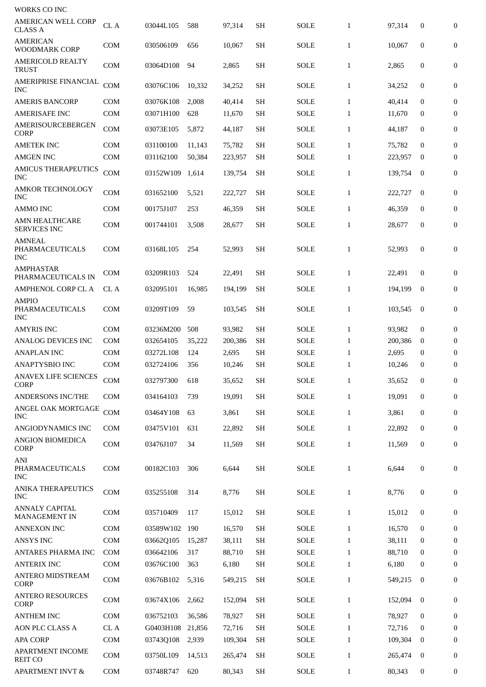| WORKS CO INC                                   |            |           |        |         |           |             |              |         |                  |                  |
|------------------------------------------------|------------|-----------|--------|---------|-----------|-------------|--------------|---------|------------------|------------------|
| <b>AMERICAN WELL CORP</b><br><b>CLASS A</b>    | CL A       | 03044L105 | 588    | 97,314  | <b>SH</b> | <b>SOLE</b> | $\mathbf{1}$ | 97,314  | $\boldsymbol{0}$ | $\boldsymbol{0}$ |
| AMERICAN<br><b>WOODMARK CORP</b>               | <b>COM</b> | 030506109 | 656    | 10,067  | <b>SH</b> | <b>SOLE</b> | $\mathbf{1}$ | 10,067  | $\boldsymbol{0}$ | 0                |
| <b>AMERICOLD REALTY</b><br><b>TRUST</b>        | <b>COM</b> | 03064D108 | 94     | 2,865   | <b>SH</b> | <b>SOLE</b> | $\mathbf{1}$ | 2,865   | $\boldsymbol{0}$ | $\boldsymbol{0}$ |
| AMERIPRISE FINANCIAL<br><b>INC</b>             | COM        | 03076C106 | 10,332 | 34,252  | <b>SH</b> | SOLE        | $\mathbf{1}$ | 34,252  | $\boldsymbol{0}$ | $\boldsymbol{0}$ |
| <b>AMERIS BANCORP</b>                          | <b>COM</b> | 03076K108 | 2,008  | 40,414  | <b>SH</b> | <b>SOLE</b> | $\mathbf{1}$ | 40,414  | $\mathbf{0}$     | $\boldsymbol{0}$ |
| <b>AMERISAFE INC</b>                           | <b>COM</b> | 03071H100 | 628    | 11,670  | <b>SH</b> | <b>SOLE</b> | $\mathbf{1}$ | 11,670  | 0                | $\bf{0}$         |
| AMERISOURCEBERGEN<br><b>CORP</b>               | <b>COM</b> | 03073E105 | 5,872  | 44,187  | <b>SH</b> | SOLE        | $\mathbf{1}$ | 44,187  | $\mathbf{0}$     | $\boldsymbol{0}$ |
| <b>AMETEK INC</b>                              | <b>COM</b> | 031100100 | 11,143 | 75,782  | <b>SH</b> | <b>SOLE</b> | $\mathbf{1}$ | 75,782  | $\bf{0}$         | $\boldsymbol{0}$ |
| <b>AMGEN INC</b>                               | <b>COM</b> | 031162100 | 50,384 | 223,957 | <b>SH</b> | <b>SOLE</b> | $\mathbf{1}$ | 223,957 | $\bf{0}$         | $\boldsymbol{0}$ |
| <b>AMICUS THERAPEUTICS</b><br><b>INC</b>       | COM        | 03152W109 | 1,614  | 139,754 | <b>SH</b> | <b>SOLE</b> | $\mathbf{1}$ | 139,754 | $\bf{0}$         | 0                |
| <b>AMKOR TECHNOLOGY</b><br><b>INC</b>          | <b>COM</b> | 031652100 | 5,521  | 222,727 | SН        | SOLE        | $\mathbf{1}$ | 222,727 | $\bf{0}$         | $\boldsymbol{0}$ |
| <b>AMMO INC</b>                                | <b>COM</b> | 00175J107 | 253    | 46,359  | <b>SH</b> | <b>SOLE</b> | $\mathbf{1}$ | 46,359  | $\mathbf{0}$     | $\bf{0}$         |
| <b>AMN HEALTHCARE</b><br><b>SERVICES INC</b>   | COM        | 001744101 | 3,508  | 28,677  | <b>SH</b> | SOLE        | $\mathbf{1}$ | 28,677  | $\mathbf{0}$     | $\boldsymbol{0}$ |
| <b>AMNEAL</b><br>PHARMACEUTICALS<br><b>INC</b> | <b>COM</b> | 03168L105 | 254    | 52,993  | <b>SH</b> | SOLE        | $\mathbf{1}$ | 52,993  | $\boldsymbol{0}$ | $\boldsymbol{0}$ |
| <b>AMPHASTAR</b><br>PHARMACEUTICALS IN         | COM        | 03209R103 | 524    | 22,491  | <b>SH</b> | SOLE        | $\mathbf{1}$ | 22,491  | $\boldsymbol{0}$ | 0                |
| <b>AMPHENOL CORP CL A</b>                      | CL A       | 032095101 | 16,985 | 194,199 | <b>SH</b> | <b>SOLE</b> | $\mathbf{1}$ | 194,199 | $\bf{0}$         | $\boldsymbol{0}$ |
| <b>AMPIO</b><br>PHARMACEUTICALS<br><b>INC</b>  | <b>COM</b> | 03209T109 | 59     | 103,545 | <b>SH</b> | <b>SOLE</b> | $\mathbf{1}$ | 103,545 | $\bf{0}$         | $\boldsymbol{0}$ |
| <b>AMYRIS INC</b>                              | <b>COM</b> | 03236M200 | 508    | 93,982  | <b>SH</b> | <b>SOLE</b> | $\mathbf{1}$ | 93,982  | $\boldsymbol{0}$ | $\boldsymbol{0}$ |
| <b>ANALOG DEVICES INC</b>                      | <b>COM</b> | 032654105 | 35,222 | 200,386 | <b>SH</b> | <b>SOLE</b> | $\mathbf{1}$ | 200,386 | 0                | $\bf{0}$         |
| <b>ANAPLAN INC</b>                             | <b>COM</b> | 03272L108 | 124    | 2,695   | <b>SH</b> | <b>SOLE</b> | $\mathbf{1}$ | 2,695   | $\bf{0}$         | $\bf{0}$         |
| ANAPTYSBIO INC                                 | <b>COM</b> | 032724106 | 356    | 10,246  | <b>SH</b> | SOLE        | $\mathbf{1}$ | 10,246  | 0                | $\boldsymbol{0}$ |
| <b>ANAVEX LIFE SCIENCES</b><br><b>CORP</b>     | COM        | 032797300 | 618    | 35,652  | <b>SH</b> | <b>SOLE</b> | $\mathbf{1}$ | 35,652  | $\boldsymbol{0}$ | $\mathbf{0}$     |
| ANDERSONS INC/THE                              | <b>COM</b> | 034164103 | 739    | 19,091  | <b>SH</b> | SOLE        | $\mathbf{1}$ | 19,091  | $\bf{0}$         | $\boldsymbol{0}$ |
| ANGEL OAK MORTGAGE<br><b>INC</b>               | COM        | 03464Y108 | 63     | 3,861   | <b>SH</b> | SOLE        | $\mathbf{1}$ | 3,861   | $\boldsymbol{0}$ | $\boldsymbol{0}$ |
| ANGIODYNAMICS INC                              | <b>COM</b> | 03475V101 | 631    | 22,892  | <b>SH</b> | SOLE        | $\mathbf{1}$ | 22,892  | $\bf{0}$         | 0                |
| ANGION BIOMEDICA<br>CORP                       | COM        | 03476J107 | 34     | 11,569  | <b>SH</b> | SOLE        | $\mathbf{1}$ | 11,569  | $\boldsymbol{0}$ | $\boldsymbol{0}$ |
| ANI<br>PHARMACEUTICALS<br><b>INC</b>           | <b>COM</b> | 00182C103 | 306    | 6,644   | <b>SH</b> | SOLE        | $\mathbf{1}$ | 6,644   | $\boldsymbol{0}$ | $\boldsymbol{0}$ |
| ANIKA THERAPEUTICS<br><b>INC</b>               | <b>COM</b> | 035255108 | 314    | 8,776   | <b>SH</b> | SOLE        | $\mathbf{1}$ | 8,776   | $\boldsymbol{0}$ | $\mathbf{0}$     |
| <b>ANNALY CAPITAL</b><br>MANAGEMENT IN         | <b>COM</b> | 035710409 | 117    | 15,012  | <b>SH</b> | <b>SOLE</b> | $\mathbf{1}$ | 15,012  | $\boldsymbol{0}$ | $\boldsymbol{0}$ |
| <b>ANNEXON INC</b>                             | <b>COM</b> | 03589W102 | 190    | 16,570  | <b>SH</b> | SOLE        | $\mathbf{1}$ | 16,570  | $\mathbf{0}$     | $\boldsymbol{0}$ |
| ANSYS INC                                      | <b>COM</b> | 03662Q105 | 15,287 | 38,111  | <b>SH</b> | SOLE        | $\mathbf{1}$ | 38,111  | $\bf{0}$         | $\boldsymbol{0}$ |
| <b>ANTARES PHARMA INC</b>                      | <b>COM</b> | 036642106 | 317    | 88,710  | <b>SH</b> | SOLE        | $\mathbf{1}$ | 88,710  | $\bf{0}$         | $\boldsymbol{0}$ |
| <b>ANTERIX INC</b>                             | COM        | 03676C100 | 363    | 6,180   | <b>SH</b> | SOLE        | $\mathbf{1}$ | 6,180   | 0                | 0                |
| ANTERO MIDSTREAM<br><b>CORP</b>                | <b>COM</b> | 03676B102 | 5,316  | 549,215 | <b>SH</b> | SOLE        | $\mathbf{1}$ | 549,215 | $\bf{0}$         | $\boldsymbol{0}$ |
| <b>ANTERO RESOURCES</b><br><b>CORP</b>         | <b>COM</b> | 03674X106 | 2,662  | 152,094 | <b>SH</b> | <b>SOLE</b> | $\mathbf{1}$ | 152,094 | $\bf{0}$         | 0                |
| <b>ANTHEM INC</b>                              | <b>COM</b> | 036752103 | 36,586 | 78,927  | <b>SH</b> | SOLE        | $\mathbf{1}$ | 78,927  | $\mathbf{0}$     | $\boldsymbol{0}$ |
| AON PLC CLASS A                                | CL A       | G0403H108 | 21,856 | 72,716  | SH        | SOLE        | $\mathbf{1}$ | 72,716  | 0                | 0                |
| <b>APA CORP</b>                                | <b>COM</b> | 03743Q108 | 2,939  | 109,304 | <b>SH</b> | <b>SOLE</b> | $\mathbf{1}$ | 109,304 | $\bf{0}$         | $\mathbf{0}$     |
| APARTMENT INCOME<br><b>REIT CO</b>             | COM        | 03750L109 | 14,513 | 265,474 | <b>SH</b> | SOLE        | $\mathbf{1}$ | 265,474 | $\bf{0}$         | $\boldsymbol{0}$ |
| <b>APARTMENT INVT &amp;</b>                    | COM        | 03748R747 | 620    | 80,343  | <b>SH</b> | <b>SOLE</b> | $\mathbf{1}$ | 80,343  | $\bf{0}$         | $\bf{0}$         |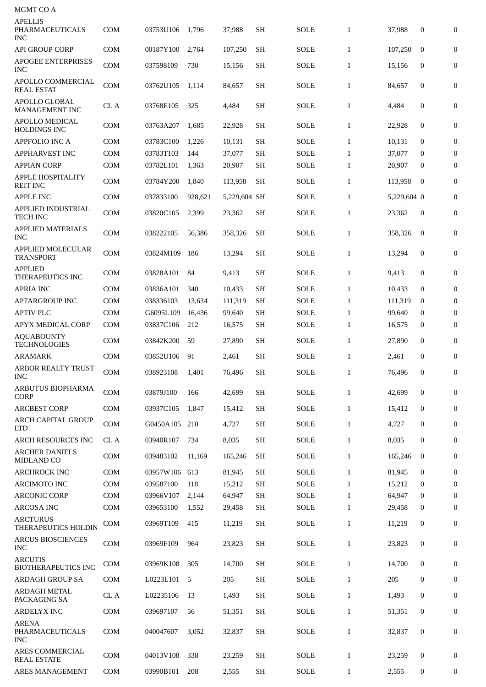| MGMT CO A                                              |              |                 |         |              |           |             |              |             |                  |                  |
|--------------------------------------------------------|--------------|-----------------|---------|--------------|-----------|-------------|--------------|-------------|------------------|------------------|
| <b>APELLIS</b><br><b>PHARMACEUTICALS</b><br><b>INC</b> | <b>COM</b>   | 03753U106       | 1,796   | 37,988       | <b>SH</b> | <b>SOLE</b> | $\mathbf{1}$ | 37,988      | 0                | $\overline{0}$   |
| <b>API GROUP CORP</b>                                  | <b>COM</b>   | 00187Y100       | 2,764   | 107,250      | <b>SH</b> | <b>SOLE</b> | $\mathbf{1}$ | 107,250     | $\boldsymbol{0}$ | $\boldsymbol{0}$ |
| <b>APOGEE ENTERPRISES</b><br>INC                       | <b>COM</b>   | 037598109       | 730     | 15,156       | <b>SH</b> | <b>SOLE</b> | $\mathbf{1}$ | 15,156      | $\mathbf{0}$     | 0                |
| APOLLO COMMERCIAL<br><b>REAL ESTAT</b>                 | <b>COM</b>   | 03762U105       | 1,114   | 84,657       | <b>SH</b> | SOLE        | $\mathbf{1}$ | 84,657      | $\mathbf{0}$     | $\boldsymbol{0}$ |
| <b>APOLLO GLOBAL</b><br><b>MANAGEMENT INC</b>          | CL A         | 03768E105       | 325     | 4,484        | <b>SH</b> | <b>SOLE</b> | $\mathbf{1}$ | 4,484       | 0                | $\boldsymbol{0}$ |
| <b>APOLLO MEDICAL</b><br>HOLDINGS INC                  | <b>COM</b>   | 03763A207       | 1,685   | 22,928       | <b>SH</b> | <b>SOLE</b> | $\mathbf{1}$ | 22,928      | $\boldsymbol{0}$ | 0                |
| <b>APPFOLIO INC A</b>                                  | <b>COM</b>   | 03783C100       | 1,226   | 10,131       | <b>SH</b> | <b>SOLE</b> | $\mathbf{1}$ | 10,131      | $\bf{0}$         | 0                |
| APPHARVEST INC                                         | <b>COM</b>   | 03783T103       | 144     | 37,077       | <b>SH</b> | <b>SOLE</b> | $\mathbf{1}$ | 37,077      | $\mathbf{0}$     | $\mathbf{0}$     |
| <b>APPIAN CORP</b>                                     | COM          | 03782L101       | 1,363   | 20,907       | <b>SH</b> | <b>SOLE</b> | $\mathbf{1}$ | 20,907      | $\bf{0}$         | $\boldsymbol{0}$ |
| <b>APPLE HOSPITALITY</b><br><b>REIT INC</b>            | <b>COM</b>   | 03784Y200       | 1,840   | 113,958      | <b>SH</b> | <b>SOLE</b> | $\mathbf{1}$ | 113,958     | $\bf{0}$         | $\boldsymbol{0}$ |
| <b>APPLE INC</b>                                       | <b>COM</b>   | 037833100       | 928,621 | 5,229,604 SH |           | <b>SOLE</b> | $\mathbf{1}$ | 5,229,604 0 |                  | $\boldsymbol{0}$ |
| <b>APPLIED INDUSTRIAL</b><br><b>TECH INC</b>           | <b>COM</b>   | 03820C105       | 2,399   | 23,362       | <b>SH</b> | <b>SOLE</b> | $\mathbf{1}$ | 23,362      | $\boldsymbol{0}$ | $\overline{0}$   |
| <b>APPLIED MATERIALS</b><br>INC                        | <b>COM</b>   | 038222105       | 56,386  | 358,326      | <b>SH</b> | <b>SOLE</b> | $\mathbf{1}$ | 358,326     | $\mathbf{0}$     | $\boldsymbol{0}$ |
| <b>APPLIED MOLECULAR</b><br><b>TRANSPORT</b>           | <b>COM</b>   | 03824M109       | 186     | 13,294       | <b>SH</b> | <b>SOLE</b> | $\mathbf{1}$ | 13,294      | $\mathbf{0}$     | $\boldsymbol{0}$ |
| <b>APPLIED</b><br>THERAPEUTICS INC                     | <b>COM</b>   | 03828A101       | 84      | 9,413        | <b>SH</b> | <b>SOLE</b> | $\mathbf{1}$ | 9,413       | $\mathbf{0}$     | 0                |
| <b>APRIA INC</b>                                       | <b>COM</b>   | 03836A101       | 340     | 10,433       | SH        | <b>SOLE</b> | $\mathbf{1}$ | 10,433      | $\mathbf{0}$     | $\boldsymbol{0}$ |
| <b>APTARGROUP INC</b>                                  | <b>COM</b>   | 038336103       | 13,634  | 111,319      | <b>SH</b> | <b>SOLE</b> | $\mathbf{1}$ | 111,319     | $\bf{0}$         | $\bf{0}$         |
| <b>APTIV PLC</b>                                       | <b>COM</b>   | G6095L109       | 16,436  | 99,640       | <b>SH</b> | <b>SOLE</b> | $\mathbf{1}$ | 99,640      | $\mathbf 0$      | $\overline{0}$   |
| APYX MEDICAL CORP                                      | <b>COM</b>   | 03837C106       | 212     | 16,575       | <b>SH</b> | SOLE        | $\mathbf{1}$ | 16,575      | $\bf{0}$         | $\boldsymbol{0}$ |
| <b>AQUABOUNTY</b><br><b>TECHNOLOGIES</b>               | <b>COM</b>   | 03842K200       | 59      | 27,890       | <b>SH</b> | <b>SOLE</b> | $\mathbf{1}$ | 27,890      | $\mathbf 0$      | 0                |
| <b>ARAMARK</b>                                         | COM          | 03852U106       | 91      | 2,461        | <b>SH</b> | <b>SOLE</b> | $\mathbf{1}$ | 2,461       | $\boldsymbol{0}$ | $\boldsymbol{0}$ |
| ARBOR REALTY TRUST<br>INC                              | COM          | 038923108 1,401 |         | 76,496       | <b>SH</b> | SOLE        | $\mathbf{1}$ | 76,496      | $\bf{0}$         | $\bf{0}$         |
| ARBUTUS BIOPHARMA<br><b>CORP</b>                       | <b>COM</b>   | 03879J100       | 166     | 42,699       | <b>SH</b> | <b>SOLE</b> | $\mathbf{1}$ | 42,699      | $\mathbf 0$      | $\mathbf{0}$     |
| <b>ARCBEST CORP</b>                                    | <b>COM</b>   | 03937C105       | 1,847   | 15,412       | <b>SH</b> | <b>SOLE</b> | $\mathbf{1}$ | 15,412      | $\mathbf 0$      | $\mathbf{0}$     |
| ARCH CAPITAL GROUP<br>LTD                              | <b>COM</b>   | G0450A105       | 210     | 4,727        | <b>SH</b> | <b>SOLE</b> | $\mathbf{1}$ | 4,727       | 0                | 0                |
| <b>ARCH RESOURCES INC</b>                              | CL A         | 03940R107       | 734     | 8,035        | <b>SH</b> | <b>SOLE</b> | $\mathbf{1}$ | 8,035       | $\mathbf 0$      | 0                |
| <b>ARCHER DANIELS</b><br><b>MIDLAND CO</b>             | <b>COM</b>   | 039483102       | 11,169  | 165,246      | <b>SH</b> | SOLE        | $\mathbf{1}$ | 165,246     | $\mathbf{0}$     | $\mathbf{0}$     |
| <b>ARCHROCK INC</b>                                    | <b>COM</b>   | 03957W106       | 613     | 81.945       | <b>SH</b> | <b>SOLE</b> | $\mathbf{1}$ | 81.945      | $\mathbf 0$      | $\boldsymbol{0}$ |
| <b>ARCIMOTO INC</b>                                    | <b>COM</b>   | 039587100       | 118     | 15,212       | <b>SH</b> | <b>SOLE</b> | $\mathbf{1}$ | 15,212      | $\bf{0}$         | $\mathbf{0}$     |
| <b>ARCONIC CORP</b>                                    | <b>COM</b>   | 03966V107       | 2,144   | 64,947       | <b>SH</b> | SOLE        | $\mathbf{1}$ | 64,947      | $\bf{0}$         | $\boldsymbol{0}$ |
| <b>ARCOSA INC</b>                                      | <b>COM</b>   | 039653100       | 1,552   | 29,458       | SН        | SOLE        | $\mathbf{1}$ | 29,458      | $\mathbf{0}$     | 0                |
| <b>ARCTURUS</b><br>THERAPEUTICS HOLDIN                 | <b>COM</b>   | 03969T109       | 415     | 11,219       | <b>SH</b> | <b>SOLE</b> | $\mathbf{1}$ | 11,219      | $\mathbf 0$      | $\boldsymbol{0}$ |
| <b>ARCUS BIOSCIENCES</b><br><b>INC</b>                 | <b>COM</b>   | 03969F109       | 964     | 23,823       | <b>SH</b> | <b>SOLE</b> | $\mathbf{1}$ | 23,823      | $\mathbf 0$      | $\boldsymbol{0}$ |
| <b>ARCUTIS</b><br><b>BIOTHERAPEUTICS INC</b>           | <b>COM</b>   | 03969K108       | 305     | 14,700       | <b>SH</b> | SOLE        | $\mathbf{1}$ | 14,700      | $\mathbf 0$      | $\mathbf{0}$     |
| <b>ARDAGH GROUP SA</b>                                 | <b>COM</b>   | L0223L101       | 5       | 205          | <b>SH</b> | <b>SOLE</b> | $\mathbf{1}$ | 205         | $\mathbf 0$      | 0                |
| <b>ARDAGH METAL</b><br>PACKAGING SA                    | ${\rm CL}$ A | L02235106       | 13      | 1,493        | <b>SH</b> | SOLE        | $\mathbf{1}$ | 1,493       | $\mathbf 0$      | 0                |
| <b>ARDELYX INC</b>                                     | <b>COM</b>   | 039697107       | 56      | 51,351       | <b>SH</b> | <b>SOLE</b> | $\mathbf{1}$ | 51,351      | $\mathbf 0$      | 0                |
| <b>ARENA</b><br>PHARMACEUTICALS<br>INC                 | <b>COM</b>   | 040047607       | 3,052   | 32,837       | <b>SH</b> | <b>SOLE</b> | $\mathbf{1}$ | 32,837      | $\mathbf 0$      | 0                |
| <b>ARES COMMERCIAL</b><br><b>REAL ESTATE</b>           | <b>COM</b>   | 04013V108       | 338     | 23,259       | <b>SH</b> | <b>SOLE</b> | $\mathbf{1}$ | 23,259      | 0                | 0                |
| <b>ARES MANAGEMENT</b>                                 | <b>COM</b>   | 03990B101       | 208     | 2,555        | <b>SH</b> | SOLE        | $\mathbf{1}$ | 2,555       | 0                | 0                |
|                                                        |              |                 |         |              |           |             |              |             |                  |                  |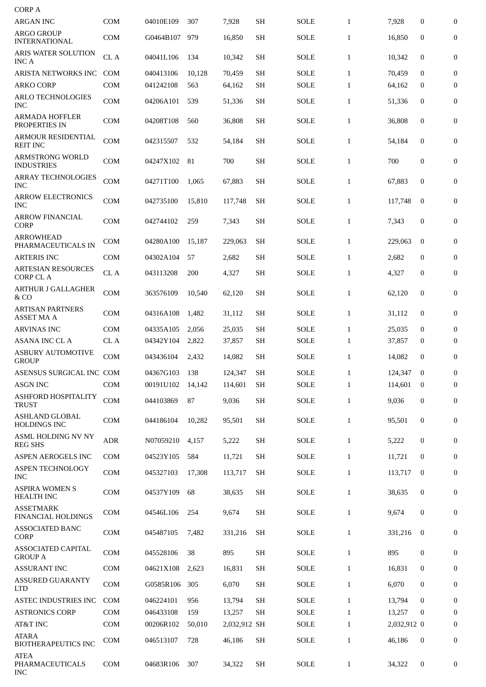| <b>CORP A</b>                                 |            |               |        |              |           |             |              |             |                  |                  |
|-----------------------------------------------|------------|---------------|--------|--------------|-----------|-------------|--------------|-------------|------------------|------------------|
| <b>ARGAN INC</b>                              | <b>COM</b> | 04010E109     | 307    | 7,928        | <b>SH</b> | <b>SOLE</b> | $\mathbf{1}$ | 7,928       | 0                | $\boldsymbol{0}$ |
| <b>ARGO GROUP</b><br><b>INTERNATIONAL</b>     | COM        | G0464B107     | 979    | 16.850       | <b>SH</b> | <b>SOLE</b> | $\mathbf{1}$ | 16,850      | $\mathbf{0}$     | 0                |
| <b>ARIS WATER SOLUTION</b><br><b>INCA</b>     | CL A       | 04041L106     | 134    | 10,342       | <b>SH</b> | SOLE        | $\mathbf{1}$ | 10,342      | $\mathbf{0}$     | $\boldsymbol{0}$ |
| ARISTA NETWORKS INC                           | <b>COM</b> | 040413106     | 10,128 | 70,459       | <b>SH</b> | <b>SOLE</b> | $\mathbf{1}$ | 70,459      | $\mathbf{0}$     | 0                |
| ARKO CORP                                     | <b>COM</b> | 041242108     | 563    | 64,162       | <b>SH</b> | <b>SOLE</b> | $\mathbf{1}$ | 64,162      | 0                | $\boldsymbol{0}$ |
| <b>ARLO TECHNOLOGIES</b><br><b>INC</b>        | COM        | 04206A101     | 539    | 51,336       | <b>SH</b> | SOLE        | $\mathbf{1}$ | 51,336      | $\mathbf{0}$     | $\boldsymbol{0}$ |
| ARMADA HOFFLER<br>PROPERTIES IN               | <b>COM</b> | 04208T108     | 560    | 36,808       | SH        | SOLE        | $\mathbf{1}$ | 36,808      | $\mathbf{0}$     | $\boldsymbol{0}$ |
| ARMOUR RESIDENTIAL<br><b>REIT INC</b>         | COM        | 042315507     | 532    | 54,184       | <b>SH</b> | <b>SOLE</b> | $\mathbf{1}$ | 54,184      | $\mathbf{0}$     | 0                |
| ARMSTRONG WORLD<br><b>INDUSTRIES</b>          | COM        | 04247X102     | 81     | 700          | <b>SH</b> | <b>SOLE</b> | $\mathbf{1}$ | 700         | $\mathbf{0}$     | 0                |
| <b>ARRAY TECHNOLOGIES</b><br><b>INC</b>       | COM        | 04271T100     | 1,065  | 67,883       | <b>SH</b> | <b>SOLE</b> | $\mathbf{1}$ | 67,883      | $\mathbf{0}$     | 0                |
| <b>ARROW ELECTRONICS</b><br><b>INC</b>        | COM        | 042735100     | 15,810 | 117,748      | <b>SH</b> | <b>SOLE</b> | $\mathbf{1}$ | 117,748     | $\bf{0}$         | 0                |
| ARROW FINANCIAL<br><b>CORP</b>                | <b>COM</b> | 042744102     | 259    | 7,343        | <b>SH</b> | <b>SOLE</b> | $\mathbf{1}$ | 7,343       | $\boldsymbol{0}$ | 0                |
| <b>ARROWHEAD</b><br>PHARMACEUTICALS IN        | <b>COM</b> | 04280A100     | 15,187 | 229,063      | SН        | <b>SOLE</b> | $\mathbf{1}$ | 229,063     | $\mathbf{0}$     | $\mathbf{0}$     |
| <b>ARTERIS INC</b>                            | <b>COM</b> | 04302A104     | 57     | 2,682        | <b>SH</b> | SOLE        | $\mathbf{1}$ | 2,682       | 0                | $\mathbf{0}$     |
| <b>ARTESIAN RESOURCES</b><br><b>CORP CL A</b> | CL A       | 043113208     | 200    | 4,327        | <b>SH</b> | <b>SOLE</b> | $\mathbf{1}$ | 4,327       | $\boldsymbol{0}$ | $\boldsymbol{0}$ |
| ARTHUR J GALLAGHER<br>& CO                    | <b>COM</b> | 363576109     | 10,540 | 62,120       | <b>SH</b> | SOLE        | $\mathbf{1}$ | 62,120      | $\mathbf{0}$     | 0                |
| ARTISAN PARTNERS<br><b>ASSET MA A</b>         | <b>COM</b> | 04316A108     | 1,482  | 31,112       | <b>SH</b> | <b>SOLE</b> | $\mathbf{1}$ | 31,112      | 0                | 0                |
| <b>ARVINAS INC</b>                            | <b>COM</b> | 04335A105     | 2,056  | 25,035       | <b>SH</b> | <b>SOLE</b> | $\mathbf{1}$ | 25,035      | $\bf{0}$         | $\overline{0}$   |
| ASANA INC CL A                                | CL A       | 04342Y104     | 2,822  | 37,857       | SН        | <b>SOLE</b> | $\mathbf{1}$ | 37,857      | $\mathbf{0}$     | $\bf{0}$         |
| <b>ASBURY AUTOMOTIVE</b><br><b>GROUP</b>      | <b>COM</b> | 043436104     | 2,432  | 14.082       | SH        | <b>SOLE</b> | $\mathbf{1}$ | 14,082      | $\boldsymbol{0}$ | $\boldsymbol{0}$ |
| ASENSUS SURGICAL INC COM                      |            | 04367G103 138 |        | 124,347      | <b>SH</b> | <b>SOLE</b> | $\mathbf{1}$ | 124,347 0   |                  | $\overline{0}$   |
| ASGN INC                                      | COM        | 00191U102     | 14,142 | 114,601      | SH        | <b>SOLE</b> | $\mathbf{1}$ | 114,601     | $\bf{0}$         | 0                |
| ASHFORD HOSPITALITY<br><b>TRUST</b>           | COM        | 044103869     | 87     | 9,036        | <b>SH</b> | <b>SOLE</b> | $\mathbf{1}$ | 9,036       | 0                | 0                |
| ASHLAND GLOBAL<br><b>HOLDINGS INC</b>         | COM        | 044186104     | 10,282 | 95,501       | SH        | <b>SOLE</b> | $\mathbf{1}$ | 95,501      | 0                | 0                |
| ASML HOLDING NV NY<br><b>REG SHS</b>          | <b>ADR</b> | N07059210     | 4,157  | 5,222        | SH        | <b>SOLE</b> | $\mathbf{1}$ | 5,222       | 0                | 0                |
| ASPEN AEROGELS INC                            | COM        | 04523Y105     | 584    | 11,721       | SH        | <b>SOLE</b> | $\mathbf{1}$ | 11,721      | 0                | 0                |
| <b>ASPEN TECHNOLOGY</b><br>INC                | COM        | 045327103     | 17,308 | 113,717      | SH        | <b>SOLE</b> | $\mathbf{1}$ | 113,717     | 0                | 0                |
| <b>ASPIRA WOMEN S</b><br><b>HEALTH INC</b>    | COM        | 04537Y109     | 68     | 38,635       | <b>SH</b> | <b>SOLE</b> | $\mathbf{1}$ | 38,635      | $\boldsymbol{0}$ | 0                |
| <b>ASSETMARK</b><br>FINANCIAL HOLDINGS        | COM        | 04546L106     | 254    | 9,674        | <b>SH</b> | <b>SOLE</b> | $\mathbf{1}$ | 9,674       | 0                | $\mathbf{0}$     |
| ASSOCIATED BANC<br><b>CORP</b>                | COM        | 045487105     | 7,482  | 331,216      | SH        | <b>SOLE</b> | $\mathbf{1}$ | 331,216     | $\mathbf{0}$     | 0                |
| <b>ASSOCIATED CAPITAL</b><br><b>GROUP A</b>   | COM        | 045528106     | 38     | 895          | <b>SH</b> | <b>SOLE</b> | $\mathbf{1}$ | 895         | 0                | 0                |
| <b>ASSURANT INC</b>                           | COM        | 04621X108     | 2,623  | 16,831       | SH        | <b>SOLE</b> | $\mathbf{1}$ | 16,831      | 0                | 0                |
| <b>ASSURED GUARANTY</b><br><b>LTD</b>         | COM        | G0585R106     | 305    | 6,070        | <b>SH</b> | <b>SOLE</b> | $\mathbf{1}$ | 6,070       | 0                | 0                |
| <b>ASTEC INDUSTRIES INC</b>                   | <b>COM</b> | 046224101     | 956    | 13,794       | <b>SH</b> | <b>SOLE</b> | $\mathbf{1}$ | 13,794      | $\mathbf 0$      | 0                |
| <b>ASTRONICS CORP</b>                         | COM        | 046433108     | 159    | 13,257       | <b>SH</b> | <b>SOLE</b> | $\mathbf{1}$ | 13,257      | $\bf{0}$         | 0                |
| AT&T INC                                      | COM        | 00206R102     | 50,010 | 2,032,912 SH |           | <b>SOLE</b> | $\mathbf{1}$ | 2,032,912 0 |                  | $\mathbf{0}$     |
| ATARA<br><b>BIOTHERAPEUTICS INC</b>           | <b>COM</b> | 046513107     | 728    | 46,186       | <b>SH</b> | <b>SOLE</b> | $\mathbf{1}$ | 46,186      | $\boldsymbol{0}$ | 0                |
| <b>ATEA</b><br>PHARMACEUTICALS<br><b>INC</b>  | COM        | 04683R106     | 307    | 34,322       | <b>SH</b> | <b>SOLE</b> | $\mathbf{1}$ | 34,322      | 0                | 0                |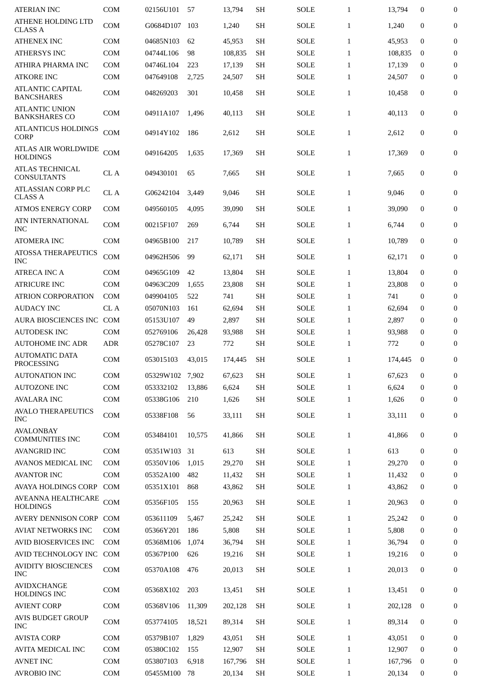| <b>ATERIAN INC</b>                            | <b>COM</b> | 02156U101 | 57     | 13,794  | <b>SH</b> | <b>SOLE</b> | $\mathbf{1}$ | 13,794  | 0                | 0                |
|-----------------------------------------------|------------|-----------|--------|---------|-----------|-------------|--------------|---------|------------------|------------------|
| ATHENE HOLDING LTD<br><b>CLASS A</b>          | <b>COM</b> | G0684D107 | 103    | 1,240   | <b>SH</b> | <b>SOLE</b> | $\mathbf{1}$ | 1,240   | 0                | 0                |
| <b>ATHENEX INC</b>                            | <b>COM</b> | 04685N103 | 62     | 45,953  | <b>SH</b> | <b>SOLE</b> | $\mathbf{1}$ | 45,953  | $\mathbf 0$      | 0                |
| <b>ATHERSYS INC</b>                           | <b>COM</b> | 04744L106 | 98     | 108,835 | <b>SH</b> | <b>SOLE</b> | $\mathbf{1}$ | 108,835 | $\bf{0}$         | 0                |
| ATHIRA PHARMA INC                             | <b>COM</b> | 04746L104 | 223    | 17,139  | <b>SH</b> | <b>SOLE</b> | $\mathbf{1}$ | 17,139  | $\bf{0}$         | 0                |
| <b>ATKORE INC</b>                             | COM        | 047649108 | 2,725  | 24,507  | <b>SH</b> | <b>SOLE</b> | $\mathbf{1}$ | 24,507  | 0                | 0                |
| <b>ATLANTIC CAPITAL</b><br><b>BANCSHARES</b>  | <b>COM</b> | 048269203 | 301    | 10,458  | <b>SH</b> | <b>SOLE</b> | $\mathbf{1}$ | 10,458  | 0                | 0                |
| <b>ATLANTIC UNION</b><br><b>BANKSHARES CO</b> | <b>COM</b> | 04911A107 | 1,496  | 40,113  | <b>SH</b> | <b>SOLE</b> | $\mathbf{1}$ | 40,113  | $\boldsymbol{0}$ | $\boldsymbol{0}$ |
| <b>ATLANTICUS HOLDINGS</b><br><b>CORP</b>     | <b>COM</b> | 04914Y102 | 186    | 2,612   | <b>SH</b> | <b>SOLE</b> | $\mathbf{1}$ | 2,612   | $\boldsymbol{0}$ | $\mathbf{0}$     |
| <b>ATLAS AIR WORLDWIDE</b><br><b>HOLDINGS</b> | <b>COM</b> | 049164205 | 1,635  | 17,369  | <b>SH</b> | <b>SOLE</b> | $\mathbf{1}$ | 17,369  | 0                | 0                |
| <b>ATLAS TECHNICAL</b><br><b>CONSULTANTS</b>  | CL A       | 049430101 | 65     | 7,665   | <b>SH</b> | <b>SOLE</b> | $\mathbf{1}$ | 7,665   | $\mathbf{0}$     | $\mathbf{0}$     |
| ATLASSIAN CORP PLC<br><b>CLASS A</b>          | CL A       | G06242104 | 3,449  | 9,046   | <b>SH</b> | <b>SOLE</b> | $\mathbf{1}$ | 9,046   | $\mathbf{0}$     | $\mathbf{0}$     |
| <b>ATMOS ENERGY CORP</b>                      | <b>COM</b> | 049560105 | 4,095  | 39,090  | <b>SH</b> | <b>SOLE</b> | $\mathbf{1}$ | 39,090  | $\mathbf{0}$     | 0                |
| ATN INTERNATIONAL<br><b>INC</b>               | <b>COM</b> | 00215F107 | 269    | 6,744   | <b>SH</b> | <b>SOLE</b> | $\mathbf{1}$ | 6,744   | 0                | 0                |
| <b>ATOMERA INC</b>                            | COM        | 04965B100 | 217    | 10,789  | <b>SH</b> | <b>SOLE</b> | $\mathbf{1}$ | 10,789  | $\mathbf{0}$     | 0                |
| <b>ATOSSA THERAPEUTICS</b><br><b>INC</b>      | COM        | 04962H506 | 99     | 62,171  | <b>SH</b> | <b>SOLE</b> | $\mathbf{1}$ | 62,171  | 0                | 0                |
| <b>ATRECA INC A</b>                           | <b>COM</b> | 04965G109 | 42     | 13,804  | <b>SH</b> | <b>SOLE</b> | $\mathbf{1}$ | 13,804  | 0                | 0                |
| <b>ATRICURE INC</b>                           | <b>COM</b> | 04963C209 | 1,655  | 23,808  | <b>SH</b> | <b>SOLE</b> | $\mathbf{1}$ | 23,808  | $\mathbf{0}$     | 0                |
| <b>ATRION CORPORATION</b>                     | <b>COM</b> | 049904105 | 522    | 741     | <b>SH</b> | <b>SOLE</b> | $\mathbf{1}$ | 741     | $\mathbf{0}$     | 0                |
| <b>AUDACY INC</b>                             | CL A       | 05070N103 | 161    | 62,694  | <b>SH</b> | <b>SOLE</b> | $\mathbf{1}$ | 62,694  | 0                | 0                |
| AURA BIOSCIENCES INC                          | COM        | 05153U107 | 49     | 2,897   | <b>SH</b> | <b>SOLE</b> | $\mathbf{1}$ | 2,897   | $\mathbf{0}$     | $\boldsymbol{0}$ |
| <b>AUTODESK INC</b>                           | <b>COM</b> | 052769106 | 26,428 | 93,988  | <b>SH</b> | <b>SOLE</b> | $\mathbf{1}$ | 93,988  | 0                | 0                |
| <b>AUTOHOME INC ADR</b>                       | <b>ADR</b> | 05278C107 | 23     | 772     | <b>SH</b> | <b>SOLE</b> | $\mathbf{1}$ | 772     | 0                | 0                |
| <b>AUTOMATIC DATA</b><br><b>PROCESSING</b>    | COM        | 053015103 | 43,015 | 174,445 | <b>SH</b> | <b>SOLE</b> | $\mathbf{1}$ | 174,445 | $\mathbf{0}$     | 0                |
| <b>AUTONATION INC</b>                         | COM        | 05329W102 | 7,902  | 67,623  | <b>SH</b> | <b>SOLE</b> | $\mathbf{1}$ | 67,623  | 0                | 0                |
| <b>AUTOZONE INC</b>                           | COM        | 053332102 | 13,886 | 6,624   | <b>SH</b> | <b>SOLE</b> | $\mathbf{1}$ | 6,624   | $\mathbf{0}$     | 0                |
| <b>AVALARA INC</b>                            | COM        | 05338G106 | 210    | 1,626   | <b>SH</b> | <b>SOLE</b> | $\mathbf{1}$ | 1,626   | 0                | 0                |
| <b>AVALO THERAPEUTICS</b><br><b>INC</b>       | COM        | 05338F108 | 56     | 33,111  | <b>SH</b> | <b>SOLE</b> | $\mathbf{1}$ | 33,111  | 0                | 0                |
| <b>AVALONBAY</b><br><b>COMMUNITIES INC</b>    | COM        | 053484101 | 10,575 | 41,866  | <b>SH</b> | SOLE        | $\mathbf{1}$ | 41,866  | 0                | 0                |
| <b>AVANGRID INC</b>                           | COM        | 05351W103 | 31     | 613     | <b>SH</b> | SOLE        | $\mathbf{1}$ | 613     | 0                | 0                |
| <b>AVANOS MEDICAL INC</b>                     | <b>COM</b> | 05350V106 | 1,015  | 29,270  | <b>SH</b> | SOLE        | $\mathbf{1}$ | 29,270  | $\bf{0}$         | 0                |
| <b>AVANTOR INC</b>                            | <b>COM</b> | 05352A100 | 482    | 11,432  | <b>SH</b> | SOLE        | $\mathbf{1}$ | 11,432  | 0                | 0                |
| AVAYA HOLDINGS CORP                           | <b>COM</b> | 05351X101 | 868    | 43,862  | <b>SH</b> | <b>SOLE</b> | $\mathbf{1}$ | 43,862  | $\mathbf 0$      | 0                |
| AVEANNA HEALTHCARE<br><b>HOLDINGS</b>         | COM        | 05356F105 | 155    | 20,963  | <b>SH</b> | SOLE        | $\mathbf{1}$ | 20,963  | 0                | 0                |
| AVERY DENNISON CORP COM                       |            | 053611109 | 5,467  | 25,242  | <b>SH</b> | SOLE        | $\mathbf{1}$ | 25,242  | $\mathbf 0$      | 0                |
| <b>AVIAT NETWORKS INC</b>                     | COM        | 05366Y201 | 186    | 5,808   | <b>SH</b> | SOLE        | $\mathbf{1}$ | 5,808   | $\mathbf 0$      | $\boldsymbol{0}$ |
| AVID BIOSERVICES INC                          | <b>COM</b> | 05368M106 | 1,074  | 36,794  | <b>SH</b> | <b>SOLE</b> | $\mathbf{1}$ | 36,794  | $\boldsymbol{0}$ | 0                |
| AVID TECHNOLOGY INC                           | COM        | 05367P100 | 626    | 19,216  | <b>SH</b> | SOLE        | $\mathbf{1}$ | 19,216  | 0                | 0                |
| <b>AVIDITY BIOSCIENCES</b><br><b>INC</b>      | COM        | 05370A108 | 476    | 20,013  | <b>SH</b> | SOLE        | $\mathbf{1}$ | 20,013  | 0                | 0                |
| <b>AVIDXCHANGE</b><br><b>HOLDINGS INC</b>     | COM        | 05368X102 | 203    | 13,451  | <b>SH</b> | <b>SOLE</b> | $\mathbf{1}$ | 13,451  | $\boldsymbol{0}$ | 0                |
| <b>AVIENT CORP</b>                            | COM        | 05368V106 | 11,309 | 202,128 | <b>SH</b> | SOLE        | $\mathbf{1}$ | 202,128 | $\bf{0}$         | 0                |
| <b>AVIS BUDGET GROUP</b><br><b>INC</b>        | COM        | 053774105 | 18,521 | 89,314  | <b>SH</b> | SOLE        | $\mathbf{1}$ | 89,314  | 0                | 0                |
| <b>AVISTA CORP</b>                            | <b>COM</b> | 05379B107 | 1,829  | 43,051  | <b>SH</b> | SOLE        | $\mathbf{1}$ | 43,051  | 0                | $\boldsymbol{0}$ |
| <b>AVITA MEDICAL INC</b>                      | COM        | 05380C102 | 155    | 12,907  | <b>SH</b> | SOLE        | $\mathbf{1}$ | 12,907  | 0                | 0                |
| <b>AVNET INC</b>                              | COM        | 053807103 | 6,918  | 167,796 | SH        | SOLE        | $\mathbf{1}$ | 167,796 | $\bf{0}$         | $\boldsymbol{0}$ |
| <b>AVROBIO INC</b>                            | COM        | 05455M100 | 78     | 20,134  | <b>SH</b> | SOLE        | $\mathbf{1}$ | 20,134  | 0                | 0                |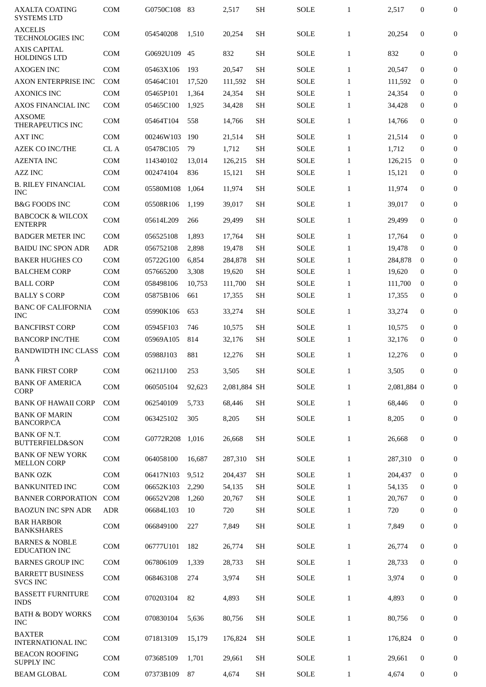| <b>AXCELIS</b><br><b>TECHNOLOGIES INC</b><br><b>AXIS CAPITAL</b><br><b>HOLDINGS LTD</b><br><b>AXOGEN INC</b> | <b>COM</b> |           |        |              |                     |             | $\mathbf{1}$ | 2,517       | 0                | $\mathbf{0}$     |
|--------------------------------------------------------------------------------------------------------------|------------|-----------|--------|--------------|---------------------|-------------|--------------|-------------|------------------|------------------|
|                                                                                                              |            | 054540208 | 1,510  | 20,254       | <b>SH</b>           | <b>SOLE</b> | $\mathbf{1}$ | 20,254      | $\mathbf{0}$     | $\overline{0}$   |
|                                                                                                              | <b>COM</b> | G0692U109 | 45     | 832          | <b>SH</b>           | <b>SOLE</b> | $\mathbf{1}$ | 832         | $\boldsymbol{0}$ | $\mathbf{0}$     |
|                                                                                                              | <b>COM</b> | 05463X106 | 193    | 20,547       | <b>SH</b>           | <b>SOLE</b> | $\mathbf{1}$ | 20,547      | $\Omega$         | $\mathbf{0}$     |
| <b>AXON ENTERPRISE INC</b>                                                                                   | <b>COM</b> | 05464C101 | 17,520 | 111,592      | <b>SH</b>           | <b>SOLE</b> | $\mathbf{1}$ | 111,592     | $\bf{0}$         | 0                |
| <b>AXONICS INC</b>                                                                                           | <b>COM</b> | 05465P101 | 1,364  | 24,354       | <b>SH</b>           | <b>SOLE</b> | $\mathbf{1}$ | 24,354      | $\bf{0}$         | $\mathbf{0}$     |
| <b>AXOS FINANCIAL INC</b>                                                                                    | <b>COM</b> | 05465C100 | 1,925  | 34,428       | <b>SH</b>           | SOLE        | $\mathbf{1}$ | 34,428      | $\bf{0}$         | $\mathbf{0}$     |
| <b>AXSOME</b><br>THERAPEUTICS INC                                                                            | <b>COM</b> | 05464T104 | 558    | 14,766       | <b>SH</b>           | <b>SOLE</b> | $\mathbf{1}$ | 14,766      | $\bf{0}$         | 0                |
| <b>AXT INC</b>                                                                                               | <b>COM</b> | 00246W103 | 190    | 21,514       | <b>SH</b>           | <b>SOLE</b> | $\mathbf{1}$ | 21,514      | $\mathbf{0}$     | $\mathbf{0}$     |
| <b>AZEK CO INC/THE</b>                                                                                       | CL A       | 05478C105 | 79     | 1,712        | <b>SH</b>           | <b>SOLE</b> | $\mathbf{1}$ | 1,712       | $\mathbf{0}$     | 0                |
| <b>AZENTA INC</b>                                                                                            | <b>COM</b> | 114340102 | 13,014 | 126,215      | <b>SH</b>           | <b>SOLE</b> | $\mathbf{1}$ | 126,215     | 0                | $\boldsymbol{0}$ |
| <b>AZZ INC</b>                                                                                               | <b>COM</b> | 002474104 | 836    | 15,121       | <b>SH</b>           | SOLE        | $\mathbf{1}$ | 15,121      | $\mathbf{0}$     | $\boldsymbol{0}$ |
| <b>B. RILEY FINANCIAL</b><br><b>INC</b>                                                                      | <b>COM</b> | 05580M108 | 1,064  | 11,974       | <b>SH</b>           | <b>SOLE</b> | $\mathbf{1}$ | 11,974      | $\mathbf{0}$     | 0                |
| <b>B&amp;G FOODS INC</b>                                                                                     | <b>COM</b> | 05508R106 | 1,199  | 39,017       | <b>SH</b>           | <b>SOLE</b> | $\mathbf{1}$ | 39,017      | $\mathbf{0}$     | 0                |
| <b>BABCOCK &amp; WILCOX</b><br><b>ENTERPR</b>                                                                | <b>COM</b> | 05614L209 | 266    | 29,499       | <b>SH</b>           | <b>SOLE</b> | $\mathbf{1}$ | 29,499      | $\mathbf{0}$     | 0                |
| <b>BADGER METER INC</b>                                                                                      | <b>COM</b> | 056525108 | 1,893  | 17,764       | <b>SH</b>           | <b>SOLE</b> | $\mathbf{1}$ | 17,764      | $\mathbf{0}$     | 0                |
| <b>BAIDU INC SPON ADR</b>                                                                                    | <b>ADR</b> | 056752108 | 2,898  | 19,478       | <b>SH</b>           | <b>SOLE</b> | $\mathbf{1}$ | 19,478      | 0                | 0                |
| <b>BAKER HUGHES CO</b>                                                                                       | <b>COM</b> | 05722G100 | 6,854  | 284,878      | <b>SH</b>           | <b>SOLE</b> | $\mathbf{1}$ | 284,878     | $\bf{0}$         | 0                |
| <b>BALCHEM CORP</b>                                                                                          | <b>COM</b> | 057665200 | 3,308  | 19,620       | <b>SH</b>           | <b>SOLE</b> | $\mathbf{1}$ | 19,620      | $\mathbf{0}$     | 0                |
| <b>BALL CORP</b>                                                                                             | <b>COM</b> | 058498106 | 10,753 | 111,700      | <b>SH</b>           | <b>SOLE</b> | $\mathbf{1}$ | 111,700     | $\bf{0}$         | 0                |
| <b>BALLY S CORP</b>                                                                                          | <b>COM</b> | 05875B106 | 661    | 17,355       | <b>SH</b>           | SOLE        | $\mathbf{1}$ | 17,355      | $\mathbf{0}$     | $\boldsymbol{0}$ |
| <b>BANC OF CALIFORNIA</b><br>INC                                                                             | <b>COM</b> | 05990K106 | 653    | 33,274       | <b>SH</b>           | <b>SOLE</b> | $\mathbf{1}$ | 33,274      | $\bf{0}$         | 0                |
| <b>BANCFIRST CORP</b>                                                                                        | <b>COM</b> | 05945F103 | 746    | 10,575       | <b>SH</b>           | <b>SOLE</b> | $\mathbf{1}$ | 10,575      | $\bf{0}$         | 0                |
| <b>BANCORP INC/THE</b>                                                                                       | <b>COM</b> | 05969A105 | 814    | 32,176       | <b>SH</b>           | SOLE        | $\mathbf{1}$ | 32,176      | $\mathbf{0}$     | $\boldsymbol{0}$ |
| <b>BANDWIDTH INC CLASS</b><br>А                                                                              | <b>COM</b> | 05988J103 | 881    | 12,276       | <b>SH</b>           | <b>SOLE</b> | $\mathbf{1}$ | 12,276      | $\Omega$         | 0                |
| <b>BANK FIRST CORP</b>                                                                                       | COM        | 06211J100 | 253    | 3,505        | $\operatorname{SH}$ | <b>SOLE</b> | $\mathbf{1}$ | 3,505       | $\bf{0}$         | $\overline{0}$   |
| <b>BANK OF AMERICA</b><br><b>CORP</b>                                                                        | <b>COM</b> | 060505104 | 92,623 | 2,081,884 SH |                     | <b>SOLE</b> | $\mathbf{1}$ | 2,081,884 0 |                  | 0                |
| <b>BANK OF HAWAII CORP</b>                                                                                   | <b>COM</b> | 062540109 | 5,733  | 68,446       | <b>SH</b>           | <b>SOLE</b> | $\mathbf{1}$ | 68,446      | $\bf{0}$         | 0                |
| <b>BANK OF MARIN</b><br><b>BANCORP/CA</b>                                                                    | <b>COM</b> | 063425102 | 305    | 8,205        | <b>SH</b>           | SOLE        | $\mathbf{1}$ | 8,205       | 0                | 0                |
| <b>BANK OF N.T.</b><br><b>BUTTERFIELD&amp;SON</b>                                                            | <b>COM</b> | G0772R208 | 1,016  | 26,668       | <b>SH</b>           | <b>SOLE</b> | $\mathbf{1}$ | 26,668      | 0                | 0                |
| <b>BANK OF NEW YORK</b><br><b>MELLON CORP</b>                                                                | <b>COM</b> | 064058100 | 16.687 | 287,310      | SH                  | SOLE        | $\mathbf{1}$ | 287,310     | $\mathbf{0}$     | 0                |
| <b>BANK OZK</b>                                                                                              | <b>COM</b> | 06417N103 | 9,512  | 204,437      | <b>SH</b>           | <b>SOLE</b> | $\mathbf{1}$ | 204,437     | $\mathbf{0}$     | 0                |
| <b>BANKUNITED INC</b>                                                                                        | <b>COM</b> | 06652K103 | 2,290  | 54,135       | <b>SH</b>           | <b>SOLE</b> | $\mathbf{1}$ | 54,135      | $\mathbf{0}$     | 0                |
| <b>BANNER CORPORATION</b>                                                                                    | <b>COM</b> | 06652V208 | 1,260  | 20,767       | <b>SH</b>           | <b>SOLE</b> | $\mathbf{1}$ | 20,767      | 0                | 0                |
| <b>BAOZUN INC SPN ADR</b>                                                                                    | <b>ADR</b> | 06684L103 | 10     | 720          | <b>SH</b>           | <b>SOLE</b> | $\mathbf{1}$ | 720         | 0                | 0                |
| <b>BAR HARBOR</b><br><b>BANKSHARES</b>                                                                       | <b>COM</b> | 066849100 | 227    | 7,849        | <b>SH</b>           | SOLE        | $\mathbf{1}$ | 7,849       | 0                | 0                |
| <b>BARNES &amp; NOBLE</b><br><b>EDUCATION INC</b>                                                            | COM        | 06777U101 | 182    | 26,774       | <b>SH</b>           | <b>SOLE</b> | $\mathbf{1}$ | 26,774      | $\bf{0}$         | 0                |
| <b>BARNES GROUP INC</b>                                                                                      | <b>COM</b> | 067806109 | 1,339  | 28,733       | <b>SH</b>           | SOLE        | $\mathbf{1}$ | 28,733      | $\bf{0}$         | 0                |
| <b>BARRETT BUSINESS</b>                                                                                      | <b>COM</b> | 068463108 | 274    | 3,974        | <b>SH</b>           | <b>SOLE</b> | $\mathbf{1}$ | 3,974       | 0                | 0                |
| <b>SVCS INC</b>                                                                                              | <b>COM</b> | 070203104 | 82     | 4,893        | <b>SH</b>           | <b>SOLE</b> | $\mathbf{1}$ | 4,893       | 0                | 0                |
| <b>BASSETT FURNITURE</b><br><b>INDS</b>                                                                      |            |           |        |              |                     |             |              |             |                  |                  |
| <b>BATH &amp; BODY WORKS</b><br>INC.                                                                         | <b>COM</b> | 070830104 | 5,636  | 80,756       | <b>SH</b>           | <b>SOLE</b> | $\mathbf{1}$ | 80,756      | $\mathbf{0}$     | $\mathbf{0}$     |
| <b>BAXTER</b><br><b>INTERNATIONAL INC</b>                                                                    | <b>COM</b> | 071813109 | 15,179 | 176,824      | <b>SH</b>           | SOLE        | $\mathbf{1}$ | 176,824     | $\overline{0}$   | 0                |
| <b>BEACON ROOFING</b><br><b>SUPPLY INC</b>                                                                   | <b>COM</b> | 073685109 | 1,701  | 29,661       | <b>SH</b>           | <b>SOLE</b> | $\mathbf{1}$ | 29.661      | $\bf{0}$         | 0                |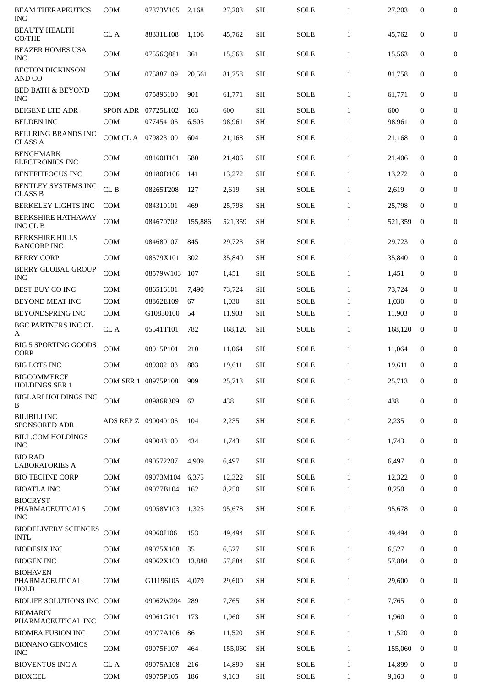| <b>BEAM THERAPEUTICS</b><br><b>INC</b>           | <b>COM</b>          | 07373V105 | 2,168   | 27,203  | <b>SH</b> | <b>SOLE</b> | $\mathbf{1}$ | 27,203  | $\boldsymbol{0}$ | $\mathbf{0}$     |
|--------------------------------------------------|---------------------|-----------|---------|---------|-----------|-------------|--------------|---------|------------------|------------------|
| <b>BEAUTY HEALTH</b><br>CO/THE                   | CL A                | 88331L108 | 1,106   | 45,762  | <b>SH</b> | <b>SOLE</b> | $\mathbf{1}$ | 45,762  | $\mathbf{0}$     | $\boldsymbol{0}$ |
| <b>BEAZER HOMES USA</b><br><b>INC</b>            | <b>COM</b>          | 07556Q881 | 361     | 15,563  | <b>SH</b> | SOLE        | $\mathbf{1}$ | 15,563  | $\mathbf{0}$     | $\boldsymbol{0}$ |
| <b>BECTON DICKINSON</b><br><b>AND CO</b>         | <b>COM</b>          | 075887109 | 20,561  | 81,758  | <b>SH</b> | SOLE        | $\mathbf{1}$ | 81,758  | $\boldsymbol{0}$ | 0                |
| <b>BED BATH &amp; BEYOND</b><br><b>INC</b>       | <b>COM</b>          | 075896100 | 901     | 61,771  | <b>SH</b> | SOLE        | $\mathbf{1}$ | 61,771  | $\boldsymbol{0}$ | 0                |
| <b>BEIGENE LTD ADR</b>                           | SPON ADR            | 07725L102 | 163     | 600     | SH        | SOLE        | $\mathbf{1}$ | 600     | $\mathbf{0}$     | 0                |
| <b>BELDEN INC</b>                                | <b>COM</b>          | 077454106 | 6,505   | 98,961  | <b>SH</b> | <b>SOLE</b> | $\mathbf{1}$ | 98,961  | 0                | $\boldsymbol{0}$ |
| BELLRING BRANDS INC<br><b>CLASS A</b>            | COM CL A            | 079823100 | 604     | 21,168  | <b>SH</b> | <b>SOLE</b> | $\mathbf{1}$ | 21,168  | $\boldsymbol{0}$ | $\boldsymbol{0}$ |
| <b>BENCHMARK</b><br><b>ELECTRONICS INC</b>       | COM                 | 08160H101 | 580     | 21,406  | <b>SH</b> | SOLE        | $\mathbf{1}$ | 21,406  | $\mathbf{0}$     | $\boldsymbol{0}$ |
| <b>BENEFITFOCUS INC</b>                          | <b>COM</b>          | 08180D106 | 141     | 13,272  | <b>SH</b> | <b>SOLE</b> | $\mathbf{1}$ | 13,272  | $\mathbf{0}$     | $\boldsymbol{0}$ |
| BENTLEY SYSTEMS INC<br><b>CLASS B</b>            | CLB                 | 08265T208 | 127     | 2,619   | <b>SH</b> | <b>SOLE</b> | $\mathbf{1}$ | 2,619   | $\boldsymbol{0}$ | $\boldsymbol{0}$ |
| <b>BERKELEY LIGHTS INC</b>                       | <b>COM</b>          | 084310101 | 469     | 25,798  | <b>SH</b> | SOLE        | $\mathbf{1}$ | 25,798  | $\boldsymbol{0}$ | $\boldsymbol{0}$ |
| BERKSHIRE HATHAWAY<br>INC CL B                   | COM                 | 084670702 | 155,886 | 521,359 | <b>SH</b> | <b>SOLE</b> | $\mathbf{1}$ | 521,359 | $\mathbf{0}$     | $\boldsymbol{0}$ |
| <b>BERKSHIRE HILLS</b><br><b>BANCORP INC</b>     | <b>COM</b>          | 084680107 | 845     | 29,723  | <b>SH</b> | SOLE        | $\mathbf{1}$ | 29,723  | $\boldsymbol{0}$ | 0                |
| <b>BERRY CORP</b>                                | <b>COM</b>          | 08579X101 | 302     | 35,840  | <b>SH</b> | SOLE        | $\mathbf{1}$ | 35,840  | $\boldsymbol{0}$ | $\boldsymbol{0}$ |
| BERRY GLOBAL GROUP<br><b>INC</b>                 | <b>COM</b>          | 08579W103 | 107     | 1,451   | <b>SH</b> | <b>SOLE</b> | $\mathbf{1}$ | 1,451   | $\boldsymbol{0}$ | $\boldsymbol{0}$ |
| <b>BEST BUY CO INC</b>                           | <b>COM</b>          | 086516101 | 7,490   | 73,724  | <b>SH</b> | <b>SOLE</b> | $\mathbf{1}$ | 73,724  | $\mathbf{0}$     | 0                |
| BEYOND MEAT INC                                  | <b>COM</b>          | 08862E109 | 67      | 1,030   | <b>SH</b> | <b>SOLE</b> | $\mathbf{1}$ | 1,030   | 0                | $\boldsymbol{0}$ |
| BEYONDSPRING INC                                 | <b>COM</b>          | G10830100 | 54      | 11,903  | <b>SH</b> | SOLE        | $\mathbf{1}$ | 11,903  | $\bf{0}$         | 0                |
| <b>BGC PARTNERS INC CL</b><br>А                  | CL A                | 05541T101 | 782     | 168,120 | <b>SH</b> | SOLE        | $\mathbf{1}$ | 168,120 | $\bf{0}$         | 0                |
| <b>BIG 5 SPORTING GOODS</b><br><b>CORP</b>       | <b>COM</b>          | 08915P101 | 210     | 11,064  | <b>SH</b> | SOLE        | $\mathbf{1}$ | 11,064  | $\boldsymbol{0}$ | 0                |
| <b>BIG LOTS INC</b>                              | <b>COM</b>          | 089302103 | 883     | 19,611  | <b>SH</b> | <b>SOLE</b> | $\mathbf{1}$ | 19,611  | 0                | 0                |
| <b>BIGCOMMERCE</b><br><b>HOLDINGS SER 1</b>      | COM SER 1 08975P108 |           | 909     | 25,713  | <b>SH</b> | SOLE        | $\mathbf{1}$ | 25,713  | $\boldsymbol{0}$ | $\boldsymbol{0}$ |
| <b>BIGLARI HOLDINGS INC</b><br>B                 | <b>COM</b>          | 08986R309 | 62      | 438     | <b>SH</b> | SOLE        | $\mathbf{1}$ | 438     | $\bf{0}$         | $\boldsymbol{0}$ |
| <b>BILIBILI INC</b><br><b>SPONSORED ADR</b>      | ADS REP Z           | 090040106 | 104     | 2,235   | <b>SH</b> | SOLE        | $\mathbf{1}$ | 2,235   | $\boldsymbol{0}$ | $\boldsymbol{0}$ |
| <b>BILL.COM HOLDINGS</b><br><b>INC</b>           | COM                 | 090043100 | 434     | 1,743   | <b>SH</b> | SOLE        | $\mathbf{1}$ | 1,743   | $\boldsymbol{0}$ | $\boldsymbol{0}$ |
| <b>BIO RAD</b><br><b>LABORATORIES A</b>          | <b>COM</b>          | 090572207 | 4,909   | 6,497   | <b>SH</b> | SOLE        | $\mathbf{1}$ | 6,497   | $\bf{0}$         | $\bf{0}$         |
| <b>BIO TECHNE CORP</b>                           | <b>COM</b>          | 09073M104 | 6,375   | 12,322  | <b>SH</b> | SOLE        | $\mathbf{1}$ | 12,322  | $\bf{0}$         | 0                |
| <b>BIOATLA INC</b>                               | <b>COM</b>          | 09077B104 | 162     | 8,250   | <b>SH</b> | SOLE        | $\mathbf{1}$ | 8,250   | 0                | $\boldsymbol{0}$ |
| <b>BIOCRYST</b><br>PHARMACEUTICALS<br><b>INC</b> | <b>COM</b>          | 09058V103 | 1,325   | 95,678  | <b>SH</b> | SOLE        | $\mathbf{1}$ | 95,678  | $\boldsymbol{0}$ | $\boldsymbol{0}$ |
| <b>BIODELIVERY SCIENCES</b><br><b>INTL</b>       | COM                 | 09060J106 | 153     | 49,494  | <b>SH</b> | <b>SOLE</b> | $\mathbf{1}$ | 49,494  | $\boldsymbol{0}$ | $\boldsymbol{0}$ |
| <b>BIODESIX INC</b>                              | <b>COM</b>          | 09075X108 | 35      | 6,527   | <b>SH</b> | SOLE        | $\mathbf{1}$ | 6,527   | $\bf{0}$         | $\boldsymbol{0}$ |
| <b>BIOGEN INC</b>                                | <b>COM</b>          | 09062X103 | 13,888  | 57,884  | <b>SH</b> | SOLE        | $\mathbf{1}$ | 57,884  | 0                | $\boldsymbol{0}$ |
| <b>BIOHAVEN</b><br>PHARMACEUTICAL<br>HOLD        | <b>COM</b>          | G11196105 | 4,079   | 29,600  | <b>SH</b> | SOLE        | $\mathbf{1}$ | 29,600  | $\boldsymbol{0}$ | 0                |
| BIOLIFE SOLUTIONS INC COM                        |                     | 09062W204 | 289     | 7,765   | <b>SH</b> | SOLE        | $\mathbf{1}$ | 7,765   | $\bf{0}$         | $\boldsymbol{0}$ |
| <b>BIOMARIN</b><br>PHARMACEUTICAL INC            | <b>COM</b>          | 09061G101 | 173     | 1,960   | <b>SH</b> | SOLE        | $\mathbf{1}$ | 1,960   | $\boldsymbol{0}$ | $\boldsymbol{0}$ |
| <b>BIOMEA FUSION INC</b>                         | <b>COM</b>          | 09077A106 | 86      | 11,520  | <b>SH</b> | SOLE        | $\mathbf{1}$ | 11,520  | $\bf{0}$         | $\boldsymbol{0}$ |
| <b>BIONANO GENOMICS</b><br><b>INC</b>            | <b>COM</b>          | 09075F107 | 464     | 155,060 | <b>SH</b> | SOLE        | $\mathbf{1}$ | 155,060 | $\bf{0}$         | $\boldsymbol{0}$ |
| <b>BIOVENTUS INC A</b>                           | CL A                | 09075A108 | 216     | 14,899  | <b>SH</b> | SOLE        | $\mathbf{1}$ | 14,899  | $\mathbf{0}$     | $\bf{0}$         |
| <b>BIOXCEL</b>                                   | <b>COM</b>          | 09075P105 | 186     | 9,163   | <b>SH</b> | SOLE        | $\mathbf{1}$ | 9,163   | 0                | $\bf{0}$         |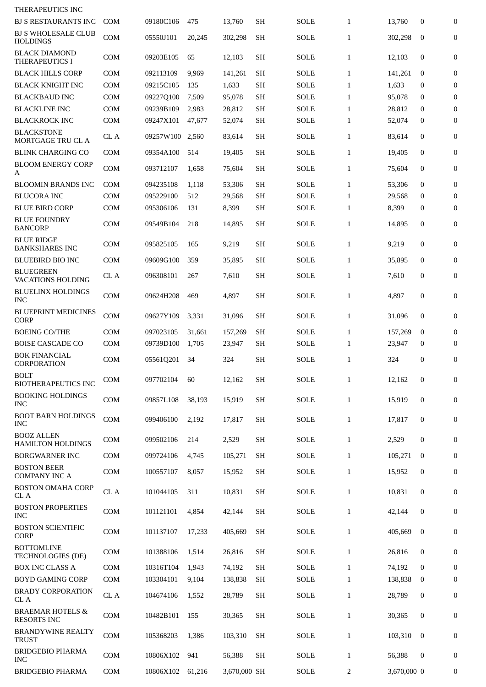| THERAPEUTICS INC                                  |            |           |        |              |           |             |                |             |                  |                  |
|---------------------------------------------------|------------|-----------|--------|--------------|-----------|-------------|----------------|-------------|------------------|------------------|
| <b>BJ S RESTAURANTS INC</b>                       | <b>COM</b> | 09180C106 | 475    | 13,760       | <b>SH</b> | SOLE        | $\mathbf{1}$   | 13,760      | 0                | $\overline{0}$   |
| <b>BJ S WHOLESALE CLUB</b><br><b>HOLDINGS</b>     | COM        | 05550J101 | 20,245 | 302,298      | <b>SH</b> | <b>SOLE</b> | $\mathbf{1}$   | 302,298     | $\mathbf{0}$     | $\boldsymbol{0}$ |
| <b>BLACK DIAMOND</b><br>THERAPEUTICS I            | <b>COM</b> | 09203E105 | 65     | 12,103       | <b>SH</b> | <b>SOLE</b> | $\mathbf{1}$   | 12,103      | $\mathbf{0}$     | $\overline{0}$   |
| <b>BLACK HILLS CORP</b>                           | <b>COM</b> | 092113109 | 9,969  | 141,261      | SH        | <b>SOLE</b> | 1              | 141,261     | $\bf{0}$         | 0                |
| <b>BLACK KNIGHT INC</b>                           | <b>COM</b> | 09215C105 | 135    | 1,633        | <b>SH</b> | SOLE        | $\mathbf{1}$   | 1,633       | $\bf{0}$         | $\overline{0}$   |
| <b>BLACKBAUD INC</b>                              | <b>COM</b> | 09227Q100 | 7,509  | 95,078       | <b>SH</b> | <b>SOLE</b> | $\mathbf{1}$   | 95,078      | $\mathbf{0}$     | $\overline{0}$   |
| <b>BLACKLINE INC</b>                              | <b>COM</b> | 09239B109 | 2,983  | 28,812       | <b>SH</b> | <b>SOLE</b> | 1              | 28,812      | $\bf{0}$         | $\overline{0}$   |
| <b>BLACKROCK INC</b>                              | <b>COM</b> | 09247X101 | 47,677 | 52,074       | <b>SH</b> | <b>SOLE</b> | $\mathbf{1}$   | 52,074      | $\bf{0}$         | $\overline{0}$   |
| <b>BLACKSTONE</b><br>MORTGAGE TRU CL A            | CL A       | 09257W100 | 2,560  | 83,614       | <b>SH</b> | <b>SOLE</b> | $\mathbf{1}$   | 83,614      | $\mathbf{0}$     | $\overline{0}$   |
| <b>BLINK CHARGING CO</b>                          | <b>COM</b> | 09354A100 | 514    | 19,405       | <b>SH</b> | <b>SOLE</b> | $\mathbf{1}$   | 19,405      | $\mathbf{0}$     | $\boldsymbol{0}$ |
| <b>BLOOM ENERGY CORP</b><br>A                     | <b>COM</b> | 093712107 | 1,658  | 75,604       | <b>SH</b> | SOLE        | 1              | 75,604      | $\mathbf{0}$     | $\boldsymbol{0}$ |
| <b>BLOOMIN BRANDS INC</b>                         | <b>COM</b> | 094235108 | 1,118  | 53,306       | SH        | <b>SOLE</b> | 1              | 53,306      | $\mathbf{0}$     | $\overline{0}$   |
| <b>BLUCORA INC</b>                                | COM        | 095229100 | 512    | 29,568       | <b>SH</b> | <b>SOLE</b> | 1              | 29,568      | $\bf{0}$         | $\overline{0}$   |
| <b>BLUE BIRD CORP</b>                             | <b>COM</b> | 095306106 | 131    | 8,399        | <b>SH</b> | SOLE        | $\mathbf{1}$   | 8,399       | $\bf{0}$         | $\boldsymbol{0}$ |
| <b>BLUE FOUNDRY</b><br><b>BANCORP</b>             | <b>COM</b> | 09549B104 | 218    | 14,895       | <b>SH</b> | <b>SOLE</b> | $\mathbf{1}$   | 14,895      | $\mathbf{0}$     | $\overline{0}$   |
| <b>BLUE RIDGE</b><br><b>BANKSHARES INC</b>        | <b>COM</b> | 095825105 | 165    | 9,219        | <b>SH</b> | <b>SOLE</b> | $\mathbf{1}$   | 9,219       | $\mathbf{0}$     | $\overline{0}$   |
| <b>BLUEBIRD BIO INC</b>                           | <b>COM</b> | 09609G100 | 359    | 35,895       | <b>SH</b> | <b>SOLE</b> | $\mathbf{1}$   | 35,895      | $\mathbf{0}$     | 0                |
| <b>BLUEGREEN</b><br><b>VACATIONS HOLDING</b>      | CL A       | 096308101 | 267    | 7,610        | <b>SH</b> | SOLE        | $\mathbf{1}$   | 7,610       | $\mathbf{0}$     | $\boldsymbol{0}$ |
| <b>BLUELINX HOLDINGS</b><br><b>INC</b>            | <b>COM</b> | 09624H208 | 469    | 4,897        | SH        | <b>SOLE</b> | $\mathbf{1}$   | 4,897       | $\mathbf{0}$     | $\boldsymbol{0}$ |
| <b>BLUEPRINT MEDICINES</b><br><b>CORP</b>         | <b>COM</b> | 09627Y109 | 3,331  | 31,096       | <b>SH</b> | <b>SOLE</b> | $\mathbf{1}$   | 31,096      | $\mathbf{0}$     | $\boldsymbol{0}$ |
| <b>BOEING CO/THE</b>                              | <b>COM</b> | 097023105 | 31,661 | 157,269      | <b>SH</b> | <b>SOLE</b> | $\mathbf{1}$   | 157,269     | $\mathbf{0}$     | $\boldsymbol{0}$ |
| BOISE CASCADE CO                                  | <b>COM</b> | 09739D100 | 1,705  | 23,947       | SН        | SOLE        | $\mathbf{1}$   | 23,947      | $\bf{0}$         | $\bf{0}$         |
| <b>BOK FINANCIAL</b><br><b>CORPORATION</b>        | COM        | 05561Q201 | 34     | 324          | <b>SH</b> | <b>SOLE</b> | $\mathbf{1}$   | 324         | $\mathbf{0}$     | $\overline{0}$   |
| <b>BOLT</b><br><b>BIOTHERAPEUTICS INC</b>         | COM        | 097702104 | 60     | 12,162       | <b>SH</b> | <b>SOLE</b> | $\mathbf{1}$   | 12,162      | $\mathbf{0}$     | $\mathbf{0}$     |
| <b>BOOKING HOLDINGS</b><br><b>INC</b>             | COM        | 09857L108 | 38,193 | 15,919       | <b>SH</b> | <b>SOLE</b> | $\mathbf{1}$   | 15,919      | $\mathbf{0}$     | $\overline{0}$   |
| <b>BOOT BARN HOLDINGS</b><br><b>INC</b>           | COM        | 099406100 | 2,192  | 17,817       | <b>SH</b> | <b>SOLE</b> | $\mathbf{1}$   | 17,817      | $\mathbf{0}$     | $\mathbf{0}$     |
| <b>BOOZ ALLEN</b><br><b>HAMILTON HOLDINGS</b>     | COM        | 099502106 | 214    | 2,529        | SH        | <b>SOLE</b> | $\mathbf{1}$   | 2,529       | $\boldsymbol{0}$ | 0                |
| <b>BORGWARNER INC</b>                             | <b>COM</b> | 099724106 | 4,745  | 105,271      | <b>SH</b> | <b>SOLE</b> | $\mathbf{1}$   | 105,271     | $\bf{0}$         | 0                |
| <b>BOSTON BEER</b><br><b>COMPANY INC A</b>        | COM        | 100557107 | 8,057  | 15,952       | <b>SH</b> | <b>SOLE</b> | $\mathbf{1}$   | 15,952      | 0                | 0                |
| <b>BOSTON OMAHA CORP</b><br>CL A                  | CL A       | 101044105 | 311    | 10,831       | <b>SH</b> | <b>SOLE</b> | $\mathbf{1}$   | 10,831      | 0                | 0                |
| <b>BOSTON PROPERTIES</b><br><b>INC</b>            | COM        | 101121101 | 4,854  | 42,144       | <b>SH</b> | SOLE        | $\mathbf{1}$   | 42,144      | $\mathbf{0}$     | 0                |
| <b>BOSTON SCIENTIFIC</b><br>CORP                  | COM        | 101137107 | 17,233 | 405,669      | <b>SH</b> | <b>SOLE</b> | $\mathbf{1}$   | 405,669     | $\mathbf{0}$     | 0                |
| <b>BOTTOMLINE</b><br>TECHNOLOGIES (DE)            | COM        | 101388106 | 1,514  | 26,816       | <b>SH</b> | SOLE        | $\mathbf{1}$   | 26,816      | $\mathbf{0}$     | $\mathbf{0}$     |
| <b>BOX INC CLASS A</b>                            | COM        | 10316T104 | 1,943  | 74,192       | <b>SH</b> | <b>SOLE</b> | $\mathbf{1}$   | 74,192      | $\mathbf{0}$     | 0                |
| <b>BOYD GAMING CORP</b>                           | COM        | 103304101 | 9,104  | 138,838      | SH        | <b>SOLE</b> | $\mathbf{1}$   | 138,838     | 0                | $\boldsymbol{0}$ |
| <b>BRADY CORPORATION</b><br>CL A                  | CL A       | 104674106 | 1,552  | 28,789       | <b>SH</b> | <b>SOLE</b> | $\mathbf{1}$   | 28,789      | $\mathbf{0}$     | $\bf{0}$         |
| <b>BRAEMAR HOTELS &amp;</b><br><b>RESORTS INC</b> | COM        | 10482B101 | 155    | 30,365       | <b>SH</b> | <b>SOLE</b> | $\mathbf{1}$   | 30,365      | 0                | $\bf{0}$         |
| <b>BRANDYWINE REALTY</b><br><b>TRUST</b>          | COM        | 105368203 | 1,386  | 103,310      | <b>SH</b> | <b>SOLE</b> | $\mathbf{1}$   | 103,310     | $\mathbf{0}$     | 0                |
| <b>BRIDGEBIO PHARMA</b><br><b>INC</b>             | COM        | 10806X102 | 941    | 56,388       | <b>SH</b> | <b>SOLE</b> | $\mathbf{1}$   | 56,388      | 0                | $\boldsymbol{0}$ |
| <b>BRIDGEBIO PHARMA</b>                           | COM        | 10806X102 | 61,216 | 3,670,000 SH |           | <b>SOLE</b> | $\overline{2}$ | 3,670,000 0 |                  | $\boldsymbol{0}$ |
|                                                   |            |           |        |              |           |             |                |             |                  |                  |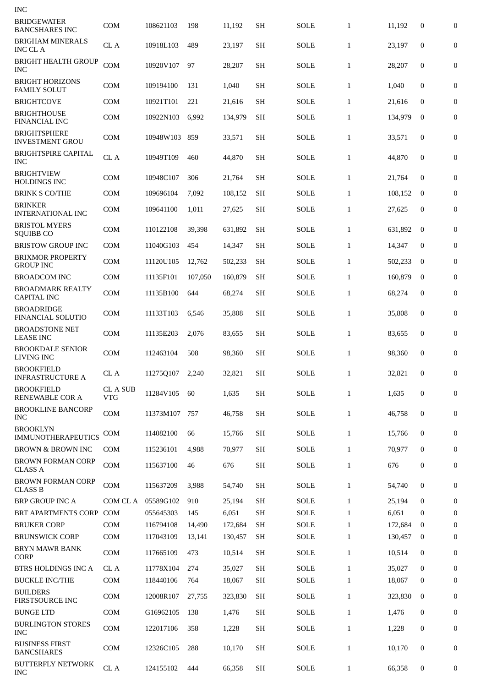| INC                                           |                             |           |         |         |           |             |              |         |                  |                  |
|-----------------------------------------------|-----------------------------|-----------|---------|---------|-----------|-------------|--------------|---------|------------------|------------------|
| <b>BRIDGEWATER</b><br><b>BANCSHARES INC</b>   | <b>COM</b>                  | 108621103 | 198     | 11,192  | <b>SH</b> | <b>SOLE</b> | $\mathbf{1}$ | 11,192  | 0                | $\mathbf{0}$     |
| BRIGHAM MINERALS<br><b>INC CLA</b>            | CL A                        | 10918L103 | 489     | 23,197  | <b>SH</b> | <b>SOLE</b> | $\mathbf{1}$ | 23,197  | $\mathbf{0}$     | $\boldsymbol{0}$ |
| <b>BRIGHT HEALTH GROUP</b><br>INC             | COM                         | 10920V107 | 97      | 28,207  | <b>SH</b> | <b>SOLE</b> | $\mathbf{1}$ | 28,207  | $\mathbf{0}$     | 0                |
| <b>BRIGHT HORIZONS</b><br><b>FAMILY SOLUT</b> | <b>COM</b>                  | 109194100 | 131     | 1,040   | <b>SH</b> | <b>SOLE</b> | $\mathbf{1}$ | 1,040   | $\mathbf{0}$     | $\boldsymbol{0}$ |
| <b>BRIGHTCOVE</b>                             | <b>COM</b>                  | 10921T101 | 221     | 21,616  | SH        | <b>SOLE</b> | $\mathbf{1}$ | 21,616  | $\bf{0}$         | $\mathbf{0}$     |
| <b>BRIGHTHOUSE</b><br>FINANCIAL INC           | <b>COM</b>                  | 10922N103 | 6,992   | 134,979 | <b>SH</b> | SOLE        | $\mathbf{1}$ | 134,979 | $\mathbf{0}$     | $\boldsymbol{0}$ |
| <b>BRIGHTSPHERE</b><br><b>INVESTMENT GROU</b> | <b>COM</b>                  | 10948W103 | 859     | 33,571  | <b>SH</b> | SOLE        | $\mathbf{1}$ | 33,571  | 0                | $\boldsymbol{0}$ |
| <b>BRIGHTSPIRE CAPITAL</b><br><b>INC</b>      | CL A                        | 10949T109 | 460     | 44,870  | <b>SH</b> | SOLE        | $\mathbf{1}$ | 44,870  | $\mathbf{0}$     | $\boldsymbol{0}$ |
| <b>BRIGHTVIEW</b><br><b>HOLDINGS INC</b>      | <b>COM</b>                  | 10948C107 | 306     | 21,764  | <b>SH</b> | <b>SOLE</b> | $\mathbf{1}$ | 21,764  | $\mathbf{0}$     | $\boldsymbol{0}$ |
| <b>BRINK S CO/THE</b>                         | <b>COM</b>                  | 109696104 | 7.092   | 108,152 | <b>SH</b> | <b>SOLE</b> | $\mathbf{1}$ | 108,152 | $\bf{0}$         | 0                |
| <b>BRINKER</b><br><b>INTERNATIONAL INC</b>    | <b>COM</b>                  | 109641100 | 1,011   | 27,625  | <b>SH</b> | <b>SOLE</b> | $\mathbf{1}$ | 27,625  | $\mathbf{0}$     | 0                |
| <b>BRISTOL MYERS</b><br><b>SQUIBB CO</b>      | <b>COM</b>                  | 110122108 | 39,398  | 631,892 | <b>SH</b> | <b>SOLE</b> | $\mathbf{1}$ | 631,892 | $\mathbf{0}$     | $\boldsymbol{0}$ |
| <b>BRISTOW GROUP INC</b>                      | <b>COM</b>                  | 11040G103 | 454     | 14,347  | <b>SH</b> | SOLE        | $\mathbf{1}$ | 14,347  | $\mathbf{0}$     | $\mathbf{0}$     |
| <b>BRIXMOR PROPERTY</b><br><b>GROUP INC</b>   | <b>COM</b>                  | 11120U105 | 12,762  | 502,233 | <b>SH</b> | <b>SOLE</b> | $\mathbf{1}$ | 502,233 | $\mathbf{0}$     | 0                |
| <b>BROADCOM INC</b>                           | COM                         | 11135F101 | 107,050 | 160,879 | <b>SH</b> | <b>SOLE</b> | $\mathbf{1}$ | 160,879 | $\bf{0}$         | 0                |
| <b>BROADMARK REALTY</b><br><b>CAPITAL INC</b> | <b>COM</b>                  | 11135B100 | 644     | 68,274  | <b>SH</b> | SOLE        | $\mathbf{1}$ | 68,274  | $\mathbf{0}$     | $\boldsymbol{0}$ |
| <b>BROADRIDGE</b><br><b>FINANCIAL SOLUTIO</b> | <b>COM</b>                  | 11133T103 | 6,546   | 35,808  | SH        | SOLE        | $\mathbf{1}$ | 35,808  | 0                | $\boldsymbol{0}$ |
| <b>BROADSTONE NET</b><br><b>LEASE INC</b>     | <b>COM</b>                  | 11135E203 | 2,076   | 83,655  | <b>SH</b> | <b>SOLE</b> | $\mathbf{1}$ | 83,655  | 0                | $\boldsymbol{0}$ |
| <b>BROOKDALE SENIOR</b><br><b>LIVING INC</b>  | <b>COM</b>                  | 112463104 | 508     | 98,360  | <b>SH</b> | SOLE        | $\mathbf{1}$ | 98,360  | $\mathbf{0}$     | $\overline{0}$   |
| <b>BROOKFIELD</b><br><b>INFRASTRUCTURE A</b>  | CL A                        | 11275Q107 | 2,240   | 32,821  | <b>SH</b> | <b>SOLE</b> | $\mathbf{1}$ | 32,821  | 0                | $\bf{0}$         |
| <b>BROOKFIELD</b><br>RENEWABLE COR A          | <b>CLASUB</b><br><b>VTG</b> | 11284V105 | 60      | 1,635   | <b>SH</b> | SOLE        | $\mathbf{1}$ | 1,635   | $\boldsymbol{0}$ | $\mathbf{0}$     |
| <b>BROOKLINE BANCORP</b><br><b>INC</b>        | <b>COM</b>                  | 11373M107 | 757     | 46,758  | <b>SH</b> | SOLE        | $\mathbf{1}$ | 46,758  | 0                | $\mathbf{0}$     |
| <b>BROOKLYN</b><br><b>IMMUNOTHERAPEUTICS</b>  | <b>COM</b>                  | 114082100 | 66      | 15,766  | <b>SH</b> | SOLE        | $\mathbf{1}$ | 15,766  | 0                | 0                |
| BROWN & BROWN INC                             | <b>COM</b>                  | 115236101 | 4,988   | 70,977  | SH        | SOLE        | $\mathbf{1}$ | 70,977  | 0                | $\mathbf{0}$     |
| <b>BROWN FORMAN CORP</b><br><b>CLASS A</b>    | COM                         | 115637100 | 46      | 676     | <b>SH</b> | SOLE        | $\mathbf{1}$ | 676     | 0                | $\mathbf{0}$     |
| <b>BROWN FORMAN CORP</b><br><b>CLASS B</b>    | <b>COM</b>                  | 115637209 | 3,988   | 54,740  | <b>SH</b> | <b>SOLE</b> | $\mathbf{1}$ | 54,740  | $\mathbf{0}$     | $\mathbf{0}$     |
| <b>BRP GROUP INC A</b>                        | COM CL A                    | 05589G102 | 910     | 25,194  | <b>SH</b> | <b>SOLE</b> | $\mathbf{1}$ | 25,194  | $\bf{0}$         | 0                |
| <b>BRT APARTMENTS CORP</b>                    | <b>COM</b>                  | 055645303 | 145     | 6,051   | <b>SH</b> | SOLE        | $\mathbf{1}$ | 6,051   | $\bf{0}$         | $\Omega$         |
| <b>BRUKER CORP</b>                            | <b>COM</b>                  | 116794108 | 14,490  | 172,684 | SН        | SOLE        | $\mathbf{1}$ | 172,684 | $\bf{0}$         | $\bf{0}$         |
| <b>BRUNSWICK CORP</b>                         | COM                         | 117043109 | 13,141  | 130,457 | <b>SH</b> | SOLE        | $\mathbf{1}$ | 130,457 | $\bf{0}$         | 0                |
| <b>BRYN MAWR BANK</b><br><b>CORP</b>          | <b>COM</b>                  | 117665109 | 473     | 10,514  | <b>SH</b> | <b>SOLE</b> | $\mathbf{1}$ | 10,514  | $\boldsymbol{0}$ | $\mathbf{0}$     |
| BTRS HOLDINGS INC A                           | CL A                        | 11778X104 | 274     | 35,027  | <b>SH</b> | <b>SOLE</b> | $\mathbf{1}$ | 35,027  | $\bf{0}$         | 0                |
| <b>BUCKLE INC/THE</b>                         | <b>COM</b>                  | 118440106 | 764     | 18,067  | <b>SH</b> | SOLE        | $\mathbf{1}$ | 18,067  | $\bf{0}$         | 0                |
| <b>BUILDERS</b><br>FIRSTSOURCE INC            | <b>COM</b>                  | 12008R107 | 27,755  | 323,830 | <b>SH</b> | SOLE        | $\mathbf{1}$ | 323,830 | $\bf{0}$         | 0                |
| <b>BUNGE LTD</b>                              | <b>COM</b>                  | G16962105 | 138     | 1,476   | <b>SH</b> | <b>SOLE</b> | $\mathbf{1}$ | 1,476   | 0                | $\overline{0}$   |
| <b>BURLINGTON STORES</b><br><b>INC</b>        | <b>COM</b>                  | 122017106 | 358     | 1,228   | <b>SH</b> | SOLE        | $\mathbf{1}$ | 1,228   | 0                | $\mathbf{0}$     |
| <b>BUSINESS FIRST</b><br><b>BANCSHARES</b>    | <b>COM</b>                  | 12326C105 | 288     | 10,170  | <b>SH</b> | SOLE        | $\mathbf{1}$ | 10,170  | 0                | $\mathbf{0}$     |
| <b>BUTTERFLY NETWORK</b><br><b>INC</b>        | CL A                        | 124155102 | 444     | 66,358  | SH        | <b>SOLE</b> | $\mathbf{1}$ | 66,358  | 0                | 0                |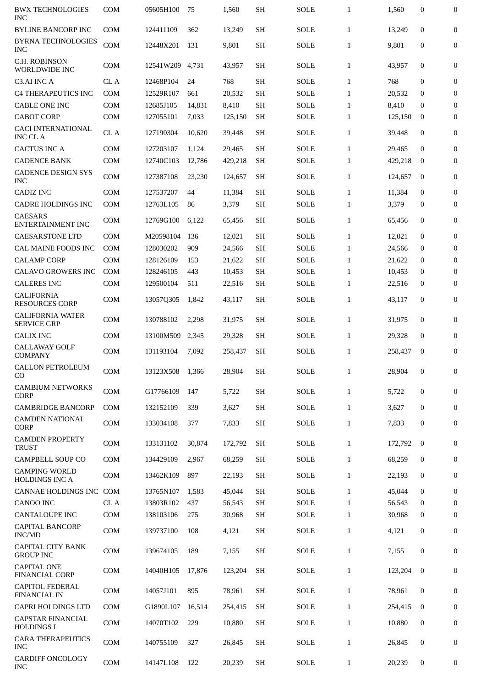| <b>BWX TECHNOLOGIES</b><br><b>INC</b>         | <b>COM</b> | 05605H100 | 75     | 1,560   | <b>SH</b> | <b>SOLE</b> | $\mathbf{1}$ | 1,560   | $\mathbf{0}$ | $\overline{0}$   |
|-----------------------------------------------|------------|-----------|--------|---------|-----------|-------------|--------------|---------|--------------|------------------|
| <b>BYLINE BANCORP INC</b>                     | <b>COM</b> | 124411109 | 362    | 13,249  | <b>SH</b> | <b>SOLE</b> | $\mathbf{1}$ | 13,249  | $\mathbf{0}$ | $\boldsymbol{0}$ |
| <b>BYRNA TECHNOLOGIES</b><br><b>INC</b>       | <b>COM</b> | 12448X201 | 131    | 9,801   | <b>SH</b> | <b>SOLE</b> | $\mathbf{1}$ | 9,801   | 0            | $\boldsymbol{0}$ |
| C.H. ROBINSON<br><b>WORLDWIDE INC</b>         | COM        | 12541W209 | 4,731  | 43,957  | <b>SH</b> | <b>SOLE</b> | $\mathbf{1}$ | 43,957  | $\mathbf{0}$ | $\overline{0}$   |
| C3.AI INC A                                   | CL A       | 12468P104 | 24     | 768     | SH        | <b>SOLE</b> | $\mathbf{1}$ | 768     | $\mathbf{0}$ | $\boldsymbol{0}$ |
| <b>C4 THERAPEUTICS INC</b>                    | <b>COM</b> | 12529R107 | 661    | 20,532  | <b>SH</b> | <b>SOLE</b> | $\mathbf{1}$ | 20,532  | $\mathbf{0}$ | $\mathbf{0}$     |
| <b>CABLE ONE INC</b>                          | <b>COM</b> | 12685J105 | 14,831 | 8,410   | SH        | <b>SOLE</b> | $\mathbf{1}$ | 8,410   | $\mathbf{0}$ | $\boldsymbol{0}$ |
| <b>CABOT CORP</b>                             | <b>COM</b> | 127055101 | 7,033  | 125,150 | <b>SH</b> | <b>SOLE</b> | $\mathbf{1}$ | 125,150 | $\bf{0}$     | $\mathbf{0}$     |
| <b>CACI INTERNATIONAL</b><br><b>INC CLA</b>   | CL A       | 127190304 | 10,620 | 39,448  | <b>SH</b> | <b>SOLE</b> | $\mathbf{1}$ | 39,448  | $\mathbf{0}$ | $\overline{0}$   |
| <b>CACTUS INC A</b>                           | COM        | 127203107 | 1,124  | 29,465  | SH        | <b>SOLE</b> | $\mathbf{1}$ | 29,465  | $\mathbf{0}$ | $\boldsymbol{0}$ |
| <b>CADENCE BANK</b>                           | <b>COM</b> | 12740C103 | 12,786 | 429,218 | <b>SH</b> | <b>SOLE</b> | $\mathbf{1}$ | 429,218 | $\bf{0}$     | $\overline{0}$   |
| <b>CADENCE DESIGN SYS</b><br><b>INC</b>       | <b>COM</b> | 127387108 | 23,230 | 124,657 | <b>SH</b> | SOLE        | $\mathbf{1}$ | 124.657 | $\mathbf{0}$ | 0                |
| <b>CADIZ INC</b>                              | <b>COM</b> | 127537207 | 44     | 11.384  | <b>SH</b> | <b>SOLE</b> | $\mathbf{1}$ | 11,384  | $\mathbf{0}$ | $\boldsymbol{0}$ |
| <b>CADRE HOLDINGS INC</b>                     | <b>COM</b> | 12763L105 | 86     | 3,379   | <b>SH</b> | <b>SOLE</b> | $\mathbf{1}$ | 3,379   | $\mathbf{0}$ | $\mathbf{0}$     |
| <b>CAESARS</b><br><b>ENTERTAINMENT INC</b>    | <b>COM</b> | 12769G100 | 6,122  | 65,456  | <b>SH</b> | <b>SOLE</b> | $\mathbf{1}$ | 65,456  | $\mathbf{0}$ | $\boldsymbol{0}$ |
| <b>CAESARSTONE LTD</b>                        | COM        | M20598104 | 136    | 12,021  | <b>SH</b> | <b>SOLE</b> | $\mathbf{1}$ | 12,021  | $\mathbf{0}$ | 0                |
| CAL MAINE FOODS INC                           | <b>COM</b> | 128030202 | 909    | 24,566  | <b>SH</b> | SOLE        | $\mathbf{1}$ | 24,566  | $\bf{0}$     | $\boldsymbol{0}$ |
| <b>CALAMP CORP</b>                            | <b>COM</b> | 128126109 | 153    | 21,622  | <b>SH</b> | <b>SOLE</b> | $\mathbf{1}$ | 21,622  | $\bf{0}$     | $\overline{0}$   |
| <b>CALAVO GROWERS INC</b>                     | <b>COM</b> | 128246105 | 443    | 10,453  | <b>SH</b> | <b>SOLE</b> | $\mathbf{1}$ | 10,453  | $\mathbf{0}$ | $\boldsymbol{0}$ |
| <b>CALERES INC</b>                            | <b>COM</b> | 129500104 | 511    | 22,516  | <b>SH</b> | <b>SOLE</b> | $\mathbf{1}$ | 22,516  | $\bf{0}$     | $\mathbf{0}$     |
| <b>CALIFORNIA</b><br><b>RESOURCES CORP</b>    | <b>COM</b> | 13057Q305 | 1,842  | 43,117  | <b>SH</b> | <b>SOLE</b> | $\mathbf{1}$ | 43,117  | $\mathbf{0}$ | $\overline{0}$   |
| <b>CALIFORNIA WATER</b><br><b>SERVICE GRP</b> | <b>COM</b> | 130788102 | 2,298  | 31,975  | <b>SH</b> | <b>SOLE</b> | $\mathbf{1}$ | 31,975  | $\mathbf{0}$ | 0                |
| <b>CALIX INC</b>                              | <b>COM</b> | 13100M509 | 2,345  | 29,328  | <b>SH</b> | <b>SOLE</b> | $\mathbf{1}$ | 29,328  | 0            | $\boldsymbol{0}$ |
| <b>CALLAWAY GOLF</b><br><b>COMPANY</b>        | <b>COM</b> | 131193104 | 7,092  | 258,437 | <b>SH</b> | <b>SOLE</b> | $\mathbf{1}$ | 258,437 | $\mathbf{0}$ | $\boldsymbol{0}$ |
| <b>CALLON PETROLEUM</b><br>CO                 | COM        | 13123X508 | 1,366  | 28,904  | <b>SH</b> | <b>SOLE</b> | 1            | 28,904  | 0            | 0                |
| <b>CAMBIUM NETWORKS</b><br><b>CORP</b>        | <b>COM</b> | G17766109 | 147    | 5,722   | <b>SH</b> | <b>SOLE</b> | $\mathbf{1}$ | 5,722   | $\mathbf{0}$ | $\boldsymbol{0}$ |
| <b>CAMBRIDGE BANCORP</b>                      | <b>COM</b> | 132152109 | 339    | 3,627   | <b>SH</b> | <b>SOLE</b> | $\mathbf{1}$ | 3,627   | $\mathbf{0}$ | 0                |
| <b>CAMDEN NATIONAL</b><br><b>CORP</b>         | <b>COM</b> | 133034108 | 377    | 7,833   | <b>SH</b> | <b>SOLE</b> | $\mathbf{1}$ | 7,833   | $\mathbf{0}$ | 0                |
| <b>CAMDEN PROPERTY</b><br><b>TRUST</b>        | <b>COM</b> | 133131102 | 30,874 | 172,792 | <b>SH</b> | <b>SOLE</b> | $\mathbf{1}$ | 172.792 | $\mathbf{0}$ | $\mathbf{0}$     |
| <b>CAMPBELL SOUP CO</b>                       | <b>COM</b> | 134429109 | 2,967  | 68,259  | <b>SH</b> | <b>SOLE</b> | $\mathbf{1}$ | 68,259  | $\mathbf{0}$ | 0                |
| <b>CAMPING WORLD</b><br><b>HOLDINGS INC A</b> | COM        | 13462K109 | 897    | 22,193  | <b>SH</b> | <b>SOLE</b> | $\mathbf{1}$ | 22,193  | $\mathbf{0}$ | 0                |
| CANNAE HOLDINGS INC                           | COM        | 13765N107 | 1,583  | 45,044  | <b>SH</b> | <b>SOLE</b> | $\mathbf{1}$ | 45,044  | $\mathbf{0}$ | 0                |
| <b>CANOO INC</b>                              | CL A       | 13803R102 | 437    | 56,543  | <b>SH</b> | <b>SOLE</b> | $\mathbf{1}$ | 56,543  | $\Omega$     | $\mathbf{0}$     |
| <b>CANTALOUPE INC</b>                         | COM        | 138103106 | 275    | 30,968  | SH        | <b>SOLE</b> | $\mathbf{1}$ | 30,968  | $\mathbf{0}$ | 0                |
| <b>CAPITAL BANCORP</b><br>INC/MD              | <b>COM</b> | 139737100 | 108    | 4,121   | <b>SH</b> | <b>SOLE</b> | $\mathbf{1}$ | 4,121   | $\mathbf{0}$ | $\boldsymbol{0}$ |
| <b>CAPITAL CITY BANK</b><br><b>GROUP INC</b>  | COM        | 139674105 | 189    | 7,155   | <b>SH</b> | <b>SOLE</b> | $\mathbf{1}$ | 7,155   | $\mathbf{0}$ | $\mathbf{0}$     |
| <b>CAPITAL ONE</b><br>FINANCIAL CORP          | <b>COM</b> | 14040H105 | 17,876 | 123,204 | <b>SH</b> | SOLE        | $\mathbf{1}$ | 123,204 | $\mathbf{0}$ | $\mathbf{0}$     |
| <b>CAPITOL FEDERAL</b><br>FINANCIAL IN        | <b>COM</b> | 14057J101 | 895    | 78,961  | <b>SH</b> | <b>SOLE</b> | $\mathbf{1}$ | 78,961  | $\mathbf{0}$ | $\mathbf{0}$     |
| <b>CAPRI HOLDINGS LTD</b>                     | <b>COM</b> | G1890L107 | 16,514 | 254,415 | <b>SH</b> | <b>SOLE</b> | $\mathbf{1}$ | 254,415 | $\mathbf{0}$ | $\boldsymbol{0}$ |
| <b>CAPSTAR FINANCIAL</b><br><b>HOLDINGS I</b> | <b>COM</b> | 14070T102 | 229    | 10,880  | <b>SH</b> | <b>SOLE</b> | $\mathbf{1}$ | 10,880  | $\mathbf{0}$ | 0                |
| <b>CARA THERAPEUTICS</b><br><b>INC</b>        | <b>COM</b> | 140755109 | 327    | 26,845  | SH        | <b>SOLE</b> | $\mathbf{1}$ | 26,845  | $\mathbf{0}$ | 0                |
| CARDIFF ONCOLOGY<br><b>INC</b>                | COM        | 14147L108 | 122    | 20,239  | <b>SH</b> | <b>SOLE</b> | $\mathbf{1}$ | 20,239  | $\mathbf{0}$ | 0                |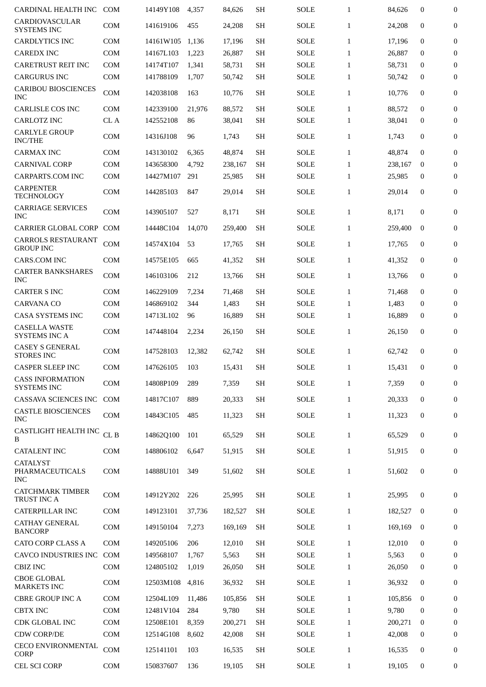| CARDINAL HEALTH INC                                  | <b>COM</b>      | 14149Y108 | 4,357  | 84,626  | <b>SH</b> | SOLE        | $\mathbf{1}$ | 84,626  | $\mathbf{0}$ | $\overline{0}$   |
|------------------------------------------------------|-----------------|-----------|--------|---------|-----------|-------------|--------------|---------|--------------|------------------|
| CARDIOVASCULAR<br><b>SYSTEMS INC</b>                 | <b>COM</b>      | 141619106 | 455    | 24,208  | <b>SH</b> | <b>SOLE</b> | $\mathbf{1}$ | 24,208  | $\mathbf{0}$ | $\overline{0}$   |
| <b>CARDLYTICS INC</b>                                | COM             | 14161W105 | 1,136  | 17,196  | SH        | <b>SOLE</b> | $\mathbf{1}$ | 17,196  | $\bf{0}$     | $\mathbf{0}$     |
| <b>CAREDX INC</b>                                    | <b>COM</b>      | 14167L103 | 1,223  | 26,887  | <b>SH</b> | <b>SOLE</b> | $\mathbf{1}$ | 26,887  | $\bf{0}$     | $\bf{0}$         |
| <b>CARETRUST REIT INC</b>                            | <b>COM</b>      | 14174T107 | 1,341  | 58,731  | <b>SH</b> | <b>SOLE</b> | $\mathbf{1}$ | 58,731  | $\bf{0}$     | $\boldsymbol{0}$ |
| <b>CARGURUS INC</b>                                  | <b>COM</b>      | 141788109 | 1,707  | 50,742  | <b>SH</b> | SOLE        | 1            | 50,742  | $\bf{0}$     | $\boldsymbol{0}$ |
| <b>CARIBOU BIOSCIENCES</b><br><b>INC</b>             | <b>COM</b>      | 142038108 | 163    | 10,776  | <b>SH</b> | SOLE        | 1            | 10.776  | $\mathbf{0}$ | $\overline{0}$   |
| <b>CARLISLE COS INC</b>                              | COM             | 142339100 | 21,976 | 88,572  | SH        | <b>SOLE</b> | $\mathbf{1}$ | 88,572  | $\mathbf{0}$ | $\boldsymbol{0}$ |
| <b>CARLOTZ INC</b>                                   | CL A            | 142552108 | 86     | 38,041  | <b>SH</b> | SOLE        | 1            | 38,041  | $\bf{0}$     | $\boldsymbol{0}$ |
| <b>CARLYLE GROUP</b><br><b>INC/THE</b>               | <b>COM</b>      | 14316J108 | 96     | 1,743   | <b>SH</b> | SOLE        | $\mathbf{1}$ | 1,743   | $\mathbf{0}$ | $\boldsymbol{0}$ |
| <b>CARMAX INC</b>                                    | <b>COM</b>      | 143130102 | 6,365  | 48,874  | <b>SH</b> | <b>SOLE</b> | $\mathbf{1}$ | 48,874  | $\mathbf{0}$ | $\overline{0}$   |
| <b>CARNIVAL CORP</b>                                 | <b>COM</b>      | 143658300 | 4,792  | 238,167 | <b>SH</b> | <b>SOLE</b> | $\mathbf{1}$ | 238,167 | $\bf{0}$     | $\Omega$         |
| <b>CARPARTS.COM INC</b>                              | <b>COM</b>      | 14427M107 | 291    | 25,985  | <b>SH</b> | <b>SOLE</b> | 1            | 25,985  | $\bf{0}$     | $\mathbf{0}$     |
| <b>CARPENTER</b><br><b>TECHNOLOGY</b>                | <b>COM</b>      | 144285103 | 847    | 29,014  | <b>SH</b> | <b>SOLE</b> | $\mathbf{1}$ | 29,014  | $\mathbf{0}$ | $\overline{0}$   |
| <b>CARRIAGE SERVICES</b><br><b>INC</b>               | COM             | 143905107 | 527    | 8,171   | <b>SH</b> | <b>SOLE</b> | $\mathbf{1}$ | 8,171   | $\mathbf{0}$ | $\overline{0}$   |
| <b>CARRIER GLOBAL CORP</b>                           | <b>COM</b>      | 14448C104 | 14,070 | 259,400 | <b>SH</b> | <b>SOLE</b> | $\mathbf{1}$ | 259,400 | $\mathbf{0}$ | $\boldsymbol{0}$ |
| <b>CARROLS RESTAURANT</b><br><b>GROUP INC</b>        | <b>COM</b>      | 14574X104 | 53     | 17,765  | <b>SH</b> | SOLE        | $\mathbf{1}$ | 17,765  | $\mathbf{0}$ | $\mathbf{0}$     |
| <b>CARS.COM INC</b>                                  | <b>COM</b>      | 14575E105 | 665    | 41,352  | <b>SH</b> | <b>SOLE</b> | $\mathbf{1}$ | 41,352  | $\mathbf{0}$ | $\boldsymbol{0}$ |
| <b>CARTER BANKSHARES</b><br><b>INC</b>               | <b>COM</b>      | 146103106 | 212    | 13,766  | <b>SH</b> | <b>SOLE</b> | $\mathbf{1}$ | 13,766  | $\mathbf{0}$ | 0                |
| <b>CARTER S INC</b>                                  | <b>COM</b>      | 146229109 | 7,234  | 71,468  | <b>SH</b> | <b>SOLE</b> | $\mathbf{1}$ | 71,468  | $\mathbf{0}$ | $\boldsymbol{0}$ |
| <b>CARVANA CO</b>                                    | <b>COM</b>      | 146869102 | 344    | 1,483   | <b>SH</b> | <b>SOLE</b> | 1            | 1,483   | $\bf{0}$     | $\overline{0}$   |
| CASA SYSTEMS INC                                     | <b>COM</b>      | 14713L102 | 96     | 16,889  | SН        | SOLE        | $\mathbf{1}$ | 16,889  | $\bf{0}$     | $\overline{0}$   |
| <b>CASELLA WASTE</b><br><b>SYSTEMS INC A</b>         | <b>COM</b>      | 147448104 | 2,234  | 26,150  | SH        | <b>SOLE</b> | $\mathbf{1}$ | 26.150  | $\mathbf{0}$ | $\boldsymbol{0}$ |
| <b>CASEY S GENERAL</b><br><b>STORES INC</b>          | COM             | 147528103 | 12,382 | 62,742  | SH        | SOLE        | $\mathbf{1}$ | 62,742  | $\mathbf{0}$ | $\boldsymbol{0}$ |
| <b>CASPER SLEEP INC</b>                              | <b>COM</b>      | 147626105 | 103    | 15,431  | SH        | SOLE        | 1            | 15,431  | 0            | 0                |
| <b>CASS INFORMATION</b><br><b>SYSTEMS INC</b>        | <b>COM</b>      | 14808P109 | 289    | 7,359   | <b>SH</b> | <b>SOLE</b> | 1            | 7,359   | 0            | $\boldsymbol{0}$ |
| CASSAVA SCIENCES INC                                 | COM             | 14817C107 | 889    | 20,333  | <b>SH</b> | SOLE        | $\mathbf{1}$ | 20,333  | $\mathbf{0}$ | $\mathbf{0}$     |
| <b>CASTLE BIOSCIENCES</b><br><b>INC</b>              | COM             | 14843C105 | 485    | 11,323  | <b>SH</b> | SOLE        | 1            | 11,323  | $\mathbf{0}$ | $\mathbf{0}$     |
| <b>CASTLIGHT HEALTH INC</b><br>B                     | CL <sub>B</sub> | 14862Q100 | 101    | 65,529  | <b>SH</b> | <b>SOLE</b> | $\mathbf{1}$ | 65,529  | $\mathbf{0}$ | $\mathbf{0}$     |
| <b>CATALENT INC</b>                                  | <b>COM</b>      | 148806102 | 6,647  | 51,915  | <b>SH</b> | SOLE        | $\mathbf{1}$ | 51.915  | 0            | 0                |
| <b>CATALYST</b><br>PHARMACEUTICALS                   | COM             | 14888U101 | 349    | 51,602  | <b>SH</b> | SOLE        | $\mathbf{1}$ | 51,602  | $\mathbf{0}$ | 0                |
| <b>INC</b><br><b>CATCHMARK TIMBER</b><br>TRUST INC A | COM             | 14912Y202 | 226    | 25,995  | <b>SH</b> | SOLE        | $\mathbf{1}$ | 25,995  | 0            | 0                |
| <b>CATERPILLAR INC</b>                               | COM             | 149123101 | 37,736 | 182,527 | <b>SH</b> | <b>SOLE</b> | $\mathbf{1}$ | 182,527 | $\bf{0}$     | 0                |
| <b>CATHAY GENERAL</b><br><b>BANCORP</b>              | COM             | 149150104 | 7,273  | 169,169 | <b>SH</b> | SOLE        | $\mathbf{1}$ | 169,169 | $\bf{0}$     | 0                |
| <b>CATO CORP CLASS A</b>                             | COM             | 149205106 | 206    | 12,010  | <b>SH</b> | <b>SOLE</b> | $\mathbf{1}$ | 12,010  | $\mathbf{0}$ | $\boldsymbol{0}$ |
| CAVCO INDUSTRIES INC COM                             |                 | 149568107 | 1,767  | 5,563   | <b>SH</b> | SOLE        | $\mathbf{1}$ | 5,563   | $\bf{0}$     | $\boldsymbol{0}$ |
| CBIZ INC                                             | COM             | 124805102 | 1,019  | 26,050  | SH        | <b>SOLE</b> | $\mathbf{1}$ | 26,050  | 0            | $\mathbf{0}$     |
| <b>CBOE GLOBAL</b><br><b>MARKETS INC</b>             | COM             | 12503M108 | 4,816  | 36,932  | <b>SH</b> | <b>SOLE</b> | $\mathbf{1}$ | 36,932  | $\mathbf{0}$ | $\boldsymbol{0}$ |
| <b>CBRE GROUP INC A</b>                              | <b>COM</b>      | 12504L109 | 11,486 | 105,856 | <b>SH</b> | <b>SOLE</b> | $\mathbf{1}$ | 105,856 | $\mathbf{0}$ | 0                |
| <b>CBTX INC</b>                                      | <b>COM</b>      | 12481V104 | 284    | 9,780   | <b>SH</b> | SOLE        | $\mathbf{1}$ | 9,780   | $\mathbf{0}$ | $\bf{0}$         |
| CDK GLOBAL INC                                       | <b>COM</b>      | 12508E101 | 8,359  | 200,271 | <b>SH</b> | SOLE        | $\mathbf{1}$ | 200,271 | $\bf{0}$     | 0                |
| <b>CDW CORP/DE</b>                                   | COM             | 12514G108 | 8,602  | 42,008  | <b>SH</b> | <b>SOLE</b> | $\mathbf{1}$ | 42,008  | 0            | $\mathbf{0}$     |
| <b>CECO ENVIRONMENTAL</b><br><b>CORP</b>             | <b>COM</b>      | 125141101 | 103    | 16,535  | <b>SH</b> | SOLE        | $\mathbf{1}$ | 16,535  | $\mathbf{0}$ | 0                |
| CEL SCI CORP                                         | COM             | 150837607 | 136    | 19,105  | <b>SH</b> | <b>SOLE</b> | $\mathbf{1}$ | 19,105  | 0            | 0                |
|                                                      |                 |           |        |         |           |             |              |         |              |                  |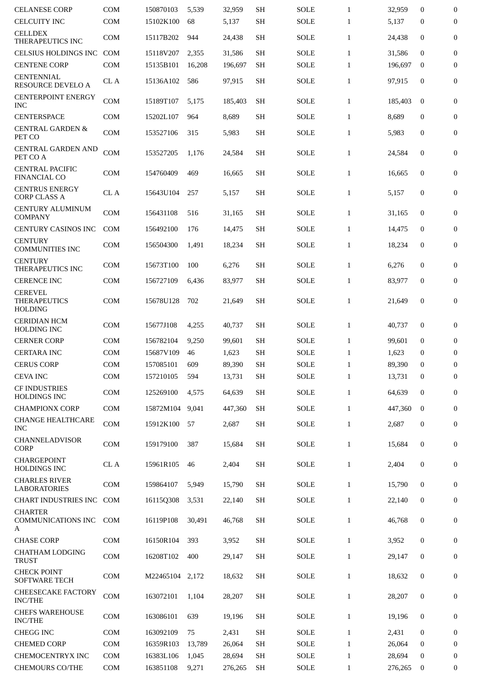| <b>CELANESE CORP</b>                                    | <b>COM</b> | 150870103 | 5,539  | 32,959  | <b>SH</b> | <b>SOLE</b> | $\mathbf{1}$ | 32,959  | $\mathbf{0}$     | 0                |
|---------------------------------------------------------|------------|-----------|--------|---------|-----------|-------------|--------------|---------|------------------|------------------|
| <b>CELCUITY INC</b>                                     | COM        | 15102K100 | 68     | 5,137   | <b>SH</b> | <b>SOLE</b> | $\mathbf{1}$ | 5,137   | $\mathbf{0}$     | 0                |
| <b>CELLDEX</b><br>THERAPEUTICS INC                      | <b>COM</b> | 15117B202 | 944    | 24,438  | <b>SH</b> | <b>SOLE</b> | $\mathbf{1}$ | 24,438  | 0                | 0                |
| <b>CELSIUS HOLDINGS INC</b>                             | <b>COM</b> | 15118V207 | 2,355  | 31,586  | <b>SH</b> | <b>SOLE</b> | $\mathbf{1}$ | 31,586  | $\mathbf{0}$     | $\boldsymbol{0}$ |
| <b>CENTENE CORP</b>                                     | <b>COM</b> | 15135B101 | 16,208 | 196,697 | <b>SH</b> | <b>SOLE</b> | $\mathbf{1}$ | 196,697 | $\mathbf{0}$     | 0                |
| <b>CENTENNIAL</b><br>RESOURCE DEVELO A                  | CL A       | 15136A102 | 586    | 97,915  | <b>SH</b> | <b>SOLE</b> | $\mathbf{1}$ | 97,915  | 0                | 0                |
| <b>CENTERPOINT ENERGY</b><br><b>INC</b>                 | <b>COM</b> | 15189T107 | 5,175  | 185,403 | SН        | <b>SOLE</b> | $\mathbf{1}$ | 185,403 | $\bf{0}$         | 0                |
| <b>CENTERSPACE</b>                                      | <b>COM</b> | 15202L107 | 964    | 8,689   | <b>SH</b> | SOLE        | $\mathbf{1}$ | 8,689   | 0                | 0                |
| <b>CENTRAL GARDEN &amp;</b><br>PET CO                   | <b>COM</b> | 153527106 | 315    | 5,983   | <b>SH</b> | <b>SOLE</b> | $\mathbf{1}$ | 5,983   | 0                | 0                |
| <b>CENTRAL GARDEN AND</b><br>PET CO A                   | COM        | 153527205 | 1,176  | 24,584  | <b>SH</b> | <b>SOLE</b> | $\mathbf{1}$ | 24,584  | $\overline{0}$   | 0                |
| <b>CENTRAL PACIFIC</b><br><b>FINANCIAL CO</b>           | <b>COM</b> | 154760409 | 469    | 16,665  | <b>SH</b> | <b>SOLE</b> | $\mathbf{1}$ | 16,665  | $\boldsymbol{0}$ | 0                |
| <b>CENTRUS ENERGY</b><br><b>CORP CLASS A</b>            | CL A       | 15643U104 | 257    | 5,157   | <b>SH</b> | <b>SOLE</b> | $\mathbf{1}$ | 5,157   | 0                | 0                |
| <b>CENTURY ALUMINUM</b><br><b>COMPANY</b>               | <b>COM</b> | 156431108 | 516    | 31,165  | <b>SH</b> | <b>SOLE</b> | $\mathbf{1}$ | 31,165  | 0                | 0                |
| CENTURY CASINOS INC                                     | <b>COM</b> | 156492100 | 176    | 14,475  | <b>SH</b> | <b>SOLE</b> | $\mathbf{1}$ | 14,475  | 0                | 0                |
| <b>CENTURY</b><br><b>COMMUNITIES INC</b>                | <b>COM</b> | 156504300 | 1,491  | 18,234  | <b>SH</b> | <b>SOLE</b> | $\mathbf{1}$ | 18,234  | 0                | 0                |
| <b>CENTURY</b><br>THERAPEUTICS INC                      | <b>COM</b> | 15673T100 | 100    | 6,276   | <b>SH</b> | <b>SOLE</b> | $\mathbf{1}$ | 6,276   | 0                | 0                |
| <b>CERENCE INC</b>                                      | <b>COM</b> | 156727109 | 6,436  | 83,977  | <b>SH</b> | <b>SOLE</b> | $\mathbf{1}$ | 83,977  | $\mathbf{0}$     | 0                |
| <b>CEREVEL</b><br><b>THERAPEUTICS</b><br><b>HOLDING</b> | <b>COM</b> | 15678U128 | 702    | 21,649  | <b>SH</b> | <b>SOLE</b> | $\mathbf{1}$ | 21,649  | $\mathbf{0}$     | 0                |
| <b>CERIDIAN HCM</b><br><b>HOLDING INC</b>               | COM        | 15677J108 | 4,255  | 40,737  | <b>SH</b> | <b>SOLE</b> | $\mathbf{1}$ | 40,737  | 0                | 0                |
| <b>CERNER CORP</b>                                      | <b>COM</b> | 156782104 | 9,250  | 99,601  | <b>SH</b> | <b>SOLE</b> | $\mathbf{1}$ | 99,601  | $\mathbf{0}$     | 0                |
| <b>CERTARA INC</b>                                      | <b>COM</b> | 15687V109 | 46     | 1,623   | <b>SH</b> | <b>SOLE</b> | $\mathbf{1}$ | 1,623   | $\mathbf{0}$     | 0                |
| <b>CERUS CORP</b>                                       | <b>COM</b> | 157085101 | 609    | 89,390  | <b>SH</b> | <b>SOLE</b> | $\mathbf{1}$ | 89,390  | $\mathbf{0}$     | 0                |
| <b>CEVA INC</b>                                         | <b>COM</b> | 157210105 | 594    | 13,731  | <b>SH</b> | <b>SOLE</b> | $\mathbf{1}$ | 13,731  | $\bf{0}$         | $\mathbf{0}$     |
| <b>CF INDUSTRIES</b><br>HOLDINGS INC                    | COM        | 125269100 | 4,575  | 64,639  | <b>SH</b> | <b>SOLE</b> | $\mathbf{1}$ | 64,639  | $\mathbf{0}$     | 0                |
| <b>CHAMPIONX CORP</b>                                   | COM        | 15872M104 | 9,041  | 447,360 | <b>SH</b> | <b>SOLE</b> | $\mathbf{1}$ | 447,360 | $\mathbf{0}$     | $\boldsymbol{0}$ |
| <b>CHANGE HEALTHCARE</b><br><b>INC</b>                  | COM        | 15912K100 | 57     | 2,687   | <b>SH</b> | <b>SOLE</b> | $\mathbf{1}$ | 2,687   | 0                | $\boldsymbol{0}$ |
| CHANNELADVISOR<br>CORP                                  | COM        | 159179100 | 387    | 15,684  | <b>SH</b> | <b>SOLE</b> | $\mathbf{1}$ | 15,684  | $\bf{0}$         | 0                |
| <b>CHARGEPOINT</b><br>HOLDINGS INC                      | CL A       | 15961R105 | 46     | 2,404   | <b>SH</b> | <b>SOLE</b> | $\mathbf{1}$ | 2,404   | $\boldsymbol{0}$ | 0                |
| <b>CHARLES RIVER</b><br><b>LABORATORIES</b>             | COM        | 159864107 | 5,949  | 15,790  | <b>SH</b> | <b>SOLE</b> | $\mathbf{1}$ | 15,790  | $\boldsymbol{0}$ | 0                |
| CHART INDUSTRIES INC                                    | <b>COM</b> | 16115Q308 | 3,531  | 22,140  | <b>SH</b> | <b>SOLE</b> | $\mathbf{1}$ | 22,140  | 0                | 0                |
| <b>CHARTER</b><br><b>COMMUNICATIONS INC</b><br>А        | <b>COM</b> | 16119P108 | 30,491 | 46,768  | <b>SH</b> | <b>SOLE</b> | $\mathbf{1}$ | 46,768  | 0                | 0                |
| <b>CHASE CORP</b>                                       | COM        | 16150R104 | 393    | 3,952   | SH        | <b>SOLE</b> | $\mathbf{1}$ | 3,952   | 0                | $\boldsymbol{0}$ |
| <b>CHATHAM LODGING</b><br><b>TRUST</b>                  | COM        | 16208T102 | 400    | 29,147  | SH        | <b>SOLE</b> | $\mathbf{1}$ | 29,147  | 0                | 0                |
| <b>CHECK POINT</b><br><b>SOFTWARE TECH</b>              | <b>COM</b> | M22465104 | 2,172  | 18,632  | <b>SH</b> | <b>SOLE</b> | $\mathbf{1}$ | 18,632  | 0                | 0                |
| CHEESECAKE FACTORY<br><b>INC/THE</b>                    | COM        | 163072101 | 1,104  | 28,207  | <b>SH</b> | <b>SOLE</b> | $\mathbf{1}$ | 28,207  | $\bf{0}$         | 0                |
| <b>CHEFS WAREHOUSE</b><br><b>INC/THE</b>                | COM        | 163086101 | 639    | 19,196  | SH        | <b>SOLE</b> | $\mathbf{1}$ | 19,196  | $\bf{0}$         | 0                |
| <b>CHEGG INC</b>                                        | <b>COM</b> | 163092109 | 75     | 2,431   | <b>SH</b> | <b>SOLE</b> | $\mathbf{1}$ | 2,431   | $\mathbf{0}$     | 0                |
| <b>CHEMED CORP</b>                                      | COM        | 16359R103 | 13,789 | 26,064  | <b>SH</b> | <b>SOLE</b> | $\mathbf{1}$ | 26,064  | 0                | 0                |
| CHEMOCENTRYX INC                                        | COM        | 16383L106 | 1,045  | 28,694  | <b>SH</b> | <b>SOLE</b> | $\mathbf{1}$ | 28,694  | $\mathbf{0}$     | 0                |
| <b>CHEMOURS CO/THE</b>                                  | <b>COM</b> | 163851108 | 9,271  | 276,265 | <b>SH</b> | SOLE        | $\mathbf{1}$ | 276,265 | 0                | 0                |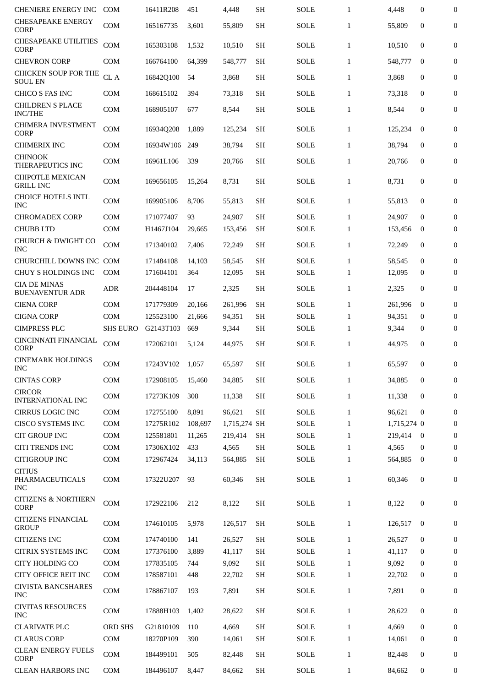| <b>CHENIERE ENERGY INC</b>                     | <b>COM</b>      | 16411R208 | 451     | 4,448        | <b>SH</b> | <b>SOLE</b> | $\mathbf{1}$ | 4,448       | 0                | 0                |
|------------------------------------------------|-----------------|-----------|---------|--------------|-----------|-------------|--------------|-------------|------------------|------------------|
| <b>CHESAPEAKE ENERGY</b><br><b>CORP</b>        | <b>COM</b>      | 165167735 | 3,601   | 55,809       | <b>SH</b> | <b>SOLE</b> | $\mathbf{1}$ | 55,809      | 0                | 0                |
| <b>CHESAPEAKE UTILITIES</b><br><b>CORP</b>     | <b>COM</b>      | 165303108 | 1,532   | 10,510       | <b>SH</b> | <b>SOLE</b> | $\mathbf{1}$ | 10,510      | 0                | 0                |
| <b>CHEVRON CORP</b>                            | <b>COM</b>      | 166764100 | 64.399  | 548,777      | SН        | <b>SOLE</b> | $\mathbf{1}$ | 548,777     | $\bf{0}$         | $\boldsymbol{0}$ |
| CHICKEN SOUP FOR THE<br><b>SOUL EN</b>         | CL A            | 16842Q100 | 54      | 3,868        | <b>SH</b> | SOLE        | $\mathbf{1}$ | 3,868       | 0                | 0                |
| CHICO S FAS INC                                | COM             | 168615102 | 394     | 73,318       | <b>SH</b> | SOLE        | $\mathbf{1}$ | 73,318      | $\mathbf{0}$     | 0                |
| <b>CHILDREN S PLACE</b><br><b>INC/THE</b>      | <b>COM</b>      | 168905107 | 677     | 8,544        | <b>SH</b> | SOLE        | $\mathbf{1}$ | 8,544       | 0                | 0                |
| <b>CHIMERA INVESTMENT</b><br><b>CORP</b>       | <b>COM</b>      | 16934Q208 | 1,889   | 125,234      | <b>SH</b> | <b>SOLE</b> | $\mathbf{1}$ | 125,234     | $\mathbf{0}$     | 0                |
| <b>CHIMERIX INC</b>                            | COM             | 16934W106 | 249     | 38,794       | <b>SH</b> | SOLE        | $\mathbf{1}$ | 38,794      | 0                | 0                |
| <b>CHINOOK</b><br>THERAPEUTICS INC             | <b>COM</b>      | 16961L106 | 339     | 20,766       | <b>SH</b> | <b>SOLE</b> | $\mathbf{1}$ | 20,766      | 0                | 0                |
| <b>CHIPOTLE MEXICAN</b><br><b>GRILL INC</b>    | <b>COM</b>      | 169656105 | 15,264  | 8,731        | <b>SH</b> | SOLE        | $\mathbf{1}$ | 8,731       | 0                | 0                |
| <b>CHOICE HOTELS INTL</b><br><b>INC</b>        | <b>COM</b>      | 169905106 | 8,706   | 55,813       | <b>SH</b> | SOLE        | $\mathbf{1}$ | 55,813      | $\mathbf{0}$     | $\mathbf{0}$     |
| <b>CHROMADEX CORP</b>                          | <b>COM</b>      | 171077407 | 93      | 24,907       | SH        | <b>SOLE</b> | $\mathbf{1}$ | 24,907      | $\mathbf{0}$     | 0                |
| <b>CHUBB LTD</b>                               | <b>COM</b>      | H1467J104 | 29,665  | 153,456      | <b>SH</b> | <b>SOLE</b> | $\mathbf{1}$ | 153,456     | 0                | 0                |
| CHURCH & DWIGHT CO<br><b>INC</b>               | <b>COM</b>      | 171340102 | 7,406   | 72,249       | <b>SH</b> | SOLE        | $\mathbf{1}$ | 72,249      | $\mathbf{0}$     | 0                |
| CHURCHILL DOWNS INC COM                        |                 | 171484108 | 14,103  | 58,545       | <b>SH</b> | <b>SOLE</b> | $\mathbf{1}$ | 58,545      | 0                | 0                |
| CHUY S HOLDINGS INC                            | <b>COM</b>      | 171604101 | 364     | 12,095       | <b>SH</b> | SOLE        | $\mathbf{1}$ | 12,095      | 0                | 0                |
| <b>CIA DE MINAS</b><br><b>BUENAVENTUR ADR</b>  | <b>ADR</b>      | 204448104 | 17      | 2,325        | <b>SH</b> | <b>SOLE</b> | $\mathbf{1}$ | 2,325       | 0                | 0                |
| <b>CIENA CORP</b>                              | <b>COM</b>      | 171779309 | 20,166  | 261,996      | <b>SH</b> | <b>SOLE</b> | $\mathbf{1}$ | 261,996     | $\mathbf{0}$     | 0                |
| <b>CIGNA CORP</b>                              | <b>COM</b>      | 125523100 | 21,666  | 94,351       | <b>SH</b> | <b>SOLE</b> | $\mathbf{1}$ | 94,351      | 0                | 0                |
| <b>CIMPRESS PLC</b>                            | <b>SHS EURO</b> | G2143T103 | 669     | 9,344        | <b>SH</b> | <b>SOLE</b> | $\mathbf{1}$ | 9,344       | 0                | 0                |
| CINCINNATI FINANCIAL<br><b>CORP</b>            | <b>COM</b>      | 172062101 | 5,124   | 44,975       | <b>SH</b> | <b>SOLE</b> | $\mathbf{1}$ | 44,975      | 0                | 0                |
| <b>CINEMARK HOLDINGS</b><br><b>INC</b>         | <b>COM</b>      | 17243V102 | 1,057   | 65,597       | <b>SH</b> | <b>SOLE</b> | $\mathbf{1}$ | 65,597      | 0                | 0                |
| <b>CINTAS CORP</b>                             | <b>COM</b>      | 172908105 | 15,460  | 34,885       | SH        | <b>SOLE</b> | $\mathbf{1}$ | 34,885      | 0                | 0                |
| <b>CIRCOR</b><br><b>INTERNATIONAL INC</b>      | COM             | 17273K109 | 308     | 11,338       | <b>SH</b> | SOLE        | $\mathbf{1}$ | 11,338      | $\mathbf{0}$     | 0                |
| <b>CIRRUS LOGIC INC</b>                        | <b>COM</b>      | 172755100 | 8,891   | 96,621       | <b>SH</b> | <b>SOLE</b> | $\mathbf{1}$ | 96,621      | $\mathbf{0}$     | 0                |
| <b>CISCO SYSTEMS INC</b>                       | <b>COM</b>      | 17275R102 | 108.697 | 1,715,274 SH |           | <b>SOLE</b> | $\mathbf{1}$ | 1,715,274 0 |                  | $\mathbf{0}$     |
| <b>CIT GROUP INC</b>                           | <b>COM</b>      | 125581801 | 11,265  | 219,414      | <b>SH</b> | <b>SOLE</b> | $\mathbf{1}$ | 219,414     | $\bf{0}$         | 0                |
| <b>CITI TRENDS INC</b>                         | <b>COM</b>      | 17306X102 | 433     | 4,565        | <b>SH</b> | SOLE        | $\mathbf{1}$ | 4,565       | $\bf{0}$         | 0                |
| <b>CITIGROUP INC</b>                           | <b>COM</b>      | 172967424 | 34,113  | 564,885      | SH        | <b>SOLE</b> | $\mathbf{1}$ | 564,885     | $\bf{0}$         | 0                |
| <b>CITIUS</b><br>PHARMACEUTICALS<br><b>INC</b> | <b>COM</b>      | 17322U207 | 93      | 60,346       | <b>SH</b> | SOLE        | $\mathbf{1}$ | 60,346      | 0                | 0                |
| <b>CITIZENS &amp; NORTHERN</b><br>CORP         | COM             | 172922106 | 212     | 8,122        | <b>SH</b> | <b>SOLE</b> | $\mathbf{1}$ | 8,122       | $\boldsymbol{0}$ | $\mathbf{0}$     |
| <b>CITIZENS FINANCIAL</b><br><b>GROUP</b>      | COM             | 174610105 | 5,978   | 126,517      | <b>SH</b> | <b>SOLE</b> | $\mathbf{1}$ | 126,517     | $\bf{0}$         | 0                |
| <b>CITIZENS INC</b>                            | <b>COM</b>      | 174740100 | 141     | 26,527       | <b>SH</b> | <b>SOLE</b> | $\mathbf{1}$ | 26,527      | $\mathbf{0}$     | 0                |
| <b>CITRIX SYSTEMS INC</b>                      | <b>COM</b>      | 177376100 | 3,889   | 41,117       | <b>SH</b> | <b>SOLE</b> | $\mathbf{1}$ | 41,117      | $\bf{0}$         | 0                |
| <b>CITY HOLDING CO</b>                         | COM             | 177835105 | 744     | 9,092        | <b>SH</b> | SOLE        | $\mathbf{1}$ | 9,092       | $\bf{0}$         | $\boldsymbol{0}$ |
| CITY OFFICE REIT INC                           | COM             | 178587101 | 448     | 22,702       | <b>SH</b> | SOLE        | $\mathbf{1}$ | 22,702      | 0                | 0                |
| <b>CIVISTA BANCSHARES</b><br><b>INC</b>        | COM             | 178867107 | 193     | 7,891        | <b>SH</b> | SOLE        | $\mathbf{1}$ | 7,891       | 0                | 0                |
| <b>CIVITAS RESOURCES</b><br><b>INC</b>         | COM             | 17888H103 | 1,402   | 28,622       | <b>SH</b> | <b>SOLE</b> | $\mathbf{1}$ | 28,622      | 0                | 0                |
| <b>CLARIVATE PLC</b>                           | <b>ORD SHS</b>  | G21810109 | 110     | 4,669        | SH        | <b>SOLE</b> | $\mathbf{1}$ | 4,669       | $\mathbf{0}$     | $\mathbf{0}$     |
| <b>CLARUS CORP</b>                             | COM             | 18270P109 | 390     | 14,061       | <b>SH</b> | SOLE        | $\mathbf{1}$ | 14,061      | 0                | 0                |
| <b>CLEAN ENERGY FUELS</b><br><b>CORP</b>       | <b>COM</b>      | 184499101 | 505     | 82,448       | SH        | SOLE        | $\mathbf{1}$ | 82,448      | 0                | 0                |
| <b>CLEAN HARBORS INC</b>                       | COM             | 184496107 | 8,447   | 84,662       | <b>SH</b> | SOLE        | $\mathbf{1}$ | 84,662      | 0                | 0                |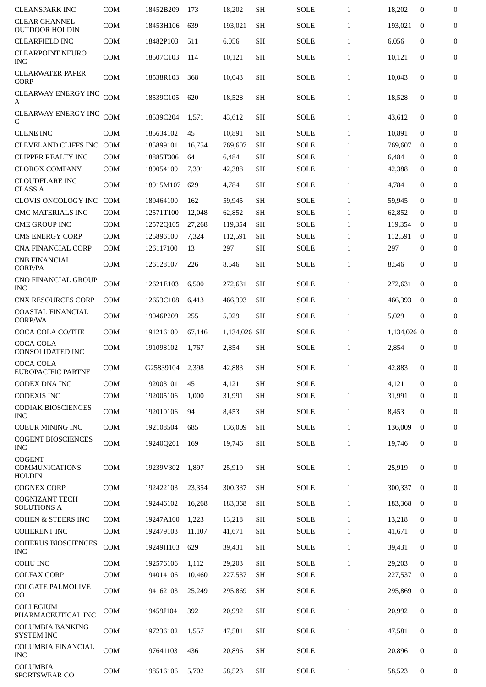| <b>CLEANSPARK INC</b>                         | <b>COM</b>                  | 18452B209 | 173    | 18,202       | <b>SH</b> | <b>SOLE</b> | $\mathbf{1}$ | 18,202      | $\mathbf{0}$     | $\boldsymbol{0}$ |
|-----------------------------------------------|-----------------------------|-----------|--------|--------------|-----------|-------------|--------------|-------------|------------------|------------------|
| <b>CLEAR CHANNEL</b><br><b>OUTDOOR HOLDIN</b> | <b>COM</b>                  | 18453H106 | 639    | 193,021      | <b>SH</b> | <b>SOLE</b> | $\mathbf{1}$ | 193,021     | $\mathbf{0}$     | $\boldsymbol{0}$ |
| <b>CLEARFIELD INC</b>                         | <b>COM</b>                  | 18482P103 | 511    | 6,056        | <b>SH</b> | <b>SOLE</b> | $\mathbf{1}$ | 6,056       | $\mathbf{0}$     | $\boldsymbol{0}$ |
| <b>CLEARPOINT NEURO</b><br><b>INC</b>         | <b>COM</b>                  | 18507C103 | 114    | 10,121       | <b>SH</b> | SOLE        | $\mathbf{1}$ | 10,121      | $\mathbf{0}$     | $\boldsymbol{0}$ |
| <b>CLEARWATER PAPER</b><br><b>CORP</b>        | <b>COM</b>                  | 18538R103 | 368    | 10,043       | <b>SH</b> | SOLE        | $\mathbf{1}$ | 10,043      | $\mathbf{0}$     | $\boldsymbol{0}$ |
| <b>CLEARWAY ENERGY INC</b><br>A               | <b>COM</b>                  | 18539C105 | 620    | 18,528       | <b>SH</b> | SOLE        | $\mathbf{1}$ | 18,528      | $\mathbf{0}$     | 0                |
| <b>CLEARWAY ENERGY INC</b><br>C               | COM                         | 18539C204 | 1,571  | 43,612       | <b>SH</b> | SOLE        | $\mathbf{1}$ | 43,612      | $\mathbf{0}$     | 0                |
| <b>CLENE INC</b>                              | <b>COM</b>                  | 185634102 | 45     | 10,891       | <b>SH</b> | <b>SOLE</b> | $\mathbf{1}$ | 10,891      | $\boldsymbol{0}$ | $\boldsymbol{0}$ |
| <b>CLEVELAND CLIFFS INC</b>                   | COM                         | 185899101 | 16,754 | 769,607      | <b>SH</b> | <b>SOLE</b> | $\mathbf{1}$ | 769,607     | $\bf{0}$         | $\bf{0}$         |
| <b>CLIPPER REALTY INC</b>                     | <b>COM</b>                  | 18885T306 | 64     | 6,484        | <b>SH</b> | <b>SOLE</b> | $\mathbf{1}$ | 6,484       | $\mathbf{0}$     | $\boldsymbol{0}$ |
| <b>CLOROX COMPANY</b>                         | <b>COM</b>                  | 189054109 | 7,391  | 42,388       | <b>SH</b> | SOLE        | $\mathbf{1}$ | 42,388      | 0                | 0                |
| <b>CLOUDFLARE INC</b><br><b>CLASS A</b>       | COM                         | 18915M107 | 629    | 4,784        | <b>SH</b> | SOLE        | $\mathbf{1}$ | 4,784       | $\boldsymbol{0}$ | $\boldsymbol{0}$ |
| CLOVIS ONCOLOGY INC                           | <b>COM</b>                  | 189464100 | 162    | 59,945       | <b>SH</b> | <b>SOLE</b> | $\mathbf{1}$ | 59,945      | $\boldsymbol{0}$ | $\boldsymbol{0}$ |
| <b>CMC MATERIALS INC</b>                      | <b>COM</b>                  | 12571T100 | 12,048 | 62,852       | <b>SH</b> | <b>SOLE</b> | $\mathbf{1}$ | 62,852      | $\mathbf{0}$     | 0                |
| <b>CME GROUP INC</b>                          | <b>COM</b>                  | 12572Q105 | 27,268 | 119,354      | <b>SH</b> | <b>SOLE</b> | $\mathbf{1}$ | 119,354     | $\bf{0}$         | $\boldsymbol{0}$ |
| <b>CMS ENERGY CORP</b>                        | <b>COM</b>                  | 125896100 | 7,324  | 112,591      | <b>SH</b> | <b>SOLE</b> | $\mathbf{1}$ | 112,591     | $\bf{0}$         | $\boldsymbol{0}$ |
| <b>CNA FINANCIAL CORP</b>                     | <b>COM</b>                  | 126117100 | 13     | 297          | <b>SH</b> | <b>SOLE</b> | $\mathbf{1}$ | 297         | 0                | $\boldsymbol{0}$ |
| <b>CNB FINANCIAL</b><br><b>CORP/PA</b>        | <b>COM</b>                  | 126128107 | 226    | 8,546        | <b>SH</b> | SOLE        | $\mathbf{1}$ | 8,546       | $\mathbf{0}$     | $\mathbf{0}$     |
| CNO FINANCIAL GROUP<br><b>INC</b>             | <b>COM</b>                  | 12621E103 | 6,500  | 272,631      | <b>SH</b> | SOLE        | $\mathbf{1}$ | 272,631     | $\bf{0}$         | $\mathbf{0}$     |
| <b>CNX RESOURCES CORP</b>                     | <b>COM</b>                  | 12653C108 | 6,413  | 466,393      | <b>SH</b> | <b>SOLE</b> | $\mathbf{1}$ | 466,393     | $\mathbf{0}$     | $\boldsymbol{0}$ |
| <b>COASTAL FINANCIAL</b><br>CORP/WA           | <b>COM</b>                  | 19046P209 | 255    | 5,029        | <b>SH</b> | <b>SOLE</b> | $\mathbf{1}$ | 5,029       | $\boldsymbol{0}$ | 0                |
| COCA COLA CO/THE                              | <b>COM</b>                  | 191216100 | 67,146 | 1,134,026 SH |           | SOLE        | $\mathbf{1}$ | 1,134,026 0 |                  | $\boldsymbol{0}$ |
| <b>COCA COLA</b><br>CONSOLIDATED INC          | <b>COM</b>                  | 191098102 | 1,767  | 2,854        | <b>SH</b> | <b>SOLE</b> | $\mathbf{1}$ | 2,854       | $\boldsymbol{0}$ | 0                |
| <b>COCA COLA</b><br>EUROPACIFIC PARTNE        | COM                         | G25839104 | 2,398  | 42.883       | <b>SH</b> | SOLE        | 1            | 42,883      | $\mathbf{0}$     | $\mathbf{0}$     |
| <b>CODEX DNA INC</b>                          | <b>COM</b>                  | 192003101 | 45     | 4,121        | <b>SH</b> | <b>SOLE</b> | $\mathbf{1}$ | 4,121       | $\bf{0}$         | $\mathbf{0}$     |
| <b>CODEXIS INC</b>                            | <b>COM</b>                  | 192005106 | 1,000  | 31,991       | <b>SH</b> | <b>SOLE</b> | $\mathbf{1}$ | 31,991      | $\mathbf{0}$     | $\overline{0}$   |
| <b>CODIAK BIOSCIENCES</b><br><b>INC</b>       | <b>COM</b>                  | 192010106 | 94     | 8,453        | <b>SH</b> | <b>SOLE</b> | $\mathbf{1}$ | 8.453       | $\mathbf{0}$     | 0                |
| <b>COEUR MINING INC</b>                       | <b>COM</b>                  | 192108504 | 685    | 136,009      | <b>SH</b> | <b>SOLE</b> | $\mathbf{1}$ | 136,009     | $\mathbf 0$      | $\boldsymbol{0}$ |
| <b>COGENT BIOSCIENCES</b><br><b>INC</b>       | $\mathop{\rm COM}\nolimits$ | 19240Q201 | 169    | 19,746       | <b>SH</b> | <b>SOLE</b> | $\mathbf{1}$ | 19,746      | $\mathbf{0}$     | $\boldsymbol{0}$ |
| <b>COGENT</b><br><b>COMMUNICATIONS</b>        | <b>COM</b>                  | 19239V302 | 1,897  | 25,919       | <b>SH</b> | SOLE        | $\mathbf{1}$ | 25,919      | $\mathbf{0}$     | $\boldsymbol{0}$ |
| <b>HOLDIN</b>                                 |                             |           |        |              |           |             |              |             |                  |                  |
| <b>COGNEX CORP</b><br><b>COGNIZANT TECH</b>   | <b>COM</b>                  | 192422103 | 23,354 | 300,337      | <b>SH</b> | SOLE        | $\mathbf{1}$ | 300,337     | $\mathbf{0}$     | $\boldsymbol{0}$ |
| <b>SOLUTIONS A</b>                            | <b>COM</b>                  | 192446102 | 16,268 | 183,368      | <b>SH</b> | <b>SOLE</b> | $\mathbf{1}$ | 183,368     | $\bf{0}$         | $\boldsymbol{0}$ |
| <b>COHEN &amp; STEERS INC</b>                 | <b>COM</b>                  | 19247A100 | 1,223  | 13,218       | <b>SH</b> | <b>SOLE</b> | $\mathbf{1}$ | 13,218      | $\mathbf{0}$     | $\boldsymbol{0}$ |
| <b>COHERENT INC</b>                           | <b>COM</b>                  | 192479103 | 11,107 | 41,671       | <b>SH</b> | SOLE        | $\mathbf{1}$ | 41,671      | 0                | $\boldsymbol{0}$ |
| <b>COHERUS BIOSCIENCES</b><br><b>INC</b>      | COM                         | 19249H103 | 629    | 39,431       | <b>SH</b> | SOLE        | $\mathbf{1}$ | 39,431      | $\boldsymbol{0}$ | 0                |
| <b>COHU INC</b>                               | <b>COM</b>                  | 192576106 | 1,112  | 29,203       | <b>SH</b> | <b>SOLE</b> | $\mathbf{1}$ | 29,203      | $\mathbf{0}$     | $\mathbf{0}$     |
| <b>COLFAX CORP</b>                            | COM                         | 194014106 | 10,460 | 227,537      | <b>SH</b> | SOLE        | $\mathbf{1}$ | 227,537     | $\bf{0}$         | $\boldsymbol{0}$ |
| COLGATE PALMOLIVE<br>CO                       | <b>COM</b>                  | 194162103 | 25,249 | 295,869      | <b>SH</b> | <b>SOLE</b> | $\mathbf{1}$ | 295,869     | $\mathbf{0}$     | $\mathbf{0}$     |
| COLLEGIUM<br>PHARMACEUTICAL INC               | <b>COM</b>                  | 19459J104 | 392    | 20,992       | <b>SH</b> | <b>SOLE</b> | $\mathbf{1}$ | 20,992      | $\mathbf{0}$     | $\overline{0}$   |
| <b>COLUMBIA BANKING</b><br><b>SYSTEM INC</b>  | $\mathop{\rm COM}\nolimits$ | 197236102 | 1,557  | 47,581       | <b>SH</b> | <b>SOLE</b> | $\mathbf{1}$ | 47,581      | $\mathbf{0}$     | $\overline{0}$   |
| COLUMBIA FINANCIAL<br><b>INC</b>              | <b>COM</b>                  | 197641103 | 436    | 20,896       | <b>SH</b> | SOLE        | $\mathbf{1}$ | 20,896      | $\boldsymbol{0}$ | $\boldsymbol{0}$ |
| COLUMBIA<br>SPORTSWEAR CO                     | $\mathop{\rm COM}\nolimits$ | 198516106 | 5,702  | 58,523       | <b>SH</b> | SOLE        | $\mathbf{1}$ | 58,523      | $\bf{0}$         | $\boldsymbol{0}$ |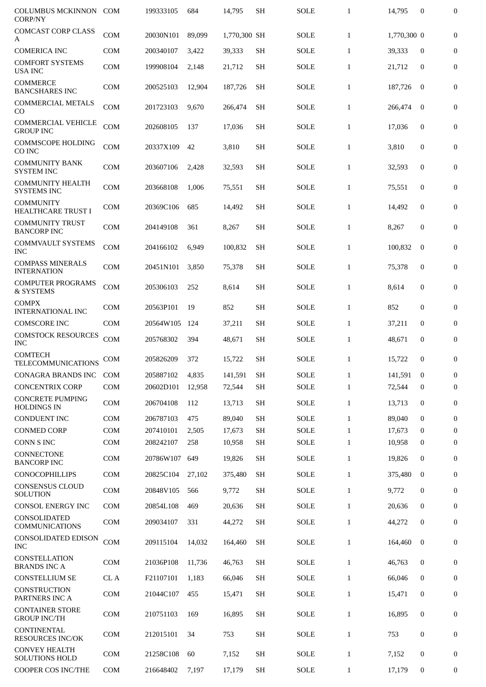| <b>COLUMBUS MCKINNON</b><br><b>CORP/NY</b>    | <b>COM</b> | 199333105 | 684    | 14.795       | <b>SH</b> | <b>SOLE</b> | $\mathbf{1}$ | 14,795      | $\mathbf{0}$     | $\boldsymbol{0}$ |
|-----------------------------------------------|------------|-----------|--------|--------------|-----------|-------------|--------------|-------------|------------------|------------------|
| <b>COMCAST CORP CLASS</b><br>A                | <b>COM</b> | 20030N101 | 89,099 | 1,770,300 SH |           | <b>SOLE</b> | $\mathbf{1}$ | 1,770,300 0 |                  | $\mathbf{0}$     |
| <b>COMERICA INC</b>                           | <b>COM</b> | 200340107 | 3,422  | 39,333       | <b>SH</b> | SOLE        | $\mathbf{1}$ | 39,333      | $\mathbf{0}$     | $\mathbf{0}$     |
| <b>COMFORT SYSTEMS</b><br><b>USA INC</b>      | <b>COM</b> | 199908104 | 2,148  | 21,712       | <b>SH</b> | <b>SOLE</b> | $\mathbf{1}$ | 21,712      | $\boldsymbol{0}$ | 0                |
| <b>COMMERCE</b><br><b>BANCSHARES INC</b>      | COM        | 200525103 | 12,904 | 187,726      | <b>SH</b> | <b>SOLE</b> | $\mathbf{1}$ | 187,726     | $\bf{0}$         | $\boldsymbol{0}$ |
| <b>COMMERCIAL METALS</b><br>CO                | <b>COM</b> | 201723103 | 9,670  | 266,474      | <b>SH</b> | SOLE        | $\mathbf{1}$ | 266,474     | $\bf{0}$         | $\mathbf{0}$     |
| COMMERCIAL VEHICLE<br><b>GROUP INC</b>        | <b>COM</b> | 202608105 | 137    | 17,036       | <b>SH</b> | SOLE        | $\mathbf{1}$ | 17,036      | $\mathbf{0}$     | $\boldsymbol{0}$ |
| COMMSCOPE HOLDING<br>CO INC                   | <b>COM</b> | 20337X109 | 42     | 3,810        | <b>SH</b> | SOLE        | $\mathbf{1}$ | 3,810       | $\mathbf{0}$     | $\mathbf{0}$     |
| <b>COMMUNITY BANK</b><br><b>SYSTEM INC</b>    | <b>COM</b> | 203607106 | 2,428  | 32,593       | <b>SH</b> | SOLE        | $\mathbf{1}$ | 32,593      | $\mathbf{0}$     | $\mathbf{0}$     |
| <b>COMMUNITY HEALTH</b><br><b>SYSTEMS INC</b> | COM        | 203668108 | 1,006  | 75,551       | <b>SH</b> | SOLE        | $\mathbf{1}$ | 75,551      | $\mathbf{0}$     | $\mathbf{0}$     |
| <b>COMMUNITY</b><br>HEALTHCARE TRUST I        | <b>COM</b> | 20369C106 | 685    | 14,492       | SH        | SOLE        | $\mathbf{1}$ | 14,492      | $\mathbf{0}$     | $\mathbf{0}$     |
| <b>COMMUNITY TRUST</b><br><b>BANCORP INC</b>  | <b>COM</b> | 204149108 | 361    | 8,267        | <b>SH</b> | <b>SOLE</b> | $\mathbf{1}$ | 8,267       | $\mathbf{0}$     | $\mathbf{0}$     |
| <b>COMMVAULT SYSTEMS</b><br><b>INC</b>        | COM        | 204166102 | 6,949  | 100,832      | SН        | <b>SOLE</b> | $\mathbf{1}$ | 100,832     | $\mathbf{0}$     | 0                |
| <b>COMPASS MINERALS</b><br><b>INTERNATION</b> | <b>COM</b> | 20451N101 | 3,850  | 75,378       | <b>SH</b> | <b>SOLE</b> | $\mathbf{1}$ | 75,378      | $\mathbf{0}$     | $\boldsymbol{0}$ |
| <b>COMPUTER PROGRAMS</b><br>& SYSTEMS         | COM        | 205306103 | 252    | 8,614        | <b>SH</b> | <b>SOLE</b> | $\mathbf{1}$ | 8,614       | 0                | 0                |
| <b>COMPX</b><br><b>INTERNATIONAL INC</b>      | COM        | 20563P101 | 19     | 852          | <b>SH</b> | <b>SOLE</b> | $\mathbf{1}$ | 852         | $\mathbf{0}$     | $\mathbf{0}$     |
| <b>COMSCORE INC</b>                           | <b>COM</b> | 20564W105 | 124    | 37,211       | <b>SH</b> | SOLE        | $\mathbf{1}$ | 37,211      | $\mathbf{0}$     | $\overline{0}$   |
| <b>COMSTOCK RESOURCES</b><br><b>INC</b>       | COM        | 205768302 | 394    | 48,671       | <b>SH</b> | <b>SOLE</b> | $\mathbf{1}$ | 48,671      | $\mathbf{0}$     | $\boldsymbol{0}$ |
| <b>COMTECH</b><br><b>TELECOMMUNICATIONS</b>   | COM        | 205826209 | 372    | 15,722       | <b>SH</b> | <b>SOLE</b> | $\mathbf{1}$ | 15,722      | $\mathbf{0}$     | $\boldsymbol{0}$ |
| <b>CONAGRA BRANDS INC</b>                     | <b>COM</b> | 205887102 | 4,835  | 141,591      | <b>SH</b> | SOLE        | $\mathbf{1}$ | 141,591     | $\boldsymbol{0}$ | $\mathbf{0}$     |
| <b>CONCENTRIX CORP</b>                        | COM        | 20602D101 | 12,958 | 72,544       | <b>SH</b> | SOLE        | $\mathbf{1}$ | 72,544      | $\mathbf{0}$     | $\boldsymbol{0}$ |
| <b>CONCRETE PUMPING</b><br><b>HOLDINGS IN</b> | <b>COM</b> | 206704108 | 112    | 13,713       | <b>SH</b> | <b>SOLE</b> | $\mathbf{1}$ | 13,713      | $\mathbf{0}$     | $\boldsymbol{0}$ |
| <b>CONDUENT INC</b>                           | COM        | 206787103 | 475    | 89,040       | <b>SH</b> | <b>SOLE</b> | $\mathbf{1}$ | 89,040      | $\mathbf{0}$     | $\boldsymbol{0}$ |
| <b>CONMED CORP</b>                            | COM        | 207410101 | 2,505  | 17,673       | <b>SH</b> | SOLE        | $\mathbf{1}$ | 17,673      | $\mathbf{0}$     | $\boldsymbol{0}$ |
| <b>CONN S INC</b>                             | COM        | 208242107 | 258    | 10,958       | <b>SH</b> | <b>SOLE</b> | $\mathbf{1}$ | 10,958      | $\boldsymbol{0}$ | 0                |
| CONNECTONE<br><b>BANCORP INC</b>              | COM        | 20786W107 | 649    | 19,826       | <b>SH</b> | SOLE        | $\mathbf{1}$ | 19,826      | $\boldsymbol{0}$ | $\boldsymbol{0}$ |
| <b>CONOCOPHILLIPS</b>                         | COM        | 20825C104 | 27,102 | 375,480      | SH        | SOLE        | $\mathbf{1}$ | 375,480     | $\bf{0}$         | $\overline{0}$   |
| <b>CONSENSUS CLOUD</b><br><b>SOLUTION</b>     | COM        | 20848V105 | 566    | 9,772        | SH        | SOLE        | $\mathbf{1}$ | 9,772       | $\boldsymbol{0}$ | 0                |
| CONSOL ENERGY INC                             | COM        | 20854L108 | 469    | 20,636       | <b>SH</b> | SOLE        | $\mathbf{1}$ | 20,636      | $\mathbf{0}$     | $\boldsymbol{0}$ |
| CONSOLIDATED<br><b>COMMUNICATIONS</b>         | COM        | 209034107 | 331    | 44,272       | <b>SH</b> | <b>SOLE</b> | $\mathbf{1}$ | 44,272      | $\boldsymbol{0}$ | 0                |
| CONSOLIDATED EDISON<br><b>INC</b>             | COM        | 209115104 | 14,032 | 164,460      | <b>SH</b> | <b>SOLE</b> | $\mathbf{1}$ | 164,460     | $\mathbf{0}$     | $\boldsymbol{0}$ |
| <b>CONSTELLATION</b><br><b>BRANDS INC A</b>   | <b>COM</b> | 21036P108 | 11,736 | 46,763       | <b>SH</b> | SOLE        | $\mathbf{1}$ | 46,763      | $\boldsymbol{0}$ | $\overline{0}$   |
| <b>CONSTELLIUM SE</b>                         | CL A       | F21107101 | 1,183  | 66,046       | <b>SH</b> | SOLE        | $\mathbf{1}$ | 66,046      | $\mathbf{0}$     | $\boldsymbol{0}$ |
| CONSTRUCTION<br>PARTNERS INC A                | <b>COM</b> | 21044C107 | 455    | 15,471       | <b>SH</b> | <b>SOLE</b> | $\mathbf{1}$ | 15,471      | $\boldsymbol{0}$ | $\boldsymbol{0}$ |
| <b>CONTAINER STORE</b><br><b>GROUP INC/TH</b> | COM        | 210751103 | 169    | 16,895       | <b>SH</b> | <b>SOLE</b> | $\mathbf{1}$ | 16,895      | $\bf{0}$         | $\boldsymbol{0}$ |
| CONTINENTAL<br><b>RESOURCES INC/OK</b>        | COM        | 212015101 | 34     | 753          | <b>SH</b> | <b>SOLE</b> | $\mathbf{1}$ | 753         | $\bf{0}$         | $\boldsymbol{0}$ |
| <b>CONVEY HEALTH</b><br><b>SOLUTIONS HOLD</b> | COM        | 21258C108 | 60     | 7,152        | <b>SH</b> | SOLE        | $\mathbf{1}$ | 7,152       | $\bf{0}$         | $\boldsymbol{0}$ |
| COOPER COS INC/THE                            | COM        | 216648402 | 7,197  | 17,179       | <b>SH</b> | <b>SOLE</b> | $\mathbf{1}$ | 17,179      | $\bf{0}$         | $\bf{0}$         |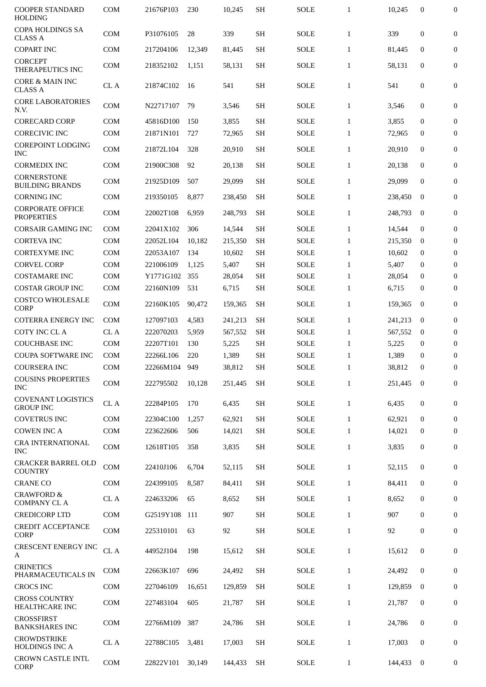| <b>COOPER STANDARD</b><br><b>HOLDING</b>      | <b>COM</b>   | 21676P103 | 230    | 10,245  | <b>SH</b> | <b>SOLE</b> | $\mathbf{1}$ | 10,245  | $\mathbf{0}$     | $\boldsymbol{0}$ |
|-----------------------------------------------|--------------|-----------|--------|---------|-----------|-------------|--------------|---------|------------------|------------------|
| <b>COPA HOLDINGS SA</b><br><b>CLASS A</b>     | <b>COM</b>   | P31076105 | 28     | 339     | SH        | <b>SOLE</b> | $\mathbf{1}$ | 339     | $\mathbf{0}$     | $\mathbf{0}$     |
| <b>COPART INC</b>                             | <b>COM</b>   | 217204106 | 12,349 | 81,445  | <b>SH</b> | <b>SOLE</b> | $\mathbf{1}$ | 81.445  | $\mathbf{0}$     | $\boldsymbol{0}$ |
| <b>CORCEPT</b><br>THERAPEUTICS INC            | <b>COM</b>   | 218352102 | 1,151  | 58,131  | <b>SH</b> | SOLE        | $\mathbf{1}$ | 58,131  | $\mathbf{0}$     | $\boldsymbol{0}$ |
| <b>CORE &amp; MAIN INC</b><br><b>CLASS A</b>  | CL A         | 21874C102 | 16     | 541     | <b>SH</b> | SOLE        | $\mathbf{1}$ | 541     | 0                | $\mathbf{0}$     |
| <b>CORE LABORATORIES</b><br>N.V.              | <b>COM</b>   | N22717107 | 79     | 3,546   | <b>SH</b> | <b>SOLE</b> | $\mathbf{1}$ | 3,546   | $\mathbf{0}$     | $\mathbf{0}$     |
| <b>CORECARD CORP</b>                          | <b>COM</b>   | 45816D100 | 150    | 3,855   | SH        | <b>SOLE</b> | $\mathbf{1}$ | 3,855   | 0                | $\mathbf{0}$     |
| <b>CORECIVIC INC</b>                          | <b>COM</b>   | 21871N101 | 727    | 72,965  | <b>SH</b> | <b>SOLE</b> | $\mathbf{1}$ | 72,965  | $\mathbf{0}$     | $\boldsymbol{0}$ |
| COREPOINT LODGING<br><b>INC</b>               | <b>COM</b>   | 21872L104 | 328    | 20,910  | <b>SH</b> | <b>SOLE</b> | $\mathbf{1}$ | 20,910  | $\mathbf{0}$     | $\mathbf{0}$     |
| <b>CORMEDIX INC</b>                           | <b>COM</b>   | 21900C308 | 92     | 20,138  | <b>SH</b> | SOLE        | $\mathbf{1}$ | 20,138  | $\mathbf{0}$     | $\mathbf{0}$     |
| <b>CORNERSTONE</b><br><b>BUILDING BRANDS</b>  | <b>COM</b>   | 21925D109 | 507    | 29,099  | <b>SH</b> | SOLE        | $\mathbf{1}$ | 29,099  | $\mathbf{0}$     | $\mathbf{0}$     |
| <b>CORNING INC</b>                            | <b>COM</b>   | 219350105 | 8,877  | 238,450 | SH        | <b>SOLE</b> | $\mathbf{1}$ | 238,450 | $\bf{0}$         | $\mathbf{0}$     |
| <b>CORPORATE OFFICE</b><br><b>PROPERTIES</b>  | <b>COM</b>   | 22002T108 | 6,959  | 248,793 | <b>SH</b> | SOLE        | $\mathbf{1}$ | 248,793 | $\mathbf{0}$     | $\mathbf{0}$     |
| <b>CORSAIR GAMING INC</b>                     | <b>COM</b>   | 22041X102 | 306    | 14,544  | SH        | <b>SOLE</b> | $\mathbf{1}$ | 14,544  | $\mathbf{0}$     | $\mathbf{0}$     |
| <b>CORTEVA INC</b>                            | <b>COM</b>   | 22052L104 | 10,182 | 215,350 | <b>SH</b> | <b>SOLE</b> | $\mathbf{1}$ | 215,350 | $\bf{0}$         | $\mathbf{0}$     |
| <b>CORTEXYME INC</b>                          | <b>COM</b>   | 22053A107 | 134    | 10,602  | <b>SH</b> | <b>SOLE</b> | $\mathbf{1}$ | 10,602  | 0                | $\mathbf{0}$     |
| <b>CORVEL CORP</b>                            | <b>COM</b>   | 221006109 | 1,125  | 5,407   | SH        | <b>SOLE</b> | $\mathbf{1}$ | 5,407   | $\bf{0}$         | $\boldsymbol{0}$ |
| <b>COSTAMARE INC</b>                          | <b>COM</b>   | Y1771G102 | 355    | 28,054  | <b>SH</b> | <b>SOLE</b> | $\mathbf{1}$ | 28,054  | $\mathbf{0}$     | $\boldsymbol{0}$ |
| <b>COSTAR GROUP INC</b>                       | <b>COM</b>   | 22160N109 | 531    | 6,715   | <b>SH</b> | <b>SOLE</b> | $\mathbf{1}$ | 6,715   | 0                | $\mathbf{0}$     |
| <b>COSTCO WHOLESALE</b><br><b>CORP</b>        | <b>COM</b>   | 22160K105 | 90,472 | 159,365 | <b>SH</b> | <b>SOLE</b> | $\mathbf{1}$ | 159,365 | $\bf{0}$         | $\boldsymbol{0}$ |
| <b>COTERRA ENERGY INC</b>                     | <b>COM</b>   | 127097103 | 4,583  | 241,213 | <b>SH</b> | <b>SOLE</b> | $\mathbf{1}$ | 241,213 | $\mathbf{0}$     | $\boldsymbol{0}$ |
| <b>COTY INC CLA</b>                           | CL A         | 222070203 | 5,959  | 567,552 | <b>SH</b> | <b>SOLE</b> | $\mathbf{1}$ | 567,552 | $\bf{0}$         | $\mathbf{0}$     |
| <b>COUCHBASE INC</b>                          | <b>COM</b>   | 22207T101 | 130    | 5,225   | <b>SH</b> | <b>SOLE</b> | $\mathbf{1}$ | 5,225   | $\bf{0}$         | 0                |
| <b>COUPA SOFTWARE INC</b>                     | <b>COM</b>   | 22266L106 | 220    | 1,389   | <b>SH</b> | <b>SOLE</b> | $\mathbf{1}$ | 1,389   | 0                | $\boldsymbol{0}$ |
| <b>COURSERA INC</b>                           | COM          | 22266M104 | 949    | 38,812  | <b>SH</b> | <b>SOLE</b> | 1            | 38,812  | $\Omega$         | $\Omega$         |
| <b>COUSINS PROPERTIES</b><br><b>INC</b>       | COM          | 222795502 | 10,128 | 251,445 | <b>SH</b> | <b>SOLE</b> | $\mathbf{1}$ | 251,445 | $\bf{0}$         | $\boldsymbol{0}$ |
| <b>COVENANT LOGISTICS</b><br><b>GROUP INC</b> | $\rm CL~A$   | 22284P105 | 170    | 6,435   | <b>SH</b> | SOLE        | $\mathbf{1}$ | 6,435   | $\boldsymbol{0}$ | $\mathbf{0}$     |
| <b>COVETRUS INC</b>                           | <b>COM</b>   | 22304C100 | 1,257  | 62,921  | <b>SH</b> | <b>SOLE</b> | $\mathbf{1}$ | 62,921  | $\mathbf{0}$     | $\boldsymbol{0}$ |
| <b>COWEN INC A</b>                            | <b>COM</b>   | 223622606 | 506    | 14,021  | <b>SH</b> | SOLE        | $\mathbf{1}$ | 14,021  | $\bf{0}$         | $\boldsymbol{0}$ |
| CRA INTERNATIONAL<br><b>INC</b>               | COM          | 12618T105 | 358    | 3,835   | <b>SH</b> | SOLE        | $\mathbf{1}$ | 3,835   | $\boldsymbol{0}$ | $\boldsymbol{0}$ |
| <b>CRACKER BARREL OLD</b><br><b>COUNTRY</b>   | COM          | 22410J106 | 6,704  | 52,115  | <b>SH</b> | SOLE        | $\mathbf{1}$ | 52,115  | $\boldsymbol{0}$ | $\overline{0}$   |
| <b>CRANE CO</b>                               | COM          | 224399105 | 8,587  | 84,411  | <b>SH</b> | SOLE        | $\mathbf{1}$ | 84,411  | $\mathbf{0}$     | $\boldsymbol{0}$ |
| <b>CRAWFORD &amp;</b><br><b>COMPANY CL A</b>  | CL A         | 224633206 | 65     | 8,652   | <b>SH</b> | SOLE        | $\mathbf{1}$ | 8,652   | $\boldsymbol{0}$ | 0                |
| <b>CREDICORP LTD</b>                          | COM          | G2519Y108 | 111    | 907     | <b>SH</b> | SOLE        | $\mathbf{1}$ | 907     | $\bf{0}$         | $\boldsymbol{0}$ |
| <b>CREDIT ACCEPTANCE</b><br><b>CORP</b>       | COM          | 225310101 | 63     | 92      | <b>SH</b> | SOLE        | $\mathbf{1}$ | 92      | $\bf{0}$         | 0                |
| <b>CRESCENT ENERGY INC</b><br>A               | ${\rm CL}$ A | 44952J104 | 198    | 15,612  | <b>SH</b> | SOLE        | $\mathbf{1}$ | 15,612  | $\mathbf{0}$     | $\bf{0}$         |
| <b>CRINETICS</b><br>PHARMACEUTICALS IN        | <b>COM</b>   | 22663K107 | 696    | 24,492  | <b>SH</b> | SOLE        | $\mathbf{1}$ | 24,492  | $\mathbf{0}$     | $\overline{0}$   |
| <b>CROCS INC</b>                              | <b>COM</b>   | 227046109 | 16,651 | 129,859 | <b>SH</b> | SOLE        | $\mathbf{1}$ | 129,859 | $\bf{0}$         | 0                |
| <b>CROSS COUNTRY</b><br>HEALTHCARE INC        | COM          | 227483104 | 605    | 21,787  | <b>SH</b> | SOLE        | $\mathbf{1}$ | 21,787  | $\boldsymbol{0}$ | $\boldsymbol{0}$ |
| <b>CROSSFIRST</b><br><b>BANKSHARES INC</b>    | <b>COM</b>   | 22766M109 | 387    | 24,786  | <b>SH</b> | SOLE        | $\mathbf{1}$ | 24,786  | $\boldsymbol{0}$ | $\boldsymbol{0}$ |
| <b>CROWDSTRIKE</b><br><b>HOLDINGS INC A</b>   | CL A         | 22788C105 | 3,481  | 17,003  | <b>SH</b> | SOLE        | $\mathbf{1}$ | 17,003  | $\mathbf{0}$     | 0                |
| <b>CROWN CASTLE INTL</b><br>CORP              | <b>COM</b>   | 22822V101 | 30,149 | 144,433 | SH        | SOLE        | $\mathbf{1}$ | 144,433 | $\bf{0}$         | 0                |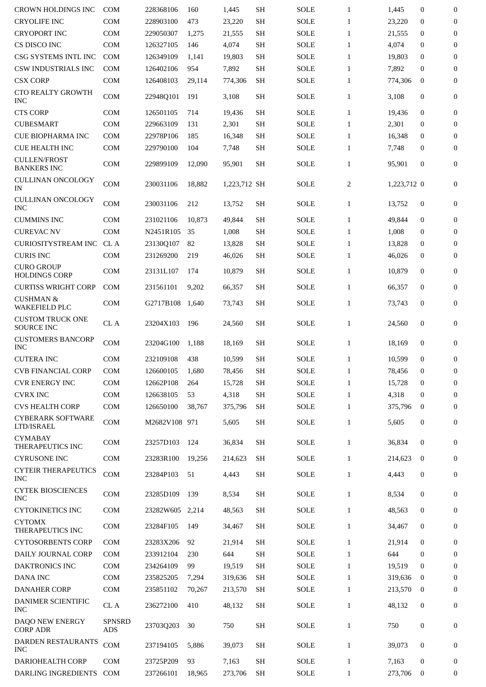| <b>CROWN HOLDINGS INC</b>                    | <b>COM</b>           | 228368106       | 160    | 1,445        | <b>SH</b>           | <b>SOLE</b> | $\mathbf{1}$ | 1,445       | $\mathbf{0}$     | $\boldsymbol{0}$ |
|----------------------------------------------|----------------------|-----------------|--------|--------------|---------------------|-------------|--------------|-------------|------------------|------------------|
| <b>CRYOLIFE INC</b>                          | <b>COM</b>           | 228903100       | 473    | 23,220       | <b>SH</b>           | <b>SOLE</b> | $\mathbf{1}$ | 23,220      | $\mathbf{0}$     | $\boldsymbol{0}$ |
| <b>CRYOPORT INC</b>                          | <b>COM</b>           | 229050307       | 1,275  | 21,555       | <b>SH</b>           | <b>SOLE</b> | $\mathbf{1}$ | 21,555      | $\mathbf{0}$     | $\mathbf{0}$     |
| CS DISCO INC                                 | COM                  | 126327105       | 146    | 4,074        | <b>SH</b>           | <b>SOLE</b> | $\mathbf{1}$ | 4,074       | $\mathbf{0}$     | $\boldsymbol{0}$ |
| CSG SYSTEMS INTL INC                         | <b>COM</b>           | 126349109       | 1,141  | 19,803       | <b>SH</b>           | <b>SOLE</b> | $\mathbf{1}$ | 19,803      | $\mathbf{0}$     | $\boldsymbol{0}$ |
| CSW INDUSTRIALS INC                          | <b>COM</b>           | 126402106       | 954    | 7,892        | <b>SH</b>           | <b>SOLE</b> | $\mathbf{1}$ | 7,892       | $\mathbf{0}$     | $\mathbf{0}$     |
| <b>CSX CORP</b>                              | COM                  | 126408103       | 29,114 | 774,306      | <b>SH</b>           | <b>SOLE</b> | $\mathbf{1}$ | 774,306     | $\bf{0}$         | 0                |
| <b>CTO REALTY GROWTH</b><br><b>INC</b>       | <b>COM</b>           | 22948Q101       | 191    | 3,108        | <b>SH</b>           | <b>SOLE</b> | $\mathbf{1}$ | 3,108       | $\mathbf{0}$     | $\mathbf{0}$     |
| <b>CTS CORP</b>                              | COM                  | 126501105       | 714    | 19,436       | <b>SH</b>           | <b>SOLE</b> | $\mathbf{1}$ | 19,436      | $\mathbf{0}$     | $\mathbf{0}$     |
| <b>CUBESMART</b>                             | <b>COM</b>           | 229663109       | 131    | 2,301        | <b>SH</b>           | <b>SOLE</b> | $\mathbf{1}$ | 2,301       | $\mathbf{0}$     | $\mathbf{0}$     |
| <b>CUE BIOPHARMA INC</b>                     | <b>COM</b>           | 22978P106       | 185    | 16,348       | <b>SH</b>           | <b>SOLE</b> | $\mathbf{1}$ | 16,348      | $\mathbf{0}$     | $\mathbf{0}$     |
| <b>CUE HEALTH INC</b>                        | COM                  | 229790100       | 104    | 7,748        | <b>SH</b>           | SOLE        | $\mathbf{1}$ | 7,748       | $\mathbf{0}$     | $\mathbf{0}$     |
| <b>CULLEN/FROST</b><br><b>BANKERS INC</b>    | <b>COM</b>           | 229899109       | 12.090 | 95,901       | <b>SH</b>           | <b>SOLE</b> | $\mathbf{1}$ | 95,901      | $\mathbf{0}$     | $\boldsymbol{0}$ |
| CULLINAN ONCOLOGY<br>IN                      | <b>COM</b>           | 230031106       | 18,882 | 1,223,712 SH |                     | <b>SOLE</b> | 2            | 1,223,712 0 |                  | $\boldsymbol{0}$ |
| CULLINAN ONCOLOGY<br><b>INC</b>              | <b>COM</b>           | 230031106       | 212    | 13,752       | <b>SH</b>           | <b>SOLE</b> | $\mathbf{1}$ | 13.752      | $\boldsymbol{0}$ | $\boldsymbol{0}$ |
| <b>CUMMINS INC</b>                           | <b>COM</b>           | 231021106       | 10.873 | 49,844       | <b>SH</b>           | <b>SOLE</b> | $\mathbf{1}$ | 49,844      | $\mathbf{0}$     | $\mathbf{0}$     |
| <b>CUREVAC NV</b>                            | <b>COM</b>           | N2451R105       | 35     | 1,008        | <b>SH</b>           | <b>SOLE</b> | $\mathbf{1}$ | 1,008       | $\mathbf{0}$     | $\mathbf{0}$     |
| <b>CURIOSITYSTREAM INC</b>                   | CL A                 | 23130Q107       | 82     | 13,828       | <b>SH</b>           | <b>SOLE</b> | $\mathbf{1}$ | 13,828      | $\mathbf{0}$     | $\bf{0}$         |
| <b>CURIS INC</b>                             | <b>COM</b>           | 231269200       | 219    | 46,026       | <b>SH</b>           | <b>SOLE</b> | $\mathbf{1}$ | 46,026      | $\mathbf{0}$     | $\mathbf{0}$     |
| <b>CURO GROUP</b><br><b>HOLDINGS CORP</b>    | <b>COM</b>           | 23131L107       | 174    | 10,879       | <b>SH</b>           | <b>SOLE</b> | $\mathbf{1}$ | 10,879      | $\mathbf{0}$     | $\mathbf{0}$     |
| <b>CURTISS WRIGHT CORP</b>                   | <b>COM</b>           | 231561101       | 9,202  | 66,357       | <b>SH</b>           | <b>SOLE</b> | $\mathbf{1}$ | 66,357      | $\mathbf{0}$     | 0                |
| <b>CUSHMAN &amp;</b><br><b>WAKEFIELD PLC</b> | <b>COM</b>           | G2717B108       | 1,640  | 73,743       | <b>SH</b>           | SOLE        | $\mathbf{1}$ | 73,743      | $\mathbf{0}$     | $\mathbf{0}$     |
| <b>CUSTOM TRUCK ONE</b><br><b>SOURCE INC</b> | CL A                 | 23204X103       | 196    | 24,560       | SH                  | <b>SOLE</b> | $\mathbf{1}$ | 24,560      | $\mathbf{0}$     | $\mathbf{0}$     |
| <b>CUSTOMERS BANCORP</b><br><b>INC</b>       | <b>COM</b>           | 23204G100       | 1,188  | 18,169       | <b>SH</b>           | <b>SOLE</b> | $\mathbf{1}$ | 18,169      | $\mathbf{0}$     | 0                |
| <b>CUTERA INC</b>                            | <b>COM</b>           | 232109108       | 438    | 10,599       | <b>SH</b>           | <b>SOLE</b> | $\mathbf{1}$ | 10,599      | $\mathbf{0}$     | 0                |
| <b>CVB FINANCIAL CORP</b>                    | COM                  | 126600105 1,680 |        | 78,456       | $\operatorname{SH}$ | <b>SOLE</b> | $\mathbf{1}$ | 78,456      | $\overline{0}$   | $\bf{0}$         |
| <b>CVR ENERGY INC</b>                        | COM                  | 12662P108       | 264    | 15.728       | <b>SH</b>           | <b>SOLE</b> | $\mathbf{1}$ | 15,728      | $\bf{0}$         | $\boldsymbol{0}$ |
| <b>CVRX INC</b>                              | COM                  | 126638105       | 53     | 4,318        | <b>SH</b>           | <b>SOLE</b> | $\mathbf{1}$ | 4,318       | $\mathbf{0}$     | $\boldsymbol{0}$ |
| <b>CVS HEALTH CORP</b>                       | COM                  | 126650100       | 38,767 | 375,796      | <b>SH</b>           | <b>SOLE</b> | $\mathbf{1}$ | 375,796     | $\mathbf{0}$     | $\boldsymbol{0}$ |
| <b>CYBERARK SOFTWARE</b><br>LTD/ISRAEL       | COM                  | M2682V108 971   |        | 5,605        | <b>SH</b>           | <b>SOLE</b> | $\mathbf{1}$ | 5,605       | $\boldsymbol{0}$ | $\mathbf{0}$     |
| <b>CYMABAY</b><br>THERAPEUTICS INC           | COM                  | 23257D103       | 124    | 36,834       | <b>SH</b>           | <b>SOLE</b> | $\mathbf{1}$ | 36,834      | $\bf{0}$         | 0                |
| <b>CYRUSONE INC</b>                          | COM                  | 23283R100       | 19,256 | 214,623      | SH                  | <b>SOLE</b> | $\mathbf{1}$ | 214,623     | $\bf{0}$         | $\boldsymbol{0}$ |
| <b>CYTEIR THERAPEUTICS</b><br><b>INC</b>     | COM                  | 23284P103       | 51     | 4,443        | <b>SH</b>           | <b>SOLE</b> | $\mathbf{1}$ | 4,443       | $\bf{0}$         | $\bf{0}$         |
| <b>CYTEK BIOSCIENCES</b><br><b>INC</b>       | COM                  | 23285D109       | 139    | 8,534        | <b>SH</b>           | SOLE        | $\mathbf{1}$ | 8,534       | $\bf{0}$         | $\bf{0}$         |
| <b>CYTOKINETICS INC</b>                      | <b>COM</b>           | 23282W605       | 2,214  | 48,563       | <b>SH</b>           | <b>SOLE</b> | $\mathbf{1}$ | 48,563      | $\mathbf{0}$     | $\boldsymbol{0}$ |
| <b>CYTOMX</b><br>THERAPEUTICS INC            | <b>COM</b>           | 23284F105       | 149    | 34,467       | <b>SH</b>           | <b>SOLE</b> | $\mathbf{1}$ | 34,467      | $\bf{0}$         | $\boldsymbol{0}$ |
| <b>CYTOSORBENTS CORP</b>                     | <b>COM</b>           | 23283X206       | 92     | 21,914       | <b>SH</b>           | <b>SOLE</b> | $\mathbf{1}$ | 21,914      | $\mathbf{0}$     | $\boldsymbol{0}$ |
| DAILY JOURNAL CORP                           | COM                  | 233912104       | 230    | 644          | <b>SH</b>           | <b>SOLE</b> | $\mathbf{1}$ | 644         | $\mathbf{0}$     | $\mathbf{0}$     |
| DAKTRONICS INC                               | COM                  | 234264109       | 99     | 19,519       | <b>SH</b>           | SOLE        | $\mathbf{1}$ | 19,519      | $\mathbf{0}$     | $\boldsymbol{0}$ |
| DANA INC                                     | COM                  | 235825205       | 7,294  | 319,636      | <b>SH</b>           | <b>SOLE</b> | $\mathbf{1}$ | 319,636     | $\bf{0}$         | $\boldsymbol{0}$ |
| <b>DANAHER CORP</b>                          | COM                  | 235851102       | 70,267 | 213,570      | <b>SH</b>           | <b>SOLE</b> | $\mathbf{1}$ | 213,570     | $\bf{0}$         | $\boldsymbol{0}$ |
| DANIMER SCIENTIFIC<br><b>INC</b>             | CL A                 | 236272100       | 410    | 48,132       | <b>SH</b>           | <b>SOLE</b> | $\mathbf{1}$ | 48,132      | $\bf{0}$         | $\boldsymbol{0}$ |
| DAQO NEW ENERGY<br><b>CORP ADR</b>           | <b>SPNSRD</b><br>ADS | 23703Q203       | 30     | 750          | <b>SH</b>           | <b>SOLE</b> | $\mathbf{1}$ | 750         | $\boldsymbol{0}$ | 0                |
| DARDEN RESTAURANTS<br><b>INC</b>             | COM                  | 237194105       | 5.886  | 39,073       | <b>SH</b>           | <b>SOLE</b> | $\mathbf{1}$ | 39,073      | $\boldsymbol{0}$ | 0                |
| <b>DARIOHEALTH CORP</b>                      | <b>COM</b>           | 23725P209       | 93     | 7,163        | <b>SH</b>           | <b>SOLE</b> | $\mathbf{1}$ | 7,163       | $\bf{0}$         | 0                |
| DARLING INGREDIENTS                          | <b>COM</b>           | 237266101       | 18,965 | 273,706      | <b>SH</b>           | SOLE        | $\mathbf{1}$ | 273,706     | $\bf{0}$         | 0                |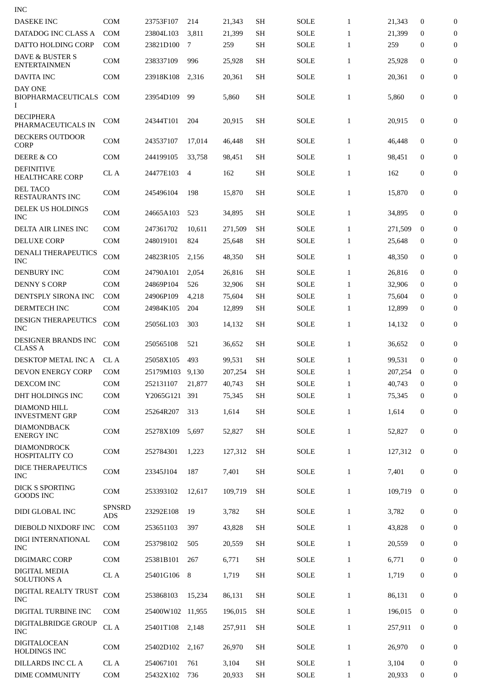| <b>INC</b>                                        |                   |                        |           |                 |                        |                            |                              |                 |                      |                       |
|---------------------------------------------------|-------------------|------------------------|-----------|-----------------|------------------------|----------------------------|------------------------------|-----------------|----------------------|-----------------------|
| <b>DASEKE INC</b>                                 | <b>COM</b>        | 23753F107              | 214       | 21,343          | <b>SH</b>              | <b>SOLE</b>                | $\mathbf{1}$                 | 21,343          | 0                    | $\mathbf{0}$          |
| DATADOG INC CLASS A                               | <b>COM</b>        | 23804L103              | 3,811     | 21,399          | <b>SH</b>              | <b>SOLE</b>                | $\mathbf{1}$                 | 21,399          | $\mathbf{0}$         | $\mathbf{0}$          |
| DATTO HOLDING CORP                                | <b>COM</b>        | 23821D100              | 7         | 259             | <b>SH</b>              | <b>SOLE</b>                | $\mathbf{1}$                 | 259             | 0                    | $\mathbf{0}$          |
| <b>DAVE &amp; BUSTER S</b><br><b>ENTERTAINMEN</b> | COM               | 238337109              | 996       | 25,928          | <b>SH</b>              | SOLE                       | $\mathbf{1}$                 | 25,928          | $\mathbf{0}$         | $\mathbf{0}$          |
| <b>DAVITA INC</b>                                 | <b>COM</b>        | 23918K108              | 2,316     | 20,361          | <b>SH</b>              | <b>SOLE</b>                | $\mathbf{1}$                 | 20,361          | $\mathbf{0}$         | $\boldsymbol{0}$      |
| <b>DAY ONE</b><br><b>BIOPHARMACEUTICALS</b><br>Ι  | <b>COM</b>        | 23954D109              | 99        | 5,860           | <b>SH</b>              | <b>SOLE</b>                | $\mathbf{1}$                 | 5,860           | 0                    | $\boldsymbol{0}$      |
| <b>DECIPHERA</b><br>PHARMACEUTICALS IN            | <b>COM</b>        | 24344T101              | 204       | 20,915          | <b>SH</b>              | SOLE                       | $\mathbf{1}$                 | 20,915          | $\mathbf{0}$         | $\boldsymbol{0}$      |
| DECKERS OUTDOOR<br><b>CORP</b>                    | COM               | 243537107              | 17,014    | 46,448          | <b>SH</b>              | SOLE                       | $\mathbf{1}$                 | 46,448          | $\mathbf{0}$         | $\boldsymbol{0}$      |
| DEERE & CO                                        | <b>COM</b>        | 244199105              | 33,758    | 98,451          | <b>SH</b>              | <b>SOLE</b>                | $\mathbf{1}$                 | 98,451          | 0                    | 0                     |
| <b>DEFINITIVE</b><br><b>HEALTHCARE CORP</b>       | CL A              | 24477E103              | 4         | 162             | <b>SH</b>              | <b>SOLE</b>                | $\mathbf{1}$                 | 162             | 0                    | 0                     |
| <b>DEL TACO</b><br><b>RESTAURANTS INC</b>         | <b>COM</b>        | 245496104              | 198       | 15,870          | <b>SH</b>              | SOLE                       | $\mathbf{1}$                 | 15,870          | $\mathbf{0}$         | $\mathbf{0}$          |
| DELEK US HOLDINGS<br><b>INC</b>                   | <b>COM</b>        | 24665A103              | 523       | 34,895          | <b>SH</b>              | <b>SOLE</b>                | $\mathbf{1}$                 | 34,895          | 0                    | 0                     |
| DELTA AIR LINES INC                               | <b>COM</b>        | 247361702              | 10,611    | 271,509         | <b>SH</b>              | <b>SOLE</b>                | $\mathbf{1}$                 | 271,509         | $\mathbf{0}$         | 0                     |
| <b>DELUXE CORP</b>                                | <b>COM</b>        | 248019101              | 824       | 25,648          | <b>SH</b>              | <b>SOLE</b>                | $\mathbf{1}$                 | 25,648          | 0                    | 0                     |
| <b>DENALI THERAPEUTICS</b><br><b>INC</b>          | <b>COM</b>        | 24823R105              | 2,156     | 48,350          | <b>SH</b>              | SOLE                       | $\mathbf{1}$                 | 48,350          | $\mathbf{0}$         | 0                     |
| <b>DENBURY INC</b>                                | <b>COM</b>        | 24790A101              | 2,054     | 26,816          | <b>SH</b>              | <b>SOLE</b>                | $\mathbf{1}$                 | 26,816          | $\mathbf{0}$         | $\boldsymbol{0}$      |
| <b>DENNY S CORP</b>                               | <b>COM</b>        | 24869P104              | 526       | 32,906          | <b>SH</b>              | <b>SOLE</b>                | $\mathbf{1}$                 | 32,906          | $\mathbf{0}$         | 0                     |
| DENTSPLY SIRONA INC                               | <b>COM</b>        | 24906P109              | 4,218     | 75,604          | <b>SH</b>              | <b>SOLE</b>                | $\mathbf{1}$                 | 75,604          | $\mathbf{0}$         | 0                     |
| <b>DERMTECH INC</b>                               | <b>COM</b>        | 24984K105              | 204       | 12,899          | SН                     | <b>SOLE</b>                | $\mathbf{1}$                 | 12,899          | 0                    | 0                     |
| <b>DESIGN THERAPEUTICS</b><br><b>INC</b>          | COM               | 25056L103              | 303       | 14,132          | <b>SH</b>              | <b>SOLE</b>                | $\mathbf{1}$                 | 14,132          | $\mathbf{0}$         | $\boldsymbol{0}$      |
| DESIGNER BRANDS INC<br><b>CLASS A</b>             | COM               | 250565108              | 521       | 36,652          | <b>SH</b>              | SOLE                       | $\mathbf{1}$                 | 36,652          | 0                    | 0                     |
| DESKTOP METAL INC A                               | CL A              | 25058X105              | 493       | 99,531          | <b>SH</b>              | <b>SOLE</b>                | $\mathbf{1}$                 | 99,531          | $\mathbf{0}$         | 0                     |
| DEVON ENERGY CORP                                 | <b>COM</b>        | 25179M103 9,130        |           | 207,254         | <b>SH</b>              | <b>SOLE</b>                | 1                            | 207,254         | $\bf{0}$             | $\Omega$              |
| DEXCOM INC                                        | <b>COM</b>        | 252131107              | 21,877    | 40,743          | SH                     | <b>SOLE</b>                | $\mathbf{1}$                 | 40.743          | $\bf{0}$             | $\boldsymbol{0}$      |
| DHT HOLDINGS INC                                  | COM               | Y2065G121              | 391       | 75,345          | <b>SH</b>              | SOLE                       | $\mathbf{1}$                 | 75.345          | $\bf{0}$             | 0                     |
| <b>DIAMOND HILL</b><br><b>INVESTMENT GRP</b>      | <b>COM</b>        | 25264R207              | 313       | 1,614           | <b>SH</b>              | <b>SOLE</b>                | $\mathbf{1}$                 | 1,614           | 0                    | 0                     |
| <b>DIAMONDBACK</b><br><b>ENERGY INC</b>           | COM               | 25278X109              | 5,697     | 52,827          | <b>SH</b>              | <b>SOLE</b>                | $\mathbf{1}$                 | 52,827          | $\mathbf{0}$         | 0                     |
| <b>DIAMONDROCK</b><br>HOSPITALITY CO              | COM               | 252784301              | 1,223     | 127,312         | <b>SH</b>              | <b>SOLE</b>                | $\mathbf{1}$                 | 127,312         | $\bf{0}$             | 0                     |
| DICE THERAPEUTICS                                 | COM               | 23345J104              | 187       | 7,401           | SH                     | <b>SOLE</b>                | $\mathbf{1}$                 | 7,401           | $\boldsymbol{0}$     | 0                     |
| <b>INC</b><br><b>DICK S SPORTING</b>              | COM               | 253393102              | 12,617    | 109,719         | <b>SH</b>              | <b>SOLE</b>                | $\mathbf{1}$                 | 109,719         | $\bf{0}$             | 0                     |
| <b>GOODS INC</b>                                  | <b>SPNSRD</b>     |                        |           |                 |                        |                            |                              |                 |                      |                       |
| DIDI GLOBAL INC<br>DIEBOLD NIXDORF INC            | <b>ADS</b><br>COM | 23292E108<br>253651103 | 19<br>397 | 3,782<br>43,828 | <b>SH</b><br><b>SH</b> | <b>SOLE</b><br><b>SOLE</b> | $\mathbf{1}$<br>$\mathbf{1}$ | 3,782<br>43,828 | $\bf{0}$<br>$\bf{0}$ | 0<br>$\boldsymbol{0}$ |
| DIGI INTERNATIONAL                                |                   |                        |           |                 |                        |                            |                              |                 |                      |                       |
| <b>INC</b>                                        | COM               | 253798102              | 505       | 20,559          | <b>SH</b>              | <b>SOLE</b>                | $\mathbf{1}$                 | 20,559          | $\bf{0}$             | 0                     |
| DIGIMARC CORP                                     | COM               | 25381B101              | 267       | 6,771           | <b>SH</b>              | <b>SOLE</b>                | $\mathbf{1}$                 | 6,771           | $\bf{0}$             | 0                     |
| <b>DIGITAL MEDIA</b><br><b>SOLUTIONS A</b>        | CL A              | 25401G106              | 8         | 1,719           | SH                     | <b>SOLE</b>                | $\mathbf{1}$                 | 1,719           | $\bf{0}$             | 0                     |
| DIGITAL REALTY TRUST<br><b>INC</b>                | COM               | 253868103              | 15,234    | 86,131          | <b>SH</b>              | <b>SOLE</b>                | $\mathbf{1}$                 | 86,131          | $\mathbf{0}$         | $\boldsymbol{0}$      |
| DIGITAL TURBINE INC                               | <b>COM</b>        | 25400W102 11,955       |           | 196,015         | <b>SH</b>              | <b>SOLE</b>                | $\mathbf{1}$                 | 196,015         | $\mathbf{0}$         | $\boldsymbol{0}$      |
| DIGITALBRIDGE GROUP<br><b>INC</b>                 | ${\rm CL}$ A      | 25401T108              | 2,148     | 257,911         | <b>SH</b>              | <b>SOLE</b>                | $\mathbf{1}$                 | 257,911         | 0                    | 0                     |
| <b>DIGITALOCEAN</b><br><b>HOLDINGS INC</b>        | COM               | 25402D102              | 2,167     | 26,970          | <b>SH</b>              | <b>SOLE</b>                | $\mathbf{1}$                 | 26,970          | $\bf{0}$             | 0                     |
| DILLARDS INC CL A                                 | CL A              | 254067101              | 761       | 3,104           | <b>SH</b>              | <b>SOLE</b>                | $\mathbf{1}$                 | 3,104           | 0                    | 0                     |
| <b>DIME COMMUNITY</b>                             | COM               | 25432X102              | 736       | 20,933          | SH                     | SOLE                       | $\mathbf{1}$                 | 20,933          | 0                    | 0                     |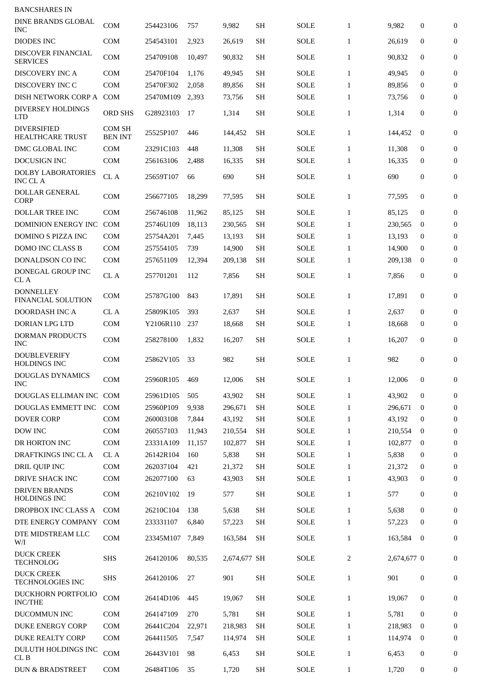| <b>BANCSHARES IN</b>                          |                                 |           |        |              |           |             |                |             |              |                  |
|-----------------------------------------------|---------------------------------|-----------|--------|--------------|-----------|-------------|----------------|-------------|--------------|------------------|
| <b>DINE BRANDS GLOBAL</b><br><b>INC</b>       | <b>COM</b>                      | 254423106 | 757    | 9,982        | <b>SH</b> | <b>SOLE</b> | $\mathbf{1}$   | 9,982       | 0            | $\mathbf{0}$     |
| <b>DIODES INC</b>                             | <b>COM</b>                      | 254543101 | 2,923  | 26,619       | <b>SH</b> | <b>SOLE</b> | $\mathbf{1}$   | 26,619      | $\mathbf{0}$ | $\mathbf{0}$     |
| DISCOVER FINANCIAL<br><b>SERVICES</b>         | COM                             | 254709108 | 10,497 | 90,832       | <b>SH</b> | <b>SOLE</b> | $\mathbf{1}$   | 90,832      | $\mathbf{0}$ | $\boldsymbol{0}$ |
| DISCOVERY INC A                               | <b>COM</b>                      | 25470F104 | 1,176  | 49,945       | <b>SH</b> | <b>SOLE</b> | $\mathbf{1}$   | 49,945      | $\mathbf{0}$ | $\mathbf{0}$     |
| DISCOVERY INC C                               | <b>COM</b>                      | 25470F302 | 2,058  | 89,856       | <b>SH</b> | SOLE        | $\mathbf{1}$   | 89,856      | $\bf{0}$     | $\mathbf{0}$     |
| DISH NETWORK CORP A COM                       |                                 | 25470M109 | 2,393  | 73,756       | <b>SH</b> | <b>SOLE</b> | $\mathbf{1}$   | 73,756      | $\bf{0}$     | $\overline{0}$   |
| <b>DIVERSEY HOLDINGS</b><br><b>LTD</b>        | <b>ORD SHS</b>                  | G28923103 | 17     | 1,314        | <b>SH</b> | <b>SOLE</b> | $\mathbf{1}$   | 1,314       | $\mathbf{0}$ | 0                |
| <b>DIVERSIFIED</b><br>HEALTHCARE TRUST        | <b>COM SH</b><br><b>BEN INT</b> | 25525P107 | 446    | 144,452      | SН        | <b>SOLE</b> | $\mathbf{1}$   | 144,452     | $\bf{0}$     | $\boldsymbol{0}$ |
| DMC GLOBAL INC                                | <b>COM</b>                      | 23291C103 | 448    | 11,308       | <b>SH</b> | <b>SOLE</b> | $\mathbf{1}$   | 11,308      | $\mathbf{0}$ | $\boldsymbol{0}$ |
| DOCUSIGN INC                                  | <b>COM</b>                      | 256163106 | 2,488  | 16,335       | <b>SH</b> | <b>SOLE</b> | $\mathbf{1}$   | 16,335      | $\mathbf{0}$ | $\boldsymbol{0}$ |
| <b>DOLBY LABORATORIES</b><br><b>INC CL A</b>  | CL A                            | 25659T107 | 66     | 690          | SH        | SOLE        | $\mathbf{1}$   | 690         | $\mathbf{0}$ | $\overline{0}$   |
| <b>DOLLAR GENERAL</b><br><b>CORP</b>          | COM                             | 256677105 | 18,299 | 77,595       | SH        | <b>SOLE</b> | $\mathbf{1}$   | 77,595      | $\mathbf{0}$ | $\overline{0}$   |
| <b>DOLLAR TREE INC</b>                        | <b>COM</b>                      | 256746108 | 11,962 | 85,125       | SH        | <b>SOLE</b> | $\mathbf{1}$   | 85,125      | $\bf{0}$     | $\boldsymbol{0}$ |
| DOMINION ENERGY INC                           | COM                             | 25746U109 | 18,113 | 230,565      | <b>SH</b> | <b>SOLE</b> | $\mathbf{1}$   | 230,565     | $\bf{0}$     | $\bf{0}$         |
| <b>DOMINO S PIZZA INC</b>                     | <b>COM</b>                      | 25754A201 | 7,445  | 13,193       | <b>SH</b> | SOLE        | $\mathbf{1}$   | 13,193      | $\mathbf{0}$ | $\overline{0}$   |
| DOMO INC CLASS B                              | <b>COM</b>                      | 257554105 | 739    | 14,900       | <b>SH</b> | <b>SOLE</b> | $\mathbf{1}$   | 14,900      | $\Omega$     | $\overline{0}$   |
| DONALDSON CO INC                              | <b>COM</b>                      | 257651109 | 12,394 | 209,138      | SН        | SOLE        | $\mathbf{1}$   | 209,138     | $\bf{0}$     | $\bf{0}$         |
| DONEGAL GROUP INC<br>CL A                     | CL A                            | 257701201 | 112    | 7,856        | SH        | SOLE        | $\mathbf{1}$   | 7,856       | $\mathbf{0}$ | $\boldsymbol{0}$ |
| <b>DONNELLEY</b><br><b>FINANCIAL SOLUTION</b> | <b>COM</b>                      | 25787G100 | 843    | 17,891       | <b>SH</b> | SOLE        | $\mathbf{1}$   | 17,891      | $\mathbf{0}$ | $\boldsymbol{0}$ |
| DOORDASH INC A                                | CL A                            | 25809K105 | 393    | 2,637        | <b>SH</b> | <b>SOLE</b> | $\mathbf{1}$   | 2,637       | $\mathbf{0}$ | $\boldsymbol{0}$ |
| <b>DORIAN LPG LTD</b>                         | <b>COM</b>                      | Y2106R110 | 237    | 18,668       | SН        | SOLE        | $\mathbf{1}$   | 18.668      | $\bf{0}$     | $\bf{0}$         |
| <b>DORMAN PRODUCTS</b>                        |                                 |           |        |              |           |             |                |             |              |                  |
| <b>INC</b><br><b>DOUBLEVERIFY</b>             | <b>COM</b>                      | 258278100 | 1,832  | 16,207       | <b>SH</b> | <b>SOLE</b> | $\mathbf{1}$   | 16,207      | $\mathbf{0}$ | $\boldsymbol{0}$ |
| <b>HOLDINGS INC</b>                           | COM                             | 25862V105 | 33     | 982          | <b>SH</b> | <b>SOLE</b> | $\mathbf{1}$   | 982         | $\mathbf{0}$ | $\overline{0}$   |
| <b>DOUGLAS DYNAMICS</b><br><b>INC</b>         | COM                             | 25960R105 | 469    | 12,006       | <b>SH</b> | SOLE        | $\mathbf{1}$   | 12,006      | $\mathbf{0}$ | $\boldsymbol{0}$ |
| DOUGLAS ELLIMAN INC COM                       |                                 | 25961D105 | 505    | 43,902       | <b>SH</b> | <b>SOLE</b> | $\mathbf{1}$   | 43,902      | $\mathbf{0}$ | $\boldsymbol{0}$ |
| DOUGLAS EMMETT INC                            | <b>COM</b>                      | 25960P109 | 9,938  | 296,671      | <b>SH</b> | <b>SOLE</b> | $\mathbf{1}$   | 296,671     | $\bf{0}$     | $\Omega$         |
| <b>DOVER CORP</b>                             | <b>COM</b>                      | 260003108 | 7,844  | 43,192       | <b>SH</b> | SOLE        | $\mathbf{1}$   | 43,192      | $\Omega$     | $\mathbf{0}$     |
| DOW INC                                       | COM                             | 260557103 | 11,943 | 210,554      | <b>SH</b> | <b>SOLE</b> | $\mathbf{1}$   | 210,554     | $\bf{0}$     | 0                |
| DR HORTON INC                                 | COM                             | 23331A109 | 11,157 | 102,877      | <b>SH</b> | SOLE        | $\mathbf{1}$   | 102,877     | $\bf{0}$     | $\mathbf{0}$     |
| DRAFTKINGS INC CL A                           | CL A                            | 26142R104 | 160    | 5,838        | <b>SH</b> | SOLE        | $\mathbf{1}$   | 5,838       | $\mathbf{0}$ | 0                |
| DRIL QUIP INC                                 | COM                             | 262037104 | 421    | 21,372       | <b>SH</b> | SOLE        | $\mathbf{1}$   | 21,372      | 0            | $\mathbf{0}$     |
| DRIVE SHACK INC                               | COM                             | 262077100 | 63     | 43,903       | <b>SH</b> | SOLE        | $\mathbf{1}$   | 43,903      | $\mathbf{0}$ | $\mathbf{0}$     |
| <b>DRIVEN BRANDS</b><br><b>HOLDINGS INC</b>   | <b>COM</b>                      | 26210V102 | 19     | 577          | <b>SH</b> | <b>SOLE</b> | $\mathbf{1}$   | 577         | 0            | 0                |
| DROPBOX INC CLASS A                           | <b>COM</b>                      | 26210C104 | 138    | 5,638        | <b>SH</b> | <b>SOLE</b> | $\mathbf{1}$   | 5,638       | $\mathbf{0}$ | 0                |
| DTE ENERGY COMPANY                            | <b>COM</b>                      | 233331107 | 6,840  | 57,223       | <b>SH</b> | <b>SOLE</b> | $\mathbf{1}$   | 57,223      | $\bf{0}$     | $\mathbf{0}$     |
| DTE MIDSTREAM LLC<br>W/I                      | COM                             | 23345M107 | 7,849  | 163,584      | <b>SH</b> | SOLE        | $\mathbf{1}$   | 163,584     | $\bf{0}$     | 0                |
| <b>DUCK CREEK</b><br><b>TECHNOLOG</b>         | <b>SHS</b>                      | 264120106 | 80,535 | 2,674,677 SH |           | SOLE        | $\overline{2}$ | 2,674,677 0 |              | 0                |
| <b>DUCK CREEK</b><br>TECHNOLOGIES INC         | <b>SHS</b>                      | 264120106 | 27     | 901          | <b>SH</b> | SOLE        | $\mathbf{1}$   | 901         | 0            | 0                |
| DUCKHORN PORTFOLIO<br><b>INC/THE</b>          | <b>COM</b>                      | 26414D106 | 445    | 19,067       | <b>SH</b> | SOLE        | $\mathbf{1}$   | 19,067      | 0            | 0                |
| DUCOMMUN INC                                  | COM                             | 264147109 | 270    | 5,781        | <b>SH</b> | SOLE        | $\mathbf{1}$   | 5,781       | $\mathbf{0}$ | $\mathbf{0}$     |
| DUKE ENERGY CORP                              | <b>COM</b>                      | 26441C204 | 22,971 | 218,983      | <b>SH</b> | SOLE        | $\mathbf{1}$   | 218,983     | $\bf{0}$     | 0                |
| <b>DUKE REALTY CORP</b>                       | <b>COM</b>                      | 264411505 | 7,547  | 114,974      | SH        | <b>SOLE</b> | $\mathbf{1}$   | 114,974     | $\bf{0}$     | $\mathbf{0}$     |
| DULUTH HOLDINGS INC<br>CL B                   | <b>COM</b>                      | 26443V101 | 98     | 6,453        | <b>SH</b> | SOLE        | $\mathbf{1}$   | 6,453       | 0            | 0                |
| <b>DUN &amp; BRADSTREET</b>                   | COM                             | 26484T106 | 35     | 1,720        | <b>SH</b> | <b>SOLE</b> | $\mathbf{1}$   | 1,720       | 0            | 0                |
|                                               |                                 |           |        |              |           |             |                |             |              |                  |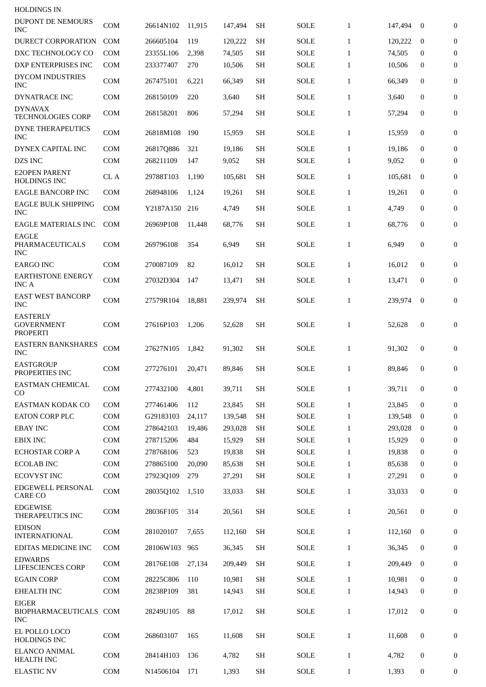| <b>HOLDINGS IN</b>                                      |                             |           |        |         |           |             |              |         |                  |                  |
|---------------------------------------------------------|-----------------------------|-----------|--------|---------|-----------|-------------|--------------|---------|------------------|------------------|
| DUPONT DE NEMOURS<br>INC                                | <b>COM</b>                  | 26614N102 | 11,915 | 147,494 | SН        | <b>SOLE</b> | $\mathbf{1}$ | 147,494 | $\bf{0}$         | $\boldsymbol{0}$ |
| DURECT CORPORATION                                      | <b>COM</b>                  | 266605104 | 119    | 120,222 | <b>SH</b> | SOLE        | $\mathbf{1}$ | 120,222 | $\mathbf{0}$     | 0                |
| DXC TECHNOLOGY CO                                       | <b>COM</b>                  | 23355L106 | 2,398  | 74,505  | <b>SH</b> | <b>SOLE</b> | $\mathbf{1}$ | 74,505  | $\bf{0}$         | 0                |
| DXP ENTERPRISES INC                                     | <b>COM</b>                  | 233377407 | 270    | 10,506  | SН        | SOLE        | $\mathbf{1}$ | 10,506  | 0                | 0                |
| <b>DYCOM INDUSTRIES</b><br><b>INC</b>                   | <b>COM</b>                  | 267475101 | 6,221  | 66,349  | <b>SH</b> | SOLE        | $\mathbf{1}$ | 66,349  | $\mathbf{0}$     | 0                |
| <b>DYNATRACE INC</b>                                    | <b>COM</b>                  | 268150109 | 220    | 3,640   | <b>SH</b> | <b>SOLE</b> | $\mathbf{1}$ | 3,640   | 0                | 0                |
| <b>DYNAVAX</b><br><b>TECHNOLOGIES CORP</b>              | <b>COM</b>                  | 268158201 | 806    | 57,294  | <b>SH</b> | <b>SOLE</b> | $\mathbf{1}$ | 57,294  | 0                | 0                |
| <b>DYNE THERAPEUTICS</b><br><b>INC</b>                  | <b>COM</b>                  | 26818M108 | 190    | 15,959  | <b>SH</b> | SOLE        | $\mathbf{1}$ | 15,959  | 0                | 0                |
| DYNEX CAPITAL INC                                       | <b>COM</b>                  | 26817Q886 | 321    | 19,186  | <b>SH</b> | SOLE        | $\mathbf{1}$ | 19,186  | $\mathbf{0}$     | $\mathbf{0}$     |
| DZS INC                                                 | <b>COM</b>                  | 268211109 | 147    | 9,052   | SН        | <b>SOLE</b> | $\mathbf{1}$ | 9,052   | $\bf{0}$         | 0                |
| <b>E2OPEN PARENT</b><br><b>HOLDINGS INC</b>             | CL A                        | 29788T103 | 1,190  | 105,681 | SН        | SOLE        | $\mathbf{1}$ | 105.681 | $\bf{0}$         | 0                |
| <b>EAGLE BANCORP INC</b>                                | <b>COM</b>                  | 268948106 | 1,124  | 19,261  | <b>SH</b> | SOLE        | $\mathbf{1}$ | 19,261  | 0                | 0                |
| <b>EAGLE BULK SHIPPING</b><br><b>INC</b>                | <b>COM</b>                  | Y2187A150 | 216    | 4,749   | <b>SH</b> | SOLE        | $\mathbf{1}$ | 4,749   | $\mathbf{0}$     | $\mathbf{0}$     |
| <b>EAGLE MATERIALS INC</b>                              | <b>COM</b>                  | 26969P108 | 11.448 | 68,776  | <b>SH</b> | SOLE        | $\mathbf{1}$ | 68,776  | 0                | $\boldsymbol{0}$ |
| EAGLE<br><b>PHARMACEUTICALS</b><br><b>INC</b>           | <b>COM</b>                  | 269796108 | 354    | 6,949   | <b>SH</b> | <b>SOLE</b> | $\mathbf{1}$ | 6,949   | $\mathbf{0}$     | 0                |
| EARGO INC                                               | <b>COM</b>                  | 270087109 | 82     | 16,012  | <b>SH</b> | SOLE        | $\mathbf{1}$ | 16,012  | 0                | 0                |
| EARTHSTONE ENERGY<br><b>INCA</b>                        | <b>COM</b>                  | 27032D304 | 147    | 13,471  | <b>SH</b> | SOLE        | $\mathbf{1}$ | 13,471  | 0                | 0                |
| <b>EAST WEST BANCORP</b><br><b>INC</b>                  | <b>COM</b>                  | 27579R104 | 18,881 | 239,974 | <b>SH</b> | <b>SOLE</b> | $\mathbf{1}$ | 239,974 | $\bf{0}$         | 0                |
| <b>EASTERLY</b><br><b>GOVERNMENT</b><br><b>PROPERTI</b> | <b>COM</b>                  | 27616P103 | 1,206  | 52,628  | SН        | SOLE        | $\mathbf{1}$ | 52,628  | 0                | 0                |
| <b>EASTERN BANKSHARES</b><br>INC                        | $\mathop{\rm COM}\nolimits$ | 27627N105 | 1,842  | 91,302  | SН        | <b>SOLE</b> | $\mathbf{1}$ | 91,302  | $\boldsymbol{0}$ | $\boldsymbol{0}$ |
| <b>EASTGROUP</b><br>PROPERTIES INC                      | COM                         | 277276101 | 20.471 | 89.846  | SН        | <b>SOLE</b> | $\mathbf{1}$ | 89.846  | $\bf{0}$         | $\mathbf{0}$     |
| <b>EASTMAN CHEMICAL</b><br>CO                           | <b>COM</b>                  | 277432100 | 4,801  | 39,711  | <b>SH</b> | <b>SOLE</b> | $\mathbf{1}$ | 39,711  | 0                | $\boldsymbol{0}$ |
| <b>EASTMAN KODAK CO</b>                                 | <b>COM</b>                  | 277461406 | 112    | 23,845  | <b>SH</b> | <b>SOLE</b> | $\mathbf{1}$ | 23,845  | $\mathbf{0}$     | $\boldsymbol{0}$ |
| <b>EATON CORP PLC</b>                                   | <b>COM</b>                  | G29183103 | 24,117 | 139,548 | <b>SH</b> | <b>SOLE</b> | $\mathbf{1}$ | 139,548 | $\bf{0}$         | $\bf{0}$         |
| <b>EBAY INC</b>                                         | <b>COM</b>                  | 278642103 | 19,486 | 293,028 | <b>SH</b> | <b>SOLE</b> | $\mathbf{1}$ | 293,028 | $\bf{0}$         | $\bf{0}$         |
| <b>EBIX INC</b>                                         | COM                         | 278715206 | 484    | 15,929  | <b>SH</b> | <b>SOLE</b> | $\mathbf{1}$ | 15,929  | $\bf{0}$         | 0                |
| ECHOSTAR CORP A                                         | <b>COM</b>                  | 278768106 | 523    | 19,838  | <b>SH</b> | SOLE        | $\mathbf{1}$ | 19,838  | $\bf{0}$         | $\boldsymbol{0}$ |
| <b>ECOLAB INC</b>                                       | <b>COM</b>                  | 278865100 | 20.090 | 85,638  | <b>SH</b> | SOLE        | $\mathbf{1}$ | 85,638  | $\bf{0}$         | 0                |
| ECOVYST INC                                             | <b>COM</b>                  | 27923Q109 | 279    | 27,291  | <b>SH</b> | SOLE        | $\mathbf{1}$ | 27,291  | 0                | $\boldsymbol{0}$ |
| EDGEWELL PERSONAL<br><b>CARE CO</b>                     | COM                         | 28035Q102 | 1,510  | 33,033  | <b>SH</b> | SOLE        | $\mathbf{1}$ | 33,033  | 0                | 0                |
| <b>EDGEWISE</b><br>THERAPEUTICS INC                     | <b>COM</b>                  | 28036F105 | 314    | 20,561  | <b>SH</b> | SOLE        | $\mathbf{1}$ | 20,561  | 0                | 0                |
| <b>EDISON</b><br><b>INTERNATIONAL</b>                   | <b>COM</b>                  | 281020107 | 7,655  | 112,160 | <b>SH</b> | <b>SOLE</b> | $\mathbf{1}$ | 112,160 | $\bf{0}$         | $\mathbf{0}$     |
| EDITAS MEDICINE INC                                     | <b>COM</b>                  | 28106W103 | 965    | 36,345  | <b>SH</b> | SOLE        | $\mathbf{1}$ | 36,345  | 0                | 0                |
| <b>EDWARDS</b><br>LIFESCIENCES CORP                     | <b>COM</b>                  | 28176E108 | 27,134 | 209,449 | <b>SH</b> | SOLE        | $\mathbf{1}$ | 209,449 | $\mathbf{0}$     | $\boldsymbol{0}$ |
| <b>EGAIN CORP</b>                                       | <b>COM</b>                  | 28225C806 | 110    | 10,981  | <b>SH</b> | <b>SOLE</b> | $\mathbf{1}$ | 10,981  | $\bf{0}$         | $\mathbf{0}$     |
| <b>EHEALTH INC</b>                                      | <b>COM</b>                  | 28238P109 | 381    | 14,943  | <b>SH</b> | <b>SOLE</b> | $\mathbf{1}$ | 14,943  | $\bf{0}$         | $\boldsymbol{0}$ |
| <b>EIGER</b><br>BIOPHARMACEUTICALS COM<br>INC           |                             | 28249U105 | 88     | 17,012  | <b>SH</b> | <b>SOLE</b> | $\mathbf{1}$ | 17,012  | 0                | 0                |
| EL POLLO LOCO<br><b>HOLDINGS INC</b>                    | <b>COM</b>                  | 268603107 | 165    | 11.608  | <b>SH</b> | <b>SOLE</b> | $\mathbf{1}$ | 11,608  | 0                | 0                |
| <b>ELANCO ANIMAL</b><br><b>HEALTH INC</b>               | <b>COM</b>                  | 28414H103 | 136    | 4,782   | <b>SH</b> | <b>SOLE</b> | $\mathbf{1}$ | 4,782   | 0                | 0                |
| <b>ELASTIC NV</b>                                       | <b>COM</b>                  | N14506104 | 171    | 1,393   | <b>SH</b> | <b>SOLE</b> | $\mathbf{1}$ | 1,393   | 0                | 0                |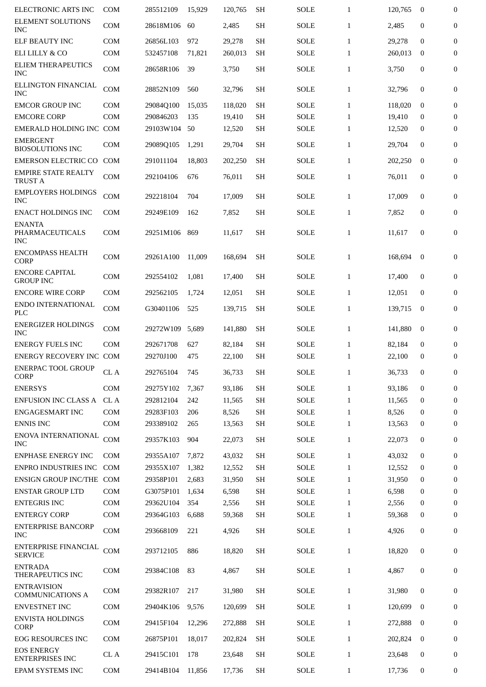| ELECTRONIC ARTS INC                            | <b>COM</b> | 285512109     | 15,929 | 120,765 | <b>SH</b> | <b>SOLE</b> | $\mathbf{1}$ | 120,765 | $\bf{0}$         | $\overline{0}$   |
|------------------------------------------------|------------|---------------|--------|---------|-----------|-------------|--------------|---------|------------------|------------------|
| <b>ELEMENT SOLUTIONS</b><br><b>INC</b>         | <b>COM</b> | 28618M106     | 60     | 2,485   | <b>SH</b> | <b>SOLE</b> | $\mathbf{1}$ | 2,485   | $\mathbf{0}$     | $\boldsymbol{0}$ |
| <b>ELF BEAUTY INC</b>                          | <b>COM</b> | 26856L103     | 972    | 29,278  | <b>SH</b> | <b>SOLE</b> | $\mathbf{1}$ | 29,278  | $\mathbf{0}$     | $\mathbf{0}$     |
| ELI LILLY & CO                                 | <b>COM</b> | 532457108     | 71,821 | 260,013 | SH        | <b>SOLE</b> | $\mathbf{1}$ | 260,013 | $\bf{0}$         | $\mathbf{0}$     |
| ELIEM THERAPEUTICS<br><b>INC</b>               | <b>COM</b> | 28658R106     | 39     | 3,750   | <b>SH</b> | SOLE        | $\mathbf{1}$ | 3,750   | $\mathbf{0}$     | $\boldsymbol{0}$ |
| ELLINGTON FINANCIAL<br><b>INC</b>              | <b>COM</b> | 28852N109     | 560    | 32,796  | <b>SH</b> | SOLE        | $\mathbf{1}$ | 32,796  | $\mathbf{0}$     | $\mathbf{0}$     |
| <b>EMCOR GROUP INC</b>                         | <b>COM</b> | 29084Q100     | 15.035 | 118.020 | <b>SH</b> | <b>SOLE</b> | $\mathbf{1}$ | 118,020 | $\mathbf{0}$     | $\boldsymbol{0}$ |
| <b>EMCORE CORP</b>                             | <b>COM</b> | 290846203     | 135    | 19,410  | <b>SH</b> | <b>SOLE</b> | $\mathbf{1}$ | 19,410  | $\bf{0}$         | $\bf{0}$         |
| EMERALD HOLDING INC COM                        |            | 29103W104     | 50     | 12,520  | <b>SH</b> | SOLE        | $\mathbf{1}$ | 12,520  | $\bf{0}$         | $\boldsymbol{0}$ |
| <b>EMERGENT</b><br><b>BIOSOLUTIONS INC</b>     | COM        | 29089Q105     | 1,291  | 29,704  | <b>SH</b> | <b>SOLE</b> | $\mathbf{1}$ | 29,704  | $\mathbf{0}$     | $\boldsymbol{0}$ |
| <b>EMERSON ELECTRIC CO</b>                     | <b>COM</b> | 291011104     | 18,803 | 202,250 | SН        | SOLE        | $\mathbf{1}$ | 202,250 | $\bf{0}$         | $\boldsymbol{0}$ |
| <b>EMPIRE STATE REALTY</b><br><b>TRUST A</b>   | <b>COM</b> | 292104106     | 676    | 76,011  | <b>SH</b> | SOLE        | $\mathbf{1}$ | 76,011  | $\mathbf{0}$     | $\mathbf{0}$     |
| <b>EMPLOYERS HOLDINGS</b><br><b>INC</b>        | <b>COM</b> | 292218104     | 704    | 17,009  | <b>SH</b> | SOLE        | 1            | 17,009  | $\mathbf{0}$     | $\mathbf{0}$     |
| <b>ENACT HOLDINGS INC</b>                      | <b>COM</b> | 29249E109     | 162    | 7,852   | <b>SH</b> | <b>SOLE</b> | $\mathbf{1}$ | 7,852   | $\mathbf{0}$     | $\bf{0}$         |
| <b>ENANTA</b><br>PHARMACEUTICALS<br><b>INC</b> | <b>COM</b> | 29251M106     | 869    | 11,617  | <b>SH</b> | SOLE        | $\mathbf{1}$ | 11,617  | $\mathbf{0}$     | $\boldsymbol{0}$ |
| <b>ENCOMPASS HEALTH</b><br><b>CORP</b>         | <b>COM</b> | 29261A100     | 11,009 | 168,694 | <b>SH</b> | <b>SOLE</b> | $\mathbf{1}$ | 168,694 | $\mathbf{0}$     | $\mathbf{0}$     |
| <b>ENCORE CAPITAL</b><br><b>GROUP INC</b>      | <b>COM</b> | 292554102     | 1,081  | 17,400  | SН        | SOLE        | $\mathbf{1}$ | 17,400  | $\mathbf{0}$     | 0                |
| <b>ENCORE WIRE CORP</b>                        | <b>COM</b> | 292562105     | 1,724  | 12,051  | <b>SH</b> | <b>SOLE</b> | $\mathbf{1}$ | 12,051  | $\mathbf{0}$     | 0                |
| ENDO INTERNATIONAL<br><b>PLC</b>               | <b>COM</b> | G30401106     | 525    | 139,715 | SН        | SOLE        | $\mathbf{1}$ | 139,715 | $\bf{0}$         | 0                |
| <b>ENERGIZER HOLDINGS</b><br><b>INC</b>        | <b>COM</b> | 29272W109     | 5,689  | 141.880 | <b>SH</b> | SOLE        | $\mathbf{1}$ | 141,880 | $\bf{0}$         | $\mathbf{0}$     |
| <b>ENERGY FUELS INC</b>                        | <b>COM</b> | 292671708     | 627    | 82,184  | <b>SH</b> | <b>SOLE</b> | 1            | 82,184  | $\mathbf{0}$     | $\overline{0}$   |
| ENERGY RECOVERY INC COM                        |            | 29270J100     | 475    | 22,100  | <b>SH</b> | <b>SOLE</b> | $\mathbf{1}$ | 22,100  | $\bf{0}$         | $\overline{0}$   |
| <b>ENERPAC TOOL GROUP</b><br><b>CORP</b>       | CL A       | 292765104 745 |        | 36,733  | <b>SH</b> | <b>SOLE</b> | $\mathbf{1}$ | 36,733  | $\bf{0}$         | $\overline{0}$   |
| <b>ENERSYS</b>                                 | <b>COM</b> | 29275Y102     | 7.367  | 93,186  | <b>SH</b> | <b>SOLE</b> | $\mathbf{1}$ | 93,186  | $\mathbf{0}$     | $\overline{0}$   |
| <b>ENFUSION INC CLASS A</b>                    | CL A       | 292812104     | 242    | 11,565  | <b>SH</b> | <b>SOLE</b> | $\mathbf{1}$ | 11,565  | $\mathbf{0}$     | $\bf{0}$         |
| <b>ENGAGESMART INC</b>                         | <b>COM</b> | 29283F103     | 206    | 8,526   | <b>SH</b> | SOLE        | $\mathbf{1}$ | 8,526   | $\bf{0}$         | $\boldsymbol{0}$ |
| <b>ENNIS INC</b>                               | <b>COM</b> | 293389102     | 265    | 13,563  | <b>SH</b> | <b>SOLE</b> | $\mathbf{1}$ | 13,563  | 0                | $\boldsymbol{0}$ |
| ENOVA INTERNATIONAL<br><b>INC</b>              | COM        | 29357K103     | 904    | 22,073  | <b>SH</b> | <b>SOLE</b> | $\mathbf{1}$ | 22,073  | $\bf{0}$         | 0                |
| <b>ENPHASE ENERGY INC</b>                      | <b>COM</b> | 29355A107     | 7,872  | 43,032  | <b>SH</b> | <b>SOLE</b> | $\mathbf{1}$ | 43,032  | $\mathbf{0}$     | $\boldsymbol{0}$ |
| ENPRO INDUSTRIES INC                           | <b>COM</b> | 29355X107     | 1,382  | 12,552  | <b>SH</b> | <b>SOLE</b> | $\mathbf{1}$ | 12,552  | $\bf{0}$         | 0                |
| ENSIGN GROUP INC/THE COM                       |            | 29358P101     | 2,683  | 31,950  | <b>SH</b> | <b>SOLE</b> | 1            | 31,950  | $\bf{0}$         | $\bf{0}$         |
| <b>ENSTAR GROUP LTD</b>                        | <b>COM</b> | G3075P101     | 1,634  | 6,598   | <b>SH</b> | <b>SOLE</b> | $\mathbf{1}$ | 6,598   | $\bf{0}$         | $\bf{0}$         |
| <b>ENTEGRIS INC</b>                            | COM        | 29362U104     | 354    | 2,556   | <b>SH</b> | <b>SOLE</b> | $\mathbf{1}$ | 2,556   | $\bf{0}$         | 0                |
| <b>ENTERGY CORP</b>                            | COM        | 29364G103     | 6,688  | 59,368  | SН        | SOLE        | $\mathbf{1}$ | 59,368  | $\bf{0}$         | $\mathbf{0}$     |
| <b>ENTERPRISE BANCORP</b><br><b>INC</b>        | <b>COM</b> | 293668109     | 221    | 4,926   | <b>SH</b> | SOLE        | $\mathbf{1}$ | 4,926   | $\mathbf{0}$     | 0                |
| ENTERPRISE FINANCIAL<br><b>SERVICE</b>         | <b>COM</b> | 293712105     | 886    | 18,820  | <b>SH</b> | <b>SOLE</b> | $\mathbf{1}$ | 18,820  | $\mathbf{0}$     | 0                |
| <b>ENTRADA</b><br>THERAPEUTICS INC             | <b>COM</b> | 29384C108     | 83     | 4,867   | <b>SH</b> | <b>SOLE</b> | $\mathbf{1}$ | 4,867   | $\boldsymbol{0}$ | 0                |
| <b>ENTRAVISION</b><br><b>COMMUNICATIONS A</b>  | <b>COM</b> | 29382R107     | 217    | 31,980  | <b>SH</b> | <b>SOLE</b> | $\mathbf{1}$ | 31,980  | $\mathbf{0}$     | 0                |
| ENVESTNET INC                                  | <b>COM</b> | 29404K106     | 9,576  | 120,699 | <b>SH</b> | <b>SOLE</b> | $\mathbf{1}$ | 120,699 | $\bf{0}$         | 0                |
| <b>ENVISTA HOLDINGS</b><br><b>CORP</b>         | <b>COM</b> | 29415F104     | 12,296 | 272,888 | <b>SH</b> | <b>SOLE</b> | $\mathbf{1}$ | 272,888 | $\bf{0}$         | $\mathbf{0}$     |
| <b>EOG RESOURCES INC</b>                       | <b>COM</b> | 26875P101     | 18,017 | 202,824 | <b>SH</b> | <b>SOLE</b> | $\mathbf{1}$ | 202,824 | $\bf{0}$         | $\boldsymbol{0}$ |
| <b>EOS ENERGY</b><br><b>ENTERPRISES INC</b>    | CL A       | 29415C101     | 178    | 23,648  | <b>SH</b> | SOLE        | $\mathbf{1}$ | 23,648  | 0                | 0                |
| EPAM SYSTEMS INC                               | COM        | 29414B104     | 11,856 | 17,736  | <b>SH</b> | SOLE        | $\mathbf{1}$ | 17,736  | 0                | 0                |
|                                                |            |               |        |         |           |             |              |         |                  |                  |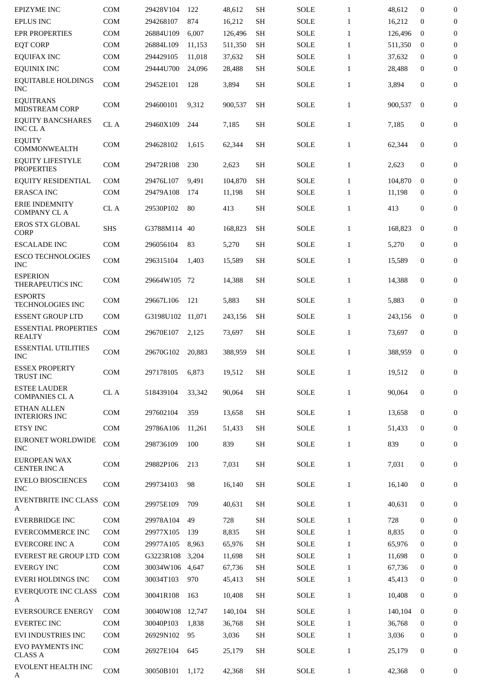| <b>EPIZYME INC</b>                           | COM        | 29428V104        | 122    | 48,612  | <b>SH</b>           | <b>SOLE</b>           | $\mathbf{1}$ | 48,612  | $\mathbf{0}$     | $\mathbf{0}$     |
|----------------------------------------------|------------|------------------|--------|---------|---------------------|-----------------------|--------------|---------|------------------|------------------|
| <b>EPLUS INC</b>                             | <b>COM</b> | 294268107        | 874    | 16,212  | <b>SH</b>           | <b>SOLE</b>           | $\mathbf{1}$ | 16,212  | 0                | $\boldsymbol{0}$ |
| <b>EPR PROPERTIES</b>                        | COM        | 26884U109        | 6,007  | 126,496 | <b>SH</b>           | <b>SOLE</b>           | $\mathbf{1}$ | 126,496 | $\mathbf{0}$     | $\boldsymbol{0}$ |
| <b>EQT CORP</b>                              | COM        | 26884L109        | 11,153 | 511,350 | <b>SH</b>           | <b>SOLE</b>           | $\mathbf{1}$ | 511,350 | $\mathbf{0}$     | 0                |
| <b>EQUIFAX INC</b>                           | COM        | 294429105        | 11,018 | 37,632  | <b>SH</b>           | <b>SOLE</b>           | $\mathbf{1}$ | 37,632  | $\mathbf{0}$     | $\boldsymbol{0}$ |
| <b>EQUINIX INC</b>                           | <b>COM</b> | 29444U700        | 24,096 | 28,488  | <b>SH</b>           | <b>SOLE</b>           | $\mathbf{1}$ | 28,488  | $\mathbf{0}$     | $\mathbf{0}$     |
| <b>EQUITABLE HOLDINGS</b><br><b>INC</b>      | COM        | 29452E101        | 128    | 3,894   | <b>SH</b>           | <b>SOLE</b>           | $\mathbf{1}$ | 3,894   | $\mathbf{0}$     | $\overline{0}$   |
| <b>EQUITRANS</b><br><b>MIDSTREAM CORP</b>    | COM        | 294600101        | 9,312  | 900,537 | <b>SH</b>           | <b>SOLE</b>           | $\mathbf{1}$ | 900,537 | $\mathbf{0}$     | $\boldsymbol{0}$ |
| <b>EQUITY BANCSHARES</b><br><b>INC CLA</b>   | CL A       | 29460X109        | 244    | 7,185   | <b>SH</b>           | <b>SOLE</b>           | $\mathbf{1}$ | 7,185   | $\boldsymbol{0}$ | 0                |
| <b>EQUITY</b><br>COMMONWEALTH                | <b>COM</b> | 294628102        | 1,615  | 62,344  | <b>SH</b>           | <b>SOLE</b>           | $\mathbf{1}$ | 62,344  | $\mathbf{0}$     | 0                |
| <b>EQUITY LIFESTYLE</b><br><b>PROPERTIES</b> | <b>COM</b> | 29472R108        | 230    | 2,623   | <b>SH</b>           | <b>SOLE</b>           | $\mathbf{1}$ | 2,623   | $\boldsymbol{0}$ | $\boldsymbol{0}$ |
| <b>EQUITY RESIDENTIAL</b>                    | <b>COM</b> | 29476L107        | 9,491  | 104,870 | <b>SH</b>           | <b>SOLE</b>           | $\mathbf{1}$ | 104.870 | $\mathbf{0}$     | $\mathbf{0}$     |
| <b>ERASCA INC</b>                            | <b>COM</b> | 29479A108        | 174    | 11,198  | <b>SH</b>           | <b>SOLE</b>           | $\mathbf{1}$ | 11,198  | $\mathbf{0}$     | $\mathbf{0}$     |
| <b>ERIE INDEMNITY</b><br><b>COMPANY CL A</b> | CL A       | 29530P102        | 80     | 413     | <b>SH</b>           | <b>SOLE</b>           | $\mathbf{1}$ | 413     | 0                | $\boldsymbol{0}$ |
| <b>EROS STX GLOBAL</b><br><b>CORP</b>        | <b>SHS</b> | G3788M114        | 40     | 168,823 | <b>SH</b>           | <b>SOLE</b>           | $\mathbf{1}$ | 168,823 | $\mathbf{0}$     | $\boldsymbol{0}$ |
| <b>ESCALADE INC</b>                          | <b>COM</b> | 296056104        | 83     | 5,270   | <b>SH</b>           | <b>SOLE</b>           | $\mathbf{1}$ | 5,270   | $\boldsymbol{0}$ | $\mathbf{0}$     |
| <b>ESCO TECHNOLOGIES</b><br><b>INC</b>       | <b>COM</b> | 296315104        | 1,403  | 15,589  | <b>SH</b>           | <b>SOLE</b>           | $\mathbf{1}$ | 15,589  | $\mathbf{0}$     | 0                |
| <b>ESPERION</b><br>THERAPEUTICS INC          | COM        | 29664W105        | 72     | 14,388  | <b>SH</b>           | <b>SOLE</b>           | $\mathbf{1}$ | 14,388  | $\mathbf{0}$     | $\boldsymbol{0}$ |
| <b>ESPORTS</b><br><b>TECHNOLOGIES INC</b>    | <b>COM</b> | 29667L106        | 121    | 5,883   | <b>SH</b>           | <b>SOLE</b>           | $\mathbf{1}$ | 5,883   | $\mathbf{0}$     | 0                |
| <b>ESSENT GROUP LTD</b>                      | <b>COM</b> | G3198U102 11,071 |        | 243,156 | <b>SH</b>           | <b>SOLE</b>           | $\mathbf{1}$ | 243,156 | $\mathbf{0}$     | $\boldsymbol{0}$ |
| <b>ESSENTIAL PROPERTIES</b><br><b>REALTY</b> | COM        | 29670E107        | 2.125  | 73,697  | <b>SH</b>           | <b>SOLE</b>           | $\mathbf{1}$ | 73,697  | $\mathbf{0}$     | $\mathbf{0}$     |
| <b>ESSENTIAL UTILITIES</b><br><b>INC</b>     | <b>COM</b> | 29670G102        | 20,883 | 388,959 | <b>SH</b>           | <b>SOLE</b>           | $\mathbf{1}$ | 388,959 | $\mathbf{0}$     | 0                |
| <b>ESSEX PROPERTY</b><br><b>TRUST INC</b>    | COM        | 297178105 6,873  |        | 19,512  | $\operatorname{SH}$ | $\operatorname{SOLE}$ | $\mathbf{1}$ | 19,512  | $\bf{0}$         | $\bf{0}$         |
| <b>ESTEE LAUDER</b><br><b>COMPANIES CL A</b> | CL A       | 518439104        | 33,342 | 90,064  | <b>SH</b>           | SOLE                  | $\mathbf{1}$ | 90,064  | $\boldsymbol{0}$ | $\boldsymbol{0}$ |
| <b>ETHAN ALLEN</b><br><b>INTERIORS INC</b>   | <b>COM</b> | 297602104        | 359    | 13,658  | <b>SH</b>           | <b>SOLE</b>           | $\mathbf{1}$ | 13,658  | $\mathbf{0}$     | $\mathbf{0}$     |
| <b>ETSY INC</b>                              | COM        | 29786A106        | 11,261 | 51,433  | <b>SH</b>           | SOLE                  | $\mathbf{1}$ | 51,433  | $\mathbf{0}$     | $\boldsymbol{0}$ |
| EURONET WORLDWIDE<br><b>INC</b>              | <b>COM</b> | 298736109        | 100    | 839     | <b>SH</b>           | SOLE                  | $\mathbf{1}$ | 839     | $\boldsymbol{0}$ | $\boldsymbol{0}$ |
| <b>EUROPEAN WAX</b><br><b>CENTER INC A</b>   | <b>COM</b> | 29882P106        | 213    | 7,031   | <b>SH</b>           | SOLE                  | $\mathbf{1}$ | 7,031   | $\boldsymbol{0}$ | $\boldsymbol{0}$ |
| <b>EVELO BIOSCIENCES</b><br><b>INC</b>       | COM        | 299734103        | 98     | 16,140  | <b>SH</b>           | SOLE                  | $\mathbf{1}$ | 16,140  | $\bf{0}$         | $\boldsymbol{0}$ |
| <b>EVENTBRITE INC CLASS</b><br>A             | COM        | 29975E109        | 709    | 40,631  | <b>SH</b>           | <b>SOLE</b>           | $\mathbf{1}$ | 40,631  | $\bf{0}$         | $\boldsymbol{0}$ |
| <b>EVERBRIDGE INC</b>                        | <b>COM</b> | 29978A104        | 49     | 728     | <b>SH</b>           | <b>SOLE</b>           | $\mathbf{1}$ | 728     | $\mathbf{0}$     | 0                |
| <b>EVERCOMMERCE INC</b>                      | <b>COM</b> | 29977X105        | 139    | 8,835   | <b>SH</b>           | <b>SOLE</b>           | $\mathbf{1}$ | 8,835   | $\boldsymbol{0}$ | 0                |
| <b>EVERCORE INC A</b>                        | <b>COM</b> | 29977A105        | 8,963  | 65,976  | <b>SH</b>           | SOLE                  | $\mathbf{1}$ | 65,976  | 0                | 0                |
| EVEREST RE GROUP LTD COM                     |            | G3223R108        | 3,204  | 11,698  | <b>SH</b>           | <b>SOLE</b>           | $\mathbf{1}$ | 11,698  | $\bf{0}$         | $\boldsymbol{0}$ |
| <b>EVERGY INC</b>                            | <b>COM</b> | 30034W106        | 4,647  | 67,736  | <b>SH</b>           | <b>SOLE</b>           | $\mathbf{1}$ | 67,736  | 0                | $\boldsymbol{0}$ |
| <b>EVERI HOLDINGS INC</b>                    | <b>COM</b> | 30034T103        | 970    | 45,413  | <b>SH</b>           | SOLE                  | $\mathbf{1}$ | 45,413  | 0                | 0                |
| <b>EVERQUOTE INC CLASS</b><br>A              | COM        | 30041R108        | 163    | 10,408  | SH                  | SOLE                  | $\mathbf{1}$ | 10,408  | $\boldsymbol{0}$ | $\boldsymbol{0}$ |
| <b>EVERSOURCE ENERGY</b>                     | <b>COM</b> | 30040W108        | 12,747 | 140,104 | <b>SH</b>           | <b>SOLE</b>           | $\mathbf{1}$ | 140,104 | $\mathbf{0}$     | $\boldsymbol{0}$ |
| <b>EVERTEC INC</b>                           | COM        | 30040P103        | 1,838  | 36,768  | <b>SH</b>           | SOLE                  | $\mathbf{1}$ | 36,768  | $\bf{0}$         | $\mathbf{0}$     |
| EVI INDUSTRIES INC                           | COM        | 26929N102        | 95     | 3,036   | SH                  | <b>SOLE</b>           | $\mathbf{1}$ | 3,036   | 0                | 0                |
| EVO PAYMENTS INC<br><b>CLASS A</b>           | COM        | 26927E104        | 645    | 25,179  | <b>SH</b>           | <b>SOLE</b>           | $\mathbf{1}$ | 25,179  | $\bf{0}$         | 0                |
| EVOLENT HEALTH INC<br>A                      | COM        | 30050B101        | 1,172  | 42,368  | SH                  | SOLE                  | $\mathbf{1}$ | 42,368  | $\bf{0}$         | $\bf{0}$         |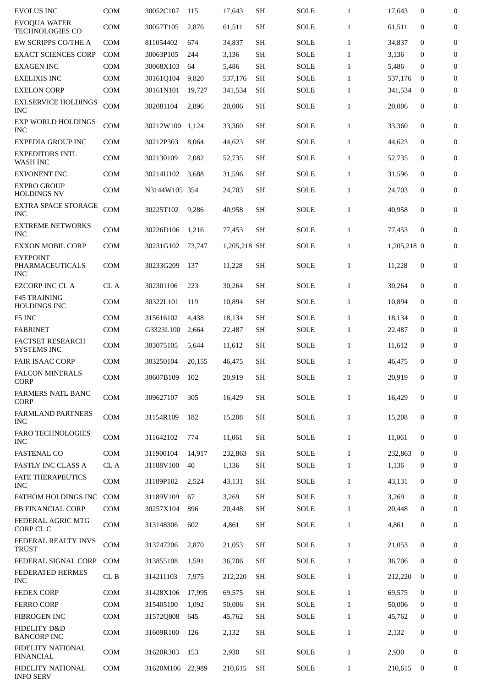| <b>EVOLUS INC</b>                                | COM        | 30052C107     | 115    | 17,643       | <b>SH</b> | <b>SOLE</b> | $\mathbf{1}$ | 17,643      | $\mathbf{0}$     | 0                |
|--------------------------------------------------|------------|---------------|--------|--------------|-----------|-------------|--------------|-------------|------------------|------------------|
| <b>EVOQUA WATER</b><br><b>TECHNOLOGIES CO</b>    | COM        | 30057T105     | 2,876  | 61,511       | <b>SH</b> | <b>SOLE</b> | $\mathbf{1}$ | 61,511      | $\mathbf{0}$     | $\boldsymbol{0}$ |
| EW SCRIPPS CO/THE A                              | <b>COM</b> | 811054402     | 674    | 34,837       | SH        | <b>SOLE</b> | $\mathbf{1}$ | 34,837      | $\mathbf{0}$     | $\boldsymbol{0}$ |
| <b>EXACT SCIENCES CORP</b>                       | <b>COM</b> | 30063P105     | 244    | 3,136        | <b>SH</b> | <b>SOLE</b> | $\mathbf{1}$ | 3,136       | $\mathbf{0}$     | $\mathbf{0}$     |
| <b>EXAGEN INC</b>                                | <b>COM</b> | 30068X103     | 64     | 5,486        | <b>SH</b> | <b>SOLE</b> | $\mathbf{1}$ | 5,486       | $\mathbf{0}$     | $\boldsymbol{0}$ |
| <b>EXELIXIS INC</b>                              | <b>COM</b> | 30161Q104     | 9,820  | 537,176      | <b>SH</b> | <b>SOLE</b> | $\mathbf{1}$ | 537,176     | $\bf{0}$         | $\boldsymbol{0}$ |
| <b>EXELON CORP</b>                               | <b>COM</b> | 30161N101     | 19,727 | 341,534      | <b>SH</b> | <b>SOLE</b> | $\mathbf{1}$ | 341,534     | $\bf{0}$         | $\mathbf{0}$     |
| <b>EXLSERVICE HOLDINGS</b><br><b>INC</b>         | COM        | 302081104     | 2,896  | 20,006       | <b>SH</b> | <b>SOLE</b> | $\mathbf{1}$ | 20,006      | $\mathbf{0}$     | 0                |
| <b>EXP WORLD HOLDINGS</b><br><b>INC</b>          | COM        | 30212W100     | 1,124  | 33,360       | <b>SH</b> | <b>SOLE</b> | $\mathbf{1}$ | 33,360      | $\mathbf{0}$     | $\mathbf{0}$     |
| <b>EXPEDIA GROUP INC</b>                         | <b>COM</b> | 30212P303     | 8,064  | 44,623       | <b>SH</b> | <b>SOLE</b> | $\mathbf{1}$ | 44,623      | $\mathbf{0}$     | $\boldsymbol{0}$ |
| <b>EXPEDITORS INTL</b><br><b>WASH INC</b>        | <b>COM</b> | 302130109     | 7,082  | 52,735       | <b>SH</b> | SOLE        | $\mathbf{1}$ | 52,735      | $\mathbf{0}$     | $\mathbf{0}$     |
| <b>EXPONENT INC</b>                              | <b>COM</b> | 30214U102     | 3,688  | 31,596       | <b>SH</b> | <b>SOLE</b> | $\mathbf{1}$ | 31,596      | $\mathbf{0}$     | $\boldsymbol{0}$ |
| <b>EXPRO GROUP</b><br><b>HOLDINGS NV</b>         | <b>COM</b> | N3144W105 354 |        | 24,703       | SH        | <b>SOLE</b> | $\mathbf{1}$ | 24,703      | $\mathbf{0}$     | $\boldsymbol{0}$ |
| <b>EXTRA SPACE STORAGE</b><br><b>INC</b>         | <b>COM</b> | 30225T102     | 9,286  | 40,958       | SH        | <b>SOLE</b> | $\mathbf{1}$ | 40,958      | $\mathbf{0}$     | $\mathbf{0}$     |
| <b>EXTREME NETWORKS</b><br><b>INC</b>            | <b>COM</b> | 30226D106     | 1,216  | 77,453       | <b>SH</b> | <b>SOLE</b> | $\mathbf{1}$ | 77,453      | $\mathbf{0}$     | $\mathbf{0}$     |
| <b>EXXON MOBIL CORP</b>                          | <b>COM</b> | 30231G102     | 73,747 | 1,205,218 SH |           | <b>SOLE</b> | $\mathbf{1}$ | 1,205,218 0 |                  | $\boldsymbol{0}$ |
| <b>EYEPOINT</b><br>PHARMACEUTICALS<br><b>INC</b> | <b>COM</b> | 30233G209     | 137    | 11,228       | <b>SH</b> | SOLE        | $\mathbf{1}$ | 11,228      | $\boldsymbol{0}$ | $\mathbf{0}$     |
| <b>EZCORP INC CL A</b>                           | CL A       | 302301106     | 223    | 30,264       | <b>SH</b> | <b>SOLE</b> | $\mathbf{1}$ | 30,264      | $\mathbf{0}$     | $\mathbf{0}$     |
| <b>F45 TRAINING</b><br>HOLDINGS INC              | <b>COM</b> | 30322L101     | 119    | 10,894       | <b>SH</b> | <b>SOLE</b> | $\mathbf{1}$ | 10,894      | $\mathbf{0}$     | $\boldsymbol{0}$ |
| F5 INC                                           | COM        | 315616102     | 4,438  | 18,134       | <b>SH</b> | <b>SOLE</b> | $\mathbf{1}$ | 18,134      | $\mathbf{0}$     | $\mathbf{0}$     |
| <b>FABRINET</b>                                  | <b>COM</b> | G3323L100     | 2,664  | 22,487       | <b>SH</b> | SOLE        | $\mathbf{1}$ | 22,487      | $\mathbf{0}$     | $\mathbf{0}$     |
| <b>FACTSET RESEARCH</b><br><b>SYSTEMS INC</b>    | <b>COM</b> | 303075105     | 5,644  | 11,612       | <b>SH</b> | <b>SOLE</b> | $\mathbf{1}$ | 11,612      | $\boldsymbol{0}$ | $\boldsymbol{0}$ |
| <b>FAIR ISAAC CORP</b>                           | <b>COM</b> | 303250104     | 20,155 | 46,475       | SH        | <b>SOLE</b> | $\mathbf{1}$ | 46,475      | $\mathbf{0}$     | $\mathbf{0}$     |
| <b>FALCON MINERALS</b><br><b>CORP</b>            | COM        | 30607B109     | 102    | 20,919       | <b>SH</b> | <b>SOLE</b> | $\mathbf{1}$ | 20,919      | $\mathbf{0}$     | $\overline{0}$   |
| <b>FARMERS NATL BANC</b><br><b>CORP</b>          | COM        | 309627107     | 305    | 16,429       | <b>SH</b> | <b>SOLE</b> | $\mathbf{1}$ | 16,429      | $\boldsymbol{0}$ | $\boldsymbol{0}$ |
| <b>FARMLAND PARTNERS</b><br><b>INC</b>           | COM        | 31154R109     | 182    | 15,208       | <b>SH</b> | <b>SOLE</b> | $\mathbf{1}$ | 15,208      | $\mathbf{0}$     | $\boldsymbol{0}$ |
| <b>FARO TECHNOLOGIES</b><br><b>INC</b>           | COM        | 311642102     | 774    | 11,061       | <b>SH</b> | <b>SOLE</b> | $\mathbf{1}$ | 11,061      | $\boldsymbol{0}$ | $\boldsymbol{0}$ |
| <b>FASTENAL CO</b>                               | COM        | 311900104     | 14,917 | 232,863      | <b>SH</b> | <b>SOLE</b> | $\mathbf{1}$ | 232.863     | $\bf{0}$         | 0                |
| <b>FASTLY INC CLASS A</b>                        | CL A       | 31188V100     | 40     | 1,136        | SH        | <b>SOLE</b> | $\mathbf{1}$ | 1,136       | 0                | $\overline{0}$   |
| <b>FATE THERAPEUTICS</b><br><b>INC</b>           | COM        | 31189P102     | 2,524  | 43,131       | <b>SH</b> | <b>SOLE</b> | $\mathbf{1}$ | 43,131      | $\bf{0}$         | 0                |
| FATHOM HOLDINGS INC                              | COM        | 31189V109     | 67     | 3,269        | <b>SH</b> | <b>SOLE</b> | $\mathbf{1}$ | 3,269       | $\mathbf{0}$     | $\boldsymbol{0}$ |
| FB FINANCIAL CORP                                | COM        | 30257X104     | 896    | 20,448       | <b>SH</b> | <b>SOLE</b> | $\mathbf{1}$ | 20,448      | $\bf{0}$         | $\boldsymbol{0}$ |
| FEDERAL AGRIC MTG<br>CORP CL C                   | COM        | 313148306     | 602    | 4,861        | <b>SH</b> | <b>SOLE</b> | $\mathbf{1}$ | 4,861       | $\boldsymbol{0}$ | $\boldsymbol{0}$ |
| FEDERAL REALTY INVS<br><b>TRUST</b>              | COM        | 313747206     | 2,870  | 21,053       | <b>SH</b> | <b>SOLE</b> | $\mathbf{1}$ | 21,053      | $\boldsymbol{0}$ | $\mathbf{0}$     |
| FEDERAL SIGNAL CORP                              | <b>COM</b> | 313855108     | 1,591  | 36,706       | <b>SH</b> | <b>SOLE</b> | $\mathbf{1}$ | 36,706      | $\bf{0}$         | $\boldsymbol{0}$ |
| FEDERATED HERMES<br><b>INC</b>                   | CLB        | 314211103     | 7,975  | 212,220      | <b>SH</b> | <b>SOLE</b> | $\mathbf{1}$ | 212,220     | $\bf{0}$         | $\boldsymbol{0}$ |
| <b>FEDEX CORP</b>                                | <b>COM</b> | 31428X106     | 17,995 | 69,575       | <b>SH</b> | <b>SOLE</b> | $\mathbf{1}$ | 69,575      | $\mathbf{0}$     | $\boldsymbol{0}$ |
| <b>FERRO CORP</b>                                | COM        | 315405100     | 1,092  | 50,006       | <b>SH</b> | <b>SOLE</b> | $\mathbf{1}$ | 50,006      | $\bf{0}$         | 0                |
| FIBROGEN INC                                     | <b>COM</b> | 31572Q808     | 645    | 45,762       | SH        | <b>SOLE</b> | $\mathbf{1}$ | 45,762      | 0                | 0                |
| <b>FIDELITY D&amp;D</b><br><b>BANCORP INC</b>    | COM        | 31609R100     | 126    | 2,132        | <b>SH</b> | <b>SOLE</b> | $\mathbf{1}$ | 2,132       | $\boldsymbol{0}$ | $\boldsymbol{0}$ |
| <b>FIDELITY NATIONAL</b><br><b>FINANCIAL</b>     | COM        | 31620R303     | 153    | 2,930        | <b>SH</b> | <b>SOLE</b> | $\mathbf{1}$ | 2,930       | $\bf{0}$         | $\mathbf{0}$     |
| FIDELITY NATIONAL<br><b>INFO SERV</b>            | COM        | 31620M106     | 22,989 | 210,615      | <b>SH</b> | <b>SOLE</b> | $\mathbf{1}$ | 210,615     | $\bf{0}$         | 0                |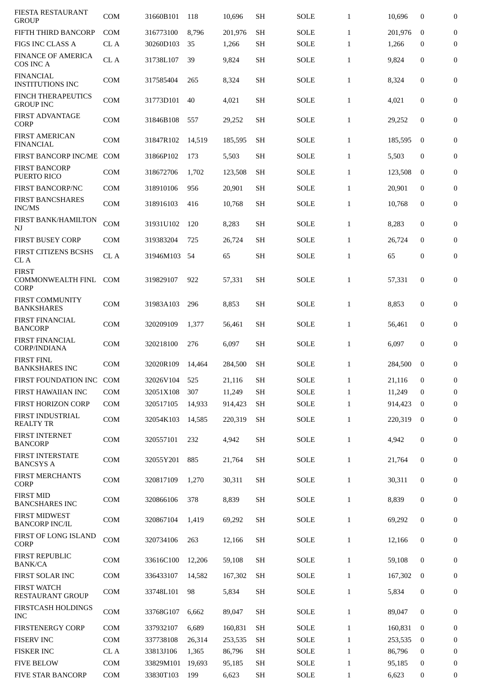| FIESTA RESTAURANT<br><b>GROUP</b>                       | <b>COM</b> | 31660B101 | 118    | 10,696  | <b>SH</b> | <b>SOLE</b> | $\mathbf{1}$ | 10,696  | $\mathbf{0}$     | 0                |
|---------------------------------------------------------|------------|-----------|--------|---------|-----------|-------------|--------------|---------|------------------|------------------|
| <b>FIFTH THIRD BANCORP</b>                              | <b>COM</b> | 316773100 | 8,796  | 201.976 | <b>SH</b> | <b>SOLE</b> | $\mathbf{1}$ | 201,976 | $\mathbf{0}$     | $\boldsymbol{0}$ |
| FIGS INC CLASS A                                        | CL A       | 30260D103 | 35     | 1,266   | SH        | <b>SOLE</b> | $\mathbf{1}$ | 1,266   | 0                | $\mathbf{0}$     |
| <b>FINANCE OF AMERICA</b><br>COS INC A                  | CL A       | 31738L107 | 39     | 9,824   | <b>SH</b> | <b>SOLE</b> | $\mathbf{1}$ | 9,824   | $\boldsymbol{0}$ | $\boldsymbol{0}$ |
| <b>FINANCIAL</b><br><b>INSTITUTIONS INC</b>             | <b>COM</b> | 317585404 | 265    | 8,324   | <b>SH</b> | <b>SOLE</b> | $\mathbf{1}$ | 8,324   | $\boldsymbol{0}$ | 0                |
| <b>FINCH THERAPEUTICS</b><br><b>GROUP INC</b>           | <b>COM</b> | 31773D101 | 40     | 4,021   | <b>SH</b> | <b>SOLE</b> | $\mathbf{1}$ | 4,021   | $\boldsymbol{0}$ | $\boldsymbol{0}$ |
| <b>FIRST ADVANTAGE</b><br><b>CORP</b>                   | <b>COM</b> | 31846B108 | 557    | 29,252  | <b>SH</b> | <b>SOLE</b> | $\mathbf{1}$ | 29,252  | $\mathbf{0}$     | 0                |
| <b>FIRST AMERICAN</b><br><b>FINANCIAL</b>               | COM        | 31847R102 | 14,519 | 185,595 | SН        | SOLE        | $\mathbf{1}$ | 185,595 | $\mathbf{0}$     | $\mathbf{0}$     |
| FIRST BANCORP INC/ME                                    | <b>COM</b> | 31866P102 | 173    | 5,503   | <b>SH</b> | <b>SOLE</b> | $\mathbf{1}$ | 5,503   | $\mathbf{0}$     | $\boldsymbol{0}$ |
| <b>FIRST BANCORP</b><br>PUERTO RICO                     | <b>COM</b> | 318672706 | 1,702  | 123,508 | <b>SH</b> | SOLE        | $\mathbf{1}$ | 123,508 | $\mathbf{0}$     | $\mathbf{0}$     |
| <b>FIRST BANCORP/NC</b>                                 | <b>COM</b> | 318910106 | 956    | 20,901  | <b>SH</b> | SOLE        | $\mathbf{1}$ | 20,901  | $\mathbf{0}$     | $\boldsymbol{0}$ |
| <b>FIRST BANCSHARES</b><br><b>INC/MS</b>                | COM        | 318916103 | 416    | 10,768  | <b>SH</b> | <b>SOLE</b> | $\mathbf{1}$ | 10,768  | $\mathbf{0}$     | $\boldsymbol{0}$ |
| FIRST BANK/HAMILTON<br>NJ                               | COM        | 31931U102 | 120    | 8,283   | <b>SH</b> | <b>SOLE</b> | $\mathbf{1}$ | 8,283   | $\boldsymbol{0}$ | $\mathbf{0}$     |
| <b>FIRST BUSEY CORP</b>                                 | <b>COM</b> | 319383204 | 725    | 26,724  | <b>SH</b> | <b>SOLE</b> | $\mathbf{1}$ | 26,724  | $\mathbf{0}$     | $\mathbf{0}$     |
| <b>FIRST CITIZENS BCSHS</b><br>CL A                     | CL A       | 31946M103 | 54     | 65      | <b>SH</b> | <b>SOLE</b> | $\mathbf{1}$ | 65      | 0                | $\boldsymbol{0}$ |
| <b>FIRST</b><br><b>COMMONWEALTH FINL</b><br><b>CORP</b> | <b>COM</b> | 319829107 | 922    | 57,331  | SH        | <b>SOLE</b> | $\mathbf{1}$ | 57,331  | $\mathbf{0}$     | $\mathbf{0}$     |
| <b>FIRST COMMUNITY</b><br><b>BANKSHARES</b>             | <b>COM</b> | 31983A103 | 296    | 8,853   | <b>SH</b> | <b>SOLE</b> | $\mathbf{1}$ | 8,853   | $\boldsymbol{0}$ | $\boldsymbol{0}$ |
| <b>FIRST FINANCIAL</b><br><b>BANCORP</b>                | <b>COM</b> | 320209109 | 1,377  | 56,461  | <b>SH</b> | SOLE        | $\mathbf{1}$ | 56,461  | $\mathbf{0}$     | $\boldsymbol{0}$ |
| <b>FIRST FINANCIAL</b><br><b>CORP/INDIANA</b>           | <b>COM</b> | 320218100 | 276    | 6,097   | <b>SH</b> | <b>SOLE</b> | $\mathbf{1}$ | 6,097   | $\mathbf{0}$     | $\boldsymbol{0}$ |
| <b>FIRST FINL</b><br><b>BANKSHARES INC</b>              | <b>COM</b> | 32020R109 | 14,464 | 284,500 | <b>SH</b> | <b>SOLE</b> | $\mathbf{1}$ | 284,500 | $\mathbf{0}$     | 0                |
| FIRST FOUNDATION INC                                    | <b>COM</b> | 32026V104 | 525    | 21,116  | <b>SH</b> | <b>SOLE</b> | $\mathbf{1}$ | 21,116  | $\mathbf{0}$     | $\mathbf{0}$     |
| FIRST HAWAIIAN INC                                      | <b>COM</b> | 32051X108 | 307    | 11,249  | SH        | <b>SOLE</b> | $\mathbf{1}$ | 11,249  | $\mathbf{0}$     | $\boldsymbol{0}$ |
| FIRST HORIZON CORP                                      | COM        | 320517105 | 14,933 | 914,423 | <b>SH</b> | SOLE        | $\mathbf{1}$ | 914,423 | $\bf{0}$         | $\boldsymbol{0}$ |
| FIRST INDUSTRIAL<br><b>REALTY TR</b>                    | COM        | 32054K103 | 14,585 | 220,319 | <b>SH</b> | SOLE        | $\mathbf{1}$ | 220,319 | $\bf{0}$         | $\overline{0}$   |
| <b>FIRST INTERNET</b><br><b>BANCORP</b>                 | <b>COM</b> | 320557101 | 232    | 4,942   | <b>SH</b> | SOLE        | $\mathbf{1}$ | 4,942   | $\bf{0}$         | $\bf{0}$         |
| FIRST INTERSTATE<br><b>BANCSYS A</b>                    | <b>COM</b> | 32055Y201 | 885    | 21,764  | <b>SH</b> | SOLE        | $\mathbf{1}$ | 21,764  | $\bf{0}$         | $\bf{0}$         |
| FIRST MERCHANTS<br><b>CORP</b>                          | COM        | 320817109 | 1,270  | 30,311  | <b>SH</b> | SOLE        | $\mathbf{1}$ | 30,311  | $\boldsymbol{0}$ | $\bf{0}$         |
| <b>FIRST MID</b><br><b>BANCSHARES INC</b>               | COM        | 320866106 | 378    | 8,839   | <b>SH</b> | <b>SOLE</b> | $\mathbf{1}$ | 8,839   | $\boldsymbol{0}$ | $\bf{0}$         |
| <b>FIRST MIDWEST</b><br><b>BANCORP INC/IL</b>           | <b>COM</b> | 320867104 | 1,419  | 69,292  | <b>SH</b> | SOLE        | $\mathbf{1}$ | 69,292  | $\mathbf{0}$     | $\bf{0}$         |
| FIRST OF LONG ISLAND<br><b>CORP</b>                     | COM        | 320734106 | 263    | 12,166  | <b>SH</b> | SOLE        | $\mathbf{1}$ | 12,166  | $\boldsymbol{0}$ | $\bf{0}$         |
| <b>FIRST REPUBLIC</b><br><b>BANK/CA</b>                 | <b>COM</b> | 33616C100 | 12,206 | 59,108  | <b>SH</b> | SOLE        | $\mathbf{1}$ | 59,108  | $\bf{0}$         | $\bf{0}$         |
| FIRST SOLAR INC                                         | <b>COM</b> | 336433107 | 14,582 | 167,302 | <b>SH</b> | <b>SOLE</b> | $\mathbf{1}$ | 167,302 | $\overline{0}$   | 0                |
| <b>FIRST WATCH</b><br>RESTAURANT GROUP                  | <b>COM</b> | 33748L101 | 98     | 5,834   | <b>SH</b> | SOLE        | $\mathbf{1}$ | 5,834   | $\boldsymbol{0}$ | $\bf{0}$         |
| FIRSTCASH HOLDINGS<br><b>INC</b>                        | <b>COM</b> | 33768G107 | 6,662  | 89,047  | <b>SH</b> | SOLE        | $\mathbf{1}$ | 89,047  | $\boldsymbol{0}$ | 0                |
| <b>FIRSTENERGY CORP</b>                                 | <b>COM</b> | 337932107 | 6,689  | 160,831 | <b>SH</b> | SOLE        | $\mathbf{1}$ | 160,831 | $\bf{0}$         | $\boldsymbol{0}$ |
| <b>FISERV INC</b>                                       | <b>COM</b> | 337738108 | 26,314 | 253,535 | <b>SH</b> | SOLE        | $\mathbf{1}$ | 253,535 | $\bf{0}$         | 0                |
| <b>FISKER INC</b>                                       | CL A       | 33813J106 | 1,365  | 86,796  | <b>SH</b> | SOLE        | $\mathbf{1}$ | 86,796  | $\mathbf{0}$     | $\boldsymbol{0}$ |
| <b>FIVE BELOW</b>                                       | <b>COM</b> | 33829M101 | 19,693 | 95,185  | <b>SH</b> | SOLE        | $\mathbf{1}$ | 95,185  | 0                | 0                |
| FIVE STAR BANCORP                                       | COM        | 33830T103 | 199    | 6,623   | <b>SH</b> | SOLE        | $\mathbf{1}$ | 6,623   | 0                | $\bf{0}$         |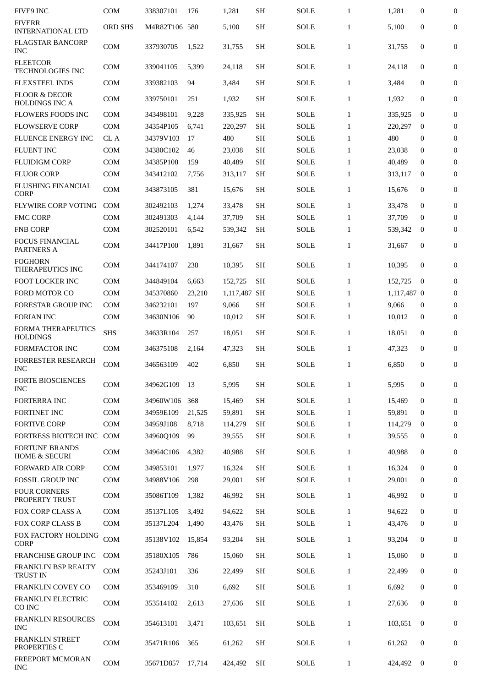| <b>FIVE9 INC</b>                                  | COM            | 338307101     | 176    | 1,281        | SН        | <b>SOLE</b> | $\mathbf{1}$ | 1,281       | $\bf{0}$         | $\boldsymbol{0}$ |
|---------------------------------------------------|----------------|---------------|--------|--------------|-----------|-------------|--------------|-------------|------------------|------------------|
| <b>FIVERR</b><br><b>INTERNATIONAL LTD</b>         | <b>ORD SHS</b> | M4R82T106 580 |        | 5,100        | <b>SH</b> | <b>SOLE</b> | $\mathbf{1}$ | 5,100       | $\boldsymbol{0}$ | $\mathbf{0}$     |
| <b>FLAGSTAR BANCORP</b><br><b>INC</b>             | <b>COM</b>     | 337930705     | 1,522  | 31,755       | <b>SH</b> | <b>SOLE</b> | $\mathbf{1}$ | 31,755      | $\boldsymbol{0}$ | $\boldsymbol{0}$ |
| <b>FLEETCOR</b><br><b>TECHNOLOGIES INC</b>        | COM            | 339041105     | 5,399  | 24,118       | <b>SH</b> | SOLE        | $\mathbf{1}$ | 24,118      | $\mathbf{0}$     | 0                |
| <b>FLEXSTEEL INDS</b>                             | <b>COM</b>     | 339382103     | 94     | 3,484        | <b>SH</b> | <b>SOLE</b> | $\mathbf{1}$ | 3,484       | $\mathbf{0}$     | $\boldsymbol{0}$ |
| <b>FLOOR &amp; DECOR</b><br><b>HOLDINGS INC A</b> | <b>COM</b>     | 339750101     | 251    | 1,932        | <b>SH</b> | SOLE        | $\mathbf{1}$ | 1,932       | $\mathbf{0}$     | $\boldsymbol{0}$ |
| <b>FLOWERS FOODS INC</b>                          | <b>COM</b>     | 343498101     | 9,228  | 335,925      | <b>SH</b> | <b>SOLE</b> | $\mathbf{1}$ | 335,925     | $\bf{0}$         | $\boldsymbol{0}$ |
| <b>FLOWSERVE CORP</b>                             | <b>COM</b>     | 34354P105     | 6,741  | 220,297      | <b>SH</b> | <b>SOLE</b> | $\mathbf{1}$ | 220,297     | $\Omega$         | $\bf{0}$         |
| <b>FLUENCE ENERGY INC</b>                         | CL A           | 34379V103     | 17     | 480          | <b>SH</b> | <b>SOLE</b> | $\mathbf{1}$ | 480         | 0                | $\boldsymbol{0}$ |
| <b>FLUENT INC</b>                                 | <b>COM</b>     | 34380C102     | 46     | 23,038       | <b>SH</b> | <b>SOLE</b> | $\mathbf{1}$ | 23,038      | 0                | $\boldsymbol{0}$ |
| <b>FLUIDIGM CORP</b>                              | <b>COM</b>     | 34385P108     | 159    | 40,489       | <b>SH</b> | <b>SOLE</b> | $\mathbf{1}$ | 40,489      | 0                | $\boldsymbol{0}$ |
| <b>FLUOR CORP</b>                                 | <b>COM</b>     | 343412102     | 7,756  | 313,117      | <b>SH</b> | SOLE        | $\mathbf{1}$ | 313,117     | $\bf{0}$         | $\bf{0}$         |
| <b>FLUSHING FINANCIAL</b><br><b>CORP</b>          | <b>COM</b>     | 343873105     | 381    | 15,676       | <b>SH</b> | <b>SOLE</b> | $\mathbf{1}$ | 15,676      | $\boldsymbol{0}$ | $\boldsymbol{0}$ |
| <b>FLYWIRE CORP VOTING</b>                        | <b>COM</b>     | 302492103     | 1,274  | 33,478       | <b>SH</b> | SOLE        | $\mathbf{1}$ | 33,478      | $\mathbf{0}$     | $\mathbf{0}$     |
| <b>FMC CORP</b>                                   | <b>COM</b>     | 302491303     | 4,144  | 37,709       | <b>SH</b> | <b>SOLE</b> | $\mathbf{1}$ | 37,709      | $\bf{0}$         | $\bf{0}$         |
| <b>FNB CORP</b>                                   | <b>COM</b>     | 302520101     | 6,542  | 539,342      | <b>SH</b> | <b>SOLE</b> | $\mathbf{1}$ | 539,342     | 0                | $\mathbf{0}$     |
| <b>FOCUS FINANCIAL</b><br>PARTNERS A              | <b>COM</b>     | 34417P100     | 1,891  | 31,667       | <b>SH</b> | SOLE        | $\mathbf{1}$ | 31,667      | $\mathbf{0}$     | 0                |
| <b>FOGHORN</b><br>THERAPEUTICS INC                | <b>COM</b>     | 344174107     | 238    | 10,395       | SH        | SOLE        | $\mathbf{1}$ | 10,395      | $\bf{0}$         | $\boldsymbol{0}$ |
| FOOT LOCKER INC                                   | <b>COM</b>     | 344849104     | 6,663  | 152,725      | <b>SH</b> | SOLE        | $\mathbf{1}$ | 152,725     | $\bf{0}$         | $\bf{0}$         |
| <b>FORD MOTOR CO</b>                              | <b>COM</b>     | 345370860     | 23,210 | 1,117,487 SH |           | <b>SOLE</b> | $\mathbf{1}$ | 1,117,487 0 |                  | $\mathbf{0}$     |
| <b>FORESTAR GROUP INC</b>                         | <b>COM</b>     | 346232101     | 197    | 9,066        | <b>SH</b> | <b>SOLE</b> | $\mathbf{1}$ | 9,066       | 0                | $\boldsymbol{0}$ |
| <b>FORIAN INC</b>                                 | <b>COM</b>     | 34630N106     | 90     | 10,012       | <b>SH</b> | SOLE        | $\mathbf{1}$ | 10,012      | 0                | $\bf{0}$         |
| FORMA THERAPEUTICS<br><b>HOLDINGS</b>             | <b>SHS</b>     | 34633R104     | 257    | 18,051       | <b>SH</b> | <b>SOLE</b> | $\mathbf{1}$ | 18,051      | $\mathbf{0}$     | $\bf{0}$         |
| FORMFACTOR INC                                    | <b>COM</b>     | 346375108     | 2,164  | 47,323       | <b>SH</b> | SOLE        | $\mathbf{1}$ | 47,323      | $\mathbf{0}$     | $\boldsymbol{0}$ |
| <b>FORRESTER RESEARCH</b><br><b>INC</b>           | <b>COM</b>     | 346563109     | 402    | 6,850        | SH        | <b>SOLE</b> | $\mathbf{1}$ | 6,850       | 0                | 0                |
| <b>FORTE BIOSCIENCES</b><br><b>INC</b>            | <b>COM</b>     | 34962G109     | 13     | 5,995        | <b>SH</b> | <b>SOLE</b> | $\mathbf{1}$ | 5,995       | $\boldsymbol{0}$ | $\boldsymbol{0}$ |
| <b>FORTERRA INC</b>                               | <b>COM</b>     | 34960W106     | 368    | 15,469       | <b>SH</b> | SOLE        | $\mathbf{1}$ | 15,469      | $\mathbf{0}$     | $\boldsymbol{0}$ |
| FORTINET INC                                      | <b>COM</b>     | 34959E109     | 21,525 | 59,891       | <b>SH</b> | <b>SOLE</b> | $\mathbf{1}$ | 59,891      | $\mathbf{0}$     | $\boldsymbol{0}$ |
| <b>FORTIVE CORP</b>                               | <b>COM</b>     | 34959J108     | 8,718  | 114,279      | <b>SH</b> | <b>SOLE</b> | $\mathbf{1}$ | 114,279     | $\bf{0}$         | $\mathbf{0}$     |
| FORTRESS BIOTECH INC                              | COM            | 34960Q109     | 99     | 39,555       | <b>SH</b> | SOLE        | $\mathbf{1}$ | 39,555      | $\mathbf{0}$     | 0                |
| <b>FORTUNE BRANDS</b><br><b>HOME &amp; SECURI</b> | COM            | 34964C106     | 4,382  | 40,988       | <b>SH</b> | <b>SOLE</b> | $\mathbf{1}$ | 40,988      | $\boldsymbol{0}$ | $\boldsymbol{0}$ |
| <b>FORWARD AIR CORP</b>                           | <b>COM</b>     | 349853101     | 1,977  | 16,324       | <b>SH</b> | SOLE        | $\mathbf{1}$ | 16,324      | $\boldsymbol{0}$ | $\boldsymbol{0}$ |
| <b>FOSSIL GROUP INC</b>                           | <b>COM</b>     | 34988V106     | 298    | 29,001       | <b>SH</b> | SOLE        | $\mathbf{1}$ | 29,001      | 0                | $\bf{0}$         |
| <b>FOUR CORNERS</b><br>PROPERTY TRUST             | <b>COM</b>     | 35086T109     | 1,382  | 46,992       | <b>SH</b> | <b>SOLE</b> | $\mathbf{1}$ | 46,992      | $\boldsymbol{0}$ | 0                |
| FOX CORP CLASS A                                  | <b>COM</b>     | 35137L105     | 3,492  | 94,622       | <b>SH</b> | <b>SOLE</b> | $\mathbf{1}$ | 94,622      | $\mathbf{0}$     | $\boldsymbol{0}$ |
| <b>FOX CORP CLASS B</b>                           | <b>COM</b>     | 35137L204     | 1,490  | 43,476       | <b>SH</b> | SOLE        | $\mathbf{1}$ | 43,476      | $\bf{0}$         | $\mathbf{0}$     |
| FOX FACTORY HOLDING<br><b>CORP</b>                | COM            | 35138V102     | 15,854 | 93,204       | <b>SH</b> | <b>SOLE</b> | $\mathbf{1}$ | 93,204      | $\bf{0}$         | $\boldsymbol{0}$ |
| <b>FRANCHISE GROUP INC</b>                        | <b>COM</b>     | 35180X105     | 786    | 15,060       | <b>SH</b> | SOLE        | $\mathbf{1}$ | 15,060      | $\boldsymbol{0}$ | $\boldsymbol{0}$ |
| FRANKLIN BSP REALTY<br><b>TRUST IN</b>            | <b>COM</b>     | 35243J101     | 336    | 22,499       | <b>SH</b> | <b>SOLE</b> | $\mathbf{1}$ | 22,499      | $\mathbf{0}$     | 0                |
| <b>FRANKLIN COVEY CO</b>                          | <b>COM</b>     | 353469109     | 310    | 6,692        | <b>SH</b> | <b>SOLE</b> | $\mathbf{1}$ | 6,692       | $\mathbf{0}$     | $\boldsymbol{0}$ |
| FRANKLIN ELECTRIC<br>CO INC                       | <b>COM</b>     | 353514102     | 2,613  | 27,636       | <b>SH</b> | <b>SOLE</b> | $\mathbf{1}$ | 27,636      | $\boldsymbol{0}$ | 0                |
| FRANKLIN RESOURCES<br><b>INC</b>                  | COM            | 354613101     | 3,471  | 103,651      | <b>SH</b> | <b>SOLE</b> | $\mathbf{1}$ | 103,651     | $\bf{0}$         | 0                |
| <b>FRANKLIN STREET</b><br>PROPERTIES C            | <b>COM</b>     | 35471R106     | 365    | 61,262       | <b>SH</b> | SOLE        | $\mathbf{1}$ | 61,262      | $\boldsymbol{0}$ | $\boldsymbol{0}$ |
| FREEPORT MCMORAN<br><b>INC</b>                    | <b>COM</b>     | 35671D857     | 17,714 | 424,492      | SH        | SOLE        | $\mathbf{1}$ | 424,492     | $\bf{0}$         | 0                |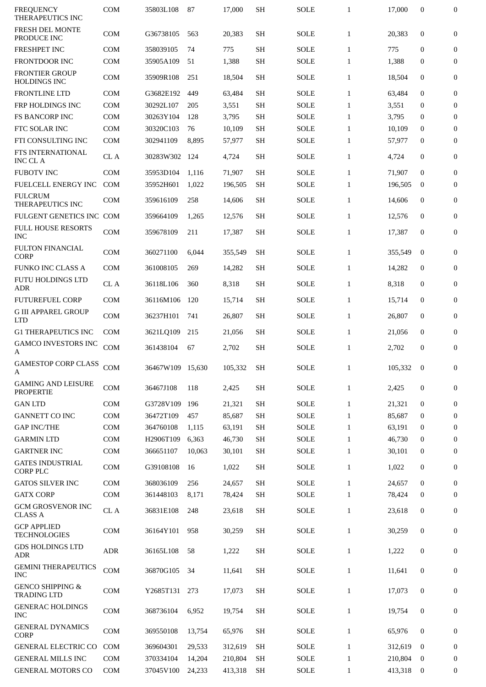| <b>FREQUENCY</b><br><b>THERAPEUTICS INC</b>       | <b>COM</b> | 35803L108        | 87     | 17,000  | <b>SH</b> | <b>SOLE</b> | $\mathbf{1}$ | 17,000  | 0                | 0                |
|---------------------------------------------------|------------|------------------|--------|---------|-----------|-------------|--------------|---------|------------------|------------------|
| <b>FRESH DEL MONTE</b><br>PRODUCE INC             | <b>COM</b> | G36738105        | 563    | 20,383  | <b>SH</b> | <b>SOLE</b> | $\mathbf{1}$ | 20,383  | 0                | 0                |
| <b>FRESHPET INC</b>                               | <b>COM</b> | 358039105        | 74     | 775     | <b>SH</b> | <b>SOLE</b> | $\mathbf{1}$ | 775     | 0                | $\boldsymbol{0}$ |
| FRONTDOOR INC                                     | <b>COM</b> | 35905A109        | 51     | 1,388   | <b>SH</b> | <b>SOLE</b> | $\mathbf{1}$ | 1,388   | 0                | 0                |
| <b>FRONTIER GROUP</b><br><b>HOLDINGS INC</b>      | <b>COM</b> | 35909R108        | 251    | 18,504  | <b>SH</b> | SOLE        | $\mathbf{1}$ | 18,504  | 0                | 0                |
| <b>FRONTLINE LTD</b>                              | <b>COM</b> | G3682E192        | 449    | 63,484  | <b>SH</b> | <b>SOLE</b> | $\mathbf{1}$ | 63,484  | $\mathbf{0}$     | 0                |
| FRP HOLDINGS INC                                  | <b>COM</b> | 30292L107        | 205    | 3,551   | <b>SH</b> | <b>SOLE</b> | $\mathbf{1}$ | 3,551   | $\mathbf{0}$     | 0                |
| <b>FS BANCORP INC</b>                             | <b>COM</b> | 30263Y104        | 128    | 3,795   | <b>SH</b> | <b>SOLE</b> | $\mathbf{1}$ | 3,795   | $\bf{0}$         | $\mathbf{0}$     |
| FTC SOLAR INC                                     | <b>COM</b> | 30320C103        | 76     | 10,109  | <b>SH</b> | <b>SOLE</b> | $\mathbf{1}$ | 10,109  | 0                | 0                |
| FTI CONSULTING INC                                | <b>COM</b> | 302941109        | 8,895  | 57,977  | <b>SH</b> | SOLE        | $\mathbf{1}$ | 57,977  | 0                | 0                |
| FTS INTERNATIONAL<br><b>INC CL A</b>              | CL A       | 30283W302        | 124    | 4,724   | <b>SH</b> | SOLE        | $\mathbf{1}$ | 4,724   | 0                | 0                |
| <b>FUBOTV INC</b>                                 | <b>COM</b> | 35953D104        | 1,116  | 71,907  | <b>SH</b> | <b>SOLE</b> | $\mathbf{1}$ | 71,907  | $\mathbf{0}$     | $\boldsymbol{0}$ |
| FUELCELL ENERGY INC                               | <b>COM</b> | 35952H601        | 1,022  | 196,505 | <b>SH</b> | <b>SOLE</b> | $\mathbf{1}$ | 196,505 | 0                | $\mathbf{0}$     |
| <b>FULCRUM</b><br>THERAPEUTICS INC                | <b>COM</b> | 359616109        | 258    | 14,606  | <b>SH</b> | SOLE        | $\mathbf{1}$ | 14,606  | $\mathbf{0}$     | $\mathbf{0}$     |
| FULGENT GENETICS INC COM                          |            | 359664109        | 1,265  | 12,576  | <b>SH</b> | <b>SOLE</b> | $\mathbf{1}$ | 12,576  | 0                | 0                |
| <b>FULL HOUSE RESORTS</b><br><b>INC</b>           | <b>COM</b> | 359678109        | 211    | 17,387  | <b>SH</b> | <b>SOLE</b> | $\mathbf{1}$ | 17,387  | $\mathbf{0}$     | 0                |
| <b>FULTON FINANCIAL</b><br><b>CORP</b>            | COM        | 360271100        | 6,044  | 355,549 | <b>SH</b> | <b>SOLE</b> | $\mathbf{1}$ | 355,549 | $\bf{0}$         | 0                |
| <b>FUNKO INC CLASS A</b>                          | <b>COM</b> | 361008105        | 269    | 14,282  | <b>SH</b> | <b>SOLE</b> | $\mathbf{1}$ | 14,282  | 0                | 0                |
| <b>FUTU HOLDINGS LTD</b><br>ADR                   | CL A       | 36118L106        | 360    | 8,318   | <b>SH</b> | <b>SOLE</b> | $\mathbf{1}$ | 8,318   | 0                | 0                |
| <b>FUTUREFUEL CORP</b>                            | <b>COM</b> | 36116M106        | 120    | 15,714  | <b>SH</b> | <b>SOLE</b> | $\mathbf{1}$ | 15,714  | 0                | 0                |
| <b>G III APPAREL GROUP</b><br><b>LTD</b>          | <b>COM</b> | 36237H101        | 741    | 26,807  | <b>SH</b> | <b>SOLE</b> | $\mathbf{1}$ | 26,807  | 0                | 0                |
| <b>G1 THERAPEUTICS INC</b>                        | <b>COM</b> | 3621LQ109        | 215    | 21,056  | <b>SH</b> | SOLE        | $\mathbf{1}$ | 21,056  | 0                | 0                |
| <b>GAMCO INVESTORS INC</b><br>A                   | <b>COM</b> | 361438104        | 67     | 2,702   | <b>SH</b> | <b>SOLE</b> | $\mathbf{1}$ | 2,702   | $\boldsymbol{0}$ | 0                |
| <b>GAMESTOP CORP CLASS</b><br>A                   | COM        | 36467W109 15,630 |        | 105,332 | <b>SH</b> | SOLE        | $\mathbf{1}$ | 105,332 | $\bf{0}$         | $\Omega$         |
| <b>GAMING AND LEISURE</b><br><b>PROPERTIE</b>     | COM        | 36467J108        | 118    | 2,425   | <b>SH</b> | <b>SOLE</b> | $\mathbf{1}$ | 2,425   | 0                | $\boldsymbol{0}$ |
| <b>GAN LTD</b>                                    | <b>COM</b> | G3728V109        | 196    | 21,321  | <b>SH</b> | <b>SOLE</b> | $\mathbf{1}$ | 21,321  | $\mathbf{0}$     | 0                |
| <b>GANNETT CO INC</b>                             | COM        | 36472T109        | 457    | 85,687  | <b>SH</b> | <b>SOLE</b> | $\mathbf{1}$ | 85,687  | 0                | 0                |
| <b>GAP INC/THE</b>                                | COM        | 364760108        | 1,115  | 63,191  | <b>SH</b> | <b>SOLE</b> | $\mathbf{1}$ | 63,191  | 0                | 0                |
| <b>GARMIN LTD</b>                                 | COM        | H2906T109        | 6,363  | 46,730  | <b>SH</b> | SOLE        | $\mathbf{1}$ | 46,730  | $\bf{0}$         | 0                |
| <b>GARTNER INC</b>                                | <b>COM</b> | 366651107        | 10,063 | 30,101  | <b>SH</b> | SOLE        | $\mathbf{1}$ | 30,101  | 0                | 0                |
| <b>GATES INDUSTRIAL</b><br><b>CORP PLC</b>        | COM        | G39108108        | 16     | 1,022   | <b>SH</b> | SOLE        | $\mathbf{1}$ | 1,022   | 0                | 0                |
| <b>GATOS SILVER INC</b>                           | <b>COM</b> | 368036109        | 256    | 24,657  | <b>SH</b> | <b>SOLE</b> | $\mathbf{1}$ | 24,657  | $\mathbf{0}$     | 0                |
| <b>GATX CORP</b>                                  | COM        | 361448103        | 8,171  | 78,424  | <b>SH</b> | SOLE        | $\mathbf{1}$ | 78,424  | 0                | 0                |
| <b>GCM GROSVENOR INC</b><br><b>CLASS A</b>        | CL A       | 36831E108        | 248    | 23,618  | <b>SH</b> | SOLE        | $\mathbf{1}$ | 23,618  | 0                | 0                |
| <b>GCP APPLIED</b><br><b>TECHNOLOGIES</b>         | <b>COM</b> | 36164Y101        | 958    | 30,259  | <b>SH</b> | SOLE        | $\mathbf{1}$ | 30,259  | 0                | $\bf{0}$         |
| <b>GDS HOLDINGS LTD</b><br><b>ADR</b>             | ADR        | 36165L108        | 58     | 1,222   | <b>SH</b> | SOLE        | $\mathbf{1}$ | 1,222   | 0                | 0                |
| <b>GEMINI THERAPEUTICS</b><br><b>INC</b>          | COM        | 36870G105        | 34     | 11,641  | <b>SH</b> | <b>SOLE</b> | $\mathbf{1}$ | 11,641  | 0                | 0                |
| <b>GENCO SHIPPING &amp;</b><br><b>TRADING LTD</b> | COM        | Y2685T131        | 273    | 17,073  | <b>SH</b> | SOLE        | $\mathbf{1}$ | 17,073  | 0                | 0                |
| <b>GENERAC HOLDINGS</b><br><b>INC</b>             | <b>COM</b> | 368736104        | 6,952  | 19,754  | <b>SH</b> | <b>SOLE</b> | $\mathbf{1}$ | 19,754  | 0                | 0                |
| <b>GENERAL DYNAMICS</b><br><b>CORP</b>            | <b>COM</b> | 369550108        | 13,754 | 65,976  | <b>SH</b> | <b>SOLE</b> | $\mathbf{1}$ | 65,976  | $\mathbf 0$      | 0                |
| <b>GENERAL ELECTRIC CO</b>                        | <b>COM</b> | 369604301        | 29,533 | 312,619 | <b>SH</b> | <b>SOLE</b> | $\mathbf{1}$ | 312,619 | $\bf{0}$         | 0                |
| <b>GENERAL MILLS INC</b>                          | <b>COM</b> | 370334104        | 14,204 | 210,804 | SH        | SOLE        | $\mathbf{1}$ | 210,804 | $\bf{0}$         | 0                |
| <b>GENERAL MOTORS CO</b>                          | <b>COM</b> | 37045V100        | 24,233 | 413,318 | SH        | <b>SOLE</b> | $\mathbf{1}$ | 413,318 | $\bf{0}$         | 0                |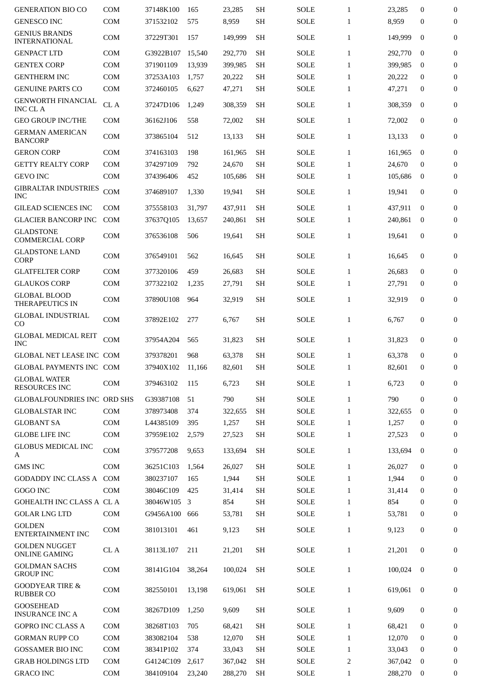| <b>GENERATION BIO CO</b>                         | <b>COM</b> | 37148K100              | 165        | 23,285          | <b>SH</b>              | <b>SOLE</b>                | $\mathbf{1}$                 | 23,285          | $\boldsymbol{0}$             | $\boldsymbol{0}$    |
|--------------------------------------------------|------------|------------------------|------------|-----------------|------------------------|----------------------------|------------------------------|-----------------|------------------------------|---------------------|
| <b>GENESCO INC</b>                               | COM        | 371532102              | 575        | 8,959           | <b>SH</b>              | <b>SOLE</b>                | $\mathbf{1}$                 | 8,959           | $\boldsymbol{0}$             | $\mathbf{0}$        |
| <b>GENIUS BRANDS</b><br><b>INTERNATIONAL</b>     | <b>COM</b> | 37229T301              | 157        | 149,999         | <b>SH</b>              | <b>SOLE</b>                | $\mathbf{1}$                 | 149,999         | $\mathbf 0$                  | $\bf{0}$            |
| <b>GENPACT LTD</b>                               | <b>COM</b> | G3922B107              | 15,540     | 292,770         | <b>SH</b>              | <b>SOLE</b>                | $\mathbf{1}$                 | 292,770         | $\bf{0}$                     | $\mathbf{0}$        |
| <b>GENTEX CORP</b>                               | COM        | 371901109              | 13.939     | 399,985         | <b>SH</b>              | <b>SOLE</b>                | $\mathbf{1}$                 | 399,985         | $\bf{0}$                     | $\boldsymbol{0}$    |
| <b>GENTHERM INC</b>                              | COM        | 37253A103              | 1,757      | 20,222          | <b>SH</b>              | <b>SOLE</b>                | $\mathbf{1}$                 | 20,222          | $\mathbf{0}$                 | $\boldsymbol{0}$    |
| <b>GENUINE PARTS CO</b>                          | <b>COM</b> | 372460105              | 6,627      | 47,271          | <b>SH</b>              | <b>SOLE</b>                | $\mathbf{1}$                 | 47,271          | $\bf{0}$                     | $\mathbf{0}$        |
| <b>GENWORTH FINANCIAL</b><br><b>INC CL A</b>     | CL A       | 37247D106              | 1,249      | 308,359         | <b>SH</b>              | <b>SOLE</b>                | $\mathbf{1}$                 | 308,359         | $\mathbf{0}$                 | $\boldsymbol{0}$    |
| <b>GEO GROUP INC/THE</b>                         | <b>COM</b> | 36162J106              | 558        | 72,002          | <b>SH</b>              | <b>SOLE</b>                | $\mathbf{1}$                 | 72,002          | $\mathbf{0}$                 | $\boldsymbol{0}$    |
| <b>GERMAN AMERICAN</b><br><b>BANCORP</b>         | <b>COM</b> | 373865104              | 512        | 13,133          | <b>SH</b>              | <b>SOLE</b>                | $\mathbf{1}$                 | 13,133          | $\mathbf{0}$                 | $\mathbf{0}$        |
| <b>GERON CORP</b>                                | <b>COM</b> | 374163103              | 198        | 161,965         | <b>SH</b>              | <b>SOLE</b>                | $\mathbf{1}$                 | 161,965         | $\mathbf 0$                  | $\mathbf{0}$        |
| <b>GETTY REALTY CORP</b>                         | COM        | 374297109              | 792        | 24,670          | <b>SH</b>              | <b>SOLE</b>                | $\mathbf{1}$                 | 24,670          | $\bf{0}$                     | $\boldsymbol{0}$    |
| <b>GEVO INC</b>                                  | <b>COM</b> | 374396406              | 452        | 105,686         | <b>SH</b>              | <b>SOLE</b>                | $\mathbf{1}$                 | 105,686         | $\bf{0}$                     | $\boldsymbol{0}$    |
| <b>GIBRALTAR INDUSTRIES</b><br><b>INC</b>        | COM        | 374689107              | 1,330      | 19,941          | <b>SH</b>              | <b>SOLE</b>                | $\mathbf{1}$                 | 19,941          | $\mathbf{0}$                 | 0                   |
| <b>GILEAD SCIENCES INC</b>                       | <b>COM</b> | 375558103              | 31,797     | 437,911         | <b>SH</b>              | <b>SOLE</b>                | $\mathbf{1}$                 | 437,911         | $\mathbf 0$                  | $\mathbf{0}$        |
| <b>GLACIER BANCORP INC</b>                       | <b>COM</b> | 37637Q105              | 13,657     | 240,861         | <b>SH</b>              | <b>SOLE</b>                | $\mathbf{1}$                 | 240,861         | $\bf{0}$                     | $\mathbf{0}$        |
| <b>GLADSTONE</b>                                 |            |                        |            |                 |                        |                            |                              |                 |                              |                     |
| <b>COMMERCIAL CORP</b><br><b>GLADSTONE LAND</b>  | <b>COM</b> | 376536108              | 506        | 19,641          | <b>SH</b>              | <b>SOLE</b>                | $\mathbf{1}$                 | 19,641          | $\mathbf{0}$                 | $\boldsymbol{0}$    |
| <b>CORP</b>                                      | <b>COM</b> | 376549101              | 562        | 16,645          | <b>SH</b>              | <b>SOLE</b>                | $\mathbf{1}$                 | 16,645          | $\mathbf{0}$                 | $\mathbf{0}$        |
| <b>GLATFELTER CORP</b>                           | COM        | 377320106              | 459        | 26,683          | <b>SH</b>              | <b>SOLE</b>                | $\mathbf{1}$                 | 26,683          | $\boldsymbol{0}$             | $\boldsymbol{0}$    |
| <b>GLAUKOS CORP</b>                              | <b>COM</b> | 377322102              | 1,235      | 27,791          | <b>SH</b>              | <b>SOLE</b>                | $\mathbf{1}$                 | 27,791          | $\bf{0}$                     | $\mathbf{0}$        |
| <b>GLOBAL BLOOD</b><br>THERAPEUTICS IN           | <b>COM</b> | 37890U108              | 964        | 32,919          | <b>SH</b>              | <b>SOLE</b>                | $\mathbf{1}$                 | 32,919          | $\boldsymbol{0}$             | 0                   |
| <b>GLOBAL INDUSTRIAL</b><br>CO                   | <b>COM</b> | 37892E102              | 277        | 6,767           | <b>SH</b>              | <b>SOLE</b>                | $\mathbf{1}$                 | 6,767           | $\boldsymbol{0}$             | 0                   |
| <b>GLOBAL MEDICAL REIT</b><br><b>INC</b>         | <b>COM</b> | 37954A204              | 565        | 31,823          | <b>SH</b>              | <b>SOLE</b>                | $\mathbf{1}$                 | 31,823          | $\mathbf{0}$                 | $\mathbf{0}$        |
| GLOBAL NET LEASE INC COM                         |            | 379378201              | 968        | 63,378          | <b>SH</b>              | <b>SOLE</b>                | $\mathbf{1}$                 | 63,378          | $\boldsymbol{0}$             | $\boldsymbol{0}$    |
| GLOBAL PAYMENTS INC COM                          |            | 37940X102              | 11.166     | 82,601          | SH                     | <b>SOLE</b>                | $\mathbf{1}$                 | 82,601          | $\boldsymbol{0}$             | $\mathbf{0}$        |
| <b>GLOBAL WATER</b><br><b>RESOURCES INC</b>      | <b>COM</b> | 379463102              | 115        | 6,723           | <b>SH</b>              | SOLE                       | $\mathbf{1}$                 | 6,723           | 0                            | 0                   |
| <b>GLOBALFOUNDRIES INC ORD SHS</b>               |            | G39387108              | 51         | 790             | <b>SH</b>              | <b>SOLE</b>                | $\mathbf{1}$                 | 790             | $\mathbf{0}$                 | $\boldsymbol{0}$    |
| <b>GLOBALSTAR INC</b>                            | <b>COM</b> | 378973408              | 374        | 322,655         | <b>SH</b>              | <b>SOLE</b>                | $\mathbf{1}$                 | 322,655         | $\boldsymbol{0}$             | $\mathbf{0}$        |
| <b>GLOBANT SA</b>                                | <b>COM</b> | L44385109              | 395        | 1,257           | <b>SH</b>              | <b>SOLE</b>                | $\mathbf{1}$                 | 1,257           | $\bf{0}$                     | $\mathbf{0}$        |
| <b>GLOBE LIFE INC</b>                            | <b>COM</b> | 37959E102              | 2,579      | 27,523          | <b>SH</b>              | <b>SOLE</b>                | $\mathbf{1}$                 | 27,523          | $\bf{0}$                     | $\mathbf{0}$        |
| <b>GLOBUS MEDICAL INC</b><br>A                   | COM        | 379577208              | 9,653      | 133,694         | <b>SH</b>              | <b>SOLE</b>                | $\mathbf{1}$                 | 133,694         | $\bf{0}$                     | $\bf{0}$            |
| <b>GMS INC</b>                                   | <b>COM</b> | 36251C103              | 1,564      | 26,027          | <b>SH</b>              | <b>SOLE</b>                | $\mathbf{1}$                 | 26,027          | $\mathbf{0}$                 | $\mathbf{0}$        |
| GODADDY INC CLASS A                              | COM        | 380237107              | 165        | 1,944           | <b>SH</b>              | <b>SOLE</b>                | $\mathbf{1}$                 | 1,944           | $\bf{0}$                     | 0                   |
|                                                  | <b>COM</b> |                        |            |                 | <b>SH</b>              |                            |                              |                 |                              |                     |
| GOGO INC                                         |            | 38046C109              | 425        | 31,414          |                        | <b>SOLE</b>                | $\mathbf{1}$                 | 31,414          | $\bf{0}$                     | $\boldsymbol{0}$    |
| <b>GOHEALTH INC CLASS A CL A</b>                 |            | 38046W105              | 3          | 854             | <b>SH</b>              | <b>SOLE</b>                | $\mathbf{1}$                 | 854             | $\mathbf{0}$                 | $\boldsymbol{0}$    |
| <b>GOLAR LNG LTD</b><br><b>GOLDEN</b>            | COM<br>COM | G9456A100<br>381013101 | 666<br>461 | 53,781<br>9,123 | <b>SH</b><br><b>SH</b> | <b>SOLE</b><br><b>SOLE</b> | $\mathbf{1}$<br>$\mathbf{1}$ | 53,781<br>9,123 | $\bf{0}$<br>$\boldsymbol{0}$ | $\overline{0}$<br>0 |
| <b>ENTERTAINMENT INC</b><br><b>GOLDEN NUGGET</b> | CL A       | 38113L107              | 211        | 21,201          | <b>SH</b>              | <b>SOLE</b>                | $\mathbf{1}$                 | 21,201          | $\mathbf{0}$                 | $\mathbf{0}$        |
| <b>ONLINE GAMING</b><br><b>GOLDMAN SACHS</b>     | COM        | 38141G104              | 38,264     | 100,024         | <b>SH</b>              | <b>SOLE</b>                | $\mathbf{1}$                 | 100,024         | $\overline{0}$               | $\boldsymbol{0}$    |
| <b>GROUP INC</b><br><b>GOODYEAR TIRE &amp;</b>   | <b>COM</b> | 382550101              | 13,198     | 619,061         | <b>SH</b>              | <b>SOLE</b>                | $\mathbf{1}$                 | 619,061         | $\bf{0}$                     | $\mathbf{0}$        |
| <b>RUBBER CO</b><br><b>GOOSEHEAD</b>             | <b>COM</b> | 38267D109              | 1,250      | 9,609           | <b>SH</b>              | <b>SOLE</b>                | $\mathbf{1}$                 | 9,609           | $\bf{0}$                     | 0                   |
| <b>INSURANCE INC A</b>                           |            |                        |            |                 |                        |                            |                              |                 |                              |                     |
| <b>GOPRO INC CLASS A</b>                         | <b>COM</b> | 38268T103              | 705        | 68,421          | <b>SH</b>              | <b>SOLE</b>                | $\mathbf{1}$                 | 68,421          | $\mathbf{0}$                 | $\boldsymbol{0}$    |
| <b>GORMAN RUPP CO</b>                            | <b>COM</b> | 383082104              | 538        | 12,070          | <b>SH</b>              | <b>SOLE</b>                | $\mathbf{1}$                 | 12,070          | $\mathbf{0}$                 | $\boldsymbol{0}$    |
| <b>GOSSAMER BIO INC</b>                          | COM        | 38341P102              | 374        | 33,043          | <b>SH</b>              | <b>SOLE</b>                | $\mathbf{1}$                 | 33,043          | $\mathbf{0}$                 | $\boldsymbol{0}$    |
| <b>GRAB HOLDINGS LTD</b>                         | COM        | G4124C109              | 2,617      | 367,042         | <b>SH</b>              | <b>SOLE</b>                | 2                            | 367,042         | $\bf{0}$                     | $\boldsymbol{0}$    |
| <b>GRACO INC</b>                                 | COM        | 384109104              | 23,240     | 288,270         | <b>SH</b>              | SOLE                       | $\mathbf{1}$                 | 288,270         | $\bf{0}$                     | $\boldsymbol{0}$    |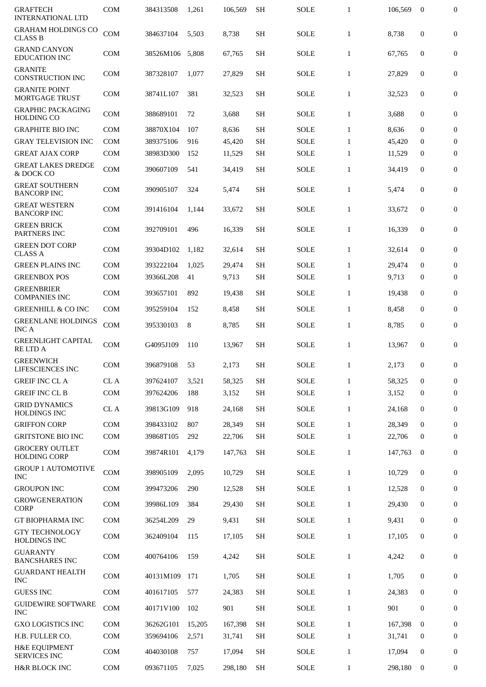| <b>GRAFTECH</b><br><b>INTERNATIONAL LTD</b>     | <b>COM</b> | 384313508 | 1,261  | 106,569 | <b>SH</b> | <b>SOLE</b> | $\mathbf{1}$ | 106,569 | $\bf{0}$         | 0                |
|-------------------------------------------------|------------|-----------|--------|---------|-----------|-------------|--------------|---------|------------------|------------------|
| <b>GRAHAM HOLDINGS CO</b><br><b>CLASS B</b>     | COM        | 384637104 | 5,503  | 8,738   | <b>SH</b> | SOLE        | $\mathbf{1}$ | 8,738   | $\boldsymbol{0}$ | $\mathbf{0}$     |
| <b>GRAND CANYON</b><br><b>EDUCATION INC</b>     | <b>COM</b> | 38526M106 | 5,808  | 67,765  | <b>SH</b> | <b>SOLE</b> | $\mathbf{1}$ | 67,765  | $\boldsymbol{0}$ | $\boldsymbol{0}$ |
| <b>GRANITE</b><br><b>CONSTRUCTION INC</b>       | <b>COM</b> | 387328107 | 1,077  | 27,829  | <b>SH</b> | SOLE        | $\mathbf{1}$ | 27,829  | $\boldsymbol{0}$ | 0                |
| <b>GRANITE POINT</b><br><b>MORTGAGE TRUST</b>   | <b>COM</b> | 38741L107 | 381    | 32,523  | <b>SH</b> | <b>SOLE</b> | $\mathbf{1}$ | 32,523  | $\boldsymbol{0}$ | $\boldsymbol{0}$ |
| <b>GRAPHIC PACKAGING</b><br><b>HOLDING CO</b>   | <b>COM</b> | 388689101 | 72     | 3,688   | <b>SH</b> | <b>SOLE</b> | $\mathbf{1}$ | 3,688   | $\boldsymbol{0}$ | 0                |
| <b>GRAPHITE BIO INC</b>                         | <b>COM</b> | 38870X104 | 107    | 8,636   | <b>SH</b> | <b>SOLE</b> | $\mathbf{1}$ | 8,636   | $\boldsymbol{0}$ | 0                |
| <b>GRAY TELEVISION INC</b>                      | <b>COM</b> | 389375106 | 916    | 45,420  | <b>SH</b> | <b>SOLE</b> | $\mathbf{1}$ | 45,420  | $\mathbf{0}$     | $\boldsymbol{0}$ |
| <b>GREAT AJAX CORP</b>                          | <b>COM</b> | 38983D300 | 152    | 11,529  | <b>SH</b> | <b>SOLE</b> | $\mathbf{1}$ | 11,529  | $\mathbf{0}$     | $\boldsymbol{0}$ |
| <b>GREAT LAKES DREDGE</b><br>& DOCK CO          | <b>COM</b> | 390607109 | 541    | 34,419  | <b>SH</b> | <b>SOLE</b> | $\mathbf{1}$ | 34,419  | $\mathbf{0}$     | 0                |
| <b>GREAT SOUTHERN</b><br><b>BANCORP INC</b>     | <b>COM</b> | 390905107 | 324    | 5,474   | <b>SH</b> | <b>SOLE</b> | $\mathbf{1}$ | 5,474   | $\boldsymbol{0}$ | 0                |
| <b>GREAT WESTERN</b><br><b>BANCORP INC</b>      | <b>COM</b> | 391416104 | 1,144  | 33,672  | <b>SH</b> | <b>SOLE</b> | $\mathbf{1}$ | 33,672  | $\boldsymbol{0}$ | 0                |
| <b>GREEN BRICK</b><br>PARTNERS INC              | <b>COM</b> | 392709101 | 496    | 16,339  | <b>SH</b> | SOLE        | $\mathbf{1}$ | 16,339  | $\mathbf{0}$     | $\mathbf{0}$     |
| <b>GREEN DOT CORP</b><br><b>CLASS A</b>         | <b>COM</b> | 39304D102 | 1,182  | 32,614  | <b>SH</b> | <b>SOLE</b> | $\mathbf{1}$ | 32,614  | $\boldsymbol{0}$ | 0                |
| <b>GREEN PLAINS INC</b>                         | <b>COM</b> | 393222104 | 1,025  | 29,474  | <b>SH</b> | <b>SOLE</b> | $\mathbf{1}$ | 29,474  | $\boldsymbol{0}$ | $\boldsymbol{0}$ |
| <b>GREENBOX POS</b>                             | <b>COM</b> | 39366L208 | 41     | 9,713   | <b>SH</b> | SOLE        | $\mathbf{1}$ | 9,713   | 0                | $\boldsymbol{0}$ |
| <b>GREENBRIER</b><br><b>COMPANIES INC</b>       | <b>COM</b> | 393657101 | 892    | 19,438  | <b>SH</b> | <b>SOLE</b> | $\mathbf{1}$ | 19,438  | $\mathbf{0}$     | $\boldsymbol{0}$ |
| <b>GREENHILL &amp; CO INC</b>                   | <b>COM</b> | 395259104 | 152    | 8,458   | <b>SH</b> | <b>SOLE</b> | $\mathbf{1}$ | 8,458   | $\bf{0}$         | $\boldsymbol{0}$ |
| <b>GREENLANE HOLDINGS</b><br><b>INCA</b>        | <b>COM</b> | 395330103 | 8      | 8,785   | <b>SH</b> | <b>SOLE</b> | $\mathbf{1}$ | 8,785   | $\boldsymbol{0}$ | 0                |
| <b>GREENLIGHT CAPITAL</b><br><b>RELTDA</b>      | <b>COM</b> | G4095J109 | 110    | 13,967  | <b>SH</b> | <b>SOLE</b> | $\mathbf{1}$ | 13,967  | $\boldsymbol{0}$ | 0                |
| <b>GREENWICH</b><br>LIFESCIENCES INC            | <b>COM</b> | 396879108 | 53     | 2.173   | SH        | <b>SOLE</b> | $\mathbf{1}$ | 2,173   | $\mathbf{0}$     | 0                |
| <b>GREIF INC CL A</b>                           | CL A       | 397624107 | 3,521  | 58,325  | <b>SH</b> | <b>SOLE</b> | $\mathbf{1}$ | 58,325  | $\mathbf{0}$     | $\mathbf{0}$     |
| <b>GREIF INC CL B</b>                           | <b>COM</b> | 397624206 | 188    | 3,152   | <b>SH</b> | <b>SOLE</b> | $\mathbf{1}$ | 3,152   | $\bf{0}$         | $\boldsymbol{0}$ |
| <b>GRID DYNAMICS</b><br><b>HOLDINGS INC</b>     | $\rm CL~A$ | 39813G109 | 918    | 24,168  | <b>SH</b> | SOLE        | $\mathbf{1}$ | 24.168  | $\bf{0}$         | $\boldsymbol{0}$ |
| <b>GRIFFON CORP</b>                             | <b>COM</b> | 398433102 | 807    | 28,349  | <b>SH</b> | <b>SOLE</b> | $\mathbf{1}$ | 28,349  | $\mathbf{0}$     | $\bf{0}$         |
| GRITSTONE BIO INC                               | COM        | 39868T105 | 292    | 22,706  | <b>SH</b> | SOLE        | $\mathbf{1}$ | 22,706  | $\mathbf{0}$     | $\bf{0}$         |
| <b>GROCERY OUTLET</b><br><b>HOLDING CORP</b>    | <b>COM</b> | 39874R101 | 4,179  | 147,763 | <b>SH</b> | SOLE        | $\mathbf{1}$ | 147,763 | $\bf{0}$         | $\mathbf{0}$     |
| <b>GROUP 1 AUTOMOTIVE</b><br><b>INC</b>         | <b>COM</b> | 398905109 | 2,095  | 10,729  | <b>SH</b> | SOLE        | $\mathbf{1}$ | 10,729  | $\boldsymbol{0}$ | $\overline{0}$   |
| <b>GROUPON INC</b>                              | <b>COM</b> | 399473206 | 290    | 12,528  | <b>SH</b> | SOLE        | $\mathbf{1}$ | 12,528  | $\mathbf{0}$     | $\boldsymbol{0}$ |
| <b>GROWGENERATION</b><br><b>CORP</b>            | <b>COM</b> | 39986L109 | 384    | 29,430  | <b>SH</b> | SOLE        | $\mathbf{1}$ | 29,430  | $\bf{0}$         | $\bf{0}$         |
| <b>GT BIOPHARMA INC</b>                         | <b>COM</b> | 36254L209 | 29     | 9,431   | <b>SH</b> | SOLE        | $\mathbf{1}$ | 9,431   | $\bf{0}$         | $\boldsymbol{0}$ |
| <b>GTY TECHNOLOGY</b><br><b>HOLDINGS INC</b>    | COM        | 362409104 | 115    | 17,105  | <b>SH</b> | SOLE        | $\mathbf{1}$ | 17,105  | $\bf{0}$         | $\boldsymbol{0}$ |
| <b>GUARANTY</b><br><b>BANCSHARES INC</b>        | <b>COM</b> | 400764106 | 159    | 4,242   | <b>SH</b> | SOLE        | $\mathbf{1}$ | 4,242   | $\boldsymbol{0}$ | $\bf{0}$         |
| <b>GUARDANT HEALTH</b><br><b>INC</b>            | <b>COM</b> | 40131M109 | 171    | 1,705   | <b>SH</b> | SOLE        | $\mathbf{1}$ | 1,705   | $\bf{0}$         | $\bf{0}$         |
| <b>GUESS INC</b>                                | COM        | 401617105 | 577    | 24,383  | <b>SH</b> | SOLE        | $\mathbf{1}$ | 24,383  | $\mathbf{0}$     | $\bf{0}$         |
| <b>GUIDEWIRE SOFTWARE</b><br><b>INC</b>         | <b>COM</b> | 40171V100 | 102    | 901     | <b>SH</b> | <b>SOLE</b> | $\mathbf{1}$ | 901     | $\bf{0}$         | $\boldsymbol{0}$ |
| <b>GXO LOGISTICS INC</b>                        | COM        | 36262G101 | 15,205 | 167,398 | <b>SH</b> | <b>SOLE</b> | $\mathbf{1}$ | 167,398 | $\mathbf{0}$     | $\bf{0}$         |
| H.B. FULLER CO.                                 | <b>COM</b> | 359694106 | 2,571  | 31,741  | <b>SH</b> | SOLE        | $\mathbf{1}$ | 31,741  | $\mathbf{0}$     | $\mathbf{0}$     |
| <b>H&amp;E EQUIPMENT</b><br><b>SERVICES INC</b> | <b>COM</b> | 404030108 | 757    | 17,094  | <b>SH</b> | SOLE        | $\mathbf{1}$ | 17,094  | $\mathbf{0}$     | $\boldsymbol{0}$ |
| <b>H&amp;R BLOCK INC</b>                        | COM        | 093671105 | 7,025  | 298,180 | SH        | SOLE        | $\mathbf{1}$ | 298,180 | $\bf{0}$         | $\bf{0}$         |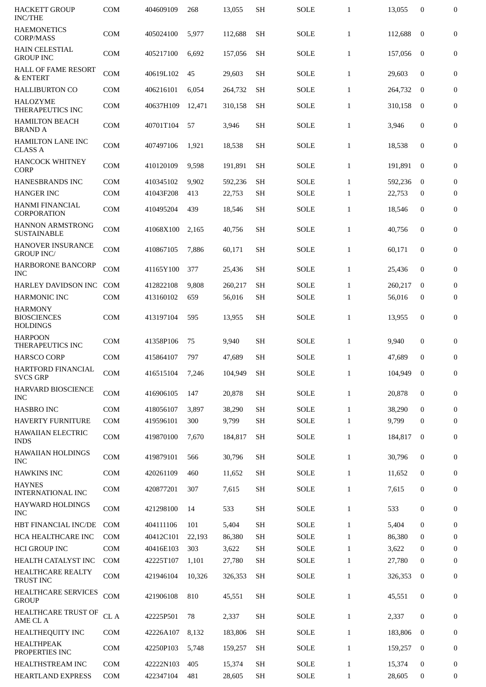| <b>HACKETT GROUP</b><br><b>INC/THE</b>                  | <b>COM</b> | 404609109       | 268    | 13,055  | <b>SH</b> | <b>SOLE</b> | $\mathbf{1}$ | 13,055  | $\mathbf{0}$     | $\mathbf{0}$     |
|---------------------------------------------------------|------------|-----------------|--------|---------|-----------|-------------|--------------|---------|------------------|------------------|
| <b>HAEMONETICS</b><br><b>CORP/MASS</b>                  | COM        | 405024100       | 5,977  | 112,688 | <b>SH</b> | <b>SOLE</b> | $\mathbf{1}$ | 112.688 | $\mathbf{0}$     | $\boldsymbol{0}$ |
| <b>HAIN CELESTIAL</b><br><b>GROUP INC</b>               | <b>COM</b> | 405217100       | 6.692  | 157,056 | SН        | <b>SOLE</b> | $\mathbf{1}$ | 157,056 | $\bf{0}$         | $\boldsymbol{0}$ |
| <b>HALL OF FAME RESORT</b><br>& ENTERT                  | <b>COM</b> | 40619L102       | 45     | 29,603  | <b>SH</b> | <b>SOLE</b> | $\mathbf{1}$ | 29,603  | $\mathbf{0}$     | $\boldsymbol{0}$ |
| <b>HALLIBURTON CO</b>                                   | <b>COM</b> | 406216101       | 6,054  | 264,732 | <b>SH</b> | SOLE        | $\mathbf{1}$ | 264.732 | $\mathbf{0}$     | $\overline{0}$   |
| <b>HALOZYME</b><br>THERAPEUTICS INC                     | <b>COM</b> | 40637H109       | 12,471 | 310,158 | <b>SH</b> | <b>SOLE</b> | $\mathbf{1}$ | 310,158 | $\bf{0}$         | $\boldsymbol{0}$ |
| <b>HAMILTON BEACH</b><br><b>BRAND A</b>                 | <b>COM</b> | 40701T104       | 57     | 3,946   | <b>SH</b> | <b>SOLE</b> | $\mathbf{1}$ | 3,946   | $\boldsymbol{0}$ | 0                |
| <b>HAMILTON LANE INC</b><br><b>CLASS A</b>              | <b>COM</b> | 407497106       | 1,921  | 18,538  | <b>SH</b> | <b>SOLE</b> | $\mathbf{1}$ | 18,538  | $\mathbf{0}$     | 0                |
| <b>HANCOCK WHITNEY</b><br><b>CORP</b>                   | <b>COM</b> | 410120109       | 9,598  | 191,891 | <b>SH</b> | <b>SOLE</b> | $\mathbf{1}$ | 191,891 | $\bf{0}$         | $\boldsymbol{0}$ |
| HANESBRANDS INC                                         | <b>COM</b> | 410345102       | 9,902  | 592,236 | <b>SH</b> | <b>SOLE</b> | $\mathbf{1}$ | 592,236 | $\bf{0}$         | $\mathbf{0}$     |
| <b>HANGER INC</b>                                       | <b>COM</b> | 41043F208       | 413    | 22,753  | <b>SH</b> | <b>SOLE</b> | $\mathbf{1}$ | 22,753  | $\bf{0}$         | $\mathbf{0}$     |
| <b>HANMI FINANCIAL</b><br><b>CORPORATION</b>            | <b>COM</b> | 410495204       | 439    | 18,546  | <b>SH</b> | <b>SOLE</b> | $\mathbf{1}$ | 18,546  | $\mathbf{0}$     | $\boldsymbol{0}$ |
| <b>HANNON ARMSTRONG</b><br><b>SUSTAINABLE</b>           | <b>COM</b> | 41068X100       | 2,165  | 40,756  | <b>SH</b> | <b>SOLE</b> | $\mathbf{1}$ | 40,756  | $\mathbf{0}$     | $\boldsymbol{0}$ |
| HANOVER INSURANCE<br><b>GROUP INC/</b>                  | <b>COM</b> | 410867105       | 7,886  | 60,171  | <b>SH</b> | <b>SOLE</b> | $\mathbf{1}$ | 60,171  | $\mathbf{0}$     | $\boldsymbol{0}$ |
| HARBORONE BANCORP<br><b>INC</b>                         | <b>COM</b> | 41165Y100       | 377    | 25,436  | <b>SH</b> | <b>SOLE</b> | $\mathbf{1}$ | 25,436  | $\mathbf{0}$     | $\boldsymbol{0}$ |
| HARLEY DAVIDSON INC                                     | <b>COM</b> | 412822108       | 9,808  | 260,217 | <b>SH</b> | <b>SOLE</b> | $\mathbf{1}$ | 260,217 | $\mathbf{0}$     | $\boldsymbol{0}$ |
| <b>HARMONIC INC</b>                                     | <b>COM</b> | 413160102       | 659    | 56,016  | <b>SH</b> | <b>SOLE</b> | $\mathbf{1}$ | 56,016  | $\bf{0}$         | $\boldsymbol{0}$ |
| <b>HARMONY</b><br><b>BIOSCIENCES</b><br><b>HOLDINGS</b> | <b>COM</b> | 413197104       | 595    | 13,955  | <b>SH</b> | <b>SOLE</b> | $\mathbf{1}$ | 13,955  | $\boldsymbol{0}$ | $\boldsymbol{0}$ |
| <b>HARPOON</b><br>THERAPEUTICS INC                      | <b>COM</b> | 41358P106       | 75     | 9,940   | <b>SH</b> | <b>SOLE</b> | $\mathbf{1}$ | 9.940   | $\mathbf{0}$     | 0                |
| <b>HARSCO CORP</b>                                      | <b>COM</b> | 415864107       | 797    | 47,689  | SH        | <b>SOLE</b> | $\mathbf{1}$ | 47,689  | 0                | $\boldsymbol{0}$ |
| HARTFORD FINANCIAL<br><b>SVCS GRP</b>                   | COM        | 416515104 7,246 |        | 104,949 | <b>SH</b> | <b>SOLE</b> | $\mathbf{1}$ | 104,949 | $\bf{0}$         | $\boldsymbol{0}$ |
| HARVARD BIOSCIENCE<br><b>INC</b>                        | <b>COM</b> | 416906105       | 147    | 20,878  | <b>SH</b> | <b>SOLE</b> | $\mathbf{1}$ | 20,878  | $\boldsymbol{0}$ | $\boldsymbol{0}$ |
| <b>HASBRO INC</b>                                       | <b>COM</b> | 418056107       | 3,897  | 38,290  | <b>SH</b> | <b>SOLE</b> | $\mathbf{1}$ | 38,290  | $\mathbf{0}$     | $\boldsymbol{0}$ |
| <b>HAVERTY FURNITURE</b>                                | <b>COM</b> | 419596101       | 300    | 9,799   | <b>SH</b> | SOLE        | $\mathbf{1}$ | 9,799   | $\mathbf{0}$     | 0                |
| <b>HAWAIIAN ELECTRIC</b><br><b>INDS</b>                 | <b>COM</b> | 419870100       | 7,670  | 184,817 | <b>SH</b> | SOLE        | $\mathbf{1}$ | 184,817 | $\mathbf{0}$     | $\boldsymbol{0}$ |
| <b>HAWAIIAN HOLDINGS</b><br><b>INC</b>                  | <b>COM</b> | 419879101       | 566    | 30,796  | <b>SH</b> | <b>SOLE</b> | $\mathbf{1}$ | 30,796  | $\boldsymbol{0}$ | $\boldsymbol{0}$ |
| <b>HAWKINS INC</b>                                      | <b>COM</b> | 420261109       | 460    | 11,652  | <b>SH</b> | SOLE        | $\mathbf{1}$ | 11,652  | $\bf{0}$         | $\boldsymbol{0}$ |
| <b>HAYNES</b><br><b>INTERNATIONAL INC</b>               | <b>COM</b> | 420877201       | 307    | 7,615   | <b>SH</b> | <b>SOLE</b> | $\mathbf{1}$ | 7,615   | $\bf{0}$         | $\boldsymbol{0}$ |
| <b>HAYWARD HOLDINGS</b><br><b>INC</b>                   | <b>COM</b> | 421298100       | 14     | 533     | <b>SH</b> | <b>SOLE</b> | $\mathbf{1}$ | 533     | $\boldsymbol{0}$ | $\boldsymbol{0}$ |
| HBT FINANCIAL INC/DE                                    | <b>COM</b> | 404111106       | 101    | 5,404   | <b>SH</b> | <b>SOLE</b> | $\mathbf{1}$ | 5,404   | $\mathbf{0}$     | 0                |
| HCA HEALTHCARE INC                                      | <b>COM</b> | 40412C101       | 22,193 | 86,380  | <b>SH</b> | <b>SOLE</b> | $\mathbf{1}$ | 86,380  | $\bf{0}$         | $\boldsymbol{0}$ |
| <b>HCI GROUP INC</b>                                    | <b>COM</b> | 40416E103       | 303    | 3,622   | <b>SH</b> | SOLE        | $\mathbf{1}$ | 3,622   | $\boldsymbol{0}$ | $\mathbf{0}$     |
| HEALTH CATALYST INC                                     | <b>COM</b> | 42225T107       | 1,101  | 27,780  | SН        | <b>SOLE</b> | $\mathbf{1}$ | 27,780  | $\bf{0}$         | $\mathbf{0}$     |
| HEALTHCARE REALTY<br>TRUST INC                          | COM        | 421946104       | 10,326 | 326,353 | <b>SH</b> | <b>SOLE</b> | $\mathbf{1}$ | 326,353 | $\mathbf{0}$     | $\boldsymbol{0}$ |
| HEALTHCARE SERVICES<br><b>GROUP</b>                     | <b>COM</b> | 421906108       | 810    | 45,551  | <b>SH</b> | SOLE        | $\mathbf{1}$ | 45,551  | $\boldsymbol{0}$ | $\boldsymbol{0}$ |
| HEALTHCARE TRUST OF<br>AME CL A                         | CL A       | 42225P501       | 78     | 2,337   | <b>SH</b> | <b>SOLE</b> | $\mathbf{1}$ | 2,337   | $\boldsymbol{0}$ | $\boldsymbol{0}$ |
| HEALTHEQUITY INC                                        | <b>COM</b> | 42226A107       | 8,132  | 183,806 | <b>SH</b> | SOLE        | $\mathbf{1}$ | 183,806 | $\mathbf{0}$     | $\bf{0}$         |
| <b>HEALTHPEAK</b><br>PROPERTIES INC                     | <b>COM</b> | 42250P103       | 5,748  | 159,257 | <b>SH</b> | SOLE        | $\mathbf{1}$ | 159,257 | $\bf{0}$         | $\boldsymbol{0}$ |
| HEALTHSTREAM INC                                        | <b>COM</b> | 42222N103       | 405    | 15,374  | <b>SH</b> | <b>SOLE</b> | $\mathbf{1}$ | 15,374  | $\bf{0}$         | 0                |
| <b>HEARTLAND EXPRESS</b>                                | <b>COM</b> | 422347104       | 481    | 28,605  | <b>SH</b> | <b>SOLE</b> | $\mathbf{1}$ | 28,605  | 0                | 0                |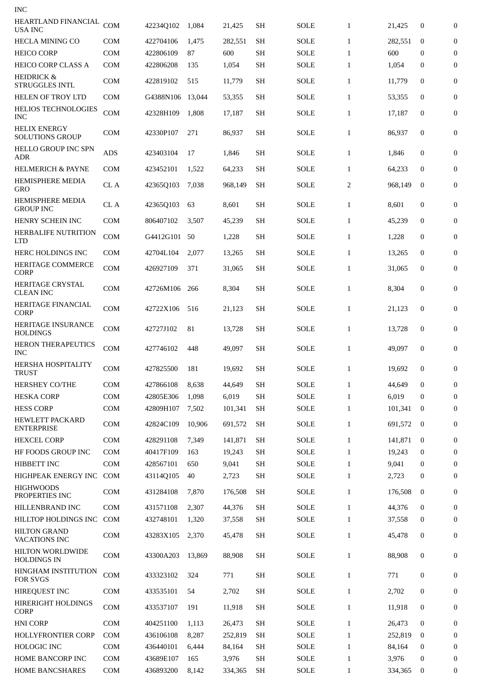| <b>INC</b>                                    |            |           |        |         |           |             |              |         |              |                  |
|-----------------------------------------------|------------|-----------|--------|---------|-----------|-------------|--------------|---------|--------------|------------------|
| HEARTLAND FINANCIAL<br><b>USA INC</b>         | COM        | 42234Q102 | 1,084  | 21,425  | SН        | SOLE        | $\mathbf{1}$ | 21,425  | $\bf{0}$     | $\bf{0}$         |
| <b>HECLA MINING CO</b>                        | <b>COM</b> | 422704106 | 1,475  | 282,551 | <b>SH</b> | <b>SOLE</b> | $\mathbf{1}$ | 282,551 | $\bf{0}$     | 0                |
| <b>HEICO CORP</b>                             | <b>COM</b> | 422806109 | 87     | 600     | <b>SH</b> | <b>SOLE</b> | $\mathbf{1}$ | 600     | $\bf{0}$     | $\mathbf{0}$     |
| <b>HEICO CORP CLASS A</b>                     | <b>COM</b> | 422806208 | 135    | 1,054   | <b>SH</b> | SOLE        | $\mathbf{1}$ | 1,054   | $\bf{0}$     | $\overline{0}$   |
| HEIDRICK &<br><b>STRUGGLES INTL</b>           | <b>COM</b> | 422819102 | 515    | 11,779  | <b>SH</b> | SOLE        | $\mathbf{1}$ | 11,779  | 0            | 0                |
| HELEN OF TROY LTD                             | <b>COM</b> | G4388N106 | 13,044 | 53,355  | <b>SH</b> | SOLE        | $\mathbf{1}$ | 53,355  | 0            | 0                |
| <b>HELIOS TECHNOLOGIES</b><br><b>INC</b>      | COM        | 42328H109 | 1,808  | 17,187  | <b>SH</b> | SOLE        | $\mathbf{1}$ | 17,187  | 0            | 0                |
| <b>HELIX ENERGY</b><br><b>SOLUTIONS GROUP</b> | <b>COM</b> | 42330P107 | 271    | 86,937  | <b>SH</b> | SOLE        | $\mathbf{1}$ | 86,937  | $\mathbf{0}$ | 0                |
| <b>HELLO GROUP INC SPN</b><br><b>ADR</b>      | ADS        | 423403104 | 17     | 1,846   | SH        | SOLE        | $\mathbf{1}$ | 1,846   | $\bf{0}$     | $\mathbf{0}$     |
| <b>HELMERICH &amp; PAYNE</b>                  | <b>COM</b> | 423452101 | 1,522  | 64,233  | <b>SH</b> | SOLE        | $\mathbf{1}$ | 64,233  | $\mathbf{0}$ | 0                |
| <b>HEMISPHERE MEDIA</b><br><b>GRO</b>         | CL A       | 42365Q103 | 7,038  | 968,149 | SH        | SOLE        | 2            | 968,149 | $\bf{0}$     | 0                |
| <b>HEMISPHERE MEDIA</b><br><b>GROUP INC</b>   | CL A       | 42365Q103 | 63     | 8,601   | <b>SH</b> | <b>SOLE</b> | $\mathbf{1}$ | 8,601   | 0            | $\boldsymbol{0}$ |
| HENRY SCHEIN INC                              | <b>COM</b> | 806407102 | 3,507  | 45,239  | <b>SH</b> | SOLE        | $\mathbf{1}$ | 45,239  | $\mathbf{0}$ | 0                |
| HERBALIFE NUTRITION<br><b>LTD</b>             | <b>COM</b> | G4412G101 | 50     | 1,228   | <b>SH</b> | SOLE        | $\mathbf{1}$ | 1,228   | $\mathbf{0}$ | 0                |
| HERC HOLDINGS INC                             | <b>COM</b> | 42704L104 | 2,077  | 13,265  | <b>SH</b> | <b>SOLE</b> | $\mathbf{1}$ | 13,265  | 0            | 0                |
| HERITAGE COMMERCE<br><b>CORP</b>              | <b>COM</b> | 426927109 | 371    | 31,065  | SН        | SOLE        | $\mathbf{1}$ | 31,065  | 0            | 0                |
| <b>HERITAGE CRYSTAL</b><br><b>CLEAN INC</b>   | COM        | 42726M106 | 266    | 8,304   | <b>SH</b> | SOLE        | $\mathbf{1}$ | 8,304   | 0            | 0                |
| HERITAGE FINANCIAL<br><b>CORP</b>             | <b>COM</b> | 42722X106 | 516    | 21,123  | <b>SH</b> | SOLE        | $\mathbf{1}$ | 21,123  | 0            | 0                |
| HERITAGE INSURANCE<br><b>HOLDINGS</b>         | COM        | 42727J102 | 81     | 13,728  | <b>SH</b> | SOLE        | $\mathbf{1}$ | 13,728  | $\mathbf{0}$ | $\overline{0}$   |
| <b>HERON THERAPEUTICS</b><br><b>INC</b>       | COM        | 427746102 | 448    | 49,097  | <b>SH</b> | SOLE        | $\mathbf{1}$ | 49,097  | $\bf{0}$     | $\boldsymbol{0}$ |
| <b>HERSHA HOSPITALITY</b><br>TRUST            | <b>COM</b> | 427825500 | 181    | 19,692  | SН        | <b>SOLE</b> | 1            | 19,692  | 0            | 0                |
| HERSHEY CO/THE                                | <b>COM</b> | 427866108 | 8,638  | 44,649  | <b>SH</b> | <b>SOLE</b> | $\mathbf{1}$ | 44,649  | $\mathbf{0}$ | 0                |
| <b>HESKA CORP</b>                             | COM        | 42805E306 | 1,098  | 6,019   | <b>SH</b> | SOLE        | $\mathbf{1}$ | 6,019   | $\mathbf{0}$ | $\mathbf{0}$     |
| <b>HESS CORP</b>                              | COM        | 42809H107 | 7,502  | 101,341 | <b>SH</b> | SOLE        | $\mathbf{1}$ | 101,341 | $\bf{0}$     | 0                |
| HEWLETT PACKARD<br><b>ENTERPRISE</b>          | COM        | 42824C109 | 10,906 | 691,572 | <b>SH</b> | SOLE        | $\mathbf{1}$ | 691,572 | $\bf{0}$     | 0                |
| <b>HEXCEL CORP</b>                            | <b>COM</b> | 428291108 | 7,349  | 141,871 | <b>SH</b> | SOLE        | $\mathbf{1}$ | 141,871 | $\bf{0}$     | 0                |
| HF FOODS GROUP INC                            | <b>COM</b> | 40417F109 | 163    | 19,243  | <b>SH</b> | SOLE        | $\mathbf{1}$ | 19,243  | $\bf{0}$     | $\mathbf{0}$     |
| HIBBETT INC                                   | COM        | 428567101 | 650    | 9,041   | <b>SH</b> | SOLE        | $\mathbf{1}$ | 9,041   | $\mathbf{0}$ | $\mathbf{0}$     |
| HIGHPEAK ENERGY INC                           | COM        | 43114Q105 | 40     | 2,723   | <b>SH</b> | SOLE        | $\mathbf{1}$ | 2,723   | $\bf{0}$     | $\mathbf{0}$     |
| <b>HIGHWOODS</b><br>PROPERTIES INC            | COM        | 431284108 | 7,870  | 176,508 | <b>SH</b> | SOLE        | $\mathbf{1}$ | 176,508 | $\bf{0}$     | 0                |
| HILLENBRAND INC                               | COM        | 431571108 | 2,307  | 44,376  | <b>SH</b> | <b>SOLE</b> | $\mathbf{1}$ | 44,376  | $\mathbf{0}$ | $\bf{0}$         |
| HILLTOP HOLDINGS INC                          | COM        | 432748101 | 1,320  | 37,558  | <b>SH</b> | SOLE        | $\mathbf{1}$ | 37,558  | 0            | $\bf{0}$         |
| <b>HILTON GRAND</b><br><b>VACATIONS INC</b>   | COM        | 43283X105 | 2,370  | 45,478  | <b>SH</b> | SOLE        | $\mathbf{1}$ | 45,478  | 0            | 0                |
| HILTON WORLDWIDE<br><b>HOLDINGS IN</b>        | COM        | 43300A203 | 13,869 | 88,908  | <b>SH</b> | SOLE        | $\mathbf{1}$ | 88,908  | 0            | 0                |
| HINGHAM INSTITUTION<br><b>FOR SVGS</b>        | COM        | 433323102 | 324    | 771     | <b>SH</b> | SOLE        | $\mathbf{1}$ | 771     | 0            | 0                |
| HIREQUEST INC                                 | <b>COM</b> | 433535101 | 54     | 2,702   | <b>SH</b> | <b>SOLE</b> | $\mathbf{1}$ | 2,702   | 0            | $\overline{0}$   |
| <b>HIRERIGHT HOLDINGS</b><br><b>CORP</b>      | COM        | 433537107 | 191    | 11,918  | <b>SH</b> | SOLE        | $\mathbf{1}$ | 11,918  | $\mathbf{0}$ | 0                |
| <b>HNI CORP</b>                               | <b>COM</b> | 404251100 | 1,113  | 26,473  | <b>SH</b> | <b>SOLE</b> | $\mathbf{1}$ | 26,473  | $\mathbf{0}$ | $\mathbf{0}$     |
| HOLLYFRONTIER CORP                            | <b>COM</b> | 436106108 | 8,287  | 252,819 | <b>SH</b> | SOLE        | $\mathbf{1}$ | 252,819 | $\bf{0}$     | $\mathbf{0}$     |
| <b>HOLOGIC INC</b>                            | <b>COM</b> | 436440101 | 6,444  | 84,164  | <b>SH</b> | SOLE        | $\mathbf{1}$ | 84,164  | $\bf{0}$     | $\boldsymbol{0}$ |
| HOME BANCORP INC                              | COM        | 43689E107 | 165    | 3,976   | <b>SH</b> | SOLE        | $\mathbf{1}$ | 3,976   | 0            | $\boldsymbol{0}$ |
| <b>HOME BANCSHARES</b>                        | COM        | 436893200 | 8,142  | 334,365 | <b>SH</b> | SOLE        | $\mathbf{1}$ | 334,365 | 0            | 0                |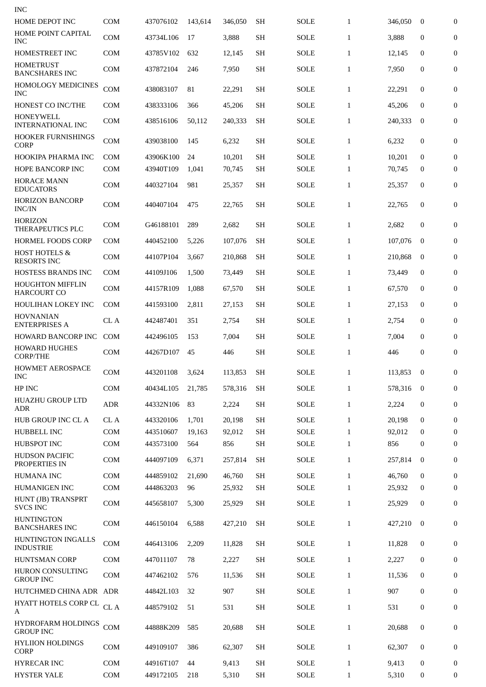| <b>INC</b>                                     |                          |                        |              |                  |                        |                     |                              |                  |                              |                                      |
|------------------------------------------------|--------------------------|------------------------|--------------|------------------|------------------------|---------------------|------------------------------|------------------|------------------------------|--------------------------------------|
| HOME DEPOT INC                                 | <b>COM</b>               | 437076102              | 143.614      | 346,050          | <b>SH</b>              | <b>SOLE</b>         | $\mathbf{1}$                 | 346,050          | $\bf{0}$                     | $\boldsymbol{0}$                     |
| HOME POINT CAPITAL<br><b>INC</b>               | <b>COM</b>               | 43734L106              | 17           | 3,888            | <b>SH</b>              | <b>SOLE</b>         | $\mathbf{1}$                 | 3,888            | 0                            | $\mathbf{0}$                         |
| <b>HOMESTREET INC</b>                          | <b>COM</b>               | 43785V102              | 632          | 12,145           | <b>SH</b>              | SOLE                | $\mathbf{1}$                 | 12.145           | $\mathbf{0}$                 | $\boldsymbol{0}$                     |
| <b>HOMETRUST</b><br><b>BANCSHARES INC</b>      | <b>COM</b>               | 437872104              | 246          | 7,950            | <b>SH</b>              | <b>SOLE</b>         | $\mathbf{1}$                 | 7,950            | $\boldsymbol{0}$             | $\boldsymbol{0}$                     |
| <b>HOMOLOGY MEDICINES</b><br>INC               | COM                      | 438083107              | 81           | 22,291           | <b>SH</b>              | SOLE                | $\mathbf{1}$                 | 22,291           | $\mathbf{0}$                 | $\boldsymbol{0}$                     |
| HONEST CO INC/THE                              | <b>COM</b>               | 438333106              | 366          | 45,206           | SH                     | <b>SOLE</b>         | $\mathbf{1}$                 | 45,206           | $\mathbf{0}$                 | $\boldsymbol{0}$                     |
| <b>HONEYWELL</b><br><b>INTERNATIONAL INC</b>   | <b>COM</b>               | 438516106              | 50,112       | 240,333          | <b>SH</b>              | SOLE                | $\mathbf{1}$                 | 240,333          | $\bf{0}$                     | $\mathbf{0}$                         |
| HOOKER FURNISHINGS<br><b>CORP</b>              | <b>COM</b>               | 439038100              | 145          | 6,232            | <b>SH</b>              | SOLE                | $\mathbf{1}$                 | 6,232            | $\boldsymbol{0}$             | $\boldsymbol{0}$                     |
| HOOKIPA PHARMA INC                             | <b>COM</b>               | 43906K100              | 24           | 10,201           | <b>SH</b>              | <b>SOLE</b>         | $\mathbf{1}$                 | 10,201           | 0                            | $\boldsymbol{0}$                     |
| HOPE BANCORP INC                               | <b>COM</b>               | 43940T109              | 1,041        | 70,745           | SН                     | SOLE                | $\mathbf{1}$                 | 70,745           | 0                            | $\mathbf{0}$                         |
| <b>HORACE MANN</b><br><b>EDUCATORS</b>         | <b>COM</b>               | 440327104              | 981          | 25,357           | <b>SH</b>              | <b>SOLE</b>         | $\mathbf{1}$                 | 25,357           | $\boldsymbol{0}$             | $\boldsymbol{0}$                     |
| <b>HORIZON BANCORP</b><br><b>INC/IN</b>        | <b>COM</b>               | 440407104              | 475          | 22,765           | <b>SH</b>              | <b>SOLE</b>         | $\mathbf{1}$                 | 22,765           | $\boldsymbol{0}$             | 0                                    |
| <b>HORIZON</b><br><b>THERAPEUTICS PLC</b>      | COM                      | G46188101              | 289          | 2,682            | <b>SH</b>              | SOLE                | $\mathbf{1}$                 | 2,682            | $\mathbf{0}$                 | $\boldsymbol{0}$                     |
| <b>HORMEL FOODS CORP</b>                       | <b>COM</b>               | 440452100              | 5,226        | 107,076          | <b>SH</b>              | <b>SOLE</b>         | $\mathbf{1}$                 | 107,076          | $\bf{0}$                     | $\boldsymbol{0}$                     |
| <b>HOST HOTELS &amp;</b><br><b>RESORTS INC</b> | <b>COM</b>               | 44107P104              | 3,667        | 210,868          | <b>SH</b>              | SOLE                | $\mathbf{1}$                 | 210,868          | $\mathbf{0}$                 | $\mathbf{0}$                         |
| HOSTESS BRANDS INC                             | <b>COM</b>               | 44109J106              | 1,500        | 73,449           | <b>SH</b>              | SOLE                | $\mathbf{1}$                 | 73,449           | $\mathbf{0}$                 | $\mathbf{0}$                         |
| <b>HOUGHTON MIFFLIN</b><br><b>HARCOURT CO</b>  | <b>COM</b>               | 44157R109              | 1,088        | 67,570           | <b>SH</b>              | <b>SOLE</b>         | $\mathbf{1}$                 | 67,570           | $\boldsymbol{0}$             | $\boldsymbol{0}$                     |
| HOULIHAN LOKEY INC                             | <b>COM</b>               | 441593100              | 2,811        | 27,153           | <b>SH</b>              | SOLE                | $\mathbf{1}$                 | 27,153           | 0                            | $\bf{0}$                             |
| <b>HOVNANIAN</b><br><b>ENTERPRISES A</b>       | CL A                     | 442487401              | 351          | 2,754            | <b>SH</b>              | <b>SOLE</b>         | $\mathbf{1}$                 | 2,754            | 0                            | $\boldsymbol{0}$                     |
| HOWARD BANCORP INC                             | <b>COM</b>               | 442496105              | 153          | 7,004            | SH                     | SOLE                | $\mathbf{1}$                 | 7,004            | 0                            | $\mathbf{0}$                         |
| <b>HOWARD HUGHES</b><br><b>CORP/THE</b>        | <b>COM</b>               | 44267D107              | 45           | 446              | <b>SH</b>              | <b>SOLE</b>         | $\mathbf{1}$                 | 446              | 0                            | $\boldsymbol{0}$                     |
| <b>HOWMET AEROSPACE</b><br><b>INC</b>          | COM                      | 443201108              | 3,624        | 113,853          | <b>SH</b>              | SOLE                | 1                            | 113,853          | $\bf{0}$                     | 0                                    |
| HP INC                                         | <b>COM</b>               | 40434L105              | 21,785       | 578,316          | <b>SH</b>              | <b>SOLE</b>         | $\mathbf{1}$                 | 578,316          | $\bf{0}$                     | $\boldsymbol{0}$                     |
| <b>HUAZHU GROUP LTD</b><br><b>ADR</b>          | <b>ADR</b>               | 44332N106              | 83           | 2,224            | <b>SH</b>              | <b>SOLE</b>         | $\mathbf{1}$                 | 2,224            | $\boldsymbol{0}$             | $\boldsymbol{0}$                     |
| HUB GROUP INC CL A                             | CL A                     | 443320106              | 1,701        | 20,198           | <b>SH</b>              | <b>SOLE</b>         | $\mathbf{1}$                 | 20,198           | $\mathbf{0}$                 | $\boldsymbol{0}$                     |
| <b>HUBBELL INC</b>                             | <b>COM</b>               | 443510607              | 19,163       | 92,012           | <b>SH</b>              | <b>SOLE</b>         | $\mathbf{1}$                 | 92,012           | $\mathbf{0}$                 | $\mathbf{0}$                         |
| <b>HUBSPOT INC</b><br><b>HUDSON PACIFIC</b>    | <b>COM</b><br><b>COM</b> | 443573100<br>444097109 | 564<br>6,371 | 856<br>257,814   | <b>SH</b><br><b>SH</b> | SOLE<br>SOLE        | $\mathbf{1}$<br>$\mathbf{1}$ | 856<br>257,814   | 0<br>$\overline{0}$          | $\mathbf{0}$<br>$\boldsymbol{0}$     |
| PROPERTIES IN                                  |                          |                        |              |                  |                        |                     |                              |                  |                              |                                      |
| <b>HUMANA INC</b><br><b>HUMANIGEN INC</b>      | <b>COM</b><br>COM        | 444859102<br>444863203 | 21,690<br>96 | 46,760<br>25,932 | <b>SH</b><br><b>SH</b> | <b>SOLE</b><br>SOLE | $\mathbf{1}$<br>$\mathbf{1}$ | 46,760<br>25,932 | $\mathbf{0}$<br>$\mathbf{0}$ | $\boldsymbol{0}$<br>$\boldsymbol{0}$ |
| HUNT (JB) TRANSPRT<br><b>SVCS INC</b>          | COM                      | 445658107              | 5,300        | 25,929           | <b>SH</b>              | SOLE                | $\mathbf{1}$                 | 25,929           | $\boldsymbol{0}$             | 0                                    |
| <b>HUNTINGTON</b><br><b>BANCSHARES INC</b>     | <b>COM</b>               | 446150104              | 6,588        | 427,210          | <b>SH</b>              | SOLE                | $\mathbf{1}$                 | 427,210          | $\mathbf{0}$                 | $\boldsymbol{0}$                     |
| <b>HUNTINGTON INGALLS</b><br><b>INDUSTRIE</b>  | COM                      | 446413106              | 2,209        | 11,828           | <b>SH</b>              | SOLE                | $\mathbf{1}$                 | 11,828           | $\bf{0}$                     | $\boldsymbol{0}$                     |
| HUNTSMAN CORP                                  | COM                      | 447011107              | 78           | 2,227            | <b>SH</b>              | <b>SOLE</b>         | $\mathbf{1}$                 | 2,227            | $\boldsymbol{0}$             | $\boldsymbol{0}$                     |
| <b>HURON CONSULTING</b><br><b>GROUP INC</b>    | <b>COM</b>               | 447462102              | 576          | 11,536           | SH                     | SOLE                | $\mathbf{1}$                 | 11,536           | $\mathbf{0}$                 | $\boldsymbol{0}$                     |
| HUTCHMED CHINA ADR ADR                         |                          | 44842L103              | 32           | 907              | <b>SH</b>              | <b>SOLE</b>         | $\mathbf{1}$                 | 907              | $\bf{0}$                     | $\boldsymbol{0}$                     |
| HYATT HOTELS CORP CL<br>A                      | CL A                     | 448579102              | 51           | 531              | <b>SH</b>              | <b>SOLE</b>         | $\mathbf{1}$                 | 531              | $\boldsymbol{0}$             | $\boldsymbol{0}$                     |
| HYDROFARM HOLDINGS<br><b>GROUP INC</b>         | <b>COM</b>               | 44888K209              | 585          | 20,688           | <b>SH</b>              | SOLE                | $\mathbf{1}$                 | 20,688           | $\mathbf{0}$                 | $\boldsymbol{0}$                     |
| <b>HYLIION HOLDINGS</b><br><b>CORP</b>         | COM                      | 449109107              | 386          | 62,307           | <b>SH</b>              | SOLE                | $\mathbf{1}$                 | 62,307           | $\boldsymbol{0}$             | 0                                    |
| <b>HYRECAR INC</b>                             | <b>COM</b>               | 44916T107              | 44           | 9,413            | <b>SH</b>              | <b>SOLE</b>         | $\mathbf{1}$                 | 9,413            | $\bf{0}$                     | 0                                    |
| <b>HYSTER YALE</b>                             | COM                      | 449172105              | 218          | 5,310            | SH                     | <b>SOLE</b>         | $\mathbf{1}$                 | 5,310            | 0                            | $\boldsymbol{0}$                     |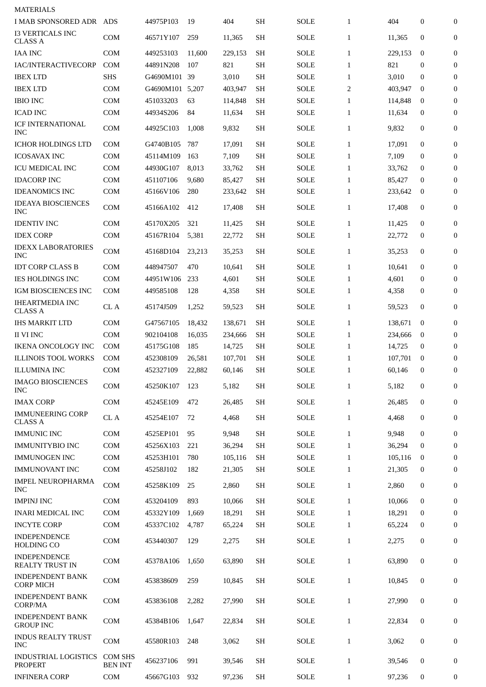| <b>MATERIALS</b>                              |                                  |              |        |         |           |             |              |         |              |                  |
|-----------------------------------------------|----------------------------------|--------------|--------|---------|-----------|-------------|--------------|---------|--------------|------------------|
| I MAB SPONSORED ADR ADS                       |                                  | 44975P103    | 19     | 404     | <b>SH</b> | <b>SOLE</b> | $\mathbf{1}$ | 404     | 0            | $\mathbf{0}$     |
| <b>I3 VERTICALS INC</b><br><b>CLASS A</b>     | <b>COM</b>                       | 46571Y107    | 259    | 11,365  | <b>SH</b> | SOLE        | $\mathbf{1}$ | 11,365  | $\mathbf 0$  | $\mathbf{0}$     |
| <b>IAA INC</b>                                | <b>COM</b>                       | 449253103    | 11,600 | 229,153 | <b>SH</b> | <b>SOLE</b> | $\mathbf{1}$ | 229,153 | $\mathbf 0$  | $\boldsymbol{0}$ |
| IAC/INTERACTIVECORP                           | <b>COM</b>                       | 44891N208    | 107    | 821     | <b>SH</b> | <b>SOLE</b> | $\mathbf{1}$ | 821     | $\mathbf 0$  | $\Omega$         |
| <b>IBEX LTD</b>                               | <b>SHS</b>                       | G4690M101 39 |        | 3,010   | <b>SH</b> | <b>SOLE</b> | $\mathbf{1}$ | 3,010   | $\bf{0}$     | $\mathbf{0}$     |
| <b>IBEX LTD</b>                               | <b>COM</b>                       | G4690M101    | 5,207  | 403,947 | <b>SH</b> | <b>SOLE</b> | 2            | 403,947 | $\bf{0}$     | $\mathbf{0}$     |
| <b>IBIO INC</b>                               | <b>COM</b>                       | 451033203    | 63     | 114,848 | <b>SH</b> | <b>SOLE</b> | $\mathbf{1}$ | 114,848 | $\bf{0}$     | $\boldsymbol{0}$ |
| <b>ICAD INC</b>                               | <b>COM</b>                       | 44934S206    | 84     | 11,634  | <b>SH</b> | <b>SOLE</b> | $\mathbf{1}$ | 11,634  | $\bf{0}$     | $\boldsymbol{0}$ |
| <b>ICF INTERNATIONAL</b><br><b>INC</b>        | <b>COM</b>                       | 44925C103    | 1,008  | 9,832   | SН        | SOLE        | $\mathbf{1}$ | 9,832   | $\bf{0}$     | 0                |
| <b>ICHOR HOLDINGS LTD</b>                     | <b>COM</b>                       | G4740B105    | 787    | 17,091  | <b>SH</b> | SOLE        | $\mathbf{1}$ | 17,091  | $\mathbf{0}$ | $\boldsymbol{0}$ |
| <b>ICOSAVAX INC</b>                           | <b>COM</b>                       | 45114M109    | 163    | 7,109   | <b>SH</b> | <b>SOLE</b> | $\mathbf{1}$ | 7,109   | $\bf{0}$     | $\overline{0}$   |
| <b>ICU MEDICAL INC</b>                        | <b>COM</b>                       | 44930G107    | 8,013  | 33,762  | <b>SH</b> | SOLE        | $\mathbf{1}$ | 33,762  | $\bf{0}$     | $\bf{0}$         |
| <b>IDACORP INC</b>                            | <b>COM</b>                       | 451107106    | 9,680  | 85,427  | SН        | SOLE        | $\mathbf{1}$ | 85,427  | $\bf{0}$     | $\mathbf{0}$     |
| <b>IDEANOMICS INC</b>                         | <b>COM</b>                       | 45166V106    | 280    | 233,642 | <b>SH</b> | SOLE        | $\mathbf{1}$ | 233,642 | $\bf{0}$     | $\mathbf{0}$     |
| <b>IDEAYA BIOSCIENCES</b><br><b>INC</b>       | <b>COM</b>                       | 45166A102    | 412    | 17,408  | <b>SH</b> | SOLE        | $\mathbf{1}$ | 17,408  | 0            | $\boldsymbol{0}$ |
| <b>IDENTIV INC</b>                            | <b>COM</b>                       | 45170X205    | 321    | 11,425  | <b>SH</b> | SOLE        | $\mathbf{1}$ | 11,425  | $\bf{0}$     | $\boldsymbol{0}$ |
| <b>IDEX CORP</b>                              | <b>COM</b>                       | 45167R104    | 5,381  | 22,772  | SН        | SOLE        | $\mathbf{1}$ | 22,772  | 0            | 0                |
| <b>IDEXX LABORATORIES</b>                     |                                  |              |        |         |           |             |              |         |              |                  |
| <b>INC</b>                                    | <b>COM</b>                       | 45168D104    | 23,213 | 35,253  | <b>SH</b> | SOLE        | $\mathbf{1}$ | 35,253  | $\mathbf 0$  | $\boldsymbol{0}$ |
| <b>IDT CORP CLASS B</b>                       | <b>COM</b>                       | 448947507    | 470    | 10,641  | <b>SH</b> | <b>SOLE</b> | $\mathbf{1}$ | 10,641  | $\mathbf 0$  | $\mathbf{0}$     |
| <b>IES HOLDINGS INC</b>                       | <b>COM</b>                       | 44951W106    | 233    | 4,601   | <b>SH</b> | <b>SOLE</b> | $\mathbf{1}$ | 4,601   | $\bf{0}$     | $\mathbf{0}$     |
| IGM BIOSCIENCES INC                           | <b>COM</b>                       | 449585108    | 128    | 4,358   | <b>SH</b> | <b>SOLE</b> | $\mathbf{1}$ | 4,358   | 0            | $\boldsymbol{0}$ |
| <b>IHEARTMEDIA INC</b><br><b>CLASS A</b>      | CL A                             | 45174J509    | 1,252  | 59,523  | SН        | SOLE        | $\mathbf{1}$ | 59,523  | $\bf{0}$     | $\boldsymbol{0}$ |
| <b>IHS MARKIT LTD</b>                         | <b>COM</b>                       | G47567105    | 18,432 | 138,671 | SН        | SOLE        | $\mathbf{1}$ | 138,671 | $\bf{0}$     | $\overline{0}$   |
| <b>II VI INC</b>                              | <b>COM</b>                       | 902104108    | 16,035 | 234,666 | <b>SH</b> | <b>SOLE</b> | $\mathbf{1}$ | 234,666 | $\bf{0}$     | $\boldsymbol{0}$ |
| <b>IKENA ONCOLOGY INC</b>                     | <b>COM</b>                       | 45175G108    | 185    | 14,725  | <b>SH</b> | <b>SOLE</b> | $\mathbf{1}$ | 14,725  | $\bf{0}$     | $\boldsymbol{0}$ |
| <b>ILLINOIS TOOL WORKS</b>                    | <b>COM</b>                       | 452308109    | 26,581 | 107,701 | <b>SH</b> | <b>SOLE</b> | $\mathbf{1}$ | 107,701 | $\bf{0}$     | $\boldsymbol{0}$ |
| <b>ILLUMINA INC</b>                           | <b>COM</b>                       | 452327109    | 22,882 | 60,146  | SH        | <b>SOLE</b> | 1            | 60,146  | 0            | $\bf{0}$         |
| <b>IMAGO BIOSCIENCES</b><br><b>INC</b>        | COM                              | 45250K107    | 123    | 5,182   | <b>SH</b> | <b>SOLE</b> | $\mathbf{1}$ | 5,182   | $\mathbf{0}$ | $\mathbf{0}$     |
| <b>IMAX CORP</b>                              | <b>COM</b>                       | 45245E109    | 472    | 26,485  | <b>SH</b> | <b>SOLE</b> | $\mathbf{1}$ | 26,485  | 0            | 0                |
| <b>IMMUNEERING CORP</b><br><b>CLASS A</b>     | CL A                             | 45254E107    | 72     | 4,468   | <b>SH</b> | <b>SOLE</b> | $\mathbf{1}$ | 4,468   | 0            | 0                |
| <b>IMMUNIC INC</b>                            | <b>COM</b>                       | 4525EP101    | 95     | 9,948   | <b>SH</b> | <b>SOLE</b> | $\mathbf{1}$ | 9,948   | $\mathbf{0}$ | $\boldsymbol{0}$ |
| <b>IMMUNITYBIO INC</b>                        | COM                              | 45256X103    | 221    | 36,294  | <b>SH</b> | <b>SOLE</b> | $\mathbf{1}$ | 36,294  | $\mathbf{0}$ | 0                |
| <b>IMMUNOGEN INC</b>                          | <b>COM</b>                       | 45253H101    | 780    | 105,116 | <b>SH</b> | SOLE        | $\mathbf{1}$ | 105,116 | $\mathbf{0}$ | $\mathbf{0}$     |
| <b>IMMUNOVANT INC</b>                         | COM                              | 45258J102    | 182    | 21,305  | <b>SH</b> | SOLE        | $\mathbf{1}$ | 21,305  | $\mathbf{0}$ | $\boldsymbol{0}$ |
| IMPEL NEUROPHARMA<br><b>INC</b>               | COM                              | 45258K109    | 25     | 2,860   | <b>SH</b> | <b>SOLE</b> | $\mathbf{1}$ | 2,860   | 0            | 0                |
| <b>IMPINJ INC</b>                             | <b>COM</b>                       | 453204109    | 893    | 10,066  | <b>SH</b> | <b>SOLE</b> | $\mathbf{1}$ | 10,066  | $\mathbf{0}$ | $\boldsymbol{0}$ |
| <b>INARI MEDICAL INC</b>                      | <b>COM</b>                       |              | 1,669  |         | <b>SH</b> | <b>SOLE</b> | $\mathbf{1}$ |         | $\mathbf{0}$ | $\mathbf{0}$     |
|                                               |                                  | 45332Y109    |        | 18,291  | <b>SH</b> |             | $\mathbf{1}$ | 18,291  | $\bf{0}$     | $\mathbf{0}$     |
| <b>INCYTE CORP</b>                            | COM                              | 45337C102    | 4,787  | 65,224  |           | SOLE        |              | 65,224  |              |                  |
| <b>INDEPENDENCE</b><br><b>HOLDING CO</b>      | <b>COM</b>                       | 453440307    | 129    | 2,275   | <b>SH</b> | SOLE        | $\mathbf{1}$ | 2,275   | 0            | $\mathbf{0}$     |
| <b>INDEPENDENCE</b><br>REALTY TRUST IN        | <b>COM</b>                       | 45378A106    | 1,650  | 63,890  | <b>SH</b> | <b>SOLE</b> | $\mathbf{1}$ | 63,890  | $\mathbf{0}$ | $\mathbf{0}$     |
| <b>INDEPENDENT BANK</b><br><b>CORP MICH</b>   | <b>COM</b>                       | 453838609    | 259    | 10,845  | <b>SH</b> | <b>SOLE</b> | $\mathbf{1}$ | 10,845  | $\mathbf{0}$ | $\mathbf{0}$     |
| <b>INDEPENDENT BANK</b><br>CORP/MA            | <b>COM</b>                       | 453836108    | 2,282  | 27,990  | <b>SH</b> | <b>SOLE</b> | $\mathbf{1}$ | 27,990  | $\mathbf{0}$ | $\mathbf{0}$     |
| <b>INDEPENDENT BANK</b><br><b>GROUP INC</b>   | COM                              | 45384B106    | 1,647  | 22,834  | <b>SH</b> | SOLE        | $\mathbf{1}$ | 22,834  | $\mathbf{0}$ | 0                |
| <b>INDUS REALTY TRUST</b><br><b>INC</b>       | COM                              | 45580R103    | 248    | 3,062   | <b>SH</b> | SOLE        | $\mathbf{1}$ | 3,062   | 0            | 0                |
| <b>INDUSTRIAL LOGISTICS</b><br><b>PROPERT</b> | <b>COM SHS</b><br><b>BEN INT</b> | 456237106    | 991    | 39,546  | <b>SH</b> | <b>SOLE</b> | $\mathbf{1}$ | 39,546  | 0            | 0                |
| <b>INFINERA CORP</b>                          | COM                              | 45667G103    | 932    | 97,236  | <b>SH</b> | SOLE        | $\mathbf{1}$ | 97,236  | 0            | $\bf{0}$         |
|                                               |                                  |              |        |         |           |             |              |         |              |                  |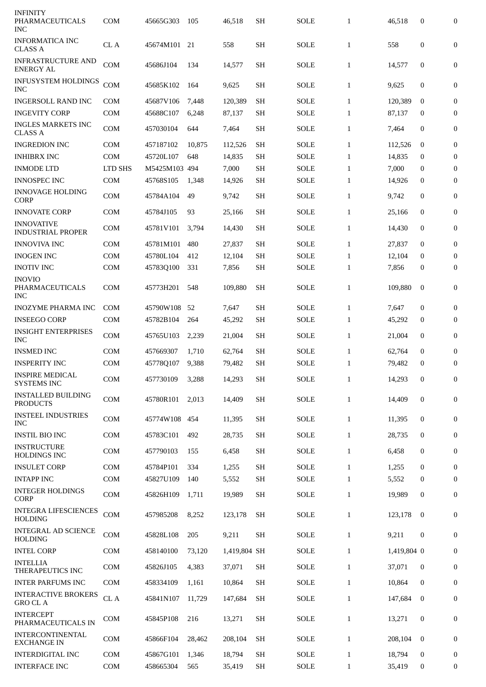| <b>INFINITY</b><br>PHARMACEUTICALS<br><b>INC</b>      | <b>COM</b> | 45665G303     | 105    | 46,518       | SН        | SOLE        | $\mathbf{1}$ | 46,518      | $\bf{0}$         | $\mathbf{0}$     |
|-------------------------------------------------------|------------|---------------|--------|--------------|-----------|-------------|--------------|-------------|------------------|------------------|
| <b>INFORMATICA INC</b><br><b>CLASS A</b>              | CL A       | 45674M101     | 21     | 558          | <b>SH</b> | SOLE        | $\mathbf{1}$ | 558         | $\mathbf{0}$     | $\boldsymbol{0}$ |
| <b>INFRASTRUCTURE AND</b><br><b>ENERGY AL</b>         | <b>COM</b> | 45686J104     | 134    | 14,577       | <b>SH</b> | SOLE        | $\mathbf{1}$ | 14,577      | $\bf{0}$         | $\bf{0}$         |
| <b>INFUSYSTEM HOLDINGS</b><br><b>INC</b>              | <b>COM</b> | 45685K102     | 164    | 9,625        | <b>SH</b> | SOLE        | $\mathbf{1}$ | 9,625       | $\mathbf{0}$     | $\mathbf{0}$     |
| <b>INGERSOLL RAND INC</b>                             | <b>COM</b> | 45687V106     | 7,448  | 120,389      | <b>SH</b> | <b>SOLE</b> | $\mathbf{1}$ | 120,389     | $\bf{0}$         | $\mathbf{0}$     |
| <b>INGEVITY CORP</b>                                  | <b>COM</b> | 45688C107     | 6,248  | 87,137       | <b>SH</b> | SOLE        | $\mathbf{1}$ | 87,137      | $\bf{0}$         | $\Omega$         |
| <b>INGLES MARKETS INC</b><br><b>CLASS A</b>           | <b>COM</b> | 457030104     | 644    | 7,464        | <b>SH</b> | SOLE        | $\mathbf{1}$ | 7,464       | $\bf{0}$         | $\boldsymbol{0}$ |
| <b>INGREDION INC</b>                                  | <b>COM</b> | 457187102     | 10,875 | 112,526      | <b>SH</b> | <b>SOLE</b> | $\mathbf{1}$ | 112,526     | $\bf{0}$         | 0                |
| <b>INHIBRX INC</b>                                    | <b>COM</b> | 45720L107     | 648    | 14,835       | <b>SH</b> | <b>SOLE</b> | $\mathbf{1}$ | 14,835      | $\bf{0}$         | $\boldsymbol{0}$ |
| <b>INMODE LTD</b>                                     | LTD SHS    | M5425M103 494 |        | 7,000        | <b>SH</b> | <b>SOLE</b> | $\mathbf{1}$ | 7,000       | $\mathbf{0}$     | $\mathbf{0}$     |
| <b>INNOSPEC INC</b>                                   | <b>COM</b> | 45768S105     | 1,348  | 14,926       | <b>SH</b> | <b>SOLE</b> | $\mathbf{1}$ | 14,926      | $\bf{0}$         | $\mathbf{0}$     |
| <b>INNOVAGE HOLDING</b><br><b>CORP</b>                | <b>COM</b> | 45784A104     | 49     | 9,742        | <b>SH</b> | <b>SOLE</b> | $\mathbf{1}$ | 9,742       | 0                | $\boldsymbol{0}$ |
| <b>INNOVATE CORP</b>                                  | <b>COM</b> | 45784J105     | 93     | 25,166       | <b>SH</b> | SOLE        | $\mathbf{1}$ | 25,166      | $\mathbf{0}$     | $\mathbf{0}$     |
| <b>INNOVATIVE</b><br><b>INDUSTRIAL PROPER</b>         | <b>COM</b> | 45781V101     | 3,794  | 14,430       | <b>SH</b> | <b>SOLE</b> | $\mathbf{1}$ | 14,430      | $\mathbf 0$      | 0                |
| <b>INNOVIVA INC</b>                                   | <b>COM</b> | 45781M101     | 480    | 27,837       | <b>SH</b> | <b>SOLE</b> | $\mathbf{1}$ | 27,837      | $\bf{0}$         | $\mathbf{0}$     |
| <b>INOGEN INC</b>                                     | <b>COM</b> | 45780L104     | 412    | 12,104       | <b>SH</b> | <b>SOLE</b> | $\mathbf{1}$ | 12,104      | $\bf{0}$         | $\bf{0}$         |
| <b>INOTIV INC</b>                                     | <b>COM</b> | 45783Q100     | 331    | 7,856        | <b>SH</b> | <b>SOLE</b> | $\mathbf{1}$ | 7,856       | $\mathbf 0$      | $\mathbf{0}$     |
| <b>INOVIO</b><br><b>PHARMACEUTICALS</b><br><b>INC</b> | <b>COM</b> | 45773H201     | 548    | 109,880      | <b>SH</b> | <b>SOLE</b> | $\mathbf{1}$ | 109,880     | $\mathbf{0}$     | $\overline{0}$   |
| <b>INOZYME PHARMA INC</b>                             | <b>COM</b> | 45790W108     | 52     | 7,647        | <b>SH</b> | <b>SOLE</b> | $\mathbf{1}$ | 7,647       | $\mathbf 0$      | $\boldsymbol{0}$ |
| <b>INSEEGO CORP</b>                                   | <b>COM</b> | 45782B104     | 264    | 45,292       | <b>SH</b> | <b>SOLE</b> | $\mathbf{1}$ | 45,292      | $\bf{0}$         | $\bf{0}$         |
| <b>INSIGHT ENTERPRISES</b><br><b>INC</b>              | <b>COM</b> | 45765U103     | 2,239  | 21,004       | <b>SH</b> | <b>SOLE</b> | $\mathbf{1}$ | 21,004      | $\mathbf 0$      | $\overline{0}$   |
| <b>INSMED INC</b>                                     | <b>COM</b> | 457669307     | 1,710  | 62,764       | SН        | <b>SOLE</b> | $\mathbf{1}$ | 62,764      | $\bf{0}$         | $\mathbf{0}$     |
| <b>INSPERITY INC</b>                                  | <b>COM</b> | 45778Q107     | 9,388  | 79,482       | <b>SH</b> | <b>SOLE</b> | $\mathbf{1}$ | 79,482      | $\boldsymbol{0}$ | $\overline{0}$   |
| <b>INSPIRE MEDICAL</b><br><b>SYSTEMS INC</b>          | COM        | 457730109     | 3,288  | 14,293       | SH        | <b>SOLE</b> | $1\,$        | 14,293      | $\boldsymbol{0}$ | $\overline{0}$   |
| <b>INSTALLED BUILDING</b><br><b>PRODUCTS</b>          | COM        | 45780R101     | 2,013  | 14,409       | <b>SH</b> | <b>SOLE</b> | $\mathbf{1}$ | 14,409      | $\boldsymbol{0}$ | 0                |
| <b>INSTEEL INDUSTRIES</b><br>INC                      | COM        | 45774W108     | 454    | 11,395       | <b>SH</b> | SOLE        | $\mathbf{1}$ | 11,395      | 0                | 0                |
| <b>INSTIL BIO INC</b>                                 | <b>COM</b> | 45783C101     | 492    | 28,735       | SH        | SOLE        | $\mathbf{1}$ | 28,735      | 0                | $\boldsymbol{0}$ |
| <b>INSTRUCTURE</b><br><b>HOLDINGS INC</b>             | <b>COM</b> | 457790103     | 155    | 6,458        | <b>SH</b> | SOLE        | $\mathbf{1}$ | 6,458       | 0                | $\overline{0}$   |
| <b>INSULET CORP</b>                                   | <b>COM</b> | 45784P101     | 334    | 1,255        | <b>SH</b> | SOLE        | $\mathbf{1}$ | 1,255       | $\mathbf 0$      | $\overline{0}$   |
| <b>INTAPP INC</b>                                     | <b>COM</b> | 45827U109     | 140    | 5,552        | <b>SH</b> | SOLE        | $\mathbf{1}$ | 5,552       | 0                | $\overline{0}$   |
| <b>INTEGER HOLDINGS</b><br><b>CORP</b>                | <b>COM</b> | 45826H109     | 1,711  | 19,989       | <b>SH</b> | SOLE        | $\mathbf{1}$ | 19,989      | 0                | 0                |
| <b>INTEGRA LIFESCIENCES</b><br><b>HOLDING</b>         | COM        | 457985208     | 8,252  | 123,178      | <b>SH</b> | <b>SOLE</b> | $\mathbf{1}$ | 123,178     | $\bf{0}$         | 0                |
| <b>INTEGRAL AD SCIENCE</b><br><b>HOLDING</b>          | <b>COM</b> | 45828L108     | 205    | 9,211        | <b>SH</b> | <b>SOLE</b> | $\mathbf{1}$ | 9,211       | 0                | $\mathbf{0}$     |
| <b>INTEL CORP</b>                                     | <b>COM</b> | 458140100     | 73,120 | 1,419,804 SH |           | SOLE        | $\mathbf{1}$ | 1,419,804 0 |                  | 0                |
| <b>INTELLIA</b><br>THERAPEUTICS INC                   | <b>COM</b> | 45826J105     | 4,383  | 37,071       | <b>SH</b> | SOLE        | $\mathbf{1}$ | 37,071      | $\boldsymbol{0}$ | 0                |
| <b>INTER PARFUMS INC</b>                              | COM        | 458334109     | 1,161  | 10,864       | SH        | SOLE        | $\mathbf{1}$ | 10,864      | $\mathbf{0}$     | 0                |
| <b>INTERACTIVE BROKERS</b><br><b>GRO CLA</b>          | CL A       | 45841N107     | 11,729 | 147,684      | SН        | <b>SOLE</b> | $\mathbf{1}$ | 147,684     | 0                | 0                |
| <b>INTERCEPT</b><br>PHARMACEUTICALS IN                | <b>COM</b> | 45845P108     | 216    | 13,271       | <b>SH</b> | SOLE        | $\mathbf{1}$ | 13,271      | $\boldsymbol{0}$ | 0                |
| <b>INTERCONTINENTAL</b><br><b>EXCHANGE IN</b>         | <b>COM</b> | 45866F104     | 28,462 | 208,104      | SН        | <b>SOLE</b> | $\mathbf{1}$ | 208,104     | $\bf{0}$         | 0                |
| <b>INTERDIGITAL INC</b>                               | <b>COM</b> | 45867G101     | 1,346  | 18,794       | <b>SH</b> | SOLE        | $\mathbf{1}$ | 18.794      | 0                | 0                |
| <b>INTERFACE INC</b>                                  | COM        | 458665304     | 565    | 35,419       | <b>SH</b> | SOLE        | $\mathbf{1}$ | 35,419      | 0                | $\bf{0}$         |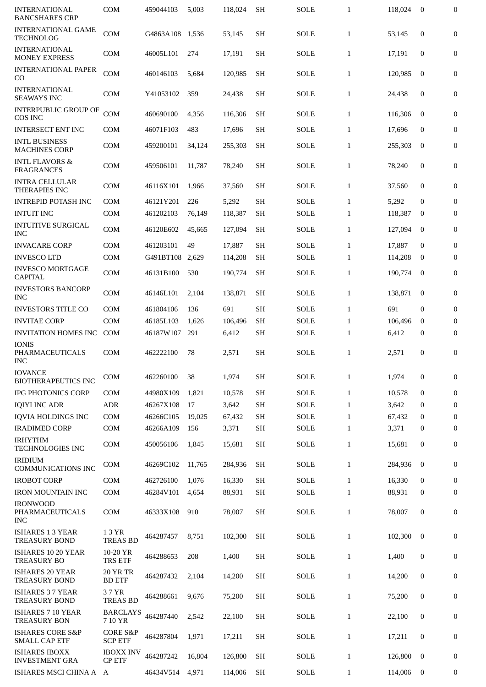| <b>INTERNATIONAL</b><br><b>BANCSHARES CRP</b>       | <b>COM</b>                            | 459044103 | 5,003  | 118,024 | <b>SH</b> | <b>SOLE</b> | $\mathbf{1}$ | 118,024 | $\boldsymbol{0}$ | 0                |
|-----------------------------------------------------|---------------------------------------|-----------|--------|---------|-----------|-------------|--------------|---------|------------------|------------------|
| <b>INTERNATIONAL GAME</b><br><b>TECHNOLOG</b>       | <b>COM</b>                            | G4863A108 | 1,536  | 53,145  | <b>SH</b> | <b>SOLE</b> | $\mathbf{1}$ | 53,145  | $\mathbf{0}$     | $\mathbf{0}$     |
| <b>INTERNATIONAL</b><br><b>MONEY EXPRESS</b>        | <b>COM</b>                            | 46005L101 | 274    | 17,191  | <b>SH</b> | <b>SOLE</b> | $\mathbf{1}$ | 17,191  | 0                | 0                |
| <b>INTERNATIONAL PAPER</b><br>CO                    | <b>COM</b>                            | 460146103 | 5,684  | 120,985 | <b>SH</b> | <b>SOLE</b> | $\mathbf{1}$ | 120,985 | $\bf{0}$         | 0                |
| <b>INTERNATIONAL</b><br><b>SEAWAYS INC</b>          | <b>COM</b>                            | Y41053102 | 359    | 24,438  | <b>SH</b> | SOLE        | $\mathbf{1}$ | 24,438  | $\mathbf{0}$     | $\mathbf{0}$     |
| <b>INTERPUBLIC GROUP OF</b><br>COS INC              | <b>COM</b>                            | 460690100 | 4,356  | 116,306 | <b>SH</b> | <b>SOLE</b> | $\mathbf{1}$ | 116,306 | $\mathbf{0}$     | 0                |
| <b>INTERSECT ENT INC</b>                            | <b>COM</b>                            | 46071F103 | 483    | 17,696  | <b>SH</b> | <b>SOLE</b> | $\mathbf{1}$ | 17,696  | $\mathbf{0}$     | 0                |
| <b>INTL BUSINESS</b><br><b>MACHINES CORP</b>        | COM                                   | 459200101 | 34,124 | 255,303 | <b>SH</b> | <b>SOLE</b> | $\mathbf{1}$ | 255,303 | $\mathbf{0}$     | 0                |
| <b>INTL FLAVORS &amp;</b><br><b>FRAGRANCES</b>      | <b>COM</b>                            | 459506101 | 11,787 | 78,240  | <b>SH</b> | SOLE        | $\mathbf{1}$ | 78,240  | $\mathbf{0}$     | 0                |
| <b>INTRA CELLULAR</b><br><b>THERAPIES INC</b>       | <b>COM</b>                            | 46116X101 | 1,966  | 37,560  | <b>SH</b> | SOLE        | $\mathbf{1}$ | 37,560  | $\mathbf{0}$     | 0                |
| <b>INTREPID POTASH INC</b>                          | <b>COM</b>                            | 46121Y201 | 226    | 5,292   | <b>SH</b> | <b>SOLE</b> | $\mathbf{1}$ | 5,292   | $\mathbf{0}$     | 0                |
| <b>INTUIT INC</b>                                   | <b>COM</b>                            | 461202103 | 76,149 | 118,387 | <b>SH</b> | SOLE        | $\mathbf{1}$ | 118.387 | $\bf{0}$         | 0                |
| <b>INTUITIVE SURGICAL</b><br><b>INC</b>             | <b>COM</b>                            | 46120E602 | 45,665 | 127,094 | <b>SH</b> | <b>SOLE</b> | $\mathbf{1}$ | 127,094 | $\mathbf{0}$     | $\boldsymbol{0}$ |
| <b>INVACARE CORP</b>                                | COM                                   | 461203101 | 49     | 17,887  | SH        | <b>SOLE</b> | $\mathbf{1}$ | 17,887  | $\bf{0}$         | 0                |
| <b>INVESCO LTD</b>                                  | <b>COM</b>                            | G491BT108 | 2,629  | 114,208 | <b>SH</b> | <b>SOLE</b> | $\mathbf{1}$ | 114,208 | 0                | 0                |
| <b>INVESCO MORTGAGE</b><br><b>CAPITAL</b>           | COM                                   | 46131B100 | 530    | 190,774 | <b>SH</b> | <b>SOLE</b> | $\mathbf{1}$ | 190,774 | $\mathbf{0}$     | 0                |
| <b>INVESTORS BANCORP</b><br><b>INC</b>              | <b>COM</b>                            | 46146L101 | 2,104  | 138,871 | <b>SH</b> | SOLE        | $\mathbf{1}$ | 138,871 | $\mathbf{0}$     | 0                |
| <b>INVESTORS TITLE CO</b>                           | <b>COM</b>                            | 461804106 | 136    | 691     | SH        | <b>SOLE</b> | $\mathbf{1}$ | 691     | $\mathbf{0}$     | 0                |
| <b>INVITAE CORP</b>                                 | COM                                   | 46185L103 | 1,626  | 106,496 | <b>SH</b> | <b>SOLE</b> | $\mathbf{1}$ | 106,496 | $\bf{0}$         | 0                |
| <b>INVITATION HOMES INC</b>                         | <b>COM</b>                            | 46187W107 | 291    | 6,412   | <b>SH</b> | <b>SOLE</b> | $\mathbf{1}$ | 6,412   | 0                | 0                |
| <b>IONIS</b><br>PHARMACEUTICALS<br><b>INC</b>       | COM                                   | 462222100 | 78     | 2,571   | <b>SH</b> | SOLE        | $\mathbf{1}$ | 2,571   | $\mathbf{0}$     | 0                |
| <b>IOVANCE</b><br><b>BIOTHERAPEUTICS INC</b>        | COM                                   | 462260100 | 38     | 1,974   | SH        | SOLE        | $\mathbf{1}$ | 1,974   | 0                | 0                |
| IPG PHOTONICS CORP                                  | COM                                   | 44980X109 | 1,821  | 10,578  | <b>SH</b> | <b>SOLE</b> | $\mathbf{1}$ | 10,578  | $\mathbf{0}$     | $\boldsymbol{0}$ |
| <b>IQIYI INC ADR</b>                                | <b>ADR</b>                            | 46267X108 | 17     | 3,642   | SH        | <b>SOLE</b> | $\mathbf{1}$ | 3,642   | $\mathbf{0}$     | 0                |
| <b>IQVIA HOLDINGS INC</b>                           | <b>COM</b>                            | 46266C105 | 19,025 | 67,432  | <b>SH</b> | SOLE        | $\mathbf{1}$ | 67,432  | $\mathbf{0}$     | 0                |
| <b>IRADIMED CORP</b>                                | COM                                   | 46266A109 | 156    | 3,371   | <b>SH</b> | <b>SOLE</b> | $\mathbf{1}$ | 3,371   | 0                | $\boldsymbol{0}$ |
| <b>IRHYTHM</b><br>TECHNOLOGIES INC                  | COM                                   | 450056106 | 1,845  | 15,681  | <b>SH</b> | SOLE        | $\mathbf{1}$ | 15,681  | $\boldsymbol{0}$ | 0                |
| <b>IRIDIUM</b><br><b>COMMUNICATIONS INC</b>         | COM                                   | 46269C102 | 11,765 | 284,936 | <b>SH</b> | <b>SOLE</b> | $\mathbf{1}$ | 284,936 | $\mathbf{0}$     | 0                |
| <b>IROBOT CORP</b>                                  | COM                                   | 462726100 | 1,076  | 16,330  | <b>SH</b> | <b>SOLE</b> | $\mathbf{1}$ | 16,330  | $\mathbf{0}$     | $\boldsymbol{0}$ |
| <b>IRON MOUNTAIN INC</b>                            | COM                                   | 46284V101 | 4,654  | 88,931  | <b>SH</b> | <b>SOLE</b> | $\mathbf{1}$ | 88,931  | 0                | 0                |
| <b>IRONWOOD</b><br>PHARMACEUTICALS<br><b>INC</b>    | COM                                   | 46333X108 | 910    | 78,007  | <b>SH</b> | SOLE        | $\mathbf{1}$ | 78,007  | $\boldsymbol{0}$ | 0                |
| <b>ISHARES 1 3 YEAR</b><br><b>TREASURY BOND</b>     | 13 YR<br><b>TREAS BD</b>              | 464287457 | 8,751  | 102,300 | <b>SH</b> | SOLE        | $\mathbf{1}$ | 102,300 | $\mathbf{0}$     | 0                |
| ISHARES 10 20 YEAR<br><b>TREASURY BO</b>            | 10-20 YR<br>TRS ETF                   | 464288653 | 208    | 1,400   | <b>SH</b> | SOLE        | $\mathbf{1}$ | 1,400   | 0                | 0                |
| <b>ISHARES 20 YEAR</b><br><b>TREASURY BOND</b>      | <b>20 YR TR</b><br><b>BD ETF</b>      | 464287432 | 2,104  | 14,200  | <b>SH</b> | SOLE        | $\mathbf{1}$ | 14,200  | 0                | 0                |
| <b>ISHARES 3 7 YEAR</b><br><b>TREASURY BOND</b>     | 37 YR<br><b>TREAS BD</b>              | 464288661 | 9,676  | 75,200  | <b>SH</b> | SOLE        | $\mathbf{1}$ | 75,200  | 0                | 0                |
| <b>ISHARES 7 10 YEAR</b><br><b>TREASURY BON</b>     | <b>BARCLAYS</b><br>7 10 YR            | 464287440 | 2,542  | 22,100  | <b>SH</b> | SOLE        | $\mathbf{1}$ | 22,100  | 0                | 0                |
| <b>ISHARES CORE S&amp;P</b><br><b>SMALL CAP ETF</b> | <b>CORE S&amp;P</b><br><b>SCP ETF</b> | 464287804 | 1,971  | 17,211  | <b>SH</b> | SOLE        | $\mathbf{1}$ | 17,211  | 0                | 0                |
| <b>ISHARES IBOXX</b><br><b>INVESTMENT GRA</b>       | <b>IBOXX INV</b><br><b>CP ETF</b>     | 464287242 | 16,804 | 126,800 | <b>SH</b> | <b>SOLE</b> | $\mathbf{1}$ | 126,800 | $\bf{0}$         | 0                |
| ISHARES MSCI CHINA A                                | A                                     | 46434V514 | 4,971  | 114,006 | <b>SH</b> | SOLE        | $\mathbf{1}$ | 114,006 | $\bf{0}$         | 0                |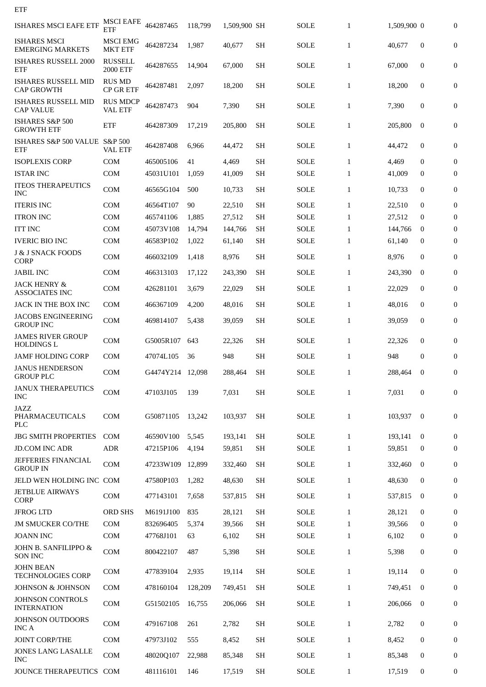| ETF                                              |                                   |                  |         |              |                     |             |              |             |              |                  |
|--------------------------------------------------|-----------------------------------|------------------|---------|--------------|---------------------|-------------|--------------|-------------|--------------|------------------|
| <b>ISHARES MSCI EAFE ETF</b>                     | <b>MSCI EAFE</b><br>ETF           | 464287465        | 118,799 | 1,509,900 SH |                     | <b>SOLE</b> | $\mathbf{1}$ | 1,509,900 0 |              | $\overline{0}$   |
| <b>ISHARES MSCI</b><br><b>EMERGING MARKETS</b>   | <b>MSCI EMG</b><br><b>MKT ETF</b> | 464287234        | 1,987   | 40,677       | <b>SH</b>           | <b>SOLE</b> | $\mathbf{1}$ | 40,677      | $\bf{0}$     | $\overline{0}$   |
| <b>ISHARES RUSSELL 2000</b><br>ETF               | <b>RUSSELL</b><br>2000 ETF        | 464287655        | 14,904  | 67,000       | <b>SH</b>           | SOLE        | $\mathbf{1}$ | 67,000      | $\mathbf{0}$ | 0                |
| <b>ISHARES RUSSELL MID</b><br><b>CAP GROWTH</b>  | <b>RUS MD</b><br><b>CP GR ETF</b> | 464287481        | 2,097   | 18,200       | <b>SH</b>           | <b>SOLE</b> | 1            | 18,200      | $\mathbf{0}$ | $\overline{0}$   |
| <b>ISHARES RUSSELL MID</b><br><b>CAP VALUE</b>   | <b>RUS MDCP</b><br><b>VAL ETF</b> | 464287473        | 904     | 7,390        | <b>SH</b>           | <b>SOLE</b> | $\mathbf{1}$ | 7,390       | $\mathbf{0}$ | $\boldsymbol{0}$ |
| ISHARES S&P 500<br><b>GROWTH ETF</b>             | <b>ETF</b>                        | 464287309        | 17,219  | 205,800      | <b>SH</b>           | <b>SOLE</b> | $\mathbf{1}$ | 205,800     | $\mathbf{0}$ | $\overline{0}$   |
| ISHARES S&P 500 VALUE S&P 500<br><b>ETF</b>      | <b>VAL ETF</b>                    | 464287408        | 6,966   | 44,472       | <b>SH</b>           | <b>SOLE</b> | $\mathbf{1}$ | 44,472      | $\mathbf{0}$ | $\overline{0}$   |
| <b>ISOPLEXIS CORP</b>                            | <b>COM</b>                        | 465005106        | 41      | 4,469        | <b>SH</b>           | <b>SOLE</b> | 1            | 4,469       | $\bf{0}$     | $\boldsymbol{0}$ |
| <b>ISTAR INC</b>                                 | <b>COM</b>                        | 45031U101        | 1,059   | 41.009       | <b>SH</b>           | <b>SOLE</b> | $\mathbf{1}$ | 41,009      | $\bf{0}$     | $\boldsymbol{0}$ |
| <b>ITEOS THERAPEUTICS</b><br><b>INC</b>          | <b>COM</b>                        | 46565G104        | 500     | 10,733       | <b>SH</b>           | <b>SOLE</b> | $\mathbf{1}$ | 10,733      | $\mathbf{0}$ | 0                |
| <b>ITERIS INC</b>                                | <b>COM</b>                        | 46564T107        | 90      | 22,510       | <b>SH</b>           | SOLE        | 1            | 22,510      | $\mathbf{0}$ | $\boldsymbol{0}$ |
| <b>ITRON INC</b>                                 | <b>COM</b>                        | 465741106        | 1,885   | 27,512       | <b>SH</b>           | <b>SOLE</b> | 1            | 27,512      | $\Omega$     | $\boldsymbol{0}$ |
| <b>ITT INC</b>                                   | <b>COM</b>                        | 45073V108        | 14,794  | 144,766      | <b>SH</b>           | <b>SOLE</b> | 1            | 144,766     | $\bf{0}$     | $\boldsymbol{0}$ |
| <b>IVERIC BIO INC</b>                            | <b>COM</b>                        | 46583P102        | 1,022   | 61,140       | <b>SH</b>           | SOLE        | $\mathbf{1}$ | 61,140      | $\bf{0}$     | $\boldsymbol{0}$ |
| <b>J &amp; J SNACK FOODS</b><br><b>CORP</b>      | <b>COM</b>                        | 466032109        | 1,418   | 8,976        | <b>SH</b>           | <b>SOLE</b> | $\mathbf{1}$ | 8,976       | $\mathbf{0}$ | 0                |
| JABIL INC                                        | <b>COM</b>                        | 466313103        | 17,122  | 243,390      | SН                  | SOLE        | 1            | 243,390     | $\bf{0}$     | $\mathbf{0}$     |
| <b>JACK HENRY &amp;</b><br><b>ASSOCIATES INC</b> | <b>COM</b>                        | 426281101        | 3,679   | 22,029       | <b>SH</b>           | <b>SOLE</b> | $\mathbf{1}$ | 22,029      | $\mathbf{0}$ | $\boldsymbol{0}$ |
| JACK IN THE BOX INC                              | <b>COM</b>                        | 466367109        | 4,200   | 48,016       | SН                  | SOLE        | 1            | 48,016      | $\bf{0}$     | $\boldsymbol{0}$ |
| <b>JACOBS ENGINEERING</b><br><b>GROUP INC</b>    | <b>COM</b>                        | 469814107        | 5,438   | 39,059       | <b>SH</b>           | <b>SOLE</b> | $\mathbf{1}$ | 39,059      | $\mathbf{0}$ | $\boldsymbol{0}$ |
| JAMES RIVER GROUP<br><b>HOLDINGS L</b>           | <b>COM</b>                        | G5005R107        | 643     | 22,326       | <b>SH</b>           | <b>SOLE</b> | $\mathbf{1}$ | 22,326      | $\mathbf{0}$ | 0                |
| <b>JAMF HOLDING CORP</b>                         | <b>COM</b>                        | 47074L105        | 36      | 948          | <b>SH</b>           | <b>SOLE</b> | $\mathbf{1}$ | 948         | $\mathbf{0}$ | $\overline{0}$   |
| <b>JANUS HENDERSON</b><br><b>GROUP PLC</b>       | COM                               | G4474Y214 12,098 |         | 288,464      | $\operatorname{SH}$ | <b>SOLE</b> | $\mathbf{1}$ | 288,464     | $\bf{0}$     | $\mathbf{0}$     |
| <b>JANUX THERAPEUTICS</b><br><b>INC</b>          | <b>COM</b>                        | 47103J105        | 139     | 7,031        | <b>SH</b>           | <b>SOLE</b> | $\mathbf{1}$ | 7,031       | $\mathbf{0}$ | $\mathbf{0}$     |
| JAZZ<br>PHARMACEUTICALS<br><b>PLC</b>            | <b>COM</b>                        | G50871105        | 13,242  | 103,937      | <b>SH</b>           | <b>SOLE</b> | $\mathbf{1}$ | 103,937     | $\bf{0}$     | $\mathbf{0}$     |
| <b>JBG SMITH PROPERTIES</b>                      | <b>COM</b>                        | 46590V100        | 5,545   | 193,141      | <b>SH</b>           | <b>SOLE</b> | $\mathbf{1}$ | 193,141     | $\bf{0}$     | $\mathbf{0}$     |
| <b>JD.COM INC ADR</b>                            | <b>ADR</b>                        | 47215P106        | 4,194   | 59,851       | <b>SH</b>           | <b>SOLE</b> | $\mathbf{1}$ | 59,851      | $\bf{0}$     | 0                |
|                                                  |                                   |                  |         |              |                     |             |              |             |              |                  |
| JEFFERIES FINANCIAL<br><b>GROUP IN</b>           | <b>COM</b>                        | 47233W109        | 12,899  | 332,460      | <b>SH</b>           | <b>SOLE</b> | $\mathbf{1}$ | 332,460     | $\mathbf{0}$ | $\mathbf{0}$     |
| JELD WEN HOLDING INC COM                         |                                   | 47580P103        | 1,282   | 48,630       | <b>SH</b>           | <b>SOLE</b> | $\mathbf{1}$ | 48,630      | $\bf{0}$     | 0                |
| <b>JETBLUE AIRWAYS</b><br><b>CORP</b>            | <b>COM</b>                        | 477143101        | 7,658   | 537,815      | <b>SH</b>           | <b>SOLE</b> | $\mathbf{1}$ | 537,815     | $\bf{0}$     | 0                |
| <b>JFROG LTD</b>                                 | <b>ORD SHS</b>                    | M6191J100        | 835     | 28,121       | <b>SH</b>           | <b>SOLE</b> | $\mathbf{1}$ | 28,121      | $\bf{0}$     | 0                |
| <b>JM SMUCKER CO/THE</b>                         | <b>COM</b>                        | 832696405        | 5,374   | 39,566       | <b>SH</b>           | SOLE        | $\mathbf{1}$ | 39,566      | $\mathbf{0}$ | $\mathbf{0}$     |
| <b>JOANN INC</b>                                 | <b>COM</b>                        | 47768J101        | 63      | 6,102        | SН                  | <b>SOLE</b> | $\mathbf{1}$ | 6,102       | $\mathbf{0}$ | 0                |
| JOHN B. SANFILIPPO &<br><b>SON INC</b>           | <b>COM</b>                        | 800422107        | 487     | 5,398        | <b>SH</b>           | <b>SOLE</b> | $\mathbf{1}$ | 5,398       | $\mathbf{0}$ | $\boldsymbol{0}$ |
| <b>JOHN BEAN</b><br><b>TECHNOLOGIES CORP</b>     | <b>COM</b>                        | 477839104        | 2,935   | 19,114       | <b>SH</b>           | <b>SOLE</b> | $\mathbf{1}$ | 19,114      | $\mathbf{0}$ | $\mathbf{0}$     |
| JOHNSON & JOHNSON                                | <b>COM</b>                        | 478160104        | 128,209 | 749,451      | <b>SH</b>           | <b>SOLE</b> | $\mathbf{1}$ | 749,451     | $\bf{0}$     | $\mathbf{0}$     |
| JOHNSON CONTROLS<br><b>INTERNATION</b>           | <b>COM</b>                        | G51502105        | 16,755  | 206,066      | <b>SH</b>           | SOLE        | $\mathbf{1}$ | 206,066     | $\mathbf{0}$ | 0                |
| JOHNSON OUTDOORS<br><b>INC A</b>                 | <b>COM</b>                        | 479167108        | 261     | 2,782        | <b>SH</b>           | <b>SOLE</b> | $\mathbf{1}$ | 2,782       | $\mathbf{0}$ | 0                |
| <b>JOINT CORP/THE</b>                            | <b>COM</b>                        | 47973J102        | 555     | 8,452        | <b>SH</b>           | <b>SOLE</b> | $\mathbf{1}$ | 8,452       | $\mathbf{0}$ | 0                |
| JONES LANG LASALLE<br><b>INC</b>                 | <b>COM</b>                        | 48020Q107        | 22,988  | 85,348       | SН                  | <b>SOLE</b> | $\mathbf{1}$ | 85,348      | $\mathbf{0}$ | 0                |
| JOUNCE THERAPEUTICS COM                          |                                   | 481116101        | 146     | 17,519       | SH                  | <b>SOLE</b> | $\mathbf{1}$ | 17,519      | 0            | 0                |
|                                                  |                                   |                  |         |              |                     |             |              |             |              |                  |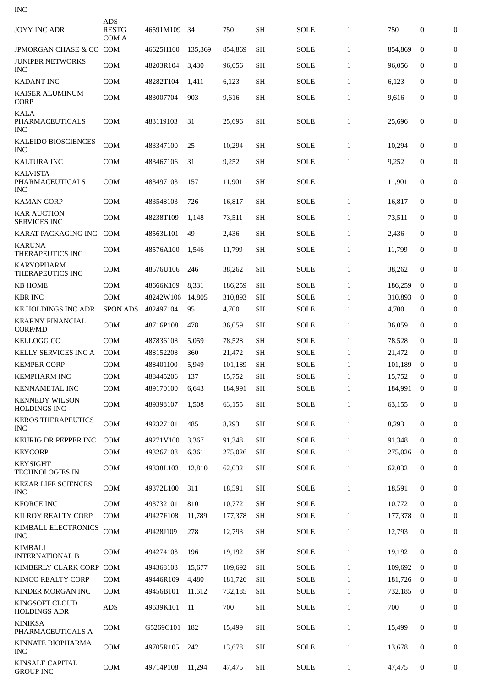| <b>INC</b>                                       |                                     |           |         |         |                     |             |              |         |                  |                  |
|--------------------------------------------------|-------------------------------------|-----------|---------|---------|---------------------|-------------|--------------|---------|------------------|------------------|
| <b>JOYY INC ADR</b>                              | <b>ADS</b><br><b>RESTG</b><br>COM A | 46591M109 | 34      | 750     | <b>SH</b>           | <b>SOLE</b> | $\mathbf{1}$ | 750     | $\mathbf{0}$     | $\overline{0}$   |
| JPMORGAN CHASE & CO COM                          |                                     | 46625H100 | 135,369 | 854,869 | <b>SH</b>           | SOLE        | $\mathbf{1}$ | 854,869 | $\mathbf{0}$     | $\boldsymbol{0}$ |
| <b>JUNIPER NETWORKS</b><br><b>INC</b>            | <b>COM</b>                          | 48203R104 | 3,430   | 96,056  | <b>SH</b>           | <b>SOLE</b> | $\mathbf{1}$ | 96,056  | $\bf{0}$         | $\boldsymbol{0}$ |
| <b>KADANT INC</b>                                | <b>COM</b>                          | 48282T104 | 1,411   | 6,123   | <b>SH</b>           | SOLE        | $\mathbf{1}$ | 6,123   | $\bf{0}$         | 0                |
| <b>KAISER ALUMINUM</b><br><b>CORP</b>            | <b>COM</b>                          | 483007704 | 903     | 9,616   | <b>SH</b>           | SOLE        | $\mathbf{1}$ | 9,616   | $\mathbf{0}$     | $\boldsymbol{0}$ |
| <b>KALA</b><br>PHARMACEUTICALS<br><b>INC</b>     | <b>COM</b>                          | 483119103 | 31      | 25,696  | <b>SH</b>           | <b>SOLE</b> | $\mathbf{1}$ | 25,696  | $\mathbf{0}$     | $\boldsymbol{0}$ |
| <b>KALEIDO BIOSCIENCES</b><br><b>INC</b>         | <b>COM</b>                          | 483347100 | 25      | 10,294  | <b>SH</b>           | SOLE        | $\mathbf{1}$ | 10,294  | $\mathbf{0}$     | $\mathbf{0}$     |
| <b>KALTURA INC</b>                               | <b>COM</b>                          | 483467106 | 31      | 9,252   | <b>SH</b>           | <b>SOLE</b> | $\mathbf{1}$ | 9,252   | $\mathbf{0}$     | $\boldsymbol{0}$ |
| <b>KALVISTA</b><br>PHARMACEUTICALS<br><b>INC</b> | <b>COM</b>                          | 483497103 | 157     | 11,901  | <b>SH</b>           | <b>SOLE</b> | $\mathbf{1}$ | 11,901  | $\boldsymbol{0}$ | $\overline{0}$   |
| <b>KAMAN CORP</b>                                | <b>COM</b>                          | 483548103 | 726     | 16,817  | <b>SH</b>           | SOLE        | $\mathbf{1}$ | 16,817  | $\mathbf{0}$     | $\boldsymbol{0}$ |
| <b>KAR AUCTION</b><br><b>SERVICES INC</b>        | <b>COM</b>                          | 48238T109 | 1.148   | 73,511  | SН                  | SOLE        | $\mathbf{1}$ | 73,511  | $\bf{0}$         | 0                |
| KARAT PACKAGING INC                              | <b>COM</b>                          | 48563L101 | 49      | 2,436   | <b>SH</b>           | SOLE        | $\mathbf{1}$ | 2,436   | $\bf{0}$         | $\boldsymbol{0}$ |
| <b>KARUNA</b><br>THERAPEUTICS INC                | <b>COM</b>                          | 48576A100 | 1,546   | 11,799  | <b>SH</b>           | SOLE        | $\mathbf{1}$ | 11,799  | $\mathbf{0}$     | $\boldsymbol{0}$ |
| <b>KARYOPHARM</b><br>THERAPEUTICS INC            | <b>COM</b>                          | 48576U106 | 246     | 38,262  | <b>SH</b>           | <b>SOLE</b> | $\mathbf{1}$ | 38,262  | $\mathbf{0}$     | $\overline{0}$   |
| <b>KB HOME</b>                                   | <b>COM</b>                          | 48666K109 | 8,331   | 186,259 | <b>SH</b>           | <b>SOLE</b> | 1            | 186,259 | $\bf{0}$         | 0                |
| <b>KBR INC</b>                                   | <b>COM</b>                          | 48242W106 | 14,805  | 310,893 | SН                  | SOLE        | $\mathbf{1}$ | 310,893 | $\bf{0}$         | $\mathbf{0}$     |
| <b>KE HOLDINGS INC ADR</b>                       | <b>SPON ADS</b>                     | 482497104 | 95      | 4,700   | <b>SH</b>           | <b>SOLE</b> | $\mathbf{1}$ | 4,700   | $\bf{0}$         | $\overline{0}$   |
| <b>KEARNY FINANCIAL</b><br>CORP/MD               | <b>COM</b>                          | 48716P108 | 478     | 36,059  | <b>SH</b>           | <b>SOLE</b> | $\mathbf{1}$ | 36,059  | $\boldsymbol{0}$ | $\boldsymbol{0}$ |
| <b>KELLOGG CO</b>                                | <b>COM</b>                          | 487836108 | 5,059   | 78,528  | SН                  | SOLE        | 1            | 78,528  | $\bf{0}$         | $\overline{0}$   |
| <b>KELLY SERVICES INC A</b>                      | <b>COM</b>                          | 488152208 | 360     | 21,472  | <b>SH</b>           | SOLE        | $\mathbf{1}$ | 21,472  | $\bf{0}$         | $\boldsymbol{0}$ |
| <b>KEMPER CORP</b>                               | <b>COM</b>                          | 488401100 | 5,949   | 101,189 | SН                  | <b>SOLE</b> | $\mathbf{1}$ | 101,189 | $\bf{0}$         | 0                |
| <b>KEMPHARM INC</b>                              | COM                                 | 488445206 | 137     | 15,752  | <b>SH</b>           | <b>SOLE</b> | $\mathbf{1}$ | 15,752  | $\mathbf{0}$     | $\boldsymbol{0}$ |
| <b>KENNAMETAL INC</b>                            | <b>COM</b>                          | 489170100 | 6,643   | 184,991 | <b>SH</b>           | <b>SOLE</b> | $\mathbf{1}$ | 184,991 | $\bf{0}$         | 0                |
| <b>KENNEDY WILSON</b><br><b>HOLDINGS INC</b>     | COM                                 | 489398107 | 1,508   | 63,155  | <b>SH</b>           | <b>SOLE</b> | $\mathbf{1}$ | 63,155  | $\mathbf{0}$     | $\mathbf{0}$     |
| <b>KEROS THERAPEUTICS</b><br><b>INC</b>          | <b>COM</b>                          | 492327101 | 485     | 8,293   | <b>SH</b>           | <b>SOLE</b> | $\mathbf{1}$ | 8,293   | $\overline{0}$   | $\mathbf{0}$     |
| KEURIG DR PEPPER INC                             | <b>COM</b>                          | 49271V100 | 3,367   | 91,348  | <b>SH</b>           | <b>SOLE</b> | $\mathbf{1}$ | 91,348  | $\Omega$         | 0                |
| <b>KEYCORP</b>                                   | <b>COM</b>                          | 493267108 | 6,361   | 275,026 | <b>SH</b>           | <b>SOLE</b> | $\mathbf{1}$ | 275,026 | $\bf{0}$         | 0                |
| <b>KEYSIGHT</b><br><b>TECHNOLOGIES IN</b>        | COM                                 | 49338L103 | 12,810  | 62,032  | <b>SH</b>           | <b>SOLE</b> | $\mathbf{1}$ | 62,032  | $\mathbf{0}$     | 0                |
| <b>KEZAR LIFE SCIENCES</b><br><b>INC</b>         | <b>COM</b>                          | 49372L100 | 311     | 18,591  | <b>SH</b>           | <b>SOLE</b> | $\mathbf{1}$ | 18,591  | $\bf{0}$         | $\mathbf{0}$     |
| <b>KFORCE INC</b>                                | <b>COM</b>                          | 493732101 | 810     | 10,772  | <b>SH</b>           | <b>SOLE</b> | $\mathbf{1}$ | 10,772  | $\mathbf{0}$     | $\mathbf{0}$     |
| <b>KILROY REALTY CORP</b>                        | <b>COM</b>                          | 49427F108 | 11,789  | 177,378 | <b>SH</b>           | <b>SOLE</b> | $\mathbf{1}$ | 177,378 | $\bf{0}$         | 0                |
| KIMBALL ELECTRONICS<br><b>INC</b>                | COM                                 | 49428J109 | 278     | 12,793  | <b>SH</b>           | <b>SOLE</b> | $\mathbf{1}$ | 12,793  | $\mathbf{0}$     | 0                |
| <b>KIMBALL</b><br><b>INTERNATIONAL B</b>         | <b>COM</b>                          | 494274103 | 196     | 19,192  | <b>SH</b>           | <b>SOLE</b> | $\mathbf{1}$ | 19,192  | $\mathbf{0}$     | $\mathbf{0}$     |
| KIMBERLY CLARK CORP COM                          |                                     | 494368103 | 15,677  | 109,692 | <b>SH</b>           | <b>SOLE</b> | $\mathbf{1}$ | 109,692 | $\Omega$         | $\mathbf{0}$     |
| <b>KIMCO REALTY CORP</b>                         | COM                                 | 49446R109 | 4,480   | 181,726 | <b>SH</b>           | <b>SOLE</b> | $\mathbf{1}$ | 181,726 | $\bf{0}$         | 0                |
| KINDER MORGAN INC                                | <b>COM</b>                          | 49456B101 | 11,612  | 732,185 | SH                  | <b>SOLE</b> | $\mathbf{1}$ | 732,185 | $\bf{0}$         | $\mathbf{0}$     |
| KINGSOFT CLOUD<br><b>HOLDINGS ADR</b>            | <b>ADS</b>                          | 49639K101 | 11      | 700     | $\operatorname{SH}$ | <b>SOLE</b> | $\mathbf{1}$ | 700     | $\boldsymbol{0}$ | $\boldsymbol{0}$ |
| <b>KINIKSA</b><br>PHARMACEUTICALS A              | <b>COM</b>                          | G5269C101 | 182     | 15,499  | <b>SH</b>           | <b>SOLE</b> | $\mathbf{1}$ | 15,499  | $\mathbf{0}$     | 0                |
| KINNATE BIOPHARMA<br><b>INC</b>                  | <b>COM</b>                          | 49705R105 | 242     | 13,678  | <b>SH</b>           | <b>SOLE</b> | $\mathbf{1}$ | 13.678  | $\mathbf{0}$     | 0                |
| <b>KINSALE CAPITAL</b><br><b>GROUP INC</b>       | <b>COM</b>                          | 49714P108 | 11,294  | 47,475  | <b>SH</b>           | <b>SOLE</b> | $\mathbf{1}$ | 47,475  | $\bf{0}$         | 0                |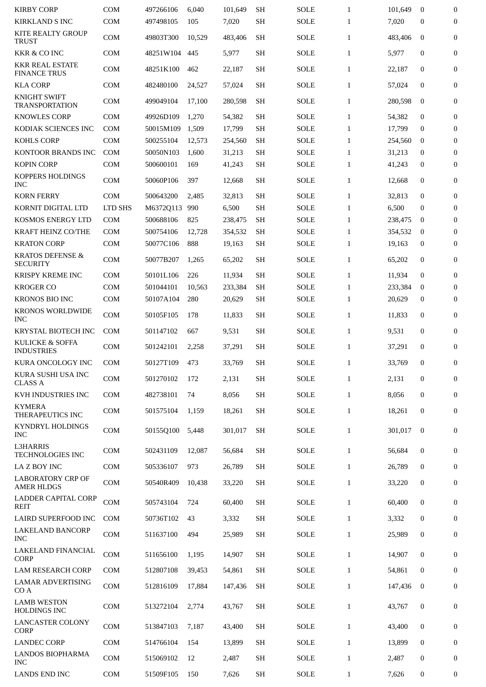| <b>KIRBY CORP</b>                                                    | <b>COM</b>               | 497266106              | 6,040        | 101,649          | <b>SH</b>              | <b>SOLE</b>         | $\mathbf{1}$                 | 101,649          | $\bf{0}$     | 0                |
|----------------------------------------------------------------------|--------------------------|------------------------|--------------|------------------|------------------------|---------------------|------------------------------|------------------|--------------|------------------|
| <b>KIRKLAND S INC</b>                                                | COM                      | 497498105              | 105          | 7,020            | SH                     | <b>SOLE</b>         | $\mathbf{1}$                 | 7,020            | $\bf{0}$     | 0                |
| KITE REALTY GROUP<br><b>TRUST</b>                                    | <b>COM</b>               | 49803T300              | 10,529       | 483,406          | <b>SH</b>              | <b>SOLE</b>         | $\mathbf{1}$                 | 483,406          | $\mathbf{0}$ | $\mathbf{0}$     |
| <b>KKR &amp; CO INC</b>                                              | <b>COM</b>               | 48251W104              | 445          | 5,977            | <b>SH</b>              | <b>SOLE</b>         | $\mathbf{1}$                 | 5,977            | $\bf{0}$     | 0                |
| <b>KKR REAL ESTATE</b><br><b>FINANCE TRUS</b>                        | <b>COM</b>               | 48251K100              | 462          | 22,187           | <b>SH</b>              | <b>SOLE</b>         | $\mathbf{1}$                 | 22,187           | $\mathbf{0}$ | $\mathbf{0}$     |
| <b>KLA CORP</b>                                                      | <b>COM</b>               | 482480100              | 24,527       | 57,024           | <b>SH</b>              | <b>SOLE</b>         | $\mathbf{1}$                 | 57,024           | $\mathbf{0}$ | $\mathbf{0}$     |
| <b>KNIGHT SWIFT</b><br><b>TRANSPORTATION</b>                         | <b>COM</b>               | 499049104              | 17,100       | 280,598          | <b>SH</b>              | <b>SOLE</b>         | $\mathbf{1}$                 | 280,598          | $\mathbf{0}$ | 0                |
| <b>KNOWLES CORP</b>                                                  | <b>COM</b>               | 49926D109              | 1,270        | 54,382           | <b>SH</b>              | <b>SOLE</b>         | $\mathbf{1}$                 | 54,382           | $\mathbf{0}$ | $\boldsymbol{0}$ |
| KODIAK SCIENCES INC                                                  | <b>COM</b>               | 50015M109              | 1,509        | 17,799           | <b>SH</b>              | <b>SOLE</b>         | $\mathbf{1}$                 | 17,799           | $\bf{0}$     | $\boldsymbol{0}$ |
| <b>KOHLS CORP</b>                                                    | <b>COM</b>               | 500255104              | 12,573       | 254,560          | <b>SH</b>              | <b>SOLE</b>         | $\mathbf{1}$                 | 254,560          | $\bf{0}$     | 0                |
| KONTOOR BRANDS INC                                                   | <b>COM</b>               | 50050N103              | 1,600        | 31,213           | <b>SH</b>              | SOLE                | $\mathbf{1}$                 | 31,213           | $\bf{0}$     | $\mathbf{0}$     |
| <b>KOPIN CORP</b>                                                    | COM                      | 500600101              | 169          | 41,243           | <b>SH</b>              | SOLE                | $\mathbf{1}$                 | 41,243           | 0            | 0                |
| KOPPERS HOLDINGS<br><b>INC</b>                                       | <b>COM</b>               | 50060P106              | 397          | 12,668           | <b>SH</b>              | <b>SOLE</b>         | $\mathbf{1}$                 | 12,668           | $\mathbf{0}$ | 0                |
| <b>KORN FERRY</b>                                                    | <b>COM</b>               | 500643200              | 2,485        | 32,813           | <b>SH</b>              | <b>SOLE</b>         | $\mathbf{1}$                 | 32,813           | $\mathbf{0}$ | $\mathbf{0}$     |
| KORNIT DIGITAL LTD                                                   | LTD SHS                  | M6372Q113              | 990          | 6,500            | <b>SH</b>              | <b>SOLE</b>         | $\mathbf{1}$                 | 6,500            | $\bf{0}$     | $\boldsymbol{0}$ |
| KOSMOS ENERGY LTD                                                    | <b>COM</b>               | 500688106              | 825          | 238,475          | <b>SH</b>              | <b>SOLE</b>         | $\mathbf{1}$                 | 238,475          | $\bf{0}$     | 0                |
|                                                                      |                          |                        |              |                  |                        |                     |                              |                  |              |                  |
| <b>KRAFT HEINZ CO/THE</b>                                            | <b>COM</b>               | 500754106              | 12,728       | 354,532          | <b>SH</b>              | <b>SOLE</b>         | $\mathbf{1}$                 | 354,532          | $\bf{0}$     | 0                |
| <b>KRATON CORP</b><br><b>KRATOS DEFENSE &amp;</b><br><b>SECURITY</b> | <b>COM</b><br><b>COM</b> | 50077C106<br>50077B207 | 888<br>1,265 | 19,163<br>65,202 | <b>SH</b><br><b>SH</b> | SOLE<br><b>SOLE</b> | $\mathbf{1}$<br>$\mathbf{1}$ | 19,163<br>65,202 | 0<br>0       | 0<br>0           |
|                                                                      |                          |                        |              |                  |                        |                     |                              |                  |              |                  |
| KRISPY KREME INC                                                     | <b>COM</b>               | 50101L106              | 226          | 11,934           | <b>SH</b>              | <b>SOLE</b>         | $\mathbf{1}$                 | 11,934           | $\mathbf{0}$ | $\boldsymbol{0}$ |
| <b>KROGER CO</b>                                                     | <b>COM</b>               | 501044101              | 10,563       | 233,384          | <b>SH</b>              | <b>SOLE</b>         | $\mathbf{1}$                 | 233,384          | $\bf{0}$     | 0                |
| <b>KRONOS BIO INC</b>                                                | COM                      | 50107A104              | 280          | 20,629           | <b>SH</b>              | SOLE                | $\mathbf{1}$                 | 20,629           | 0            | $\mathbf{0}$     |
| KRONOS WORLDWIDE<br><b>INC</b>                                       | COM                      | 50105F105              | 178          | 11,833           | <b>SH</b>              | SOLE                | $\mathbf{1}$                 | 11,833           | $\mathbf{0}$ | $\mathbf{0}$     |
| KRYSTAL BIOTECH INC                                                  | <b>COM</b>               | 501147102              | 667          | 9,531            | <b>SH</b>              | <b>SOLE</b>         | $\mathbf{1}$                 | 9,531            | 0            | 0                |
| <b>KULICKE &amp; SOFFA</b><br><b>INDUSTRIES</b>                      | <b>COM</b>               | 501242101              | 2,258        | 37,291           | <b>SH</b>              | <b>SOLE</b>         | $\mathbf{1}$                 | 37,291           | 0            | 0                |
| <b>KURA ONCOLOGY INC</b>                                             | <b>COM</b>               | 50127T109              | 473          | 33,769           | <b>SH</b>              | SOLE                | $\mathbf{1}$                 | 33,769           | $\mathbf{0}$ | 0                |
| KURA SUSHI USA INC<br><b>CLASS A</b>                                 | COM                      | 501270102              | 172          | 2,131            | <b>SH</b>              | SOLE                | $\mathbf{1}$                 | 2,131            | 0            | 0                |
| KVH INDUSTRIES INC                                                   | <b>COM</b>               | 482738101              | 74           | 8,056            | <b>SH</b>              | <b>SOLE</b>         | $\mathbf{1}$                 | 8,056            | 0            | $\boldsymbol{0}$ |
| <b>KYMERA</b><br>THERAPEUTICS INC                                    | <b>COM</b>               | 501575104              | 1,159        | 18,261           | <b>SH</b>              | SOLE                | $\mathbf{1}$                 | 18,261           | 0            | 0                |
| KYNDRYL HOLDINGS<br><b>INC</b>                                       | COM                      | 50155Q100              | 5,448        | 301,017          | <b>SH</b>              | SOLE                | $\mathbf{1}$                 | 301,017          | $\mathbf{0}$ | 0                |
| <b>L3HARRIS</b><br><b>TECHNOLOGIES INC</b>                           | COM                      | 502431109              | 12,087       | 56,684           | <b>SH</b>              | SOLE                | $\mathbf{1}$                 | 56,684           | 0            | 0                |
| LA Z BOY INC                                                         | <b>COM</b>               | 505336107              | 973          | 26,789           | <b>SH</b>              | SOLE                | $\mathbf{1}$                 | 26,789           | $\mathbf{0}$ | $\boldsymbol{0}$ |
| <b>LABORATORY CRP OF</b><br><b>AMER HLDGS</b>                        | COM                      | 50540R409              | 10,438       | 33,220           | <b>SH</b>              | <b>SOLE</b>         | $\mathbf{1}$                 | 33,220           | 0            | 0                |
| LADDER CAPITAL CORP<br><b>REIT</b>                                   | COM                      | 505743104              | 724          | 60,400           | <b>SH</b>              | SOLE                | $\mathbf{1}$                 | 60,400           | 0            | $\boldsymbol{0}$ |
| LAIRD SUPERFOOD INC                                                  | <b>COM</b>               | 50736T102              | 43           | 3,332            | <b>SH</b>              | SOLE                | $\mathbf{1}$                 | 3,332            | 0            | 0                |
| <b>LAKELAND BANCORP</b><br><b>INC</b>                                | COM                      | 511637100              | 494          | 25,989           | <b>SH</b>              | SOLE                | $\mathbf{1}$                 | 25,989           | 0            | 0                |
| LAKELAND FINANCIAL<br><b>CORP</b>                                    | <b>COM</b>               | 511656100              | 1,195        | 14,907           | <b>SH</b>              | SOLE                | $\mathbf{1}$                 | 14,907           | 0            | $\boldsymbol{0}$ |
| <b>LAM RESEARCH CORP</b>                                             | <b>COM</b>               | 512807108              | 39,453       | 54,861           | <b>SH</b>              | SOLE                | $\mathbf{1}$                 | 54,861           | 0            | $\boldsymbol{0}$ |
| <b>LAMAR ADVERTISING</b><br>CO <sub>A</sub>                          | COM                      | 512816109              | 17,884       | 147,436          | <b>SH</b>              | SOLE                | $\mathbf{1}$                 | 147,436          | $\bf{0}$     | 0                |
| <b>LAMB WESTON</b><br>HOLDINGS INC                                   | <b>COM</b>               | 513272104              | 2,774        | 43,767           | <b>SH</b>              | SOLE                | $\mathbf{1}$                 | 43,767           | 0            | 0                |
| <b>LANCASTER COLONY</b><br><b>CORP</b>                               | COM                      | 513847103              | 7,187        | 43,400           | <b>SH</b>              | SOLE                | $\mathbf{1}$                 | 43,400           | 0            | 0                |
| <b>LANDEC CORP</b>                                                   | COM                      | 514766104              | 154          | 13,899           | <b>SH</b>              | SOLE                | $\mathbf{1}$                 | 13,899           | 0            | 0                |
| <b>LANDOS BIOPHARMA</b><br><b>INC</b>                                | COM                      | 515069102              | 12           | 2,487            | <b>SH</b>              | SOLE                | $\mathbf{1}$                 | 2,487            | 0            | 0                |
| <b>LANDS END INC</b>                                                 | COM                      | 51509F105              | 150          | 7,626            | <b>SH</b>              | <b>SOLE</b>         | $\mathbf{1}$                 | 7,626            | 0            | 0                |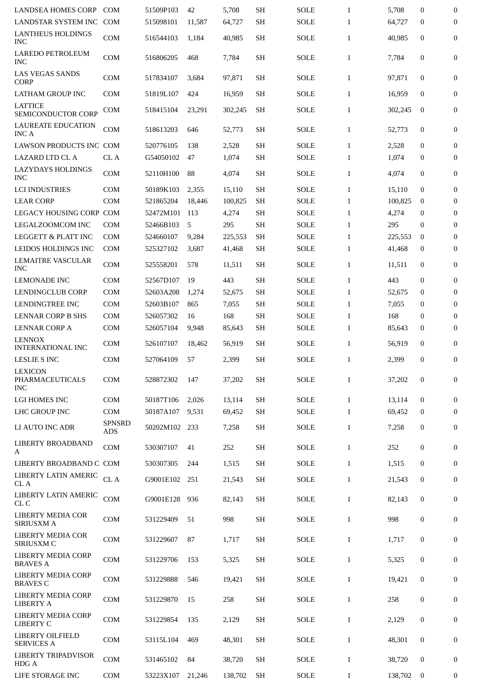| <b>LANDSEA HOMES CORP</b>                       | <b>COM</b>                  | 51509P103 | 42     | 5,708   | <b>SH</b> | <b>SOLE</b> | $\mathbf{1}$ | 5,708   | $\mathbf{0}$     | $\mathbf{0}$     |
|-------------------------------------------------|-----------------------------|-----------|--------|---------|-----------|-------------|--------------|---------|------------------|------------------|
| LANDSTAR SYSTEM INC                             | <b>COM</b>                  | 515098101 | 11,587 | 64,727  | <b>SH</b> | <b>SOLE</b> | $\mathbf{1}$ | 64,727  | $\mathbf{0}$     | 0                |
| <b>LANTHEUS HOLDINGS</b><br><b>INC</b>          | COM                         | 516544103 | 1,184  | 40.985  | <b>SH</b> | <b>SOLE</b> | $\mathbf{1}$ | 40,985  | $\mathbf{0}$     | $\mathbf{0}$     |
| <b>LAREDO PETROLEUM</b><br><b>INC</b>           | <b>COM</b>                  | 516806205 | 468    | 7,784   | <b>SH</b> | <b>SOLE</b> | $\mathbf{1}$ | 7,784   | 0                | 0                |
| <b>LAS VEGAS SANDS</b><br><b>CORP</b>           | <b>COM</b>                  | 517834107 | 3,684  | 97,871  | <b>SH</b> | <b>SOLE</b> | $\mathbf{1}$ | 97,871  | 0                | 0                |
| <b>LATHAM GROUP INC</b>                         | <b>COM</b>                  | 51819L107 | 424    | 16,959  | <b>SH</b> | <b>SOLE</b> | $\mathbf{1}$ | 16,959  | $\mathbf{0}$     | 0                |
| <b>LATTICE</b><br>SEMICONDUCTOR CORP            | <b>COM</b>                  | 518415104 | 23,291 | 302,245 | <b>SH</b> | SOLE        | $\mathbf{1}$ | 302,245 | $\bf{0}$         | 0                |
| <b>LAUREATE EDUCATION</b><br><b>INCA</b>        | <b>COM</b>                  | 518613203 | 646    | 52,773  | SН        | SOLE        | $\mathbf{1}$ | 52,773  | $\bf{0}$         | 0                |
| LAWSON PRODUCTS INC COM                         |                             | 520776105 | 138    | 2,528   | <b>SH</b> | <b>SOLE</b> | $\mathbf{1}$ | 2,528   | $\mathbf{0}$     | $\boldsymbol{0}$ |
| <b>LAZARD LTD CL A</b>                          | CL A                        | G54050102 | 47     | 1,074   | <b>SH</b> | <b>SOLE</b> | $\mathbf{1}$ | 1,074   | 0                | $\mathbf{0}$     |
| <b>LAZYDAYS HOLDINGS</b><br><b>INC</b>          | <b>COM</b>                  | 52110H100 | 88     | 4,074   | <b>SH</b> | <b>SOLE</b> | $\mathbf{1}$ | 4,074   | 0                | 0                |
| <b>LCI INDUSTRIES</b>                           | <b>COM</b>                  | 50189K103 | 2,355  | 15,110  | <b>SH</b> | <b>SOLE</b> | $\mathbf{1}$ | 15,110  | $\mathbf{0}$     | 0                |
| <b>LEAR CORP</b>                                | <b>COM</b>                  | 521865204 | 18,446 | 100,825 | <b>SH</b> | <b>SOLE</b> | $\mathbf{1}$ | 100,825 | $\bf{0}$         | 0                |
| LEGACY HOUSING CORP COM                         |                             | 52472M101 | 113    | 4,274   | <b>SH</b> | <b>SOLE</b> | $\mathbf{1}$ | 4,274   | 0                | $\mathbf{0}$     |
| <b>LEGALZOOMCOM INC</b>                         | <b>COM</b>                  | 52466B103 | 5      | 295     | <b>SH</b> | <b>SOLE</b> | $\mathbf{1}$ | 295     | 0                | 0                |
| <b>LEGGETT &amp; PLATT INC</b>                  | <b>COM</b>                  | 524660107 | 9,284  | 225,553 | <b>SH</b> | <b>SOLE</b> | $\mathbf{1}$ | 225,553 | $\mathbf{0}$     | 0                |
| LEIDOS HOLDINGS INC                             | <b>COM</b>                  | 525327102 | 3,687  | 41,468  | <b>SH</b> | <b>SOLE</b> | $\mathbf{1}$ | 41,468  | $\bf{0}$         | 0                |
| LEMAITRE VASCULAR<br><b>INC</b>                 | <b>COM</b>                  | 525558201 | 578    | 11,511  | <b>SH</b> | <b>SOLE</b> | $\mathbf{1}$ | 11,511  | 0                | 0                |
| <b>LEMONADE INC</b>                             | <b>COM</b>                  | 52567D107 | 19     | 443     | <b>SH</b> | <b>SOLE</b> | $\mathbf{1}$ | 443     | $\mathbf 0$      | 0                |
| <b>LENDINGCLUB CORP</b>                         | <b>COM</b>                  | 52603A208 | 1,274  | 52,675  | <b>SH</b> | <b>SOLE</b> | $\mathbf{1}$ | 52,675  | $\bf{0}$         | 0                |
| LENDINGTREE INC                                 | <b>COM</b>                  | 52603B107 | 865    | 7,055   | <b>SH</b> | <b>SOLE</b> | $\mathbf{1}$ | 7,055   | 0                | 0                |
| <b>LENNAR CORP B SHS</b>                        | <b>COM</b>                  | 526057302 | 16     | 168     | <b>SH</b> | <b>SOLE</b> | $\mathbf{1}$ | 168     | 0                | $\bf{0}$         |
| <b>LENNAR CORP A</b>                            | <b>COM</b>                  | 526057104 | 9,948  | 85,643  | <b>SH</b> | <b>SOLE</b> | $\mathbf{1}$ | 85,643  | 0                | $\boldsymbol{0}$ |
| <b>LENNOX</b><br><b>INTERNATIONAL INC</b>       | <b>COM</b>                  | 526107107 | 18,462 | 56,919  | <b>SH</b> | SOLE        | $\mathbf{1}$ | 56,919  | $\mathbf 0$      | 0                |
| <b>LESLIE S INC</b>                             | <b>COM</b>                  | 527064109 | 57     | 2,399   | <b>SH</b> | <b>SOLE</b> | $\mathbf{1}$ | 2,399   | 0                | $\boldsymbol{0}$ |
| <b>LEXICON</b><br>PHARMACEUTICALS<br><b>INC</b> | COM                         | 528872302 | 147    | 37,202  | <b>SH</b> | <b>SOLE</b> | $\mathbf{1}$ | 37,202  | 0                | 0                |
| LGI HOMES INC                                   | <b>COM</b>                  |           |        |         | <b>SH</b> |             | $\mathbf{1}$ | 13,114  | 0                |                  |
|                                                 |                             | 50187T106 | 2,026  | 13,114  |           | <b>SOLE</b> |              |         |                  | $\boldsymbol{0}$ |
| LHC GROUP INC                                   | <b>COM</b>                  | 50187A107 | 9,531  | 69,452  | <b>SH</b> | <b>SOLE</b> | $\mathbf{1}$ | 69,452  | 0                | 0                |
| LI AUTO INC ADR                                 | <b>SPNSRD</b><br>ADS        | 50202M102 | 233    | 7,258   | <b>SH</b> | <b>SOLE</b> | $\mathbf{1}$ | 7,258   | 0                | 0                |
| LIBERTY BROADBAND<br>A                          | <b>COM</b>                  | 530307107 | 41     | 252     | <b>SH</b> | <b>SOLE</b> | $\mathbf{1}$ | 252     | $\boldsymbol{0}$ | $\bf{0}$         |
| LIBERTY BROADBAND C COM                         |                             | 530307305 | 244    | 1,515   | <b>SH</b> | <b>SOLE</b> | $\mathbf{1}$ | 1,515   | 0                | 0                |
| LIBERTY LATIN AMERIC<br>CL A                    | ${\rm CL}$ A                | G9001E102 | 251    | 21,543  | <b>SH</b> | <b>SOLE</b> | $\mathbf{1}$ | 21,543  | 0                | $\boldsymbol{0}$ |
| LIBERTY LATIN AMERIC<br>CL C                    | $\mathop{\rm COM}\nolimits$ | G9001E128 | 936    | 82,143  | <b>SH</b> | <b>SOLE</b> | $\mathbf{1}$ | 82,143  | $\boldsymbol{0}$ | 0                |
| LIBERTY MEDIA COR<br><b>SIRIUSXMA</b>           | COM                         | 531229409 | 51     | 998     | <b>SH</b> | <b>SOLE</b> | $\mathbf{1}$ | 998     | $\pmb{0}$        | 0                |
| LIBERTY MEDIA COR<br>SIRIUSXM C                 | COM                         | 531229607 | 87     | 1,717   | <b>SH</b> | <b>SOLE</b> | $\mathbf{1}$ | 1,717   | 0                | 0                |
| LIBERTY MEDIA CORP<br><b>BRAVES A</b>           | <b>COM</b>                  | 531229706 | 153    | 5,325   | <b>SH</b> | <b>SOLE</b> | $\mathbf{1}$ | 5,325   | 0                | 0                |
| <b>LIBERTY MEDIA CORP</b><br><b>BRAVES C</b>    | COM                         | 531229888 | 546    | 19,421  | <b>SH</b> | <b>SOLE</b> | $\mathbf{1}$ | 19,421  | 0                | 0                |
| LIBERTY MEDIA CORP<br><b>LIBERTY A</b>          | COM                         | 531229870 | 15     | 258     | <b>SH</b> | <b>SOLE</b> | $\mathbf{1}$ | 258     | 0                | 0                |
| LIBERTY MEDIA CORP<br>LIBERTY C                 | COM                         | 531229854 | 135    | 2,129   | <b>SH</b> | <b>SOLE</b> | $\mathbf{1}$ | 2,129   | 0                | 0                |
| LIBERTY OILFIELD<br><b>SERVICES A</b>           | <b>COM</b>                  | 53115L104 | 469    | 48,301  | <b>SH</b> | <b>SOLE</b> | $\mathbf{1}$ | 48,301  | $\boldsymbol{0}$ | 0                |
| LIBERTY TRIPADVISOR<br>HDG A                    | COM                         | 531465102 | 84     | 38,720  | <b>SH</b> | <b>SOLE</b> | $\mathbf{1}$ | 38,720  | 0                | 0                |
| LIFE STORAGE INC                                | COM                         | 53223X107 | 21,246 | 138,702 | SH        | <b>SOLE</b> | $\mathbf{1}$ | 138,702 | $\bf{0}$         | 0                |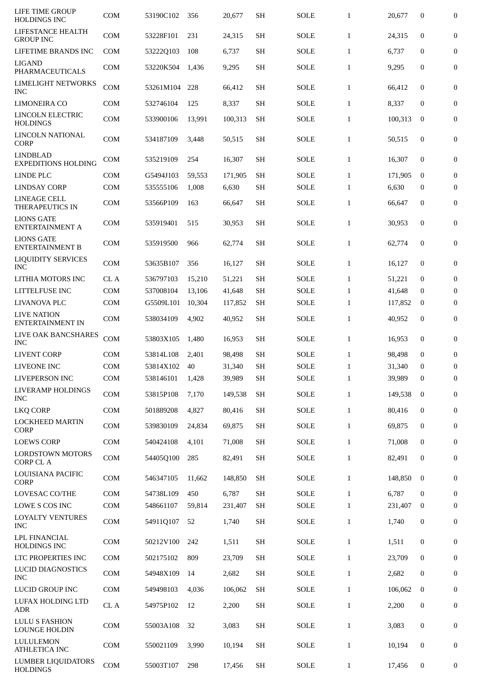| LIFE TIME GROUP<br><b>HOLDINGS INC</b>        | <b>COM</b> | 53190C102 | 356    | 20,677  | SН        | <b>SOLE</b> | $\mathbf{1}$ | 20,677  | 0                | $\boldsymbol{0}$ |
|-----------------------------------------------|------------|-----------|--------|---------|-----------|-------------|--------------|---------|------------------|------------------|
| LIFESTANCE HEALTH<br><b>GROUP INC</b>         | <b>COM</b> | 53228F101 | 231    | 24,315  | <b>SH</b> | <b>SOLE</b> | $\mathbf{1}$ | 24,315  | 0                | $\mathbf{0}$     |
| LIFETIME BRANDS INC                           | <b>COM</b> | 53222Q103 | 108    | 6,737   | <b>SH</b> | SOLE        | $\mathbf{1}$ | 6,737   | 0                | $\mathbf{0}$     |
| <b>LIGAND</b><br><b>PHARMACEUTICALS</b>       | <b>COM</b> | 53220K504 | 1,436  | 9,295   | <b>SH</b> | <b>SOLE</b> | $\mathbf{1}$ | 9,295   | $\boldsymbol{0}$ | 0                |
| LIMELIGHT NETWORKS<br><b>INC</b>              | <b>COM</b> | 53261M104 | 228    | 66,412  | <b>SH</b> | SOLE        | $\mathbf{1}$ | 66,412  | $\mathbf 0$      | 0                |
| <b>LIMONEIRA CO</b>                           | <b>COM</b> | 532746104 | 125    | 8,337   | SH        | <b>SOLE</b> | $\mathbf{1}$ | 8,337   | $\bf{0}$         | $\boldsymbol{0}$ |
| LINCOLN ELECTRIC<br><b>HOLDINGS</b>           | <b>COM</b> | 533900106 | 13,991 | 100,313 | <b>SH</b> | <b>SOLE</b> | $\mathbf{1}$ | 100,313 | $\mathbf{0}$     | 0                |
| <b>LINCOLN NATIONAL</b><br><b>CORP</b>        | <b>COM</b> | 534187109 | 3,448  | 50,515  | <b>SH</b> | SOLE        | $\mathbf{1}$ | 50,515  | 0                | $\mathbf{0}$     |
| <b>LINDBLAD</b><br><b>EXPEDITIONS HOLDING</b> | <b>COM</b> | 535219109 | 254    | 16,307  | <b>SH</b> | SOLE        | $\mathbf{1}$ | 16,307  | $\mathbf 0$      | $\boldsymbol{0}$ |
| LINDE PLC                                     | <b>COM</b> | G5494J103 | 59,553 | 171,905 | <b>SH</b> | <b>SOLE</b> | $\mathbf{1}$ | 171,905 | $\bf{0}$         | 0                |
| <b>LINDSAY CORP</b>                           | <b>COM</b> | 535555106 | 1,008  | 6,630   | <b>SH</b> | SOLE        | $\mathbf{1}$ | 6,630   | 0                | $\mathbf{0}$     |
| <b>LINEAGE CELL</b><br><b>THERAPEUTICS IN</b> | <b>COM</b> | 53566P109 | 163    | 66,647  | <b>SH</b> | <b>SOLE</b> | $\mathbf{1}$ | 66,647  | 0                | 0                |
| <b>LIONS GATE</b><br>ENTERTAINMENT A          | <b>COM</b> | 535919401 | 515    | 30,953  | <b>SH</b> | SOLE        | $\mathbf{1}$ | 30,953  | $\mathbf 0$      | $\boldsymbol{0}$ |
| <b>LIONS GATE</b><br><b>ENTERTAINMENT B</b>   | <b>COM</b> | 535919500 | 966    | 62,774  | <b>SH</b> | <b>SOLE</b> | $\mathbf{1}$ | 62,774  | 0                | $\overline{0}$   |
| <b>LIQUIDITY SERVICES</b><br><b>INC</b>       | <b>COM</b> | 53635B107 | 356    | 16,127  | <b>SH</b> | <b>SOLE</b> | $\mathbf{1}$ | 16,127  | 0                | 0                |
| LITHIA MOTORS INC                             | CL A       | 536797103 | 15,210 | 51,221  | <b>SH</b> | <b>SOLE</b> | $\mathbf{1}$ | 51,221  | 0                | 0                |
| LITTELFUSE INC                                | <b>COM</b> | 537008104 | 13,106 | 41,648  | <b>SH</b> | <b>SOLE</b> | $\mathbf{1}$ | 41,648  | $\bf{0}$         | 0                |
| LIVANOVA PLC                                  | <b>COM</b> | G5509L101 | 10,304 | 117,852 | <b>SH</b> | SOLE        | $\mathbf{1}$ | 117,852 | $\bf{0}$         | $\boldsymbol{0}$ |
| <b>LIVE NATION</b><br><b>ENTERTAINMENT IN</b> | <b>COM</b> | 538034109 | 4,902  | 40,952  | <b>SH</b> | <b>SOLE</b> | $\mathbf{1}$ | 40,952  | $\mathbf 0$      | $\boldsymbol{0}$ |
| LIVE OAK BANCSHARES<br>INC                    | <b>COM</b> | 53803X105 | 1,480  | 16,953  | <b>SH</b> | <b>SOLE</b> | $\mathbf{1}$ | 16,953  | 0                | 0                |
| <b>LIVENT CORP</b>                            | <b>COM</b> | 53814L108 | 2,401  | 98,498  | <b>SH</b> | SOLE        | $\mathbf{1}$ | 98.498  | $\mathbf 0$      | 0                |
| LIVEONE INC                                   | <b>COM</b> | 53814X102 | 40     | 31,340  | <b>SH</b> | <b>SOLE</b> | $\mathbf{1}$ | 31,340  | $\mathbf 0$      | $\boldsymbol{0}$ |
| LIVEPERSON INC                                | <b>COM</b> | 538146101 | 1,428  | 39,989  | SH        | <b>SOLE</b> | $\mathbf{1}$ | 39,989  | $\mathbf 0$      | $\mathbf{0}$     |
| LIVERAMP HOLDINGS<br><b>INC</b>               | COM        | 53815P108 | 7,170  | 149,538 | <b>SH</b> | SOLE        | $\mathbf{1}$ | 149,538 | $\mathbf{0}$     | 0                |
| <b>LKQ CORP</b>                               | <b>COM</b> | 501889208 | 4,827  | 80,416  | <b>SH</b> | SOLE        | $\mathbf{1}$ | 80,416  | 0                | 0                |
| <b>LOCKHEED MARTIN</b><br><b>CORP</b>         | <b>COM</b> | 539830109 | 24,834 | 69,875  | <b>SH</b> | SOLE        | $\mathbf{1}$ | 69,875  | $\boldsymbol{0}$ | 0                |
| <b>LOEWS CORP</b>                             | COM        | 540424108 | 4,101  | 71,008  | <b>SH</b> | SOLE        | $\mathbf{1}$ | 71,008  | 0                | 0                |
| <b>LORDSTOWN MOTORS</b><br><b>CORP CL A</b>   | COM        | 54405Q100 | 285    | 82,491  | <b>SH</b> | SOLE        | $\mathbf{1}$ | 82,491  | $\mathbf{0}$     | 0                |
| LOUISIANA PACIFIC<br><b>CORP</b>              | <b>COM</b> | 546347105 | 11,662 | 148,850 | <b>SH</b> | SOLE        | $\mathbf{1}$ | 148,850 | $\boldsymbol{0}$ | $\mathbf{0}$     |
| LOVESAC CO/THE                                | COM        | 54738L109 | 450    | 6,787   | <b>SH</b> | <b>SOLE</b> | $\mathbf{1}$ | 6,787   | $\mathbf{0}$     | 0                |
| LOWE S COS INC                                | <b>COM</b> | 548661107 | 59,814 | 231,407 | <b>SH</b> | SOLE        | $\mathbf{1}$ | 231,407 | $\bf{0}$         | $\mathbf{0}$     |
| <b>LOYALTY VENTURES</b><br>INC                | <b>COM</b> | 54911Q107 | 52     | 1,740   | <b>SH</b> | SOLE        | $\mathbf{1}$ | 1,740   | 0                | 0                |
| <b>LPL FINANCIAL</b><br><b>HOLDINGS INC</b>   | COM        | 50212V100 | 242    | 1,511   | <b>SH</b> | SOLE        | $\mathbf{1}$ | 1,511   | 0                | $\mathbf{0}$     |
| LTC PROPERTIES INC                            | COM        | 502175102 | 809    | 23,709  | <b>SH</b> | SOLE        | $\mathbf{1}$ | 23,709  | 0                | 0                |
| LUCID DIAGNOSTICS<br><b>INC</b>               | <b>COM</b> | 54948X109 | 14     | 2,682   | <b>SH</b> | SOLE        | $\mathbf{1}$ | 2,682   | 0                | $\overline{0}$   |
| LUCID GROUP INC                               | COM        | 549498103 | 4,036  | 106,062 | <b>SH</b> | SOLE        | $\mathbf{1}$ | 106,062 | $\mathbf{0}$     | 0                |
| LUFAX HOLDING LTD<br>${\rm ADR}$              | $\rm CL~A$ | 54975P102 | 12     | 2,200   | <b>SH</b> | SOLE        | $\mathbf{1}$ | 2,200   | 0                | 0                |
| <b>LULU S FASHION</b><br><b>LOUNGE HOLDIN</b> | <b>COM</b> | 55003A108 | 32     | 3,083   | <b>SH</b> | SOLE        | $\mathbf{1}$ | 3,083   | $\boldsymbol{0}$ | 0                |
| LULULEMON<br><b>ATHLETICA INC</b>             | COM        | 550021109 | 3,990  | 10,194  | <b>SH</b> | SOLE        | $\mathbf{1}$ | 10,194  | 0                | 0                |
| <b>LUMBER LIQUIDATORS</b><br><b>HOLDINGS</b>  | COM        | 55003T107 | 298    | 17,456  | SH        | SOLE        | $\mathbf{1}$ | 17,456  | 0                | 0                |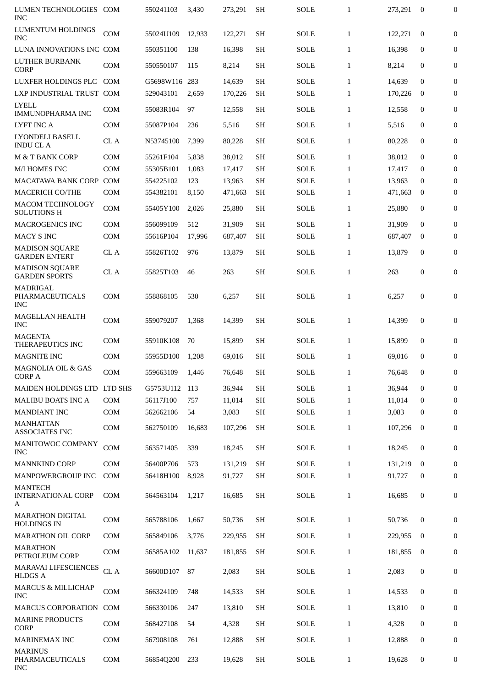| LUMEN TECHNOLOGIES                                 | COM        | 550241103     | 3,430  | 273,291 | <b>SH</b> | <b>SOLE</b> | $\mathbf{1}$ | 273.291 | $\mathbf{0}$     | $\boldsymbol{0}$ |
|----------------------------------------------------|------------|---------------|--------|---------|-----------|-------------|--------------|---------|------------------|------------------|
| <b>INC</b><br><b>LUMENTUM HOLDINGS</b>             |            |               |        |         |           |             |              |         |                  |                  |
| <b>INC</b>                                         | <b>COM</b> | 55024U109     | 12,933 | 122,271 | <b>SH</b> | <b>SOLE</b> | $\mathbf{1}$ | 122,271 | $\mathbf{0}$     | $\mathbf{0}$     |
| LUNA INNOVATIONS INC COM                           |            | 550351100     | 138    | 16,398  | <b>SH</b> | <b>SOLE</b> | $\mathbf{1}$ | 16,398  | $\mathbf{0}$     | $\mathbf{0}$     |
| <b>LUTHER BURBANK</b><br><b>CORP</b>               | <b>COM</b> | 550550107     | 115    | 8,214   | <b>SH</b> | <b>SOLE</b> | $\mathbf{1}$ | 8,214   | $\mathbf{0}$     | 0                |
| LUXFER HOLDINGS PLC                                | <b>COM</b> | G5698W116 283 |        | 14,639  | <b>SH</b> | <b>SOLE</b> | $\mathbf{1}$ | 14,639  | $\mathbf{0}$     | $\overline{0}$   |
| LXP INDUSTRIAL TRUST COM                           |            | 529043101     | 2,659  | 170,226 | <b>SH</b> | <b>SOLE</b> | $\mathbf{1}$ | 170,226 | $\mathbf{0}$     | $\boldsymbol{0}$ |
| <b>LYELL</b><br><b>IMMUNOPHARMA INC</b>            | <b>COM</b> | 55083R104     | 97     | 12,558  | <b>SH</b> | <b>SOLE</b> | $\mathbf{1}$ | 12,558  | $\mathbf{0}$     | 0                |
| LYFT INC A                                         | <b>COM</b> | 55087P104     | 236    | 5,516   | <b>SH</b> | <b>SOLE</b> | $\mathbf{1}$ | 5,516   | $\mathbf{0}$     | $\boldsymbol{0}$ |
| <b>LYONDELLBASELL</b><br><b>INDUCLA</b>            | CL A       | N53745100     | 7,399  | 80,228  | <b>SH</b> | <b>SOLE</b> | $\mathbf{1}$ | 80,228  | $\mathbf{0}$     | 0                |
| <b>M &amp; T BANK CORP</b>                         | <b>COM</b> | 55261F104     | 5,838  | 38,012  | <b>SH</b> | <b>SOLE</b> | $\mathbf{1}$ | 38,012  | $\mathbf{0}$     | $\mathbf{0}$     |
| M/I HOMES INC                                      | <b>COM</b> | 55305B101     | 1,083  | 17,417  | SH        | <b>SOLE</b> | $\mathbf{1}$ | 17,417  | $\bf{0}$         | $\bf{0}$         |
| MACATAWA BANK CORP COM                             |            | 554225102     | 123    | 13,963  | <b>SH</b> | <b>SOLE</b> | 1            | 13,963  | $\mathbf{0}$     | $\boldsymbol{0}$ |
| <b>MACERICH CO/THE</b>                             | <b>COM</b> | 554382101     | 8,150  | 471,663 | <b>SH</b> | <b>SOLE</b> | $\mathbf{1}$ | 471,663 | $\bf{0}$         | $\boldsymbol{0}$ |
| <b>MACOM TECHNOLOGY</b><br><b>SOLUTIONS H</b>      | <b>COM</b> | 55405Y100     | 2,026  | 25,880  | <b>SH</b> | <b>SOLE</b> | $\mathbf{1}$ | 25,880  | $\mathbf{0}$     | $\boldsymbol{0}$ |
| <b>MACROGENICS INC</b>                             | <b>COM</b> | 556099109     | 512    | 31,909  | <b>SH</b> | <b>SOLE</b> | $\mathbf{1}$ | 31,909  | $\Omega$         | $\mathbf{0}$     |
| <b>MACY S INC</b>                                  | <b>COM</b> | 55616P104     | 17,996 | 687,407 | <b>SH</b> | <b>SOLE</b> | $\mathbf{1}$ | 687,407 | $\bf{0}$         | 0                |
| <b>MADISON SQUARE</b><br><b>GARDEN ENTERT</b>      | CL A       | 55826T102     | 976    | 13,879  | SH        | <b>SOLE</b> | $\mathbf{1}$ | 13,879  | $\mathbf{0}$     | $\boldsymbol{0}$ |
| <b>MADISON SQUARE</b><br><b>GARDEN SPORTS</b>      | CL A       | 55825T103     | 46     | 263     | <b>SH</b> | <b>SOLE</b> | $\mathbf{1}$ | 263     | $\boldsymbol{0}$ | $\boldsymbol{0}$ |
| MADRIGAL<br>PHARMACEUTICALS<br><b>INC</b>          | <b>COM</b> | 558868105     | 530    | 6,257   | SH        | <b>SOLE</b> | $\mathbf{1}$ | 6,257   | $\mathbf{0}$     | $\boldsymbol{0}$ |
| <b>MAGELLAN HEALTH</b><br><b>INC</b>               | <b>COM</b> | 559079207     | 1,368  | 14,399  | SH        | <b>SOLE</b> | $\mathbf{1}$ | 14,399  | $\mathbf{0}$     | $\boldsymbol{0}$ |
| <b>MAGENTA</b><br>THERAPEUTICS INC                 | <b>COM</b> | 55910K108     | 70     | 15,899  | <b>SH</b> | <b>SOLE</b> | $\mathbf{1}$ | 15,899  | $\mathbf{0}$     | $\mathbf{0}$     |
| MAGNITE INC                                        | <b>COM</b> | 55955D100     | 1,208  | 69,016  | <b>SH</b> | <b>SOLE</b> | $\mathbf{1}$ | 69,016  | $\mathbf{0}$     | 0                |
| MAGNOLIA OIL & GAS<br><b>CORP A</b>                | <b>COM</b> | 559663109     | 1,446  | 76,648  | <b>SH</b> | SOLE        | $\mathbf{1}$ | 76,648  | 0                | $\overline{0}$   |
| MAIDEN HOLDINGS LTD                                | LTD SHS    | G5753U112     | 113    | 36,944  | <b>SH</b> | <b>SOLE</b> | $\mathbf{1}$ | 36,944  | $\mathbf{0}$     | $\boldsymbol{0}$ |
| <b>MALIBU BOATS INC A</b>                          | <b>COM</b> | 56117J100     | 757    | 11,014  | <b>SH</b> | <b>SOLE</b> | $\mathbf{1}$ | 11,014  | $\bf{0}$         | $\mathbf{0}$     |
| <b>MANDIANT INC</b>                                | <b>COM</b> | 562662106     | 54     | 3,083   | <b>SH</b> | SOLE        | $\mathbf{1}$ | 3,083   | $\mathbf{0}$     | $\boldsymbol{0}$ |
| <b>MANHATTAN</b><br><b>ASSOCIATES INC</b>          | COM        | 562750109     | 16,683 | 107,296 | <b>SH</b> | <b>SOLE</b> | $\mathbf{1}$ | 107,296 | $\bf{0}$         | 0                |
| MANITOWOC COMPANY<br><b>INC</b>                    | <b>COM</b> | 563571405     | 339    | 18,245  | <b>SH</b> | <b>SOLE</b> | $\mathbf{1}$ | 18,245  | $\mathbf{0}$     | $\bf{0}$         |
| <b>MANNKIND CORP</b>                               | <b>COM</b> | 56400P706     | 573    | 131,219 | <b>SH</b> | <b>SOLE</b> | $\mathbf{1}$ | 131,219 | $\mathbf{0}$     | $\mathbf{0}$     |
| MANPOWERGROUP INC                                  | <b>COM</b> | 56418H100     | 8,928  | 91,727  | <b>SH</b> | <b>SOLE</b> | $\mathbf{1}$ | 91,727  | $\mathbf{0}$     | 0                |
| <b>MANTECH</b><br><b>INTERNATIONAL CORP</b>        | <b>COM</b> | 564563104     | 1,217  | 16,685  | <b>SH</b> | <b>SOLE</b> | $\mathbf{1}$ | 16,685  | 0                | 0                |
| A<br><b>MARATHON DIGITAL</b><br><b>HOLDINGS IN</b> | <b>COM</b> | 565788106     | 1,667  | 50,736  | <b>SH</b> | <b>SOLE</b> | $\mathbf{1}$ | 50,736  | $\mathbf{0}$     | $\boldsymbol{0}$ |
| <b>MARATHON OIL CORP</b>                           | <b>COM</b> | 565849106     | 3,776  | 229,955 | SН        | <b>SOLE</b> | $\mathbf{1}$ | 229,955 | $\bf{0}$         | $\bf{0}$         |
| <b>MARATHON</b>                                    | COM        | 56585A102     | 11,637 | 181,855 | <b>SH</b> | <b>SOLE</b> | $\mathbf{1}$ | 181,855 | $\bf{0}$         | 0                |
| PETROLEUM CORP<br>MARAVAI LIFESCIENCES             | $\rm CL$ A | 56600D107     | 87     | 2,083   | <b>SH</b> | <b>SOLE</b> | $\mathbf{1}$ | 2,083   | 0                | $\mathbf{0}$     |
| <b>HLDGS A</b><br><b>MARCUS &amp; MILLICHAP</b>    | <b>COM</b> | 566324109     | 748    | 14,533  | SН        | <b>SOLE</b> | $\mathbf{1}$ | 14,533  | $\mathbf{0}$     | $\mathbf{0}$     |
| <b>INC</b>                                         |            |               |        |         |           |             |              |         |                  |                  |
| <b>MARCUS CORPORATION</b>                          | <b>COM</b> | 566330106     | 247    | 13,810  | <b>SH</b> | <b>SOLE</b> | $\mathbf{1}$ | 13,810  | $\mathbf{0}$     | 0                |
| <b>MARINE PRODUCTS</b><br><b>CORP</b>              | COM        | 568427108     | 54     | 4,328   | <b>SH</b> | <b>SOLE</b> | $\mathbf{1}$ | 4,328   | $\bf{0}$         | 0                |
| <b>MARINEMAX INC</b>                               | <b>COM</b> | 567908108     | 761    | 12,888  | <b>SH</b> | <b>SOLE</b> | $\mathbf{1}$ | 12,888  | $\mathbf{0}$     | 0                |
| <b>MARINUS</b><br>PHARMACEUTICALS<br><b>INC</b>    | COM        | 56854Q200     | 233    | 19,628  | <b>SH</b> | <b>SOLE</b> | $\mathbf{1}$ | 19,628  | 0                | 0                |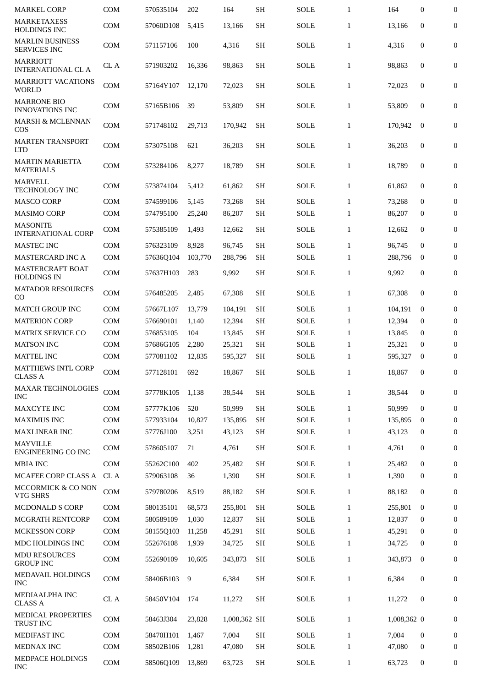| <b>MARKEL CORP</b>                            | <b>COM</b> | 570535104 | 202     | 164          | <b>SH</b> | <b>SOLE</b> | $\mathbf{1}$ | 164         | 0                | $\boldsymbol{0}$ |
|-----------------------------------------------|------------|-----------|---------|--------------|-----------|-------------|--------------|-------------|------------------|------------------|
| <b>MARKETAXESS</b><br><b>HOLDINGS INC</b>     | <b>COM</b> | 57060D108 | 5.415   | 13,166       | <b>SH</b> | <b>SOLE</b> | $\mathbf{1}$ | 13,166      | $\mathbf{0}$     | $\boldsymbol{0}$ |
| <b>MARLIN BUSINESS</b><br><b>SERVICES INC</b> | <b>COM</b> | 571157106 | 100     | 4,316        | <b>SH</b> | <b>SOLE</b> | $\mathbf{1}$ | 4,316       | $\mathbf{0}$     | 0                |
| <b>MARRIOTT</b><br><b>INTERNATIONAL CL A</b>  | CL A       | 571903202 | 16,336  | 98,863       | <b>SH</b> | <b>SOLE</b> | $\mathbf{1}$ | 98,863      | $\mathbf{0}$     | 0                |
| <b>MARRIOTT VACATIONS</b><br><b>WORLD</b>     | <b>COM</b> | 57164Y107 | 12.170  | 72,023       | <b>SH</b> | <b>SOLE</b> | $\mathbf{1}$ | 72,023      | $\mathbf{0}$     | 0                |
| <b>MARRONE BIO</b><br><b>INNOVATIONS INC</b>  | COM        | 57165B106 | 39      | 53,809       | SH        | SOLE        | $\mathbf{1}$ | 53,809      | $\mathbf{0}$     | $\boldsymbol{0}$ |
| <b>MARSH &amp; MCLENNAN</b><br>COS            | <b>COM</b> | 571748102 | 29,713  | 170,942      | <b>SH</b> | <b>SOLE</b> | $\mathbf{1}$ | 170,942     | $\mathbf{0}$     | $\boldsymbol{0}$ |
| <b>MARTEN TRANSPORT</b><br><b>LTD</b>         | COM        | 573075108 | 621     | 36,203       | <b>SH</b> | SOLE        | $\mathbf{1}$ | 36,203      | $\mathbf{0}$     | $\mathbf{0}$     |
| <b>MARTIN MARIETTA</b><br><b>MATERIALS</b>    | COM        | 573284106 | 8,277   | 18,789       | <b>SH</b> | SOLE        | $\mathbf{1}$ | 18,789      | $\mathbf{0}$     | $\mathbf{0}$     |
| <b>MARVELL</b><br><b>TECHNOLOGY INC</b>       | <b>COM</b> | 573874104 | 5,412   | 61,862       | <b>SH</b> | SOLE        | $\mathbf{1}$ | 61,862      | $\mathbf{0}$     | $\mathbf{0}$     |
| <b>MASCO CORP</b>                             | <b>COM</b> | 574599106 | 5,145   | 73,268       | <b>SH</b> | <b>SOLE</b> | $\mathbf{1}$ | 73,268      | $\mathbf{0}$     | $\boldsymbol{0}$ |
| <b>MASIMO CORP</b>                            | <b>COM</b> | 574795100 | 25,240  | 86,207       | <b>SH</b> | <b>SOLE</b> | $\mathbf{1}$ | 86,207      | $\bf{0}$         | $\mathbf{0}$     |
| <b>MASONITE</b><br><b>INTERNATIONAL CORP</b>  | <b>COM</b> | 575385109 | 1,493   | 12,662       | <b>SH</b> | <b>SOLE</b> | $\mathbf{1}$ | 12,662      | $\mathbf{0}$     | $\boldsymbol{0}$ |
| <b>MASTEC INC</b>                             | <b>COM</b> | 576323109 | 8,928   | 96,745       | SH        | <b>SOLE</b> | $\mathbf{1}$ | 96,745      | $\mathbf{0}$     | $\mathbf{0}$     |
| <b>MASTERCARD INC A</b>                       | COM        | 57636Q104 | 103,770 | 288,796      | <b>SH</b> | <b>SOLE</b> | $\mathbf{1}$ | 288,796     | $\bf{0}$         | $\mathbf{0}$     |
| <b>MASTERCRAFT BOAT</b><br><b>HOLDINGS IN</b> | <b>COM</b> | 57637H103 | 283     | 9,992        | SH        | SOLE        | $\mathbf{1}$ | 9,992       | $\mathbf{0}$     | $\mathbf{0}$     |
| <b>MATADOR RESOURCES</b><br>CO                | <b>COM</b> | 576485205 | 2,485   | 67,308       | <b>SH</b> | SOLE        | $\mathbf{1}$ | 67,308      | $\mathbf{0}$     | $\mathbf{0}$     |
| <b>MATCH GROUP INC</b>                        | <b>COM</b> | 57667L107 | 13,779  | 104,191      | <b>SH</b> | <b>SOLE</b> | $\mathbf{1}$ | 104,191     | $\mathbf{0}$     | $\boldsymbol{0}$ |
| <b>MATERION CORP</b>                          | <b>COM</b> | 576690101 | 1,140   | 12,394       | <b>SH</b> | <b>SOLE</b> | $\mathbf{1}$ | 12,394      | $\mathbf{0}$     | $\bf{0}$         |
| <b>MATRIX SERVICE CO</b>                      | <b>COM</b> | 576853105 | 104     | 13,845       | <b>SH</b> | <b>SOLE</b> | $\mathbf{1}$ | 13,845      | $\mathbf{0}$     | $\boldsymbol{0}$ |
| <b>MATSON INC</b>                             | <b>COM</b> | 57686G105 | 2,280   | 25,321       | <b>SH</b> | <b>SOLE</b> | $\mathbf{1}$ | 25,321      | $\bf{0}$         | 0                |
| <b>MATTEL INC</b>                             | <b>COM</b> | 577081102 | 12,835  | 595,327      | <b>SH</b> | <b>SOLE</b> | $\mathbf{1}$ | 595,327     | $\mathbf{0}$     | $\boldsymbol{0}$ |
| MATTHEWS INTL CORP<br><b>CLASS A</b>          | <b>COM</b> | 577128101 | 692     | 18,867       | <b>SH</b> | <b>SOLE</b> | $\mathbf{1}$ | 18,867      | 0                | $\mathbf{0}$     |
| <b>MAXAR TECHNOLOGIES</b><br><b>INC</b>       | COM        | 57778K105 | 1,138   | 38,544       | <b>SH</b> | <b>SOLE</b> | $\mathbf{1}$ | 38,544      | $\boldsymbol{0}$ | 0                |
| MAXCYTE INC                                   | <b>COM</b> | 57777K106 | 520     | 50,999       | <b>SH</b> | <b>SOLE</b> | $\mathbf{1}$ | 50,999      | $\mathbf{0}$     | $\boldsymbol{0}$ |
| <b>MAXIMUS INC</b>                            | COM        | 577933104 | 10,827  | 135,895      | <b>SH</b> | SOLE        | $\mathbf{1}$ | 135,895     | $\bf{0}$         | 0                |
| <b>MAXLINEAR INC</b>                          | <b>COM</b> | 57776J100 | 3,251   | 43,123       | <b>SH</b> | <b>SOLE</b> | $\mathbf{1}$ | 43,123      | 0                | 0                |
| <b>MAYVILLE</b><br><b>ENGINEERING CO INC</b>  | <b>COM</b> | 578605107 | 71      | 4,761        | <b>SH</b> | <b>SOLE</b> | $\mathbf{1}$ | 4,761       | $\boldsymbol{0}$ | $\boldsymbol{0}$ |
| <b>MBIA INC</b>                               | <b>COM</b> | 55262C100 | 402     | 25,482       | <b>SH</b> | <b>SOLE</b> | $\mathbf{1}$ | 25,482      | $\mathbf{0}$     | 0                |
| MCAFEE CORP CLASS A                           | CL A       | 579063108 | 36      | 1,390        | <b>SH</b> | <b>SOLE</b> | $\mathbf{1}$ | 1,390       | 0                | $\boldsymbol{0}$ |
| MCCORMICK & CO NON<br><b>VTG SHRS</b>         | COM        | 579780206 | 8,519   | 88,182       | <b>SH</b> | <b>SOLE</b> | $\mathbf{1}$ | 88,182      | $\bf{0}$         | $\boldsymbol{0}$ |
| MCDONALD S CORP                               | COM        | 580135101 | 68,573  | 255,801      | <b>SH</b> | <b>SOLE</b> | $\mathbf{1}$ | 255,801     | $\bf{0}$         | $\boldsymbol{0}$ |
| MCGRATH RENTCORP                              | COM        | 580589109 | 1,030   | 12,837       | <b>SH</b> | <b>SOLE</b> | $\mathbf{1}$ | 12,837      | $\bf{0}$         | $\mathbf{0}$     |
| <b>MCKESSON CORP</b>                          | <b>COM</b> | 58155Q103 | 11,258  | 45,291       | <b>SH</b> | SOLE        | $\mathbf{1}$ | 45,291      | $\mathbf{0}$     | 0                |
| MDC HOLDINGS INC                              | COM        | 552676108 | 1,939   | 34,725       | SH        | <b>SOLE</b> | $\mathbf{1}$ | 34,725      | $\mathbf{0}$     | $\boldsymbol{0}$ |
| <b>MDU RESOURCES</b><br><b>GROUP INC</b>      | COM        | 552690109 | 10,605  | 343,873      | <b>SH</b> | <b>SOLE</b> | $\mathbf{1}$ | 343,873     | $\bf{0}$         | 0                |
| MEDAVAIL HOLDINGS<br><b>INC</b>               | COM        | 58406B103 | 9       | 6,384        | <b>SH</b> | <b>SOLE</b> | $\mathbf{1}$ | 6,384       | $\boldsymbol{0}$ | $\boldsymbol{0}$ |
| MEDIAALPHA INC<br><b>CLASS A</b>              | CL A       | 58450V104 | 174     | 11,272       | <b>SH</b> | <b>SOLE</b> | $\mathbf{1}$ | 11,272      | $\boldsymbol{0}$ | 0                |
| MEDICAL PROPERTIES<br>TRUST INC               | COM        | 58463J304 | 23,828  | 1,008,362 SH |           | <b>SOLE</b> | $\mathbf{1}$ | 1,008,362 0 |                  | $\boldsymbol{0}$ |
| MEDIFAST INC                                  | <b>COM</b> | 58470H101 | 1,467   | 7,004        | <b>SH</b> | SOLE        | $\mathbf{1}$ | 7,004       | $\boldsymbol{0}$ | $\boldsymbol{0}$ |
| MEDNAX INC                                    | COM        | 58502B106 | 1,281   | 47,080       | SH        | <b>SOLE</b> | $\mathbf{1}$ | 47,080      | 0                | 0                |
| MEDPACE HOLDINGS<br><b>INC</b>                | COM        | 58506Q109 | 13,869  | 63,723       | <b>SH</b> | SOLE        | $\mathbf{1}$ | 63,723      | $\bf{0}$         | 0                |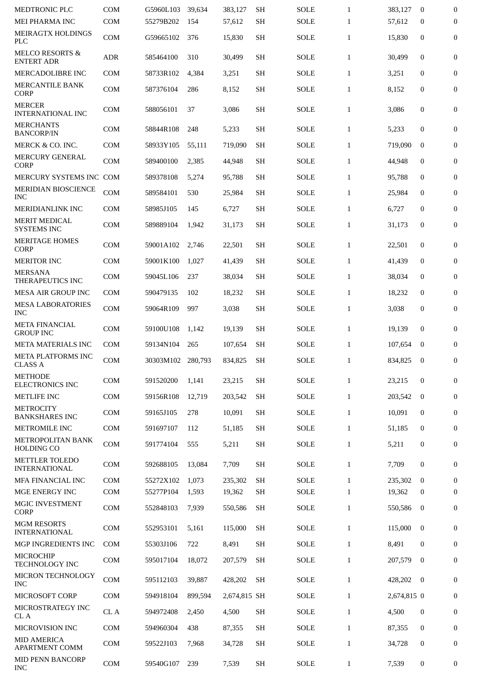| <b>MEDTRONIC PLC</b>                            | <b>COM</b> | G5960L103 | 39,634  | 383,127      | <b>SH</b> | <b>SOLE</b> | $\mathbf{1}$ | 383,127     | $\mathbf{0}$   | $\overline{0}$   |
|-------------------------------------------------|------------|-----------|---------|--------------|-----------|-------------|--------------|-------------|----------------|------------------|
| MEI PHARMA INC                                  | <b>COM</b> | 55279B202 | 154     | 57,612       | <b>SH</b> | <b>SOLE</b> | $\mathbf{1}$ | 57,612      | $\bf{0}$       | 0                |
| <b>MEIRAGTX HOLDINGS</b><br><b>PLC</b>          | <b>COM</b> | G59665102 | 376     | 15,830       | <b>SH</b> | <b>SOLE</b> | $\mathbf{1}$ | 15,830      | $\mathbf{0}$   | $\overline{0}$   |
| <b>MELCO RESORTS &amp;</b><br><b>ENTERT ADR</b> | ADR        | 585464100 | 310     | 30,499       | <b>SH</b> | SOLE        | $\mathbf{1}$ | 30,499      | $\mathbf{0}$   | $\boldsymbol{0}$ |
| MERCADOLIBRE INC                                | <b>COM</b> | 58733R102 | 4,384   | 3,251        | <b>SH</b> | <b>SOLE</b> | $\mathbf{1}$ | 3,251       | $\mathbf{0}$   | $\boldsymbol{0}$ |
| <b>MERCANTILE BANK</b><br><b>CORP</b>           | <b>COM</b> | 587376104 | 286     | 8,152        | <b>SH</b> | <b>SOLE</b> | $\mathbf{1}$ | 8,152       | $\mathbf{0}$   | 0                |
| <b>MERCER</b><br><b>INTERNATIONAL INC</b>       | <b>COM</b> | 588056101 | 37      | 3,086        | <b>SH</b> | <b>SOLE</b> | $\mathbf{1}$ | 3,086       | $\mathbf{0}$   | 0                |
| <b>MERCHANTS</b><br><b>BANCORP/IN</b>           | <b>COM</b> | 58844R108 | 248     | 5,233        | <b>SH</b> | <b>SOLE</b> | $\mathbf{1}$ | 5,233       | $\mathbf{0}$   | 0                |
| MERCK & CO. INC.                                | <b>COM</b> | 58933Y105 | 55,111  | 719,090      | <b>SH</b> | SOLE        | $\mathbf{1}$ | 719,090     | $\mathbf{0}$   | $\mathbf{0}$     |
| <b>MERCURY GENERAL</b><br><b>CORP</b>           | <b>COM</b> | 589400100 | 2,385   | 44,948       | <b>SH</b> | <b>SOLE</b> | $\mathbf{1}$ | 44,948      | $\mathbf{0}$   | $\boldsymbol{0}$ |
| MERCURY SYSTEMS INC COM                         |            | 589378108 | 5,274   | 95,788       | <b>SH</b> | <b>SOLE</b> | $\mathbf{1}$ | 95,788      | $\mathbf{0}$   | $\mathbf{0}$     |
| <b>MERIDIAN BIOSCIENCE</b><br><b>INC</b>        | <b>COM</b> | 589584101 | 530     | 25,984       | <b>SH</b> | <b>SOLE</b> | $\mathbf{1}$ | 25,984      | $\mathbf{0}$   | 0                |
| MERIDIANLINK INC                                | <b>COM</b> | 58985J105 | 145     | 6,727        | <b>SH</b> | <b>SOLE</b> | $\mathbf{1}$ | 6,727       | 0              | $\boldsymbol{0}$ |
| <b>MERIT MEDICAL</b><br><b>SYSTEMS INC</b>      | <b>COM</b> | 589889104 | 1,942   | 31,173       | <b>SH</b> | <b>SOLE</b> | $\mathbf{1}$ | 31,173      | $\mathbf{0}$   | $\mathbf{0}$     |
| <b>MERITAGE HOMES</b><br><b>CORP</b>            | <b>COM</b> | 59001A102 | 2,746   | 22,501       | <b>SH</b> | SOLE        | $\mathbf{1}$ | 22,501      | $\mathbf{0}$   | $\boldsymbol{0}$ |
| <b>MERITOR INC</b>                              | COM        | 59001K100 | 1,027   | 41,439       | <b>SH</b> | SOLE        | $\mathbf{1}$ | 41,439      | $\mathbf{0}$   | $\boldsymbol{0}$ |
| <b>MERSANA</b><br>THERAPEUTICS INC              | COM        | 59045L106 | 237     | 38,034       | <b>SH</b> | <b>SOLE</b> | $\mathbf{1}$ | 38,034      | $\mathbf{0}$   | 0                |
| <b>MESA AIR GROUP INC</b>                       | <b>COM</b> | 590479135 | 102     | 18,232       | <b>SH</b> | SOLE        | $\mathbf{1}$ | 18,232      | $\mathbf{0}$   | $\mathbf{0}$     |
| <b>MESA LABORATORIES</b><br><b>INC</b>          | <b>COM</b> | 59064R109 | 997     | 3,038        | <b>SH</b> | <b>SOLE</b> | $\mathbf{1}$ | 3,038       | $\mathbf{0}$   | $\overline{0}$   |
| <b>META FINANCIAL</b><br><b>GROUP INC</b>       | COM        | 59100U108 | 1,142   | 19,139       | <b>SH</b> | <b>SOLE</b> | $\mathbf{1}$ | 19,139      | $\mathbf{0}$   | $\boldsymbol{0}$ |
| META MATERIALS INC                              | <b>COM</b> | 59134N104 | 265     | 107,654      | <b>SH</b> | <b>SOLE</b> | $\mathbf{1}$ | 107,654     | $\bf{0}$       | 0                |
| META PLATFORMS INC<br><b>CLASS A</b>            | <b>COM</b> | 30303M102 | 280,793 | 834,825      | SН        | <b>SOLE</b> | $\mathbf{1}$ | 834,825     | $\bf{0}$       | $\boldsymbol{0}$ |
| <b>METHODE</b><br><b>ELECTRONICS INC</b>        | COM        | 591520200 | 1,141   | 23,215       | <b>SH</b> | <b>SOLE</b> | $\mathbf{1}$ | 23,215      | $\mathbf{0}$   | $\overline{0}$   |
| <b>METLIFE INC</b>                              | <b>COM</b> | 59156R108 | 12,719  | 203,542      | <b>SH</b> | <b>SOLE</b> | $\mathbf{1}$ | 203,542     | $\mathbf{0}$   | $\mathbf{0}$     |
| <b>METROCITY</b><br><b>BANKSHARES INC</b>       | <b>COM</b> | 59165J105 | 278     | 10,091       | <b>SH</b> | <b>SOLE</b> | $\mathbf{1}$ | 10,091      | $\mathbf{0}$   | 0                |
| METROMILE INC                                   | COM        | 591697107 | 112     | 51,185       | <b>SH</b> | <b>SOLE</b> | $\mathbf{1}$ | 51,185      | $\bf{0}$       | $\mathbf{0}$     |
| <b>METROPOLITAN BANK</b><br><b>HOLDING CO</b>   | <b>COM</b> | 591774104 | 555     | 5,211        | <b>SH</b> | <b>SOLE</b> | $\mathbf{1}$ | 5,211       | 0              | $\mathbf{0}$     |
| <b>METTLER TOLEDO</b><br><b>INTERNATIONAL</b>   | <b>COM</b> | 592688105 | 13,084  | 7,709        | <b>SH</b> | <b>SOLE</b> | $\mathbf{1}$ | 7,709       | $\mathbf{0}$   | $\mathbf{0}$     |
| MFA FINANCIAL INC                               | <b>COM</b> | 55272X102 | 1,073   | 235,302      | <b>SH</b> | <b>SOLE</b> | $\mathbf{1}$ | 235,302     | $\mathbf{0}$   | $\mathbf{0}$     |
| MGE ENERGY INC                                  | <b>COM</b> | 55277P104 | 1,593   | 19,362       | <b>SH</b> | <b>SOLE</b> | $\mathbf{1}$ | 19,362      | $\bf{0}$       | $\mathbf{0}$     |
| <b>MGIC INVESTMENT</b><br><b>CORP</b>           | COM        | 552848103 | 7,939   | 550,586      | <b>SH</b> | <b>SOLE</b> | $\mathbf{1}$ | 550,586     | $\bf{0}$       | 0                |
| <b>MGM RESORTS</b><br><b>INTERNATIONAL</b>      | <b>COM</b> | 552953101 | 5,161   | 115,000      | <b>SH</b> | SOLE        | $\mathbf{1}$ | 115,000     | $\mathbf{0}$   | $\mathbf{0}$     |
| MGP INGREDIENTS INC                             | <b>COM</b> | 55303J106 | 722     | 8,491        | <b>SH</b> | <b>SOLE</b> | $\mathbf{1}$ | 8,491       | $\mathbf{0}$   | $\mathbf{0}$     |
| <b>MICROCHIP</b><br>TECHNOLOGY INC              | <b>COM</b> | 595017104 | 18,072  | 207,579      | <b>SH</b> | <b>SOLE</b> | $\mathbf{1}$ | 207,579     | $\mathbf{0}$   | 0                |
| MICRON TECHNOLOGY<br><b>INC</b>                 | <b>COM</b> | 595112103 | 39,887  | 428,202      | <b>SH</b> | <b>SOLE</b> | $\mathbf{1}$ | 428,202     | $\overline{0}$ | 0                |
| MICROSOFT CORP                                  | <b>COM</b> | 594918104 | 899,594 | 2,674,815 SH |           | <b>SOLE</b> | $\mathbf{1}$ | 2,674,815 0 |                | 0                |
| MICROSTRATEGY INC<br>CL A                       | CL A       | 594972408 | 2,450   | 4,500        | <b>SH</b> | <b>SOLE</b> | $\mathbf{1}$ | 4,500       | $\mathbf{0}$   | $\mathbf{0}$     |
| MICROVISION INC                                 | <b>COM</b> | 594960304 | 438     | 87,355       | <b>SH</b> | <b>SOLE</b> | $\mathbf{1}$ | 87,355      | $\mathbf{0}$   | 0                |
| <b>MID AMERICA</b><br><b>APARTMENT COMM</b>     | COM        | 59522J103 | 7,968   | 34,728       | <b>SH</b> | <b>SOLE</b> | $\mathbf{1}$ | 34,728      | 0              | 0                |
| <b>MID PENN BANCORP</b><br><b>INC</b>           | COM        | 59540G107 | 239     | 7,539        | <b>SH</b> | <b>SOLE</b> | $\mathbf{1}$ | 7,539       | 0              | 0                |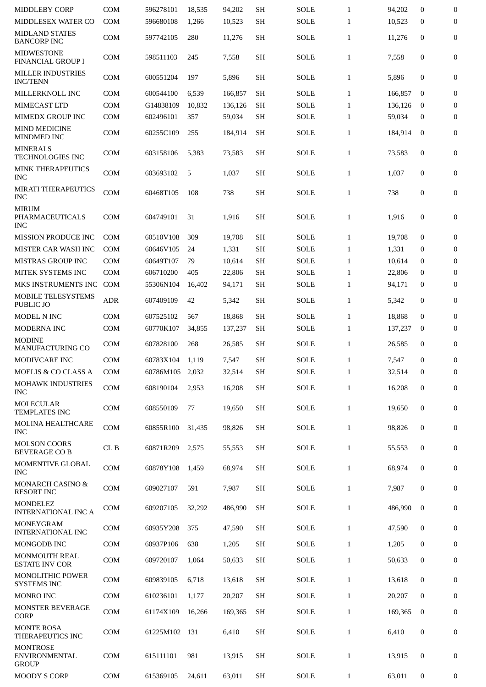| <b>MIDDLEBY CORP</b>                                    | <b>COM</b> | 596278101       | 18,535 | 94,202  | <b>SH</b> | <b>SOLE</b> | $\mathbf{1}$ | 94,202  | $\bf{0}$         | $\boldsymbol{0}$ |
|---------------------------------------------------------|------------|-----------------|--------|---------|-----------|-------------|--------------|---------|------------------|------------------|
| MIDDLESEX WATER CO                                      | <b>COM</b> | 596680108       | 1,266  | 10,523  | <b>SH</b> | <b>SOLE</b> | $\mathbf{1}$ | 10,523  | $\mathbf{0}$     | $\boldsymbol{0}$ |
| <b>MIDLAND STATES</b><br><b>BANCORP INC</b>             | <b>COM</b> | 597742105       | 280    | 11,276  | <b>SH</b> | <b>SOLE</b> | $\mathbf{1}$ | 11,276  | $\mathbf{0}$     | $\mathbf{0}$     |
| <b>MIDWESTONE</b><br><b>FINANCIAL GROUP I</b>           | <b>COM</b> | 598511103       | 245    | 7,558   | <b>SH</b> | SOLE        | $\mathbf{1}$ | 7,558   | $\bf{0}$         | 0                |
| <b>MILLER INDUSTRIES</b><br><b>INC/TENN</b>             | <b>COM</b> | 600551204       | 197    | 5,896   | <b>SH</b> | <b>SOLE</b> | $\mathbf{1}$ | 5,896   | $\mathbf{0}$     | 0                |
| MILLERKNOLL INC                                         | <b>COM</b> | 600544100       | 6,539  | 166,857 | <b>SH</b> | <b>SOLE</b> | $\mathbf{1}$ | 166,857 | $\bf{0}$         | $\boldsymbol{0}$ |
| MIMECAST LTD                                            | <b>COM</b> | G14838109       | 10,832 | 136,126 | <b>SH</b> | <b>SOLE</b> | $\mathbf{1}$ | 136,126 | $\bf{0}$         | $\boldsymbol{0}$ |
| MIMEDX GROUP INC                                        | <b>COM</b> | 602496101       | 357    | 59,034  | <b>SH</b> | <b>SOLE</b> | $\mathbf{1}$ | 59,034  | $\mathbf{0}$     | $\boldsymbol{0}$ |
| <b>MIND MEDICINE</b><br>MINDMED INC                     | <b>COM</b> | 60255C109       | 255    | 184,914 | SН        | <b>SOLE</b> | $\mathbf{1}$ | 184,914 | $\bf{0}$         | 0                |
| <b>MINERALS</b><br>TECHNOLOGIES INC                     | <b>COM</b> | 603158106       | 5,383  | 73,583  | <b>SH</b> | SOLE        | $\mathbf{1}$ | 73,583  | $\boldsymbol{0}$ | 0                |
| <b>MINK THERAPEUTICS</b><br><b>INC</b>                  | <b>COM</b> | 603693102       | 5      | 1,037   | <b>SH</b> | SOLE        | $\mathbf{1}$ | 1,037   | $\bf{0}$         | $\overline{0}$   |
| <b>MIRATI THERAPEUTICS</b><br><b>INC</b>                | <b>COM</b> | 60468T105       | 108    | 738     | <b>SH</b> | <b>SOLE</b> | $\mathbf{1}$ | 738     | $\boldsymbol{0}$ | $\mathbf{0}$     |
| <b>MIRUM</b><br>PHARMACEUTICALS<br><b>INC</b>           | <b>COM</b> | 604749101       | 31     | 1,916   | <b>SH</b> | SOLE        | $\mathbf{1}$ | 1,916   | $\bf{0}$         | $\mathbf{0}$     |
| MISSION PRODUCE INC                                     | <b>COM</b> | 60510V108       | 309    | 19,708  | <b>SH</b> | SOLE        | $\mathbf{1}$ | 19.708  | $\mathbf{0}$     | $\boldsymbol{0}$ |
| MISTER CAR WASH INC                                     | <b>COM</b> | 60646V105       | 24     | 1,331   | <b>SH</b> | <b>SOLE</b> | $\mathbf{1}$ | 1,331   | $\mathbf{0}$     | 0                |
| <b>MISTRAS GROUP INC</b>                                | <b>COM</b> | 60649T107       | 79     | 10,614  | <b>SH</b> | SOLE        | $\mathbf{1}$ | 10,614  | $\mathbf{0}$     | $\mathbf{0}$     |
| MITEK SYSTEMS INC                                       | <b>COM</b> | 606710200       | 405    | 22,806  | <b>SH</b> | <b>SOLE</b> | $\mathbf{1}$ | 22,806  | $\mathbf{0}$     | $\boldsymbol{0}$ |
| MKS INSTRUMENTS INC COM                                 |            | 55306N104       | 16,402 | 94,171  | <b>SH</b> | SOLE        | $\mathbf{1}$ | 94,171  | $\bf{0}$         | $\mathbf{0}$     |
| MOBILE TELESYSTEMS<br>PUBLIC JO                         | <b>ADR</b> | 607409109       | 42     | 5,342   | <b>SH</b> | <b>SOLE</b> | $\mathbf{1}$ | 5,342   | $\boldsymbol{0}$ | 0                |
| MODEL N INC                                             | <b>COM</b> | 607525102       | 567    | 18,868  | <b>SH</b> | <b>SOLE</b> | $\mathbf{1}$ | 18,868  | $\boldsymbol{0}$ | $\mathbf{0}$     |
| MODERNA INC                                             | <b>COM</b> | 60770K107       | 34,855 | 137,237 | SН        | SOLE        | $\mathbf{1}$ | 137,237 | $\bf{0}$         | $\bf{0}$         |
| <b>MODINE</b><br>MANUFACTURING CO                       | <b>COM</b> | 607828100       | 268    | 26,585  | <b>SH</b> | <b>SOLE</b> | $\mathbf{1}$ | 26.585  | $\mathbf{0}$     | $\boldsymbol{0}$ |
| MODIVCARE INC                                           | <b>COM</b> | 60783X104       | 1,119  | 7,547   | <b>SH</b> | <b>SOLE</b> | $\mathbf{1}$ | 7,547   | $\boldsymbol{0}$ | $\mathbf{0}$     |
| MOELIS & CO CLASS A                                     | <b>COM</b> | 60786M105 2,032 |        | 32,514  | <b>SH</b> | <b>SOLE</b> | $\mathbf{1}$ | 32,514  | $\bf{0}$         | $\overline{0}$   |
| <b>MOHAWK INDUSTRIES</b><br><b>INC</b>                  | <b>COM</b> | 608190104       | 2.953  | 16,208  | <b>SH</b> | <b>SOLE</b> | $\mathbf{1}$ | 16,208  | $\bf{0}$         | 0                |
| MOLECULAR<br><b>TEMPLATES INC</b>                       | COM        | 608550109       | 77     | 19,650  | <b>SH</b> | <b>SOLE</b> | $\mathbf{1}$ | 19,650  | $\mathbf{0}$     | $\overline{0}$   |
| MOLINA HEALTHCARE<br><b>INC</b>                         | COM        | 60855R100       | 31,435 | 98,826  | <b>SH</b> | <b>SOLE</b> | $\mathbf{1}$ | 98,826  | $\mathbf{0}$     | $\overline{0}$   |
| <b>MOLSON COORS</b><br><b>BEVERAGE CO B</b>             | CL B       | 60871R209       | 2,575  | 55,553  | <b>SH</b> | <b>SOLE</b> | $\mathbf{1}$ | 55,553  | $\mathbf{0}$     | $\overline{0}$   |
| MOMENTIVE GLOBAL<br><b>INC</b>                          | <b>COM</b> | 60878Y108       | 1,459  | 68,974  | <b>SH</b> | <b>SOLE</b> | $\mathbf{1}$ | 68,974  | $\mathbf{0}$     | $\overline{0}$   |
| <b>MONARCH CASINO &amp;</b><br><b>RESORT INC</b>        | <b>COM</b> | 609027107       | 591    | 7,987   | <b>SH</b> | <b>SOLE</b> | $\mathbf{1}$ | 7,987   | $\bf{0}$         | 0                |
| <b>MONDELEZ</b><br><b>INTERNATIONAL INC A</b>           | <b>COM</b> | 609207105       | 32,292 | 486,990 | <b>SH</b> | <b>SOLE</b> | $\mathbf{1}$ | 486,990 | $\mathbf{0}$     | $\boldsymbol{0}$ |
| <b>MONEYGRAM</b><br><b>INTERNATIONAL INC</b>            | <b>COM</b> | 60935Y208       | 375    | 47,590  | <b>SH</b> | <b>SOLE</b> | $\mathbf{1}$ | 47,590  | $\bf{0}$         | $\boldsymbol{0}$ |
| MONGODB INC                                             | <b>COM</b> | 60937P106       | 638    | 1,205   | <b>SH</b> | <b>SOLE</b> | $\mathbf{1}$ | 1,205   | $\bf{0}$         | $\overline{0}$   |
| <b>MONMOUTH REAL</b><br><b>ESTATE INV COR</b>           | COM        | 609720107       | 1,064  | 50,633  | <b>SH</b> | <b>SOLE</b> | $\mathbf{1}$ | 50,633  | $\bf{0}$         | 0                |
| MONOLITHIC POWER<br><b>SYSTEMS INC</b>                  | <b>COM</b> | 609839105       | 6,718  | 13,618  | <b>SH</b> | <b>SOLE</b> | $\mathbf{1}$ | 13,618  | $\mathbf{0}$     | 0                |
| <b>MONRO INC</b>                                        | <b>COM</b> | 610236101       | 1,177  | 20,207  | <b>SH</b> | <b>SOLE</b> | $\mathbf{1}$ | 20,207  | $\mathbf{0}$     | 0                |
| MONSTER BEVERAGE<br>CORP                                | <b>COM</b> | 61174X109       | 16,266 | 169,365 | <b>SH</b> | <b>SOLE</b> | $\mathbf{1}$ | 169,365 | $\mathbf{0}$     | $\boldsymbol{0}$ |
| MONTE ROSA<br>THERAPEUTICS INC                          | <b>COM</b> | 61225M102       | 131    | 6,410   | <b>SH</b> | <b>SOLE</b> | $\mathbf{1}$ | 6,410   | $\mathbf{0}$     | $\boldsymbol{0}$ |
| <b>MONTROSE</b><br><b>ENVIRONMENTAL</b><br><b>GROUP</b> | <b>COM</b> | 615111101       | 981    | 13,915  | <b>SH</b> | <b>SOLE</b> | $\mathbf{1}$ | 13,915  | $\mathbf{0}$     | $\boldsymbol{0}$ |
| <b>MOODY S CORP</b>                                     | COM        | 615369105       | 24,611 | 63,011  | <b>SH</b> | <b>SOLE</b> | $\mathbf{1}$ | 63,011  | $\mathbf{0}$     | 0                |
|                                                         |            |                 |        |         |           |             |              |         |                  |                  |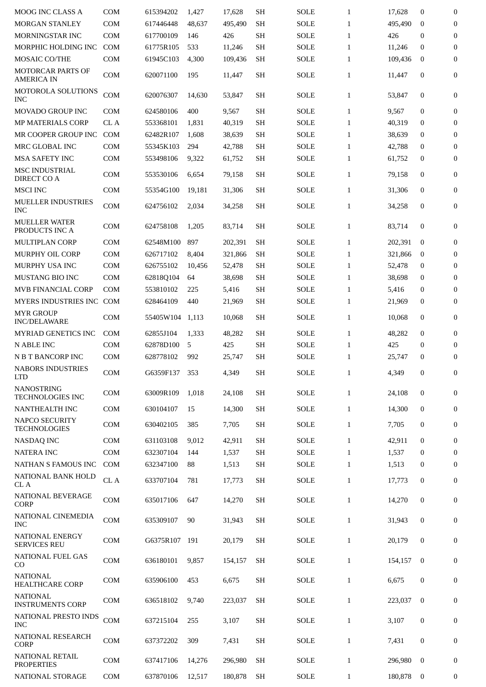| <b>MOOG INC CLASS A</b>                       | <b>COM</b> | 615394202       | 1,427  | 17,628  | <b>SH</b>           | <b>SOLE</b> | $\mathbf{1}$ | 17,628  | $\mathbf{0}$     | $\boldsymbol{0}$ |
|-----------------------------------------------|------------|-----------------|--------|---------|---------------------|-------------|--------------|---------|------------------|------------------|
| <b>MORGAN STANLEY</b>                         | <b>COM</b> | 617446448       | 48,637 | 495,490 | <b>SH</b>           | <b>SOLE</b> | $\mathbf{1}$ | 495,490 | $\mathbf{0}$     | 0                |
| MORNINGSTAR INC                               | <b>COM</b> | 617700109       | 146    | 426     | <b>SH</b>           | <b>SOLE</b> | $\mathbf{1}$ | 426     | $\boldsymbol{0}$ | $\mathbf{0}$     |
| MORPHIC HOLDING INC                           | <b>COM</b> | 61775R105       | 533    | 11,246  | <b>SH</b>           | <b>SOLE</b> | $\mathbf{1}$ | 11,246  | $\mathbf{0}$     | $\mathbf{0}$     |
| MOSAIC CO/THE                                 | <b>COM</b> | 61945C103       | 4,300  | 109,436 | <b>SH</b>           | <b>SOLE</b> | $\mathbf{1}$ | 109,436 | $\bf{0}$         | $\boldsymbol{0}$ |
| <b>MOTORCAR PARTS OF</b><br><b>AMERICA IN</b> | <b>COM</b> | 620071100       | 195    | 11,447  | <b>SH</b>           | <b>SOLE</b> | $\mathbf{1}$ | 11,447  | $\mathbf{0}$     | 0                |
| MOTOROLA SOLUTIONS<br><b>INC</b>              | COM        | 620076307       | 14.630 | 53,847  | SН                  | SOLE        | $\mathbf{1}$ | 53,847  | $\bf{0}$         | $\mathbf{0}$     |
| <b>MOVADO GROUP INC</b>                       | <b>COM</b> | 624580106       | 400    | 9,567   | <b>SH</b>           | <b>SOLE</b> | $\mathbf{1}$ | 9,567   | $\boldsymbol{0}$ | $\mathbf{0}$     |
| <b>MP MATERIALS CORP</b>                      | CL A       | 553368101       | 1,831  | 40,319  | <b>SH</b>           | <b>SOLE</b> | $\mathbf{1}$ | 40,319  | $\mathbf{0}$     | $\boldsymbol{0}$ |
| MR COOPER GROUP INC                           | COM        | 62482R107       | 1,608  | 38,639  | <b>SH</b>           | <b>SOLE</b> | $\mathbf{1}$ | 38,639  | $\boldsymbol{0}$ | $\mathbf{0}$     |
| MRC GLOBAL INC                                | <b>COM</b> | 55345K103       | 294    | 42,788  | <b>SH</b>           | <b>SOLE</b> | $\mathbf{1}$ | 42,788  | $\bf{0}$         | $\boldsymbol{0}$ |
| <b>MSA SAFETY INC</b>                         | <b>COM</b> | 553498106       | 9,322  | 61,752  | <b>SH</b>           | <b>SOLE</b> | $\mathbf{1}$ | 61,752  | $\bf{0}$         | $\bf{0}$         |
| <b>MSC INDUSTRIAL</b><br>DIRECT CO A          | <b>COM</b> | 553530106       | 6,654  | 79,158  | <b>SH</b>           | <b>SOLE</b> | $\mathbf{1}$ | 79.158  | $\mathbf{0}$     | 0                |
| <b>MSCI INC</b>                               | <b>COM</b> | 55354G100       | 19,181 | 31,306  | <b>SH</b>           | <b>SOLE</b> | $\mathbf{1}$ | 31,306  | $\mathbf{0}$     | $\boldsymbol{0}$ |
| <b>MUELLER INDUSTRIES</b><br><b>INC</b>       | <b>COM</b> | 624756102       | 2,034  | 34,258  | <b>SH</b>           | <b>SOLE</b> | $\mathbf{1}$ | 34,258  | $\mathbf{0}$     | 0                |
| <b>MUELLER WATER</b><br>PRODUCTS INC A        | COM        | 624758108       | 1,205  | 83,714  | <b>SH</b>           | <b>SOLE</b> | $\mathbf{1}$ | 83,714  | $\mathbf{0}$     | $\boldsymbol{0}$ |
| MULTIPLAN CORP                                | <b>COM</b> | 62548M100       | 897    | 202,391 | <b>SH</b>           | <b>SOLE</b> | $\mathbf{1}$ | 202,391 | $\mathbf{0}$     | 0                |
| MURPHY OIL CORP                               | <b>COM</b> | 626717102       | 8,404  | 321,866 | <b>SH</b>           | <b>SOLE</b> | $\mathbf{1}$ | 321,866 | $\bf{0}$         | $\boldsymbol{0}$ |
| MURPHY USA INC                                | <b>COM</b> | 626755102       | 10,456 | 52,478  | <b>SH</b>           | <b>SOLE</b> | $\mathbf{1}$ | 52,478  | $\boldsymbol{0}$ | $\boldsymbol{0}$ |
| <b>MUSTANG BIO INC</b>                        | <b>COM</b> | 62818Q104       | 64     | 38,698  | <b>SH</b>           | <b>SOLE</b> | $\mathbf{1}$ | 38,698  | $\boldsymbol{0}$ | $\mathbf{0}$     |
| MVB FINANCIAL CORP                            | <b>COM</b> | 553810102       | 225    | 5,416   | <b>SH</b>           | <b>SOLE</b> | $\mathbf{1}$ | 5,416   | $\mathbf{0}$     | $\bf{0}$         |
| MYERS INDUSTRIES INC COM                      |            | 628464109       | 440    | 21,969  | <b>SH</b>           | <b>SOLE</b> | $\mathbf{1}$ | 21,969  | $\mathbf{0}$     | $\boldsymbol{0}$ |
| <b>MYR GROUP</b><br><b>INC/DELAWARE</b>       | <b>COM</b> | 55405W104 1,113 |        | 10,068  | <b>SH</b>           | <b>SOLE</b> | $\mathbf{1}$ | 10,068  | 0                | 0                |
| <b>MYRIAD GENETICS INC</b>                    | <b>COM</b> | 62855J104       | 1,333  | 48,282  | <b>SH</b>           | <b>SOLE</b> | $\mathbf{1}$ | 48,282  | 0                | $\boldsymbol{0}$ |
| <b>N ABLE INC</b>                             | <b>COM</b> | 62878D100       | 5      | 425     | <b>SH</b>           | <b>SOLE</b> | $\mathbf{1}$ | 425     | $\mathbf{0}$     | $\boldsymbol{0}$ |
| N B T BANCORP INC                             | <b>COM</b> | 628778102       | 992    | 25,747  | <b>SH</b>           | <b>SOLE</b> | $\mathbf{1}$ | 25,747  | $\boldsymbol{0}$ | $\boldsymbol{0}$ |
| <b>NABORS INDUSTRIES</b><br><b>LTD</b>        | COM        | G6359F137       | 353    | 4,349   | $\operatorname{SH}$ | <b>SOLE</b> | $\mathbf{1}$ | 4,349   | $\bf{0}$         | $\mathbf{0}$     |
| <b>NANOSTRING</b><br>TECHNOLOGIES INC         | <b>COM</b> | 63009R109       | 1,018  | 24,108  | <b>SH</b>           | <b>SOLE</b> | $\mathbf{1}$ | 24,108  | $\boldsymbol{0}$ | $\boldsymbol{0}$ |
| NANTHEALTH INC                                | <b>COM</b> | 630104107       | 15     | 14,300  | <b>SH</b>           | <b>SOLE</b> | $\mathbf{1}$ | 14.300  | $\mathbf{0}$     | $\boldsymbol{0}$ |
| <b>NAPCO SECURITY</b><br><b>TECHNOLOGIES</b>  | <b>COM</b> | 630402105       | 385    | 7,705   | <b>SH</b>           | <b>SOLE</b> | $\mathbf{1}$ | 7,705   | $\bf{0}$         | 0                |
| <b>NASDAQ INC</b>                             | <b>COM</b> | 631103108       | 9,012  | 42,911  | <b>SH</b>           | <b>SOLE</b> | $\mathbf{1}$ | 42,911  | $\mathbf{0}$     | $\boldsymbol{0}$ |
| <b>NATERA INC</b>                             | <b>COM</b> | 632307104       | 144    | 1,537   | <b>SH</b>           | SOLE        | $\mathbf{1}$ | 1,537   | $\mathbf{0}$     | $\boldsymbol{0}$ |
| NATHAN S FAMOUS INC                           | <b>COM</b> | 632347100       | 88     | 1,513   | <b>SH</b>           | SOLE        | $\mathbf{1}$ | 1,513   | $\bf{0}$         | $\boldsymbol{0}$ |
| NATIONAL BANK HOLD<br>CL A                    | CL A       | 633707104       | 781    | 17,773  | <b>SH</b>           | SOLE        | $\mathbf{1}$ | 17,773  | $\bf{0}$         | $\boldsymbol{0}$ |
| NATIONAL BEVERAGE<br><b>CORP</b>              | <b>COM</b> | 635017106       | 647    | 14,270  | <b>SH</b>           | <b>SOLE</b> | $\mathbf{1}$ | 14,270  | $\boldsymbol{0}$ | $\boldsymbol{0}$ |
| NATIONAL CINEMEDIA<br><b>INC</b>              | <b>COM</b> | 635309107       | 90     | 31,943  | <b>SH</b>           | SOLE        | $\mathbf{1}$ | 31,943  | $\boldsymbol{0}$ | 0                |
| NATIONAL ENERGY<br><b>SERVICES REU</b>        | <b>COM</b> | G6375R107       | 191    | 20,179  | <b>SH</b>           | SOLE        | $\mathbf{1}$ | 20,179  | $\bf{0}$         | 0                |
| <b>NATIONAL FUEL GAS</b><br>CO                | <b>COM</b> | 636180101       | 9,857  | 154,157 | <b>SH</b>           | SOLE        | $\mathbf{1}$ | 154,157 | $\boldsymbol{0}$ | $\boldsymbol{0}$ |
| <b>NATIONAL</b><br><b>HEALTHCARE CORP</b>     | <b>COM</b> | 635906100       | 453    | 6,675   | <b>SH</b>           | SOLE        | $\mathbf{1}$ | 6,675   | $\boldsymbol{0}$ | 0                |
| <b>NATIONAL</b><br><b>INSTRUMENTS CORP</b>    | <b>COM</b> | 636518102       | 9,740  | 223,037 | <b>SH</b>           | SOLE        | $\mathbf{1}$ | 223,037 | $\mathbf{0}$     | $\mathbf{0}$     |
| NATIONAL PRESTO INDS<br><b>INC</b>            | <b>COM</b> | 637215104       | 255    | 3,107   | <b>SH</b>           | SOLE        | $\mathbf{1}$ | 3,107   | $\boldsymbol{0}$ | $\mathbf{0}$     |
| <b>NATIONAL RESEARCH</b><br><b>CORP</b>       | <b>COM</b> | 637372202       | 309    | 7,431   | <b>SH</b>           | <b>SOLE</b> | $\mathbf{1}$ | 7,431   | $\bf{0}$         | 0                |
| <b>NATIONAL RETAIL</b><br><b>PROPERTIES</b>   | <b>COM</b> | 637417106       | 14,276 | 296,980 | <b>SH</b>           | <b>SOLE</b> | $\mathbf{1}$ | 296,980 | $\mathbf{0}$     | $\boldsymbol{0}$ |
| NATIONAL STORAGE                              | COM        | 637870106       | 12,517 | 180,878 | <b>SH</b>           | SOLE        | $\mathbf{1}$ | 180,878 | $\boldsymbol{0}$ | 0                |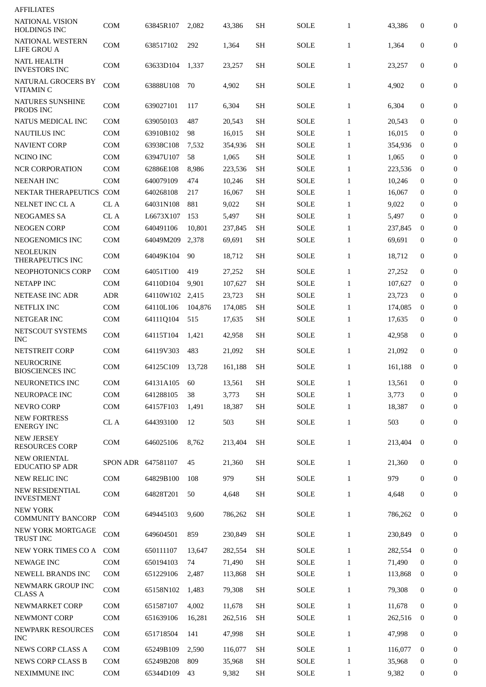| <b>AFFILIATES</b>                             |                    |           |         |         |           |             |              |         |                  |                  |
|-----------------------------------------------|--------------------|-----------|---------|---------|-----------|-------------|--------------|---------|------------------|------------------|
| NATIONAL VISION<br><b>HOLDINGS INC</b>        | COM                | 63845R107 | 2,082   | 43,386  | <b>SH</b> | <b>SOLE</b> | $\mathbf{1}$ | 43,386  | 0                | $\boldsymbol{0}$ |
| NATIONAL WESTERN<br><b>LIFE GROU A</b>        | <b>COM</b>         | 638517102 | 292     | 1,364   | <b>SH</b> | SOLE        | $\mathbf{1}$ | 1,364   | 0                | 0                |
| <b>NATL HEALTH</b><br><b>INVESTORS INC</b>    | COM                | 63633D104 | 1,337   | 23,257  | SН        | SOLE        | $\mathbf{1}$ | 23,257  | 0                | $\mathbf{0}$     |
| <b>NATURAL GROCERS BY</b><br>VITAMIN C        | <b>COM</b>         | 63888U108 | 70      | 4,902   | <b>SH</b> | SOLE        | $\mathbf{1}$ | 4,902   | 0                | $\mathbf{0}$     |
| <b>NATURES SUNSHINE</b><br>PRODS INC          | COM                | 639027101 | 117     | 6,304   | <b>SH</b> | SOLE        | $\mathbf{1}$ | 6,304   | $\bf{0}$         | 0                |
| NATUS MEDICAL INC                             | <b>COM</b>         | 639050103 | 487     | 20,543  | <b>SH</b> | SOLE        | $\mathbf{1}$ | 20,543  | $\mathbf{0}$     | 0                |
| NAUTILUS INC                                  | <b>COM</b>         | 63910B102 | 98      | 16,015  | <b>SH</b> | <b>SOLE</b> | $\mathbf{1}$ | 16,015  | $\bf{0}$         | $\mathbf{0}$     |
| <b>NAVIENT CORP</b>                           | <b>COM</b>         | 63938C108 | 7,532   | 354,936 | <b>SH</b> | <b>SOLE</b> | $\mathbf{1}$ | 354,936 | $\bf{0}$         | $\boldsymbol{0}$ |
| <b>NCINO INC</b>                              | <b>COM</b>         | 63947U107 | 58      | 1,065   | <b>SH</b> | <b>SOLE</b> | $\mathbf{1}$ | 1,065   | $\bf{0}$         | 0                |
| <b>NCR CORPORATION</b>                        | COM                | 62886E108 | 8,986   | 223,536 | <b>SH</b> | SOLE        | $\mathbf{1}$ | 223,536 | $\bf{0}$         | $\boldsymbol{0}$ |
| <b>NEENAH INC</b>                             | <b>COM</b>         | 640079109 | 474     | 10,246  | <b>SH</b> | <b>SOLE</b> | $\mathbf{1}$ | 10,246  | $\bf{0}$         | 0                |
| NEKTAR THERAPEUTICS COM                       |                    | 640268108 | 217     | 16,067  | <b>SH</b> | SOLE        | 1            | 16,067  | $\bf{0}$         | $\overline{0}$   |
| NELNET INC CL A                               | CL A               | 64031N108 | 881     | 9,022   | <b>SH</b> | <b>SOLE</b> | $\mathbf{1}$ | 9,022   | $\bf{0}$         | $\boldsymbol{0}$ |
| <b>NEOGAMES SA</b>                            | CL A               | L6673X107 | 153     | 5,497   | <b>SH</b> | SOLE        | $\mathbf{1}$ | 5,497   | $\bf{0}$         | $\boldsymbol{0}$ |
| <b>NEOGEN CORP</b>                            | <b>COM</b>         | 640491106 | 10,801  | 237,845 | SН        | <b>SOLE</b> | 1            | 237,845 | $\bf{0}$         | $\overline{0}$   |
| NEOGENOMICS INC                               | <b>COM</b>         | 64049M209 | 2,378   | 69,691  | <b>SH</b> | <b>SOLE</b> | $\mathbf{1}$ | 69,691  | 0                | 0                |
| NEOLEUKIN<br>THERAPEUTICS INC                 | <b>COM</b>         | 64049K104 | 90      | 18,712  | <b>SH</b> | SOLE        | $\mathbf{1}$ | 18,712  | 0                | $\boldsymbol{0}$ |
| NEOPHOTONICS CORP                             | <b>COM</b>         | 64051T100 | 419     | 27,252  | <b>SH</b> | <b>SOLE</b> | $\mathbf{1}$ | 27,252  | $\mathbf 0$      | 0                |
| <b>NETAPP INC</b>                             | <b>COM</b>         | 64110D104 | 9,901   | 107,627 | <b>SH</b> | <b>SOLE</b> | $\mathbf{1}$ | 107,627 | $\bf{0}$         | $\overline{0}$   |
| <b>NETEASE INC ADR</b>                        | <b>ADR</b>         | 64110W102 | 2,415   | 23,723  | <b>SH</b> | <b>SOLE</b> | 1            | 23,723  | $\bf{0}$         | $\overline{0}$   |
| <b>NETFLIX INC</b>                            | <b>COM</b>         | 64110L106 | 104,876 | 174,085 | <b>SH</b> | <b>SOLE</b> | $\mathbf{1}$ | 174,085 | $\bf{0}$         | $\boldsymbol{0}$ |
| <b>NETGEAR INC</b>                            | <b>COM</b>         | 64111Q104 | 515     | 17,635  | <b>SH</b> | <b>SOLE</b> | $\mathbf{1}$ | 17,635  | 0                | $\boldsymbol{0}$ |
| NETSCOUT SYSTEMS<br><b>INC</b>                | COM                | 64115T104 | 1,421   | 42,958  | <b>SH</b> | SOLE        | $\mathbf{1}$ | 42,958  | $\mathbf 0$      | $\mathbf{0}$     |
| <b>NETSTREIT CORP</b>                         | COM                | 64119V303 | 483     | 21,092  | <b>SH</b> | SOLE        | $\mathbf{1}$ | 21,092  | $\mathbf 0$      | 0                |
| NEUROCRINE<br><b>BIOSCIENCES INC</b>          | COM                | 64125C109 | 13,728  | 161,188 | SН        | <b>SOLE</b> | $\mathbf{1}$ | 161,188 | $\bf{0}$         | $\boldsymbol{0}$ |
| NEURONETICS INC                               | <b>COM</b>         | 64131A105 | 60      | 13,561  | <b>SH</b> | <b>SOLE</b> | $\mathbf{1}$ | 13,561  | $\bf{0}$         | $\mathbf{0}$     |
| NEUROPACE INC                                 | <b>COM</b>         | 641288105 | 38      | 3,773   | <b>SH</b> | <b>SOLE</b> | $\mathbf{1}$ | 3,773   | $\bf{0}$         | $\mathbf{0}$     |
| <b>NEVRO CORP</b>                             | COM                | 64157F103 | 1,491   | 18,387  | <b>SH</b> | <b>SOLE</b> | $\mathbf{1}$ | 18,387  | 0                | 0                |
| <b>NEW FORTRESS</b><br><b>ENERGY INC</b>      | CL A               | 644393100 | 12      | 503     | SH        | <b>SOLE</b> | $\mathbf{1}$ | 503     | 0                | 0                |
| <b>NEW JERSEY</b><br><b>RESOURCES CORP</b>    | <b>COM</b>         | 646025106 | 8,762   | 213,404 | <b>SH</b> | <b>SOLE</b> | $\mathbf{1}$ | 213,404 | $\mathbf{0}$     | 0                |
| <b>NEW ORIENTAL</b><br><b>EDUCATIO SP ADR</b> | SPON ADR 647581107 |           | 45      | 21,360  | <b>SH</b> | <b>SOLE</b> | $\mathbf{1}$ | 21,360  | 0                | 0                |
| NEW RELIC INC                                 | <b>COM</b>         | 64829B100 | 108     | 979     | <b>SH</b> | <b>SOLE</b> | $\mathbf{1}$ | 979     | $\mathbf{0}$     | $\mathbf{0}$     |
| <b>NEW RESIDENTIAL</b><br><b>INVESTMENT</b>   | COM                | 64828T201 | 50      | 4,648   | SH        | <b>SOLE</b> | $\mathbf{1}$ | 4,648   | 0                | 0                |
| <b>NEW YORK</b><br><b>COMMUNITY BANCORP</b>   | COM                | 649445103 | 9,600   | 786,262 | <b>SH</b> | <b>SOLE</b> | $\mathbf{1}$ | 786,262 | $\mathbf{0}$     | 0                |
| NEW YORK MORTGAGE<br>TRUST INC                | COM                | 649604501 | 859     | 230,849 | <b>SH</b> | <b>SOLE</b> | $\mathbf{1}$ | 230,849 | $\mathbf{0}$     | $\mathbf{0}$     |
| NEW YORK TIMES CO A                           | <b>COM</b>         | 650111107 | 13,647  | 282,554 | <b>SH</b> | <b>SOLE</b> | $\mathbf{1}$ | 282,554 | $\mathbf{0}$     | 0                |
| <b>NEWAGE INC</b>                             | <b>COM</b>         | 650194103 | 74      | 71,490  | <b>SH</b> | <b>SOLE</b> | $\mathbf{1}$ | 71,490  | $\bf{0}$         | 0                |
| <b>NEWELL BRANDS INC</b>                      | <b>COM</b>         | 651229106 | 2,487   | 113,868 | <b>SH</b> | <b>SOLE</b> | $\mathbf{1}$ | 113,868 | $\bf{0}$         | $\mathbf{0}$     |
| NEWMARK GROUP INC<br><b>CLASS A</b>           | <b>COM</b>         | 65158N102 | 1,483   | 79,308  | SH        | <b>SOLE</b> | $\mathbf{1}$ | 79,308  | $\mathbf{0}$     | 0                |
| NEWMARKET CORP                                | <b>COM</b>         | 651587107 | 4,002   | 11,678  | <b>SH</b> | <b>SOLE</b> | $\mathbf{1}$ | 11,678  | $\mathbf{0}$     | 0                |
| NEWMONT CORP                                  | <b>COM</b>         | 651639106 | 16,281  | 262,516 | SH        | <b>SOLE</b> | $\mathbf{1}$ | 262,516 | $\boldsymbol{0}$ | 0                |
| <b>NEWPARK RESOURCES</b><br><b>INC</b>        | COM                | 651718504 | 141     | 47,998  | <b>SH</b> | <b>SOLE</b> | $\mathbf{1}$ | 47,998  | $\mathbf{0}$     | 0                |
| <b>NEWS CORP CLASS A</b>                      | <b>COM</b>         | 65249B109 | 2,590   | 116,077 | <b>SH</b> | <b>SOLE</b> | $\mathbf{1}$ | 116,077 | $\mathbf{0}$     | $\boldsymbol{0}$ |
| <b>NEWS CORP CLASS B</b>                      | <b>COM</b>         | 65249B208 | 809     | 35,968  | <b>SH</b> | <b>SOLE</b> | $\mathbf{1}$ | 35.968  | $\bf{0}$         | 0                |
| NEXIMMUNE INC                                 | COM                | 65344D109 | 43      | 9,382   | SH        | SOLE        | $\mathbf{1}$ | 9,382   | 0                | 0                |
|                                               |                    |           |         |         |           |             |              |         |                  |                  |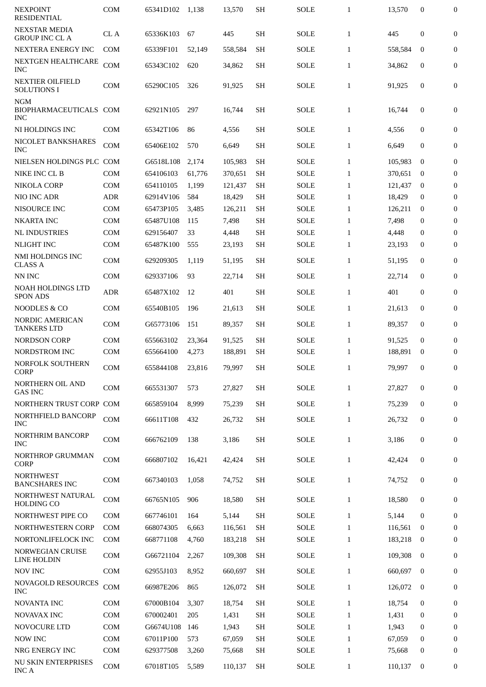| <b>NEXPOINT</b><br><b>RESIDENTIAL</b>                 | <b>COM</b> | 65341D102 | 1,138  | 13,570  | <b>SH</b> | <b>SOLE</b> | $\mathbf{1}$ | 13,570  | $\mathbf{0}$     | $\bf{0}$         |
|-------------------------------------------------------|------------|-----------|--------|---------|-----------|-------------|--------------|---------|------------------|------------------|
| <b>NEXSTAR MEDIA</b>                                  | CL A       | 65336K103 | 67     | 445     | <b>SH</b> | <b>SOLE</b> | $\mathbf{1}$ | 445     | $\boldsymbol{0}$ | $\boldsymbol{0}$ |
| <b>GROUP INC CL A</b><br>NEXTERA ENERGY INC           | <b>COM</b> | 65339F101 | 52,149 | 558,584 | <b>SH</b> | SOLE        | $\mathbf{1}$ | 558.584 | $\mathbf{0}$     | $\mathbf{0}$     |
| NEXTGEN HEALTHCARE<br><b>INC</b>                      | COM        | 65343C102 | 620    | 34,862  | <b>SH</b> | <b>SOLE</b> | $\mathbf{1}$ | 34,862  | $\boldsymbol{0}$ | 0                |
| <b>NEXTIER OILFIELD</b><br><b>SOLUTIONS I</b>         | COM        | 65290C105 | 326    | 91,925  | <b>SH</b> | <b>SOLE</b> | $\mathbf{1}$ | 91,925  | $\mathbf{0}$     | $\mathbf{0}$     |
| <b>NGM</b><br><b>BIOPHARMACEUTICALS</b><br><b>INC</b> | <b>COM</b> | 62921N105 | 297    | 16,744  | <b>SH</b> | <b>SOLE</b> | $\mathbf{1}$ | 16,744  | $\mathbf{0}$     | $\boldsymbol{0}$ |
| NI HOLDINGS INC                                       | <b>COM</b> | 65342T106 | 86     | 4,556   | <b>SH</b> | SOLE        | $\mathbf{1}$ | 4,556   | $\mathbf{0}$     | $\boldsymbol{0}$ |
| NICOLET BANKSHARES<br><b>INC</b>                      | <b>COM</b> | 65406E102 | 570    | 6,649   | SH        | SOLE        | $\mathbf{1}$ | 6,649   | $\mathbf{0}$     | 0                |
| NIELSEN HOLDINGS PLC COM                              |            | G6518L108 | 2,174  | 105,983 | SH        | <b>SOLE</b> | $\mathbf{1}$ | 105,983 | $\mathbf{0}$     | $\boldsymbol{0}$ |
| NIKE INC CL B                                         | <b>COM</b> | 654106103 | 61,776 | 370,651 | <b>SH</b> | <b>SOLE</b> | $\mathbf{1}$ | 370,651 | $\bf{0}$         | 0                |
| <b>NIKOLA CORP</b>                                    | <b>COM</b> | 654110105 | 1,199  | 121,437 | <b>SH</b> | <b>SOLE</b> | $\mathbf{1}$ | 121,437 | $\bf{0}$         | $\mathbf{0}$     |
| NIO INC ADR                                           | <b>ADR</b> | 62914V106 | 584    | 18,429  | <b>SH</b> | <b>SOLE</b> | $\mathbf{1}$ | 18,429  | $\bf{0}$         | $\boldsymbol{0}$ |
| <b>NISOURCE INC</b>                                   | COM        | 65473P105 | 3,485  | 126,211 | <b>SH</b> | SOLE        | $\mathbf{1}$ | 126,211 | $\bf{0}$         | $\boldsymbol{0}$ |
| <b>NKARTA INC</b>                                     | <b>COM</b> | 65487U108 | 115    | 7,498   | <b>SH</b> | <b>SOLE</b> | $\mathbf{1}$ | 7,498   | $\mathbf{0}$     | $\boldsymbol{0}$ |
| <b>NL INDUSTRIES</b>                                  | <b>COM</b> | 629156407 | 33     | 4,448   | <b>SH</b> | <b>SOLE</b> | $\mathbf{1}$ | 4,448   | $\mathbf{0}$     | $\bf{0}$         |
| <b>NLIGHT INC</b>                                     | <b>COM</b> | 65487K100 | 555    | 23,193  | <b>SH</b> | <b>SOLE</b> | $\mathbf{1}$ | 23,193  | $\mathbf{0}$     | $\mathbf{0}$     |
| NMI HOLDINGS INC<br><b>CLASS A</b>                    | COM        | 629209305 | 1,119  | 51,195  | <b>SH</b> | <b>SOLE</b> | $\mathbf{1}$ | 51,195  | $\mathbf{0}$     | 0                |
| NN INC                                                | <b>COM</b> | 629337106 | 93     | 22,714  | SH        | SOLE        | $\mathbf{1}$ | 22,714  | $\bf{0}$         | $\boldsymbol{0}$ |
| <b>NOAH HOLDINGS LTD</b><br><b>SPON ADS</b>           | <b>ADR</b> | 65487X102 | 12     | 401     | <b>SH</b> | SOLE        | $\mathbf{1}$ | 401     | $\mathbf{0}$     | $\mathbf{0}$     |
| <b>NOODLES &amp; CO</b>                               | <b>COM</b> | 65540B105 | 196    | 21,613  | <b>SH</b> | SOLE        | $\mathbf{1}$ | 21,613  | $\mathbf{0}$     | $\bf{0}$         |
| NORDIC AMERICAN<br><b>TANKERS LTD</b>                 | <b>COM</b> | G65773106 | 151    | 89,357  | <b>SH</b> | SOLE        | $\mathbf{1}$ | 89.357  | $\mathbf{0}$     | $\boldsymbol{0}$ |
| <b>NORDSON CORP</b>                                   | COM        | 655663102 | 23,364 | 91,525  | SH        | <b>SOLE</b> | $\mathbf{1}$ | 91,525  | $\mathbf{0}$     | $\boldsymbol{0}$ |
| NORDSTROM INC                                         | <b>COM</b> | 655664100 | 4,273  | 188,891 | <b>SH</b> | <b>SOLE</b> | $\mathbf{1}$ | 188,891 | $\bf{0}$         | $\mathbf{0}$     |
| NORFOLK SOUTHERN<br><b>CORP</b>                       | COM        | 655844108 | 23,816 | 79,997  | SН        | <b>SOLE</b> | 1            | 79,997  | $\bf{0}$         | 0                |
| NORTHERN OIL AND<br><b>GAS INC</b>                    | <b>COM</b> | 665531307 | 573    | 27,827  | <b>SH</b> | <b>SOLE</b> | $\mathbf{1}$ | 27.827  | $\bf{0}$         | 0                |
| NORTHERN TRUST CORP COM                               |            | 665859104 | 8,999  | 75,239  | <b>SH</b> | <b>SOLE</b> | $\mathbf{1}$ | 75.239  | $\bf{0}$         | 0                |
| NORTHFIELD BANCORP<br><b>INC</b>                      | COM        | 66611T108 | 432    | 26,732  | <b>SH</b> | <b>SOLE</b> | $\mathbf{1}$ | 26,732  | $\boldsymbol{0}$ | $\boldsymbol{0}$ |
| NORTHRIM BANCORP<br><b>INC</b>                        | COM        | 666762109 | 138    | 3,186   | <b>SH</b> | SOLE        | $\mathbf{1}$ | 3,186   | $\boldsymbol{0}$ | 0                |
| <b>NORTHROP GRUMMAN</b><br><b>CORP</b>                | COM        | 666807102 | 16,421 | 42,424  | <b>SH</b> | SOLE        | $\mathbf{1}$ | 42,424  | $\boldsymbol{0}$ | 0                |
| <b>NORTHWEST</b><br><b>BANCSHARES INC</b>             | COM        | 667340103 | 1,058  | 74,752  | <b>SH</b> | SOLE        | $\mathbf{1}$ | 74,752  | $\boldsymbol{0}$ | 0                |
| NORTHWEST NATURAL<br><b>HOLDING CO</b>                | COM        | 66765N105 | 906    | 18,580  | <b>SH</b> | SOLE        | $\mathbf{1}$ | 18,580  | $\boldsymbol{0}$ | 0                |
| NORTHWEST PIPE CO                                     | COM        | 667746101 | 164    | 5,144   | <b>SH</b> | <b>SOLE</b> | $\mathbf{1}$ | 5,144   | $\mathbf{0}$     | $\boldsymbol{0}$ |
| NORTHWESTERN CORP                                     | <b>COM</b> | 668074305 | 6,663  | 116,561 | <b>SH</b> | SOLE        | $\mathbf{1}$ | 116,561 | 0                | $\boldsymbol{0}$ |
| NORTONLIFELOCK INC                                    | COM        | 668771108 | 4,760  | 183,218 | <b>SH</b> | <b>SOLE</b> | $\mathbf{1}$ | 183,218 | $\bf{0}$         | 0                |
| <b>NORWEGIAN CRUISE</b><br><b>LINE HOLDIN</b>         | COM        | G66721104 | 2,267  | 109,308 | <b>SH</b> | <b>SOLE</b> | $\mathbf{1}$ | 109,308 | $\bf{0}$         | $\boldsymbol{0}$ |
| <b>NOV INC</b>                                        | COM        | 62955J103 | 8,952  | 660,697 | <b>SH</b> | <b>SOLE</b> | $\mathbf{1}$ | 660,697 | $\overline{0}$   | $\boldsymbol{0}$ |
| NOVAGOLD RESOURCES<br><b>INC</b>                      | COM        | 66987E206 | 865    | 126,072 | <b>SH</b> | <b>SOLE</b> | $\mathbf{1}$ | 126,072 | $\bf{0}$         | 0                |
| <b>NOVANTA INC</b>                                    | <b>COM</b> | 67000B104 | 3,307  | 18,754  | <b>SH</b> | <b>SOLE</b> | $\mathbf{1}$ | 18,754  | $\bf{0}$         | 0                |
| <b>NOVAVAX INC</b>                                    | <b>COM</b> | 670002401 | 205    | 1,431   | <b>SH</b> | SOLE        | $\mathbf{1}$ | 1,431   | $\boldsymbol{0}$ | $\boldsymbol{0}$ |
| NOVOCURE LTD                                          | <b>COM</b> | G6674U108 | 146    | 1,943   | <b>SH</b> | SOLE        | $\mathbf{1}$ | 1,943   | 0                | 0                |
| <b>NOW INC</b>                                        | <b>COM</b> | 67011P100 | 573    | 67,059  | <b>SH</b> | SOLE        | $\mathbf{1}$ | 67,059  | $\mathbf{0}$     | $\boldsymbol{0}$ |
| NRG ENERGY INC                                        | COM        | 629377508 | 3,260  | 75,668  | <b>SH</b> | <b>SOLE</b> | $\mathbf{1}$ | 75,668  | $\boldsymbol{0}$ | $\boldsymbol{0}$ |
| <b>NU SKIN ENTERPRISES</b><br>INC A                   | COM        | 67018T105 | 5,589  | 110,137 | <b>SH</b> | <b>SOLE</b> | $\mathbf{1}$ | 110,137 | $\bf{0}$         | 0                |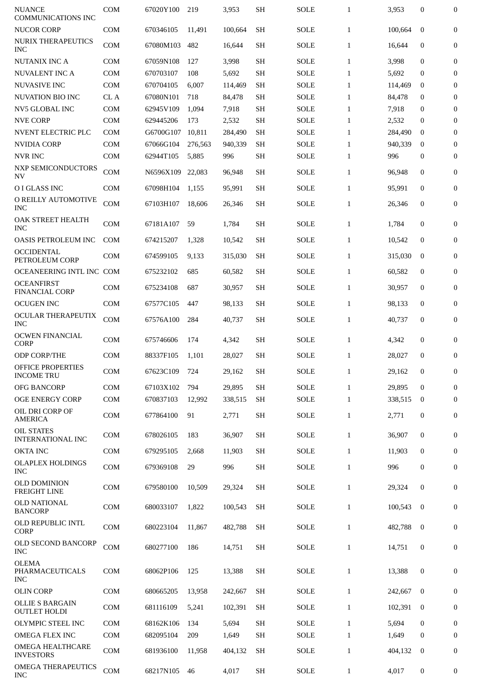| <b>NUANCE</b><br><b>COMMUNICATIONS INC</b>    | <b>COM</b> | 67020Y100     | 219     | 3,953   | <b>SH</b> | <b>SOLE</b> | $\mathbf{1}$ | 3,953   | $\mathbf{0}$     | $\boldsymbol{0}$ |
|-----------------------------------------------|------------|---------------|---------|---------|-----------|-------------|--------------|---------|------------------|------------------|
| <b>NUCOR CORP</b>                             | <b>COM</b> | 670346105     | 11,491  | 100,664 | <b>SH</b> | <b>SOLE</b> | $\mathbf{1}$ | 100,664 | $\mathbf{0}$     | $\boldsymbol{0}$ |
| NURIX THERAPEUTICS<br><b>INC</b>              | <b>COM</b> | 67080M103     | 482     | 16,644  | <b>SH</b> | <b>SOLE</b> | $\mathbf{1}$ | 16,644  | $\mathbf{0}$     | $\boldsymbol{0}$ |
| <b>NUTANIX INC A</b>                          | <b>COM</b> | 67059N108     | 127     | 3,998   | <b>SH</b> | <b>SOLE</b> | $\mathbf{1}$ | 3,998   | $\mathbf{0}$     | $\boldsymbol{0}$ |
| <b>NUVALENT INC A</b>                         | <b>COM</b> | 670703107     | 108     | 5,692   | <b>SH</b> | <b>SOLE</b> | $\mathbf{1}$ | 5,692   | $\bf{0}$         | $\overline{0}$   |
| <b>NUVASIVE INC</b>                           | COM        | 670704105     | 6,007   | 114,469 | <b>SH</b> | <b>SOLE</b> | 1            | 114,469 | $\bf{0}$         | $\overline{0}$   |
| <b>NUVATION BIO INC</b>                       | CL A       | 67080N101     | 718     | 84,478  | <b>SH</b> | <b>SOLE</b> | $\mathbf{1}$ | 84.478  | $\bf{0}$         | $\theta$         |
| <b>NV5 GLOBAL INC</b>                         | <b>COM</b> | 62945V109     | 1,094   | 7,918   | <b>SH</b> | <b>SOLE</b> | $\mathbf{1}$ | 7,918   | $\Omega$         | $\theta$         |
| <b>NVE CORP</b>                               | COM        | 629445206     | 173     | 2,532   | <b>SH</b> | <b>SOLE</b> | 1            | 2,532   | $\bf{0}$         | $\overline{0}$   |
| <b>NVENT ELECTRIC PLC</b>                     | <b>COM</b> | G6700G107     | 10,811  | 284,490 | <b>SH</b> | <b>SOLE</b> | $\mathbf{1}$ | 284,490 | $\Omega$         | $\overline{0}$   |
| <b>NVIDIA CORP</b>                            | <b>COM</b> | 67066G104     | 276,563 | 940,339 | <b>SH</b> | <b>SOLE</b> | $\mathbf{1}$ | 940,339 | $\Omega$         | $\overline{0}$   |
| <b>NVR INC</b>                                | <b>COM</b> | 62944T105     | 5,885   | 996     | <b>SH</b> | SOLE        | $\mathbf{1}$ | 996     | $\bf{0}$         | $\overline{0}$   |
| <b>NXP SEMICONDUCTORS</b><br><b>NV</b>        | <b>COM</b> | N6596X109     | 22.083  | 96.948  | <b>SH</b> | SOLE        | 1            | 96,948  | $\Omega$         | $\overline{0}$   |
| O I GLASS INC                                 | <b>COM</b> | 67098H104     | 1,155   | 95,991  | <b>SH</b> | <b>SOLE</b> | $\mathbf{1}$ | 95,991  | $\bf{0}$         | $\boldsymbol{0}$ |
| O REILLY AUTOMOTIVE<br><b>INC</b>             | COM        | 67103H107     | 18,606  | 26,346  | <b>SH</b> | <b>SOLE</b> | 1            | 26,346  | $\bf{0}$         | $\overline{0}$   |
| OAK STREET HEALTH<br><b>INC</b>               | <b>COM</b> | 67181A107     | 59      | 1,784   | <b>SH</b> | <b>SOLE</b> | $\mathbf{1}$ | 1,784   | $\mathbf{0}$     | $\overline{0}$   |
| <b>OASIS PETROLEUM INC</b>                    | <b>COM</b> | 674215207     | 1,328   | 10,542  | <b>SH</b> | <b>SOLE</b> | $\mathbf{1}$ | 10,542  | $\mathbf{0}$     | $\boldsymbol{0}$ |
| <b>OCCIDENTAL</b><br>PETROLEUM CORP           | <b>COM</b> | 674599105     | 9,133   | 315,030 | <b>SH</b> | <b>SOLE</b> | $\mathbf{1}$ | 315,030 | $\mathbf{0}$     | $\boldsymbol{0}$ |
| OCEANEERING INTL INC COM                      |            | 675232102     | 685     | 60,582  | <b>SH</b> | <b>SOLE</b> | $\mathbf{1}$ | 60,582  | $\mathbf{0}$     | $\boldsymbol{0}$ |
| <b>OCEANFIRST</b><br><b>FINANCIAL CORP</b>    | <b>COM</b> | 675234108     | 687     | 30,957  | <b>SH</b> | <b>SOLE</b> | $\mathbf{1}$ | 30,957  | $\mathbf{0}$     | $\boldsymbol{0}$ |
| <b>OCUGEN INC</b>                             | <b>COM</b> | 67577C105     | 447     | 98,133  | <b>SH</b> | <b>SOLE</b> | $\mathbf{1}$ | 98,133  | $\mathbf{0}$     | $\boldsymbol{0}$ |
| OCULAR THERAPEUTIX<br><b>INC</b>              | <b>COM</b> | 67576A100     | 284     | 40,737  | <b>SH</b> | <b>SOLE</b> | $\mathbf{1}$ | 40,737  | $\mathbf{0}$     | $\boldsymbol{0}$ |
| <b>OCWEN FINANCIAL</b><br><b>CORP</b>         | <b>COM</b> | 675746606     | 174     | 4,342   | <b>SH</b> | <b>SOLE</b> | $\mathbf{1}$ | 4,342   | $\mathbf{0}$     | $\boldsymbol{0}$ |
| <b>ODP CORP/THE</b>                           | <b>COM</b> | 88337F105     | 1,101   | 28,027  | <b>SH</b> | <b>SOLE</b> | $\mathbf{1}$ | 28,027  | $\mathbf{0}$     | $\overline{0}$   |
| OFFICE PROPERTIES<br><b>INCOME TRU</b>        | COM        | 67623C109 724 |         | 29,162  | <b>SH</b> | SOLE        | $\mathbf{1}$ | 29,162  | $\bf{0}$         | $\bf{0}$         |
| <b>OFG BANCORP</b>                            | COM        | 67103X102     | 794     | 29,895  | <b>SH</b> | <b>SOLE</b> | $\mathbf{1}$ | 29,895  | $\mathbf{0}$     | $\mathbf{0}$     |
| <b>OGE ENERGY CORP</b>                        | COM        | 670837103     | 12,992  | 338,515 | <b>SH</b> | <b>SOLE</b> | $\mathbf{1}$ | 338,515 | $\bf{0}$         | $\bf{0}$         |
| OIL DRI CORP OF<br><b>AMERICA</b>             | COM        | 677864100     | 91      | 2,771   | <b>SH</b> | SOLE        | $\mathbf{1}$ | 2,771   | $\boldsymbol{0}$ | 0                |
| <b>OIL STATES</b><br>INTERNATIONAL INC        | COM        | 678026105     | 183     | 36,907  | <b>SH</b> | SOLE        | $\mathbf{1}$ | 36,907  | $\bf{0}$         | $\mathbf{0}$     |
| <b>OKTA INC</b>                               | COM        | 679295105     | 2,668   | 11,903  | <b>SH</b> | SOLE        | $\mathbf{1}$ | 11,903  | $\bf{0}$         | 0                |
| <b>OLAPLEX HOLDINGS</b><br><b>INC</b>         | COM        | 679369108     | 29      | 996     | <b>SH</b> | SOLE        | $\mathbf{1}$ | 996     | $\boldsymbol{0}$ | 0                |
| <b>OLD DOMINION</b><br><b>FREIGHT LINE</b>    | COM        | 679580100     | 10,509  | 29,324  | <b>SH</b> | SOLE        | $\mathbf{1}$ | 29,324  | $\mathbf{0}$     | 0                |
| <b>OLD NATIONAL</b><br><b>BANCORP</b>         | <b>COM</b> | 680033107     | 1,822   | 100,543 | SН        | <b>SOLE</b> | $\mathbf{1}$ | 100,543 | $\bf{0}$         | 0                |
| OLD REPUBLIC INTL<br><b>CORP</b>              | COM        | 680223104     | 11,867  | 482,788 | SH        | SOLE        | $\mathbf{1}$ | 482,788 | $\bf{0}$         | 0                |
| OLD SECOND BANCORP<br><b>INC</b>              | COM        | 680277100     | 186     | 14,751  | <b>SH</b> | <b>SOLE</b> | $\mathbf{1}$ | 14,751  | $\boldsymbol{0}$ | 0                |
| <b>OLEMA</b><br>PHARMACEUTICALS<br><b>INC</b> | COM        | 68062P106     | 125     | 13,388  | <b>SH</b> | <b>SOLE</b> | $\mathbf{1}$ | 13,388  | $\mathbf{0}$     | $\mathbf{0}$     |
| <b>OLIN CORP</b>                              | <b>COM</b> | 680665205     | 13,958  | 242,667 | <b>SH</b> | <b>SOLE</b> | $\mathbf{1}$ | 242,667 | $\bf{0}$         | $\mathbf{0}$     |
| <b>OLLIE S BARGAIN</b><br><b>OUTLET HOLDI</b> | <b>COM</b> | 681116109     | 5,241   | 102,391 | <b>SH</b> | <b>SOLE</b> | $\mathbf{1}$ | 102,391 | $\bf{0}$         | 0                |
| OLYMPIC STEEL INC                             | <b>COM</b> | 68162K106     | 134     | 5,694   | <b>SH</b> | <b>SOLE</b> | $\mathbf{1}$ | 5,694   | $\mathbf{0}$     | 0                |
| <b>OMEGA FLEX INC</b>                         | COM        | 682095104     | 209     | 1,649   | <b>SH</b> | <b>SOLE</b> | $\mathbf{1}$ | 1,649   | $\boldsymbol{0}$ | $\bf{0}$         |
| <b>OMEGA HEALTHCARE</b><br><b>INVESTORS</b>   | COM        | 681936100     | 11,958  | 404,132 | <b>SH</b> | <b>SOLE</b> | $\mathbf{1}$ | 404,132 | $\mathbf{0}$     | 0                |
| <b>OMEGA THERAPEUTICS</b><br><b>INC</b>       | COM        | 68217N105     | 46      | 4,017   | <b>SH</b> | SOLE        | $\mathbf{1}$ | 4,017   | $\boldsymbol{0}$ | 0                |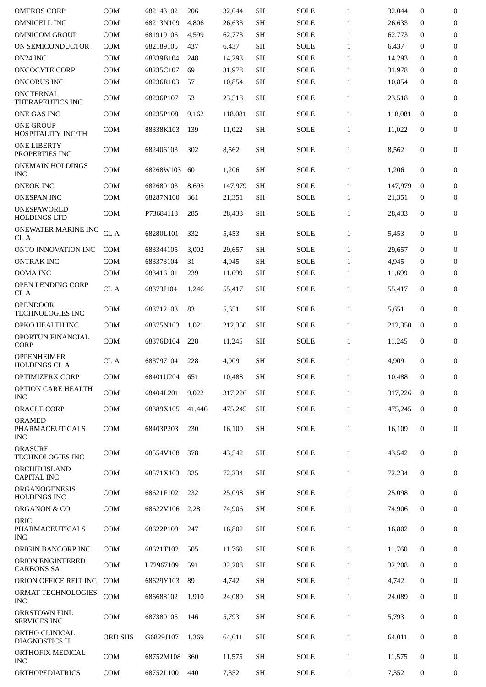| <b>OMEROS CORP</b>                                        | <b>COM</b> | 682143102              | 206        | 32,044           | <b>SH</b>              | <b>SOLE</b>         | $\mathbf{1}$                 | 32,044           | $\mathbf{0}$             | $\boldsymbol{0}$             |
|-----------------------------------------------------------|------------|------------------------|------------|------------------|------------------------|---------------------|------------------------------|------------------|--------------------------|------------------------------|
| <b>OMNICELL INC</b>                                       | COM        | 68213N109              | 4,806      | 26,633           | <b>SH</b>              | <b>SOLE</b>         | $\mathbf{1}$                 | 26,633           | $\mathbf{0}$             | $\boldsymbol{0}$             |
| <b>OMNICOM GROUP</b>                                      | <b>COM</b> | 681919106              | 4,599      | 62,773           | <b>SH</b>              | <b>SOLE</b>         | $\mathbf{1}$                 | 62,773           | $\mathbf{0}$             | $\mathbf{0}$                 |
| ON SEMICONDUCTOR                                          | <b>COM</b> | 682189105              | 437        | 6,437            | <b>SH</b>              | <b>SOLE</b>         | $\mathbf{1}$                 | 6,437            | $\mathbf{0}$             | $\mathbf{0}$                 |
| ON24 INC                                                  | COM        | 68339B104              | 248        | 14,293           | <b>SH</b>              | <b>SOLE</b>         | $\mathbf{1}$                 | 14,293           | $\mathbf{0}$             | $\boldsymbol{0}$             |
| <b>ONCOCYTE CORP</b>                                      | <b>COM</b> | 68235C107              | 69         | 31,978           | <b>SH</b>              | <b>SOLE</b>         | $\mathbf{1}$                 | 31,978           | $\mathbf{0}$             | $\mathbf{0}$                 |
| <b>ONCORUS INC</b>                                        | COM        | 68236R103              | 57         | 10,854           | <b>SH</b>              | <b>SOLE</b>         | $\mathbf{1}$                 | 10,854           | $\mathbf{0}$             | $\boldsymbol{0}$             |
| <b>ONCTERNAL</b><br>THERAPEUTICS INC                      | <b>COM</b> | 68236P107              | 53         | 23,518           | <b>SH</b>              | <b>SOLE</b>         | $\mathbf{1}$                 | 23,518           | $\mathbf{0}$             | $\mathbf{0}$                 |
| ONE GAS INC                                               | COM        | 68235P108              | 9,162      | 118,081          | <b>SH</b>              | <b>SOLE</b>         | $\mathbf{1}$                 | 118.081          | $\mathbf{0}$             | $\boldsymbol{0}$             |
| <b>ONE GROUP</b><br>HOSPITALITY INC/TH                    | <b>COM</b> | 88338K103              | 139        | 11,022           | <b>SH</b>              | SOLE                | $\mathbf{1}$                 | 11,022           | $\mathbf{0}$             | $\mathbf{0}$                 |
| <b>ONE LIBERTY</b><br>PROPERTIES INC                      | <b>COM</b> | 682406103              | 302        | 8,562            | <b>SH</b>              | <b>SOLE</b>         | $\mathbf{1}$                 | 8,562            | 0                        | $\mathbf{0}$                 |
| <b>ONEMAIN HOLDINGS</b><br><b>INC</b>                     | COM        | 68268W103              | 60         | 1,206            | <b>SH</b>              | <b>SOLE</b>         | $\mathbf{1}$                 | 1,206            | $\boldsymbol{0}$         | $\boldsymbol{0}$             |
| <b>ONEOK INC</b>                                          | <b>COM</b> | 682680103              | 8,695      | 147,979          | <b>SH</b>              | <b>SOLE</b>         | $\mathbf{1}$                 | 147,979          | $\mathbf{0}$             | $\boldsymbol{0}$             |
| <b>ONESPAN INC</b>                                        | COM        | 68287N100              | 361        | 21,351           | <b>SH</b>              | SOLE                | $\mathbf{1}$                 | 21,351           | $\bf{0}$                 | $\overline{0}$               |
| ONESPAWORLD<br><b>HOLDINGS LTD</b>                        | <b>COM</b> | P73684113              | 285        | 28,433           | <b>SH</b>              | <b>SOLE</b>         | $\mathbf{1}$                 | 28,433           | $\boldsymbol{0}$         | $\boldsymbol{0}$             |
| ONEWATER MARINE INC<br>CL A                               | CL A       | 68280L101              | 332        | 5,453            | <b>SH</b>              | <b>SOLE</b>         | $\mathbf{1}$                 | 5,453            | $\mathbf{0}$             | 0                            |
| ONTO INNOVATION INC                                       | <b>COM</b> | 683344105              | 3,002      | 29,657           | SH                     | <b>SOLE</b>         | $\mathbf{1}$                 | 29,657           | $\mathbf{0}$             | $\mathbf{0}$                 |
| <b>ONTRAK INC</b>                                         | COM        | 683373104              | 31         | 4,945            | <b>SH</b>              | <b>SOLE</b>         | $\mathbf{1}$                 | 4,945            | $\bf{0}$                 | $\mathbf{0}$                 |
| <b>OOMA INC</b>                                           | <b>COM</b> | 683416101              | 239        | 11,699           | <b>SH</b>              | <b>SOLE</b>         | $\mathbf{1}$                 | 11,699           | 0                        | $\boldsymbol{0}$             |
| <b>OPEN LENDING CORP</b><br>CL A                          | CL A       | 68373J104              | 1,246      | 55,417           | <b>SH</b>              | <b>SOLE</b>         | $\mathbf{1}$                 | 55,417           | $\mathbf{0}$             | 0                            |
| <b>OPENDOOR</b><br>TECHNOLOGIES INC                       | <b>COM</b> | 683712103              | 83         | 5,651            | <b>SH</b>              | <b>SOLE</b>         | $\mathbf{1}$                 | 5,651            | $\boldsymbol{0}$         | $\mathbf{0}$                 |
| OPKO HEALTH INC                                           | COM        | 68375N103              | 1,021      | 212,350          | <b>SH</b>              | <b>SOLE</b>         | $\mathbf{1}$                 | 212,350          | $\mathbf{0}$             | $\boldsymbol{0}$             |
| OPORTUN FINANCIAL<br><b>CORP</b>                          | <b>COM</b> | 68376D104              | 228        | 11,245           | <b>SH</b>              | <b>SOLE</b>         | $\mathbf{1}$                 | 11,245           | 0                        | $\boldsymbol{0}$             |
| <b>OPPENHEIMER</b><br><b>HOLDINGS CL A</b>                | CL A       | 683797104              | 228        | 4,909            | <b>SH</b>              | <b>SOLE</b>         | $\mathbf{1}$                 | 4,909            | $\mathbf{0}$             | 0                            |
| OPTIMIZERX CORP                                           | <b>COM</b> | 68401U204              | 651        | 10,488           | <b>SH</b>              | <b>SOLE</b>         | $\mathbf{1}$                 | 10,488           | $\mathbf{0}$             | $\mathbf{0}$                 |
| OPTION CARE HEALTH<br><b>INC</b>                          | COM        | 68404L201              | 9,022      | 317,226          | <b>SH</b>              | <b>SOLE</b>         | $\mathbf{1}$                 | 317,226          | $\mathbf{0}$             | $\boldsymbol{0}$             |
| <b>ORACLE CORP</b>                                        | <b>COM</b> | 68389X105              | 41,446     | 475,245          | <b>SH</b>              | <b>SOLE</b>         | $\mathbf{1}$                 | 475,245          | $\bf{0}$                 | $\overline{0}$               |
| <b>ORAMED</b><br><b>PHARMACEUTICALS</b><br><b>INC</b>     | <b>COM</b> | 68403P203              | 230        | 16,109           | <b>SH</b>              | <b>SOLE</b>         | $\mathbf{1}$                 | 16,109           | $\boldsymbol{0}$         | $\boldsymbol{0}$             |
| <b>ORASURE</b><br>TECHNOLOGIES INC                        | <b>COM</b> | 68554V108              | 378        | 43,542           | <b>SH</b>              | <b>SOLE</b>         | $\mathbf{1}$                 | 43,542           | $\mathbf{0}$             | $\mathbf{0}$                 |
| <b>ORCHID ISLAND</b><br><b>CAPITAL INC</b>                | COM        | 68571X103              | 325        | 72,234           | <b>SH</b>              | <b>SOLE</b>         | $\mathbf{1}$                 | 72,234           | $\bf{0}$                 | 0                            |
| <b>ORGANOGENESIS</b><br><b>HOLDINGS INC</b>               | <b>COM</b> | 68621F102              | 232        | 25,098           | <b>SH</b>              | <b>SOLE</b>         | $\mathbf{1}$                 | 25,098           | $\mathbf{0}$             | $\boldsymbol{0}$             |
| ORGANON & CO                                              | <b>COM</b> | 68622V106              | 2,281      | 74,906           | <b>SH</b>              | <b>SOLE</b>         | $\mathbf{1}$                 | 74,906           | $\bf{0}$                 | $\boldsymbol{0}$             |
| ORIC<br>PHARMACEUTICALS                                   | <b>COM</b> | 68622P109              | 247        | 16,802           | <b>SH</b>              | <b>SOLE</b>         | $\mathbf{1}$                 | 16,802           | $\boldsymbol{0}$         | 0                            |
| <b>INC</b>                                                |            |                        |            |                  |                        |                     |                              |                  |                          |                              |
| ORIGIN BANCORP INC<br>ORION ENGINEERED                    | COM<br>COM | 68621T102<br>L72967109 | 505<br>591 | 11,760<br>32,208 | <b>SH</b><br><b>SH</b> | SOLE<br><b>SOLE</b> | $\mathbf{1}$<br>$\mathbf{1}$ | 11,760<br>32,208 | $\bf{0}$<br>$\mathbf{0}$ | $\bf{0}$<br>$\boldsymbol{0}$ |
| <b>CARBONS SA</b><br>ORION OFFICE REIT INC                | <b>COM</b> | 68629Y103              | 89         | 4,742            | SH                     | <b>SOLE</b>         | $\mathbf{1}$                 | 4,742            | $\bf{0}$                 | $\boldsymbol{0}$             |
| ORMAT TECHNOLOGIES                                        | COM        | 686688102              | 1,910      | 24,089           | <b>SH</b>              | <b>SOLE</b>         | $\mathbf{1}$                 | 24,089           | $\bf{0}$                 | $\boldsymbol{0}$             |
| <b>INC</b><br><b>ORRSTOWN FINL</b><br><b>SERVICES INC</b> | COM        | 687380105              | 146        | 5,793            | <b>SH</b>              | <b>SOLE</b>         | $\mathbf{1}$                 | 5,793            | $\boldsymbol{0}$         | $\boldsymbol{0}$             |
| ORTHO CLINICAL<br><b>DIAGNOSTICS H</b>                    | ORD SHS    | G6829J107              | 1,369      | 64,011           | <b>SH</b>              | <b>SOLE</b>         | $\mathbf{1}$                 | 64,011           | $\boldsymbol{0}$         | 0                            |
| ORTHOFIX MEDICAL<br><b>INC</b>                            | <b>COM</b> | 68752M108              | 360        | 11,575           | <b>SH</b>              | <b>SOLE</b>         | $\mathbf{1}$                 | 11,575           | $\bf{0}$                 | $\boldsymbol{0}$             |
| <b>ORTHOPEDIATRICS</b>                                    | COM        | 68752L100              | 440        | 7,352            | <b>SH</b>              | <b>SOLE</b>         | $\mathbf{1}$                 | 7,352            | 0                        | 0                            |
|                                                           |            |                        |            |                  |                        |                     |                              |                  |                          |                              |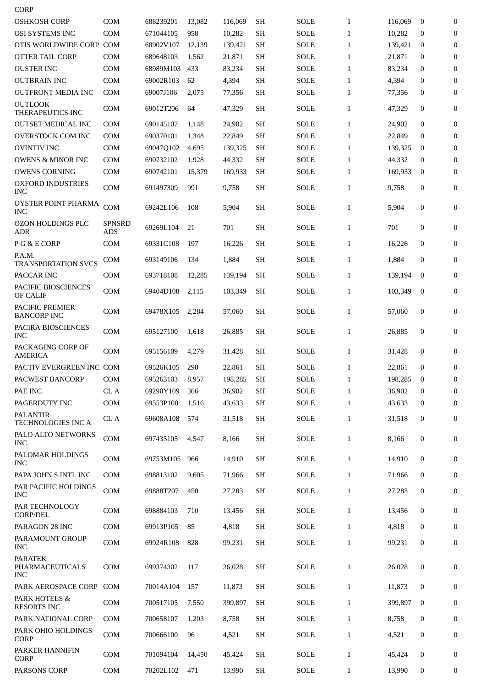| <b>OSHKOSH CORP</b><br>OSI SYSTEMS INC<br>OTIS WORLDWIDE CORP COM<br><b>OTTER TAIL CORP</b><br><b>OUSTER INC</b><br><b>OUTBRAIN INC</b><br><b>OUTFRONT MEDIA INC</b><br><b>OUTLOOK</b><br><b>THERAPEUTICS INC</b> | COM<br><b>COM</b><br><b>COM</b><br><b>COM</b><br><b>COM</b><br><b>COM</b> | 688239201<br>671044105<br>68902V107<br>689648103<br>68989M103<br>69002R103 | 13,082<br>958<br>12,139<br>1,562<br>433 | 116.069<br>10,282<br>139,421<br>21,871<br>83,234 | <b>SH</b><br><b>SH</b><br><b>SH</b><br><b>SH</b><br><b>SH</b> | <b>SOLE</b><br><b>SOLE</b><br><b>SOLE</b><br><b>SOLE</b> | $\mathbf{1}$<br>$\mathbf{1}$<br>$\mathbf{1}$<br>1 | 116,069<br>10,282<br>139,421<br>21,871 | $\mathbf{0}$<br>$\mathbf{0}$<br>$\bf{0}$<br>$\bf{0}$ | $\overline{0}$<br>$\mathbf{0}$<br>$\overline{0}$<br>$\overline{0}$ |
|-------------------------------------------------------------------------------------------------------------------------------------------------------------------------------------------------------------------|---------------------------------------------------------------------------|----------------------------------------------------------------------------|-----------------------------------------|--------------------------------------------------|---------------------------------------------------------------|----------------------------------------------------------|---------------------------------------------------|----------------------------------------|------------------------------------------------------|--------------------------------------------------------------------|
|                                                                                                                                                                                                                   |                                                                           |                                                                            |                                         |                                                  |                                                               |                                                          |                                                   |                                        |                                                      |                                                                    |
|                                                                                                                                                                                                                   |                                                                           |                                                                            |                                         |                                                  |                                                               |                                                          |                                                   |                                        |                                                      |                                                                    |
|                                                                                                                                                                                                                   |                                                                           |                                                                            |                                         |                                                  |                                                               |                                                          |                                                   |                                        |                                                      |                                                                    |
|                                                                                                                                                                                                                   |                                                                           |                                                                            |                                         |                                                  |                                                               |                                                          |                                                   |                                        |                                                      |                                                                    |
|                                                                                                                                                                                                                   |                                                                           |                                                                            |                                         |                                                  |                                                               | <b>SOLE</b>                                              | $\mathbf{1}$                                      | 83,234                                 | $\bf{0}$                                             | $\overline{0}$                                                     |
|                                                                                                                                                                                                                   |                                                                           |                                                                            | 62                                      | 4,394                                            | <b>SH</b>                                                     | <b>SOLE</b>                                              | $\mathbf{1}$                                      | 4,394                                  | $\bf{0}$                                             | $\overline{0}$                                                     |
|                                                                                                                                                                                                                   |                                                                           | 69007J106                                                                  | 2,075                                   | 77,356                                           | <b>SH</b>                                                     | <b>SOLE</b>                                              | $\mathbf{1}$                                      | 77,356                                 | $\bf{0}$                                             | 0                                                                  |
|                                                                                                                                                                                                                   | <b>COM</b>                                                                | 69012T206                                                                  | 64                                      | 47,329                                           | <b>SH</b>                                                     | <b>SOLE</b>                                              | $\mathbf{1}$                                      | 47,329                                 | $\mathbf{0}$                                         | $\boldsymbol{0}$                                                   |
| <b>OUTSET MEDICAL INC</b>                                                                                                                                                                                         | <b>COM</b>                                                                | 690145107                                                                  | 1,148                                   | 24,902                                           | <b>SH</b>                                                     | SOLE                                                     | $\mathbf{1}$                                      | 24,902                                 | $\mathbf{0}$                                         | $\boldsymbol{0}$                                                   |
| OVERSTOCK.COM INC                                                                                                                                                                                                 | <b>COM</b>                                                                | 690370101                                                                  | 1,348                                   | 22,849                                           | <b>SH</b>                                                     | <b>SOLE</b>                                              | $\mathbf{1}$                                      | 22,849                                 | $\bf{0}$                                             | $\boldsymbol{0}$                                                   |
| <b>OVINTIV INC</b>                                                                                                                                                                                                | <b>COM</b>                                                                | 69047Q102                                                                  | 4,695                                   | 139,325                                          | <b>SH</b>                                                     | <b>SOLE</b>                                              | $\mathbf{1}$                                      | 139,325                                | $\bf{0}$                                             | $\boldsymbol{0}$                                                   |
| <b>OWENS &amp; MINOR INC</b>                                                                                                                                                                                      | <b>COM</b>                                                                | 690732102                                                                  | 1,928                                   | 44,332                                           | <b>SH</b>                                                     | <b>SOLE</b>                                              | $\mathbf{1}$                                      | 44,332                                 | $\bf{0}$                                             | $\boldsymbol{0}$                                                   |
| <b>OWENS CORNING</b>                                                                                                                                                                                              | <b>COM</b>                                                                | 690742101                                                                  | 15,379                                  | 169,933                                          | <b>SH</b>                                                     | <b>SOLE</b>                                              | $\mathbf{1}$                                      | 169,933                                | 0                                                    | $\boldsymbol{0}$                                                   |
| <b>OXFORD INDUSTRIES</b><br><b>INC</b>                                                                                                                                                                            | COM                                                                       | 691497309                                                                  | 991                                     | 9,758                                            | <b>SH</b>                                                     | SOLE                                                     | $\mathbf{1}$                                      | 9,758                                  | 0                                                    | $\overline{0}$                                                     |
| OYSTER POINT PHARMA<br><b>INC</b>                                                                                                                                                                                 | COM                                                                       | 69242L106                                                                  | 108                                     | 5,904                                            | SH                                                            | SOLE                                                     | $\mathbf{1}$                                      | 5,904                                  | $\mathbf{0}$                                         | $\boldsymbol{0}$                                                   |
| <b>OZON HOLDINGS PLC</b><br>ADR                                                                                                                                                                                   | SPNSRD<br><b>ADS</b>                                                      | 69269L104                                                                  | 21                                      | 701                                              | SH                                                            | SOLE                                                     | $\mathbf{1}$                                      | 701                                    | $\mathbf{0}$                                         | $\boldsymbol{0}$                                                   |
| P G & E CORP                                                                                                                                                                                                      | <b>COM</b>                                                                | 69331C108                                                                  | 197                                     | 16,226                                           | SH                                                            | <b>SOLE</b>                                              | $\mathbf{1}$                                      | 16,226                                 | $\mathbf{0}$                                         | $\overline{0}$                                                     |
| P.A.M.<br><b>TRANSPORTATION SVCS</b>                                                                                                                                                                              | <b>COM</b>                                                                | 693149106                                                                  | 134                                     | 1,884                                            | <b>SH</b>                                                     | <b>SOLE</b>                                              | $\mathbf{1}$                                      | 1,884                                  | $\mathbf{0}$                                         | 0                                                                  |
| PACCAR INC                                                                                                                                                                                                        | <b>COM</b>                                                                | 693718108                                                                  | 12,285                                  | 139,194                                          | <b>SH</b>                                                     | SOLE                                                     | $\mathbf{1}$                                      | 139,194                                | $\bf{0}$                                             | $\boldsymbol{0}$                                                   |
| PACIFIC BIOSCIENCES<br><b>OF CALIF</b>                                                                                                                                                                            | <b>COM</b>                                                                | 69404D108                                                                  | 2,115                                   | 103,349                                          | <b>SH</b>                                                     | <b>SOLE</b>                                              | $\mathbf{1}$                                      | 103,349                                | $\bf{0}$                                             | $\boldsymbol{0}$                                                   |
| PACIFIC PREMIER<br><b>BANCORP INC</b>                                                                                                                                                                             | COM                                                                       | 69478X105                                                                  | 2,284                                   | 57,060                                           | <b>SH</b>                                                     | SOLE                                                     | $\mathbf{1}$                                      | 57,060                                 | $\mathbf{0}$                                         | $\overline{0}$                                                     |
| PACIRA BIOSCIENCES<br><b>INC</b>                                                                                                                                                                                  | COM                                                                       | 695127100                                                                  | 1,618                                   | 26,885                                           | <b>SH</b>                                                     | SOLE                                                     | $\mathbf{1}$                                      | 26,885                                 | $\mathbf{0}$                                         | $\boldsymbol{0}$                                                   |
| PACKAGING CORP OF<br>AMERICA                                                                                                                                                                                      | COM                                                                       | 695156109                                                                  | 4,279                                   | 31,428                                           | <b>SH</b>                                                     | <b>SOLE</b>                                              | $\mathbf{1}$                                      | 31.428                                 | 0                                                    | $\overline{0}$                                                     |
| PACTIV EVERGREEN INC COM                                                                                                                                                                                          |                                                                           | 69526K105                                                                  | 290                                     | 22,861                                           | <b>SH</b>                                                     | <b>SOLE</b>                                              | $\mathbf{1}$                                      | 22,861                                 | $\mathbf{0}$                                         | $\boldsymbol{0}$                                                   |
| PACWEST BANCORP                                                                                                                                                                                                   | <b>COM</b>                                                                | 695263103                                                                  | 8,957                                   | 198,285                                          | <b>SH</b>                                                     | <b>SOLE</b>                                              | $\mathbf{1}$                                      | 198,285                                | $\bf{0}$                                             | $\boldsymbol{0}$                                                   |
| PAE INC                                                                                                                                                                                                           | CL A                                                                      | 69290Y109                                                                  | 366                                     | 36.902                                           | <b>SH</b>                                                     | <b>SOLE</b>                                              | $\mathbf{1}$                                      | 36,902                                 | $\mathbf{0}$                                         | 0                                                                  |
| PAGERDUTY INC                                                                                                                                                                                                     | COM                                                                       | 69553P100                                                                  | 1,516                                   | 43,633                                           | <b>SH</b>                                                     | <b>SOLE</b>                                              | $\mathbf{1}$                                      | 43,633                                 | 0                                                    | $\overline{0}$                                                     |
| <b>PALANTIR</b><br>TECHNOLOGIES INC A                                                                                                                                                                             | CL A                                                                      | 69608A108                                                                  | 574                                     | 31,518                                           | <b>SH</b>                                                     | <b>SOLE</b>                                              | $\mathbf{1}$                                      | 31,518                                 | $\mathbf{0}$                                         | $\overline{0}$                                                     |
| PALO ALTO NETWORKS<br><b>INC</b>                                                                                                                                                                                  | COM                                                                       | 697435105                                                                  | 4,547                                   | 8,166                                            | <b>SH</b>                                                     | <b>SOLE</b>                                              | $\mathbf{1}$                                      | 8,166                                  | 0                                                    | $\mathbf{0}$                                                       |
| PALOMAR HOLDINGS<br><b>INC</b>                                                                                                                                                                                    | <b>COM</b>                                                                | 69753M105                                                                  | 966                                     | 14,910                                           | <b>SH</b>                                                     | <b>SOLE</b>                                              | $\mathbf{1}$                                      | 14,910                                 | $\mathbf{0}$                                         | $\mathbf{0}$                                                       |
| PAPA JOHN S INTL INC                                                                                                                                                                                              | <b>COM</b>                                                                | 698813102                                                                  | 9,605                                   | 71,966                                           | <b>SH</b>                                                     | <b>SOLE</b>                                              | $\mathbf{1}$                                      | 71,966                                 | 0                                                    | 0                                                                  |
| PAR PACIFIC HOLDINGS<br><b>INC</b>                                                                                                                                                                                | COM                                                                       | 69888T207                                                                  | 450                                     | 27,283                                           | <b>SH</b>                                                     | <b>SOLE</b>                                              | $\mathbf{1}$                                      | 27,283                                 | 0                                                    | 0                                                                  |
| PAR TECHNOLOGY<br><b>CORP/DEL</b>                                                                                                                                                                                 | <b>COM</b>                                                                | 698884103                                                                  | 710                                     | 13,456                                           | <b>SH</b>                                                     | <b>SOLE</b>                                              | $\mathbf{1}$                                      | 13,456                                 | 0                                                    | 0                                                                  |
| PARAGON 28 INC                                                                                                                                                                                                    | <b>COM</b>                                                                | 69913P105                                                                  | 85                                      | 4,818                                            | <b>SH</b>                                                     | <b>SOLE</b>                                              | $\mathbf{1}$                                      | 4,818                                  | 0                                                    | $\bf{0}$                                                           |
| PARAMOUNT GROUP<br><b>INC</b>                                                                                                                                                                                     | COM                                                                       | 69924R108                                                                  | 828                                     | 99,231                                           | <b>SH</b>                                                     | <b>SOLE</b>                                              | $\mathbf{1}$                                      | 99,231                                 | 0                                                    | 0                                                                  |
| <b>PARATEK</b><br>PHARMACEUTICALS<br><b>INC</b>                                                                                                                                                                   | <b>COM</b>                                                                | 699374302                                                                  | 117                                     | 26,028                                           | <b>SH</b>                                                     | <b>SOLE</b>                                              | $\mathbf{1}$                                      | 26,028                                 | 0                                                    | 0                                                                  |
|                                                                                                                                                                                                                   |                                                                           | 70014A104                                                                  | 157                                     | 11,873                                           | <b>SH</b>                                                     | <b>SOLE</b>                                              | $\mathbf{1}$                                      | 11,873                                 | 0                                                    | 0                                                                  |
|                                                                                                                                                                                                                   |                                                                           |                                                                            |                                         | 399,897                                          | <b>SH</b>                                                     | <b>SOLE</b>                                              | $\mathbf{1}$                                      | 399,897                                | $\mathbf{0}$                                         | 0                                                                  |
| PARK AEROSPACE CORP COM<br>PARK HOTELS &                                                                                                                                                                          | <b>COM</b>                                                                | 700517105                                                                  | 7,550                                   |                                                  |                                                               |                                                          |                                                   |                                        |                                                      |                                                                    |
| <b>RESORTS INC</b>                                                                                                                                                                                                |                                                                           |                                                                            |                                         |                                                  |                                                               |                                                          | $\mathbf{1}$                                      | 8,758                                  | 0                                                    | 0                                                                  |
| PARK NATIONAL CORP<br>PARK OHIO HOLDINGS<br>CORP                                                                                                                                                                  | <b>COM</b><br>COM                                                         | 700658107<br>700666100                                                     | 1,203<br>96                             | 8,758<br>4,521                                   | <b>SH</b><br><b>SH</b>                                        | <b>SOLE</b><br><b>SOLE</b>                               | $\mathbf{1}$                                      | 4,521                                  | 0                                                    | $\bf{0}$                                                           |
| PARKER HANNIFIN<br><b>CORP</b>                                                                                                                                                                                    | <b>COM</b>                                                                | 701094104                                                                  | 14,450                                  | 45,424                                           | <b>SH</b>                                                     | <b>SOLE</b>                                              | $\mathbf{1}$                                      | 45,424                                 | $\mathbf{0}$                                         | $\bf{0}$                                                           |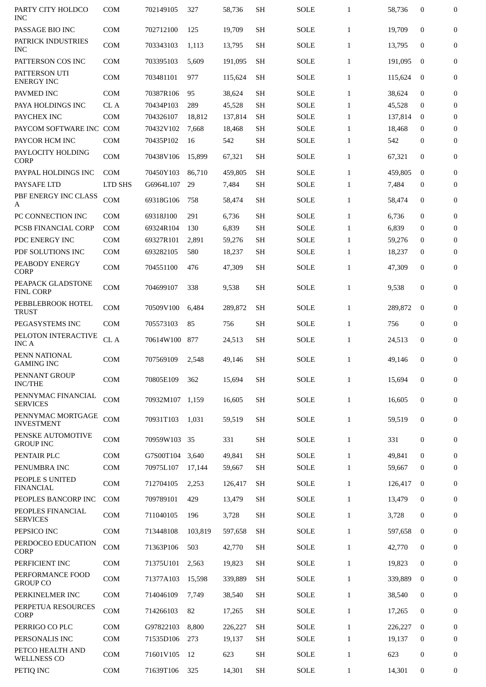| PARTY CITY HOLDCO<br>INC               | <b>COM</b> | 702149105 | 327     | 58,736  | <b>SH</b> | <b>SOLE</b> | $\mathbf{1}$ | 58,736  | $\mathbf{0}$ | $\overline{0}$   |
|----------------------------------------|------------|-----------|---------|---------|-----------|-------------|--------------|---------|--------------|------------------|
| PASSAGE BIO INC                        | <b>COM</b> | 702712100 | 125     | 19,709  | <b>SH</b> | <b>SOLE</b> | $\mathbf{1}$ | 19,709  | $\mathbf{0}$ | $\mathbf{0}$     |
| PATRICK INDUSTRIES<br><b>INC</b>       | <b>COM</b> | 703343103 | 1,113   | 13,795  | <b>SH</b> | <b>SOLE</b> | $\mathbf{1}$ | 13,795  | $\mathbf{0}$ | 0                |
| PATTERSON COS INC                      | <b>COM</b> | 703395103 | 5,609   | 191,095 | <b>SH</b> | <b>SOLE</b> | $\mathbf{1}$ | 191,095 | $\bf{0}$     | $\boldsymbol{0}$ |
| PATTERSON UTI<br><b>ENERGY INC</b>     | <b>COM</b> | 703481101 | 977     | 115,624 | <b>SH</b> | SOLE        | $\mathbf{1}$ | 115,624 | $\bf{0}$     | $\boldsymbol{0}$ |
| PAVMED INC                             | <b>COM</b> | 70387R106 | 95      | 38,624  | SH        | <b>SOLE</b> | $\mathbf{1}$ | 38,624  | $\mathbf{0}$ | $\overline{0}$   |
| PAYA HOLDINGS INC                      | CL A       | 70434P103 | 289     | 45,528  | <b>SH</b> | <b>SOLE</b> | $\mathbf{1}$ | 45,528  | $\bf{0}$     | $\mathbf{0}$     |
| PAYCHEX INC                            | <b>COM</b> | 704326107 | 18,812  | 137,814 | <b>SH</b> | <b>SOLE</b> | $\mathbf{1}$ | 137,814 | $\Omega$     | $\overline{0}$   |
| PAYCOM SOFTWARE INC COM                |            | 70432V102 | 7,668   | 18,468  | <b>SH</b> | <b>SOLE</b> | $\mathbf{1}$ | 18,468  | $\mathbf{0}$ | $\boldsymbol{0}$ |
| PAYCOR HCM INC                         | <b>COM</b> | 70435P102 | 16      | 542     | <b>SH</b> | SOLE        | $\mathbf{1}$ | 542     | 0            | $\boldsymbol{0}$ |
| PAYLOCITY HOLDING<br><b>CORP</b>       | COM        | 70438V106 | 15,899  | 67,321  | <b>SH</b> | SOLE        | $\mathbf{1}$ | 67,321  | $\mathbf{0}$ | $\overline{0}$   |
| PAYPAL HOLDINGS INC                    | <b>COM</b> | 70450Y103 | 86,710  | 459,805 | <b>SH</b> | <b>SOLE</b> | $\mathbf{1}$ | 459,805 | $\bf{0}$     | $\boldsymbol{0}$ |
| PAYSAFE LTD                            | LTD SHS    | G6964L107 | 29      | 7,484   | <b>SH</b> | <b>SOLE</b> | $\mathbf{1}$ | 7,484   | $\mathbf 0$  | $\boldsymbol{0}$ |
| PBF ENERGY INC CLASS<br>A              | COM        | 69318G106 | 758     | 58,474  | <b>SH</b> | SOLE        | $\mathbf{1}$ | 58,474  | $\bf{0}$     | $\boldsymbol{0}$ |
| PC CONNECTION INC                      | COM        | 69318J100 | 291     | 6,736   | <b>SH</b> | <b>SOLE</b> | $\mathbf{1}$ | 6,736   | $\mathbf 0$  | $\boldsymbol{0}$ |
| PCSB FINANCIAL CORP                    | <b>COM</b> | 69324R104 | 130     | 6,839   | <b>SH</b> | <b>SOLE</b> | $\mathbf{1}$ | 6,839   | $\mathbf 0$  | $\mathbf{0}$     |
| PDC ENERGY INC                         | <b>COM</b> | 69327R101 | 2,891   | 59,276  | <b>SH</b> | <b>SOLE</b> | $\mathbf{1}$ | 59,276  | $\bf{0}$     | $\overline{0}$   |
| PDF SOLUTIONS INC                      | <b>COM</b> | 693282105 | 580     | 18,237  | <b>SH</b> | <b>SOLE</b> | $\mathbf{1}$ | 18,237  | $\bf{0}$     | $\boldsymbol{0}$ |
| PEABODY ENERGY<br><b>CORP</b>          | <b>COM</b> | 704551100 | 476     | 47,309  | <b>SH</b> | <b>SOLE</b> | $\mathbf{1}$ | 47,309  | $\mathbf 0$  | $\overline{0}$   |
| PEAPACK GLADSTONE<br><b>FINL CORP</b>  | <b>COM</b> | 704699107 | 338     | 9,538   | <b>SH</b> | <b>SOLE</b> | $\mathbf{1}$ | 9,538   | 0            | $\boldsymbol{0}$ |
| PEBBLEBROOK HOTEL<br><b>TRUST</b>      | <b>COM</b> | 70509V100 | 6,484   | 289,872 | <b>SH</b> | <b>SOLE</b> | $\mathbf{1}$ | 289,872 | $\mathbf 0$  | $\boldsymbol{0}$ |
| PEGASYSTEMS INC                        | <b>COM</b> | 705573103 | 85      | 756     | <b>SH</b> | <b>SOLE</b> | $\mathbf{1}$ | 756     | $\mathbf 0$  | $\boldsymbol{0}$ |
| PELOTON INTERACTIVE<br><b>INC A</b>    | CL A       | 70614W100 | 877     | 24,513  | <b>SH</b> | <b>SOLE</b> | $\mathbf{1}$ | 24,513  | $\mathbf 0$  | $\overline{0}$   |
| PENN NATIONAL<br><b>GAMING INC</b>     | COM        | 707569109 | 2,548   | 49,146  | SH        | <b>SOLE</b> | $\mathbf{1}$ | 49,146  | $\mathbf 0$  | $\overline{0}$   |
| PENNANT GROUP<br><b>INC/THE</b>        | <b>COM</b> | 70805E109 | 362     | 15,694  | <b>SH</b> | <b>SOLE</b> | $\mathbf{1}$ | 15,694  | 0            | $\bf{0}$         |
| PENNYMAC FINANCIAL<br><b>SERVICES</b>  | <b>COM</b> | 70932M107 | 1,159   | 16,605  | <b>SH</b> | <b>SOLE</b> | $\mathbf{1}$ | 16,605  | $\mathbf 0$  | 0                |
| PENNYMAC MORTGAGE<br><b>INVESTMENT</b> | COM        | 70931T103 | 1,031   | 59,519  | <b>SH</b> | <b>SOLE</b> | $\mathbf{1}$ | 59,519  | 0            | 0                |
| PENSKE AUTOMOTIVE<br><b>GROUP INC</b>  | COM        | 70959W103 | 35      | 331     | <b>SH</b> | SOLE        | $\mathbf{1}$ | 331     | 0            | 0                |
| PENTAIR PLC                            | COM        | G7S00T104 | 3,640   | 49,841  | <b>SH</b> | <b>SOLE</b> | $\mathbf{1}$ | 49,841  | $\mathbf{0}$ | $\mathbf{0}$     |
| PENUMBRA INC                           | <b>COM</b> | 70975L107 | 17,144  | 59,667  | <b>SH</b> | SOLE        | $\mathbf{1}$ | 59,667  | $\mathbf{0}$ | $\mathbf{0}$     |
| PEOPLE S UNITED<br><b>FINANCIAL</b>    | COM        | 712704105 | 2,253   | 126,417 | <b>SH</b> | SOLE        | $\mathbf{1}$ | 126,417 | $\mathbf{0}$ | $\overline{0}$   |
| PEOPLES BANCORP INC                    | <b>COM</b> | 709789101 | 429     | 13,479  | <b>SH</b> | <b>SOLE</b> | $\mathbf{1}$ | 13,479  | $\mathbf{0}$ | $\boldsymbol{0}$ |
| PEOPLES FINANCIAL<br><b>SERVICES</b>   | COM        | 711040105 | 196     | 3,728   | <b>SH</b> | <b>SOLE</b> | $\mathbf{1}$ | 3,728   | $\mathbf{0}$ | 0                |
| PEPSICO INC                            | <b>COM</b> | 713448108 | 103,819 | 597,658 | <b>SH</b> | <b>SOLE</b> | $\mathbf{1}$ | 597,658 | $\mathbf{0}$ | $\mathbf{0}$     |
| PERDOCEO EDUCATION<br><b>CORP</b>      | COM        | 71363P106 | 503     | 42,770  | <b>SH</b> | SOLE        | $\mathbf{1}$ | 42,770  | $\mathbf{0}$ | 0                |
| PERFICIENT INC                         | COM        | 71375U101 | 2,563   | 19,823  | <b>SH</b> | <b>SOLE</b> | $\mathbf{1}$ | 19,823  | $\mathbf{0}$ | $\mathbf{0}$     |
| PERFORMANCE FOOD<br><b>GROUP CO</b>    | <b>COM</b> | 71377A103 | 15,598  | 339,889 | <b>SH</b> | <b>SOLE</b> | $\mathbf{1}$ | 339,889 | $\mathbf{0}$ | 0                |
| PERKINELMER INC                        | COM        | 714046109 | 7,749   | 38,540  | <b>SH</b> | <b>SOLE</b> | $\mathbf{1}$ | 38,540  | $\mathbf{0}$ | $\bf{0}$         |
| PERPETUA RESOURCES<br><b>CORP</b>      | COM        | 714266103 | 82      | 17,265  | <b>SH</b> | SOLE        | $\mathbf{1}$ | 17,265  | $\mathbf{0}$ | $\mathbf{0}$     |
| PERRIGO CO PLC                         | COM        | G97822103 | 8,800   | 226,227 | <b>SH</b> | <b>SOLE</b> | $\mathbf{1}$ | 226,227 | $\mathbf{0}$ | $\mathbf{0}$     |
| PERSONALIS INC                         | <b>COM</b> | 71535D106 | 273     | 19,137  | <b>SH</b> | SOLE        | $\mathbf{1}$ | 19,137  | $\bf{0}$     | $\mathbf{0}$     |
| PETCO HEALTH AND<br><b>WELLNESS CO</b> | <b>COM</b> | 71601V105 | 12      | 623     | <b>SH</b> | <b>SOLE</b> | $\mathbf{1}$ | 623     | 0            | 0                |
| PETIQ INC                              | COM        | 71639T106 | 325     | 14,301  | <b>SH</b> | <b>SOLE</b> | $\mathbf{1}$ | 14,301  | 0            | $\bf{0}$         |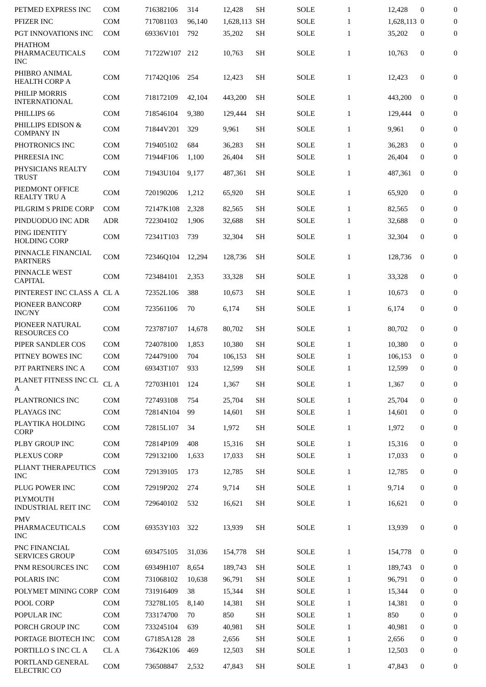| PETMED EXPRESS INC                              | <b>COM</b>   | 716382106 | 314    | 12,428       | <b>SH</b> | <b>SOLE</b> | $\mathbf{1}$ | 12,428      | $\bf{0}$         | $\mathbf{0}$     |
|-------------------------------------------------|--------------|-----------|--------|--------------|-----------|-------------|--------------|-------------|------------------|------------------|
| PFIZER INC                                      | <b>COM</b>   | 717081103 | 96,140 | 1,628,113 SH |           | <b>SOLE</b> | $\mathbf{1}$ | 1,628,113 0 |                  | $\boldsymbol{0}$ |
| PGT INNOVATIONS INC                             | <b>COM</b>   | 69336V101 | 792    | 35,202       | <b>SH</b> | <b>SOLE</b> | $\mathbf{1}$ | 35,202      | $\boldsymbol{0}$ | 0                |
| <b>PHATHOM</b><br>PHARMACEUTICALS<br><b>INC</b> | <b>COM</b>   | 71722W107 | 212    | 10,763       | <b>SH</b> | SOLE        | $\mathbf{1}$ | 10,763      | $\boldsymbol{0}$ | 0                |
| PHIBRO ANIMAL<br><b>HEALTH CORP A</b>           | <b>COM</b>   | 71742Q106 | 254    | 12,423       | <b>SH</b> | SOLE        | $\mathbf{1}$ | 12,423      | $\boldsymbol{0}$ | 0                |
| PHILIP MORRIS<br><b>INTERNATIONAL</b>           | <b>COM</b>   | 718172109 | 42,104 | 443,200      | <b>SH</b> | SOLE        | $\mathbf{1}$ | 443,200     | $\mathbf{0}$     | $\overline{0}$   |
| PHILLIPS 66                                     | <b>COM</b>   | 718546104 | 9,380  | 129,444      | <b>SH</b> | <b>SOLE</b> | $\mathbf{1}$ | 129,444     | $\mathbf{0}$     | $\mathbf{0}$     |
| PHILLIPS EDISON &<br><b>COMPANY IN</b>          | <b>COM</b>   | 71844V201 | 329    | 9,961        | <b>SH</b> | <b>SOLE</b> | $\mathbf{1}$ | 9,961       | $\boldsymbol{0}$ | $\boldsymbol{0}$ |
| PHOTRONICS INC                                  | <b>COM</b>   | 719405102 | 684    | 36,283       | <b>SH</b> | <b>SOLE</b> | $\mathbf{1}$ | 36,283      | $\mathbf{0}$     | $\mathbf{0}$     |
| PHREESIA INC                                    | <b>COM</b>   | 71944F106 | 1,100  | 26,404       | <b>SH</b> | <b>SOLE</b> | $\mathbf{1}$ | 26,404      | $\bf{0}$         | $\mathbf{0}$     |
| PHYSICIANS REALTY<br><b>TRUST</b>               | <b>COM</b>   | 71943U104 | 9,177  | 487,361      | <b>SH</b> | <b>SOLE</b> | $\mathbf{1}$ | 487,361     | $\mathbf{0}$     | 0                |
| PIEDMONT OFFICE<br><b>REALTY TRU A</b>          | <b>COM</b>   | 720190206 | 1,212  | 65,920       | <b>SH</b> | <b>SOLE</b> | $\mathbf{1}$ | 65,920      | $\boldsymbol{0}$ | $\boldsymbol{0}$ |
| PILGRIM S PRIDE CORP                            | <b>COM</b>   | 72147K108 | 2,328  | 82,565       | <b>SH</b> | <b>SOLE</b> | $\mathbf{1}$ | 82,565      | $\mathbf{0}$     | $\boldsymbol{0}$ |
| PINDUODUO INC ADR                               | <b>ADR</b>   | 722304102 | 1,906  | 32,688       | <b>SH</b> | <b>SOLE</b> | $\mathbf{1}$ | 32,688      | $\bf{0}$         | $\mathbf{0}$     |
| PING IDENTITY<br><b>HOLDING CORP</b>            | <b>COM</b>   | 72341T103 | 739    | 32,304       | <b>SH</b> | <b>SOLE</b> | $\mathbf{1}$ | 32,304      | $\mathbf{0}$     | $\boldsymbol{0}$ |
| PINNACLE FINANCIAL<br><b>PARTNERS</b>           | <b>COM</b>   | 72346Q104 | 12,294 | 128,736      | <b>SH</b> | <b>SOLE</b> | $\mathbf{1}$ | 128,736     | $\bf{0}$         | 0                |
| PINNACLE WEST<br><b>CAPITAL</b>                 | <b>COM</b>   | 723484101 | 2,353  | 33,328       | <b>SH</b> | <b>SOLE</b> | $\mathbf{1}$ | 33,328      | $\boldsymbol{0}$ | $\boldsymbol{0}$ |
| PINTEREST INC CLASS A CL A                      |              | 72352L106 | 388    | 10,673       | <b>SH</b> | <b>SOLE</b> | $\mathbf{1}$ | 10,673      | $\boldsymbol{0}$ | $\boldsymbol{0}$ |
| PIONEER BANCORP<br><b>INC/NY</b>                | <b>COM</b>   | 723561106 | 70     | 6,174        | <b>SH</b> | <b>SOLE</b> | $\mathbf{1}$ | 6,174       | $\boldsymbol{0}$ | 0                |
| PIONEER NATURAL<br><b>RESOURCES CO</b>          | COM          | 723787107 | 14,678 | 80,702       | <b>SH</b> | SOLE        | $\mathbf{1}$ | 80,702      | $\mathbf{0}$     | $\boldsymbol{0}$ |
| PIPER SANDLER COS                               | <b>COM</b>   | 724078100 | 1,853  | 10,380       | <b>SH</b> | <b>SOLE</b> | $\mathbf{1}$ | 10.380      | $\mathbf{0}$     | $\boldsymbol{0}$ |
| PITNEY BOWES INC                                | <b>COM</b>   | 724479100 | 704    | 106,153      | <b>SH</b> | <b>SOLE</b> | $\mathbf{1}$ | 106,153     | $\mathbf{0}$     | $\boldsymbol{0}$ |
| PJT PARTNERS INC A                              | <b>COM</b>   | 69343T107 | 933    | 12,599       | SH        | <b>SOLE</b> | 1            | 12.599      | 0                | 0                |
| PLANET FITNESS INC CL<br>A                      | ${\rm CL}$ A | 72703H101 | 124    | 1,367        | <b>SH</b> | SOLE        | $\mathbf{1}$ | 1,367       | $\boldsymbol{0}$ | $\boldsymbol{0}$ |
| PLANTRONICS INC                                 | <b>COM</b>   | 727493108 | 754    | 25,704       | <b>SH</b> | <b>SOLE</b> | $\mathbf{1}$ | 25,704      | $\mathbf{0}$     | $\overline{0}$   |
| PLAYAGS INC                                     | <b>COM</b>   | 72814N104 | 99     | 14,601       | <b>SH</b> | SOLE        | $\mathbf{1}$ | 14,601      | $\bf{0}$         | $\mathbf{0}$     |
| PLAYTIKA HOLDING<br><b>CORP</b>                 | COM          | 72815L107 | 34     | 1,972        | <b>SH</b> | SOLE        | $\mathbf{1}$ | 1,972       | $\bf{0}$         | $\boldsymbol{0}$ |
| PLBY GROUP INC                                  | <b>COM</b>   | 72814P109 | 408    | 15,316       | <b>SH</b> | <b>SOLE</b> | $\mathbf{1}$ | 15,316      | $\mathbf{0}$     | $\mathbf{0}$     |
| <b>PLEXUS CORP</b>                              | COM          | 729132100 | 1,633  | 17,033       | <b>SH</b> | <b>SOLE</b> | $\mathbf{1}$ | 17,033      | $\bf{0}$         | $\mathbf{0}$     |
| PLIANT THERAPEUTICS<br><b>INC</b>               | COM          | 729139105 | 173    | 12,785       | <b>SH</b> | SOLE        | $\mathbf{1}$ | 12,785      | $\bf{0}$         | $\boldsymbol{0}$ |
| PLUG POWER INC                                  | <b>COM</b>   | 72919P202 | 274    | 9,714        | <b>SH</b> | SOLE        | $\mathbf{1}$ | 9,714       | $\mathbf{0}$     | $\boldsymbol{0}$ |
| <b>PLYMOUTH</b><br>INDUSTRIAL REIT INC          | <b>COM</b>   | 729640102 | 532    | 16,621       | <b>SH</b> | SOLE        | $\mathbf{1}$ | 16,621      | $\bf{0}$         | $\bf{0}$         |
| <b>PMV</b><br>PHARMACEUTICALS<br><b>INC</b>     | <b>COM</b>   | 69353Y103 | 322    | 13,939       | <b>SH</b> | SOLE        | $\mathbf{1}$ | 13,939      | $\mathbf{0}$     | 0                |
| PNC FINANCIAL<br><b>SERVICES GROUP</b>          | <b>COM</b>   | 693475105 | 31,036 | 154,778      | <b>SH</b> | <b>SOLE</b> | $\mathbf{1}$ | 154,778     | $\bf{0}$         | $\mathbf{0}$     |
| PNM RESOURCES INC                               | COM          | 69349H107 | 8,654  | 189,743      | <b>SH</b> | SOLE        | $\mathbf{1}$ | 189,743     | $\bf{0}$         | $\mathbf{0}$     |
| POLARIS INC                                     | <b>COM</b>   | 731068102 | 10,638 | 96,791       | <b>SH</b> | SOLE        | $\mathbf{1}$ | 96,791      | $\bf{0}$         | 0                |
| POLYMET MINING CORP                             | COM          | 731916409 | 38     | 15,344       | <b>SH</b> | SOLE        | $\mathbf{1}$ | 15,344      | $\mathbf{0}$     | $\mathbf{0}$     |
| POOL CORP                                       | <b>COM</b>   | 73278L105 | 8,140  | 14,381       | <b>SH</b> | SOLE        | $\mathbf{1}$ | 14,381      | $\bf{0}$         | $\mathbf{0}$     |
| POPULAR INC                                     | <b>COM</b>   | 733174700 | 70     | 850          | <b>SH</b> | SOLE        | $\mathbf{1}$ | 850         | $\mathbf{0}$     | $\mathbf{0}$     |
| PORCH GROUP INC                                 | <b>COM</b>   | 733245104 | 639    | 40,981       | <b>SH</b> | SOLE        | $\mathbf{1}$ | 40,981      | $\bf{0}$         | $\bf{0}$         |
| PORTAGE BIOTECH INC                             | <b>COM</b>   | G7185A128 | 28     | 2,656        | <b>SH</b> | SOLE        | $\mathbf{1}$ | 2,656       | $\mathbf{0}$     | 0                |
| PORTILLO S INC CL A                             | CL A         | 73642K106 | 469    | 12,503       | SH        | <b>SOLE</b> | $\mathbf{1}$ | 12,503      | $\bf{0}$         | $\boldsymbol{0}$ |
| PORTLAND GENERAL<br>ELECTRIC CO                 | COM          | 736508847 | 2,532  | 47,843       | <b>SH</b> | <b>SOLE</b> | $\mathbf{1}$ | 47,843      | $\bf{0}$         | 0                |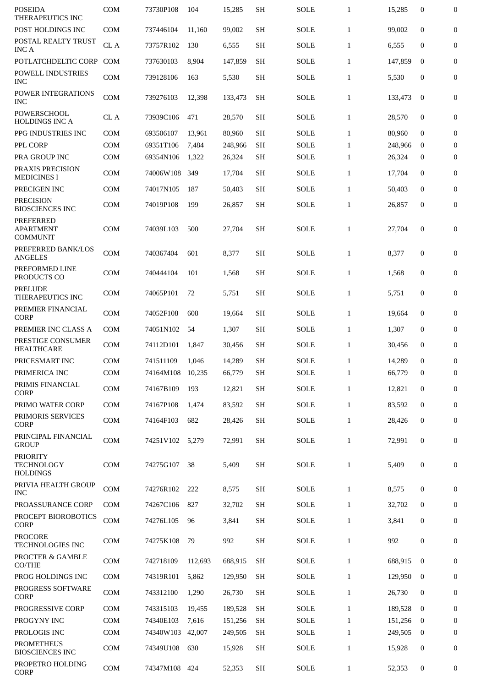| <b>POSEIDA</b><br>THERAPEUTICS INC                      | <b>COM</b>                  | 73730P108 | 104     | 15,285  | <b>SH</b> | <b>SOLE</b> | $\mathbf{1}$ | 15,285  | 0                | 0                |
|---------------------------------------------------------|-----------------------------|-----------|---------|---------|-----------|-------------|--------------|---------|------------------|------------------|
| POST HOLDINGS INC                                       | <b>COM</b>                  | 737446104 | 11.160  | 99,002  | <b>SH</b> | <b>SOLE</b> | $\mathbf{1}$ | 99.002  | $\boldsymbol{0}$ | 0                |
| POSTAL REALTY TRUST<br><b>INC A</b>                     | CL A                        | 73757R102 | 130     | 6,555   | <b>SH</b> | <b>SOLE</b> | $\mathbf{1}$ | 6,555   | 0                | $\boldsymbol{0}$ |
| POTLATCHDELTIC CORP                                     | <b>COM</b>                  | 737630103 | 8,904   | 147,859 | <b>SH</b> | <b>SOLE</b> | $\mathbf{1}$ | 147,859 | $\mathbf{0}$     | 0                |
| POWELL INDUSTRIES<br><b>INC</b>                         | <b>COM</b>                  | 739128106 | 163     | 5,530   | <b>SH</b> | <b>SOLE</b> | $\mathbf{1}$ | 5,530   | 0                | 0                |
| POWER INTEGRATIONS<br><b>INC</b>                        | <b>COM</b>                  | 739276103 | 12,398  | 133,473 | <b>SH</b> | <b>SOLE</b> | $\mathbf{1}$ | 133,473 | $\mathbf{0}$     | $\mathbf{0}$     |
| POWERSCHOOL<br><b>HOLDINGS INC A</b>                    | CL A                        | 73939C106 | 471     | 28,570  | <b>SH</b> | <b>SOLE</b> | $\mathbf{1}$ | 28,570  | 0                | 0                |
| PPG INDUSTRIES INC                                      | <b>COM</b>                  | 693506107 | 13,961  | 80,960  | <b>SH</b> | <b>SOLE</b> | $\mathbf{1}$ | 80,960  | $\mathbf{0}$     | 0                |
| PPL CORP                                                | <b>COM</b>                  | 69351T106 | 7,484   | 248,966 | <b>SH</b> | <b>SOLE</b> | $\mathbf{1}$ | 248,966 | $\bf{0}$         | $\mathbf{0}$     |
| PRA GROUP INC                                           | <b>COM</b>                  | 69354N106 | 1,322   | 26,324  | <b>SH</b> | <b>SOLE</b> | $\mathbf{1}$ | 26,324  | $\mathbf{0}$     | 0                |
| PRAXIS PRECISION<br><b>MEDICINES I</b>                  | COM                         | 74006W108 | 349     | 17,704  | <b>SH</b> | <b>SOLE</b> | $\mathbf{1}$ | 17,704  | 0                | 0                |
| PRECIGEN INC                                            | <b>COM</b>                  | 74017N105 | 187     | 50,403  | <b>SH</b> | <b>SOLE</b> | $\mathbf{1}$ | 50,403  | $\mathbf{0}$     | 0                |
| <b>PRECISION</b><br><b>BIOSCIENCES INC</b>              | <b>COM</b>                  | 74019P108 | 199     | 26,857  | <b>SH</b> | SOLE        | $\mathbf{1}$ | 26,857  | $\mathbf{0}$     | $\mathbf{0}$     |
| <b>PREFERRED</b><br><b>APARTMENT</b><br><b>COMMUNIT</b> | <b>COM</b>                  | 74039L103 | 500     | 27,704  | <b>SH</b> | <b>SOLE</b> | $\mathbf{1}$ | 27,704  | 0                | $\mathbf{0}$     |
| PREFERRED BANK/LOS<br><b>ANGELES</b>                    | <b>COM</b>                  | 740367404 | 601     | 8,377   | <b>SH</b> | <b>SOLE</b> | $\mathbf{1}$ | 8,377   | 0                | 0                |
| PREFORMED LINE<br>PRODUCTS CO                           | <b>COM</b>                  | 740444104 | 101     | 1,568   | <b>SH</b> | <b>SOLE</b> | $\mathbf{1}$ | 1,568   | 0                | 0                |
| <b>PRELUDE</b><br>THERAPEUTICS INC                      | <b>COM</b>                  | 74065P101 | 72      | 5,751   | <b>SH</b> | <b>SOLE</b> | $\mathbf{1}$ | 5,751   | $\mathbf{0}$     | 0                |
| PREMIER FINANCIAL<br><b>CORP</b>                        | <b>COM</b>                  | 74052F108 | 608     | 19,664  | <b>SH</b> | <b>SOLE</b> | $\mathbf{1}$ | 19,664  | $\mathbf{0}$     | 0                |
| PREMIER INC CLASS A                                     | <b>COM</b>                  | 74051N102 | 54      | 1,307   | <b>SH</b> | <b>SOLE</b> | $\mathbf{1}$ | 1,307   | 0                | 0                |
| PRESTIGE CONSUMER<br><b>HEALTHCARE</b>                  | <b>COM</b>                  | 74112D101 | 1,847   | 30,456  | <b>SH</b> | <b>SOLE</b> | $\mathbf{1}$ | 30,456  | 0                | 0                |
| PRICESMART INC                                          | <b>COM</b>                  | 741511109 | 1,046   | 14,289  | <b>SH</b> | <b>SOLE</b> | $\mathbf{1}$ | 14,289  | $\mathbf{0}$     | 0                |
| PRIMERICA INC                                           | <b>COM</b>                  | 74164M108 | 10,235  | 66,779  | <b>SH</b> | SOLE        | $\mathbf{1}$ | 66,779  | 0                | 0                |
| PRIMIS FINANCIAL<br><b>CORP</b>                         | COM                         | 74167B109 | 193     | 12,821  | <b>SH</b> | <b>SOLE</b> | $\mathbf{1}$ | 12,821  | $\bf{0}$         | 0                |
| PRIMO WATER CORP                                        | <b>COM</b>                  | 74167P108 | 1,474   | 83,592  | <b>SH</b> | <b>SOLE</b> | $\mathbf{1}$ | 83,592  | $\bf{0}$         | 0                |
| PRIMORIS SERVICES<br><b>CORP</b>                        | COM                         | 74164F103 | 682     | 28,426  | <b>SH</b> | <b>SOLE</b> | $\mathbf{1}$ | 28,426  | $\mathbf{0}$     | 0                |
| PRINCIPAL FINANCIAL<br><b>GROUP</b>                     | $\mathop{\rm COM}\nolimits$ | 74251V102 | 5,279   | 72,991  | SH        | <b>SOLE</b> | $\mathbf{1}$ | 72,991  | $\boldsymbol{0}$ | 0                |
| <b>PRIORITY</b><br><b>TECHNOLOGY</b><br><b>HOLDINGS</b> | COM                         | 74275G107 | 38      | 5,409   | <b>SH</b> | <b>SOLE</b> | $\mathbf{1}$ | 5,409   | 0                | 0                |
| PRIVIA HEALTH GROUP<br><b>INC</b>                       | <b>COM</b>                  | 74276R102 | 222     | 8,575   | <b>SH</b> | <b>SOLE</b> | $\mathbf{1}$ | 8,575   | 0                | 0                |
| PROASSURANCE CORP                                       | <b>COM</b>                  | 74267C106 | 827     | 32,702  | <b>SH</b> | <b>SOLE</b> | $\mathbf{1}$ | 32,702  | 0                | $\boldsymbol{0}$ |
| PROCEPT BIOROBOTICS<br>CORP                             | COM                         | 74276L105 | 96      | 3,841   | <b>SH</b> | <b>SOLE</b> | $\mathbf{1}$ | 3,841   | 0                | 0                |
| <b>PROCORE</b><br><b>TECHNOLOGIES INC</b>               | <b>COM</b>                  | 74275K108 | 79      | 992     | <b>SH</b> | <b>SOLE</b> | $\mathbf{1}$ | 992     | $\boldsymbol{0}$ | 0                |
| PROCTER & GAMBLE<br>CO/THE                              | COM                         | 742718109 | 112,693 | 688,915 | <b>SH</b> | <b>SOLE</b> | $\mathbf{1}$ | 688,915 | $\mathbf{0}$     | $\mathbf{0}$     |
| PROG HOLDINGS INC                                       | <b>COM</b>                  | 74319R101 | 5,862   | 129,950 | <b>SH</b> | <b>SOLE</b> | $\mathbf{1}$ | 129,950 | $\bf{0}$         | 0                |
| PROGRESS SOFTWARE<br><b>CORP</b>                        | COM                         | 743312100 | 1,290   | 26,730  | SH        | <b>SOLE</b> | $\mathbf{1}$ | 26,730  | $\bf{0}$         | 0                |
| PROGRESSIVE CORP                                        | <b>COM</b>                  | 743315103 | 19,455  | 189,528 | <b>SH</b> | <b>SOLE</b> | $\mathbf{1}$ | 189,528 | $\bf{0}$         | 0                |
| PROGYNY INC                                             | <b>COM</b>                  | 74340E103 | 7,616   | 151,256 | <b>SH</b> | <b>SOLE</b> | $\mathbf{1}$ | 151,256 | $\bf{0}$         | 0                |
| PROLOGIS INC                                            | COM                         | 74340W103 | 42,007  | 249,505 | SH        | <b>SOLE</b> | $\mathbf{1}$ | 249,505 | 0                | 0                |
| <b>PROMETHEUS</b><br><b>BIOSCIENCES INC</b>             | COM                         | 74349U108 | 630     | 15,928  | <b>SH</b> | <b>SOLE</b> | $\mathbf{1}$ | 15,928  | $\bf{0}$         | 0                |
| PROPETRO HOLDING<br>CORP                                | COM                         | 74347M108 | 424     | 52,353  | SH        | SOLE        | $\mathbf{1}$ | 52,353  | $\bf{0}$         | 0                |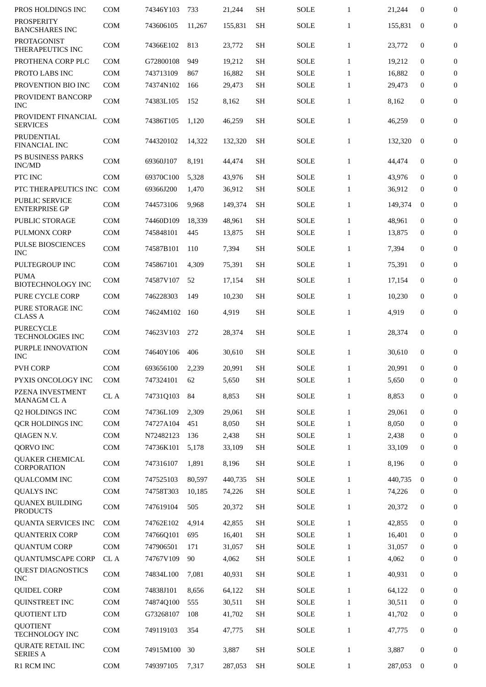| PROS HOLDINGS INC                             | <b>COM</b> | 74346Y103              | 733            | 21,244          | <b>SH</b>              | <b>SOLE</b>         | $\mathbf{1}$                 | 21,244          | $\mathbf{0}$         | $\mathbf{0}$     |
|-----------------------------------------------|------------|------------------------|----------------|-----------------|------------------------|---------------------|------------------------------|-----------------|----------------------|------------------|
| <b>PROSPERITY</b><br><b>BANCSHARES INC</b>    | <b>COM</b> | 743606105              | 11.267         | 155,831         | <b>SH</b>              | <b>SOLE</b>         | $\mathbf{1}$                 | 155,831         | $\bf{0}$             | $\mathbf{0}$     |
| PROTAGONIST<br>THERAPEUTICS INC               | <b>COM</b> | 74366E102              | 813            | 23,772          | <b>SH</b>              | <b>SOLE</b>         | $\mathbf{1}$                 | 23,772          | $\boldsymbol{0}$     | $\boldsymbol{0}$ |
| PROTHENA CORP PLC                             | <b>COM</b> | G72800108              | 949            | 19,212          | SH                     | <b>SOLE</b>         | $\mathbf{1}$                 | 19,212          | $\mathbf{0}$         | $\mathbf{0}$     |
| PROTO LABS INC                                | COM        | 743713109              | 867            | 16,882          | <b>SH</b>              | <b>SOLE</b>         | $\mathbf{1}$                 | 16,882          | $\bf{0}$             | $\mathbf{0}$     |
| PROVENTION BIO INC                            | <b>COM</b> | 74374N102              | 166            | 29,473          | <b>SH</b>              | <b>SOLE</b>         | $\mathbf{1}$                 | 29,473          | $\bf{0}$             | $\boldsymbol{0}$ |
| PROVIDENT BANCORP<br><b>INC</b>               | <b>COM</b> | 74383L105              | 152            | 8,162           | <b>SH</b>              | <b>SOLE</b>         | $\mathbf{1}$                 | 8,162           | $\boldsymbol{0}$     | $\boldsymbol{0}$ |
| PROVIDENT FINANCIAL<br><b>SERVICES</b>        | COM        | 74386T105              | 1,120          | 46,259          | <b>SH</b>              | SOLE                | $\mathbf{1}$                 | 46,259          | $\mathbf{0}$         | $\mathbf{0}$     |
| PRUDENTIAL<br><b>FINANCIAL INC</b>            | <b>COM</b> | 744320102              | 14,322         | 132,320         | <b>SH</b>              | <b>SOLE</b>         | $\mathbf{1}$                 | 132,320         | $\mathbf{0}$         | $\mathbf{0}$     |
| PS BUSINESS PARKS<br>INC/MD                   | COM        | 69360J107              | 8,191          | 44,474          | <b>SH</b>              | SOLE                | $\mathbf{1}$                 | 44,474          | $\boldsymbol{0}$     | $\boldsymbol{0}$ |
| PTC INC                                       | COM        | 69370C100              | 5,328          | 43,976          | <b>SH</b>              | <b>SOLE</b>         | $\mathbf{1}$                 | 43,976          | $\mathbf{0}$         | $\boldsymbol{0}$ |
| PTC THERAPEUTICS INC                          | COM        | 69366J200              | 1,470          | 36,912          | <b>SH</b>              | <b>SOLE</b>         | $\mathbf{1}$                 | 36,912          | $\boldsymbol{0}$     | $\mathbf{0}$     |
| <b>PUBLIC SERVICE</b><br><b>ENTERPRISE GP</b> | <b>COM</b> | 744573106              | 9,968          | 149,374         | <b>SH</b>              | SOLE                | $\mathbf{1}$                 | 149,374         | $\mathbf{0}$         | $\boldsymbol{0}$ |
| <b>PUBLIC STORAGE</b>                         | <b>COM</b> | 74460D109              | 18,339         | 48,961          | <b>SH</b>              | <b>SOLE</b>         | $\mathbf{1}$                 | 48,961          | $\mathbf{0}$         | $\mathbf{0}$     |
| PULMONX CORP                                  | <b>COM</b> | 745848101              | 445            | 13,875          | <b>SH</b>              | <b>SOLE</b>         | $\mathbf{1}$                 | 13,875          | $\bf{0}$             | $\mathbf{0}$     |
| <b>PULSE BIOSCIENCES</b><br><b>INC</b>        | <b>COM</b> | 74587B101              | 110            | 7,394           | <b>SH</b>              | <b>SOLE</b>         | $\mathbf{1}$                 | 7,394           | $\mathbf{0}$         | $\mathbf{0}$     |
| PULTEGROUP INC                                | COM        | 745867101              | 4,309          | 75,391          | SH                     | SOLE                | $\mathbf{1}$                 | 75,391          | $\mathbf{0}$         | $\mathbf{0}$     |
| <b>PUMA</b>                                   |            |                        |                |                 |                        |                     |                              |                 |                      |                  |
| <b>BIOTECHNOLOGY INC</b>                      | <b>COM</b> | 74587V107              | 52             | 17,154          | <b>SH</b>              | <b>SOLE</b>         | $\mathbf{1}$                 | 17,154          | $\mathbf{0}$         | $\boldsymbol{0}$ |
| PURE CYCLE CORP                               | <b>COM</b> | 746228303              | 149            | 10,230          | <b>SH</b>              | <b>SOLE</b>         | $\mathbf{1}$                 | 10,230          | $\mathbf{0}$         | $\mathbf{0}$     |
| PURE STORAGE INC<br><b>CLASS A</b>            | <b>COM</b> | 74624M102              | 160            | 4,919           | SH                     | <b>SOLE</b>         | $\mathbf{1}$                 | 4,919           | $\mathbf{0}$         | $\bf{0}$         |
| <b>PURECYCLE</b><br>TECHNOLOGIES INC          | <b>COM</b> | 74623V103              | 272            | 28,374          | <b>SH</b>              | SOLE                | $\mathbf{1}$                 | 28,374          | $\mathbf{0}$         | $\boldsymbol{0}$ |
| PURPLE INNOVATION<br><b>INC</b>               | COM        | 74640Y106              | 406            | 30,610          | SH                     | SOLE                | $\mathbf{1}$                 | 30,610          | $\mathbf{0}$         | $\bf{0}$         |
| <b>PVH CORP</b>                               | COM        | 693656100              | 2,239          | 20,991          | <b>SH</b>              | SOLE                | 1                            | 20,991          | $\Omega$             | $\Omega$         |
| PYXIS ONCOLOGY INC                            | COM        | 747324101              | 62             | 5,650           | <b>SH</b>              | <b>SOLE</b>         | $\mathbf{1}$                 | 5,650           | $\boldsymbol{0}$     | 0                |
| PZENA INVESTMENT<br><b>MANAGM CL A</b>        | CL A       | 74731Q103              | 84             | 8,853           | <b>SH</b>              | <b>SOLE</b>         | $\mathbf{1}$                 | 8,853           | $\boldsymbol{0}$     | $\bf{0}$         |
| Q2 HOLDINGS INC                               | COM        | 74736L109              | 2,309          | 29,061          | <b>SH</b>              | <b>SOLE</b>         | $\mathbf{1}$                 | 29,061          | $\bf{0}$             | $\boldsymbol{0}$ |
|                                               |            |                        | 451            |                 |                        |                     |                              |                 | $\mathbf 0$          |                  |
| QCR HOLDINGS INC                              | COM        | 74727A104              |                | 8,050           | <b>SH</b>              | SOLE                | $\mathbf{1}$                 | 8,050           |                      | $\overline{0}$   |
| QIAGEN N.V.                                   | COM        | N72482123              | 136            | 2,438           | SH                     | <b>SOLE</b>         | $\mathbf{1}$                 | 2,438           | $\mathbf 0$          | $\overline{0}$   |
| QORVO INC<br><b>QUAKER CHEMICAL</b>           | COM<br>COM | 74736K101<br>747316107 | 5,178<br>1,891 | 33,109<br>8,196 | <b>SH</b><br><b>SH</b> | SOLE<br><b>SOLE</b> | $\mathbf{1}$<br>$\mathbf{1}$ | 33,109<br>8,196 | $\bf{0}$<br>$\bf{0}$ | 0<br>0           |
| CORPORATION                                   |            |                        |                |                 |                        |                     |                              |                 |                      |                  |
| <b>QUALCOMM INC</b>                           | <b>COM</b> | 747525103              | 80,597         | 440,735         | <b>SH</b>              | SOLE                | $\mathbf{1}$                 | 440,735         | $\bf{0}$             | 0                |
| <b>QUALYS INC</b>                             | COM        | 74758T303              | 10,185         | 74,226          | <b>SH</b>              | SOLE                | $\mathbf{1}$                 | 74,226          | 0                    | 0                |
| <b>QUANEX BUILDING</b><br><b>PRODUCTS</b>     | COM        | 747619104              | 505            | 20,372          | <b>SH</b>              | SOLE                | $\mathbf{1}$                 | 20,372          | $\boldsymbol{0}$     | 0                |
| <b>QUANTA SERVICES INC</b>                    | <b>COM</b> | 74762E102              | 4,914          | 42,855          | <b>SH</b>              | SOLE                | $\mathbf{1}$                 | 42,855          | $\mathbf{0}$         | $\bf{0}$         |
| <b>QUANTERIX CORP</b>                         | COM        | 74766Q101              | 695            | 16,401          | <b>SH</b>              | <b>SOLE</b>         | $\mathbf{1}$                 | 16,401          | $\bf{0}$             | 0                |
| <b>QUANTUM CORP</b>                           | COM        | 747906501              | 171            | 31,057          | <b>SH</b>              | <b>SOLE</b>         | $\mathbf{1}$                 | 31,057          | 0                    | $\overline{0}$   |
| <b>QUANTUMSCAPE CORP</b>                      | CL A       | 74767V109              | 90             | 4,062           | <b>SH</b>              | <b>SOLE</b>         | $\mathbf{1}$                 | 4,062           | 0                    | $\bf{0}$         |
| <b>QUEST DIAGNOSTICS</b><br><b>INC</b>        | COM        | 74834L100              | 7,081          | 40,931          | SH                     | <b>SOLE</b>         | $\mathbf{1}$                 | 40,931          | $\bf{0}$             | 0                |
| <b>QUIDEL CORP</b>                            | COM        | 74838J101              | 8,656          | 64,122          | <b>SH</b>              | <b>SOLE</b>         | $\mathbf{1}$                 | 64,122          | $\bf{0}$             | $\bf{0}$         |
| <b>QUINSTREET INC</b>                         | COM        | 74874Q100              | 555            | 30,511          | SH                     | <b>SOLE</b>         | $\mathbf{1}$                 | 30,511          | $\mathbf{0}$         | $\mathbf{0}$     |
| <b>QUOTIENT LTD</b>                           | COM        | G73268107              | 108            | 41,702          | <b>SH</b>              | <b>SOLE</b>         | $\mathbf{1}$                 | 41,702          | 0                    | 0                |
| <b>QUOTIENT</b><br>TECHNOLOGY INC             | COM        | 749119103              | 354            | 47,775          | <b>SH</b>              | <b>SOLE</b>         | $\mathbf{1}$                 | 47,775          | $\bf{0}$             | $\bf{0}$         |
| <b>QURATE RETAIL INC</b><br><b>SERIES A</b>   | COM        | 74915M100              | 30             | 3,887           | SH                     | SOLE                | $\mathbf{1}$                 | 3,887           | $\boldsymbol{0}$     | 0                |
| R1 RCM INC                                    | COM        | 749397105              | 7,317          | 287,053         | $\operatorname{SH}$    | SOLE                | $\mathbf{1}$                 | 287,053         | $\bf{0}$             | 0                |
|                                               |            |                        |                |                 |                        |                     |                              |                 |                      |                  |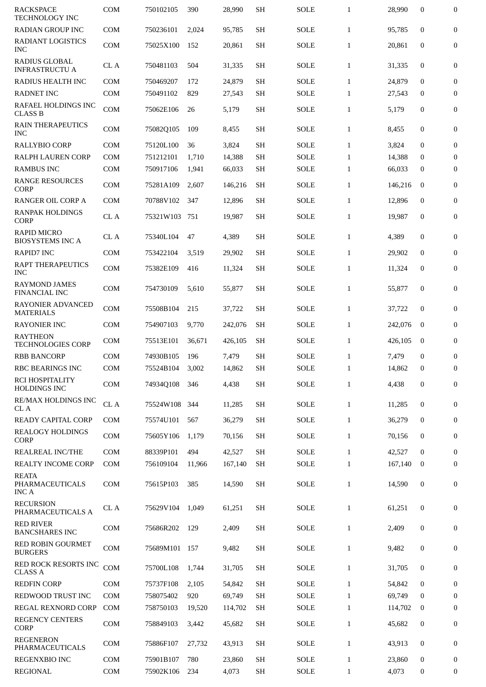| <b>RACKSPACE</b><br><b>TECHNOLOGY INC</b>       | <b>COM</b>   | 750102105 | 390    | 28,990  | <b>SH</b> | <b>SOLE</b> | $\mathbf{1}$ | 28,990  | 0            | 0                |
|-------------------------------------------------|--------------|-----------|--------|---------|-----------|-------------|--------------|---------|--------------|------------------|
| <b>RADIAN GROUP INC</b>                         | <b>COM</b>   | 750236101 | 2,024  | 95,785  | <b>SH</b> | <b>SOLE</b> | $\mathbf{1}$ | 95,785  | 0            | 0                |
| RADIANT LOGISTICS<br><b>INC</b>                 | <b>COM</b>   | 75025X100 | 152    | 20,861  | <b>SH</b> | <b>SOLE</b> | $\mathbf{1}$ | 20,861  | $\mathbf{0}$ | 0                |
| <b>RADIUS GLOBAL</b><br><b>INFRASTRUCTU A</b>   | CL A         | 750481103 | 504    | 31,335  | <b>SH</b> | SOLE        | $\mathbf{1}$ | 31,335  | $\mathbf{0}$ | 0                |
| RADIUS HEALTH INC                               | <b>COM</b>   | 750469207 | 172    | 24,879  | <b>SH</b> | <b>SOLE</b> | $\mathbf{1}$ | 24,879  | $\mathbf{0}$ | $\mathbf{0}$     |
| <b>RADNET INC</b>                               | <b>COM</b>   | 750491102 | 829    | 27,543  | <b>SH</b> | <b>SOLE</b> | $\mathbf{1}$ | 27,543  | 0            | 0                |
| RAFAEL HOLDINGS INC<br><b>CLASS B</b>           | <b>COM</b>   | 75062E106 | 26     | 5,179   | <b>SH</b> | <b>SOLE</b> | $\mathbf{1}$ | 5,179   | 0            | 0                |
| <b>RAIN THERAPEUTICS</b><br><b>INC</b>          | <b>COM</b>   | 75082Q105 | 109    | 8,455   | <b>SH</b> | <b>SOLE</b> | $\mathbf{1}$ | 8,455   | $\mathbf{0}$ | 0                |
| <b>RALLYBIO CORP</b>                            | <b>COM</b>   | 75120L100 | 36     | 3,824   | <b>SH</b> | <b>SOLE</b> | $\mathbf{1}$ | 3,824   | $\mathbf{0}$ | 0                |
| <b>RALPH LAUREN CORP</b>                        | <b>COM</b>   | 751212101 | 1,710  | 14,388  | <b>SH</b> | <b>SOLE</b> | $\mathbf{1}$ | 14,388  | $\mathbf{0}$ | 0                |
| <b>RAMBUS INC</b>                               | <b>COM</b>   | 750917106 | 1,941  | 66,033  | <b>SH</b> | <b>SOLE</b> | $\mathbf{1}$ | 66,033  | 0            | 0                |
| <b>RANGE RESOURCES</b><br><b>CORP</b>           | <b>COM</b>   | 75281A109 | 2,607  | 146,216 | <b>SH</b> | <b>SOLE</b> | $\mathbf{1}$ | 146,216 | $\mathbf{0}$ | 0                |
| <b>RANGER OIL CORP A</b>                        | <b>COM</b>   | 70788V102 | 347    | 12,896  | <b>SH</b> | <b>SOLE</b> | $\mathbf{1}$ | 12,896  | $\mathbf{0}$ | 0                |
| <b>RANPAK HOLDINGS</b><br><b>CORP</b>           | CL A         | 75321W103 | 751    | 19,987  | <b>SH</b> | <b>SOLE</b> | $\mathbf{1}$ | 19,987  | $\mathbf{0}$ | 0                |
| <b>RAPID MICRO</b><br><b>BIOSYSTEMS INC A</b>   | CL A         | 75340L104 | 47     | 4,389   | <b>SH</b> | <b>SOLE</b> | $\mathbf{1}$ | 4,389   | $\mathbf{0}$ | $\boldsymbol{0}$ |
| <b>RAPID7 INC</b>                               | <b>COM</b>   | 753422104 | 3,519  | 29,902  | <b>SH</b> | <b>SOLE</b> | $\mathbf{1}$ | 29,902  | 0            | $\boldsymbol{0}$ |
| RAPT THERAPEUTICS<br><b>INC</b>                 | <b>COM</b>   | 75382E109 | 416    | 11,324  | <b>SH</b> | <b>SOLE</b> | $\mathbf{1}$ | 11,324  | $\mathbf{0}$ | 0                |
| <b>RAYMOND JAMES</b><br><b>FINANCIAL INC</b>    | <b>COM</b>   | 754730109 | 5,610  | 55,877  | <b>SH</b> | <b>SOLE</b> | $\mathbf{1}$ | 55,877  | 0            | $\mathbf{0}$     |
| <b>RAYONIER ADVANCED</b><br><b>MATERIALS</b>    | <b>COM</b>   | 75508B104 | 215    | 37,722  | <b>SH</b> | <b>SOLE</b> | $\mathbf{1}$ | 37,722  | 0            | 0                |
| <b>RAYONIER INC</b>                             | <b>COM</b>   | 754907103 | 9,770  | 242,076 | <b>SH</b> | <b>SOLE</b> | $\mathbf{1}$ | 242,076 | $\mathbf{0}$ | 0                |
| <b>RAYTHEON</b><br><b>TECHNOLOGIES CORP</b>     | <b>COM</b>   | 75513E101 | 36,671 | 426.105 | <b>SH</b> | <b>SOLE</b> | $\mathbf{1}$ | 426,105 | $\mathbf{0}$ | 0                |
| <b>RBB BANCORP</b>                              | <b>COM</b>   | 74930B105 | 196    | 7,479   | <b>SH</b> | <b>SOLE</b> | $\mathbf{1}$ | 7,479   | $\mathbf{0}$ | 0                |
| RBC BEARINGS INC                                | <b>COM</b>   | 75524B104 | 3,002  | 14,862  | <b>SH</b> | <b>SOLE</b> | 1            | 14,862  | 0            | 0                |
| <b>RCI HOSPITALITY</b><br>HOLDINGS INC          | <b>COM</b>   | 74934Q108 | 346    | 4,438   | <b>SH</b> | <b>SOLE</b> | $\mathbf{1}$ | 4,438   | 0            | $\boldsymbol{0}$ |
| RE/MAX HOLDINGS INC<br>CL A                     | ${\rm CL}$ A | 75524W108 | 344    | 11,285  | <b>SH</b> | <b>SOLE</b> | $\mathbf{1}$ | 11,285  | $\bf{0}$     | $\boldsymbol{0}$ |
| READY CAPITAL CORP                              | <b>COM</b>   | 75574U101 | 567    | 36,279  | <b>SH</b> | <b>SOLE</b> | $\mathbf{1}$ | 36,279  | 0            | $\boldsymbol{0}$ |
| <b>REALOGY HOLDINGS</b><br><b>CORP</b>          | COM          | 75605Y106 | 1,179  | 70,156  | <b>SH</b> | <b>SOLE</b> | $\mathbf{1}$ | 70,156  | 0            | $\boldsymbol{0}$ |
| <b>REALREAL INC/THE</b>                         | <b>COM</b>   | 88339P101 | 494    | 42,527  | <b>SH</b> | <b>SOLE</b> | $\mathbf{1}$ | 42,527  | $\mathbf{0}$ | $\boldsymbol{0}$ |
| REALTY INCOME CORP                              | <b>COM</b>   | 756109104 | 11,966 | 167,140 | <b>SH</b> | <b>SOLE</b> | $\mathbf{1}$ | 167,140 | $\bf{0}$     | 0                |
| <b>REATA</b><br>PHARMACEUTICALS<br><b>INC A</b> | <b>COM</b>   | 75615P103 | 385    | 14,590  | <b>SH</b> | <b>SOLE</b> | $\mathbf{1}$ | 14,590  | $\bf{0}$     | 0                |
| <b>RECURSION</b><br>PHARMACEUTICALS A           | CL A         | 75629V104 | 1,049  | 61,251  | <b>SH</b> | <b>SOLE</b> | $\mathbf{1}$ | 61,251  | $\bf{0}$     | 0                |
| <b>RED RIVER</b><br><b>BANCSHARES INC</b>       | <b>COM</b>   | 75686R202 | 129    | 2,409   | SH        | <b>SOLE</b> | $\mathbf{1}$ | 2,409   | 0            | 0                |
| <b>RED ROBIN GOURMET</b><br><b>BURGERS</b>      | <b>COM</b>   | 75689M101 | 157    | 9,482   | SH        | <b>SOLE</b> | $\mathbf{1}$ | 9,482   | 0            | 0                |
| RED ROCK RESORTS INC<br><b>CLASS A</b>          | <b>COM</b>   | 75700L108 | 1,744  | 31,705  | <b>SH</b> | <b>SOLE</b> | $\mathbf{1}$ | 31,705  | 0            | 0                |
| <b>REDFIN CORP</b>                              | <b>COM</b>   | 75737F108 | 2,105  | 54,842  | <b>SH</b> | <b>SOLE</b> | $\mathbf{1}$ | 54,842  | $\mathbf{0}$ | $\boldsymbol{0}$ |
| REDWOOD TRUST INC                               | <b>COM</b>   | 758075402 | 920    | 69,749  | <b>SH</b> | <b>SOLE</b> | $\mathbf{1}$ | 69,749  | $\mathbf{0}$ | 0                |
| REGAL REXNORD CORP                              | <b>COM</b>   | 758750103 | 19,520 | 114,702 | <b>SH</b> | <b>SOLE</b> | $\mathbf{1}$ | 114,702 | 0            | 0                |
| REGENCY CENTERS<br><b>CORP</b>                  | COM          | 758849103 | 3,442  | 45,682  | <b>SH</b> | <b>SOLE</b> | $\mathbf{1}$ | 45,682  | 0            | 0                |
| <b>REGENERON</b><br>PHARMACEUTICALS             | <b>COM</b>   | 75886F107 | 27,732 | 43,913  | <b>SH</b> | <b>SOLE</b> | $\mathbf{1}$ | 43,913  | $\bf{0}$     | 0                |
| REGENXBIO INC                                   | <b>COM</b>   | 75901B107 | 780    | 23,860  | <b>SH</b> | <b>SOLE</b> | $\mathbf{1}$ | 23,860  | $\bf{0}$     | $\boldsymbol{0}$ |
| <b>REGIONAL</b>                                 | COM          | 75902K106 | 234    | 4,073   | SH        | SOLE        | $\mathbf{1}$ | 4,073   | 0            | 0                |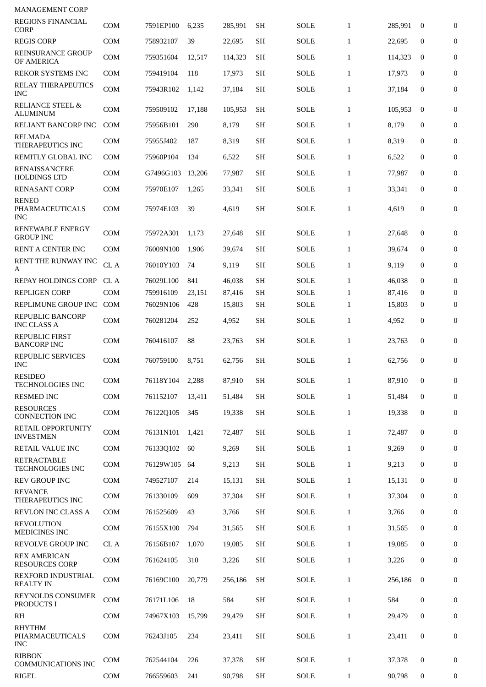| <b>MANAGEMENT CORP</b><br><b>REGIONS FINANCIAL</b> | COM        | 7591EP100 | 6,235  | 285,991 | <b>SH</b> | <b>SOLE</b> | $\mathbf{1}$ | 285,991 | $\bf{0}$         | $\overline{0}$   |
|----------------------------------------------------|------------|-----------|--------|---------|-----------|-------------|--------------|---------|------------------|------------------|
| <b>CORP</b><br><b>REGIS CORP</b>                   | <b>COM</b> | 758932107 | 39     | 22,695  | SH        | SOLE        | $\mathbf{1}$ | 22,695  | $\bf{0}$         | $\mathbf{0}$     |
| <b>REINSURANCE GROUP</b><br>OF AMERICA             | <b>COM</b> | 759351604 | 12,517 | 114,323 | <b>SH</b> | SOLE        | $\mathbf{1}$ | 114,323 | $\bf{0}$         | $\boldsymbol{0}$ |
| REKOR SYSTEMS INC                                  | <b>COM</b> | 759419104 | 118    | 17,973  | <b>SH</b> | SOLE        | $\mathbf{1}$ | 17,973  | $\mathbf{0}$     | $\overline{0}$   |
| <b>RELAY THERAPEUTICS</b><br><b>INC</b>            | <b>COM</b> | 75943R102 | 1,142  | 37,184  | SН        | <b>SOLE</b> | $\mathbf{1}$ | 37,184  | $\bf{0}$         | $\boldsymbol{0}$ |
| <b>RELIANCE STEEL &amp;</b><br><b>ALUMINUM</b>     | <b>COM</b> | 759509102 | 17,188 | 105,953 | SН        | <b>SOLE</b> | $\mathbf{1}$ | 105,953 | $\bf{0}$         | $\boldsymbol{0}$ |
| RELIANT BANCORP INC                                | <b>COM</b> | 75956B101 | 290    | 8,179   | <b>SH</b> | SOLE        | $\mathbf{1}$ | 8,179   | $\mathbf{0}$     | $\mathbf{0}$     |
| <b>RELMADA</b><br>THERAPEUTICS INC                 | <b>COM</b> | 75955J402 | 187    | 8,319   | <b>SH</b> | <b>SOLE</b> | $\mathbf{1}$ | 8,319   | $\mathbf{0}$     | $\overline{0}$   |
| REMITLY GLOBAL INC                                 | <b>COM</b> | 75960P104 | 134    | 6,522   | <b>SH</b> | <b>SOLE</b> | $\mathbf{1}$ | 6,522   | $\mathbf{0}$     | 0                |
| <b>RENAISSANCERE</b><br><b>HOLDINGS LTD</b>        | COM        | G7496G103 | 13.206 | 77,987  | <b>SH</b> | SOLE        | $\mathbf{1}$ | 77,987  | 0                | $\boldsymbol{0}$ |
| <b>RENASANT CORP</b>                               | <b>COM</b> | 75970E107 | 1,265  | 33,341  | <b>SH</b> | <b>SOLE</b> | $\mathbf{1}$ | 33,341  | $\mathbf{0}$     | $\boldsymbol{0}$ |
| <b>RENEO</b><br>PHARMACEUTICALS<br><b>INC</b>      | <b>COM</b> | 75974E103 | 39     | 4,619   | <b>SH</b> | <b>SOLE</b> | $\mathbf{1}$ | 4,619   | $\mathbf{0}$     | $\overline{0}$   |
| <b>RENEWABLE ENERGY</b><br><b>GROUP INC</b>        | <b>COM</b> | 75972A301 | 1,173  | 27,648  | <b>SH</b> | SOLE        | $\mathbf{1}$ | 27,648  | $\mathbf{0}$     | $\mathbf{0}$     |
| RENT A CENTER INC                                  | <b>COM</b> | 76009N100 | 1,906  | 39,674  | <b>SH</b> | <b>SOLE</b> | $\mathbf{1}$ | 39,674  | $\mathbf{0}$     | $\boldsymbol{0}$ |
| <b>RENT THE RUNWAY INC</b><br>A                    | CL A       | 76010Y103 | 74     | 9,119   | <b>SH</b> | <b>SOLE</b> | $\mathbf{1}$ | 9,119   | $\mathbf{0}$     | 0                |
| REPAY HOLDINGS CORP                                | CL A       | 76029L100 | 841    | 46,038  | <b>SH</b> | SOLE        | $\mathbf{1}$ | 46,038  | $\mathbf{0}$     | $\boldsymbol{0}$ |
| <b>REPLIGEN CORP</b>                               | <b>COM</b> | 759916109 | 23,151 | 87,416  | <b>SH</b> | <b>SOLE</b> | $\mathbf{1}$ | 87,416  | $\Omega$         | $\mathbf{0}$     |
| REPLIMUNE GROUP INC                                | <b>COM</b> | 76029N106 | 428    | 15,803  | SH        | SOLE        | $\mathbf{1}$ | 15,803  | $\bf{0}$         | $\mathbf{0}$     |
| <b>REPUBLIC BANCORP</b><br><b>INC CLASS A</b>      | COM        | 760281204 | 252    | 4,952   | SH        | SOLE        | $\mathbf{1}$ | 4,952   | $\mathbf{0}$     | $\boldsymbol{0}$ |
| <b>REPUBLIC FIRST</b><br><b>BANCORP INC</b>        | <b>COM</b> | 760416107 | 88     | 23,763  | <b>SH</b> | <b>SOLE</b> | $\mathbf{1}$ | 23,763  | $\mathbf{0}$     | $\mathbf{0}$     |
| REPUBLIC SERVICES<br><b>INC</b>                    | COM        | 760759100 | 8,751  | 62,756  | <b>SH</b> | SOLE        | 1            | 62,756  | $\mathbf{0}$     | $\overline{0}$   |
| <b>RESIDEO</b><br><b>TECHNOLOGIES INC</b>          | <b>COM</b> | 76118Y104 | 2,288  | 87,910  | <b>SH</b> | <b>SOLE</b> | $\mathbf{1}$ | 87,910  | $\mathbf{0}$     | $\boldsymbol{0}$ |
| <b>RESMED INC</b>                                  | <b>COM</b> | 761152107 | 13,411 | 51,484  | <b>SH</b> | <b>SOLE</b> | $\mathbf{1}$ | 51.484  | $\mathbf{0}$     | $\mathbf{0}$     |
| <b>RESOURCES</b><br><b>CONNECTION INC</b>          | <b>COM</b> | 76122Q105 | 345    | 19,338  | <b>SH</b> | <b>SOLE</b> | $\mathbf{1}$ | 19.338  | $\mathbf{0}$     | $\boldsymbol{0}$ |
| RETAIL OPPORTUNITY<br><b>INVESTMEN</b>             | <b>COM</b> | 76131N101 | 1,421  | 72,487  | <b>SH</b> | <b>SOLE</b> | $\mathbf{1}$ | 72.487  | $\mathbf{0}$     | $\mathbf{0}$     |
| RETAIL VALUE INC                                   | <b>COM</b> | 76133Q102 | 60     | 9,269   | <b>SH</b> | <b>SOLE</b> | $\mathbf{1}$ | 9,269   | $\mathbf{0}$     | $\mathbf{0}$     |
| <b>RETRACTABLE</b><br><b>TECHNOLOGIES INC</b>      | COM        | 76129W105 | -64    | 9,213   | <b>SH</b> | <b>SOLE</b> | $\mathbf{1}$ | 9,213   | $\boldsymbol{0}$ | $\mathbf{0}$     |
| <b>REV GROUP INC</b>                               | <b>COM</b> | 749527107 | 214    | 15,131  | <b>SH</b> | <b>SOLE</b> | $\mathbf{1}$ | 15,131  | 0                | 0                |
| <b>REVANCE</b><br>THERAPEUTICS INC                 | <b>COM</b> | 761330109 | 609    | 37,304  | <b>SH</b> | <b>SOLE</b> | $\mathbf{1}$ | 37,304  | $\mathbf{0}$     | 0                |
| <b>REVLON INC CLASS A</b><br><b>REVOLUTION</b>     | <b>COM</b> | 761525609 | 43     | 3,766   | <b>SH</b> | <b>SOLE</b> | $\mathbf{1}$ | 3,766   | $\mathbf{0}$     | $\mathbf{0}$     |
| MEDICINES INC                                      | <b>COM</b> | 76155X100 | 794    | 31,565  | <b>SH</b> | <b>SOLE</b> | $\mathbf{1}$ | 31,565  | $\mathbf{0}$     | 0                |
| <b>REVOLVE GROUP INC</b>                           | CL A       | 76156B107 | 1,070  | 19,085  | <b>SH</b> | <b>SOLE</b> | $\mathbf{1}$ | 19,085  | $\mathbf{0}$     | 0                |
| <b>REX AMERICAN</b><br><b>RESOURCES CORP</b>       | <b>COM</b> | 761624105 | 310    | 3,226   | <b>SH</b> | <b>SOLE</b> | $\mathbf{1}$ | 3,226   | $\mathbf{0}$     | $\mathbf{0}$     |
| REXFORD INDUSTRIAL<br><b>REALTY IN</b>             | COM        | 76169C100 | 20,779 | 256,186 | <b>SH</b> | <b>SOLE</b> | $\mathbf{1}$ | 256,186 | $\mathbf{0}$     | $\mathbf{0}$     |
| <b>REYNOLDS CONSUMER</b><br>PRODUCTS I             | COM        | 76171L106 | 18     | 584     | <b>SH</b> | SOLE        | $\mathbf{1}$ | 584     | 0                | $\mathbf{0}$     |
| R <sub>H</sub>                                     | <b>COM</b> | 74967X103 | 15,799 | 29,479  | <b>SH</b> | <b>SOLE</b> | $\mathbf{1}$ | 29,479  | $\mathbf{0}$     | $\mathbf{0}$     |
| <b>RHYTHM</b><br>PHARMACEUTICALS<br><b>INC</b>     | <b>COM</b> | 76243J105 | 234    | 23,411  | <b>SH</b> | <b>SOLE</b> | $\mathbf{1}$ | 23,411  | $\mathbf{0}$     | 0                |
| <b>RIBBON</b><br><b>COMMUNICATIONS INC</b>         | <b>COM</b> | 762544104 | 226    | 37,378  | <b>SH</b> | <b>SOLE</b> | $\mathbf{1}$ | 37,378  | 0                | $\mathbf{0}$     |
| <b>RIGEL</b>                                       | <b>COM</b> | 766559603 | 241    | 90,798  | SH        | <b>SOLE</b> | $\mathbf{1}$ | 90,798  | 0                | 0                |
|                                                    |            |           |        |         |           |             |              |         |                  |                  |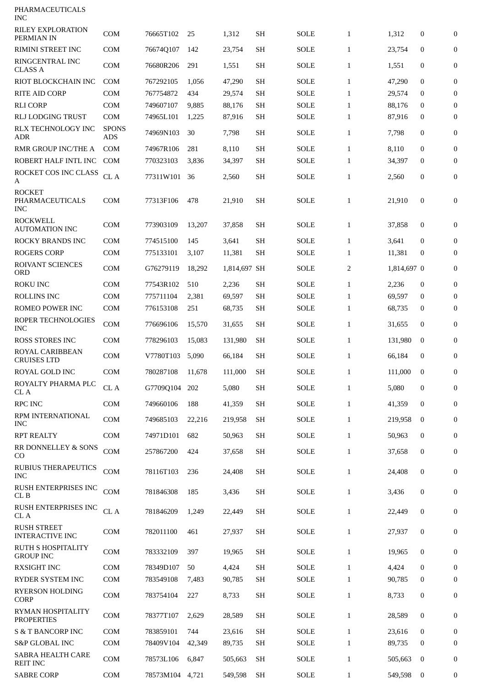| PHARMACEUTICALS<br><b>INC</b>                  |                            |                  |        |              |           |             |                |             |              |                  |
|------------------------------------------------|----------------------------|------------------|--------|--------------|-----------|-------------|----------------|-------------|--------------|------------------|
| <b>RILEY EXPLORATION</b><br>PERMIAN IN         | <b>COM</b>                 | 76665T102        | 25     | 1,312        | <b>SH</b> | <b>SOLE</b> | $\mathbf{1}$   | 1,312       | 0            | $\mathbf{0}$     |
| RIMINI STREET INC                              | <b>COM</b>                 | 76674Q107        | 142    | 23,754       | <b>SH</b> | <b>SOLE</b> | $\mathbf{1}$   | 23,754      | 0            | 0                |
| RINGCENTRAL INC<br><b>CLASS A</b>              | <b>COM</b>                 | 76680R206        | 291    | 1,551        | <b>SH</b> | SOLE        | $\mathbf{1}$   | 1,551       | 0            | $\mathbf{0}$     |
| RIOT BLOCKCHAIN INC                            | <b>COM</b>                 | 767292105        | 1,056  | 47,290       | <b>SH</b> | SOLE        | $\mathbf{1}$   | 47,290      | $\mathbf{0}$ | $\mathbf{0}$     |
| <b>RITE AID CORP</b>                           | <b>COM</b>                 | 767754872        | 434    | 29,574       | <b>SH</b> | <b>SOLE</b> | $\mathbf{1}$   | 29,574      | $\bf{0}$     | 0                |
| <b>RLI CORP</b>                                | <b>COM</b>                 | 749607107        | 9,885  | 88,176       | <b>SH</b> | <b>SOLE</b> | $\mathbf{1}$   | 88,176      | $\bf{0}$     | $\boldsymbol{0}$ |
| <b>RLJ LODGING TRUST</b>                       | <b>COM</b>                 | 74965L101        | 1,225  | 87,916       | <b>SH</b> | <b>SOLE</b> | $\mathbf{1}$   | 87,916      | $\bf{0}$     | $\overline{0}$   |
| RLX TECHNOLOGY INC<br><b>ADR</b>               | <b>SPONS</b><br><b>ADS</b> | 74969N103        | 30     | 7,798        | SH        | SOLE        | $\mathbf{1}$   | 7,798       | $\bf{0}$     | 0                |
| RMR GROUP INC/THE A                            | <b>COM</b>                 | 74967R106        | 281    | 8,110        | <b>SH</b> | <b>SOLE</b> | $\mathbf{1}$   | 8,110       | $\mathbf{0}$ | $\boldsymbol{0}$ |
| ROBERT HALF INTL INC                           | <b>COM</b>                 | 770323103        | 3,836  | 34,397       | <b>SH</b> | <b>SOLE</b> | $\mathbf{1}$   | 34,397      | $\bf{0}$     | 0                |
| ROCKET COS INC CLASS<br>A                      | CL A                       | 77311W101        | 36     | 2,560        | <b>SH</b> | <b>SOLE</b> | $\mathbf{1}$   | 2,560       | $\mathbf{0}$ | 0                |
| <b>ROCKET</b><br>PHARMACEUTICALS<br><b>INC</b> | <b>COM</b>                 | 77313F106        | 478    | 21,910       | <b>SH</b> | <b>SOLE</b> | $\mathbf{1}$   | 21,910      | $\mathbf{0}$ | 0                |
| <b>ROCKWELL</b><br><b>AUTOMATION INC</b>       | COM                        | 773903109        | 13,207 | 37,858       | <b>SH</b> | SOLE        | $\mathbf{1}$   | 37,858      | $\bf{0}$     | $\mathbf{0}$     |
| <b>ROCKY BRANDS INC</b>                        | <b>COM</b>                 | 774515100        | 145    | 3,641        | <b>SH</b> | <b>SOLE</b> | $\mathbf{1}$   | 3,641       | $\mathbf{0}$ | $\mathbf{0}$     |
| <b>ROGERS CORP</b>                             | <b>COM</b>                 | 775133101        | 3,107  | 11,381       | <b>SH</b> | <b>SOLE</b> | 1              | 11,381      | $\bf{0}$     | $\boldsymbol{0}$ |
| ROIVANT SCIENCES<br><b>ORD</b>                 | <b>COM</b>                 | G76279119        | 18,292 | 1,814,697 SH |           | SOLE        | $\overline{2}$ | 1,814,697 0 |              | 0                |
| <b>ROKU INC</b>                                | <b>COM</b>                 | 77543R102        | 510    | 2,236        | <b>SH</b> | <b>SOLE</b> | $\mathbf{1}$   | 2,236       | $\bf{0}$     | 0                |
| <b>ROLLINS INC</b>                             | <b>COM</b>                 | 775711104        | 2,381  | 69,597       | <b>SH</b> | <b>SOLE</b> | $\mathbf{1}$   | 69,597      | $\bf{0}$     | $\bf{0}$         |
| ROMEO POWER INC                                | <b>COM</b>                 | 776153108        | 251    | 68,735       | SH        | <b>SOLE</b> | $\mathbf{1}$   | 68,735      | 0            | 0                |
| ROPER TECHNOLOGIES<br><b>INC</b>               | <b>COM</b>                 | 776696106        | 15,570 | 31,655       | <b>SH</b> | <b>SOLE</b> | $\mathbf{1}$   | 31,655      | $\mathbf{0}$ | $\boldsymbol{0}$ |
| <b>ROSS STORES INC</b>                         | <b>COM</b>                 | 778296103        | 15,083 | 131,980      | <b>SH</b> | SOLE        | $\mathbf{1}$   | 131,980     | $\bf{0}$     | $\mathbf{0}$     |
| <b>ROYAL CARIBBEAN</b><br><b>CRUISES LTD</b>   | <b>COM</b>                 | V7780T103        | 5,090  | 66,184       | SH        | SOLE        | $\mathbf{1}$   | 66,184      | $\mathbf{0}$ | $\overline{0}$   |
| ROYAL GOLD INC                                 | <b>COM</b>                 | 780287108 11,678 |        | 111,000      | <b>SH</b> | SOLE        | 1              | 111,000     | $\bf{0}$     | 0                |
| ROYALTY PHARMA PLC<br>CL A                     | CL A                       | G7709Q104        | 202    | 5,080        | <b>SH</b> | <b>SOLE</b> | $\mathbf{1}$   | 5,080       | $\mathbf{0}$ | $\bf{0}$         |
| <b>RPC INC</b>                                 | <b>COM</b>                 | 749660106        | 188    | 41,359       | <b>SH</b> | <b>SOLE</b> | $\mathbf{1}$   | 41,359      | $\mathbf{0}$ | 0                |
| RPM INTERNATIONAL<br><b>INC</b>                | <b>COM</b>                 | 749685103        | 22,216 | 219,958      | <b>SH</b> | <b>SOLE</b> | $\mathbf{1}$   | 219,958     | $\mathbf{0}$ | $\mathbf{0}$     |
| <b>RPT REALTY</b>                              | COM                        | 74971D101        | 682    | 50,963       | <b>SH</b> | <b>SOLE</b> | $\mathbf{1}$   | 50,963      | $\mathbf{0}$ | 0                |
| RR DONNELLEY & SONS<br>CO                      | COM                        | 257867200        | 424    | 37,658       | <b>SH</b> | <b>SOLE</b> | $\mathbf{1}$   | 37,658      | 0            | 0                |
| <b>RUBIUS THERAPEUTICS</b><br><b>INC</b>       | <b>COM</b>                 | 78116T103        | 236    | 24,408       | <b>SH</b> | <b>SOLE</b> | $\mathbf{1}$   | 24,408      | 0            | 0                |
| RUSH ENTERPRISES INC<br>CL B                   | COM                        | 781846308        | 185    | 3,436        | <b>SH</b> | <b>SOLE</b> | $\mathbf{1}$   | 3,436       | 0            | 0                |
| RUSH ENTERPRISES INC<br>CL A                   | $\rm CL~A$                 | 781846209        | 1,249  | 22,449       | <b>SH</b> | <b>SOLE</b> | $\mathbf{1}$   | 22,449      | 0            | 0                |
| <b>RUSH STREET</b><br><b>INTERACTIVE INC</b>   | <b>COM</b>                 | 782011100        | 461    | 27,937       | <b>SH</b> | <b>SOLE</b> | $\mathbf{1}$   | 27,937      | $\mathbf{0}$ | $\mathbf{0}$     |
| RUTH S HOSPITALITY<br><b>GROUP INC</b>         | <b>COM</b>                 | 783332109        | 397    | 19,965       | <b>SH</b> | <b>SOLE</b> | $\mathbf{1}$   | 19,965      | $\mathbf{0}$ | $\boldsymbol{0}$ |
| <b>RXSIGHT INC</b>                             | <b>COM</b>                 | 78349D107        | 50     | 4,424        | <b>SH</b> | <b>SOLE</b> | $\mathbf{1}$   | 4,424       | $\mathbf{0}$ | 0                |
| RYDER SYSTEM INC                               | <b>COM</b>                 | 783549108        | 7,483  | 90,785       | SH        | <b>SOLE</b> | $\mathbf{1}$   | 90,785      | 0            | 0                |
| <b>RYERSON HOLDING</b><br><b>CORP</b>          | COM                        | 783754104        | 227    | 8,733        | <b>SH</b> | <b>SOLE</b> | $\mathbf{1}$   | 8,733       | 0            | 0                |
| RYMAN HOSPITALITY<br><b>PROPERTIES</b>         | <b>COM</b>                 | 78377T107        | 2,629  | 28,589       | <b>SH</b> | <b>SOLE</b> | $\mathbf{1}$   | 28,589      | $\mathbf{0}$ | 0                |
| <b>S &amp; T BANCORP INC</b>                   | COM                        | 783859101        | 744    | 23,616       | <b>SH</b> | <b>SOLE</b> | $\mathbf{1}$   | 23,616      | $\mathbf{0}$ | 0                |
| <b>S&amp;P GLOBAL INC</b>                      | <b>COM</b>                 | 78409V104        | 42,349 | 89,735       | SH        | <b>SOLE</b> | $\mathbf{1}$   | 89,735      | 0            | $\mathbf{0}$     |
| SABRA HEALTH CARE<br><b>REIT INC</b>           | <b>COM</b>                 | 78573L106        | 6,847  | 505,663      | <b>SH</b> | <b>SOLE</b> | $\mathbf{1}$   | 505,663     | $\bf{0}$     | 0                |
| <b>SABRE CORP</b>                              | COM                        | 78573M104        | 4,721  | 549,598      | <b>SH</b> | <b>SOLE</b> | $\mathbf{1}$   | 549,598     | 0            | 0                |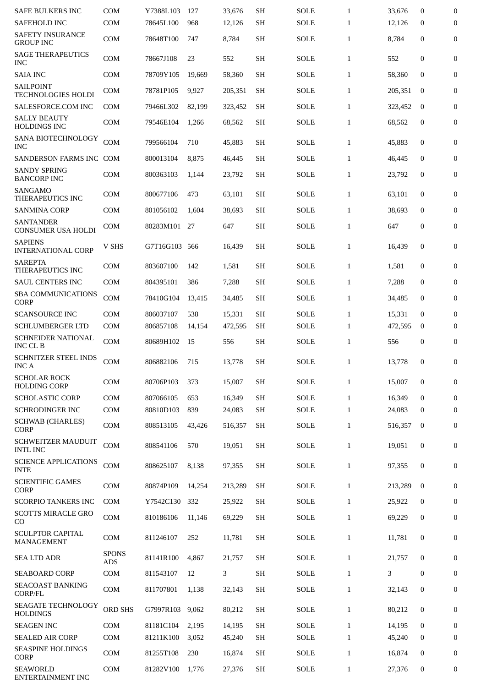| <b>SAFE BULKERS INC</b>                                   | <b>COM</b>                 | Y7388L103 | 127    | 33,676  | <b>SH</b>           | <b>SOLE</b> | $\mathbf{1}$ | 33,676  | $\mathbf{0}$     | $\mathbf{0}$     |
|-----------------------------------------------------------|----------------------------|-----------|--------|---------|---------------------|-------------|--------------|---------|------------------|------------------|
| <b>SAFEHOLD INC</b>                                       | <b>COM</b>                 | 78645L100 | 968    | 12,126  | <b>SH</b>           | <b>SOLE</b> | $\mathbf{1}$ | 12,126  | $\mathbf{0}$     | 0                |
| <b>SAFETY INSURANCE</b><br><b>GROUP INC</b>               | <b>COM</b>                 | 78648T100 | 747    | 8,784   | <b>SH</b>           | <b>SOLE</b> | $\mathbf{1}$ | 8,784   | 0                | 0                |
| <b>SAGE THERAPEUTICS</b><br><b>INC</b>                    | <b>COM</b>                 | 78667J108 | 23     | 552     | SH                  | SOLE        | $\mathbf{1}$ | 552     | 0                | $\mathbf{0}$     |
| <b>SAIA INC</b>                                           | COM                        | 78709Y105 | 19,669 | 58,360  | <b>SH</b>           | <b>SOLE</b> | $\mathbf{1}$ | 58,360  | $\mathbf{0}$     | $\overline{0}$   |
| <b>SAILPOINT</b><br><b>TECHNOLOGIES HOLDI</b>             | <b>COM</b>                 | 78781P105 | 9,927  | 205,351 | <b>SH</b>           | SOLE        | $\mathbf{1}$ | 205.351 | $\bf{0}$         | $\mathbf{0}$     |
| SALESFORCE.COM INC                                        | <b>COM</b>                 | 79466L302 | 82.199 | 323,452 | <b>SH</b>           | <b>SOLE</b> | $\mathbf{1}$ | 323,452 | $\mathbf{0}$     | 0                |
| <b>SALLY BEAUTY</b><br>HOLDINGS INC                       | <b>COM</b>                 | 79546E104 | 1,266  | 68,562  | <b>SH</b>           | <b>SOLE</b> | $\mathbf{1}$ | 68,562  | $\bf{0}$         | 0                |
| SANA BIOTECHNOLOGY<br><b>INC</b>                          | <b>COM</b>                 | 799566104 | 710    | 45,883  | <b>SH</b>           | <b>SOLE</b> | $\mathbf{1}$ | 45,883  | 0                | $\mathbf{0}$     |
| SANDERSON FARMS INC COM                                   |                            | 800013104 | 8,875  | 46,445  | <b>SH</b>           | <b>SOLE</b> | $\mathbf{1}$ | 46,445  | $\mathbf{0}$     | 0                |
| <b>SANDY SPRING</b><br><b>BANCORP INC</b>                 | <b>COM</b>                 | 800363103 | 1,144  | 23,792  | <b>SH</b>           | <b>SOLE</b> | $\mathbf{1}$ | 23,792  | $\mathbf{0}$     | 0                |
| SANGAMO<br><b>THERAPEUTICS INC</b>                        | <b>COM</b>                 | 800677106 | 473    | 63,101  | <b>SH</b>           | <b>SOLE</b> | $\mathbf{1}$ | 63.101  | $\mathbf{0}$     | $\mathbf{0}$     |
| <b>SANMINA CORP</b>                                       | <b>COM</b>                 | 801056102 | 1,604  | 38,693  | SН                  | <b>SOLE</b> | $\mathbf{1}$ | 38,693  | $\bf{0}$         | 0                |
| <b>SANTANDER</b><br><b>CONSUMER USA HOLDI</b>             | <b>COM</b>                 | 80283M101 | 27     | 647     | SH                  | <b>SOLE</b> | $\mathbf{1}$ | 647     | $\boldsymbol{0}$ | $\bf{0}$         |
| <b>SAPIENS</b><br><b>INTERNATIONAL CORP</b>               | V SHS                      | G7T16G103 | 566    | 16,439  | SH                  | <b>SOLE</b> | $\mathbf{1}$ | 16,439  | $\mathbf 0$      | $\bf{0}$         |
| <b>SAREPTA</b><br>THERAPEUTICS INC                        | <b>COM</b>                 | 803607100 | 142    | 1,581   | <b>SH</b>           | <b>SOLE</b> | $\mathbf{1}$ | 1,581   | 0                | 0                |
| <b>SAUL CENTERS INC</b>                                   | <b>COM</b>                 | 804395101 | 386    | 7,288   | <b>SH</b>           | <b>SOLE</b> | $\mathbf{1}$ | 7,288   | 0                | 0                |
| <b>SBA COMMUNICATIONS</b><br><b>CORP</b>                  | COM                        | 78410G104 | 13,415 | 34,485  | <b>SH</b>           | <b>SOLE</b> | $\mathbf{1}$ | 34,485  | 0                | 0                |
| <b>SCANSOURCE INC</b>                                     | <b>COM</b>                 | 806037107 | 538    | 15,331  | <b>SH</b>           | <b>SOLE</b> | $\mathbf{1}$ | 15,331  | $\mathbf 0$      | 0                |
| <b>SCHLUMBERGER LTD</b>                                   | <b>COM</b>                 | 806857108 | 14,154 | 472,595 | SН                  | <b>SOLE</b> | $\mathbf{1}$ | 472,595 | $\bf{0}$         | 0                |
| <b>SCHNEIDER NATIONAL</b><br>INC CL B                     | <b>COM</b>                 | 80689H102 | 15     | 556     | <b>SH</b>           | <b>SOLE</b> | $\mathbf{1}$ | 556     | 0                | 0                |
| <b>SCHNITZER STEEL INDS</b><br><b>INC A</b>               | <b>COM</b>                 | 806882106 | 715    | 13,778  | <b>SH</b>           | <b>SOLE</b> | $\mathbf{1}$ | 13,778  | $\mathbf 0$      | 0                |
| SCHOLAR ROCK<br><b>HOLDING CORP</b>                       | <b>COM</b>                 | 80706P103 | 373    | 15.007  | <b>SH</b>           | <b>SOLE</b> | $\mathbf{1}$ | 15,007  | 0                | 0                |
| <b>SCHOLASTIC CORP</b>                                    | <b>COM</b>                 | 807066105 | 653    | 16,349  | <b>SH</b>           | <b>SOLE</b> | $\mathbf{1}$ | 16,349  | $\overline{0}$   | 0                |
| SCHRODINGER INC                                           | COM                        | 80810D103 | 839    | 24,083  | <b>SH</b>           | SOLE        | $\mathbf{1}$ | 24,083  | $\mathbf 0$      | 0                |
| <b>SCHWAB</b> (CHARLES)<br><b>CORP</b>                    | COM                        | 808513105 | 43,426 | 516,357 | <b>SH</b>           | SOLE        | $\mathbf{1}$ | 516,357 | $\mathbf{0}$     | 0                |
| <b>SCHWEITZER MAUDUIT</b><br><b>INTL INC</b>              | COM                        | 808541106 | 570    | 19,051  | <b>SH</b>           | SOLE        | $\mathbf{1}$ | 19,051  | 0                | 0                |
| <b>SCIENCE APPLICATIONS</b><br>$\ensuremath{\text{INTE}}$ | COM                        | 808625107 | 8,138  | 97,355  | <b>SH</b>           | SOLE        | $\mathbf{1}$ | 97,355  | $\boldsymbol{0}$ | 0                |
| <b>SCIENTIFIC GAMES</b><br>CORP                           | <b>COM</b>                 | 80874P109 | 14,254 | 213,289 | <b>SH</b>           | <b>SOLE</b> | $\mathbf{1}$ | 213,289 | $\mathbf{0}$     | 0                |
| <b>SCORPIO TANKERS INC</b>                                | COM                        | Y7542C130 | 332    | 25,922  | <b>SH</b>           | SOLE        | $\mathbf{1}$ | 25,922  | $\mathbf 0$      | 0                |
| <b>SCOTTS MIRACLE GRO</b><br>CO                           | COM                        | 810186106 | 11,146 | 69,229  | <b>SH</b>           | SOLE        | $\mathbf{1}$ | 69,229  | 0                | 0                |
| <b>SCULPTOR CAPITAL</b><br>MANAGEMENT                     | COM                        | 811246107 | 252    | 11,781  | <b>SH</b>           | SOLE        | $\mathbf{1}$ | 11,781  | 0                | 0                |
| <b>SEA LTD ADR</b>                                        | <b>SPONS</b><br><b>ADS</b> | 81141R100 | 4,867  | 21,757  | <b>SH</b>           | SOLE        | $\mathbf{1}$ | 21,757  | 0                | $\boldsymbol{0}$ |
| <b>SEABOARD CORP</b>                                      | COM                        | 811543107 | 12     | 3       | <b>SH</b>           | <b>SOLE</b> | $\mathbf{1}$ | 3       | $\boldsymbol{0}$ | 0                |
| SEACOAST BANKING<br><b>CORP/FL</b>                        | COM                        | 811707801 | 1,138  | 32,143  | <b>SH</b>           | SOLE        | $\mathbf{1}$ | 32,143  | $\mathbf 0$      | 0                |
| SEAGATE TECHNOLOGY<br><b>HOLDINGS</b>                     | <b>ORD SHS</b>             | G7997R103 | 9,062  | 80,212  | <b>SH</b>           | SOLE        | $\mathbf{1}$ | 80,212  | 0                | 0                |
| <b>SEAGEN INC</b>                                         | COM                        | 81181C104 | 2,195  | 14,195  | <b>SH</b>           | <b>SOLE</b> | $\mathbf{1}$ | 14,195  | $\mathbf 0$      | $\boldsymbol{0}$ |
| <b>SEALED AIR CORP</b>                                    | COM                        | 81211K100 | 3,052  | 45,240  | <b>SH</b>           | <b>SOLE</b> | $\mathbf{1}$ | 45,240  | 0                | 0                |
| SEASPINE HOLDINGS<br>CORP                                 | COM                        | 81255T108 | 230    | 16,874  | <b>SH</b>           | <b>SOLE</b> | $\mathbf{1}$ | 16,874  | 0                | 0                |
| <b>SEAWORLD</b><br>ENTERTAINMENT INC                      | COM                        | 81282V100 | 1,776  | 27,376  | $\operatorname{SH}$ | SOLE        | $\mathbf{1}$ | 27,376  | $\boldsymbol{0}$ | 0                |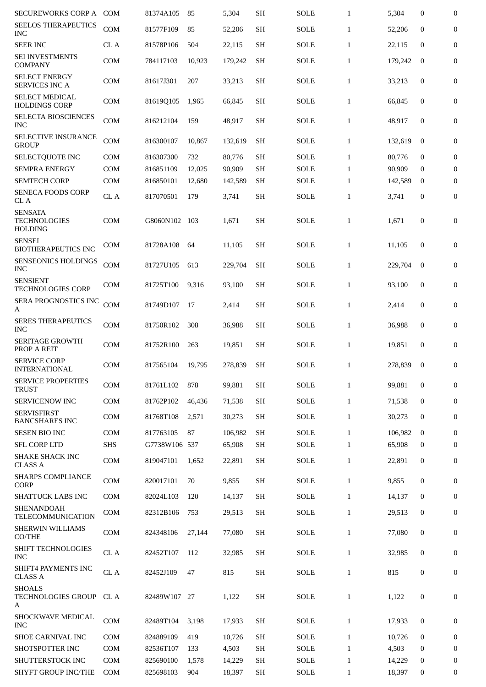| <b>SECUREWORKS CORP A</b>                     | <b>COM</b>   | 81374A105     | 85     | 5,304   | <b>SH</b>           | <b>SOLE</b> | $\mathbf{1}$ | 5,304   | $\boldsymbol{0}$ | $\boldsymbol{0}$ |
|-----------------------------------------------|--------------|---------------|--------|---------|---------------------|-------------|--------------|---------|------------------|------------------|
| <b>SEELOS THERAPEUTICS</b><br>INC             | COM          | 81577F109     | 85     | 52,206  | <b>SH</b>           | <b>SOLE</b> | $\mathbf{1}$ | 52,206  | $\mathbf{0}$     | 0                |
| <b>SEER INC</b>                               | CL A         | 81578P106     | 504    | 22,115  | <b>SH</b>           | <b>SOLE</b> | $\mathbf{1}$ | 22,115  | $\mathbf{0}$     | $\boldsymbol{0}$ |
| SEI INVESTMENTS<br><b>COMPANY</b>             | <b>COM</b>   | 784117103     | 10,923 | 179,242 | <b>SH</b>           | <b>SOLE</b> | $\mathbf{1}$ | 179,242 | $\mathbf{0}$     | $\boldsymbol{0}$ |
| <b>SELECT ENERGY</b><br><b>SERVICES INC A</b> | <b>COM</b>   | 81617J301     | 207    | 33,213  | <b>SH</b>           | SOLE        | $\mathbf{1}$ | 33,213  | $\mathbf{0}$     | $\boldsymbol{0}$ |
| <b>SELECT MEDICAL</b><br><b>HOLDINGS CORP</b> | <b>COM</b>   | 81619Q105     | 1,965  | 66,845  | <b>SH</b>           | SOLE        | $\mathbf{1}$ | 66,845  | $\mathbf{0}$     | 0                |
| SELECTA BIOSCIENCES<br><b>INC</b>             | <b>COM</b>   | 816212104     | 159    | 48,917  | <b>SH</b>           | <b>SOLE</b> | $\mathbf{1}$ | 48,917  | $\mathbf{0}$     | $\boldsymbol{0}$ |
| SELECTIVE INSURANCE<br><b>GROUP</b>           | <b>COM</b>   | 816300107     | 10,867 | 132,619 | <b>SH</b>           | SOLE        | $\mathbf{1}$ | 132,619 | $\mathbf{0}$     | $\mathbf{0}$     |
| SELECTQUOTE INC                               | <b>COM</b>   | 816307300     | 732    | 80,776  | <b>SH</b>           | <b>SOLE</b> | $\mathbf{1}$ | 80,776  | $\mathbf{0}$     | $\boldsymbol{0}$ |
| <b>SEMPRA ENERGY</b>                          | <b>COM</b>   | 816851109     | 12,025 | 90,909  | <b>SH</b>           | <b>SOLE</b> | $\mathbf{1}$ | 90,909  | 0                | $\mathbf{0}$     |
| <b>SEMTECH CORP</b>                           | <b>COM</b>   | 816850101     | 12,680 | 142,589 | <b>SH</b>           | <b>SOLE</b> | $\mathbf{1}$ | 142,589 | $\bf{0}$         | $\mathbf{0}$     |
| <b>SENECA FOODS CORP</b><br>CL A              | CL A         | 817070501     | 179    | 3,741   | <b>SH</b>           | <b>SOLE</b> | $\mathbf{1}$ | 3,741   | $\boldsymbol{0}$ | $\boldsymbol{0}$ |
| <b>SENSATA</b><br>TECHNOLOGIES<br>HOLDING     | <b>COM</b>   | G8060N102     | 103    | 1,671   | <b>SH</b>           | <b>SOLE</b> | $\mathbf{1}$ | 1,671   | $\boldsymbol{0}$ | $\boldsymbol{0}$ |
| <b>SENSEI</b><br><b>BIOTHERAPEUTICS INC</b>   | <b>COM</b>   | 81728A108     | 64     | 11,105  | <b>SH</b>           | <b>SOLE</b> | $\mathbf{1}$ | 11,105  | $\mathbf{0}$     | $\boldsymbol{0}$ |
| <b>SENSEONICS HOLDINGS</b><br><b>INC</b>      | <b>COM</b>   | 81727U105     | 613    | 229,704 | <b>SH</b>           | <b>SOLE</b> | $\mathbf{1}$ | 229,704 | $\mathbf{0}$     | $\boldsymbol{0}$ |
| <b>SENSIENT</b><br><b>TECHNOLOGIES CORP</b>   | <b>COM</b>   | 81725T100     | 9,316  | 93,100  | <b>SH</b>           | <b>SOLE</b> | $\mathbf{1}$ | 93,100  | $\mathbf{0}$     | $\boldsymbol{0}$ |
| SERA PROGNOSTICS INC<br>A                     | COM          | 81749D107     | 17     | 2,414   | SH                  | <b>SOLE</b> | $\mathbf{1}$ | 2,414   | $\mathbf{0}$     | $\boldsymbol{0}$ |
| <b>SERES THERAPEUTICS</b><br><b>INC</b>       | <b>COM</b>   | 81750R102     | 308    | 36,988  | <b>SH</b>           | <b>SOLE</b> | $\mathbf{1}$ | 36,988  | $\mathbf{0}$     | $\boldsymbol{0}$ |
| SERITAGE GROWTH<br>PROP A REIT                | <b>COM</b>   | 81752R100     | 263    | 19,851  | <b>SH</b>           | <b>SOLE</b> | $\mathbf{1}$ | 19,851  | $\boldsymbol{0}$ | 0                |
| <b>SERVICE CORP</b><br><b>INTERNATIONAL</b>   | <b>COM</b>   | 817565104     | 19,795 | 278,839 | <b>SH</b>           | <b>SOLE</b> | $\mathbf{1}$ | 278,839 | $\mathbf{0}$     | $\mathbf{0}$     |
| <b>SERVICE PROPERTIES</b><br><b>TRUST</b>     | <b>COM</b>   | 81761L102     | 878    | 99,881  | <b>SH</b>           | <b>SOLE</b> | $\mathbf{1}$ | 99,881  | 0                | $\boldsymbol{0}$ |
| SERVICENOW INC                                | COM          | 81762P102     | 46,436 | 71,538  | SH                  | SOLE        | $\mathbf{1}$ | 71,538  | $\boldsymbol{0}$ | $\boldsymbol{0}$ |
| <b>SERVISFIRST</b><br><b>BANCSHARES INC</b>   | <b>COM</b>   | 81768T108     | 2,571  | 30,273  | <b>SH</b>           | <b>SOLE</b> | $\mathbf{1}$ | 30,273  | $\boldsymbol{0}$ | $\boldsymbol{0}$ |
| <b>SESEN BIO INC</b>                          | <b>COM</b>   | 817763105     | 87     | 106,982 | <b>SH</b>           | <b>SOLE</b> | $\mathbf{1}$ | 106,982 | $\mathbf{0}$     | $\bf{0}$         |
| <b>SFL CORP LTD</b>                           | <b>SHS</b>   | G7738W106 537 |        | 65,908  | SH                  | <b>SOLE</b> | $\mathbf{1}$ | 65,908  | $\bf{0}$         | $\mathbf{0}$     |
| <b>SHAKE SHACK INC</b><br><b>CLASS A</b>      | COM          | 819047101     | 1,652  | 22,891  | <b>SH</b>           | SOLE        | $\mathbf{1}$ | 22,891  | $\boldsymbol{0}$ | $\bf{0}$         |
| <b>SHARPS COMPLIANCE</b><br><b>CORP</b>       | COM          | 820017101     | 70     | 9,855   | <b>SH</b>           | SOLE        | $\mathbf{1}$ | 9,855   | $\boldsymbol{0}$ | $\boldsymbol{0}$ |
| SHATTUCK LABS INC                             | <b>COM</b>   | 82024L103     | 120    | 14,137  | <b>SH</b>           | SOLE        | $\mathbf{1}$ | 14,137  | $\bf{0}$         | $\bf{0}$         |
| <b>SHENANDOAH</b><br>TELECOMMUNICATION        | <b>COM</b>   | 82312B106     | 753    | 29,513  | <b>SH</b>           | SOLE        | $\mathbf{1}$ | 29,513  | $\boldsymbol{0}$ | $\boldsymbol{0}$ |
| <b>SHERWIN WILLIAMS</b><br>CO/THE             | COM          | 824348106     | 27,144 | 77,080  | <b>SH</b>           | <b>SOLE</b> | $\mathbf{1}$ | 77,080  | $\boldsymbol{0}$ | $\mathbf{0}$     |
| SHIFT TECHNOLOGIES<br>INC                     | CL A         | 82452T107     | 112    | 32,985  | <b>SH</b>           | SOLE        | $\mathbf{1}$ | 32,985  | $\boldsymbol{0}$ | $\mathbf{0}$     |
| SHIFT4 PAYMENTS INC<br><b>CLASS A</b>         | ${\rm CL}$ A | 82452J109     | 47     | 815     | $\operatorname{SH}$ | SOLE        | $\mathbf{1}$ | 815     | $\bf{0}$         | $\boldsymbol{0}$ |
| <b>SHOALS</b><br>TECHNOLOGIES GROUP<br>A      | CL A         | 82489W107     | 27     | 1,122   | <b>SH</b>           | SOLE        | $\mathbf{1}$ | 1,122   | $\boldsymbol{0}$ | $\boldsymbol{0}$ |
| SHOCKWAVE MEDICAL<br><b>INC</b>               | <b>COM</b>   | 82489T104     | 3,198  | 17,933  | <b>SH</b>           | SOLE        | $\mathbf{1}$ | 17,933  | $\boldsymbol{0}$ | $\mathbf{0}$     |
| SHOE CARNIVAL INC                             | <b>COM</b>   | 824889109     | 419    | 10,726  | <b>SH</b>           | <b>SOLE</b> | $\mathbf{1}$ | 10,726  | $\mathbf{0}$     | $\boldsymbol{0}$ |
| SHOTSPOTTER INC                               | <b>COM</b>   | 82536T107     | 133    | 4,503   | <b>SH</b>           | <b>SOLE</b> | $\mathbf{1}$ | 4,503   | $\bf{0}$         | 0                |
| SHUTTERSTOCK INC                              | <b>COM</b>   | 825690100     | 1,578  | 14,229  | SH                  | <b>SOLE</b> | $\mathbf{1}$ | 14,229  | 0                | 0                |
| SHYFT GROUP INC/THE                           | <b>COM</b>   | 825698103     | 904    | 18,397  | SH                  | <b>SOLE</b> | $\mathbf{1}$ | 18,397  | 0                | 0                |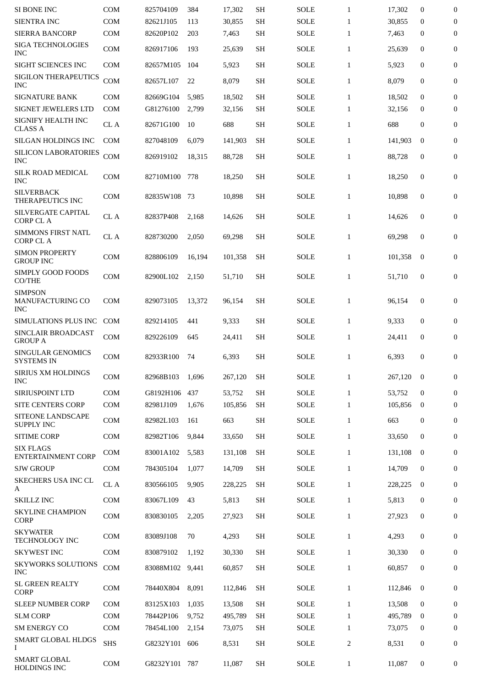| SI BONE INC                                      | <b>COM</b> | 825704109 | 384    | 17,302  | <b>SH</b> | <b>SOLE</b> | $\mathbf{1}$ | 17,302  | $\bf{0}$     | $\boldsymbol{0}$ |
|--------------------------------------------------|------------|-----------|--------|---------|-----------|-------------|--------------|---------|--------------|------------------|
| <b>SIENTRA INC</b>                               | COM        | 82621J105 | 113    | 30,855  | <b>SH</b> | <b>SOLE</b> | $\mathbf{1}$ | 30,855  | $\bf{0}$     | $\boldsymbol{0}$ |
| <b>SIERRA BANCORP</b>                            | <b>COM</b> | 82620P102 | 203    | 7,463   | <b>SH</b> | <b>SOLE</b> | $\mathbf{1}$ | 7,463   | $\mathbf{0}$ | $\mathbf{0}$     |
| <b>SIGA TECHNOLOGIES</b><br><b>INC</b>           | <b>COM</b> | 826917106 | 193    | 25,639  | <b>SH</b> | <b>SOLE</b> | $\mathbf{1}$ | 25,639  | $\mathbf{0}$ | $\mathbf{0}$     |
| SIGHT SCIENCES INC                               | COM        | 82657M105 | 104    | 5,923   | <b>SH</b> | <b>SOLE</b> | $\mathbf{1}$ | 5,923   | $\mathbf{0}$ | $\boldsymbol{0}$ |
| SIGILON THERAPEUTICS<br><b>INC</b>               | <b>COM</b> | 82657L107 | 22     | 8,079   | <b>SH</b> | <b>SOLE</b> | $\mathbf{1}$ | 8,079   | $\mathbf{0}$ | 0                |
| <b>SIGNATURE BANK</b>                            | <b>COM</b> | 82669G104 | 5,985  | 18,502  | <b>SH</b> | <b>SOLE</b> | $\mathbf{1}$ | 18,502  | $\mathbf{0}$ | $\boldsymbol{0}$ |
| <b>SIGNET JEWELERS LTD</b>                       | <b>COM</b> | G81276100 | 2,799  | 32,156  | <b>SH</b> | <b>SOLE</b> | $\mathbf{1}$ | 32,156  | $\Omega$     | $\mathbf{0}$     |
| <b>SIGNIFY HEALTH INC</b><br><b>CLASS A</b>      | CL A       | 82671G100 | 10     | 688     | <b>SH</b> | <b>SOLE</b> | $\mathbf{1}$ | 688     | $\mathbf{0}$ | 0                |
| SILGAN HOLDINGS INC                              | <b>COM</b> | 827048109 | 6,079  | 141,903 | <b>SH</b> | <b>SOLE</b> | $\mathbf{1}$ | 141,903 | $\bf{0}$     | $\mathbf{0}$     |
| SILICON LABORATORIES<br><b>INC</b>               | COM        | 826919102 | 18,315 | 88,728  | <b>SH</b> | <b>SOLE</b> | $\mathbf{1}$ | 88,728  | $\mathbf{0}$ | $\mathbf{0}$     |
| <b>SILK ROAD MEDICAL</b><br><b>INC</b>           | <b>COM</b> | 82710M100 | 778    | 18,250  | <b>SH</b> | SOLE        | $\mathbf{1}$ | 18,250  | $\mathbf{0}$ | $\mathbf{0}$     |
| <b>SILVERBACK</b><br>THERAPEUTICS INC            | <b>COM</b> | 82835W108 | -73    | 10,898  | <b>SH</b> | SOLE        | $\mathbf{1}$ | 10,898  | $\mathbf{0}$ | $\mathbf{0}$     |
| SILVERGATE CAPITAL<br><b>CORP CLA</b>            | CL A       | 82837P408 | 2,168  | 14,626  | <b>SH</b> | <b>SOLE</b> | $\mathbf{1}$ | 14,626  | $\mathbf{0}$ | 0                |
| <b>SIMMONS FIRST NATL</b><br><b>CORP CLA</b>     | CL A       | 828730200 | 2,050  | 69,298  | <b>SH</b> | <b>SOLE</b> | $\mathbf{1}$ | 69,298  | $\mathbf{0}$ | 0                |
| <b>SIMON PROPERTY</b><br><b>GROUP INC</b>        | <b>COM</b> | 828806109 | 16,194 | 101,358 | <b>SH</b> | <b>SOLE</b> | $\mathbf{1}$ | 101,358 | $\mathbf{0}$ | 0                |
| SIMPLY GOOD FOODS<br>CO/THE                      | COM        | 82900L102 | 2,150  | 51,710  | <b>SH</b> | <b>SOLE</b> | $\mathbf{1}$ | 51,710  | $\mathbf{0}$ | 0                |
| <b>SIMPSON</b><br>MANUFACTURING CO<br><b>INC</b> | <b>COM</b> | 829073105 | 13,372 | 96,154  | <b>SH</b> | <b>SOLE</b> | $\mathbf{1}$ | 96,154  | $\mathbf{0}$ | $\boldsymbol{0}$ |
| SIMULATIONS PLUS INC                             | <b>COM</b> | 829214105 | 441    | 9,333   | <b>SH</b> | <b>SOLE</b> | $\mathbf{1}$ | 9,333   | $\mathbf{0}$ | 0                |
| SINCLAIR BROADCAST                               |            |           |        |         |           |             |              |         |              |                  |
| <b>GROUP A</b>                                   | <b>COM</b> | 829226109 | 645    | 24,411  | <b>SH</b> | <b>SOLE</b> | $\mathbf{1}$ | 24,411  | $\mathbf{0}$ | 0                |
| <b>SINGULAR GENOMICS</b><br><b>SYSTEMS IN</b>    | COM        | 82933R100 | 74     | 6,393   | <b>SH</b> | <b>SOLE</b> | $\mathbf{1}$ | 6,393   | 0            | 0                |
| SIRIUS XM HOLDINGS<br><b>INC</b>                 | COM        | 82968B103 | 1,696  | 267,120 | <b>SH</b> | <b>SOLE</b> | $\mathbf{1}$ | 267,120 | $\bf{0}$     | $\mathbf{0}$     |
| SIRIUSPOINT LTD                                  | <b>COM</b> | G8192H106 | 437    | 53,752  | <b>SH</b> | <b>SOLE</b> | $\mathbf{1}$ | 53,752  | $\mathbf{0}$ | $\mathbf{0}$     |
| <b>SITE CENTERS CORP</b>                         | <b>COM</b> | 82981J109 | 1,676  | 105,856 | <b>SH</b> | <b>SOLE</b> | $\mathbf{1}$ | 105,856 | $\bf{0}$     | $\mathbf{0}$     |
| <b>SITEONE LANDSCAPE</b><br><b>SUPPLY INC</b>    | COM        | 82982L103 | 161    | 663     | SH        | <b>SOLE</b> | $\mathbf{1}$ | 663     | 0            | 0                |
| <b>SITIME CORP</b>                               | <b>COM</b> | 82982T106 | 9,844  | 33,650  | <b>SH</b> | <b>SOLE</b> | $\mathbf{1}$ | 33,650  | $\mathbf{0}$ | $\mathbf{0}$     |
| <b>SIX FLAGS</b><br>ENTERTAINMENT CORP           | <b>COM</b> | 83001A102 | 5,583  | 131,108 | <b>SH</b> | <b>SOLE</b> | $\mathbf{1}$ | 131,108 | $\bf{0}$     | 0                |
| <b>SJW GROUP</b>                                 | <b>COM</b> | 784305104 | 1,077  | 14,709  | <b>SH</b> | <b>SOLE</b> | $\mathbf{1}$ | 14,709  | $\bf{0}$     | $\bf{0}$         |
| SKECHERS USA INC CL<br>A                         | CL A       | 830566105 | 9,905  | 228,225 | <b>SH</b> | <b>SOLE</b> | $\mathbf{1}$ | 228,225 | $\mathbf{0}$ | $\overline{0}$   |
| <b>SKILLZ INC</b>                                | <b>COM</b> | 83067L109 | 43     | 5,813   | <b>SH</b> | <b>SOLE</b> | $\mathbf{1}$ | 5,813   | 0            | $\mathbf{0}$     |
| <b>SKYLINE CHAMPION</b><br><b>CORP</b>           | COM        | 830830105 | 2,205  | 27,923  | <b>SH</b> | <b>SOLE</b> | $\mathbf{1}$ | 27,923  | 0            | 0                |
| <b>SKYWATER</b><br>TECHNOLOGY INC                | <b>COM</b> | 83089J108 | 70     | 4,293   | SH        | <b>SOLE</b> | $\mathbf{1}$ | 4,293   | 0            | 0                |
| <b>SKYWEST INC</b>                               | <b>COM</b> | 830879102 | 1,192  | 30,330  | SH        | <b>SOLE</b> | $\mathbf{1}$ | 30,330  | 0            | 0                |
| <b>SKYWORKS SOLUTIONS</b><br><b>INC</b>          | COM        | 83088M102 | 9,441  | 60,857  | <b>SH</b> | <b>SOLE</b> | $\mathbf{1}$ | 60,857  | $\mathbf{0}$ | 0                |
| <b>SL GREEN REALTY</b><br><b>CORP</b>            | <b>COM</b> | 78440X804 | 8,091  | 112,846 | <b>SH</b> | <b>SOLE</b> | $\mathbf{1}$ | 112,846 | $\bf{0}$     | $\mathbf{0}$     |
| <b>SLEEP NUMBER CORP</b>                         | <b>COM</b> | 83125X103 | 1,035  | 13,508  | <b>SH</b> | <b>SOLE</b> | $\mathbf{1}$ | 13,508  | $\mathbf{0}$ | 0                |
| <b>SLM CORP</b>                                  | <b>COM</b> | 78442P106 | 9,752  | 495,789 | <b>SH</b> | <b>SOLE</b> | $\mathbf{1}$ | 495,789 | 0            | $\mathbf{0}$     |
| <b>SM ENERGY CO</b>                              | <b>COM</b> | 78454L100 | 2,154  | 73,075  | <b>SH</b> | <b>SOLE</b> | $\mathbf{1}$ | 73,075  | $\bf{0}$     | $\overline{0}$   |
| SMART GLOBAL HLDGS<br>L                          | <b>SHS</b> | G8232Y101 | 606    | 8,531   | SH        | <b>SOLE</b> | 2            | 8,531   | 0            | 0                |
| <b>SMART GLOBAL</b><br>HOLDINGS INC              | COM        | G8232Y101 | 787    | 11,087  | <b>SH</b> | <b>SOLE</b> | $\mathbf{1}$ | 11,087  | 0            | 0                |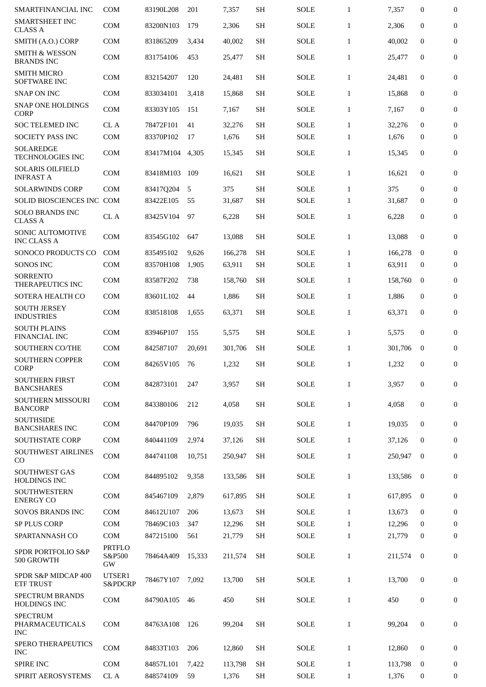| SMARTFINANCIAL INC                               | <b>COM</b>                    | 83190L208 | 201    | 7,357   | <b>SH</b>           | <b>SOLE</b> | $\mathbf{1}$ | 7,357   | $\mathbf{0}$     | $\bf{0}$         |
|--------------------------------------------------|-------------------------------|-----------|--------|---------|---------------------|-------------|--------------|---------|------------------|------------------|
| <b>SMARTSHEET INC</b><br><b>CLASS A</b>          | <b>COM</b>                    | 83200N103 | 179    | 2,306   | <b>SH</b>           | <b>SOLE</b> | $\mathbf{1}$ | 2,306   | $\overline{0}$   | $\mathbf{0}$     |
| SMITH (A.O.) CORP                                | <b>COM</b>                    | 831865209 | 3,434  | 40,002  | <b>SH</b>           | SOLE        | $\mathbf{1}$ | 40,002  | $\mathbf{0}$     | $\mathbf{0}$     |
| <b>SMITH &amp; WESSON</b><br><b>BRANDS INC</b>   | <b>COM</b>                    | 831754106 | 453    | 25,477  | <b>SH</b>           | <b>SOLE</b> | $\mathbf{1}$ | 25,477  | $\mathbf{0}$     | $\boldsymbol{0}$ |
| <b>SMITH MICRO</b><br><b>SOFTWARE INC</b>        | <b>COM</b>                    | 832154207 | 120    | 24,481  | <b>SH</b>           | <b>SOLE</b> | $\mathbf{1}$ | 24,481  | $\mathbf{0}$     | $\boldsymbol{0}$ |
| <b>SNAP ON INC</b>                               | <b>COM</b>                    | 833034101 | 3,418  | 15,868  | <b>SH</b>           | <b>SOLE</b> | $\mathbf{1}$ | 15,868  | $\mathbf{0}$     | $\mathbf{0}$     |
| <b>SNAP ONE HOLDINGS</b><br><b>CORP</b>          | <b>COM</b>                    | 83303Y105 | 151    | 7,167   | <b>SH</b>           | <b>SOLE</b> | $\mathbf{1}$ | 7,167   | $\boldsymbol{0}$ | $\mathbf{0}$     |
| <b>SOC TELEMED INC</b>                           | CL A                          | 78472F101 | 41     | 32,276  | <b>SH</b>           | <b>SOLE</b> | $\mathbf{1}$ | 32,276  | $\mathbf{0}$     | $\mathbf{0}$     |
| <b>SOCIETY PASS INC</b>                          | <b>COM</b>                    | 83370P102 | 17     | 1,676   | <b>SH</b>           | <b>SOLE</b> | $\mathbf{1}$ | 1,676   | $\bf{0}$         | $\mathbf{0}$     |
| <b>SOLAREDGE</b><br><b>TECHNOLOGIES INC</b>      | <b>COM</b>                    | 83417M104 | 4,305  | 15,345  | <b>SH</b>           | <b>SOLE</b> | $\mathbf{1}$ | 15,345  | $\mathbf{0}$     | 0                |
| <b>SOLARIS OILFIELD</b><br><b>INFRAST A</b>      | <b>COM</b>                    | 83418M103 | 109    | 16,621  | <b>SH</b>           | <b>SOLE</b> | $\mathbf{1}$ | 16,621  | $\boldsymbol{0}$ | $\boldsymbol{0}$ |
| <b>SOLARWINDS CORP</b>                           | <b>COM</b>                    | 83417Q204 | 5      | 375     | <b>SH</b>           | <b>SOLE</b> | $\mathbf{1}$ | 375     | $\overline{0}$   | $\mathbf{0}$     |
| SOLID BIOSCIENCES INC COM                        |                               | 83422E105 | 55     | 31,687  | <b>SH</b>           | <b>SOLE</b> | $\mathbf{1}$ | 31,687  | $\boldsymbol{0}$ | $\mathbf{0}$     |
| <b>SOLO BRANDS INC</b><br><b>CLASS A</b>         | CL A                          | 83425V104 | 97     | 6,228   | <b>SH</b>           | <b>SOLE</b> | $\mathbf{1}$ | 6,228   | $\boldsymbol{0}$ | $\boldsymbol{0}$ |
| <b>SONIC AUTOMOTIVE</b><br><b>INC CLASS A</b>    | <b>COM</b>                    | 83545G102 | 647    | 13,088  | <b>SH</b>           | <b>SOLE</b> | $\mathbf{1}$ | 13,088  | $\mathbf{0}$     | $\mathbf{0}$     |
| SONOCO PRODUCTS CO                               | <b>COM</b>                    | 835495102 | 9,626  | 166,278 | <b>SH</b>           | <b>SOLE</b> | $\mathbf{1}$ | 166,278 | $\mathbf{0}$     | $\mathbf{0}$     |
| <b>SONOS INC</b>                                 | <b>COM</b>                    | 83570H108 | 1,905  | 63,911  | <b>SH</b>           | <b>SOLE</b> | $\mathbf{1}$ | 63,911  | $\bf{0}$         | $\mathbf{0}$     |
| <b>SORRENTO</b><br>THERAPEUTICS INC              | <b>COM</b>                    | 83587F202 | 738    | 158,760 | <b>SH</b>           | <b>SOLE</b> | $\mathbf{1}$ | 158,760 | $\mathbf{0}$     | $\boldsymbol{0}$ |
| SOTERA HEALTH CO                                 | <b>COM</b>                    | 83601L102 | 44     | 1,886   | <b>SH</b>           | <b>SOLE</b> | $\mathbf{1}$ | 1,886   | $\boldsymbol{0}$ | $\mathbf{0}$     |
| <b>SOUTH JERSEY</b><br><b>INDUSTRIES</b>         | <b>COM</b>                    | 838518108 | 1,655  | 63,371  | <b>SH</b>           | <b>SOLE</b> | $\mathbf{1}$ | 63,371  | $\mathbf{0}$     | $\boldsymbol{0}$ |
| <b>SOUTH PLAINS</b><br><b>FINANCIAL INC</b>      | <b>COM</b>                    | 83946P107 | 155    | 5,575   | <b>SH</b>           | <b>SOLE</b> | $\mathbf{1}$ | 5,575   | $\boldsymbol{0}$ | $\boldsymbol{0}$ |
| <b>SOUTHERN CO/THE</b>                           | <b>COM</b>                    | 842587107 | 20,691 | 301,706 | <b>SH</b>           | <b>SOLE</b> | $\mathbf{1}$ | 301,706 | $\bf{0}$         | 0                |
| <b>SOUTHERN COPPER</b><br><b>CORP</b>            | <b>COM</b>                    | 84265V105 | 76     | 1,232   | <b>SH</b>           | <b>SOLE</b> | $\mathbf{1}$ | 1,232   | $\boldsymbol{0}$ | $\boldsymbol{0}$ |
| <b>SOUTHERN FIRST</b><br><b>BANCSHARES</b>       | <b>COM</b>                    | 842873101 | 247    | 3,957   | <b>SH</b>           | <b>SOLE</b> | $\mathbf{1}$ | 3,957   | $\boldsymbol{0}$ | $\mathbf{0}$     |
| <b>SOUTHERN MISSOURI</b><br><b>BANCORP</b>       | <b>COM</b>                    | 843380106 | 212    | 4,058   | <b>SH</b>           | SOLE        | $\mathbf{1}$ | 4,058   | $\boldsymbol{0}$ | $\mathbf{0}$     |
| <b>SOUTHSIDE</b><br><b>BANCSHARES INC</b>        | <b>COM</b>                    | 84470P109 | 796    | 19,035  | <b>SH</b>           | <b>SOLE</b> | $\mathbf{1}$ | 19,035  | $\bf{0}$         | $\boldsymbol{0}$ |
| <b>SOUTHSTATE CORP</b>                           | <b>COM</b>                    | 840441109 | 2,974  | 37,126  | <b>SH</b>           | <b>SOLE</b> | $\mathbf{1}$ | 37,126  | $\boldsymbol{0}$ | $\boldsymbol{0}$ |
| SOUTHWEST AIRLINES<br>CO                         | COM                           | 844741108 | 10,751 | 250,947 | <b>SH</b>           | <b>SOLE</b> | $\mathbf{1}$ | 250,947 | $\mathbf{0}$     | $\bf{0}$         |
| <b>SOUTHWEST GAS</b><br><b>HOLDINGS INC</b>      | <b>COM</b>                    | 844895102 | 9,358  | 133,586 | <b>SH</b>           | <b>SOLE</b> | $\mathbf{1}$ | 133,586 | $\bf{0}$         | $\boldsymbol{0}$ |
| <b>SOUTHWESTERN</b><br><b>ENERGY CO</b>          | <b>COM</b>                    | 845467109 | 2,879  | 617,895 | <b>SH</b>           | <b>SOLE</b> | $\mathbf{1}$ | 617,895 | $\bf{0}$         | $\boldsymbol{0}$ |
| <b>SOVOS BRANDS INC</b>                          | <b>COM</b>                    | 84612U107 | 206    | 13,673  | <b>SH</b>           | <b>SOLE</b> | $\mathbf{1}$ | 13,673  | $\mathbf{0}$     | $\boldsymbol{0}$ |
| <b>SP PLUS CORP</b>                              | <b>COM</b>                    | 78469C103 | 347    | 12,296  | <b>SH</b>           | <b>SOLE</b> | $\mathbf{1}$ | 12,296  | $\mathbf{0}$     | $\mathbf{0}$     |
| SPARTANNASH CO                                   | <b>COM</b>                    | 847215100 | 561    | 21,779  | <b>SH</b>           | SOLE        | $\mathbf{1}$ | 21,779  | $\mathbf{0}$     | $\boldsymbol{0}$ |
| <b>SPDR PORTFOLIO S&amp;P</b><br>500 GROWTH      | <b>PRTFLO</b><br>S&P500<br>GW | 78464A409 | 15,333 | 211,574 | <b>SH</b>           | <b>SOLE</b> | $\mathbf{1}$ | 211,574 | $\bf{0}$         | $\boldsymbol{0}$ |
| SPDR S&P MIDCAP 400<br><b>ETF TRUST</b>          | UTSER1<br>S&PDCRP             | 78467Y107 | 7,092  | 13,700  | <b>SH</b>           | SOLE        | $\mathbf{1}$ | 13,700  | $\mathbf{0}$     | $\mathbf{0}$     |
| <b>SPECTRUM BRANDS</b><br><b>HOLDINGS INC</b>    | <b>COM</b>                    | 84790A105 | 46     | 450     | $\operatorname{SH}$ | SOLE        | $\mathbf{1}$ | 450     | $\boldsymbol{0}$ | $\boldsymbol{0}$ |
| <b>SPECTRUM</b><br>PHARMACEUTICALS<br><b>INC</b> | <b>COM</b>                    | 84763A108 | 126    | 99,204  | <b>SH</b>           | SOLE        | $\mathbf{1}$ | 99,204  | $\mathbf{0}$     | $\boldsymbol{0}$ |
| SPERO THERAPEUTICS<br><b>INC</b>                 | <b>COM</b>                    | 84833T103 | 206    | 12,860  | <b>SH</b>           | SOLE        | $\mathbf{1}$ | 12,860  | $\mathbf{0}$     | $\bf{0}$         |
| <b>SPIRE INC</b>                                 | <b>COM</b>                    | 84857L101 | 7,422  | 113,798 | <b>SH</b>           | <b>SOLE</b> | $\mathbf{1}$ | 113,798 | $\bf{0}$         | 0                |
| SPIRIT AEROSYSTEMS                               | CL A                          | 848574109 | 59     | 1,376   | <b>SH</b>           | <b>SOLE</b> | $\mathbf{1}$ | 1,376   | 0                | 0                |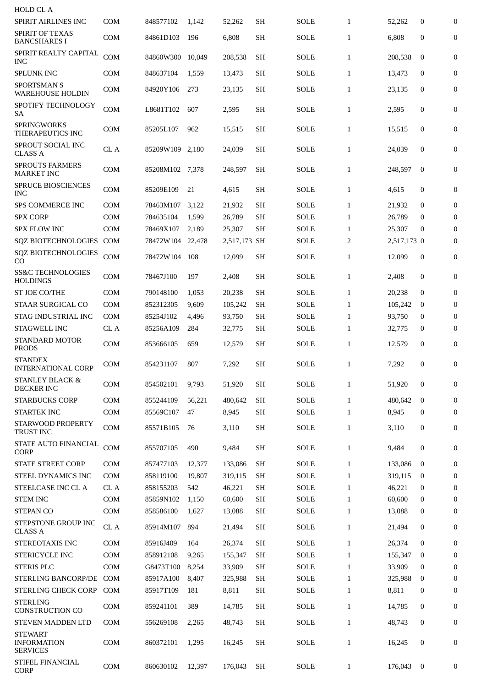| <b>HOLD CL A</b>                                        |            |                 |        |              |           |             |              |             |              |                  |
|---------------------------------------------------------|------------|-----------------|--------|--------------|-----------|-------------|--------------|-------------|--------------|------------------|
| SPIRIT AIRLINES INC                                     | COM        | 848577102       | 1.142  | 52,262       | <b>SH</b> | SOLE        | $\mathbf{1}$ | 52,262      | 0            | $\boldsymbol{0}$ |
| <b>SPIRIT OF TEXAS</b><br><b>BANCSHARES I</b>           | <b>COM</b> | 84861D103       | 196    | 6,808        | <b>SH</b> | <b>SOLE</b> | $\mathbf{1}$ | 6,808       | $\mathbf{0}$ | $\boldsymbol{0}$ |
| SPIRIT REALTY CAPITAL<br>INC                            | COM        | 84860W300       | 10,049 | 208,538      | <b>SH</b> | <b>SOLE</b> | $\mathbf{1}$ | 208,538     | $\mathbf{0}$ | $\boldsymbol{0}$ |
| <b>SPLUNK INC</b>                                       | <b>COM</b> | 848637104       | 1,559  | 13,473       | <b>SH</b> | <b>SOLE</b> | $\mathbf{1}$ | 13,473      | $\bf{0}$     | 0                |
| <b>SPORTSMAN S</b><br>WAREHOUSE HOLDIN                  | <b>COM</b> | 84920Y106       | 273    | 23,135       | <b>SH</b> | SOLE        | $\mathbf{1}$ | 23,135      | 0            | $\boldsymbol{0}$ |
| SPOTIFY TECHNOLOGY<br>SА                                | <b>COM</b> | L8681T102       | 607    | 2,595        | <b>SH</b> | SOLE        | $\mathbf{1}$ | 2,595       | 0            | $\boldsymbol{0}$ |
| <b>SPRINGWORKS</b><br>THERAPEUTICS INC                  | COM        | 85205L107       | 962    | 15,515       | <b>SH</b> | SOLE        | $\mathbf{1}$ | 15,515      | $\mathbf{0}$ | $\boldsymbol{0}$ |
| SPROUT SOCIAL INC<br><b>CLASS A</b>                     | CL A       | 85209W109       | 2,180  | 24,039       | <b>SH</b> | SOLE        | $\mathbf{1}$ | 24,039      | $\mathbf{0}$ | $\boldsymbol{0}$ |
| <b>SPROUTS FARMERS</b><br><b>MARKET INC</b>             | <b>COM</b> | 85208M102 7.378 |        | 248,597      | SН        | SOLE        | $\mathbf{1}$ | 248,597     | $\bf{0}$     | $\mathbf{0}$     |
| <b>SPRUCE BIOSCIENCES</b><br><b>INC</b>                 | <b>COM</b> | 85209E109       | 21     | 4,615        | <b>SH</b> | SOLE        | $\mathbf{1}$ | 4,615       | $\mathbf{0}$ | $\boldsymbol{0}$ |
| <b>SPS COMMERCE INC</b>                                 | <b>COM</b> | 78463M107       | 3,122  | 21,932       | <b>SH</b> | <b>SOLE</b> | $\mathbf{1}$ | 21,932      | $\bf{0}$     | $\boldsymbol{0}$ |
| <b>SPX CORP</b>                                         | COM        | 784635104       | 1,599  | 26,789       | <b>SH</b> | SOLE        | $\mathbf{1}$ | 26,789      | $\bf{0}$     | $\boldsymbol{0}$ |
| <b>SPX FLOW INC</b>                                     | <b>COM</b> | 78469X107       | 2,189  | 25,307       | SН        | <b>SOLE</b> | $\mathbf{1}$ | 25,307      | $\bf{0}$     | $\overline{0}$   |
| <b>SQZ BIOTECHNOLOGIES</b>                              | <b>COM</b> | 78472W104       | 22,478 | 2,517,173 SH |           | SOLE        | 2            | 2,517,173 0 |              | $\boldsymbol{0}$ |
| <b>SQZ BIOTECHNOLOGIES</b><br>CO                        | COM        | 78472W104       | 108    | 12,099       | <b>SH</b> | SOLE        | $\mathbf{1}$ | 12,099      | $\mathbf{0}$ | $\boldsymbol{0}$ |
| <b>SS&amp;C TECHNOLOGIES</b><br><b>HOLDINGS</b>         | COM        | 78467J100       | 197    | 2,408        | <b>SH</b> | SOLE        | $\mathbf{1}$ | 2,408       | $\bf{0}$     | $\boldsymbol{0}$ |
| <b>ST JOE CO/THE</b>                                    | <b>COM</b> | 790148100       | 1,053  | 20,238       | <b>SH</b> | <b>SOLE</b> | $\mathbf{1}$ | 20,238      | $\mathbf{0}$ | $\overline{0}$   |
| <b>STAAR SURGICAL CO</b>                                | <b>COM</b> | 852312305       | 9,609  | 105,242      | <b>SH</b> | <b>SOLE</b> | $\mathbf{1}$ | 105,242     | $\bf{0}$     | $\theta$         |
| STAG INDUSTRIAL INC                                     | <b>COM</b> | 85254J102       | 4,496  | 93,750       | <b>SH</b> | <b>SOLE</b> | $\mathbf{1}$ | 93,750      | $\bf{0}$     | $\overline{0}$   |
| STAGWELL INC                                            | CL A       | 85256A109       | 284    | 32,775       | <b>SH</b> | <b>SOLE</b> | $\mathbf{1}$ | 32,775      | 0            | $\overline{0}$   |
| STANDARD MOTOR<br><b>PRODS</b>                          | COM        | 853666105       | 659    | 12,579       | <b>SH</b> | SOLE        | $\mathbf{1}$ | 12,579      | $\mathbf{0}$ | $\boldsymbol{0}$ |
| <b>STANDEX</b><br><b>INTERNATIONAL CORP</b>             | <b>COM</b> | 854231107       | 807    | 7,292        | SН        | SOLE        | $\mathbf{1}$ | 7,292       | $\mathbf{0}$ | $\boldsymbol{0}$ |
| <b>STANLEY BLACK &amp;</b><br><b>DECKER INC</b>         | <b>COM</b> | 854502101       | 9,793  | 51,920       | <b>SH</b> | SOLE        | $\mathbf{1}$ | 51,920      | 0            | $\mathbf{0}$     |
| <b>STARBUCKS CORP</b>                                   | <b>COM</b> | 855244109       | 56,221 | 480,642      | <b>SH</b> | <b>SOLE</b> | $\mathbf{1}$ | 480.642     | $\mathbf{0}$ | $\mathbf{0}$     |
| STARTEK INC                                             | <b>COM</b> | 85569C107       | 47     | 8,945        | <b>SH</b> | SOLE        | $\mathbf{1}$ | 8,945       | 0            | $\mathbf{0}$     |
| STARWOOD PROPERTY<br><b>TRUST INC</b>                   | COM        | 85571B105       | 76     | 3,110        | <b>SH</b> | SOLE        | $\mathbf{1}$ | 3,110       | 0            | $\mathbf{0}$     |
| STATE AUTO FINANCIAL<br><b>CORP</b>                     | COM        | 855707105       | 490    | 9,484        | <b>SH</b> | <b>SOLE</b> | $\mathbf{1}$ | 9,484       | $\mathbf{0}$ | $\boldsymbol{0}$ |
| <b>STATE STREET CORP</b>                                | <b>COM</b> | 857477103       | 12,377 | 133,086      | <b>SH</b> | <b>SOLE</b> | $\mathbf{1}$ | 133,086     | $\bf{0}$     | 0                |
| STEEL DYNAMICS INC                                      | <b>COM</b> | 858119100       | 19,807 | 319,115      | <b>SH</b> | <b>SOLE</b> | $\mathbf{1}$ | 319,115     | $\bf{0}$     | $\Omega$         |
| STEELCASE INC CL A                                      | CL A       | 858155203       | 542    | 46,221       | <b>SH</b> | <b>SOLE</b> | $\mathbf{1}$ | 46,221      | $\bf{0}$     | $\bf{0}$         |
| <b>STEM INC</b>                                         | COM        | 85859N102       | 1,150  | 60,600       | <b>SH</b> | <b>SOLE</b> | $\mathbf{1}$ | 60,600      | $\bf{0}$     | $\boldsymbol{0}$ |
| <b>STEPAN CO</b>                                        | COM        | 858586100       | 1,627  | 13,088       | <b>SH</b> | SOLE        | $\mathbf{1}$ | 13,088      | 0            | $\mathbf{0}$     |
| STEPSTONE GROUP INC<br><b>CLASS A</b>                   | $\rm CL~A$ | 85914M107       | 894    | 21,494       | <b>SH</b> | SOLE        | $\mathbf{1}$ | 21,494      | $\mathbf{0}$ | $\mathbf{0}$     |
| STEREOTAXIS INC                                         | <b>COM</b> | 85916J409       | 164    | 26,374       | <b>SH</b> | <b>SOLE</b> | $\mathbf{1}$ | 26,374      | $\mathbf{0}$ | 0                |
| <b>STERICYCLE INC</b>                                   | <b>COM</b> | 858912108       | 9,265  | 155,347      | <b>SH</b> | SOLE        | $\mathbf{1}$ | 155,347     | $\bf{0}$     | $\mathbf{0}$     |
| <b>STERIS PLC</b>                                       | <b>COM</b> | G8473T100       | 8,254  | 33,909       | <b>SH</b> | <b>SOLE</b> | $\mathbf{1}$ | 33,909      | $\bf{0}$     | 0                |
| <b>STERLING BANCORP/DE</b>                              | <b>COM</b> | 85917A100       | 8,407  | 325,988      | <b>SH</b> | SOLE        | $\mathbf{1}$ | 325,988     | $\bf{0}$     | $\mathbf{0}$     |
| STERLING CHECK CORP                                     | <b>COM</b> | 85917T109       | 181    | 8,811        | <b>SH</b> | <b>SOLE</b> | $\mathbf{1}$ | 8,811       | $\bf{0}$     | $\mathbf{0}$     |
| <b>STERLING</b><br><b>CONSTRUCTION CO</b>               | <b>COM</b> | 859241101       | 389    | 14,785       | <b>SH</b> | SOLE        | $\mathbf{1}$ | 14,785      | 0            | 0                |
| <b>STEVEN MADDEN LTD</b>                                | <b>COM</b> | 556269108       | 2,265  | 48,743       | <b>SH</b> | <b>SOLE</b> | $\mathbf{1}$ | 48,743      | $\mathbf{0}$ | $\boldsymbol{0}$ |
| <b>STEWART</b><br><b>INFORMATION</b><br><b>SERVICES</b> | <b>COM</b> | 860372101       | 1,295  | 16,245       | <b>SH</b> | <b>SOLE</b> | $\mathbf{1}$ | 16,245      | $\mathbf{0}$ | $\boldsymbol{0}$ |
| STIFEL FINANCIAL<br><b>CORP</b>                         | COM        | 860630102       | 12,397 | 176,043      | <b>SH</b> | SOLE        | $\mathbf{1}$ | 176,043     | $\bf{0}$     | 0                |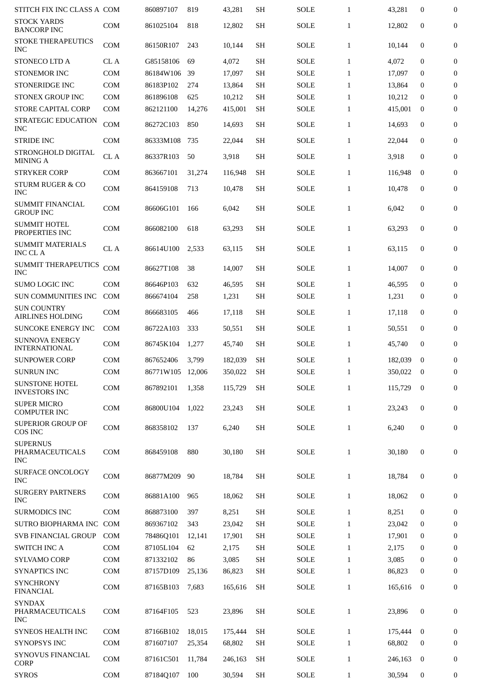| <b>STOCK YARDS</b><br><b>COM</b><br>12,802<br><b>SH</b><br><b>SOLE</b><br>$\mathbf{1}$<br>12,802<br>$\boldsymbol{0}$<br>861025104<br>818<br><b>BANCORP INC</b><br>STOKE THERAPEUTICS<br><b>COM</b><br>86150R107<br><b>SH</b><br>$\mathbf{1}$<br>$\mathbf{0}$<br>243<br>10,144<br>SOLE<br>10,144<br><b>INC</b><br>STONECO LTD A<br>CL A<br>G85158106<br><b>SH</b><br>$\mathbf{0}$<br>69<br>4,072<br><b>SOLE</b><br>$\mathbf{1}$<br>4,072<br><b>COM</b><br><b>STONEMOR INC</b><br>86184W106<br>39<br>17,097<br><b>SH</b><br><b>SOLE</b><br>17,097<br>$\boldsymbol{0}$<br>$\mathbf{1}$<br>STONERIDGE INC<br><b>COM</b><br>86183P102<br>13,864<br><b>SH</b><br><b>SOLE</b><br>13,864<br>274<br>$\mathbf{1}$<br>$\mathbf{0}$<br><b>STONEX GROUP INC</b><br>COM<br>861896108<br>625<br>10,212<br><b>SH</b><br><b>SOLE</b><br>10,212<br>$\mathbf{0}$<br>$\mathbf{1}$<br><b>STORE CAPITAL CORP</b><br><b>COM</b><br>862121100<br><b>SH</b><br><b>SOLE</b><br>$\mathbf 0$<br>14,276<br>415,001<br>$\mathbf{1}$<br>415,001<br><b>STRATEGIC EDUCATION</b><br><b>COM</b><br>86272C103<br>850<br><b>SH</b><br><b>SOLE</b><br>$\mathbf{0}$<br>14,693<br>$\mathbf{1}$<br>14,693<br><b>INC</b><br><b>STRIDE INC</b><br><b>COM</b><br>86333M108<br>735<br>22,044<br><b>SH</b><br><b>SOLE</b><br>$\mathbf{1}$<br>22,044<br>$\mathbf{0}$<br>STRONGHOLD DIGITAL<br>CL A<br>86337R103<br>50<br>3,918<br><b>SH</b><br><b>SOLE</b><br>$\mathbf{1}$<br>$\boldsymbol{0}$<br>3,918<br><b>MINING A</b><br><b>STRYKER CORP</b><br><b>COM</b><br>863667101<br><b>SH</b><br><b>SOLE</b><br>$\mathbf{1}$<br>$\mathbf 0$<br>31,274<br>116,948<br>116,948<br><b>STURM RUGER &amp; CO</b><br><b>COM</b><br>864159108<br><b>SH</b><br>$\mathbf{0}$<br>713<br>10,478<br>SOLE<br>$\mathbf{1}$<br>10,478<br><b>INC</b><br><b>SUMMIT FINANCIAL</b><br><b>COM</b><br>86606G101<br>SH<br>$\mathbf{0}$<br>166<br>6,042<br>SOLE<br>$\mathbf{1}$<br>6,042<br><b>GROUP INC</b><br><b>SUMMIT HOTEL</b><br><b>COM</b><br>866082100<br>63,293<br>SH<br><b>SOLE</b><br>63,293<br>$\mathbf{0}$<br>618<br>$\mathbf{1}$<br>PROPERTIES INC<br><b>SUMMIT MATERIALS</b><br>CL A<br>86614U100<br><b>SH</b><br><b>SOLE</b><br>$\mathbf{1}$<br>$\mathbf{0}$<br>2,533<br>63,115<br>63,115<br><b>INC CLA</b><br><b>SUMMIT THERAPEUTICS</b><br><b>COM</b><br>86627T108<br>38<br><b>SH</b><br><b>SOLE</b><br>$\mathbf{0}$<br>14,007<br>$\mathbf{1}$<br>14,007<br><b>INC</b><br><b>SUMO LOGIC INC</b><br><b>COM</b><br>86646P103<br><b>SH</b><br><b>SOLE</b><br>46,595<br>$\mathbf{0}$<br>632<br>46,595<br>$\mathbf{1}$<br>SUN COMMUNITIES INC<br><b>COM</b><br><b>SH</b><br><b>SOLE</b><br>866674104<br>258<br>1,231<br>$\mathbf{1}$<br>1,231<br>$\bf{0}$<br><b>SUN COUNTRY</b><br><b>COM</b><br>866683105<br><b>SH</b><br><b>SOLE</b><br>$\boldsymbol{0}$<br>466<br>17,118<br>$\mathbf{1}$<br>17,118<br><b>AIRLINES HOLDING</b><br><b>SUNCOKE ENERGY INC</b><br><b>COM</b><br>86722A103<br>333<br><b>SH</b><br><b>SOLE</b><br>$\mathbf{1}$<br>$\boldsymbol{0}$<br>50,551<br>50,551<br><b>SUNNOVA ENERGY</b><br><b>SH</b><br>$\mathbf{0}$<br><b>COM</b><br>86745K104<br>1,277<br>45,740<br>SOLE<br>$\mathbf{1}$<br>45,740<br><b>INTERNATIONAL</b><br><b>SUNPOWER CORP</b><br><b>COM</b><br>867652406<br>3,799<br>182,039<br>SH<br><b>SOLE</b><br>182.039<br>$\mathbf{0}$<br>$\mathbf{1}$<br><b>SUNRUN INC</b><br><b>COM</b><br>86771W105 12,006<br>350,022<br><b>SH</b><br>SOLE<br>350,022 0<br>1<br><b>SUNSTONE HOTEL</b><br><b>COM</b><br>867892101<br>1,358<br><b>SH</b><br><b>SOLE</b><br>$\mathbf{1}$<br>115,729<br>$\overline{0}$<br>115,729<br><b>INVESTORS INC</b><br><b>SUPER MICRO</b><br>COM<br>86800U104<br>1.022<br>23,243<br><b>SH</b><br><b>SOLE</b><br>23,243<br>$\mathbf{0}$<br>$\mathbf{1}$<br><b>COMPUTER INC</b><br><b>SUPERIOR GROUP OF</b><br>COM<br>868358102<br><b>SH</b><br>$\bf{0}$<br>137<br>6,240<br><b>SOLE</b><br>$\mathbf{1}$<br>6,240<br>COS INC<br><b>SUPERNUS</b><br>PHARMACEUTICALS<br>COM<br><b>SH</b><br><b>SOLE</b><br>$\mathbf{0}$<br>868459108<br>880<br>30,180<br>$\mathbf{1}$<br>30,180<br><b>INC</b><br>SURFACE ONCOLOGY<br>COM<br>86877M209<br>90<br>18,784<br><b>SH</b><br><b>SOLE</b><br>$\mathbf{1}$<br>$\bf{0}$<br>18,784<br><b>INC</b><br><b>SURGERY PARTNERS</b><br>COM<br>86881A100<br>965<br><b>SH</b><br>$\bf{0}$<br>18,062<br><b>SOLE</b><br>$\mathbf{1}$<br>18,062<br><b>INC</b><br><b>SURMODICS INC</b><br><b>COM</b><br>868873100<br>397<br>8,251<br><b>SH</b><br><b>SOLE</b><br>8,251<br>$\boldsymbol{0}$<br>$\mathbf{1}$<br><b>SOLE</b><br>SUTRO BIOPHARMA INC COM<br><b>SH</b><br>$\mathbf{1}$<br>23,042<br>869367102<br>343<br>23,042<br>$\bf{0}$<br>SVB FINANCIAL GROUP<br>COM<br><b>SH</b><br><b>SOLE</b><br>78486Q101<br>12,141<br>17,901<br>$\mathbf{1}$<br>17,901<br>$\bf{0}$<br><b>SWITCH INC A</b><br><b>COM</b><br>87105L104<br>62<br><b>SH</b><br><b>SOLE</b><br>2,175<br>$\mathbf{1}$<br>2,175<br>$\bf{0}$<br>COM<br>86<br><b>SH</b><br><b>SOLE</b><br><b>SYLVAMO CORP</b><br>871332102<br>3,085<br>$\mathbf{1}$<br>3,085<br>$\bf{0}$<br><b>SYNAPTICS INC</b><br><b>COM</b><br>87157D109<br><b>SOLE</b><br>25,136<br>86,823<br>SH<br>$\mathbf{1}$<br>86,823<br>$\bf{0}$<br><b>SYNCHRONY</b><br>COM<br>87165B103<br>7,683<br><b>SH</b><br><b>SOLE</b><br>$\mathbf{1}$<br>165,616<br>$\boldsymbol{0}$<br>165,616<br><b>FINANCIAL</b><br><b>SYNDAX</b><br>PHARMACEUTICALS<br>COM<br>87164F105<br>523<br>23,896<br><b>SH</b><br><b>SOLE</b><br>$\mathbf{1}$<br>23,896<br>$\boldsymbol{0}$<br><b>INC</b><br><b>SYNEOS HEALTH INC</b><br><b>COM</b><br>87166B102<br>18,015<br><b>SH</b><br><b>SOLE</b><br>$\mathbf{1}$<br>$\overline{0}$<br>175,444<br>175,444<br><b>SYNOPSYS INC</b><br>COM<br>68,802<br>871607107<br>25,354<br>68,802<br>SH<br><b>SOLE</b><br>$\mathbf{1}$<br>$\bf{0}$<br><b>SYNOVUS FINANCIAL</b><br>COM<br>87161C501<br><b>SH</b><br><b>SOLE</b><br>11,784<br>246,163<br>$\mathbf{1}$<br>246,163<br>$\bf{0}$<br><b>CORP</b><br><b>SYROS</b><br>COM<br>87184Q107<br>100<br>30,594<br><b>SH</b><br><b>SOLE</b><br>30,594<br>$\bf{0}$<br>$\mathbf{1}$ | STITCH FIX INC CLASS A COM | 860897107 | 819 | 43,281 | <b>SH</b> | <b>SOLE</b> | $\mathbf{1}$ | 43,281 | $\boldsymbol{0}$ | 0                |
|---------------------------------------------------------------------------------------------------------------------------------------------------------------------------------------------------------------------------------------------------------------------------------------------------------------------------------------------------------------------------------------------------------------------------------------------------------------------------------------------------------------------------------------------------------------------------------------------------------------------------------------------------------------------------------------------------------------------------------------------------------------------------------------------------------------------------------------------------------------------------------------------------------------------------------------------------------------------------------------------------------------------------------------------------------------------------------------------------------------------------------------------------------------------------------------------------------------------------------------------------------------------------------------------------------------------------------------------------------------------------------------------------------------------------------------------------------------------------------------------------------------------------------------------------------------------------------------------------------------------------------------------------------------------------------------------------------------------------------------------------------------------------------------------------------------------------------------------------------------------------------------------------------------------------------------------------------------------------------------------------------------------------------------------------------------------------------------------------------------------------------------------------------------------------------------------------------------------------------------------------------------------------------------------------------------------------------------------------------------------------------------------------------------------------------------------------------------------------------------------------------------------------------------------------------------------------------------------------------------------------------------------------------------------------------------------------------------------------------------------------------------------------------------------------------------------------------------------------------------------------------------------------------------------------------------------------------------------------------------------------------------------------------------------------------------------------------------------------------------------------------------------------------------------------------------------------------------------------------------------------------------------------------------------------------------------------------------------------------------------------------------------------------------------------------------------------------------------------------------------------------------------------------------------------------------------------------------------------------------------------------------------------------------------------------------------------------------------------------------------------------------------------------------------------------------------------------------------------------------------------------------------------------------------------------------------------------------------------------------------------------------------------------------------------------------------------------------------------------------------------------------------------------------------------------------------------------------------------------------------------------------------------------------------------------------------------------------------------------------------------------------------------------------------------------------------------------------------------------------------------------------------------------------------------------------------------------------------------------------------------------------------------------------------------------------------------------------------------------------------------------------------------------------------------------------------------------------------------------------------------------------------------------------------------------------------------------------------------------------------------------------------------------------------------------------------------------------------------------------------------------------------------------------------------------------------------------------------------------------------------------------------------------------------------------------------------------------------------------------------------------------------------------------------------------------------------------------------------------------------------------------------------------------------------------------------------------------------------------------------------------------------------------------------------------------------------------------------------------------------------------------------------------------------------------------------------------------------------------------------------------------------------------------------------------------------------------------------------------------------------------------------------------------------------------------------------|----------------------------|-----------|-----|--------|-----------|-------------|--------------|--------|------------------|------------------|
|                                                                                                                                                                                                                                                                                                                                                                                                                                                                                                                                                                                                                                                                                                                                                                                                                                                                                                                                                                                                                                                                                                                                                                                                                                                                                                                                                                                                                                                                                                                                                                                                                                                                                                                                                                                                                                                                                                                                                                                                                                                                                                                                                                                                                                                                                                                                                                                                                                                                                                                                                                                                                                                                                                                                                                                                                                                                                                                                                                                                                                                                                                                                                                                                                                                                                                                                                                                                                                                                                                                                                                                                                                                                                                                                                                                                                                                                                                                                                                                                                                                                                                                                                                                                                                                                                                                                                                                                                                                                                                                                                                                                                                                                                                                                                                                                                                                                                                                                                                                                                                                                                                                                                                                                                                                                                                                                                                                                                                                                                                                                                                                                                                                                                                                                                                                                                                                                                                                                                                                                                                                                           |                            |           |     |        |           |             |              |        |                  | $\mathbf{0}$     |
|                                                                                                                                                                                                                                                                                                                                                                                                                                                                                                                                                                                                                                                                                                                                                                                                                                                                                                                                                                                                                                                                                                                                                                                                                                                                                                                                                                                                                                                                                                                                                                                                                                                                                                                                                                                                                                                                                                                                                                                                                                                                                                                                                                                                                                                                                                                                                                                                                                                                                                                                                                                                                                                                                                                                                                                                                                                                                                                                                                                                                                                                                                                                                                                                                                                                                                                                                                                                                                                                                                                                                                                                                                                                                                                                                                                                                                                                                                                                                                                                                                                                                                                                                                                                                                                                                                                                                                                                                                                                                                                                                                                                                                                                                                                                                                                                                                                                                                                                                                                                                                                                                                                                                                                                                                                                                                                                                                                                                                                                                                                                                                                                                                                                                                                                                                                                                                                                                                                                                                                                                                                                           |                            |           |     |        |           |             |              |        |                  | $\mathbf{0}$     |
|                                                                                                                                                                                                                                                                                                                                                                                                                                                                                                                                                                                                                                                                                                                                                                                                                                                                                                                                                                                                                                                                                                                                                                                                                                                                                                                                                                                                                                                                                                                                                                                                                                                                                                                                                                                                                                                                                                                                                                                                                                                                                                                                                                                                                                                                                                                                                                                                                                                                                                                                                                                                                                                                                                                                                                                                                                                                                                                                                                                                                                                                                                                                                                                                                                                                                                                                                                                                                                                                                                                                                                                                                                                                                                                                                                                                                                                                                                                                                                                                                                                                                                                                                                                                                                                                                                                                                                                                                                                                                                                                                                                                                                                                                                                                                                                                                                                                                                                                                                                                                                                                                                                                                                                                                                                                                                                                                                                                                                                                                                                                                                                                                                                                                                                                                                                                                                                                                                                                                                                                                                                                           |                            |           |     |        |           |             |              |        |                  | $\mathbf{0}$     |
|                                                                                                                                                                                                                                                                                                                                                                                                                                                                                                                                                                                                                                                                                                                                                                                                                                                                                                                                                                                                                                                                                                                                                                                                                                                                                                                                                                                                                                                                                                                                                                                                                                                                                                                                                                                                                                                                                                                                                                                                                                                                                                                                                                                                                                                                                                                                                                                                                                                                                                                                                                                                                                                                                                                                                                                                                                                                                                                                                                                                                                                                                                                                                                                                                                                                                                                                                                                                                                                                                                                                                                                                                                                                                                                                                                                                                                                                                                                                                                                                                                                                                                                                                                                                                                                                                                                                                                                                                                                                                                                                                                                                                                                                                                                                                                                                                                                                                                                                                                                                                                                                                                                                                                                                                                                                                                                                                                                                                                                                                                                                                                                                                                                                                                                                                                                                                                                                                                                                                                                                                                                                           |                            |           |     |        |           |             |              |        |                  | 0                |
|                                                                                                                                                                                                                                                                                                                                                                                                                                                                                                                                                                                                                                                                                                                                                                                                                                                                                                                                                                                                                                                                                                                                                                                                                                                                                                                                                                                                                                                                                                                                                                                                                                                                                                                                                                                                                                                                                                                                                                                                                                                                                                                                                                                                                                                                                                                                                                                                                                                                                                                                                                                                                                                                                                                                                                                                                                                                                                                                                                                                                                                                                                                                                                                                                                                                                                                                                                                                                                                                                                                                                                                                                                                                                                                                                                                                                                                                                                                                                                                                                                                                                                                                                                                                                                                                                                                                                                                                                                                                                                                                                                                                                                                                                                                                                                                                                                                                                                                                                                                                                                                                                                                                                                                                                                                                                                                                                                                                                                                                                                                                                                                                                                                                                                                                                                                                                                                                                                                                                                                                                                                                           |                            |           |     |        |           |             |              |        |                  | $\boldsymbol{0}$ |
|                                                                                                                                                                                                                                                                                                                                                                                                                                                                                                                                                                                                                                                                                                                                                                                                                                                                                                                                                                                                                                                                                                                                                                                                                                                                                                                                                                                                                                                                                                                                                                                                                                                                                                                                                                                                                                                                                                                                                                                                                                                                                                                                                                                                                                                                                                                                                                                                                                                                                                                                                                                                                                                                                                                                                                                                                                                                                                                                                                                                                                                                                                                                                                                                                                                                                                                                                                                                                                                                                                                                                                                                                                                                                                                                                                                                                                                                                                                                                                                                                                                                                                                                                                                                                                                                                                                                                                                                                                                                                                                                                                                                                                                                                                                                                                                                                                                                                                                                                                                                                                                                                                                                                                                                                                                                                                                                                                                                                                                                                                                                                                                                                                                                                                                                                                                                                                                                                                                                                                                                                                                                           |                            |           |     |        |           |             |              |        |                  | $\boldsymbol{0}$ |
|                                                                                                                                                                                                                                                                                                                                                                                                                                                                                                                                                                                                                                                                                                                                                                                                                                                                                                                                                                                                                                                                                                                                                                                                                                                                                                                                                                                                                                                                                                                                                                                                                                                                                                                                                                                                                                                                                                                                                                                                                                                                                                                                                                                                                                                                                                                                                                                                                                                                                                                                                                                                                                                                                                                                                                                                                                                                                                                                                                                                                                                                                                                                                                                                                                                                                                                                                                                                                                                                                                                                                                                                                                                                                                                                                                                                                                                                                                                                                                                                                                                                                                                                                                                                                                                                                                                                                                                                                                                                                                                                                                                                                                                                                                                                                                                                                                                                                                                                                                                                                                                                                                                                                                                                                                                                                                                                                                                                                                                                                                                                                                                                                                                                                                                                                                                                                                                                                                                                                                                                                                                                           |                            |           |     |        |           |             |              |        |                  | $\boldsymbol{0}$ |
|                                                                                                                                                                                                                                                                                                                                                                                                                                                                                                                                                                                                                                                                                                                                                                                                                                                                                                                                                                                                                                                                                                                                                                                                                                                                                                                                                                                                                                                                                                                                                                                                                                                                                                                                                                                                                                                                                                                                                                                                                                                                                                                                                                                                                                                                                                                                                                                                                                                                                                                                                                                                                                                                                                                                                                                                                                                                                                                                                                                                                                                                                                                                                                                                                                                                                                                                                                                                                                                                                                                                                                                                                                                                                                                                                                                                                                                                                                                                                                                                                                                                                                                                                                                                                                                                                                                                                                                                                                                                                                                                                                                                                                                                                                                                                                                                                                                                                                                                                                                                                                                                                                                                                                                                                                                                                                                                                                                                                                                                                                                                                                                                                                                                                                                                                                                                                                                                                                                                                                                                                                                                           |                            |           |     |        |           |             |              |        |                  | $\mathbf{0}$     |
|                                                                                                                                                                                                                                                                                                                                                                                                                                                                                                                                                                                                                                                                                                                                                                                                                                                                                                                                                                                                                                                                                                                                                                                                                                                                                                                                                                                                                                                                                                                                                                                                                                                                                                                                                                                                                                                                                                                                                                                                                                                                                                                                                                                                                                                                                                                                                                                                                                                                                                                                                                                                                                                                                                                                                                                                                                                                                                                                                                                                                                                                                                                                                                                                                                                                                                                                                                                                                                                                                                                                                                                                                                                                                                                                                                                                                                                                                                                                                                                                                                                                                                                                                                                                                                                                                                                                                                                                                                                                                                                                                                                                                                                                                                                                                                                                                                                                                                                                                                                                                                                                                                                                                                                                                                                                                                                                                                                                                                                                                                                                                                                                                                                                                                                                                                                                                                                                                                                                                                                                                                                                           |                            |           |     |        |           |             |              |        |                  | $\mathbf{0}$     |
|                                                                                                                                                                                                                                                                                                                                                                                                                                                                                                                                                                                                                                                                                                                                                                                                                                                                                                                                                                                                                                                                                                                                                                                                                                                                                                                                                                                                                                                                                                                                                                                                                                                                                                                                                                                                                                                                                                                                                                                                                                                                                                                                                                                                                                                                                                                                                                                                                                                                                                                                                                                                                                                                                                                                                                                                                                                                                                                                                                                                                                                                                                                                                                                                                                                                                                                                                                                                                                                                                                                                                                                                                                                                                                                                                                                                                                                                                                                                                                                                                                                                                                                                                                                                                                                                                                                                                                                                                                                                                                                                                                                                                                                                                                                                                                                                                                                                                                                                                                                                                                                                                                                                                                                                                                                                                                                                                                                                                                                                                                                                                                                                                                                                                                                                                                                                                                                                                                                                                                                                                                                                           |                            |           |     |        |           |             |              |        |                  | $\boldsymbol{0}$ |
|                                                                                                                                                                                                                                                                                                                                                                                                                                                                                                                                                                                                                                                                                                                                                                                                                                                                                                                                                                                                                                                                                                                                                                                                                                                                                                                                                                                                                                                                                                                                                                                                                                                                                                                                                                                                                                                                                                                                                                                                                                                                                                                                                                                                                                                                                                                                                                                                                                                                                                                                                                                                                                                                                                                                                                                                                                                                                                                                                                                                                                                                                                                                                                                                                                                                                                                                                                                                                                                                                                                                                                                                                                                                                                                                                                                                                                                                                                                                                                                                                                                                                                                                                                                                                                                                                                                                                                                                                                                                                                                                                                                                                                                                                                                                                                                                                                                                                                                                                                                                                                                                                                                                                                                                                                                                                                                                                                                                                                                                                                                                                                                                                                                                                                                                                                                                                                                                                                                                                                                                                                                                           |                            |           |     |        |           |             |              |        |                  | $\mathbf{0}$     |
|                                                                                                                                                                                                                                                                                                                                                                                                                                                                                                                                                                                                                                                                                                                                                                                                                                                                                                                                                                                                                                                                                                                                                                                                                                                                                                                                                                                                                                                                                                                                                                                                                                                                                                                                                                                                                                                                                                                                                                                                                                                                                                                                                                                                                                                                                                                                                                                                                                                                                                                                                                                                                                                                                                                                                                                                                                                                                                                                                                                                                                                                                                                                                                                                                                                                                                                                                                                                                                                                                                                                                                                                                                                                                                                                                                                                                                                                                                                                                                                                                                                                                                                                                                                                                                                                                                                                                                                                                                                                                                                                                                                                                                                                                                                                                                                                                                                                                                                                                                                                                                                                                                                                                                                                                                                                                                                                                                                                                                                                                                                                                                                                                                                                                                                                                                                                                                                                                                                                                                                                                                                                           |                            |           |     |        |           |             |              |        |                  | $\mathbf{0}$     |
|                                                                                                                                                                                                                                                                                                                                                                                                                                                                                                                                                                                                                                                                                                                                                                                                                                                                                                                                                                                                                                                                                                                                                                                                                                                                                                                                                                                                                                                                                                                                                                                                                                                                                                                                                                                                                                                                                                                                                                                                                                                                                                                                                                                                                                                                                                                                                                                                                                                                                                                                                                                                                                                                                                                                                                                                                                                                                                                                                                                                                                                                                                                                                                                                                                                                                                                                                                                                                                                                                                                                                                                                                                                                                                                                                                                                                                                                                                                                                                                                                                                                                                                                                                                                                                                                                                                                                                                                                                                                                                                                                                                                                                                                                                                                                                                                                                                                                                                                                                                                                                                                                                                                                                                                                                                                                                                                                                                                                                                                                                                                                                                                                                                                                                                                                                                                                                                                                                                                                                                                                                                                           |                            |           |     |        |           |             |              |        |                  | $\mathbf{0}$     |
|                                                                                                                                                                                                                                                                                                                                                                                                                                                                                                                                                                                                                                                                                                                                                                                                                                                                                                                                                                                                                                                                                                                                                                                                                                                                                                                                                                                                                                                                                                                                                                                                                                                                                                                                                                                                                                                                                                                                                                                                                                                                                                                                                                                                                                                                                                                                                                                                                                                                                                                                                                                                                                                                                                                                                                                                                                                                                                                                                                                                                                                                                                                                                                                                                                                                                                                                                                                                                                                                                                                                                                                                                                                                                                                                                                                                                                                                                                                                                                                                                                                                                                                                                                                                                                                                                                                                                                                                                                                                                                                                                                                                                                                                                                                                                                                                                                                                                                                                                                                                                                                                                                                                                                                                                                                                                                                                                                                                                                                                                                                                                                                                                                                                                                                                                                                                                                                                                                                                                                                                                                                                           |                            |           |     |        |           |             |              |        |                  | $\mathbf{0}$     |
|                                                                                                                                                                                                                                                                                                                                                                                                                                                                                                                                                                                                                                                                                                                                                                                                                                                                                                                                                                                                                                                                                                                                                                                                                                                                                                                                                                                                                                                                                                                                                                                                                                                                                                                                                                                                                                                                                                                                                                                                                                                                                                                                                                                                                                                                                                                                                                                                                                                                                                                                                                                                                                                                                                                                                                                                                                                                                                                                                                                                                                                                                                                                                                                                                                                                                                                                                                                                                                                                                                                                                                                                                                                                                                                                                                                                                                                                                                                                                                                                                                                                                                                                                                                                                                                                                                                                                                                                                                                                                                                                                                                                                                                                                                                                                                                                                                                                                                                                                                                                                                                                                                                                                                                                                                                                                                                                                                                                                                                                                                                                                                                                                                                                                                                                                                                                                                                                                                                                                                                                                                                                           |                            |           |     |        |           |             |              |        |                  | 0                |
|                                                                                                                                                                                                                                                                                                                                                                                                                                                                                                                                                                                                                                                                                                                                                                                                                                                                                                                                                                                                                                                                                                                                                                                                                                                                                                                                                                                                                                                                                                                                                                                                                                                                                                                                                                                                                                                                                                                                                                                                                                                                                                                                                                                                                                                                                                                                                                                                                                                                                                                                                                                                                                                                                                                                                                                                                                                                                                                                                                                                                                                                                                                                                                                                                                                                                                                                                                                                                                                                                                                                                                                                                                                                                                                                                                                                                                                                                                                                                                                                                                                                                                                                                                                                                                                                                                                                                                                                                                                                                                                                                                                                                                                                                                                                                                                                                                                                                                                                                                                                                                                                                                                                                                                                                                                                                                                                                                                                                                                                                                                                                                                                                                                                                                                                                                                                                                                                                                                                                                                                                                                                           |                            |           |     |        |           |             |              |        |                  | $\boldsymbol{0}$ |
|                                                                                                                                                                                                                                                                                                                                                                                                                                                                                                                                                                                                                                                                                                                                                                                                                                                                                                                                                                                                                                                                                                                                                                                                                                                                                                                                                                                                                                                                                                                                                                                                                                                                                                                                                                                                                                                                                                                                                                                                                                                                                                                                                                                                                                                                                                                                                                                                                                                                                                                                                                                                                                                                                                                                                                                                                                                                                                                                                                                                                                                                                                                                                                                                                                                                                                                                                                                                                                                                                                                                                                                                                                                                                                                                                                                                                                                                                                                                                                                                                                                                                                                                                                                                                                                                                                                                                                                                                                                                                                                                                                                                                                                                                                                                                                                                                                                                                                                                                                                                                                                                                                                                                                                                                                                                                                                                                                                                                                                                                                                                                                                                                                                                                                                                                                                                                                                                                                                                                                                                                                                                           |                            |           |     |        |           |             |              |        |                  | $\mathbf{0}$     |
|                                                                                                                                                                                                                                                                                                                                                                                                                                                                                                                                                                                                                                                                                                                                                                                                                                                                                                                                                                                                                                                                                                                                                                                                                                                                                                                                                                                                                                                                                                                                                                                                                                                                                                                                                                                                                                                                                                                                                                                                                                                                                                                                                                                                                                                                                                                                                                                                                                                                                                                                                                                                                                                                                                                                                                                                                                                                                                                                                                                                                                                                                                                                                                                                                                                                                                                                                                                                                                                                                                                                                                                                                                                                                                                                                                                                                                                                                                                                                                                                                                                                                                                                                                                                                                                                                                                                                                                                                                                                                                                                                                                                                                                                                                                                                                                                                                                                                                                                                                                                                                                                                                                                                                                                                                                                                                                                                                                                                                                                                                                                                                                                                                                                                                                                                                                                                                                                                                                                                                                                                                                                           |                            |           |     |        |           |             |              |        |                  | $\mathbf{0}$     |
|                                                                                                                                                                                                                                                                                                                                                                                                                                                                                                                                                                                                                                                                                                                                                                                                                                                                                                                                                                                                                                                                                                                                                                                                                                                                                                                                                                                                                                                                                                                                                                                                                                                                                                                                                                                                                                                                                                                                                                                                                                                                                                                                                                                                                                                                                                                                                                                                                                                                                                                                                                                                                                                                                                                                                                                                                                                                                                                                                                                                                                                                                                                                                                                                                                                                                                                                                                                                                                                                                                                                                                                                                                                                                                                                                                                                                                                                                                                                                                                                                                                                                                                                                                                                                                                                                                                                                                                                                                                                                                                                                                                                                                                                                                                                                                                                                                                                                                                                                                                                                                                                                                                                                                                                                                                                                                                                                                                                                                                                                                                                                                                                                                                                                                                                                                                                                                                                                                                                                                                                                                                                           |                            |           |     |        |           |             |              |        |                  | 0                |
|                                                                                                                                                                                                                                                                                                                                                                                                                                                                                                                                                                                                                                                                                                                                                                                                                                                                                                                                                                                                                                                                                                                                                                                                                                                                                                                                                                                                                                                                                                                                                                                                                                                                                                                                                                                                                                                                                                                                                                                                                                                                                                                                                                                                                                                                                                                                                                                                                                                                                                                                                                                                                                                                                                                                                                                                                                                                                                                                                                                                                                                                                                                                                                                                                                                                                                                                                                                                                                                                                                                                                                                                                                                                                                                                                                                                                                                                                                                                                                                                                                                                                                                                                                                                                                                                                                                                                                                                                                                                                                                                                                                                                                                                                                                                                                                                                                                                                                                                                                                                                                                                                                                                                                                                                                                                                                                                                                                                                                                                                                                                                                                                                                                                                                                                                                                                                                                                                                                                                                                                                                                                           |                            |           |     |        |           |             |              |        |                  | 0                |
|                                                                                                                                                                                                                                                                                                                                                                                                                                                                                                                                                                                                                                                                                                                                                                                                                                                                                                                                                                                                                                                                                                                                                                                                                                                                                                                                                                                                                                                                                                                                                                                                                                                                                                                                                                                                                                                                                                                                                                                                                                                                                                                                                                                                                                                                                                                                                                                                                                                                                                                                                                                                                                                                                                                                                                                                                                                                                                                                                                                                                                                                                                                                                                                                                                                                                                                                                                                                                                                                                                                                                                                                                                                                                                                                                                                                                                                                                                                                                                                                                                                                                                                                                                                                                                                                                                                                                                                                                                                                                                                                                                                                                                                                                                                                                                                                                                                                                                                                                                                                                                                                                                                                                                                                                                                                                                                                                                                                                                                                                                                                                                                                                                                                                                                                                                                                                                                                                                                                                                                                                                                                           |                            |           |     |        |           |             |              |        |                  | 0                |
|                                                                                                                                                                                                                                                                                                                                                                                                                                                                                                                                                                                                                                                                                                                                                                                                                                                                                                                                                                                                                                                                                                                                                                                                                                                                                                                                                                                                                                                                                                                                                                                                                                                                                                                                                                                                                                                                                                                                                                                                                                                                                                                                                                                                                                                                                                                                                                                                                                                                                                                                                                                                                                                                                                                                                                                                                                                                                                                                                                                                                                                                                                                                                                                                                                                                                                                                                                                                                                                                                                                                                                                                                                                                                                                                                                                                                                                                                                                                                                                                                                                                                                                                                                                                                                                                                                                                                                                                                                                                                                                                                                                                                                                                                                                                                                                                                                                                                                                                                                                                                                                                                                                                                                                                                                                                                                                                                                                                                                                                                                                                                                                                                                                                                                                                                                                                                                                                                                                                                                                                                                                                           |                            |           |     |        |           |             |              |        |                  | $\boldsymbol{0}$ |
|                                                                                                                                                                                                                                                                                                                                                                                                                                                                                                                                                                                                                                                                                                                                                                                                                                                                                                                                                                                                                                                                                                                                                                                                                                                                                                                                                                                                                                                                                                                                                                                                                                                                                                                                                                                                                                                                                                                                                                                                                                                                                                                                                                                                                                                                                                                                                                                                                                                                                                                                                                                                                                                                                                                                                                                                                                                                                                                                                                                                                                                                                                                                                                                                                                                                                                                                                                                                                                                                                                                                                                                                                                                                                                                                                                                                                                                                                                                                                                                                                                                                                                                                                                                                                                                                                                                                                                                                                                                                                                                                                                                                                                                                                                                                                                                                                                                                                                                                                                                                                                                                                                                                                                                                                                                                                                                                                                                                                                                                                                                                                                                                                                                                                                                                                                                                                                                                                                                                                                                                                                                                           |                            |           |     |        |           |             |              |        |                  | $\Omega$         |
|                                                                                                                                                                                                                                                                                                                                                                                                                                                                                                                                                                                                                                                                                                                                                                                                                                                                                                                                                                                                                                                                                                                                                                                                                                                                                                                                                                                                                                                                                                                                                                                                                                                                                                                                                                                                                                                                                                                                                                                                                                                                                                                                                                                                                                                                                                                                                                                                                                                                                                                                                                                                                                                                                                                                                                                                                                                                                                                                                                                                                                                                                                                                                                                                                                                                                                                                                                                                                                                                                                                                                                                                                                                                                                                                                                                                                                                                                                                                                                                                                                                                                                                                                                                                                                                                                                                                                                                                                                                                                                                                                                                                                                                                                                                                                                                                                                                                                                                                                                                                                                                                                                                                                                                                                                                                                                                                                                                                                                                                                                                                                                                                                                                                                                                                                                                                                                                                                                                                                                                                                                                                           |                            |           |     |        |           |             |              |        |                  | 0                |
|                                                                                                                                                                                                                                                                                                                                                                                                                                                                                                                                                                                                                                                                                                                                                                                                                                                                                                                                                                                                                                                                                                                                                                                                                                                                                                                                                                                                                                                                                                                                                                                                                                                                                                                                                                                                                                                                                                                                                                                                                                                                                                                                                                                                                                                                                                                                                                                                                                                                                                                                                                                                                                                                                                                                                                                                                                                                                                                                                                                                                                                                                                                                                                                                                                                                                                                                                                                                                                                                                                                                                                                                                                                                                                                                                                                                                                                                                                                                                                                                                                                                                                                                                                                                                                                                                                                                                                                                                                                                                                                                                                                                                                                                                                                                                                                                                                                                                                                                                                                                                                                                                                                                                                                                                                                                                                                                                                                                                                                                                                                                                                                                                                                                                                                                                                                                                                                                                                                                                                                                                                                                           |                            |           |     |        |           |             |              |        |                  | $\overline{0}$   |
|                                                                                                                                                                                                                                                                                                                                                                                                                                                                                                                                                                                                                                                                                                                                                                                                                                                                                                                                                                                                                                                                                                                                                                                                                                                                                                                                                                                                                                                                                                                                                                                                                                                                                                                                                                                                                                                                                                                                                                                                                                                                                                                                                                                                                                                                                                                                                                                                                                                                                                                                                                                                                                                                                                                                                                                                                                                                                                                                                                                                                                                                                                                                                                                                                                                                                                                                                                                                                                                                                                                                                                                                                                                                                                                                                                                                                                                                                                                                                                                                                                                                                                                                                                                                                                                                                                                                                                                                                                                                                                                                                                                                                                                                                                                                                                                                                                                                                                                                                                                                                                                                                                                                                                                                                                                                                                                                                                                                                                                                                                                                                                                                                                                                                                                                                                                                                                                                                                                                                                                                                                                                           |                            |           |     |        |           |             |              |        |                  | $\overline{0}$   |
|                                                                                                                                                                                                                                                                                                                                                                                                                                                                                                                                                                                                                                                                                                                                                                                                                                                                                                                                                                                                                                                                                                                                                                                                                                                                                                                                                                                                                                                                                                                                                                                                                                                                                                                                                                                                                                                                                                                                                                                                                                                                                                                                                                                                                                                                                                                                                                                                                                                                                                                                                                                                                                                                                                                                                                                                                                                                                                                                                                                                                                                                                                                                                                                                                                                                                                                                                                                                                                                                                                                                                                                                                                                                                                                                                                                                                                                                                                                                                                                                                                                                                                                                                                                                                                                                                                                                                                                                                                                                                                                                                                                                                                                                                                                                                                                                                                                                                                                                                                                                                                                                                                                                                                                                                                                                                                                                                                                                                                                                                                                                                                                                                                                                                                                                                                                                                                                                                                                                                                                                                                                                           |                            |           |     |        |           |             |              |        |                  | $\boldsymbol{0}$ |
|                                                                                                                                                                                                                                                                                                                                                                                                                                                                                                                                                                                                                                                                                                                                                                                                                                                                                                                                                                                                                                                                                                                                                                                                                                                                                                                                                                                                                                                                                                                                                                                                                                                                                                                                                                                                                                                                                                                                                                                                                                                                                                                                                                                                                                                                                                                                                                                                                                                                                                                                                                                                                                                                                                                                                                                                                                                                                                                                                                                                                                                                                                                                                                                                                                                                                                                                                                                                                                                                                                                                                                                                                                                                                                                                                                                                                                                                                                                                                                                                                                                                                                                                                                                                                                                                                                                                                                                                                                                                                                                                                                                                                                                                                                                                                                                                                                                                                                                                                                                                                                                                                                                                                                                                                                                                                                                                                                                                                                                                                                                                                                                                                                                                                                                                                                                                                                                                                                                                                                                                                                                                           |                            |           |     |        |           |             |              |        |                  | 0                |
|                                                                                                                                                                                                                                                                                                                                                                                                                                                                                                                                                                                                                                                                                                                                                                                                                                                                                                                                                                                                                                                                                                                                                                                                                                                                                                                                                                                                                                                                                                                                                                                                                                                                                                                                                                                                                                                                                                                                                                                                                                                                                                                                                                                                                                                                                                                                                                                                                                                                                                                                                                                                                                                                                                                                                                                                                                                                                                                                                                                                                                                                                                                                                                                                                                                                                                                                                                                                                                                                                                                                                                                                                                                                                                                                                                                                                                                                                                                                                                                                                                                                                                                                                                                                                                                                                                                                                                                                                                                                                                                                                                                                                                                                                                                                                                                                                                                                                                                                                                                                                                                                                                                                                                                                                                                                                                                                                                                                                                                                                                                                                                                                                                                                                                                                                                                                                                                                                                                                                                                                                                                                           |                            |           |     |        |           |             |              |        |                  | $\overline{0}$   |
|                                                                                                                                                                                                                                                                                                                                                                                                                                                                                                                                                                                                                                                                                                                                                                                                                                                                                                                                                                                                                                                                                                                                                                                                                                                                                                                                                                                                                                                                                                                                                                                                                                                                                                                                                                                                                                                                                                                                                                                                                                                                                                                                                                                                                                                                                                                                                                                                                                                                                                                                                                                                                                                                                                                                                                                                                                                                                                                                                                                                                                                                                                                                                                                                                                                                                                                                                                                                                                                                                                                                                                                                                                                                                                                                                                                                                                                                                                                                                                                                                                                                                                                                                                                                                                                                                                                                                                                                                                                                                                                                                                                                                                                                                                                                                                                                                                                                                                                                                                                                                                                                                                                                                                                                                                                                                                                                                                                                                                                                                                                                                                                                                                                                                                                                                                                                                                                                                                                                                                                                                                                                           |                            |           |     |        |           |             |              |        |                  | 0                |
|                                                                                                                                                                                                                                                                                                                                                                                                                                                                                                                                                                                                                                                                                                                                                                                                                                                                                                                                                                                                                                                                                                                                                                                                                                                                                                                                                                                                                                                                                                                                                                                                                                                                                                                                                                                                                                                                                                                                                                                                                                                                                                                                                                                                                                                                                                                                                                                                                                                                                                                                                                                                                                                                                                                                                                                                                                                                                                                                                                                                                                                                                                                                                                                                                                                                                                                                                                                                                                                                                                                                                                                                                                                                                                                                                                                                                                                                                                                                                                                                                                                                                                                                                                                                                                                                                                                                                                                                                                                                                                                                                                                                                                                                                                                                                                                                                                                                                                                                                                                                                                                                                                                                                                                                                                                                                                                                                                                                                                                                                                                                                                                                                                                                                                                                                                                                                                                                                                                                                                                                                                                                           |                            |           |     |        |           |             |              |        |                  | $\boldsymbol{0}$ |
|                                                                                                                                                                                                                                                                                                                                                                                                                                                                                                                                                                                                                                                                                                                                                                                                                                                                                                                                                                                                                                                                                                                                                                                                                                                                                                                                                                                                                                                                                                                                                                                                                                                                                                                                                                                                                                                                                                                                                                                                                                                                                                                                                                                                                                                                                                                                                                                                                                                                                                                                                                                                                                                                                                                                                                                                                                                                                                                                                                                                                                                                                                                                                                                                                                                                                                                                                                                                                                                                                                                                                                                                                                                                                                                                                                                                                                                                                                                                                                                                                                                                                                                                                                                                                                                                                                                                                                                                                                                                                                                                                                                                                                                                                                                                                                                                                                                                                                                                                                                                                                                                                                                                                                                                                                                                                                                                                                                                                                                                                                                                                                                                                                                                                                                                                                                                                                                                                                                                                                                                                                                                           |                            |           |     |        |           |             |              |        |                  | 0                |
|                                                                                                                                                                                                                                                                                                                                                                                                                                                                                                                                                                                                                                                                                                                                                                                                                                                                                                                                                                                                                                                                                                                                                                                                                                                                                                                                                                                                                                                                                                                                                                                                                                                                                                                                                                                                                                                                                                                                                                                                                                                                                                                                                                                                                                                                                                                                                                                                                                                                                                                                                                                                                                                                                                                                                                                                                                                                                                                                                                                                                                                                                                                                                                                                                                                                                                                                                                                                                                                                                                                                                                                                                                                                                                                                                                                                                                                                                                                                                                                                                                                                                                                                                                                                                                                                                                                                                                                                                                                                                                                                                                                                                                                                                                                                                                                                                                                                                                                                                                                                                                                                                                                                                                                                                                                                                                                                                                                                                                                                                                                                                                                                                                                                                                                                                                                                                                                                                                                                                                                                                                                                           |                            |           |     |        |           |             |              |        |                  | $\boldsymbol{0}$ |
|                                                                                                                                                                                                                                                                                                                                                                                                                                                                                                                                                                                                                                                                                                                                                                                                                                                                                                                                                                                                                                                                                                                                                                                                                                                                                                                                                                                                                                                                                                                                                                                                                                                                                                                                                                                                                                                                                                                                                                                                                                                                                                                                                                                                                                                                                                                                                                                                                                                                                                                                                                                                                                                                                                                                                                                                                                                                                                                                                                                                                                                                                                                                                                                                                                                                                                                                                                                                                                                                                                                                                                                                                                                                                                                                                                                                                                                                                                                                                                                                                                                                                                                                                                                                                                                                                                                                                                                                                                                                                                                                                                                                                                                                                                                                                                                                                                                                                                                                                                                                                                                                                                                                                                                                                                                                                                                                                                                                                                                                                                                                                                                                                                                                                                                                                                                                                                                                                                                                                                                                                                                                           |                            |           |     |        |           |             |              |        |                  | 0                |
|                                                                                                                                                                                                                                                                                                                                                                                                                                                                                                                                                                                                                                                                                                                                                                                                                                                                                                                                                                                                                                                                                                                                                                                                                                                                                                                                                                                                                                                                                                                                                                                                                                                                                                                                                                                                                                                                                                                                                                                                                                                                                                                                                                                                                                                                                                                                                                                                                                                                                                                                                                                                                                                                                                                                                                                                                                                                                                                                                                                                                                                                                                                                                                                                                                                                                                                                                                                                                                                                                                                                                                                                                                                                                                                                                                                                                                                                                                                                                                                                                                                                                                                                                                                                                                                                                                                                                                                                                                                                                                                                                                                                                                                                                                                                                                                                                                                                                                                                                                                                                                                                                                                                                                                                                                                                                                                                                                                                                                                                                                                                                                                                                                                                                                                                                                                                                                                                                                                                                                                                                                                                           |                            |           |     |        |           |             |              |        |                  | $\mathbf{0}$     |
|                                                                                                                                                                                                                                                                                                                                                                                                                                                                                                                                                                                                                                                                                                                                                                                                                                                                                                                                                                                                                                                                                                                                                                                                                                                                                                                                                                                                                                                                                                                                                                                                                                                                                                                                                                                                                                                                                                                                                                                                                                                                                                                                                                                                                                                                                                                                                                                                                                                                                                                                                                                                                                                                                                                                                                                                                                                                                                                                                                                                                                                                                                                                                                                                                                                                                                                                                                                                                                                                                                                                                                                                                                                                                                                                                                                                                                                                                                                                                                                                                                                                                                                                                                                                                                                                                                                                                                                                                                                                                                                                                                                                                                                                                                                                                                                                                                                                                                                                                                                                                                                                                                                                                                                                                                                                                                                                                                                                                                                                                                                                                                                                                                                                                                                                                                                                                                                                                                                                                                                                                                                                           |                            |           |     |        |           |             |              |        |                  | 0                |
|                                                                                                                                                                                                                                                                                                                                                                                                                                                                                                                                                                                                                                                                                                                                                                                                                                                                                                                                                                                                                                                                                                                                                                                                                                                                                                                                                                                                                                                                                                                                                                                                                                                                                                                                                                                                                                                                                                                                                                                                                                                                                                                                                                                                                                                                                                                                                                                                                                                                                                                                                                                                                                                                                                                                                                                                                                                                                                                                                                                                                                                                                                                                                                                                                                                                                                                                                                                                                                                                                                                                                                                                                                                                                                                                                                                                                                                                                                                                                                                                                                                                                                                                                                                                                                                                                                                                                                                                                                                                                                                                                                                                                                                                                                                                                                                                                                                                                                                                                                                                                                                                                                                                                                                                                                                                                                                                                                                                                                                                                                                                                                                                                                                                                                                                                                                                                                                                                                                                                                                                                                                                           |                            |           |     |        |           |             |              |        |                  | 0                |
|                                                                                                                                                                                                                                                                                                                                                                                                                                                                                                                                                                                                                                                                                                                                                                                                                                                                                                                                                                                                                                                                                                                                                                                                                                                                                                                                                                                                                                                                                                                                                                                                                                                                                                                                                                                                                                                                                                                                                                                                                                                                                                                                                                                                                                                                                                                                                                                                                                                                                                                                                                                                                                                                                                                                                                                                                                                                                                                                                                                                                                                                                                                                                                                                                                                                                                                                                                                                                                                                                                                                                                                                                                                                                                                                                                                                                                                                                                                                                                                                                                                                                                                                                                                                                                                                                                                                                                                                                                                                                                                                                                                                                                                                                                                                                                                                                                                                                                                                                                                                                                                                                                                                                                                                                                                                                                                                                                                                                                                                                                                                                                                                                                                                                                                                                                                                                                                                                                                                                                                                                                                                           |                            |           |     |        |           |             |              |        |                  | 0                |
|                                                                                                                                                                                                                                                                                                                                                                                                                                                                                                                                                                                                                                                                                                                                                                                                                                                                                                                                                                                                                                                                                                                                                                                                                                                                                                                                                                                                                                                                                                                                                                                                                                                                                                                                                                                                                                                                                                                                                                                                                                                                                                                                                                                                                                                                                                                                                                                                                                                                                                                                                                                                                                                                                                                                                                                                                                                                                                                                                                                                                                                                                                                                                                                                                                                                                                                                                                                                                                                                                                                                                                                                                                                                                                                                                                                                                                                                                                                                                                                                                                                                                                                                                                                                                                                                                                                                                                                                                                                                                                                                                                                                                                                                                                                                                                                                                                                                                                                                                                                                                                                                                                                                                                                                                                                                                                                                                                                                                                                                                                                                                                                                                                                                                                                                                                                                                                                                                                                                                                                                                                                                           |                            |           |     |        |           |             |              |        |                  | $\overline{0}$   |
|                                                                                                                                                                                                                                                                                                                                                                                                                                                                                                                                                                                                                                                                                                                                                                                                                                                                                                                                                                                                                                                                                                                                                                                                                                                                                                                                                                                                                                                                                                                                                                                                                                                                                                                                                                                                                                                                                                                                                                                                                                                                                                                                                                                                                                                                                                                                                                                                                                                                                                                                                                                                                                                                                                                                                                                                                                                                                                                                                                                                                                                                                                                                                                                                                                                                                                                                                                                                                                                                                                                                                                                                                                                                                                                                                                                                                                                                                                                                                                                                                                                                                                                                                                                                                                                                                                                                                                                                                                                                                                                                                                                                                                                                                                                                                                                                                                                                                                                                                                                                                                                                                                                                                                                                                                                                                                                                                                                                                                                                                                                                                                                                                                                                                                                                                                                                                                                                                                                                                                                                                                                                           |                            |           |     |        |           |             |              |        |                  | $\boldsymbol{0}$ |
|                                                                                                                                                                                                                                                                                                                                                                                                                                                                                                                                                                                                                                                                                                                                                                                                                                                                                                                                                                                                                                                                                                                                                                                                                                                                                                                                                                                                                                                                                                                                                                                                                                                                                                                                                                                                                                                                                                                                                                                                                                                                                                                                                                                                                                                                                                                                                                                                                                                                                                                                                                                                                                                                                                                                                                                                                                                                                                                                                                                                                                                                                                                                                                                                                                                                                                                                                                                                                                                                                                                                                                                                                                                                                                                                                                                                                                                                                                                                                                                                                                                                                                                                                                                                                                                                                                                                                                                                                                                                                                                                                                                                                                                                                                                                                                                                                                                                                                                                                                                                                                                                                                                                                                                                                                                                                                                                                                                                                                                                                                                                                                                                                                                                                                                                                                                                                                                                                                                                                                                                                                                                           |                            |           |     |        |           |             |              |        |                  | 0                |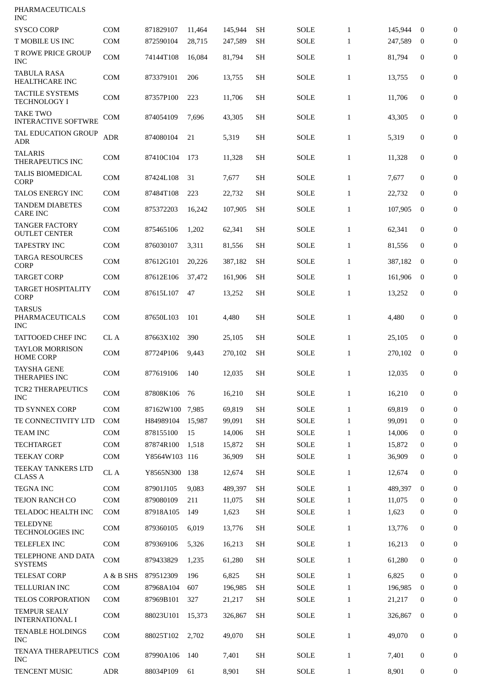| PHARMACEUTICALS<br><b>INC</b>                 |                   |                        |              |                 |                        |                            |                              |                 |              |                                  |
|-----------------------------------------------|-------------------|------------------------|--------------|-----------------|------------------------|----------------------------|------------------------------|-----------------|--------------|----------------------------------|
| <b>SYSCO CORP</b>                             | <b>COM</b>        | 871829107              | 11,464       | 145,944         | <b>SH</b>              | <b>SOLE</b>                | $\mathbf{1}$                 | 145,944         | $\bf{0}$     | $\mathbf{0}$                     |
| T MOBILE US INC                               | <b>COM</b>        | 872590104              | 28,715       | 247,589         | SН                     | <b>SOLE</b>                | $\mathbf{1}$                 | 247,589         | $\bf{0}$     | $\overline{0}$                   |
| <b>T ROWE PRICE GROUP</b><br>INC              | <b>COM</b>        | 74144T108              | 16,084       | 81,794          | <b>SH</b>              | <b>SOLE</b>                | $\mathbf{1}$                 | 81,794          | $\mathbf{0}$ | $\mathbf{0}$                     |
| <b>TABULA RASA</b><br>HEALTHCARE INC          | <b>COM</b>        | 873379101              | 206          | 13,755          | <b>SH</b>              | <b>SOLE</b>                | $\mathbf{1}$                 | 13,755          | 0            | $\boldsymbol{0}$                 |
| <b>TACTILE SYSTEMS</b><br><b>TECHNOLOGY I</b> | <b>COM</b>        | 87357P100              | 223          | 11,706          | <b>SH</b>              | <b>SOLE</b>                | $\mathbf{1}$                 | 11,706          | 0            | $\boldsymbol{0}$                 |
| <b>TAKE TWO</b><br><b>INTERACTIVE SOFTWRE</b> | COM               | 874054109              | 7,696        | 43,305          | <b>SH</b>              | <b>SOLE</b>                | $\mathbf{1}$                 | 43,305          | 0            | $\boldsymbol{0}$                 |
| TAL EDUCATION GROUP<br><b>ADR</b>             | <b>ADR</b>        | 874080104              | 21           | 5,319           | <b>SH</b>              | <b>SOLE</b>                | $\mathbf{1}$                 | 5,319           | 0            | $\boldsymbol{0}$                 |
| <b>TALARIS</b><br>THERAPEUTICS INC            | <b>COM</b>        | 87410C104              | 173          | 11,328          | <b>SH</b>              | <b>SOLE</b>                | $\mathbf{1}$                 | 11,328          | 0            | $\boldsymbol{0}$                 |
| TALIS BIOMEDICAL<br><b>CORP</b>               | <b>COM</b>        | 87424L108              | 31           | 7,677           | <b>SH</b>              | <b>SOLE</b>                | $\mathbf{1}$                 | 7,677           | 0            | $\boldsymbol{0}$                 |
| TALOS ENERGY INC                              | <b>COM</b>        | 87484T108              | 223          | 22,732          | <b>SH</b>              | <b>SOLE</b>                | $\mathbf{1}$                 | 22,732          | 0            | $\boldsymbol{0}$                 |
| <b>TANDEM DIABETES</b><br><b>CARE INC</b>     | <b>COM</b>        | 875372203              | 16,242       | 107,905         | <b>SH</b>              | <b>SOLE</b>                | $\mathbf{1}$                 | 107,905         | $\mathbf{0}$ | $\boldsymbol{0}$                 |
| <b>TANGER FACTORY</b><br><b>OUTLET CENTER</b> | <b>COM</b>        | 875465106              | 1,202        | 62,341          | <b>SH</b>              | <b>SOLE</b>                | $\mathbf{1}$                 | 62,341          | 0            | $\boldsymbol{0}$                 |
| <b>TAPESTRY INC</b>                           | <b>COM</b>        | 876030107              | 3,311        | 81,556          | <b>SH</b>              | <b>SOLE</b>                | $\mathbf{1}$                 | 81,556          | 0            | $\boldsymbol{0}$                 |
| <b>TARGA RESOURCES</b><br><b>CORP</b>         | <b>COM</b>        | 87612G101              | 20,226       | 387,182         | <b>SH</b>              | <b>SOLE</b>                | $\mathbf{1}$                 | 387,182         | $\bf{0}$     | $\boldsymbol{0}$                 |
| <b>TARGET CORP</b>                            | <b>COM</b>        | 87612E106              | 37,472       | 161,906         | <b>SH</b>              | SOLE                       | $\mathbf{1}$                 | 161,906         | $\bf{0}$     | $\mathbf{0}$                     |
| <b>TARGET HOSPITALITY</b><br><b>CORP</b>      | <b>COM</b>        | 87615L107              | 47           | 13,252          | <b>SH</b>              | <b>SOLE</b>                | $\mathbf{1}$                 | 13,252          | $\mathbf{0}$ | $\boldsymbol{0}$                 |
| TARSUS<br>PHARMACEUTICALS<br>INC              | <b>COM</b>        | 87650L103              | 101          | 4,480           | <b>SH</b>              | <b>SOLE</b>                | $\mathbf{1}$                 | 4,480           | 0            | $\boldsymbol{0}$                 |
| <b>TATTOOED CHEF INC</b>                      | CL A              | 87663X102              | 390          | 25,105          | <b>SH</b>              | <b>SOLE</b>                | $\mathbf{1}$                 | 25,105          | $\mathbf{0}$ | $\bf{0}$                         |
| <b>TAYLOR MORRISON</b><br><b>HOME CORP</b>    | <b>COM</b>        | 87724P106              | 9,443        | 270,102         | SH.                    | <b>SOLE</b>                | $\mathbf{1}$                 | 270,102         | $\bf{0}$     | $\boldsymbol{0}$                 |
| TAYSHA GENE<br>THERAPIES INC                  | COM               | 877619106 140          |              | 12,035          | <b>SH</b>              | <b>SOLE</b>                | $\mathbf{1}$                 | 12,035          | $\bf{0}$     | 0                                |
| <b>TCR2 THERAPEUTICS</b><br><b>INC</b>        | <b>COM</b>        | 87808K106              | 76           | 16,210          | <b>SH</b>              | <b>SOLE</b>                | $\mathbf{1}$                 | 16,210          | 0            | $\boldsymbol{0}$                 |
| <b>TD SYNNEX CORP</b>                         | COM               | 87162W100              | 7,985        | 69,819          | <b>SH</b>              | <b>SOLE</b>                | $\mathbf{1}$                 | 69.819          | $\mathbf{0}$ | $\boldsymbol{0}$                 |
| TE CONNECTIVITY LTD                           | COM               | H84989104              | 15,987       | 99,091          | <b>SH</b>              | <b>SOLE</b>                | $\mathbf{1}$                 | 99,091          | 0            | $\bf{0}$                         |
| <b>TEAM INC</b>                               | <b>COM</b>        | 878155100              | 15           | 14,006          | <b>SH</b>              | <b>SOLE</b>                | $\mathbf{1}$                 | 14,006          | $\bf{0}$     | $\boldsymbol{0}$                 |
| <b>TECHTARGET</b>                             | <b>COM</b>        | 87874R100              | 1,518        | 15,872          | <b>SH</b>              | <b>SOLE</b>                | $\mathbf{1}$                 | 15,872          | $\bf{0}$     | $\boldsymbol{0}$                 |
| <b>TEEKAY CORP</b>                            | <b>COM</b>        | Y8564W103 116          |              | 36,909          | SH                     | <b>SOLE</b>                | $\mathbf{1}$                 | 36,909          | 0            | $\mathbf{0}$                     |
| <b>TEEKAY TANKERS LTD</b><br><b>CLASS A</b>   | CL A              | Y8565N300              | 138          | 12,674          | <b>SH</b>              | <b>SOLE</b>                | $\mathbf{1}$                 | 12,674          | 0            | $\boldsymbol{0}$                 |
| <b>TEGNA INC</b>                              | <b>COM</b>        | 87901J105              | 9,083        | 489,397         | <b>SH</b>              | <b>SOLE</b>                | $\mathbf{1}$                 | 489,397         | $\mathbf{0}$ | $\boldsymbol{0}$                 |
| TEJON RANCH CO                                | <b>COM</b>        | 879080109              | 211          | 11,075          | <b>SH</b>              | <b>SOLE</b>                | $\mathbf{1}$                 | 11,075          | 0            | 0                                |
| TELADOC HEALTH INC<br><b>TELEDYNE</b>         | <b>COM</b><br>COM | 87918A105<br>879360105 | 149<br>6,019 | 1,623<br>13,776 | <b>SH</b><br><b>SH</b> | <b>SOLE</b><br><b>SOLE</b> | $\mathbf{1}$<br>$\mathbf{1}$ | 1,623<br>13,776 | 0<br>0       | $\mathbf{0}$<br>$\boldsymbol{0}$ |
| TECHNOLOGIES INC                              |                   |                        |              |                 |                        |                            |                              |                 |              |                                  |
| TELEFLEX INC<br>TELEPHONE AND DATA            | <b>COM</b>        | 879369106              | 5,326        | 16,213          | SH                     | <b>SOLE</b>                | $\mathbf{1}$                 | 16,213          | 0            | 0                                |
| <b>SYSTEMS</b>                                | COM               | 879433829              | 1,235        | 61,280          | <b>SH</b>              | <b>SOLE</b>                | $\mathbf{1}$                 | 61,280          | 0            | $\boldsymbol{0}$                 |
| <b>TELESAT CORP</b>                           | A & B SHS         | 879512309              | 196          | 6,825           | <b>SH</b>              | <b>SOLE</b>                | $\mathbf{1}$                 | 6,825           | $\mathbf{0}$ | $\boldsymbol{0}$                 |
| TELLURIAN INC                                 | COM               | 87968A104              | 607          | 196,985         | <b>SH</b>              | <b>SOLE</b>                | $\mathbf{1}$                 | 196,985         | $\bf{0}$     | 0                                |
| TELOS CORPORATION                             | <b>COM</b>        | 87969B101              | 327          | 21,217          | <b>SH</b>              | <b>SOLE</b>                | $\mathbf{1}$                 | 21,217          | 0            | $\boldsymbol{0}$                 |
| <b>TEMPUR SEALY</b><br><b>INTERNATIONAL I</b> | <b>COM</b>        | 88023U101              | 15,373       | 326,867         | <b>SH</b>              | <b>SOLE</b>                | $\mathbf{1}$                 | 326,867         | $\mathbf{0}$ | $\boldsymbol{0}$                 |
| TENABLE HOLDINGS<br><b>INC</b>                | COM               | 88025T102              | 2,702        | 49,070          | <b>SH</b>              | <b>SOLE</b>                | $\mathbf{1}$                 | 49,070          | 0            | $\boldsymbol{0}$                 |
| <b>TENAYA THERAPEUTICS</b><br><b>INC</b>      | COM               | 87990A106              | 140          | 7,401           | <b>SH</b>              | <b>SOLE</b>                | $\mathbf{1}$                 | 7,401           | 0            | 0                                |
| TENCENT MUSIC                                 | ADR               | 88034P109              | 61           | 8,901           | <b>SH</b>              | <b>SOLE</b>                | $\mathbf{1}$                 | 8,901           | 0            | 0                                |
|                                               |                   |                        |              |                 |                        |                            |                              |                 |              |                                  |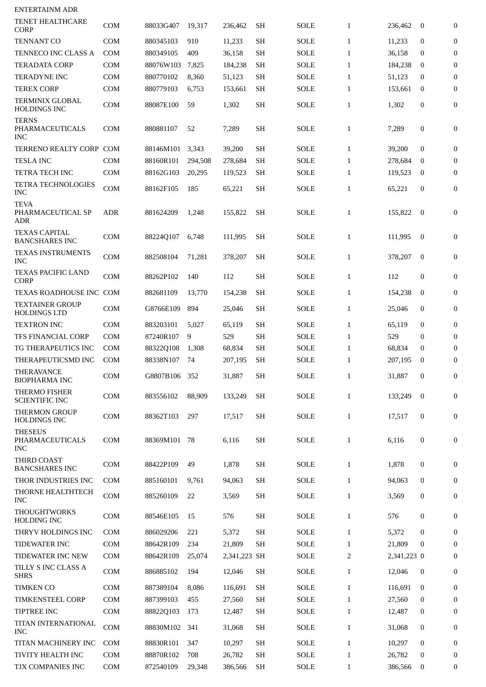| <b>ENTERTAINM ADR</b>                                |            |           |         |              |                     |             |              |             |                  |                  |
|------------------------------------------------------|------------|-----------|---------|--------------|---------------------|-------------|--------------|-------------|------------------|------------------|
| <b>TENET HEALTHCARE</b><br><b>CORP</b>               | <b>COM</b> | 88033G407 | 19,317  | 236,462      | SH                  | <b>SOLE</b> | $\mathbf{1}$ | 236,462     | $\boldsymbol{0}$ | $\mathbf{0}$     |
| <b>TENNANT CO</b>                                    | <b>COM</b> | 880345103 | 910     | 11,233       | <b>SH</b>           | <b>SOLE</b> | $\mathbf{1}$ | 11,233      | $\mathbf{0}$     | $\bf{0}$         |
| TENNECO INC CLASS A                                  | <b>COM</b> | 880349105 | 409     | 36,158       | <b>SH</b>           | <b>SOLE</b> | $\mathbf{1}$ | 36.158      | $\bf{0}$         | $\boldsymbol{0}$ |
| <b>TERADATA CORP</b>                                 | <b>COM</b> | 88076W103 | 7,825   | 184,238      | <b>SH</b>           | SOLE        | $\mathbf{1}$ | 184,238     | $\bf{0}$         | $\mathbf{0}$     |
| <b>TERADYNE INC</b>                                  | <b>COM</b> | 880770102 | 8,360   | 51,123       | <b>SH</b>           | <b>SOLE</b> | $\mathbf{1}$ | 51,123      | $\Omega$         | $\boldsymbol{0}$ |
| <b>TEREX CORP</b>                                    | <b>COM</b> | 880779103 | 6,753   | 153,661      | <b>SH</b>           | <b>SOLE</b> | $\mathbf{1}$ | 153,661     | $\bf{0}$         | $\overline{0}$   |
| <b>TERMINIX GLOBAL</b><br><b>HOLDINGS INC</b>        | <b>COM</b> | 88087E100 | 59      | 1,302        | <b>SH</b>           | SOLE        | $\mathbf{1}$ | 1,302       | 0                | 0                |
| <b>TERNS</b><br><b>PHARMACEUTICALS</b><br><b>INC</b> | <b>COM</b> | 880881107 | 52      | 7,289        | <b>SH</b>           | SOLE        | $\mathbf{1}$ | 7,289       | 0                | $\boldsymbol{0}$ |
| TERRENO REALTY CORP                                  | <b>COM</b> | 88146M101 | 3,343   | 39,200       | <b>SH</b>           | SOLE        | $\mathbf{1}$ | 39,200      | $\mathbf{0}$     | $\mathbf{0}$     |
| <b>TESLA INC</b>                                     | <b>COM</b> | 88160R101 | 294,508 | 278,684      | SН                  | <b>SOLE</b> | $\mathbf{1}$ | 278,684     | $\bf{0}$         | $\boldsymbol{0}$ |
| TETRA TECH INC                                       | <b>COM</b> | 88162G103 | 20,295  | 119,523      | <b>SH</b>           | SOLE        | $\mathbf{1}$ | 119,523     | $\boldsymbol{0}$ | $\bf{0}$         |
| TETRA TECHNOLOGIES<br><b>INC</b>                     | <b>COM</b> | 88162F105 | 185     | 65,221       | <b>SH</b>           | SOLE        | $\mathbf{1}$ | 65,221      | $\mathbf{0}$     | 0                |
| <b>TEVA</b><br>PHARMACEUTICAL SP<br>ADR              | <b>ADR</b> | 881624209 | 1,248   | 155.822      | SН                  | SOLE        | $\mathbf{1}$ | 155,822     | $\bf{0}$         | $\boldsymbol{0}$ |
| <b>TEXAS CAPITAL</b><br><b>BANCSHARES INC</b>        | <b>COM</b> | 88224Q107 | 6,748   | 111,995      | SН                  | SOLE        | $\mathbf{1}$ | 111,995     | $\bf{0}$         | $\boldsymbol{0}$ |
| TEXAS INSTRUMENTS<br><b>INC</b>                      | <b>COM</b> | 882508104 | 71,281  | 378,207      | <b>SH</b>           | SOLE        | $\mathbf{1}$ | 378,207     | $\bf{0}$         | $\mathbf{0}$     |
| TEXAS PACIFIC LAND<br><b>CORP</b>                    | <b>COM</b> | 88262P102 | 140     | 112          | <b>SH</b>           | SOLE        | $\mathbf{1}$ | 112         | 0                | $\mathbf{0}$     |
| TEXAS ROADHOUSE INC COM                              |            | 882681109 | 13,770  | 154,238      | <b>SH</b>           | <b>SOLE</b> | $\mathbf{1}$ | 154,238     | $\mathbf{0}$     | $\boldsymbol{0}$ |
| <b>TEXTAINER GROUP</b><br><b>HOLDINGS LTD</b>        | <b>COM</b> | G8766E109 | 894     | 25,046       | <b>SH</b>           | <b>SOLE</b> | $\mathbf{1}$ | 25,046      | 0                | 0                |
| <b>TEXTRON INC</b>                                   | <b>COM</b> | 883203101 | 5,027   | 65,119       | <b>SH</b>           | SOLE        | $\mathbf{1}$ | 65,119      | $\mathbf{0}$     | $\boldsymbol{0}$ |
| TFS FINANCIAL CORP                                   | <b>COM</b> | 87240R107 | 9       | 529          | <b>SH</b>           | <b>SOLE</b> | $\mathbf{1}$ | 529         | $\mathbf{0}$     | $\overline{0}$   |
| TG THERAPEUTICS INC                                  | <b>COM</b> | 88322Q108 | 1,308   | 68,834       | SH                  | SOLE        | $\mathbf{1}$ | 68,834      | $\bf{0}$         | $\bf{0}$         |
| THERAPEUTICSMD INC                                   | <b>COM</b> | 88338N107 | 74      | 207,195      | <b>SH</b>           | <b>SOLE</b> | $\mathbf{1}$ | 207,195     | $\boldsymbol{0}$ | $\overline{0}$   |
| THERAVANCE<br><b>BIOPHARMA INC</b>                   | COM        | G8807B106 | 352     | 31,887       | $\operatorname{SH}$ | SOLE        | $\mathbf{1}$ | 31,887      | $\boldsymbol{0}$ | $\overline{0}$   |
| THERMO FISHER<br><b>SCIENTIFIC INC</b>               | COM        | 883556102 | 88,909  | 133,249      | <b>SH</b>           | <b>SOLE</b> | $\mathbf{1}$ | 133,249     | $\mathbf{0}$     | 0                |
| <b>THERMON GROUP</b><br>HOLDINGS INC                 | COM        | 88362T103 | 297     | 17,517       | <b>SH</b>           | SOLE        | $\mathbf{1}$ | 17,517      | $\bf{0}$         | 0                |
| <b>THESEUS</b><br>PHARMACEUTICALS<br><b>INC</b>      | COM        | 88369M101 | 78      | 6,116        | <b>SH</b>           | <b>SOLE</b> | $\mathbf{1}$ | 6,116       | $\boldsymbol{0}$ | 0                |
| THIRD COAST<br><b>BANCSHARES INC</b>                 | <b>COM</b> | 88422P109 | 49      | 1,878        | <b>SH</b>           | <b>SOLE</b> | $\mathbf{1}$ | 1,878       | 0                | 0                |
| THOR INDUSTRIES INC                                  | <b>COM</b> | 885160101 | 9,761   | 94,063       | SH                  | SOLE        | $\mathbf{1}$ | 94,063      | 0                | $\boldsymbol{0}$ |
| THORNE HEALTHTECH<br><b>INC</b>                      | COM        | 885260109 | 22      | 3,569        | <b>SH</b>           | SOLE        | $\mathbf{1}$ | 3,569       | 0                | 0                |
| <b>THOUGHTWORKS</b><br><b>HOLDING INC</b>            | <b>COM</b> | 88546E105 | 15      | 576          | <b>SH</b>           | <b>SOLE</b> | $\mathbf{1}$ | 576         | 0                | $\mathbf{0}$     |
| THRYV HOLDINGS INC                                   | <b>COM</b> | 886029206 | 221     | 5,372        | <b>SH</b>           | <b>SOLE</b> | $\mathbf{1}$ | 5,372       | $\mathbf{0}$     | $\mathbf{0}$     |
| <b>TIDEWATER INC</b>                                 | COM        | 88642R109 | 234     | 21,809       | <b>SH</b>           | SOLE        | $\mathbf{1}$ | 21,809      | $\mathbf{0}$     | $\mathbf{0}$     |
| TIDEWATER INC NEW                                    | COM        | 88642R109 | 25,074  | 2,341,223 SH |                     | SOLE        | 2            | 2,341,223 0 |                  | $\mathbf{0}$     |
| TILLY S INC CLASS A<br><b>SHRS</b>                   | COM        | 886885102 | 194     | 12,046       | <b>SH</b>           | <b>SOLE</b> | $\mathbf{1}$ | 12,046      | 0                | 0                |
| <b>TIMKEN CO</b>                                     | <b>COM</b> | 887389104 | 8,086   | 116,691      | <b>SH</b>           | SOLE        | $\mathbf{1}$ | 116,691     | $\bf{0}$         | 0                |
| TIMKENSTEEL CORP                                     | COM        | 887399103 | 455     | 27,560       | <b>SH</b>           | SOLE        | $\mathbf{1}$ | 27,560      | 0                | $\mathbf{0}$     |
| TIPTREE INC                                          | COM        | 88822Q103 | 173     | 12,487       | SH                  | <b>SOLE</b> | $\mathbf{1}$ | 12,487      | 0                | 0                |
| TITAN INTERNATIONAL<br><b>INC</b>                    | COM        | 88830M102 | 341     | 31,068       | SH                  | <b>SOLE</b> | $\mathbf{1}$ | 31,068      | 0                | 0                |
| TITAN MACHINERY INC                                  | <b>COM</b> | 88830R101 | 347     | 10,297       | <b>SH</b>           | <b>SOLE</b> | $\mathbf{1}$ | 10,297      | $\mathbf{0}$     | $\mathbf{0}$     |
| TIVITY HEALTH INC                                    | COM        | 88870R102 | 708     | 26,782       | <b>SH</b>           | <b>SOLE</b> | $\mathbf{1}$ | 26,782      | $\bf{0}$         | 0                |
| TJX COMPANIES INC                                    | COM        | 872540109 | 29,348  | 386,566      | <b>SH</b>           | SOLE        | $\mathbf{1}$ | 386,566     | $\bf{0}$         | 0                |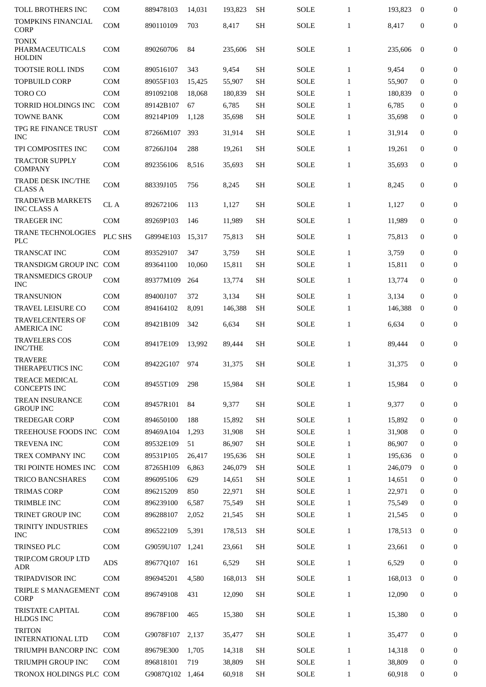| TOLL BROTHERS INC                             | <b>COM</b>               | 889478103              | 14,031         | 193,823           | <b>SH</b>              | <b>SOLE</b>  | $\mathbf{1}$                 | 193,823           | $\boldsymbol{0}$      | 0            |
|-----------------------------------------------|--------------------------|------------------------|----------------|-------------------|------------------------|--------------|------------------------------|-------------------|-----------------------|--------------|
| <b>TOMPKINS FINANCIAL</b><br><b>CORP</b>      | <b>COM</b>               | 890110109              | 703            | 8,417             | <b>SH</b>              | <b>SOLE</b>  | $\mathbf{1}$                 | 8,417             | $\mathbf{0}$          | 0            |
| <b>TONIX</b><br>PHARMACEUTICALS<br>HOLDIN     | COM                      | 890260706              | 84             | 235,606           | <b>SH</b>              | SOLE         | $\mathbf{1}$                 | 235,606           | $\mathbf{0}$          | 0            |
| TOOTSIE ROLL INDS                             | <b>COM</b>               | 890516107              | 343            | 9,454             | <b>SH</b>              | SOLE         | $\mathbf{1}$                 | 9,454             | $\mathbf{0}$          | 0            |
| <b>TOPBUILD CORP</b>                          | <b>COM</b>               | 89055F103              | 15,425         | 55,907            | <b>SH</b>              | <b>SOLE</b>  | $\mathbf{1}$                 | 55,907            | $\bf{0}$              | 0            |
| <b>TORO CO</b>                                | <b>COM</b>               | 891092108              | 18,068         | 180,839           | <b>SH</b>              | <b>SOLE</b>  | $\mathbf{1}$                 | 180,839           | $\bf{0}$              | $\mathbf{0}$ |
| <b>TORRID HOLDINGS INC</b>                    | <b>COM</b>               | 89142B107              | 67             | 6,785             | <b>SH</b>              | <b>SOLE</b>  | $\mathbf{1}$                 | 6,785             | $\mathbf{0}$          | 0            |
| <b>TOWNE BANK</b>                             | <b>COM</b>               | 89214P109              | 1,128          | 35,698            | <b>SH</b>              | <b>SOLE</b>  | $\mathbf{1}$                 | 35,698            | 0                     | 0            |
| TPG RE FINANCE TRUST<br><b>INC</b>            | COM                      | 87266M107              | 393            | 31,914            | <b>SH</b>              | <b>SOLE</b>  | $\mathbf{1}$                 | 31,914            | $\mathbf{0}$          | 0            |
| TPI COMPOSITES INC                            | <b>COM</b>               | 87266J104              | 288            | 19,261            | <b>SH</b>              | SOLE         | $\mathbf{1}$                 | 19,261            | 0                     | 0            |
| <b>TRACTOR SUPPLY</b><br><b>COMPANY</b>       | <b>COM</b>               | 892356106              | 8,516          | 35,693            | <b>SH</b>              | <b>SOLE</b>  | $\mathbf{1}$                 | 35,693            | 0                     | 0            |
| <b>TRADE DESK INC/THE</b><br><b>CLASS A</b>   | <b>COM</b>               | 88339J105              | 756            | 8,245             | <b>SH</b>              | <b>SOLE</b>  | $\mathbf{1}$                 | 8,245             | $\mathbf{0}$          | 0            |
| <b>TRADEWEB MARKETS</b><br><b>INC CLASS A</b> | CL A                     | 892672106              | 113            | 1,127             | <b>SH</b>              | <b>SOLE</b>  | $\mathbf{1}$                 | 1,127             | 0                     | 0            |
| <b>TRAEGER INC</b>                            | <b>COM</b>               | 89269P103              | 146            | 11,989            | <b>SH</b>              | <b>SOLE</b>  | $\mathbf{1}$                 | 11,989            | $\mathbf{0}$          | 0            |
| TRANE TECHNOLOGIES<br><b>PLC</b>              | PLC SHS                  | G8994E103              | 15,317         | 75,813            | <b>SH</b>              | <b>SOLE</b>  | $\mathbf{1}$                 | 75,813            | $\mathbf{0}$          | 0            |
| TRANSCAT INC                                  | <b>COM</b>               | 893529107              | 347            | 3,759             | <b>SH</b>              | <b>SOLE</b>  | $\mathbf{1}$                 | 3,759             | $\mathbf{0}$          | 0            |
| TRANSDIGM GROUP INC COM                       |                          | 893641100              | 10,060         | 15,811            | <b>SH</b>              | SOLE         | $\mathbf{1}$                 | 15,811            | $\bf{0}$              | $\mathbf{0}$ |
| TRANSMEDICS GROUP<br><b>INC</b>               | <b>COM</b>               | 89377M109              | 264            | 13,774            | <b>SH</b>              | SOLE         | $\mathbf{1}$                 | 13,774            | $\mathbf{0}$          | $\mathbf{0}$ |
| <b>TRANSUNION</b>                             | <b>COM</b>               | 89400J107              | 372            | 3,134             | SH                     | <b>SOLE</b>  | $\mathbf{1}$                 | 3,134             | $\mathbf{0}$          | 0            |
| <b>TRAVEL LEISURE CO</b>                      | <b>COM</b>               | 894164102              | 8,091          | 146,388           | <b>SH</b>              | SOLE         | $\mathbf{1}$                 | 146,388           | $\boldsymbol{0}$      | 0            |
| <b>TRAVELCENTERS OF</b><br><b>AMERICA INC</b> | <b>COM</b>               | 89421B109              | 342            | 6,634             | <b>SH</b>              | SOLE         | $\mathbf{1}$                 | 6,634             | 0                     | 0            |
| <b>TRAVELERS COS</b><br><b>INC/THE</b>        | <b>COM</b>               | 89417E109              | 13,992         | 89,444            | SH                     | SOLE         | $\mathbf{1}$                 | 89,444            | $\mathbf{0}$          | 0            |
| <b>TRAVERE</b><br>THERAPEUTICS INC            | <b>COM</b>               | 89422G107              | 974            | 31,375            | <b>SH</b>              | <b>SOLE</b>  | $\mathbf{1}$                 | 31,375            | $\mathbf{0}$          | 0            |
| TREACE MEDICAL<br><b>CONCEPTS INC</b>         | <b>COM</b>               | 89455T109              | 298            | 15.984            | <b>SH</b>              | <b>SOLE</b>  | $\mathbf{1}$                 | 15,984            | 0                     | 0            |
| <b>TREAN INSURANCE</b><br><b>GROUP INC</b>    | <b>COM</b>               | 89457R101              | 84             | 9,377             | <b>SH</b>              | <b>SOLE</b>  | $\mathbf{1}$                 | 9,377             | 0                     | 0            |
| <b>TREDEGAR CORP</b>                          | <b>COM</b>               | 894650100              | 188            | 15,892            | <b>SH</b>              | <b>SOLE</b>  | $\mathbf{1}$                 | 15,892            | $\mathbf{0}$          | 0            |
| TREEHOUSE FOODS INC                           | <b>COM</b>               | 89469A104              | 1,293          | 31,908            | <b>SH</b>              | <b>SOLE</b>  | $\mathbf{1}$                 | 31,908            | $\mathbf{0}$          | 0            |
| <b>TREVENA INC</b>                            | <b>COM</b>               | 89532E109              | 51             | 86,907            | <b>SH</b>              | <b>SOLE</b>  | $\mathbf{1}$                 | 86,907            | 0                     | 0            |
| TREX COMPANY INC                              | <b>COM</b>               | 89531P105              | 26,417         | 195,636           | <b>SH</b>              | SOLE         | $\mathbf{1}$                 | 195,636           | $\bf{0}$              | 0            |
| TRI POINTE HOMES INC                          | <b>COM</b>               | 87265H109              | 6,863          | 246,079           | <b>SH</b>              | <b>SOLE</b>  | $\mathbf{1}$                 | 246,079           | $\bf{0}$              | 0            |
| TRICO BANCSHARES                              | <b>COM</b>               | 896095106              | 629            | 14,651            | <b>SH</b>              | SOLE         | $\mathbf{1}$                 | 14,651            | 0                     | 0            |
| <b>TRIMAS CORP</b>                            | <b>COM</b>               | 896215209              | 850            | 22,971            | <b>SH</b>              | SOLE         | $\mathbf{1}$                 | 22,971            | 0                     | 0            |
| TRIMBLE INC                                   | <b>COM</b>               | 896239100              | 6,587          | 75,549            | <b>SH</b>              | <b>SOLE</b>  | $\mathbf{1}$                 | 75,549            | $\mathbf{0}$          | 0            |
| TRINET GROUP INC<br>TRINITY INDUSTRIES        | <b>COM</b><br><b>COM</b> | 896288107<br>896522109 | 2,052<br>5,391 | 21,545<br>178,513 | <b>SH</b><br><b>SH</b> | SOLE<br>SOLE | $\mathbf{1}$<br>$\mathbf{1}$ | 21,545<br>178,513 | 0<br>$\boldsymbol{0}$ | 0<br>0       |
| <b>INC</b>                                    |                          |                        |                |                   |                        |              |                              |                   |                       |              |
| TRINSEO PLC                                   | <b>COM</b>               | G9059U107              | 1,241          | 23,661            | <b>SH</b>              | SOLE         | $\mathbf{1}$                 | 23,661            | 0                     | 0            |
| TRIP.COM GROUP LTD<br><b>ADR</b>              | <b>ADS</b>               | 89677Q107              | 161            | 6,529             | <b>SH</b>              | SOLE         | $\mathbf{1}$                 | 6,529             | 0                     | 0            |
| <b>TRIPADVISOR INC</b>                        | <b>COM</b>               | 896945201              | 4,580          | 168,013           | <b>SH</b>              | SOLE         | $\mathbf{1}$                 | 168,013           | $\boldsymbol{0}$      | 0            |
| TRIPLE S MANAGEMENT<br><b>CORP</b>            | <b>COM</b>               | 896749108              | 431            | 12,090            | <b>SH</b>              | SOLE         | $\mathbf{1}$                 | 12,090            | 0                     | 0            |
| <b>TRISTATE CAPITAL</b><br><b>HLDGS INC</b>   | <b>COM</b>               | 89678F100              | 465            | 15,380            | <b>SH</b>              | SOLE         | $\mathbf{1}$                 | 15,380            | 0                     | 0            |
| <b>TRITON</b><br><b>INTERNATIONAL LTD</b>     | <b>COM</b>               | G9078F107              | 2,137          | 35,477            | <b>SH</b>              | SOLE         | $\mathbf{1}$                 | 35,477            | 0                     | 0            |
| TRIUMPH BANCORP INC COM                       |                          | 89679E300              | 1,705          | 14,318            | <b>SH</b>              | <b>SOLE</b>  | $\mathbf{1}$                 | 14,318            | 0                     | 0            |
| <b>TRIUMPH GROUP INC</b>                      | <b>COM</b>               | 896818101              | 719            | 38,809            | <b>SH</b>              | SOLE         | $\mathbf{1}$                 | 38,809            | $\bf{0}$              | 0            |
| TRONOX HOLDINGS PLC COM                       |                          | G9087Q102              | 1,464          | 60,918            | SH                     | SOLE         | $\mathbf{1}$                 | 60,918            | 0                     | 0            |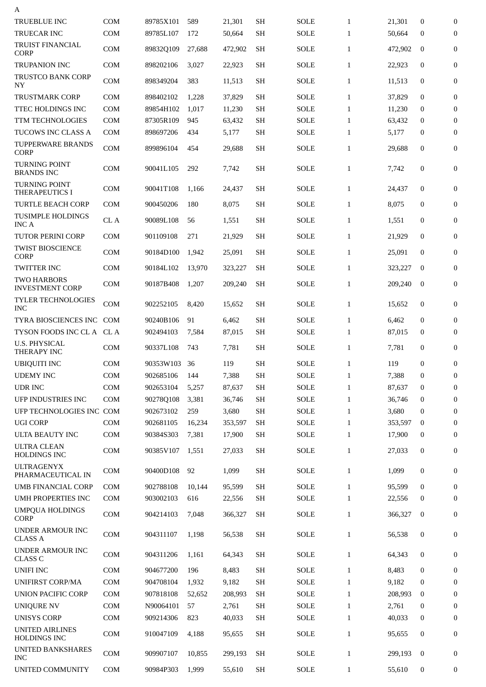| А                                             |            |           |        |         |           |             |              |         |                  |                  |
|-----------------------------------------------|------------|-----------|--------|---------|-----------|-------------|--------------|---------|------------------|------------------|
| <b>TRUEBLUE INC</b>                           | <b>COM</b> | 89785X101 | 589    | 21,301  | <b>SH</b> | <b>SOLE</b> | $\mathbf{1}$ | 21,301  | 0                | $\overline{0}$   |
| <b>TRUECAR INC</b>                            | <b>COM</b> | 89785L107 | 172    | 50,664  | <b>SH</b> | <b>SOLE</b> | $\mathbf{1}$ | 50,664  | $\mathbf{0}$     | $\mathbf{0}$     |
| TRUIST FINANCIAL<br><b>CORP</b>               | <b>COM</b> | 89832Q109 | 27,688 | 472,902 | <b>SH</b> | <b>SOLE</b> | $\mathbf{1}$ | 472,902 | $\boldsymbol{0}$ | $\boldsymbol{0}$ |
| <b>TRUPANION INC</b>                          | <b>COM</b> | 898202106 | 3,027  | 22,923  | <b>SH</b> | <b>SOLE</b> | $\mathbf{1}$ | 22,923  | $\mathbf{0}$     | $\boldsymbol{0}$ |
| <b>TRUSTCO BANK CORP</b><br>NY                | <b>COM</b> | 898349204 | 383    | 11,513  | <b>SH</b> | SOLE        | $\mathbf{1}$ | 11,513  | $\mathbf{0}$     | $\boldsymbol{0}$ |
| <b>TRUSTMARK CORP</b>                         | <b>COM</b> | 898402102 | 1,228  | 37,829  | <b>SH</b> | <b>SOLE</b> | $\mathbf{1}$ | 37,829  | $\mathbf{0}$     | $\overline{0}$   |
| TTEC HOLDINGS INC                             | <b>COM</b> | 89854H102 | 1,017  | 11,230  | <b>SH</b> | <b>SOLE</b> | $\mathbf{1}$ | 11,230  | $\bf{0}$         | $\Omega$         |
| TTM TECHNOLOGIES                              | <b>COM</b> | 87305R109 | 945    | 63,432  | <b>SH</b> | <b>SOLE</b> | $\mathbf{1}$ | 63,432  | $\Omega$         | $\overline{0}$   |
| TUCOWS INC CLASS A                            | <b>COM</b> | 898697206 | 434    | 5,177   | <b>SH</b> | <b>SOLE</b> | $\mathbf{1}$ | 5,177   | $\bf{0}$         | $\boldsymbol{0}$ |
| <b>TUPPERWARE BRANDS</b><br><b>CORP</b>       | <b>COM</b> | 899896104 | 454    | 29,688  | <b>SH</b> | <b>SOLE</b> | $\mathbf{1}$ | 29,688  | $\mathbf{0}$     | $\overline{0}$   |
| <b>TURNING POINT</b><br><b>BRANDS INC</b>     | <b>COM</b> | 90041L105 | 292    | 7,742   | SН        | SOLE        | $\mathbf{1}$ | 7,742   | $\mathbf{0}$     | $\boldsymbol{0}$ |
| <b>TURNING POINT</b><br><b>THERAPEUTICS I</b> | <b>COM</b> | 90041T108 | 1,166  | 24,437  | <b>SH</b> | <b>SOLE</b> | $\mathbf{1}$ | 24,437  | $\bf{0}$         | $\mathbf{0}$     |
| <b>TURTLE BEACH CORP</b>                      | <b>COM</b> | 900450206 | 180    | 8,075   | <b>SH</b> | <b>SOLE</b> | $\mathbf{1}$ | 8,075   | $\mathbf{0}$     | $\overline{0}$   |
| <b>TUSIMPLE HOLDINGS</b><br><b>INCA</b>       | CL A       | 90089L108 | 56     | 1,551   | <b>SH</b> | <b>SOLE</b> | $\mathbf{1}$ | 1,551   | $\mathbf{0}$     | 0                |
| <b>TUTOR PERINI CORP</b>                      | <b>COM</b> | 901109108 | 271    | 21,929  | <b>SH</b> | SOLE        | $\mathbf{1}$ | 21,929  | $\mathbf{0}$     | $\overline{0}$   |
| <b>TWIST BIOSCIENCE</b><br><b>CORP</b>        | <b>COM</b> | 90184D100 | 1,942  | 25,091  | <b>SH</b> | <b>SOLE</b> | $\mathbf{1}$ | 25,091  | $\mathbf{0}$     | $\boldsymbol{0}$ |
| <b>TWITTER INC</b>                            | <b>COM</b> | 90184L102 | 13,970 | 323,227 | <b>SH</b> | <b>SOLE</b> | $\mathbf{1}$ | 323,227 | $\mathbf{0}$     | $\boldsymbol{0}$ |
| <b>TWO HARBORS</b><br><b>INVESTMENT CORP</b>  | <b>COM</b> | 90187B408 | 1,207  | 209,240 | <b>SH</b> | <b>SOLE</b> | $\mathbf{1}$ | 209,240 | $\boldsymbol{0}$ | $\overline{0}$   |
| TYLER TECHNOLOGIES<br><b>INC</b>              | <b>COM</b> | 902252105 | 8,420  | 15,652  | <b>SH</b> | <b>SOLE</b> | $\mathbf{1}$ | 15,652  | $\mathbf{0}$     | $\overline{0}$   |
| TYRA BIOSCIENCES INC                          | <b>COM</b> | 90240B106 | 91     | 6,462   | <b>SH</b> | <b>SOLE</b> | $\mathbf{1}$ | 6,462   | $\bf{0}$         | $\boldsymbol{0}$ |
| TYSON FOODS INC CL A                          | CL A       | 902494103 | 7,584  | 87,015  | <b>SH</b> | SOLE        | $\mathbf{1}$ | 87,015  | $\mathbf{0}$     | $\overline{0}$   |
| <b>U.S. PHYSICAL</b><br><b>THERAPY INC</b>    | <b>COM</b> | 90337L108 | 743    | 7,781   | <b>SH</b> | <b>SOLE</b> | $\mathbf{1}$ | 7,781   | 0                | $\boldsymbol{0}$ |
| <b>UBIQUITI INC</b>                           | COM        | 90353W103 | 36     | 119     | SН        | <b>SOLE</b> | $\mathbf{1}$ | 119     | $\boldsymbol{0}$ | $\overline{0}$   |
| <b>UDEMY INC</b>                              | COM        | 902685106 | 144    | 7,388   | SH        | <b>SOLE</b> | $\mathbf{1}$ | 7,388   | 0                | $\Omega$         |
| <b>UDR INC</b>                                | <b>COM</b> | 902653104 | 5,257  | 87,637  | <b>SH</b> | <b>SOLE</b> | $\mathbf{1}$ | 87,637  | $\mathbf{0}$     | $\bf{0}$         |
| UFP INDUSTRIES INC                            | <b>COM</b> | 90278Q108 | 3,381  | 36,746  | <b>SH</b> | <b>SOLE</b> | $\mathbf{1}$ | 36,746  | $\mathbf{0}$     | $\mathbf{0}$     |
| UFP TECHNOLOGIES INC COM                      |            | 902673102 | 259    | 3,680   | <b>SH</b> | <b>SOLE</b> | $\mathbf{1}$ | 3,680   | $\mathbf{0}$     | 0                |
| <b>UGI CORP</b>                               | <b>COM</b> | 902681105 | 16,234 | 353,597 | <b>SH</b> | <b>SOLE</b> | $\mathbf{1}$ | 353,597 | $\bf{0}$         | $\boldsymbol{0}$ |
| <b>ULTA BEAUTY INC</b>                        | COM        | 90384S303 | 7,381  | 17,900  | <b>SH</b> | <b>SOLE</b> | $\mathbf{1}$ | 17,900  | $\mathbf{0}$     | 0                |
| <b>ULTRA CLEAN</b><br><b>HOLDINGS INC</b>     | COM        | 90385V107 | 1,551  | 27,033  | <b>SH</b> | <b>SOLE</b> | $\mathbf{1}$ | 27,033  | 0                | 0                |
| <b>ULTRAGENYX</b><br>PHARMACEUTICAL IN        | <b>COM</b> | 90400D108 | 92     | 1,099   | <b>SH</b> | <b>SOLE</b> | $\mathbf{1}$ | 1,099   | 0                | 0                |
| <b>UMB FINANCIAL CORP</b>                     | <b>COM</b> | 902788108 | 10,144 | 95,599  | <b>SH</b> | <b>SOLE</b> | $\mathbf{1}$ | 95,599  | $\mathbf{0}$     | $\mathbf{0}$     |
| UMH PROPERTIES INC                            | COM        | 903002103 | 616    | 22,556  | <b>SH</b> | <b>SOLE</b> | $\mathbf{1}$ | 22,556  | $\mathbf{0}$     | 0                |
| <b>UMPQUA HOLDINGS</b><br><b>CORP</b>         | <b>COM</b> | 904214103 | 7,048  | 366,327 | <b>SH</b> | <b>SOLE</b> | $\mathbf{1}$ | 366,327 | $\mathbf{0}$     | 0                |
| UNDER ARMOUR INC<br><b>CLASS A</b>            | COM        | 904311107 | 1,198  | 56,538  | <b>SH</b> | <b>SOLE</b> | $\mathbf{1}$ | 56,538  | 0                | 0                |
| UNDER ARMOUR INC<br><b>CLASS C</b>            | COM        | 904311206 | 1,161  | 64,343  | <b>SH</b> | SOLE        | $\mathbf{1}$ | 64,343  | 0                | 0                |
| <b>UNIFI INC</b>                              | <b>COM</b> | 904677200 | 196    | 8,483   | <b>SH</b> | <b>SOLE</b> | $\mathbf{1}$ | 8,483   | $\mathbf{0}$     | 0                |
| <b>UNIFIRST CORP/MA</b>                       | COM        | 904708104 | 1,932  | 9,182   | <b>SH</b> | <b>SOLE</b> | $\mathbf{1}$ | 9,182   | 0                | 0                |
| <b>UNION PACIFIC CORP</b>                     | <b>COM</b> | 907818108 | 52,652 | 208,993 | <b>SH</b> | SOLE        | $\mathbf{1}$ | 208,993 | $\mathbf{0}$     | $\boldsymbol{0}$ |
| <b>UNIQURE NV</b>                             | COM        | N90064101 | 57     | 2,761   | <b>SH</b> | <b>SOLE</b> | $\mathbf{1}$ | 2,761   | $\mathbf{0}$     | $\bf{0}$         |
| <b>UNISYS CORP</b>                            | COM        | 909214306 | 823    | 40,033  | <b>SH</b> | SOLE        | $\mathbf{1}$ | 40,033  | 0                | $\mathbf{0}$     |
| <b>UNITED AIRLINES</b><br><b>HOLDINGS INC</b> | COM        | 910047109 | 4,188  | 95,655  | <b>SH</b> | SOLE        | $\mathbf{1}$ | 95,655  | 0                | 0                |
| <b>UNITED BANKSHARES</b><br><b>INC</b>        | COM        | 909907107 | 10,855 | 299,193 | <b>SH</b> | SOLE        | $\mathbf{1}$ | 299,193 | $\mathbf{0}$     | 0                |
| UNITED COMMUNITY                              | COM        | 90984P303 | 1,999  | 55,610  | <b>SH</b> | <b>SOLE</b> | $\mathbf{1}$ | 55,610  | 0                | 0                |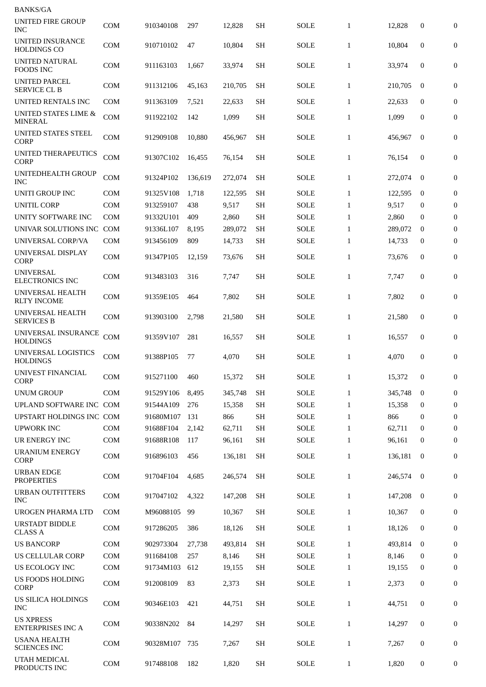| <b>BANKS/GA</b>                                   |            |           |         |         |           |             |              |         |              |                  |
|---------------------------------------------------|------------|-----------|---------|---------|-----------|-------------|--------------|---------|--------------|------------------|
| <b>UNITED FIRE GROUP</b><br><b>INC</b>            | <b>COM</b> | 910340108 | 297     | 12,828  | <b>SH</b> | <b>SOLE</b> | $\mathbf{1}$ | 12,828  | 0            | $\mathbf{0}$     |
| UNITED INSURANCE<br><b>HOLDINGS CO</b>            | <b>COM</b> | 910710102 | 47      | 10,804  | <b>SH</b> | <b>SOLE</b> | $\mathbf{1}$ | 10,804  | 0            | 0                |
| <b>UNITED NATURAL</b><br><b>FOODS INC</b>         | <b>COM</b> | 911163103 | 1,667   | 33,974  | <b>SH</b> | SOLE        | $\mathbf{1}$ | 33,974  | $\mathbf{0}$ | $\mathbf{0}$     |
| <b>UNITED PARCEL</b><br><b>SERVICE CL B</b>       | <b>COM</b> | 911312106 | 45,163  | 210,705 | <b>SH</b> | <b>SOLE</b> | $\mathbf{1}$ | 210,705 | $\bf{0}$     | $\mathbf{0}$     |
| <b>UNITED RENTALS INC</b>                         | <b>COM</b> | 911363109 | 7,521   | 22,633  | <b>SH</b> | SOLE        | $\mathbf{1}$ | 22,633  | $\mathbf{0}$ | $\mathbf{0}$     |
| <b>UNITED STATES LIME &amp;</b><br><b>MINERAL</b> | <b>COM</b> | 911922102 | 142     | 1,099   | <b>SH</b> | <b>SOLE</b> | $\mathbf{1}$ | 1,099   | 0            | $\boldsymbol{0}$ |
| UNITED STATES STEEL<br><b>CORP</b>                | <b>COM</b> | 912909108 | 10,880  | 456,967 | <b>SH</b> | <b>SOLE</b> | $\mathbf{1}$ | 456,967 | $\mathbf{0}$ | 0                |
| <b>UNITED THERAPEUTICS</b><br><b>CORP</b>         | COM        | 91307C102 | 16,455  | 76,154  | <b>SH</b> | <b>SOLE</b> | $\mathbf{1}$ | 76,154  | $\mathbf{0}$ | $\boldsymbol{0}$ |
| UNITEDHEALTH GROUP<br>INC                         | <b>COM</b> | 91324P102 | 136,619 | 272,074 | <b>SH</b> | SOLE        | $\mathbf{1}$ | 272,074 | $\mathbf{0}$ | $\boldsymbol{0}$ |
| <b>UNITI GROUP INC</b>                            | <b>COM</b> | 91325V108 | 1,718   | 122,595 | <b>SH</b> | <b>SOLE</b> | $\mathbf{1}$ | 122,595 | $\bf{0}$     | $\boldsymbol{0}$ |
| <b>UNITIL CORP</b>                                | <b>COM</b> | 913259107 | 438     | 9,517   | <b>SH</b> | <b>SOLE</b> | $\mathbf{1}$ | 9.517   | $\bf{0}$     | $\bf{0}$         |
| UNITY SOFTWARE INC                                | <b>COM</b> | 91332U101 | 409     | 2,860   | <b>SH</b> | <b>SOLE</b> | $\mathbf{1}$ | 2,860   | $\bf{0}$     | $\overline{0}$   |
| UNIVAR SOLUTIONS INC COM                          |            | 91336L107 | 8,195   | 289,072 | <b>SH</b> | <b>SOLE</b> | $\mathbf{1}$ | 289,072 | $\bf{0}$     | $\boldsymbol{0}$ |
| UNIVERSAL CORP/VA                                 | <b>COM</b> | 913456109 | 809     | 14,733  | <b>SH</b> | <b>SOLE</b> | $\mathbf{1}$ | 14,733  | 0            | $\bf{0}$         |
| UNIVERSAL DISPLAY<br><b>CORP</b>                  | <b>COM</b> | 91347P105 | 12,159  | 73,676  | <b>SH</b> | <b>SOLE</b> | $\mathbf{1}$ | 73,676  | $\mathbf{0}$ | $\boldsymbol{0}$ |
| <b>UNIVERSAL</b><br><b>ELECTRONICS INC</b>        | <b>COM</b> | 913483103 | 316     | 7,747   | <b>SH</b> | SOLE        | $\mathbf{1}$ | 7,747   | 0            | $\mathbf{0}$     |
| UNIVERSAL HEALTH<br><b>RLTY INCOME</b>            | <b>COM</b> | 91359E105 | 464     | 7,802   | <b>SH</b> | SOLE        | $\mathbf{1}$ | 7,802   | $\mathbf{0}$ | $\mathbf{0}$     |
| UNIVERSAL HEALTH<br><b>SERVICES B</b>             | <b>COM</b> | 913903100 | 2,798   | 21,580  | <b>SH</b> | SOLE        | $\mathbf{1}$ | 21,580  | $\mathbf{0}$ | $\boldsymbol{0}$ |
| UNIVERSAL INSURANCE<br><b>HOLDINGS</b>            | <b>COM</b> | 91359V107 | 281     | 16,557  | SН        | SOLE        | $\mathbf{1}$ | 16,557  | 0            | 0                |
| UNIVERSAL LOGISTICS<br><b>HOLDINGS</b>            | <b>COM</b> | 91388P105 | 77      | 4,070   | <b>SH</b> | <b>SOLE</b> | $\mathbf{1}$ | 4,070   | 0            | $\boldsymbol{0}$ |
| UNIVEST FINANCIAL<br><b>CORP</b>                  | <b>COM</b> | 915271100 | 460     | 15,372  | <b>SH</b> | SOLE        | $\mathbf{1}$ | 15,372  | 0            | $\mathbf{0}$     |
| <b>UNUM GROUP</b>                                 | <b>COM</b> | 91529Y106 | 8,495   | 345,748 | <b>SH</b> | <b>SOLE</b> | $\mathbf{1}$ | 345,748 | $\mathbf{0}$ | $\boldsymbol{0}$ |
| UPLAND SOFTWARE INC COM                           |            | 91544A109 | 276     | 15,358  | <b>SH</b> | SOLE        | $\mathbf{1}$ | 15,358  | $\bf{0}$     | $\Omega$         |
| UPSTART HOLDINGS INC COM                          |            | 91680M107 | 131     | 866     | <b>SH</b> | <b>SOLE</b> | $\mathbf{1}$ | 866     | $\mathbf{0}$ | $\bf{0}$         |
| <b>UPWORK INC</b>                                 | <b>COM</b> | 91688F104 | 2,142   | 62,711  | <b>SH</b> | SOLE        | $\mathbf{1}$ | 62,711  | $\mathbf{0}$ | $\mathbf{0}$     |
| UR ENERGY INC                                     | COM        | 91688R108 | 117     | 96,161  | <b>SH</b> | SOLE        | $\mathbf{1}$ | 96,161  | $\bf{0}$     | 0                |
| <b>URANIUM ENERGY</b><br>CORP                     | <b>COM</b> | 916896103 | 456     | 136,181 | <b>SH</b> | SOLE        | $\mathbf{1}$ | 136,181 | $\bf{0}$     | $\boldsymbol{0}$ |
| <b>URBAN EDGE</b><br><b>PROPERTIES</b>            | <b>COM</b> | 91704F104 | 4,685   | 246,574 | <b>SH</b> | SOLE        | $\mathbf{1}$ | 246,574 | $\mathbf{0}$ | $\mathbf{0}$     |
| <b>URBAN OUTFITTERS</b><br><b>INC</b>             | <b>COM</b> | 917047102 | 4,322   | 147,208 | <b>SH</b> | <b>SOLE</b> | $\mathbf{1}$ | 147,208 | $\bf{0}$     | $\mathbf{0}$     |
| <b>UROGEN PHARMA LTD</b>                          | COM        | M96088105 | 99      | 10,367  | <b>SH</b> | SOLE        | $\mathbf{1}$ | 10,367  | $\bf{0}$     | $\mathbf{0}$     |
| <b>URSTADT BIDDLE</b><br><b>CLASS A</b>           | <b>COM</b> | 917286205 | 386     | 18,126  | <b>SH</b> | SOLE        | $\mathbf{1}$ | 18,126  | 0            | 0                |
| <b>US BANCORP</b>                                 | <b>COM</b> | 902973304 | 27,738  | 493,814 | <b>SH</b> | <b>SOLE</b> | $\mathbf{1}$ | 493,814 | $\bf{0}$     | $\bf{0}$         |
| US CELLULAR CORP                                  | <b>COM</b> | 911684108 | 257     | 8,146   | <b>SH</b> | SOLE        | $\mathbf{1}$ | 8,146   | $\bf{0}$     | $\mathbf{0}$     |
| US ECOLOGY INC                                    | <b>COM</b> | 91734M103 | 612     | 19,155  | <b>SH</b> | SOLE        | $\mathbf{1}$ | 19,155  | 0            | 0                |
| US FOODS HOLDING<br><b>CORP</b>                   | <b>COM</b> | 912008109 | 83      | 2,373   | <b>SH</b> | SOLE        | $\mathbf{1}$ | 2,373   | 0            | $\mathbf{0}$     |
| US SILICA HOLDINGS<br>INC                         | <b>COM</b> | 90346E103 | 421     | 44,751  | <b>SH</b> | SOLE        | $\mathbf{1}$ | 44,751  | 0            | $\mathbf{0}$     |
| <b>US XPRESS</b><br><b>ENTERPRISES INC A</b>      | <b>COM</b> | 90338N202 | 84      | 14,297  | <b>SH</b> | SOLE        | $\mathbf{1}$ | 14,297  | 0            | $\mathbf{0}$     |
| <b>USANA HEALTH</b><br><b>SCIENCES INC</b>        | <b>COM</b> | 90328M107 | 735     | 7,267   | <b>SH</b> | SOLE        | $\mathbf{1}$ | 7,267   | 0            | $\overline{0}$   |
| UTAH MEDICAL<br>PRODUCTS INC                      | <b>COM</b> | 917488108 | 182     | 1,820   | SH        | SOLE        | $\mathbf{1}$ | 1,820   | 0            | 0                |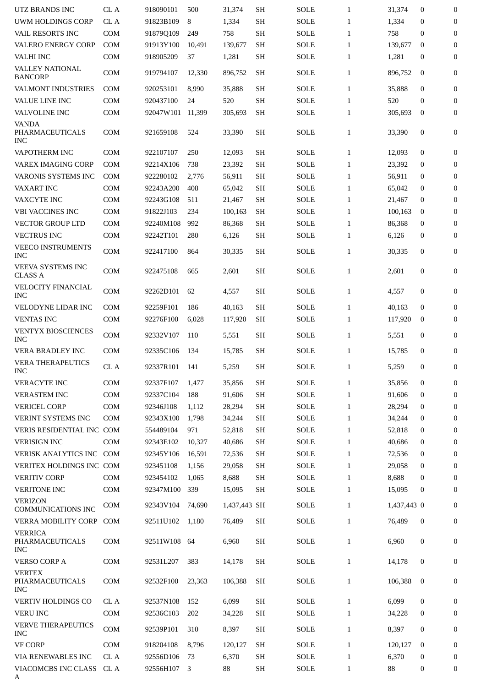| UTZ BRANDS INC                                   | CL A       | 918090101              | 500           | 31,374                 | <b>SH</b>           | <b>SOLE</b>                | $\mathbf{1}$                 | 31,374                | $\mathbf{0}$     | $\mathbf{0}$                     |
|--------------------------------------------------|------------|------------------------|---------------|------------------------|---------------------|----------------------------|------------------------------|-----------------------|------------------|----------------------------------|
| <b>UWM HOLDINGS CORP</b>                         | CL A       | 91823B109              | 8             | 1,334                  | <b>SH</b>           | <b>SOLE</b>                | $\mathbf{1}$                 | 1,334                 | $\mathbf{0}$     | $\boldsymbol{0}$                 |
| VAIL RESORTS INC                                 | <b>COM</b> | 91879Q109              | 249           | 758                    | <b>SH</b>           | <b>SOLE</b>                | $\mathbf{1}$                 | 758                   | $\mathbf{0}$     | $\boldsymbol{0}$                 |
| <b>VALERO ENERGY CORP</b>                        | <b>COM</b> | 91913Y100              | 10,491        | 139,677                | <b>SH</b>           | <b>SOLE</b>                | $\mathbf{1}$                 | 139,677               | $\mathbf{0}$     | $\bf{0}$                         |
| <b>VALHI INC</b>                                 | COM        | 918905209              | 37            | 1,281                  | $\operatorname{SH}$ | SOLE                       | $\mathbf{1}$                 | 1,281                 | $\boldsymbol{0}$ | $\boldsymbol{0}$                 |
| <b>VALLEY NATIONAL</b><br><b>BANCORP</b>         | COM        | 919794107              | 12,330        | 896,752                | <b>SH</b>           | <b>SOLE</b>                | $\mathbf{1}$                 | 896,752               | $\bf{0}$         | 0                                |
| VALMONT INDUSTRIES                               | <b>COM</b> | 920253101              | 8,990         | 35,888                 | <b>SH</b>           | <b>SOLE</b>                | $\mathbf{1}$                 | 35,888                | $\mathbf{0}$     | $\boldsymbol{0}$                 |
| VALUE LINE INC                                   | <b>COM</b> | 920437100              | 24            | 520                    | <b>SH</b>           | <b>SOLE</b>                | $\mathbf{1}$                 | 520                   | $\mathbf{0}$     | $\boldsymbol{0}$                 |
| VALVOLINE INC                                    | <b>COM</b> | 92047W101              | 11,399        | 305,693                | <b>SH</b>           | <b>SOLE</b>                | $\mathbf{1}$                 | 305,693               | $\bf{0}$         | $\boldsymbol{0}$                 |
| <b>VANDA</b><br>PHARMACEUTICALS<br><b>INC</b>    | <b>COM</b> | 921659108              | 524           | 33,390                 | SH                  | <b>SOLE</b>                | $\mathbf{1}$                 | 33,390                | $\boldsymbol{0}$ | 0                                |
| VAPOTHERM INC                                    | <b>COM</b> | 922107107              | 250           | 12,093                 | <b>SH</b>           | <b>SOLE</b>                | $\mathbf{1}$                 | 12,093                | $\mathbf{0}$     | $\boldsymbol{0}$                 |
| <b>VAREX IMAGING CORP</b>                        | <b>COM</b> | 92214X106              | 738           | 23,392                 | <b>SH</b>           | <b>SOLE</b>                | $\mathbf{1}$                 | 23,392                | 0                | $\bf{0}$                         |
| <b>VARONIS SYSTEMS INC</b>                       | <b>COM</b> | 922280102              | 2,776         | 56,911                 | <b>SH</b>           | <b>SOLE</b>                | $\mathbf{1}$                 | 56,911                | $\bf{0}$         | 0                                |
| VAXART INC                                       | <b>COM</b> | 92243A200              | 408           | 65,042                 | <b>SH</b>           | <b>SOLE</b>                | $\mathbf{1}$                 | 65,042                | $\bf{0}$         | $\boldsymbol{0}$                 |
| VAXCYTE INC                                      | <b>COM</b> | 92243G108              | 511           | 21,467                 | <b>SH</b>           | SOLE                       | $\mathbf{1}$                 | 21,467                | 0                | $\mathbf{0}$                     |
| <b>VBI VACCINES INC</b>                          | <b>COM</b> | 91822J103              | 234           | 100,163                | <b>SH</b>           | <b>SOLE</b>                | $\mathbf{1}$                 | 100,163               | $\bf{0}$         | $\bf{0}$                         |
| <b>VECTOR GROUP LTD</b>                          | <b>COM</b> | 92240M108              | 992           | 86,368                 | <b>SH</b>           | <b>SOLE</b>                | $\mathbf{1}$                 | 86,368                | 0                | 0                                |
|                                                  |            |                        |               |                        |                     |                            |                              |                       |                  |                                  |
| <b>VECTRUS INC</b>                               | <b>COM</b> | 92242T101              | 280           | 6,126                  | SH                  | SOLE                       | $\mathbf{1}$                 | 6,126                 | $\boldsymbol{0}$ | 0                                |
| <b>VEECO INSTRUMENTS</b><br><b>INC</b>           | COM        | 922417100              | 864           | 30,335                 | <b>SH</b>           | SOLE                       | $\mathbf{1}$                 | 30,335                | $\boldsymbol{0}$ | $\boldsymbol{0}$                 |
| VEEVA SYSTEMS INC<br><b>CLASS A</b>              | COM        | 922475108              | 665           | 2,601                  | <b>SH</b>           | <b>SOLE</b>                | $\mathbf{1}$                 | 2,601                 | $\bf{0}$         | 0                                |
| VELOCITY FINANCIAL<br><b>INC</b>                 | <b>COM</b> | 92262D101              | 62            | 4,557                  | <b>SH</b>           | <b>SOLE</b>                | $\mathbf{1}$                 | 4,557                 | $\bf{0}$         | $\boldsymbol{0}$                 |
| <b>VELODYNE LIDAR INC</b>                        | <b>COM</b> | 92259F101              | 186           | 40,163                 | <b>SH</b>           | <b>SOLE</b>                | $\mathbf{1}$                 | 40,163                | $\mathbf{0}$     | $\boldsymbol{0}$                 |
| <b>VENTAS INC</b>                                | <b>COM</b> | 92276F100              | 6,028         | 117,920                | <b>SH</b>           | <b>SOLE</b>                | $\mathbf{1}$                 | 117,920               | $\bf{0}$         | $\mathbf{0}$                     |
| VENTYX BIOSCIENCES<br><b>INC</b>                 | COM        | 92332V107              | 110           | 5,551                  | <b>SH</b>           | <b>SOLE</b>                | $\mathbf{1}$                 | 5,551                 | $\bf{0}$         | $\boldsymbol{0}$                 |
| <b>VERA BRADLEY INC</b>                          | <b>COM</b> | 92335C106              | 134           | 15,785                 | <b>SH</b>           | <b>SOLE</b>                | $\mathbf{1}$                 | 15,785                | $\mathbf{0}$     | $\boldsymbol{0}$                 |
| <b>VERA THERAPEUTICS</b><br><b>INC</b>           | CL A       | 92337R101              | 141           | 5.259                  | SH                  | <b>SOLE</b>                | $\mathbf{1}$                 | 5.259                 | $\mathbf{0}$     | 0                                |
| VERACYTE INC                                     | <b>COM</b> | 92337F107              | 1,477         | 35,856                 | <b>SH</b>           | <b>SOLE</b>                | $\mathbf{1}$                 | 35,856                | 0                | $\mathbf{0}$                     |
| <b>VERASTEM INC</b>                              | COM        | 92337C104              | 188           | 91,606                 | <b>SH</b>           | <b>SOLE</b>                | $\mathbf{1}$                 | 91,606                | $\mathbf{0}$     | $\boldsymbol{0}$                 |
| <b>VERICEL CORP</b>                              | <b>COM</b> | 92346J108              | 1,112         | 28,294                 | <b>SH</b>           | SOLE                       | $\mathbf{1}$                 | 28,294                | $\mathbf{0}$     | $\mathbf{0}$                     |
| <b>VERINT SYSTEMS INC</b>                        | <b>COM</b> | 92343X100              | 1,798         | 34,244                 | <b>SH</b>           | <b>SOLE</b>                | $\mathbf{1}$                 | 34,244                | $\mathbf{0}$     | $\boldsymbol{0}$                 |
| VERIS RESIDENTIAL INC COM                        |            | 554489104              | 971           | 52,818                 | <b>SH</b>           | SOLE                       | $\mathbf{1}$                 | 52,818                | $\bf{0}$         | $\boldsymbol{0}$                 |
| <b>VERISIGN INC</b>                              | <b>COM</b> | 92343E102              | 10,327        | 40,686                 | <b>SH</b>           | <b>SOLE</b>                | $\mathbf{1}$                 | 40,686                | $\mathbf{0}$     | $\mathbf{0}$                     |
| <b>VERISK ANALYTICS INC</b>                      | COM        | 92345Y106              | 16,591        | 72,536                 | <b>SH</b>           | SOLE                       | $\mathbf{1}$                 | 72,536                | $\mathbf{0}$     | 0                                |
| VERITEX HOLDINGS INC COM                         |            | 923451108              |               |                        | <b>SH</b>           |                            |                              |                       | $\mathbf{0}$     | $\boldsymbol{0}$                 |
|                                                  | <b>COM</b> |                        | 1,156         | 29,058                 |                     | SOLE                       | $\mathbf{1}$                 | 29,058                | $\mathbf{0}$     |                                  |
| <b>VERITIV CORP</b>                              |            | 923454102              | 1,065         | 8,688                  | <b>SH</b>           | SOLE                       | $\mathbf{1}$                 | 8,688                 |                  | 0                                |
| <b>VERITONE INC</b><br><b>VERIZON</b>            | COM<br>COM | 92347M100<br>92343V104 | 339<br>74,690 | 15,095<br>1,437,443 SH | SH                  | <b>SOLE</b><br><b>SOLE</b> | $\mathbf{1}$<br>$\mathbf{1}$ | 15,095<br>1,437,443 0 | 0                | $\boldsymbol{0}$<br>$\mathbf{0}$ |
| <b>COMMUNICATIONS INC</b><br>VERRA MOBILITY CORP | <b>COM</b> | 92511U102              | 1,180         | 76,489                 | <b>SH</b>           | <b>SOLE</b>                | $\mathbf{1}$                 | 76,489                | $\boldsymbol{0}$ | 0                                |
| <b>VERRICA</b><br>PHARMACEUTICALS                | COM        | 92511W108              | 64            | 6,960                  | <b>SH</b>           | SOLE                       | $\mathbf{1}$                 | 6,960                 | $\bf{0}$         | $\boldsymbol{0}$                 |
| <b>INC</b><br><b>VERSO CORP A</b>                | <b>COM</b> | 92531L207              | 383           | 14,178                 | <b>SH</b>           | <b>SOLE</b>                | $\mathbf{1}$                 | 14,178                | $\bf{0}$         | $\boldsymbol{0}$                 |
| <b>VERTEX</b><br>PHARMACEUTICALS<br><b>INC</b>   | <b>COM</b> | 92532F100              | 23,363        | 106,388                | <b>SH</b>           | <b>SOLE</b>                | $\mathbf{1}$                 | 106,388               | $\bf{0}$         | $\boldsymbol{0}$                 |
| VERTIV HOLDINGS CO                               | CL A       | 92537N108              | 152           | 6,099                  | <b>SH</b>           | SOLE                       | $\mathbf{1}$                 | 6,099                 | $\boldsymbol{0}$ | $\mathbf{0}$                     |
| <b>VERU INC</b>                                  | COM        | 92536C103              | 202           | 34,228                 | <b>SH</b>           | SOLE                       | $\mathbf{1}$                 | 34,228                | 0                | $\mathbf{0}$                     |
| VERVE THERAPEUTICS                               |            |                        |               |                        |                     |                            |                              |                       |                  |                                  |
| <b>INC</b>                                       | COM        | 92539P101              | 310           | 8,397                  | <b>SH</b>           | <b>SOLE</b>                | $\mathbf{1}$                 | 8,397                 | $\bf{0}$         | $\boldsymbol{0}$                 |
| <b>VF CORP</b>                                   | COM        | 918204108              | 8,796         | 120,127                | <b>SH</b>           | SOLE                       | $\mathbf{1}$                 | 120,127               | $\mathbf{0}$     | $\mathbf{0}$                     |
| VIA RENEWABLES INC                               | CL A       | 92556D106              | 73            | 6,370                  | <b>SH</b>           | <b>SOLE</b>                | $\mathbf{1}$                 | 6,370                 | $\bf{0}$         | $\mathbf{0}$                     |
| VIACOMCBS INC CLASS<br>A                         | CL A       | 92556H107              | 3             | 88                     | SH                  | SOLE                       | $\mathbf{1}$                 | 88                    | $\bf{0}$         | 0                                |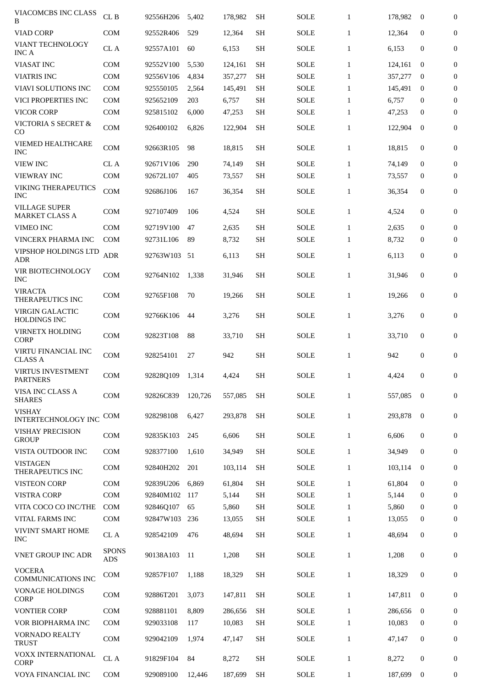| VIACOMCBS INC CLASS<br>B                      | CL B                       | 92556H206       | 5,402   | 178,982 | <b>SH</b>     | <b>SOLE</b> | $\mathbf{1}$ | 178,982 | $\bf{0}$     | 0                |
|-----------------------------------------------|----------------------------|-----------------|---------|---------|---------------|-------------|--------------|---------|--------------|------------------|
| <b>VIAD CORP</b>                              | <b>COM</b>                 | 92552R406       | 529     | 12,364  | <b>SH</b>     | <b>SOLE</b> | $\mathbf{1}$ | 12,364  | $\mathbf{0}$ | $\mathbf{0}$     |
| <b>VIANT TECHNOLOGY</b><br><b>INC A</b>       | CL A                       | 92557A101       | 60      | 6,153   | <b>SH</b>     | <b>SOLE</b> | $\mathbf{1}$ | 6,153   | $\mathbf{0}$ | $\mathbf{0}$     |
| <b>VIASAT INC</b>                             | <b>COM</b>                 | 92552V100       | 5,530   | 124,161 | <b>SH</b>     | <b>SOLE</b> | $\mathbf{1}$ | 124,161 | $\mathbf{0}$ | $\boldsymbol{0}$ |
| <b>VIATRIS INC</b>                            | <b>COM</b>                 | 92556V106       | 4,834   | 357,277 | <b>SH</b>     | <b>SOLE</b> | $\mathbf{1}$ | 357,277 | $\bf{0}$     | $\bf{0}$         |
| <b>VIAVI SOLUTIONS INC</b>                    | <b>COM</b>                 | 925550105       | 2,564   | 145,491 | <b>SH</b>     | <b>SOLE</b> | $\mathbf{1}$ | 145,491 | $\bf{0}$     | $\boldsymbol{0}$ |
| VICI PROPERTIES INC                           | <b>COM</b>                 | 925652109       | 203     | 6,757   | <b>SH</b>     | <b>SOLE</b> | $\mathbf{1}$ | 6,757   | $\mathbf{0}$ | $\boldsymbol{0}$ |
| <b>VICOR CORP</b>                             | <b>COM</b>                 | 925815102       | 6,000   | 47,253  | <b>SH</b>     | <b>SOLE</b> | $\mathbf{1}$ | 47,253  | $\mathbf{0}$ | $\mathbf{0}$     |
| <b>VICTORIA S SECRET &amp;</b><br>CO          | <b>COM</b>                 | 926400102       | 6,826   | 122,904 | <b>SH</b>     | <b>SOLE</b> | $\mathbf{1}$ | 122,904 | $\mathbf{0}$ | $\boldsymbol{0}$ |
| VIEMED HEALTHCARE<br><b>INC</b>               | <b>COM</b>                 | 92663R105       | 98      | 18,815  | <b>SH</b>     | <b>SOLE</b> | $\mathbf{1}$ | 18,815  | 0            | $\boldsymbol{0}$ |
| <b>VIEW INC</b>                               | CL A                       | 92671V106       | 290     | 74,149  | <b>SH</b>     | <b>SOLE</b> | $\mathbf{1}$ | 74,149  | $\bf{0}$     | $\bf{0}$         |
| <b>VIEWRAY INC</b>                            | <b>COM</b>                 | 92672L107       | 405     | 73,557  | <b>SH</b>     | <b>SOLE</b> | $\mathbf{1}$ | 73,557  | $\bf{0}$     | $\mathbf{0}$     |
| <b>VIKING THERAPEUTICS</b><br><b>INC</b>      | <b>COM</b>                 | 92686J106       | 167     | 36,354  | <b>SH</b>     | <b>SOLE</b> | $\mathbf{1}$ | 36,354  | $\mathbf{0}$ | 0                |
| <b>VILLAGE SUPER</b><br><b>MARKET CLASS A</b> | <b>COM</b>                 | 927107409       | 106     | 4,524   | <b>SH</b>     | SOLE        | $\mathbf{1}$ | 4,524   | $\mathbf{0}$ | 0                |
| <b>VIMEO INC</b>                              | COM                        | 92719V100       | 47      | 2,635   | <b>SH</b>     | <b>SOLE</b> | $\mathbf{1}$ | 2,635   | $\mathbf{0}$ | $\boldsymbol{0}$ |
| VINCERX PHARMA INC                            | <b>COM</b>                 | 92731L106       | 89      | 8,732   | <b>SH</b>     | <b>SOLE</b> | $\mathbf{1}$ | 8,732   | $\bf{0}$     | $\mathbf{0}$     |
| VIPSHOP HOLDINGS LTD<br>ADR                   | <b>ADR</b>                 | 92763W103       | 51      | 6,113   | <b>SH</b>     | <b>SOLE</b> | $\mathbf{1}$ | 6,113   | $\mathbf{0}$ | $\boldsymbol{0}$ |
| VIR BIOTECHNOLOGY<br><b>INC</b>               | <b>COM</b>                 | 92764N102       | 1,338   | 31,946  | <b>SH</b>     | <b>SOLE</b> | $\mathbf{1}$ | 31,946  | $\mathbf{0}$ | $\boldsymbol{0}$ |
| VIRACTA<br>THERAPEUTICS INC                   | <b>COM</b>                 | 92765F108       | 70      | 19,266  | <b>SH</b>     | <b>SOLE</b> | $\mathbf{1}$ | 19,266  | $\mathbf{0}$ | $\boldsymbol{0}$ |
| <b>VIRGIN GALACTIC</b><br><b>HOLDINGS INC</b> | COM                        | 92766K106       | 44      | 3,276   | <b>SH</b>     | <b>SOLE</b> | $\mathbf{1}$ | 3,276   | $\mathbf{0}$ | $\boldsymbol{0}$ |
| <b>VIRNETX HOLDING</b><br><b>CORP</b>         | COM                        | 92823T108       | 88      | 33.710  | SH            | <b>SOLE</b> | $\mathbf{1}$ | 33,710  | $\mathbf{0}$ | $\mathbf{0}$     |
| VIRTU FINANCIAL INC<br><b>CLASS A</b>         | <b>COM</b>                 | 928254101       | 27      | 942     | <b>SH</b>     | <b>SOLE</b> | $\mathbf{1}$ | 942     | $\mathbf{0}$ | $\boldsymbol{0}$ |
| VIRTUS INVESTMENT<br><b>PARTNERS</b>          | COM                        | 92828Q109 1,314 |         | 4,424   | $\mathbf{SH}$ | SOLE        | $\mathbf{1}$ | 4,424   | $\mathbf 0$  | 0                |
| VISA INC CLASS A<br><b>SHARES</b>             | COM                        | 92826C839       | 120,726 | 557,085 | <b>SH</b>     | <b>SOLE</b> | $\mathbf{1}$ | 557,085 | $\mathbf{0}$ | 0                |
| <b>VISHAY</b><br><b>INTERTECHNOLOGY INC</b>   | <b>COM</b>                 | 928298108       | 6,427   | 293,878 | <b>SH</b>     | <b>SOLE</b> | $\mathbf{1}$ | 293,878 | $\mathbf{0}$ | 0                |
| <b>VISHAY PRECISION</b><br><b>GROUP</b>       | <b>COM</b>                 | 92835K103       | 245     | 6,606   | <b>SH</b>     | SOLE        | $\mathbf{1}$ | 6,606   | $\mathbf{0}$ | $\mathbf{0}$     |
| VISTA OUTDOOR INC                             | <b>COM</b>                 | 928377100       | 1,610   | 34,949  | <b>SH</b>     | <b>SOLE</b> | $\mathbf{1}$ | 34,949  | $\mathbf{0}$ | 0                |
| <b>VISTAGEN</b><br><b>THERAPEUTICS INC</b>    | <b>COM</b>                 | 92840H202       | 201     | 103,114 | <b>SH</b>     | <b>SOLE</b> | $\mathbf{1}$ | 103,114 | $\bf{0}$     | 0                |
| <b>VISTEON CORP</b>                           | <b>COM</b>                 | 92839U206       | 6,869   | 61,804  | <b>SH</b>     | <b>SOLE</b> | $\mathbf{1}$ | 61,804  | $\mathbf{0}$ | 0                |
| <b>VISTRA CORP</b>                            | <b>COM</b>                 | 92840M102       | 117     | 5,144   | <b>SH</b>     | <b>SOLE</b> | $\mathbf{1}$ | 5,144   | $\bf{0}$     | 0                |
| VITA COCO CO INC/THE                          | <b>COM</b>                 | 92846Q107       | 65      | 5,860   | <b>SH</b>     | <b>SOLE</b> | $\mathbf{1}$ | 5,860   | $\bf{0}$     | $\mathbf{0}$     |
| VITAL FARMS INC                               | <b>COM</b>                 | 92847W103       | 236     | 13,055  | SH            | <b>SOLE</b> | $\mathbf{1}$ | 13,055  | $\bf{0}$     | $\mathbf{0}$     |
| <b>VIVINT SMART HOME</b><br><b>INC</b>        | CL A                       | 928542109       | 476     | 48,694  | <b>SH</b>     | <b>SOLE</b> | $\mathbf{1}$ | 48,694  | $\mathbf{0}$ | 0                |
| VNET GROUP INC ADR                            | <b>SPONS</b><br><b>ADS</b> | 90138A103       | 11      | 1,208   | <b>SH</b>     | <b>SOLE</b> | $\mathbf{1}$ | 1,208   | 0            | 0                |
| <b>VOCERA</b><br><b>COMMUNICATIONS INC</b>    | <b>COM</b>                 | 92857F107       | 1,188   | 18,329  | <b>SH</b>     | <b>SOLE</b> | $\mathbf{1}$ | 18,329  | $\mathbf{0}$ | 0                |
| <b>VONAGE HOLDINGS</b><br>CORP                | <b>COM</b>                 | 92886T201       | 3,073   | 147,811 | <b>SH</b>     | <b>SOLE</b> | $\mathbf{1}$ | 147,811 | $\bf{0}$     | $\mathbf{0}$     |
| <b>VONTIER CORP</b>                           | <b>COM</b>                 | 928881101       | 8,809   | 286,656 | <b>SH</b>     | <b>SOLE</b> | $\mathbf{1}$ | 286,656 | $\bf{0}$     | 0                |
| VOR BIOPHARMA INC                             | <b>COM</b>                 | 929033108       | 117     | 10,083  | <b>SH</b>     | <b>SOLE</b> | $\mathbf{1}$ | 10,083  | $\mathbf{0}$ | 0                |
| VORNADO REALTY<br><b>TRUST</b>                | COM                        | 929042109       | 1,974   | 47,147  | <b>SH</b>     | <b>SOLE</b> | $\mathbf{1}$ | 47,147  | $\mathbf{0}$ | 0                |
| VOXX INTERNATIONAL<br><b>CORP</b>             | CL A                       | 91829F104       | 84      | 8,272   | <b>SH</b>     | <b>SOLE</b> | $\mathbf{1}$ | 8,272   | 0            | $\boldsymbol{0}$ |
| VOYA FINANCIAL INC                            | <b>COM</b>                 | 929089100       | 12,446  | 187,699 | <b>SH</b>     | <b>SOLE</b> | $\mathbf{1}$ | 187,699 | $\mathbf{0}$ | 0                |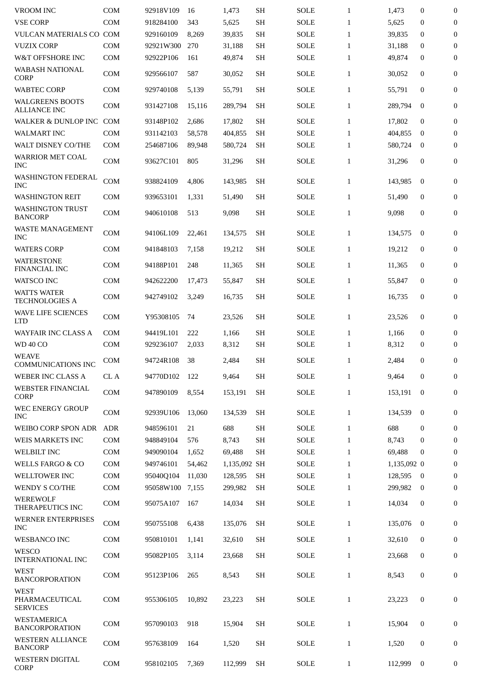| <b>VROOM INC</b>                                 | COM        | 92918V109 | 16     | 1,473        | SH        | <b>SOLE</b> | $\mathbf{1}$ | 1,473       | $\mathbf{0}$     | $\mathbf{0}$     |
|--------------------------------------------------|------------|-----------|--------|--------------|-----------|-------------|--------------|-------------|------------------|------------------|
| <b>VSE CORP</b>                                  | <b>COM</b> | 918284100 | 343    | 5,625        | <b>SH</b> | <b>SOLE</b> | $\mathbf{1}$ | 5,625       | $\mathbf{0}$     | $\bf{0}$         |
| <b>VULCAN MATERIALS CO COM</b>                   |            | 929160109 | 8,269  | 39,835       | <b>SH</b> | <b>SOLE</b> | $\mathbf{1}$ | 39,835      | $\mathbf{0}$     | $\mathbf{0}$     |
| <b>VUZIX CORP</b>                                | COM        | 92921W300 | 270    | 31,188       | <b>SH</b> | <b>SOLE</b> | $\mathbf{1}$ | 31,188      | $\mathbf{0}$     | $\boldsymbol{0}$ |
| W&T OFFSHORE INC                                 | <b>COM</b> | 92922P106 | 161    | 49,874       | <b>SH</b> | <b>SOLE</b> | $\mathbf{1}$ | 49,874      | $\mathbf{0}$     | $\mathbf{0}$     |
| <b>WABASH NATIONAL</b><br><b>CORP</b>            | <b>COM</b> | 929566107 | 587    | 30,052       | SH        | <b>SOLE</b> | $\mathbf{1}$ | 30,052      | $\mathbf{0}$     | $\mathbf{0}$     |
| <b>WABTEC CORP</b>                               | COM        | 929740108 | 5,139  | 55,791       | <b>SH</b> | <b>SOLE</b> | $\mathbf{1}$ | 55,791      | $\mathbf{0}$     | $\boldsymbol{0}$ |
| <b>WALGREENS BOOTS</b><br><b>ALLIANCE INC</b>    | COM        | 931427108 | 15,116 | 289,794      | <b>SH</b> | SOLE        | $\mathbf{1}$ | 289,794     | $\bf{0}$         | $\mathbf{0}$     |
| WALKER & DUNLOP INC                              | <b>COM</b> | 93148P102 | 2,686  | 17,802       | <b>SH</b> | <b>SOLE</b> | $\mathbf{1}$ | 17,802      | $\mathbf{0}$     | $\mathbf{0}$     |
| WALMART INC                                      | <b>COM</b> | 931142103 | 58,578 | 404,855      | <b>SH</b> | <b>SOLE</b> | $\mathbf{1}$ | 404,855     | $\bf{0}$         | $\boldsymbol{0}$ |
| WALT DISNEY CO/THE                               | COM        | 254687106 | 89,948 | 580,724      | <b>SH</b> | SOLE        | $\mathbf{1}$ | 580,724     | $\bf{0}$         | $\boldsymbol{0}$ |
| <b>WARRIOR MET COAL</b><br><b>INC</b>            | <b>COM</b> | 93627C101 | 805    | 31,296       | <b>SH</b> | <b>SOLE</b> | $\mathbf{1}$ | 31,296      | $\mathbf{0}$     | 0                |
| <b>WASHINGTON FEDERAL</b><br><b>INC</b>          | COM        | 938824109 | 4,806  | 143,985      | <b>SH</b> | SOLE        | $\mathbf{1}$ | 143,985     | $\bf{0}$         | $\boldsymbol{0}$ |
| <b>WASHINGTON REIT</b>                           | <b>COM</b> | 939653101 | 1,331  | 51,490       | <b>SH</b> | <b>SOLE</b> | $\mathbf{1}$ | 51,490      | $\mathbf{0}$     | $\boldsymbol{0}$ |
| <b>WASHINGTON TRUST</b><br><b>BANCORP</b>        | <b>COM</b> | 940610108 | 513    | 9,098        | <b>SH</b> | <b>SOLE</b> | $\mathbf{1}$ | 9,098       | $\mathbf{0}$     | $\mathbf{0}$     |
| <b>WASTE MANAGEMENT</b><br><b>INC</b>            | <b>COM</b> | 94106L109 | 22.461 | 134,575      | <b>SH</b> | <b>SOLE</b> | $\mathbf{1}$ | 134,575     | $\mathbf{0}$     | $\mathbf{0}$     |
| <b>WATERS CORP</b>                               | <b>COM</b> | 941848103 | 7,158  | 19,212       | <b>SH</b> | <b>SOLE</b> | $\mathbf{1}$ | 19,212      | $\mathbf{0}$     | $\mathbf{0}$     |
| <b>WATERSTONE</b><br><b>FINANCIAL INC</b>        | <b>COM</b> | 94188P101 | 248    | 11,365       | SH        | <b>SOLE</b> | $\mathbf{1}$ | 11,365      | $\mathbf{0}$     | $\mathbf{0}$     |
| <b>WATSCO INC</b>                                | <b>COM</b> | 942622200 | 17,473 | 55,847       | <b>SH</b> | <b>SOLE</b> | $\mathbf{1}$ | 55,847      | $\mathbf{0}$     | $\boldsymbol{0}$ |
| <b>WATTS WATER</b><br><b>TECHNOLOGIES A</b>      | <b>COM</b> | 942749102 | 3,249  | 16,735       | <b>SH</b> | <b>SOLE</b> | $\mathbf{1}$ | 16,735      | $\mathbf{0}$     | 0                |
| WAVE LIFE SCIENCES<br><b>LTD</b>                 | <b>COM</b> | Y95308105 | 74     | 23,526       | <b>SH</b> | <b>SOLE</b> | $\mathbf{1}$ | 23,526      | $\boldsymbol{0}$ | $\mathbf{0}$     |
| <b>WAYFAIR INC CLASS A</b>                       | <b>COM</b> | 94419L101 | 222    | 1,166        | <b>SH</b> | <b>SOLE</b> | $\mathbf{1}$ | 1,166       | $\mathbf{0}$     | $\boldsymbol{0}$ |
| <b>WD 40 CO</b>                                  | <b>COM</b> | 929236107 | 2,033  | 8,312        | <b>SH</b> | SOLE        | $\mathbf{1}$ | 8,312       | 0                | $\boldsymbol{0}$ |
| <b>WEAVE</b><br><b>COMMUNICATIONS INC</b>        | <b>COM</b> | 94724R108 | 38     | 2,484        | <b>SH</b> | <b>SOLE</b> | $\mathbf{1}$ | 2,484       | $\mathbf{0}$     | $\boldsymbol{0}$ |
| WEBER INC CLASS A                                | CL A       | 94770D102 | 122    | 9,464        | <b>SH</b> | <b>SOLE</b> | $\mathbf{1}$ | 9,464       | $\boldsymbol{0}$ | $\boldsymbol{0}$ |
| <b>WEBSTER FINANCIAL</b><br><b>CORP</b>          | COM        | 947890109 | 8,554  | 153,191      | <b>SH</b> | SOLE        | $\mathbf{1}$ | 153,191     | $\bf{0}$         | $\mathbf{0}$     |
| WEC ENERGY GROUP<br><b>INC</b>                   | COM        | 92939U106 | 13,060 | 134,539      | <b>SH</b> | <b>SOLE</b> | $\mathbf{1}$ | 134,539     | $\bf{0}$         | $\boldsymbol{0}$ |
| WEIBO CORP SPON ADR                              | ADR        | 948596101 | 21     | 688          | <b>SH</b> | <b>SOLE</b> | $\mathbf{1}$ | 688         | $\mathbf{0}$     | $\boldsymbol{0}$ |
| WEIS MARKETS INC                                 | <b>COM</b> | 948849104 | 576    | 8,743        | SH        | SOLE        | $\mathbf{1}$ | 8,743       | 0                | $\boldsymbol{0}$ |
| <b>WELBILT INC</b>                               | COM        | 949090104 | 1,652  | 69,488       | <b>SH</b> | <b>SOLE</b> | $\mathbf{1}$ | 69,488      | $\mathbf{0}$     | $\boldsymbol{0}$ |
| <b>WELLS FARGO &amp; CO</b>                      | <b>COM</b> | 949746101 | 54,462 | 1,135,092 SH |           | <b>SOLE</b> | $\mathbf{1}$ | 1,135,092 0 |                  | $\boldsymbol{0}$ |
| WELLTOWER INC                                    | <b>COM</b> | 95040Q104 | 11,030 | 128,595      | <b>SH</b> | <b>SOLE</b> | $\mathbf{1}$ | 128,595     | $\overline{0}$   | $\boldsymbol{0}$ |
| WENDY S CO/THE                                   | COM        | 95058W100 | 7,155  | 299,982      | <b>SH</b> | SOLE        | $\mathbf{1}$ | 299,982     | $\bf{0}$         | 0                |
| WEREWOLF<br>THERAPEUTICS INC                     | COM        | 95075A107 | 167    | 14,034       | <b>SH</b> | <b>SOLE</b> | $\mathbf{1}$ | 14,034      | $\mathbf{0}$     | $\boldsymbol{0}$ |
| WERNER ENTERPRISES<br><b>INC</b>                 | <b>COM</b> | 950755108 | 6,438  | 135,076      | <b>SH</b> | SOLE        | $\mathbf{1}$ | 135,076     | $\bf{0}$         | $\boldsymbol{0}$ |
| <b>WESBANCO INC</b>                              | <b>COM</b> | 950810101 | 1,141  | 32,610       | <b>SH</b> | <b>SOLE</b> | $\mathbf{1}$ | 32,610      | $\bf{0}$         | $\boldsymbol{0}$ |
| WESCO<br><b>INTERNATIONAL INC</b>                | COM        | 95082P105 | 3,114  | 23,668       | <b>SH</b> | <b>SOLE</b> | $\mathbf{1}$ | 23,668      | $\bf{0}$         | $\boldsymbol{0}$ |
| <b>WEST</b><br><b>BANCORPORATION</b>             | <b>COM</b> | 95123P106 | 265    | 8,543        | <b>SH</b> | <b>SOLE</b> | $\mathbf{1}$ | 8,543       | $\boldsymbol{0}$ | $\boldsymbol{0}$ |
| <b>WEST</b><br>PHARMACEUTICAL<br><b>SERVICES</b> | <b>COM</b> | 955306105 | 10,892 | 23,223       | <b>SH</b> | <b>SOLE</b> | $\mathbf{1}$ | 23,223      | $\bf{0}$         | $\boldsymbol{0}$ |
| WESTAMERICA<br><b>BANCORPORATION</b>             | <b>COM</b> | 957090103 | 918    | 15,904       | <b>SH</b> | SOLE        | $\mathbf{1}$ | 15,904      | $\boldsymbol{0}$ | $\boldsymbol{0}$ |
| WESTERN ALLIANCE<br><b>BANCORP</b>               | COM        | 957638109 | 164    | 1,520        | <b>SH</b> | <b>SOLE</b> | $\mathbf{1}$ | 1,520       | $\boldsymbol{0}$ | 0                |
| WESTERN DIGITAL<br><b>CORP</b>                   | COM        | 958102105 | 7,369  | 112,999      | <b>SH</b> | <b>SOLE</b> | $\mathbf{1}$ | 112,999     | $\bf{0}$         | 0                |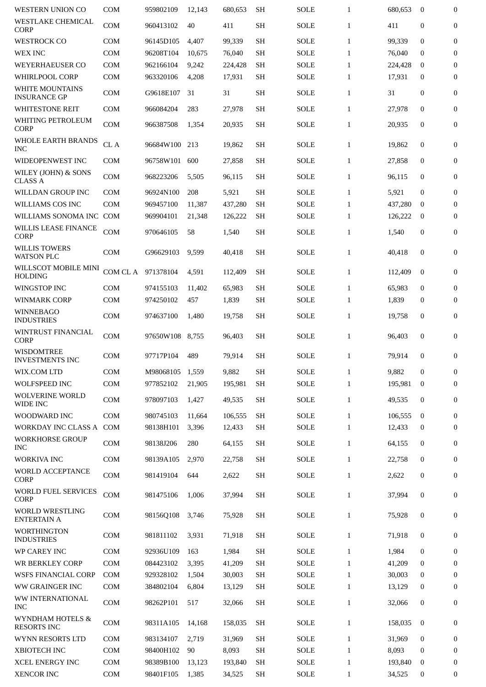| <b>WESTERN UNION CO</b>                      | <b>COM</b> | 959802109       | 12,143 | 680,653 | <b>SH</b>           | <b>SOLE</b> | $\mathbf{1}$ | 680,653 | $\mathbf{0}$     | $\overline{0}$   |
|----------------------------------------------|------------|-----------------|--------|---------|---------------------|-------------|--------------|---------|------------------|------------------|
| <b>WESTLAKE CHEMICAL</b><br><b>CORP</b>      | COM        | 960413102       | 40     | 411     | <b>SH</b>           | <b>SOLE</b> | $\mathbf{1}$ | 411     | $\mathbf{0}$     | $\mathbf{0}$     |
| <b>WESTROCK CO</b>                           | <b>COM</b> | 96145D105       | 4,407  | 99,339  | <b>SH</b>           | <b>SOLE</b> | $\mathbf{1}$ | 99,339  | $\Omega$         | $\mathbf{0}$     |
| <b>WEX INC</b>                               | COM        | 96208T104       | 10,675 | 76,040  | SH                  | <b>SOLE</b> | $\mathbf{1}$ | 76,040  | $\Omega$         | $\bf{0}$         |
| <b>WEYERHAEUSER CO</b>                       | <b>COM</b> | 962166104       | 9,242  | 224,428 | <b>SH</b>           | <b>SOLE</b> | $\mathbf{1}$ | 224,428 | $\bf{0}$         | $\boldsymbol{0}$ |
| WHIRLPOOL CORP                               | <b>COM</b> | 963320106       | 4,208  | 17,931  | <b>SH</b>           | <b>SOLE</b> | $\mathbf{1}$ | 17,931  | $\mathbf{0}$     | $\boldsymbol{0}$ |
| WHITE MOUNTAINS<br><b>INSURANCE GP</b>       | <b>COM</b> | G9618E107       | 31     | 31      | <b>SH</b>           | <b>SOLE</b> | $\mathbf{1}$ | 31      | $\boldsymbol{0}$ | $\overline{0}$   |
| WHITESTONE REIT                              | <b>COM</b> | 966084204       | 283    | 27,978  | <b>SH</b>           | <b>SOLE</b> | $\mathbf{1}$ | 27,978  | $\mathbf{0}$     | $\mathbf{0}$     |
| WHITING PETROLEUM<br><b>CORP</b>             | <b>COM</b> | 966387508       | 1,354  | 20,935  | <b>SH</b>           | <b>SOLE</b> | $\mathbf{1}$ | 20,935  | $\mathbf{0}$     | $\boldsymbol{0}$ |
| WHOLE EARTH BRANDS<br><b>INC</b>             | CL A       | 96684W100       | 213    | 19,862  | <b>SH</b>           | <b>SOLE</b> | $\mathbf{1}$ | 19,862  | $\mathbf{0}$     | $\boldsymbol{0}$ |
| WIDEOPENWEST INC                             | <b>COM</b> | 96758W101       | 600    | 27,858  | SH                  | <b>SOLE</b> | $\mathbf{1}$ | 27,858  | $\bf{0}$         | $\mathbf{0}$     |
| WILEY (JOHN) & SONS<br><b>CLASS A</b>        | COM        | 968223206       | 5,505  | 96,115  | <b>SH</b>           | <b>SOLE</b> | $\mathbf{1}$ | 96.115  | $\mathbf{0}$     | $\mathbf{0}$     |
| <b>WILLDAN GROUP INC</b>                     | <b>COM</b> | 96924N100       | 208    | 5,921   | SH                  | <b>SOLE</b> | 1            | 5,921   | $\mathbf{0}$     | $\boldsymbol{0}$ |
| WILLIAMS COS INC                             | <b>COM</b> | 969457100       | 11,387 | 437,280 | <b>SH</b>           | <b>SOLE</b> | 1            | 437,280 | $\bf{0}$         | $\mathbf{0}$     |
| WILLIAMS SONOMA INC COM                      |            | 969904101       | 21,348 | 126,222 | <b>SH</b>           | SOLE        | $\mathbf{1}$ | 126,222 | $\bf{0}$         | $\mathbf{0}$     |
| WILLIS LEASE FINANCE<br><b>CORP</b>          | COM        | 970646105       | 58     | 1,540   | <b>SH</b>           | <b>SOLE</b> | $\mathbf{1}$ | 1,540   | $\mathbf{0}$     | $\overline{0}$   |
| <b>WILLIS TOWERS</b><br><b>WATSON PLC</b>    | COM        | G96629103       | 9,599  | 40,418  | <b>SH</b>           | <b>SOLE</b> | $\mathbf{1}$ | 40,418  | $\mathbf{0}$     | 0                |
| WILLSCOT MOBILE MINI<br><b>HOLDING</b>       | COM CL A   | 971378104       | 4,591  | 112,409 | <b>SH</b>           | <b>SOLE</b> | $\mathbf{1}$ | 112,409 | $\mathbf{0}$     | $\boldsymbol{0}$ |
| <b>WINGSTOP INC</b>                          | COM        | 974155103       | 11,402 | 65,983  | <b>SH</b>           | <b>SOLE</b> | $\mathbf{1}$ | 65,983  | $\bf{0}$         | $\mathbf{0}$     |
| WINMARK CORP                                 | <b>COM</b> | 974250102       | 457    | 1,839   | <b>SH</b>           | <b>SOLE</b> | $\mathbf{1}$ | 1,839   | $\mathbf{0}$     | $\mathbf{0}$     |
| <b>WINNEBAGO</b><br><b>INDUSTRIES</b>        | COM        | 974637100       | 1,480  | 19,758  | <b>SH</b>           | <b>SOLE</b> | $\mathbf{1}$ | 19,758  | $\boldsymbol{0}$ | $\boldsymbol{0}$ |
| WINTRUST FINANCIAL<br><b>CORP</b>            | <b>COM</b> | 97650W108       | 8,755  | 96,403  | <b>SH</b>           | <b>SOLE</b> | $\mathbf{1}$ | 96,403  | $\mathbf{0}$     | 0                |
| <b>WISDOMTREE</b><br><b>INVESTMENTS INC</b>  | <b>COM</b> | 97717P104       | 489    | 79,914  | <b>SH</b>           | <b>SOLE</b> | $\mathbf{1}$ | 79,914  | $\Omega$         | 0                |
| WIX.COM LTD                                  | COM        | M98068105 1,559 |        | 9,882   | $\operatorname{SH}$ | <b>SOLE</b> | $\mathbf{1}$ | 9,882   | $\overline{0}$   | $\overline{0}$   |
| WOLFSPEED INC                                | <b>COM</b> | 977852102       | 21,905 | 195,981 | <b>SH</b>           | SOLE        | $\mathbf{1}$ | 195,981 | $\bf{0}$         | $\overline{0}$   |
| <b>WOLVERINE WORLD</b><br>WIDE INC           | COM        | 978097103       | 1,427  | 49,535  | <b>SH</b>           | SOLE        | $\mathbf{1}$ | 49,535  | $\mathbf{0}$     | 0                |
| WOODWARD INC                                 | <b>COM</b> | 980745103       | 11,664 | 106,555 | <b>SH</b>           | <b>SOLE</b> | $\mathbf{1}$ | 106,555 | $\mathbf{0}$     | $\mathbf{0}$     |
| WORKDAY INC CLASS A COM                      |            | 98138H101       | 3,396  | 12,433  | <b>SH</b>           | SOLE        | $\mathbf{1}$ | 12,433  | $\bf{0}$         | $\mathbf{0}$     |
| <b>WORKHORSE GROUP</b><br><b>INC</b>         | COM        | 98138J206       | 280    | 64,155  | <b>SH</b>           | SOLE        | $\mathbf{1}$ | 64,155  | 0                | 0                |
| <b>WORKIVA INC</b>                           | COM        | 98139A105       | 2,970  | 22,758  | SН                  | SOLE        | $\mathbf{1}$ | 22,758  | $\bf{0}$         | $\bf{0}$         |
| <b>WORLD ACCEPTANCE</b><br>CORP              | COM        | 981419104       | 644    | 2,622   | <b>SH</b>           | SOLE        | $\mathbf{1}$ | 2,622   | 0                | $\mathbf{0}$     |
| WORLD FUEL SERVICES<br><b>CORP</b>           | <b>COM</b> | 981475106       | 1,006  | 37,994  | <b>SH</b>           | SOLE        | $\mathbf{1}$ | 37,994  | $\mathbf{0}$     | $\mathbf{0}$     |
| <b>WORLD WRESTLING</b><br><b>ENTERTAIN A</b> | <b>COM</b> | 98156Q108       | 3,746  | 75,928  | <b>SH</b>           | <b>SOLE</b> | $\mathbf{1}$ | 75,928  | $\mathbf{0}$     | 0                |
| <b>WORTHINGTON</b><br><b>INDUSTRIES</b>      | <b>COM</b> | 981811102       | 3,931  | 71,918  | <b>SH</b>           | SOLE        | $\mathbf{1}$ | 71,918  | $\mathbf{0}$     | $\mathbf{0}$     |
| WP CAREY INC                                 | <b>COM</b> | 92936U109       | 163    | 1,984   | <b>SH</b>           | <b>SOLE</b> | $\mathbf{1}$ | 1,984   | $\mathbf{0}$     | 0                |
| WR BERKLEY CORP                              | <b>COM</b> | 084423102       | 3,395  | 41,209  | <b>SH</b>           | SOLE        | $\mathbf{1}$ | 41,209  | $\mathbf{0}$     | $\mathbf{0}$     |
| <b>WSFS FINANCIAL CORP</b>                   | <b>COM</b> | 929328102       | 1,504  | 30,003  | <b>SH</b>           | SOLE        | $\mathbf{1}$ | 30,003  | $\mathbf{0}$     | $\mathbf{0}$     |
| WW GRAINGER INC                              | COM        | 384802104       | 6,804  | 13,129  | SН                  | <b>SOLE</b> | $\mathbf{1}$ | 13,129  | $\bf{0}$         | $\mathbf{0}$     |
| WW INTERNATIONAL<br><b>INC</b>               | COM        | 98262P101       | 517    | 32,066  | <b>SH</b>           | SOLE        | $\mathbf{1}$ | 32,066  | $\mathbf{0}$     | 0                |
| WYNDHAM HOTELS &<br><b>RESORTS INC</b>       | <b>COM</b> | 98311A105       | 14,168 | 158,035 | <b>SH</b>           | SOLE        | $\mathbf{1}$ | 158,035 | $\mathbf{0}$     | $\mathbf{0}$     |
| WYNN RESORTS LTD                             | <b>COM</b> | 983134107       | 2,719  | 31,969  | <b>SH</b>           | <b>SOLE</b> | $\mathbf{1}$ | 31,969  | $\mathbf{0}$     | $\mathbf{0}$     |
| XBIOTECH INC                                 | COM        | 98400H102       | 90     | 8,093   | <b>SH</b>           | <b>SOLE</b> | $\mathbf{1}$ | 8,093   | $\Omega$         | $\mathbf{0}$     |
| <b>XCEL ENERGY INC</b>                       | COM        | 98389B100       | 13,123 | 193,840 | <b>SH</b>           | SOLE        | $\mathbf{1}$ | 193,840 | $\bf{0}$         | $\mathbf{0}$     |
| XENCOR INC                                   | COM        | 98401F105       | 1,385  | 34,525  | <b>SH</b>           | SOLE        | $\mathbf{1}$ | 34,525  | 0                | 0                |